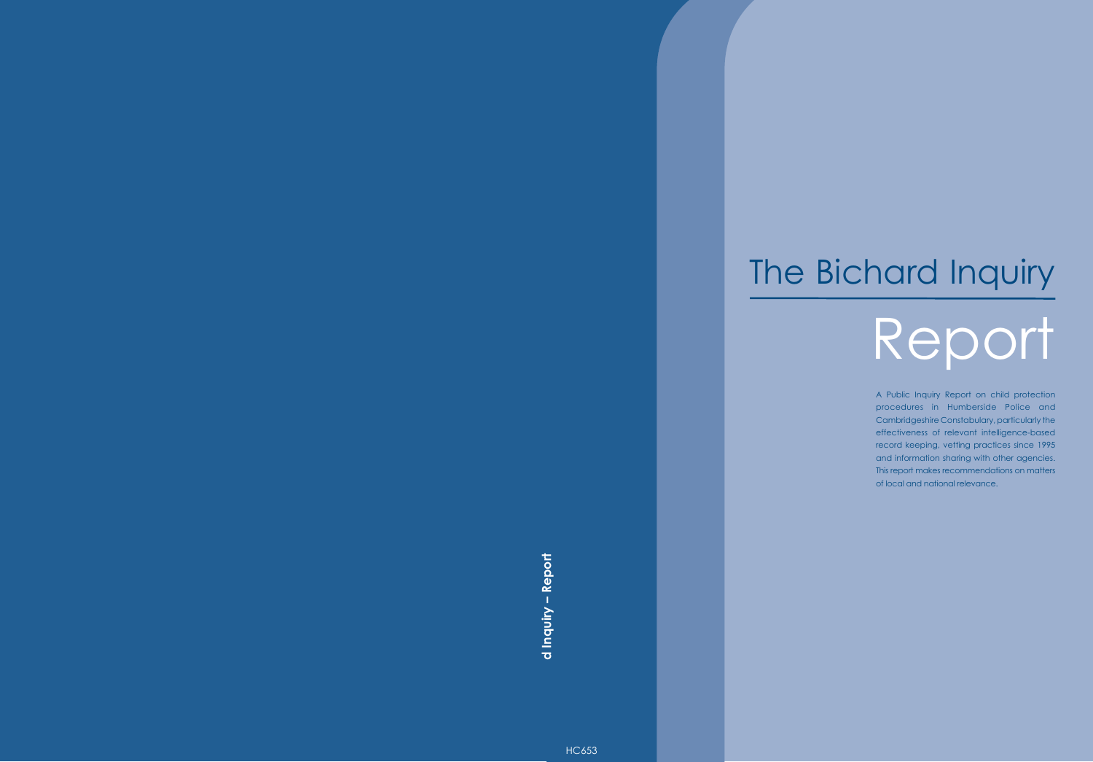# The Bichard Inquiry

# Report

A Public Inquiry Report on child protection procedures in Humberside Police and Cambridgeshire Constabulary, particularly the effectiveness of relevant intelligence-based record keeping, vetting practices since 1995 and information sharing with other agencies. This report makes recommendations on matters of local and national relevance.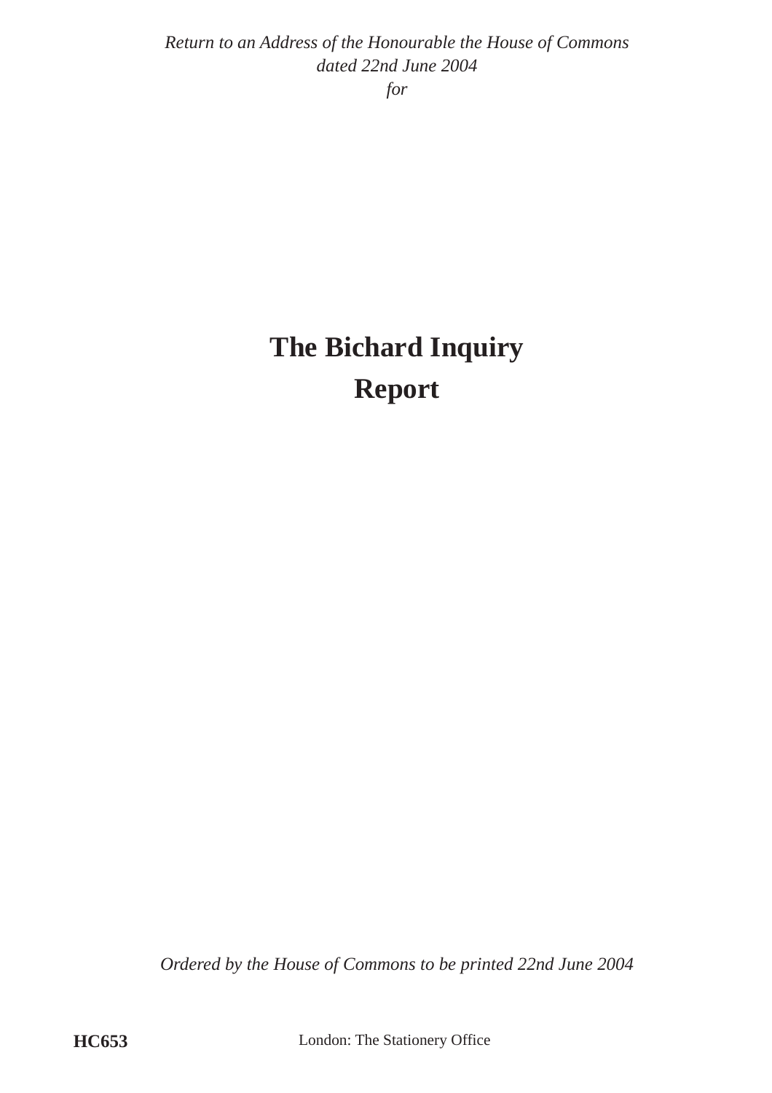*Return to an Address of the Honourable the House of Commons dated 22nd June 2004*

*for*

# **The Bichard Inquiry Report**

*Ordered by the House of Commons to be printed 22nd June 2004*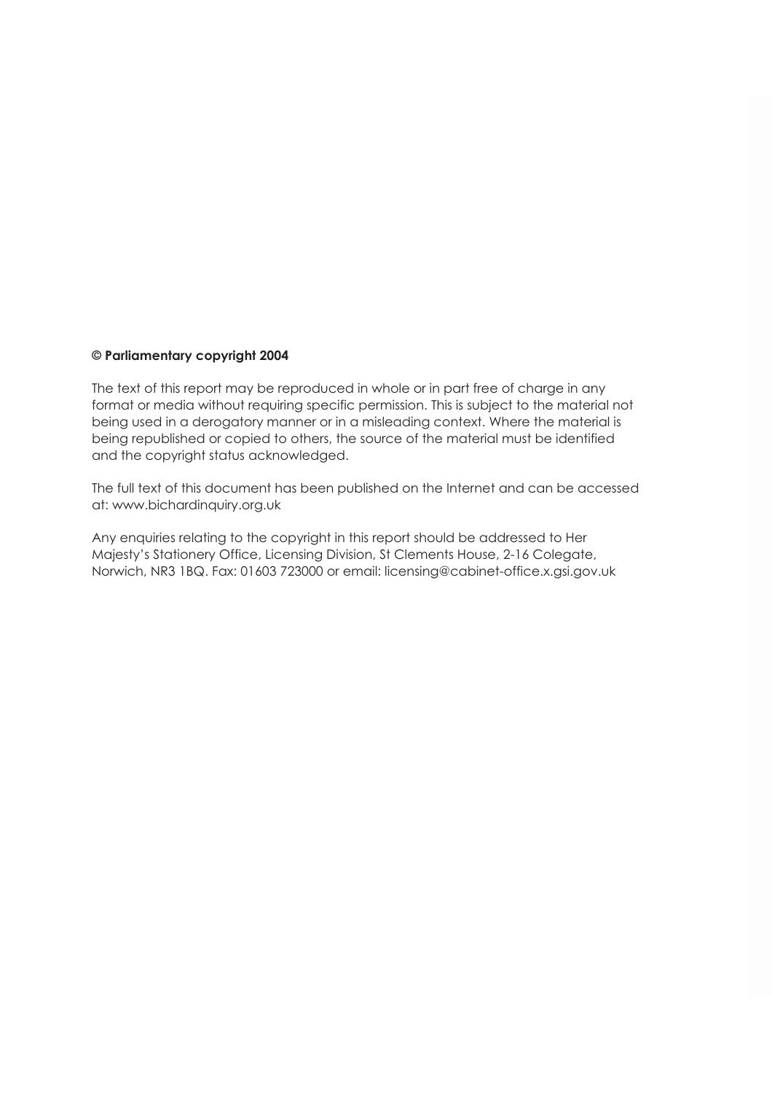#### **© Parliamentary copyright 2004**

The text of this report may be reproduced in whole or in part free of charge in any format or media without requiring specific permission. This is subject to the material not being used in a derogatory manner or in a misleading context. Where the material is being republished or copied to others, the source of the material must be identified and the copyright status acknowledged.

The full text of this document has been published on the Internet and can be accessed at: [www.bichardinquiry.org.uk](http://www.bichardinquiry.org.uk) 

Any enquiries relating to the copyright in this report should be addressed to Her Majesty's Stationery Office, Licensing Division, St Clements House, 2-16 Colegate, Norwich, NR3 1BQ. Fax: 01603 723000 or email: [licensing@cabinet-office.x.gsi.gov.uk](mailto:licensing@cabinet-office.x.gsi.gov.uk)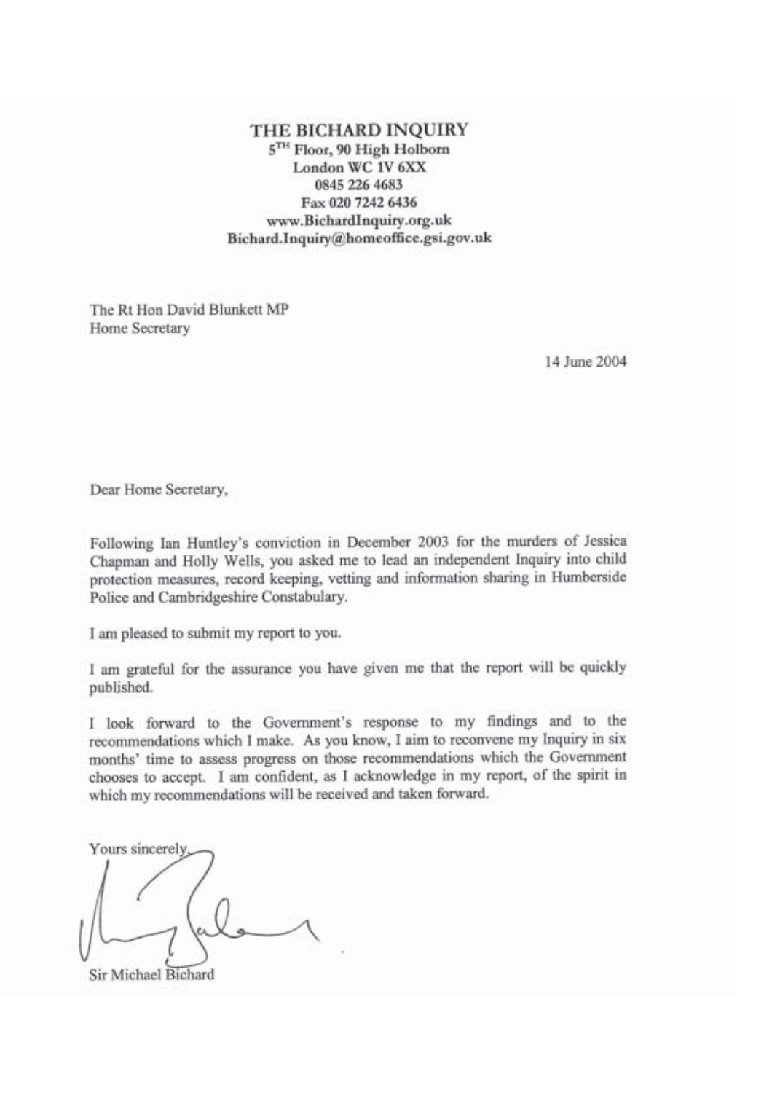THE BICHARD INQUIRY 5TH Floor, 90 High Holborn London WC 1V 6XX 0845 226 4683 Fax 020 7242 6436 www.BichardInquiry.org.uk Bichard.Inquiry@homeoffice.gsi.gov.uk

The Rt Hon David Blunkett MP Home Secretary

14 June 2004

Dear Home Secretary,

Following Ian Huntley's conviction in December 2003 for the murders of Jessica Chapman and Holly Wells, you asked me to lead an independent Inquiry into child protection measures, record keeping, vetting and information sharing in Humberside Police and Cambridgeshire Constabulary.

I am pleased to submit my report to you.

I am grateful for the assurance you have given me that the report will be quickly published.

I look forward to the Government's response to my findings and to the recommendations which I make. As you know, I aim to reconvene my Inquiry in six months' time to assess progress on those recommendations which the Government chooses to accept. I am confident, as I acknowledge in my report, of the spirit in which my recommendations will be received and taken forward.

Yours sincerely

Sir Michael Bichard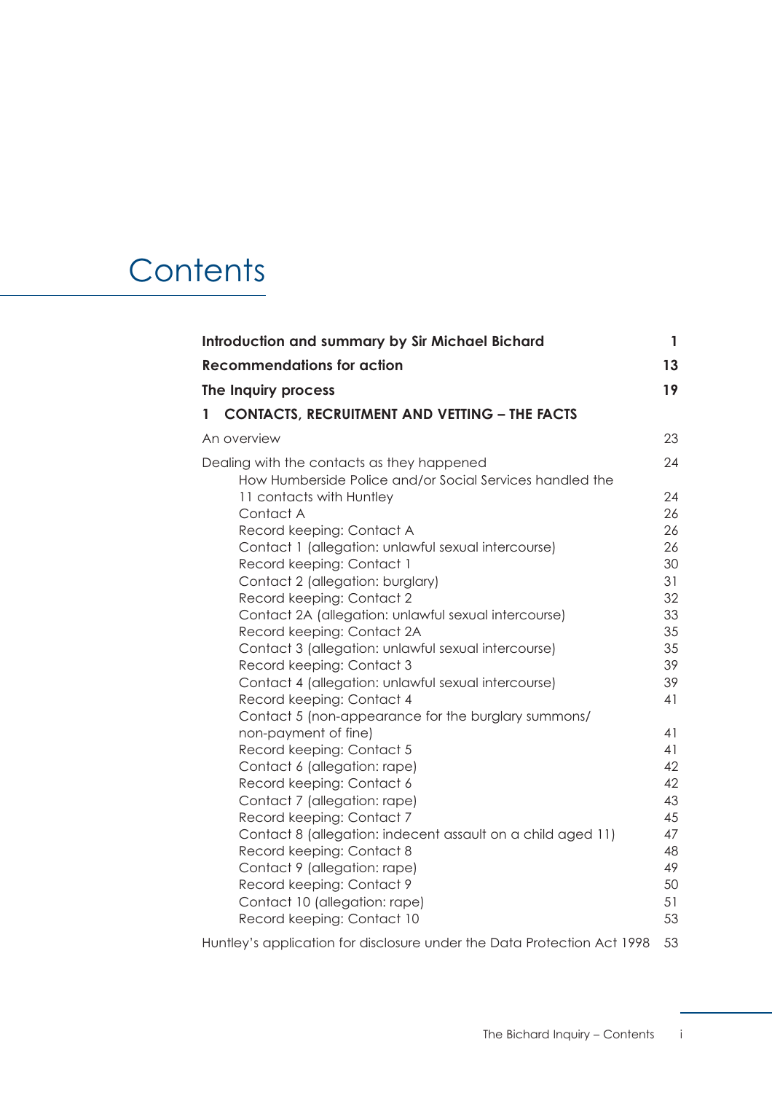# **Contents**

| <b>Introduction and summary by Sir Michael Bichard</b>                                                 |          |
|--------------------------------------------------------------------------------------------------------|----------|
| <b>Recommendations for action</b>                                                                      | 13       |
| The Inquiry process                                                                                    | 19       |
| <b>CONTACTS, RECRUITMENT AND VETTING - THE FACTS</b><br>$\mathbf{1}$                                   |          |
| An overview                                                                                            | 23       |
| Dealing with the contacts as they happened<br>How Humberside Police and/or Social Services handled the | 24       |
| 11 contacts with Huntley<br>Contact A                                                                  | 24<br>26 |
| Record keeping: Contact A                                                                              | 26       |
| Contact 1 (allegation: unlawful sexual intercourse)<br>Record keeping: Contact 1                       | 26<br>30 |
| Contact 2 (allegation: burglary)                                                                       | 31       |
| Record keeping: Contact 2                                                                              | 32       |
| Contact 2A (allegation: unlawful sexual intercourse)                                                   | 33       |
| Record keeping: Contact 2A                                                                             | 35       |
| Contact 3 (allegation: unlawful sexual intercourse)                                                    | 35       |
| Record keeping: Contact 3                                                                              | 39       |
| Contact 4 (allegation: unlawful sexual intercourse)                                                    | 39       |
| Record keeping: Contact 4                                                                              | 41       |
| Contact 5 (non-appearance for the burglary summons/                                                    |          |
| non-payment of fine)<br>Record keeping: Contact 5                                                      | 41<br>41 |
| Contact 6 (allegation: rape)                                                                           | 42       |
| Record keeping: Contact 6                                                                              | 42       |
| Contact 7 (allegation: rape)                                                                           | 43       |
| Record keeping: Contact 7                                                                              | 45       |
| Contact 8 (allegation: indecent assault on a child aged 11)                                            | 47       |
| Record keeping: Contact 8                                                                              | 48       |
| Contact 9 (allegation: rape)                                                                           | 49       |
| Record keeping: Contact 9                                                                              | 50       |
| Contact 10 (allegation: rape)                                                                          | 51       |
| Record keeping: Contact 10                                                                             | 53       |
| Huntley's application for disclosure under the Data Protection Act 1998                                | 53       |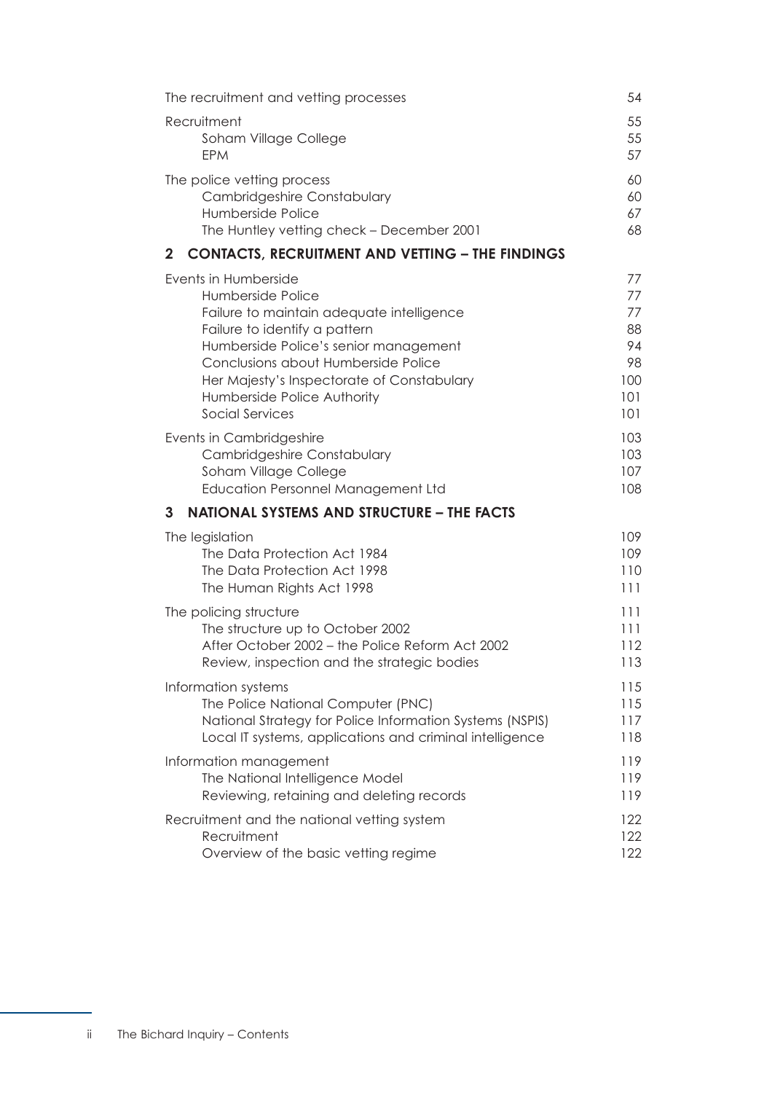| The recruitment and vetting processes                                   | 54  |
|-------------------------------------------------------------------------|-----|
| Recruitment                                                             | 55  |
| Soham Village College                                                   | 55  |
| <b>EPM</b>                                                              | 57  |
| The police vetting process                                              | 60  |
| <b>Cambridgeshire Constabulary</b>                                      | 60  |
| Humberside Police                                                       | 67  |
| The Huntley vetting check - December 2001                               | 68  |
| $\mathbf{2}$<br><b>CONTACTS, RECRUITMENT AND VETTING - THE FINDINGS</b> |     |
| Events in Humberside                                                    | 77  |
| Humberside Police                                                       | 77  |
| Failure to maintain adequate intelligence                               | 77  |
| Failure to identify a pattern                                           | 88  |
| Humberside Police's senior management                                   | 94  |
| Conclusions about Humberside Police                                     | 98  |
| Her Majesty's Inspectorate of Constabulary                              | 100 |
| Humberside Police Authority                                             | 101 |
| Social Services                                                         | 101 |
| Events in Cambridgeshire                                                | 103 |
| Cambridgeshire Constabulary                                             | 103 |
| Soham Village College                                                   | 107 |
| <b>Education Personnel Management Ltd</b>                               | 108 |
| <b>NATIONAL SYSTEMS AND STRUCTURE - THE FACTS</b><br>3                  |     |
| The legislation                                                         | 109 |
| The Data Protection Act 1984                                            | 109 |
| The Data Protection Act 1998                                            | 110 |
| The Human Rights Act 1998                                               | 111 |
| The policing structure                                                  | 111 |
| The structure up to October 2002                                        | 111 |
| After October 2002 - the Police Reform Act 2002                         | 112 |
| Review, inspection and the strategic bodies                             | 113 |
| Information systems                                                     | 115 |
| The Police National Computer (PNC)                                      | 115 |
| National Strategy for Police Information Systems (NSPIS)                | 117 |
| Local IT systems, applications and criminal intelligence                | 118 |
| Information management                                                  | 119 |
| The National Intelligence Model                                         | 119 |
| Reviewing, retaining and deleting records                               | 119 |
| Recruitment and the national vetting system                             | 122 |
| Recruitment                                                             | 122 |
| Overview of the basic vetting regime                                    | 122 |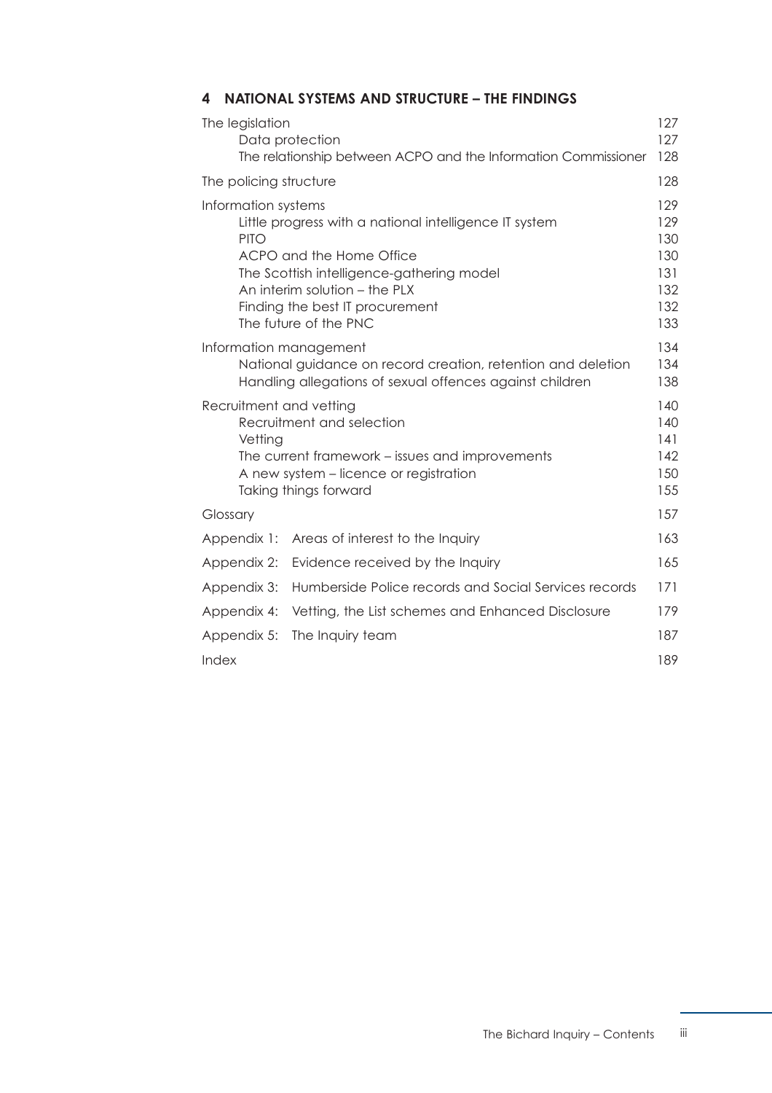# **[4 NATIONAL SYSTEMS AND STRUCTURE – THE FINDINGS](#page-133-0)**

| The legislation                                                                                                                                                                       | Data protection<br>The relationship between ACPO and the Information Commissioner                                                                                                                                            | 127<br>127<br>128                                    |
|---------------------------------------------------------------------------------------------------------------------------------------------------------------------------------------|------------------------------------------------------------------------------------------------------------------------------------------------------------------------------------------------------------------------------|------------------------------------------------------|
| The policing structure                                                                                                                                                                |                                                                                                                                                                                                                              | 128                                                  |
| Information systems<br><b>PITO</b>                                                                                                                                                    | Little progress with a national intelligence IT system<br>ACPO and the Home Office<br>The Scottish intelligence-gathering model<br>An interim solution - the PLX<br>Finding the best IT procurement<br>The future of the PNC | 129<br>129<br>130<br>130<br>131<br>132<br>132<br>133 |
| Information management                                                                                                                                                                | National guidance on record creation, retention and deletion<br>Handling allegations of sexual offences against children                                                                                                     | 134<br>134<br>138                                    |
| Recruitment and vetting<br>Recruitment and selection<br>Vetting<br>The current framework – issues and improvements<br>A new system - licence or registration<br>Taking things forward |                                                                                                                                                                                                                              | 140<br>140<br>141<br>142<br>150<br>155               |
| Glossary                                                                                                                                                                              |                                                                                                                                                                                                                              | 157                                                  |
| Appendix 1:                                                                                                                                                                           | Areas of interest to the Inquiry                                                                                                                                                                                             | 163                                                  |
| Appendix 2:                                                                                                                                                                           | Evidence received by the Inquiry                                                                                                                                                                                             | 165                                                  |
| Appendix 3:                                                                                                                                                                           | Humberside Police records and Social Services records                                                                                                                                                                        | 171                                                  |
| Appendix 4:                                                                                                                                                                           | Vetting, the List schemes and Enhanced Disclosure                                                                                                                                                                            | 179                                                  |
| Appendix 5:                                                                                                                                                                           | The Inquiry team                                                                                                                                                                                                             | 187                                                  |
| Index                                                                                                                                                                                 |                                                                                                                                                                                                                              | 189                                                  |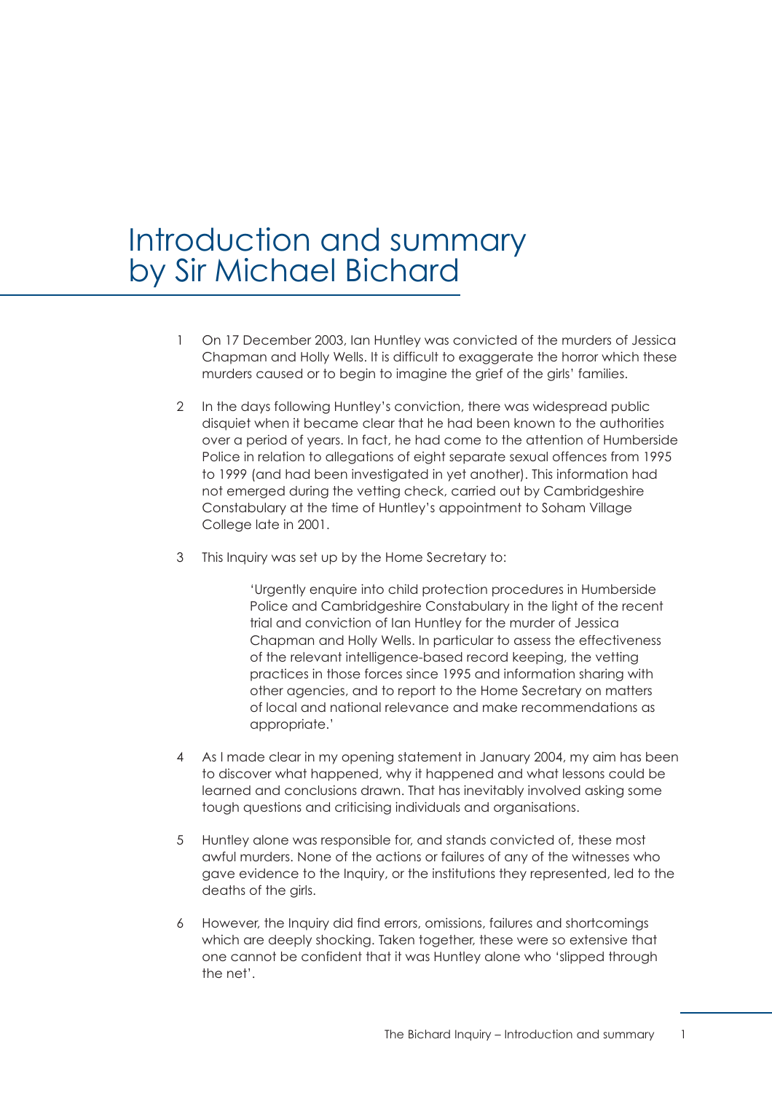# <span id="page-7-0"></span>Introduction and summary by Sir Michael Bichard

- 1 On 17 December 2003, Ian Huntley was convicted of the murders of Jessica Chapman and Holly Wells. It is difficult to exaggerate the horror which these murders caused or to begin to imagine the grief of the girls' families.
- 2 In the days following Huntley's conviction, there was widespread public disquiet when it became clear that he had been known to the authorities over a period of years. In fact, he had come to the attention of Humberside Police in relation to allegations of eight separate sexual offences from 1995 to 1999 (and had been investigated in yet another). This information had not emerged during the vetting check, carried out by Cambridgeshire Constabulary at the time of Huntley's appointment to Soham Village College late in 2001.
- 3 This Inquiry was set up by the Home Secretary to:

'Urgently enquire into child protection procedures in Humberside Police and Cambridgeshire Constabulary in the light of the recent trial and conviction of Ian Huntley for the murder of Jessica Chapman and Holly Wells. In particular to assess the effectiveness of the relevant intelligence-based record keeping, the vetting practices in those forces since 1995 and information sharing with other agencies, and to report to the Home Secretary on matters of local and national relevance and make recommendations as appropriate.'

- 4 As I made clear in my opening statement in January 2004, my aim has been to discover what happened, why it happened and what lessons could be learned and conclusions drawn. That has inevitably involved asking some tough questions and criticising individuals and organisations.
- 5 Huntley alone was responsible for, and stands convicted of, these most awful murders. None of the actions or failures of any of the witnesses who gave evidence to the Inquiry, or the institutions they represented, led to the deaths of the girls.
- 6 However, the Inquiry did find errors, omissions, failures and shortcomings which are deeply shocking. Taken together, these were so extensive that one cannot be confident that it was Huntley alone who 'slipped through the net'.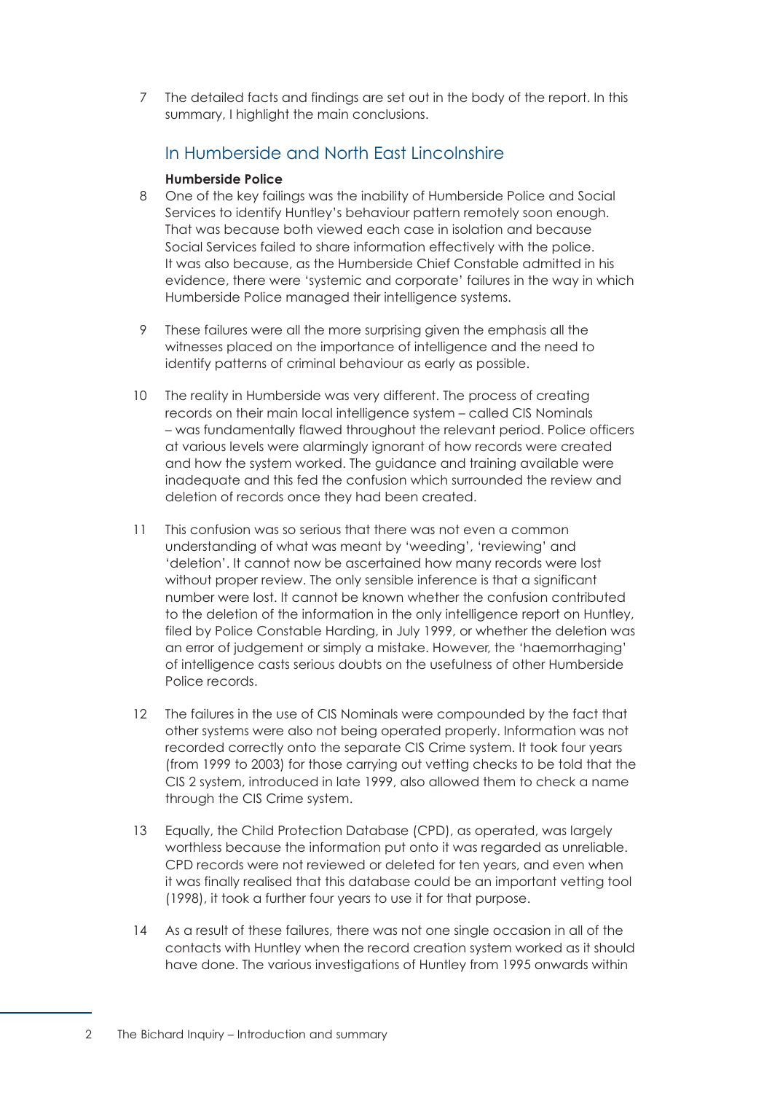7 The detailed facts and findings are set out in the body of the report. In this summary, I highlight the main conclusions.

# In Humberside and North East Lincolnshire

#### **Humberside Police**

- 8 One of the key failings was the inability of Humberside Police and Social Services to identify Huntley's behaviour pattern remotely soon enough. That was because both viewed each case in isolation and because Social Services failed to share information effectively with the police. It was also because, as the Humberside Chief Constable admitted in his evidence, there were 'systemic and corporate' failures in the way in which Humberside Police managed their intelligence systems.
- 9 These failures were all the more surprising given the emphasis all the witnesses placed on the importance of intelligence and the need to identify patterns of criminal behaviour as early as possible.
- 10 The reality in Humberside was very different. The process of creating records on their main local intelligence system – called CIS Nominals – was fundamentally flawed throughout the relevant period. Police officers at various levels were alarmingly ignorant of how records were created and how the system worked. The guidance and training available were inadequate and this fed the confusion which surrounded the review and deletion of records once they had been created.
- 11 This confusion was so serious that there was not even a common understanding of what was meant by 'weeding', 'reviewing' and 'deletion'. It cannot now be ascertained how many records were lost without proper review. The only sensible inference is that a significant number were lost. It cannot be known whether the confusion contributed to the deletion of the information in the only intelligence report on Huntley, filed by Police Constable Harding, in July 1999, or whether the deletion was an error of judgement or simply a mistake. However, the 'haemorrhaging' of intelligence casts serious doubts on the usefulness of other Humberside Police records.
- 12 The failures in the use of CIS Nominals were compounded by the fact that other systems were also not being operated properly. Information was not recorded correctly onto the separate CIS Crime system. It took four years (from 1999 to 2003) for those carrying out vetting checks to be told that the CIS 2 system, introduced in late 1999, also allowed them to check a name through the CIS Crime system.
- 13 Equally, the Child Protection Database (CPD), as operated, was largely worthless because the information put onto it was regarded as unreliable. CPD records were not reviewed or deleted for ten years, and even when it was finally realised that this database could be an important vetting tool (1998), it took a further four years to use it for that purpose.
- 14 As a result of these failures, there was not one single occasion in all of the contacts with Huntley when the record creation system worked as it should have done. The various investigations of Huntley from 1995 onwards within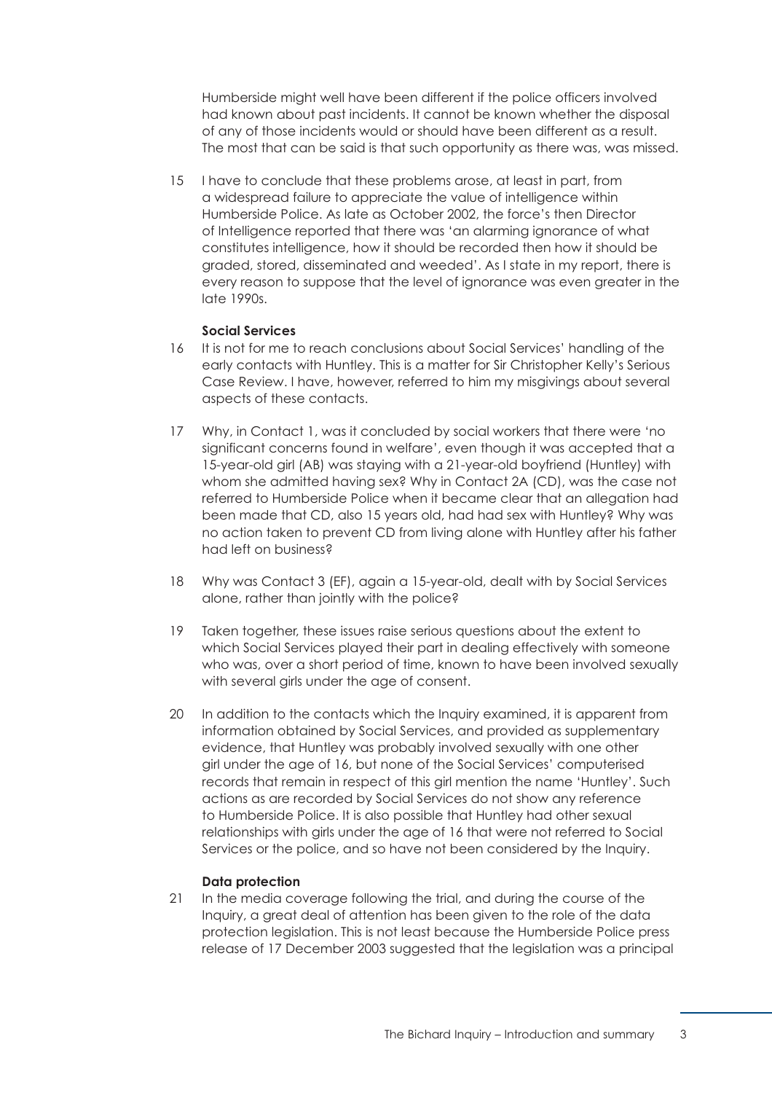Humberside might well have been different if the police officers involved had known about past incidents. It cannot be known whether the disposal of any of those incidents would or should have been different as a result. The most that can be said is that such opportunity as there was, was missed.

15 I have to conclude that these problems arose, at least in part, from a widespread failure to appreciate the value of intelligence within Humberside Police. As late as October 2002, the force's then Director of Intelligence reported that there was 'an alarming ignorance of what constitutes intelligence, how it should be recorded then how it should be graded, stored, disseminated and weeded'. As I state in my report, there is every reason to suppose that the level of ignorance was even greater in the late 1990s.

#### **Social Services**

- 16 It is not for me to reach conclusions about Social Services' handling of the early contacts with Huntley. This is a matter for Sir Christopher Kelly's Serious Case Review. I have, however, referred to him my misgivings about several aspects of these contacts.
- 17 Why, in Contact 1, was it concluded by social workers that there were 'no significant concerns found in welfare', even though it was accepted that a 15-year-old girl (AB) was staying with a 21-year-old boyfriend (Huntley) with whom she admitted having sex? Why in Contact 2A (CD), was the case not referred to Humberside Police when it became clear that an allegation had been made that CD, also 15 years old, had had sex with Huntley? Why was no action taken to prevent CD from living alone with Huntley after his father had left on business?
- 18 Why was Contact 3 (EF), again a 15-year-old, dealt with by Social Services alone, rather than jointly with the police?
- 19 Taken together, these issues raise serious questions about the extent to which Social Services played their part in dealing effectively with someone who was, over a short period of time, known to have been involved sexually with several girls under the age of consent.
- 20 In addition to the contacts which the Inquiry examined, it is apparent from information obtained by Social Services, and provided as supplementary evidence, that Huntley was probably involved sexually with one other girl under the age of 16, but none of the Social Services' computerised records that remain in respect of this girl mention the name 'Huntley'. Such actions as are recorded by Social Services do not show any reference to Humberside Police. It is also possible that Huntley had other sexual relationships with girls under the age of 16 that were not referred to Social Services or the police, and so have not been considered by the Inquiry.

#### **Data protection**

21 In the media coverage following the trial, and during the course of the Inquiry, a great deal of attention has been given to the role of the data protection legislation. This is not least because the Humberside Police press release of 17 December 2003 suggested that the legislation was a principal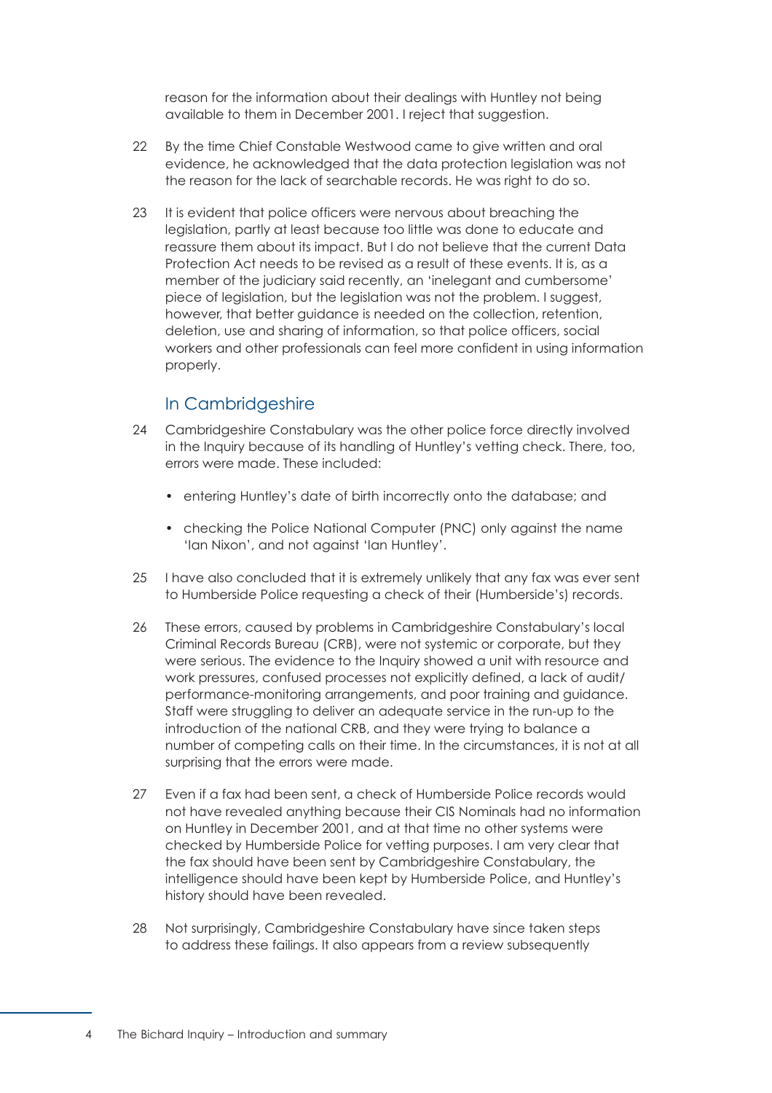reason for the information about their dealings with Huntley not being available to them in December 2001. I reject that suggestion.

- 22 By the time Chief Constable Westwood came to give written and oral evidence, he acknowledged that the data protection legislation was not the reason for the lack of searchable records. He was right to do so.
- 23 It is evident that police officers were nervous about breaching the legislation, partly at least because too little was done to educate and reassure them about its impact. But I do not believe that the current Data Protection Act needs to be revised as a result of these events. It is, as a member of the judiciary said recently, an 'inelegant and cumbersome' piece of legislation, but the legislation was not the problem. I suggest, however, that better guidance is needed on the collection, retention, deletion, use and sharing of information, so that police officers, social workers and other professionals can feel more confident in using information properly.

# In Cambridgeshire

- 24 Cambridgeshire Constabulary was the other police force directly involved in the Inquiry because of its handling of Huntley's vetting check. There, too, errors were made. These included:
	- entering Huntley's date of birth incorrectly onto the database; and
	- checking the Police National Computer (PNC) only against the name 'Ian Nixon', and not against 'Ian Huntley'.
- 25 I have also concluded that it is extremely unlikely that any fax was ever sent to Humberside Police requesting a check of their (Humberside's) records.
- 26 These errors, caused by problems in Cambridgeshire Constabulary's local Criminal Records Bureau (CRB), were not systemic or corporate, but they were serious. The evidence to the Inquiry showed a unit with resource and work pressures, confused processes not explicitly defined, a lack of audit/ performance-monitoring arrangements, and poor training and guidance. Staff were struggling to deliver an adequate service in the run-up to the introduction of the national CRB, and they were trying to balance a number of competing calls on their time. In the circumstances, it is not at all surprising that the errors were made.
- 27 Even if a fax had been sent, a check of Humberside Police records would not have revealed anything because their CIS Nominals had no information on Huntley in December 2001, and at that time no other systems were checked by Humberside Police for vetting purposes. I am very clear that the fax should have been sent by Cambridgeshire Constabulary, the intelligence should have been kept by Humberside Police, and Huntley's history should have been revealed.
- 28 Not surprisingly, Cambridgeshire Constabulary have since taken steps to address these failings. It also appears from a review subsequently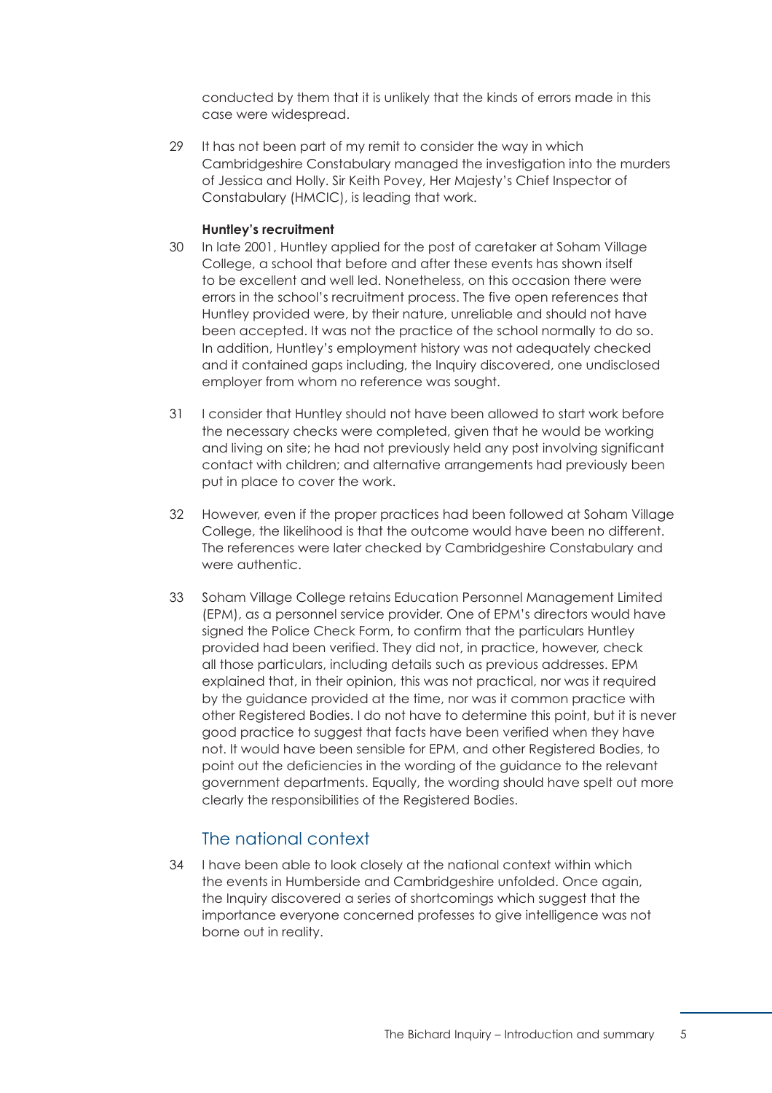conducted by them that it is unlikely that the kinds of errors made in this case were widespread.

29 It has not been part of my remit to consider the way in which Cambridgeshire Constabulary managed the investigation into the murders of Jessica and Holly. Sir Keith Povey, Her Majesty's Chief Inspector of Constabulary (HMCIC), is leading that work.

#### **Huntley's recruitment**

- 30 In late 2001, Huntley applied for the post of caretaker at Soham Village College, a school that before and after these events has shown itself to be excellent and well led. Nonetheless, on this occasion there were errors in the school's recruitment process. The five open references that Huntley provided were, by their nature, unreliable and should not have been accepted. It was not the practice of the school normally to do so. In addition, Huntley's employment history was not adequately checked and it contained gaps including, the Inquiry discovered, one undisclosed employer from whom no reference was sought.
- 31 I consider that Huntley should not have been allowed to start work before the necessary checks were completed, given that he would be working and living on site; he had not previously held any post involving significant contact with children; and alternative arrangements had previously been put in place to cover the work.
- 32 However, even if the proper practices had been followed at Soham Village College, the likelihood is that the outcome would have been no different. The references were later checked by Cambridgeshire Constabulary and were authentic.
- 33 Soham Village College retains Education Personnel Management Limited (EPM), as a personnel service provider. One of EPM's directors would have signed the Police Check Form, to confirm that the particulars Huntley provided had been verified. They did not, in practice, however, check all those particulars, including details such as previous addresses. EPM explained that, in their opinion, this was not practical, nor was it required by the guidance provided at the time, nor was it common practice with other Registered Bodies. I do not have to determine this point, but it is never good practice to suggest that facts have been verified when they have not. It would have been sensible for EPM, and other Registered Bodies, to point out the deficiencies in the wording of the guidance to the relevant government departments. Equally, the wording should have spelt out more clearly the responsibilities of the Registered Bodies.

# The national context

34 I have been able to look closely at the national context within which the events in Humberside and Cambridgeshire unfolded. Once again, the Inquiry discovered a series of shortcomings which suggest that the importance everyone concerned professes to give intelligence was not borne out in reality.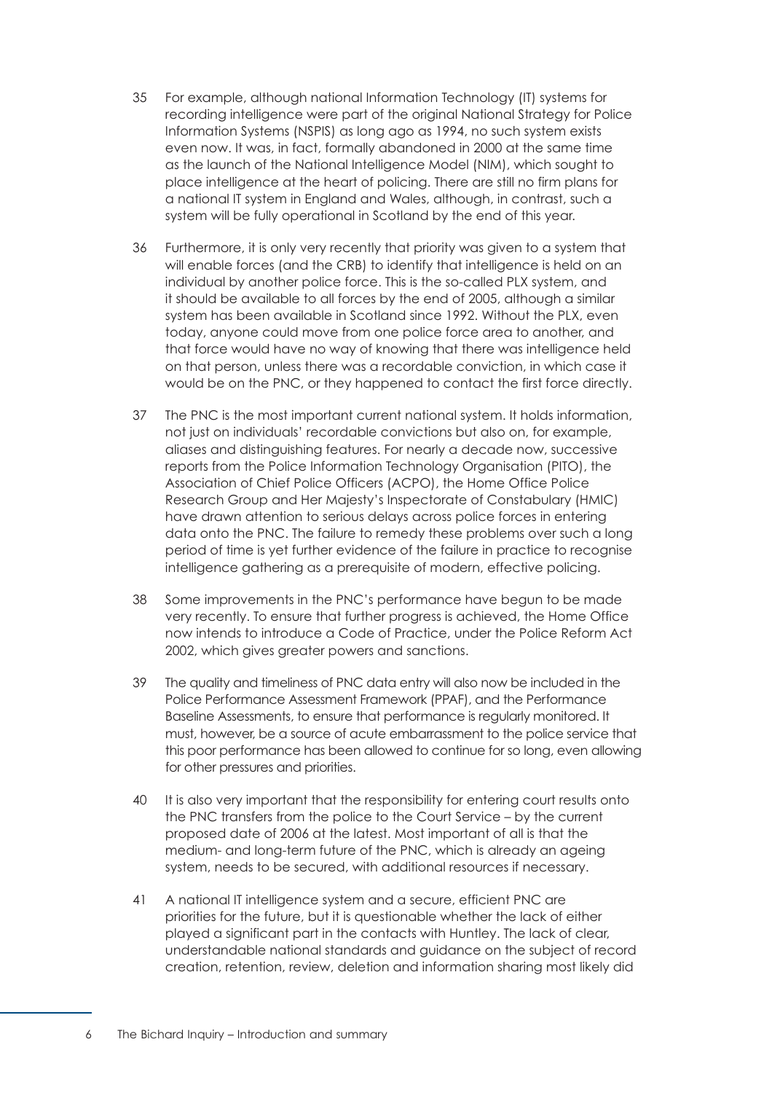- 35 For example, although national Information Technology (IT) systems for recording intelligence were part of the original National Strategy for Police Information Systems (NSPIS) as long ago as 1994, no such system exists even now. It was, in fact, formally abandoned in 2000 at the same time as the launch of the National Intelligence Model (NIM), which sought to place intelligence at the heart of policing. There are still no firm plans for a national IT system in England and Wales, although, in contrast, such a system will be fully operational in Scotland by the end of this year.
- 36 Furthermore, it is only very recently that priority was given to a system that will enable forces (and the CRB) to identify that intelligence is held on an individual by another police force. This is the so-called PLX system, and it should be available to all forces by the end of 2005, although a similar system has been available in Scotland since 1992. Without the PLX, even today, anyone could move from one police force area to another, and that force would have no way of knowing that there was intelligence held on that person, unless there was a recordable conviction, in which case it would be on the PNC, or they happened to contact the first force directly.
- 37 The PNC is the most important current national system. It holds information, not just on individuals' recordable convictions but also on, for example, aliases and distinguishing features. For nearly a decade now, successive reports from the Police Information Technology Organisation (PITO), the Association of Chief Police Officers (ACPO), the Home Office Police Research Group and Her Majesty's Inspectorate of Constabulary (HMIC) have drawn attention to serious delays across police forces in entering data onto the PNC. The failure to remedy these problems over such a long period of time is yet further evidence of the failure in practice to recognise intelligence gathering as a prerequisite of modern, effective policing.
- 38 Some improvements in the PNC's performance have begun to be made very recently. To ensure that further progress is achieved, the Home Office now intends to introduce a Code of Practice, under the Police Reform Act 2002, which gives greater powers and sanctions.
- 39 The quality and timeliness of PNC data entry will also now be included in the Police Performance Assessment Framework (PPAF), and the Performance Baseline Assessments, to ensure that performance is regularly monitored. It must, however, be a source of acute embarrassment to the police service that this poor performance has been allowed to continue for so long, even allowing for other pressures and priorities.
- 40 It is also very important that the responsibility for entering court results onto the PNC transfers from the police to the Court Service – by the current proposed date of 2006 at the latest. Most important of all is that the medium- and long-term future of the PNC, which is already an ageing system, needs to be secured, with additional resources if necessary.
- 41 A national IT intelligence system and a secure, efficient PNC are priorities for the future, but it is questionable whether the lack of either played a significant part in the contacts with Huntley. The lack of clear, understandable national standards and guidance on the subject of record creation, retention, review, deletion and information sharing most likely did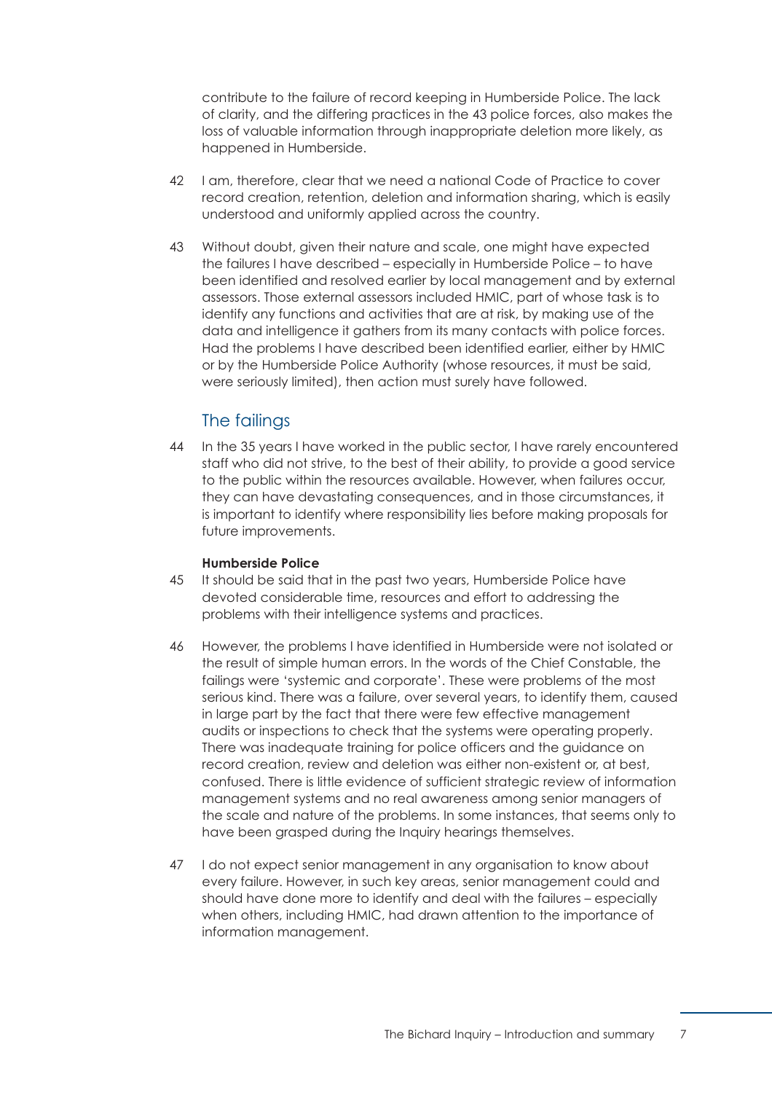contribute to the failure of record keeping in Humberside Police. The lack of clarity, and the differing practices in the 43 police forces, also makes the loss of valuable information through inappropriate deletion more likely, as happened in Humberside.

- 42 I am, therefore, clear that we need a national Code of Practice to cover record creation, retention, deletion and information sharing, which is easily understood and uniformly applied across the country.
- 43 Without doubt, given their nature and scale, one might have expected the failures I have described – especially in Humberside Police – to have been identified and resolved earlier by local management and by external assessors. Those external assessors included HMIC, part of whose task is to identify any functions and activities that are at risk, by making use of the data and intelligence it gathers from its many contacts with police forces. Had the problems I have described been identified earlier, either by HMIC or by the Humberside Police Authority (whose resources, it must be said, were seriously limited), then action must surely have followed.

# The failings

44 In the 35 years I have worked in the public sector, I have rarely encountered staff who did not strive, to the best of their ability, to provide a good service to the public within the resources available. However, when failures occur, they can have devastating consequences, and in those circumstances, it is important to identify where responsibility lies before making proposals for future improvements.

#### **Humberside Police**

- 45 It should be said that in the past two years, Humberside Police have devoted considerable time, resources and effort to addressing the problems with their intelligence systems and practices.
- 46 However, the problems I have identified in Humberside were not isolated or the result of simple human errors. In the words of the Chief Constable, the failings were 'systemic and corporate'. These were problems of the most serious kind. There was a failure, over several years, to identify them, caused in large part by the fact that there were few effective management audits or inspections to check that the systems were operating properly. There was inadequate training for police officers and the guidance on record creation, review and deletion was either non-existent or, at best, confused. There is little evidence of sufficient strategic review of information management systems and no real awareness among senior managers of the scale and nature of the problems. In some instances, that seems only to have been grasped during the Inquiry hearings themselves.
- 47 I do not expect senior management in any organisation to know about every failure. However, in such key areas, senior management could and should have done more to identify and deal with the failures – especially when others, including HMIC, had drawn attention to the importance of information management.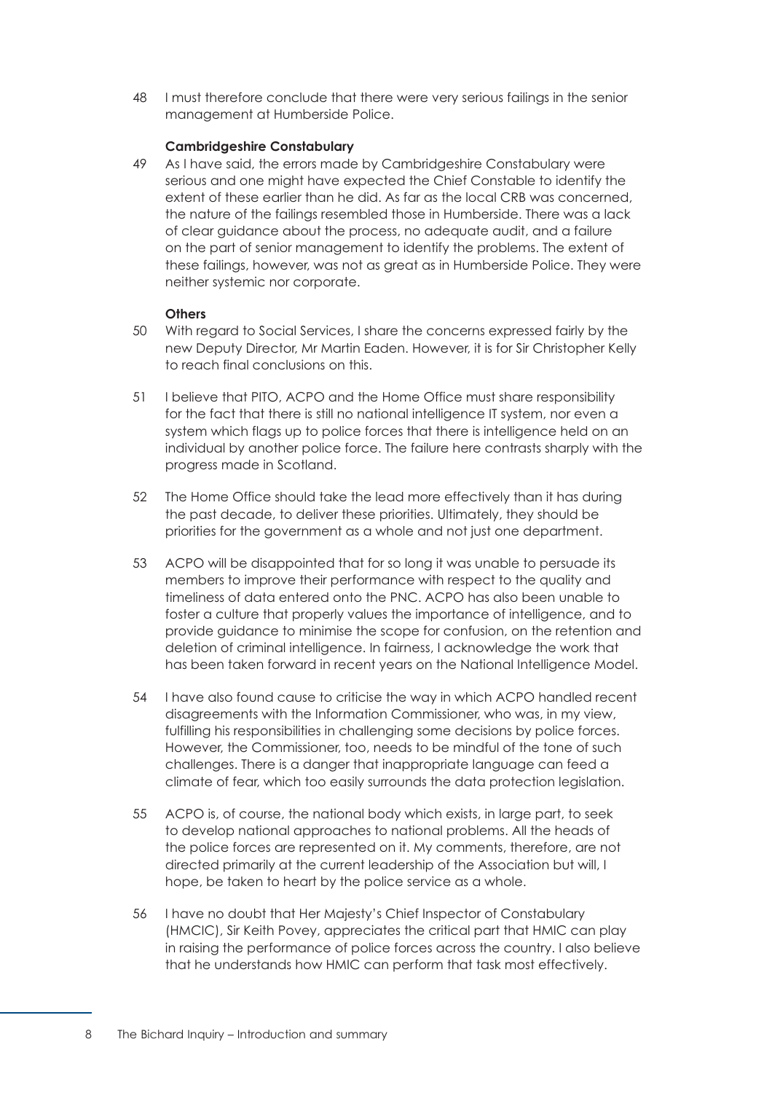48 I must therefore conclude that there were very serious failings in the senior management at Humberside Police.

#### **Cambridgeshire Constabulary**

49 As I have said, the errors made by Cambridgeshire Constabulary were serious and one might have expected the Chief Constable to identify the extent of these earlier than he did. As far as the local CRB was concerned, the nature of the failings resembled those in Humberside. There was a lack of clear guidance about the process, no adequate audit, and a failure on the part of senior management to identify the problems. The extent of these failings, however, was not as great as in Humberside Police. They were neither systemic nor corporate.

#### **Others**

- 50 With regard to Social Services, I share the concerns expressed fairly by the new Deputy Director, Mr Martin Eaden. However, it is for Sir Christopher Kelly to reach final conclusions on this.
- 51 I believe that PITO, ACPO and the Home Office must share responsibility for the fact that there is still no national intelligence IT system, nor even a system which flags up to police forces that there is intelligence held on an individual by another police force. The failure here contrasts sharply with the progress made in Scotland.
- 52 The Home Office should take the lead more effectively than it has during the past decade, to deliver these priorities. Ultimately, they should be priorities for the government as a whole and not just one department.
- 53 ACPO will be disappointed that for so long it was unable to persuade its members to improve their performance with respect to the quality and timeliness of data entered onto the PNC. ACPO has also been unable to foster a culture that properly values the importance of intelligence, and to provide guidance to minimise the scope for confusion, on the retention and deletion of criminal intelligence. In fairness, I acknowledge the work that has been taken forward in recent years on the National Intelligence Model.
- 54 I have also found cause to criticise the way in which ACPO handled recent disagreements with the Information Commissioner, who was, in my view, fulfilling his responsibilities in challenging some decisions by police forces. However, the Commissioner, too, needs to be mindful of the tone of such challenges. There is a danger that inappropriate language can feed a climate of fear, which too easily surrounds the data protection legislation.
- 55 ACPO is, of course, the national body which exists, in large part, to seek to develop national approaches to national problems. All the heads of the police forces are represented on it. My comments, therefore, are not directed primarily at the current leadership of the Association but will, I hope, be taken to heart by the police service as a whole.
- 56 I have no doubt that Her Majesty's Chief Inspector of Constabulary (HMCIC), Sir Keith Povey, appreciates the critical part that HMIC can play in raising the performance of police forces across the country. I also believe that he understands how HMIC can perform that task most effectively.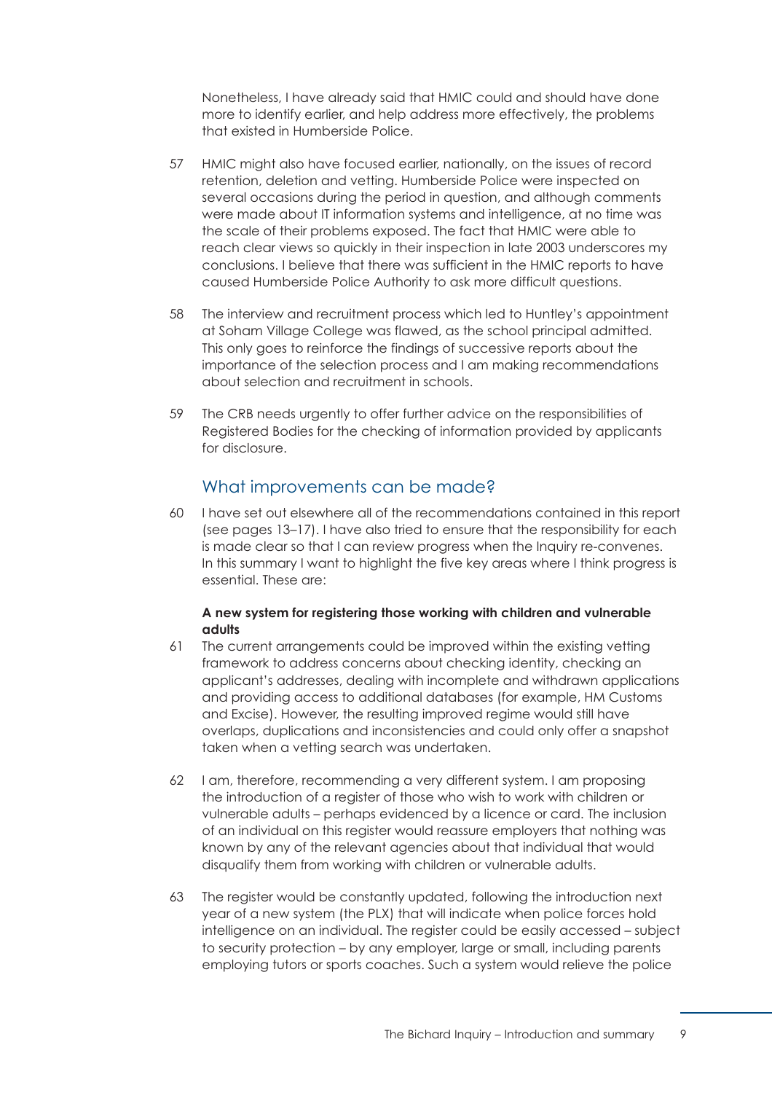Nonetheless, I have already said that HMIC could and should have done more to identify earlier, and help address more effectively, the problems that existed in Humberside Police.

- 57 HMIC might also have focused earlier, nationally, on the issues of record retention, deletion and vetting. Humberside Police were inspected on several occasions during the period in question, and although comments were made about IT information systems and intelligence, at no time was the scale of their problems exposed. The fact that HMIC were able to reach clear views so quickly in their inspection in late 2003 underscores my conclusions. I believe that there was sufficient in the HMIC reports to have caused Humberside Police Authority to ask more difficult questions.
- 58 The interview and recruitment process which led to Huntley's appointment at Soham Village College was flawed, as the school principal admitted. This only goes to reinforce the findings of successive reports about the importance of the selection process and I am making recommendations about selection and recruitment in schools.
- 59 The CRB needs urgently to offer further advice on the responsibilities of Registered Bodies for the checking of information provided by applicants for disclosure.

### What improvements can be made?

60 I have set out elsewhere all of the recommendations contained in this report [\(see pages 13–17\).](#page-19-0) I have also tried to ensure that the responsibility for each is made clear so that I can review progress when the Inquiry re-convenes. In this summary I want to highlight the five key areas where I think progress is essential. These are:

#### **A new system for registering those working with children and vulnerable adults**

- 61 The current arrangements could be improved within the existing vetting framework to address concerns about checking identity, checking an applicant's addresses, dealing with incomplete and withdrawn applications and providing access to additional databases (for example, HM Customs and Excise). However, the resulting improved regime would still have overlaps, duplications and inconsistencies and could only offer a snapshot taken when a vetting search was undertaken.
- 62 I am, therefore, recommending a very different system. I am proposing the introduction of a register of those who wish to work with children or vulnerable adults – perhaps evidenced by a licence or card. The inclusion of an individual on this register would reassure employers that nothing was known by any of the relevant agencies about that individual that would disqualify them from working with children or vulnerable adults.
- 63 The register would be constantly updated, following the introduction next year of a new system (the PLX) that will indicate when police forces hold intelligence on an individual. The register could be easily accessed – subject to security protection – by any employer, large or small, including parents employing tutors or sports coaches. Such a system would relieve the police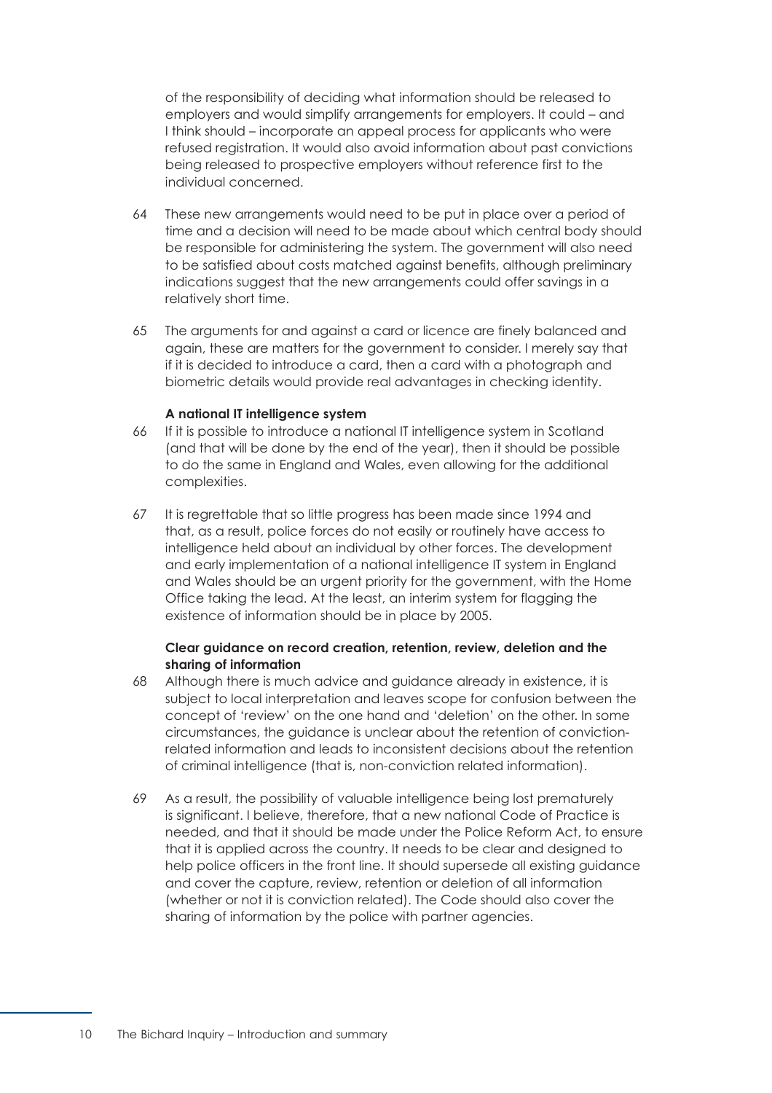of the responsibility of deciding what information should be released to employers and would simplify arrangements for employers. It could – and I think should – incorporate an appeal process for applicants who were refused registration. It would also avoid information about past convictions being released to prospective employers without reference first to the individual concerned.

- 64 These new arrangements would need to be put in place over a period of time and a decision will need to be made about which central body should be responsible for administering the system. The government will also need to be satisfied about costs matched against benefits, although preliminary indications suggest that the new arrangements could offer savings in a relatively short time.
- 65 The arguments for and against a card or licence are finely balanced and again, these are matters for the government to consider. I merely say that if it is decided to introduce a card, then a card with a photograph and biometric details would provide real advantages in checking identity.

#### **A national IT intelligence system**

- 66 If it is possible to introduce a national IT intelligence system in Scotland (and that will be done by the end of the year), then it should be possible to do the same in England and Wales, even allowing for the additional complexities.
- 67 It is regrettable that so little progress has been made since 1994 and that, as a result, police forces do not easily or routinely have access to intelligence held about an individual by other forces. The development and early implementation of a national intelligence IT system in England and Wales should be an urgent priority for the government, with the Home Office taking the lead. At the least, an interim system for flagging the existence of information should be in place by 2005.

#### **Clear guidance on record creation, retention, review, deletion and the sharing of information**

- 68 Although there is much advice and quidance already in existence, it is subject to local interpretation and leaves scope for confusion between the concept of 'review' on the one hand and 'deletion' on the other. In some circumstances, the guidance is unclear about the retention of convictionrelated information and leads to inconsistent decisions about the retention of criminal intelligence (that is, non-conviction related information).
- 69 As a result, the possibility of valuable intelligence being lost prematurely is significant. I believe, therefore, that a new national Code of Practice is needed, and that it should be made under the Police Reform Act, to ensure that it is applied across the country. It needs to be clear and designed to help police officers in the front line. It should supersede all existing guidance and cover the capture, review, retention or deletion of all information (whether or not it is conviction related). The Code should also cover the sharing of information by the police with partner agencies.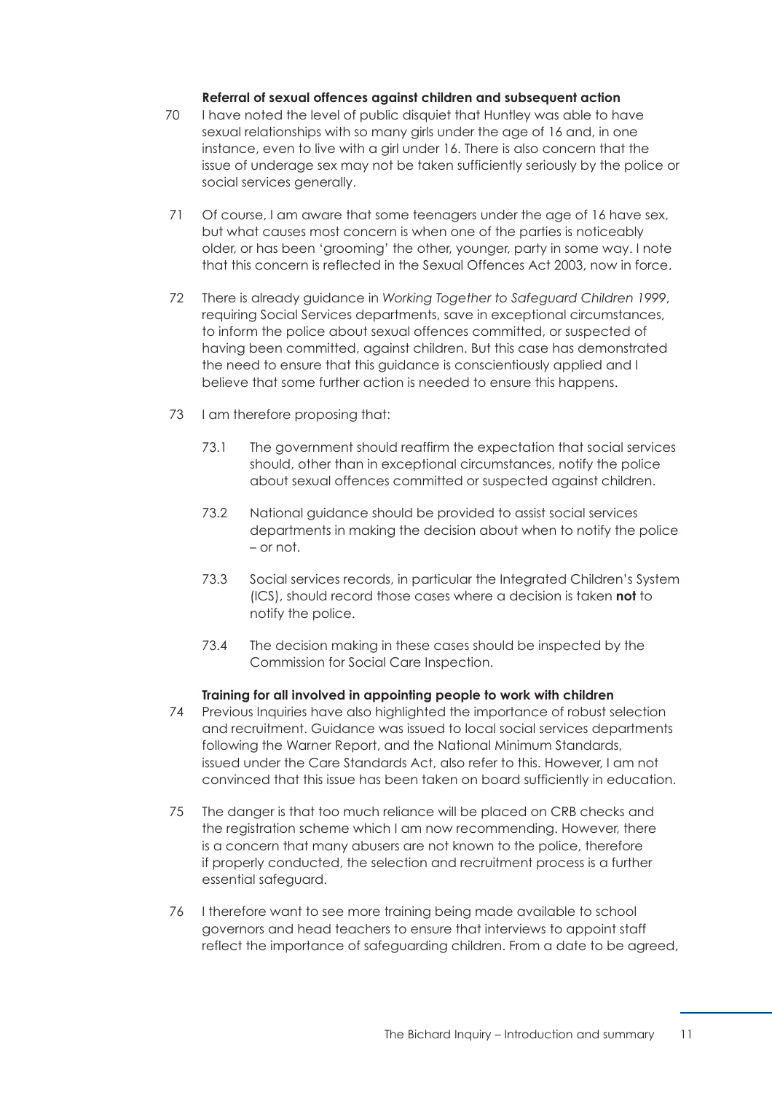#### **Referral of sexual offences against children and subsequent action**

- 70 I have noted the level of public disquiet that Huntley was able to have sexual relationships with so many girls under the age of 16 and, in one instance, even to live with a girl under 16. There is also concern that the issue of underage sex may not be taken sufficiently seriously by the police or social services generally.
- 71 Of course, I am aware that some teenagers under the age of 16 have sex, but what causes most concern is when one of the parties is noticeably older, or has been 'grooming' the other, younger, party in some way. I note that this concern is reflected in the Sexual Offences Act 2003, now in force.
- 72 There is already guidance in *Working Together to Safeguard Children 1999*, requiring Social Services departments, save in exceptional circumstances, to inform the police about sexual offences committed, or suspected of having been committed, against children. But this case has demonstrated the need to ensure that this guidance is conscientiously applied and I believe that some further action is needed to ensure this happens.
- 73 I am therefore proposing that:
	- 73.1 The government should reaffirm the expectation that social services should, other than in exceptional circumstances, notify the police about sexual offences committed or suspected against children.
	- 73.2 National guidance should be provided to assist social services departments in making the decision about when to notify the police – or not.
	- 73.3 Social services records, in particular the Integrated Children's System (ICS), should record those cases where a decision is taken **not** to notify the police.
	- 73.4 The decision making in these cases should be inspected by the Commission for Social Care Inspection.

#### **Training for all involved in appointing people to work with children**

- 74 Previous Inquiries have also highlighted the importance of robust selection and recruitment. Guidance was issued to local social services departments following the Warner Report, and the National Minimum Standards, issued under the Care Standards Act, also refer to this. However, I am not convinced that this issue has been taken on board sufficiently in education.
- 75 The danger is that too much reliance will be placed on CRB checks and the registration scheme which I am now recommending. However, there is a concern that many abusers are not known to the police, therefore if properly conducted, the selection and recruitment process is a further essential safeguard.
- 76 I therefore want to see more training being made available to school governors and head teachers to ensure that interviews to appoint staff reflect the importance of safeguarding children. From a date to be agreed,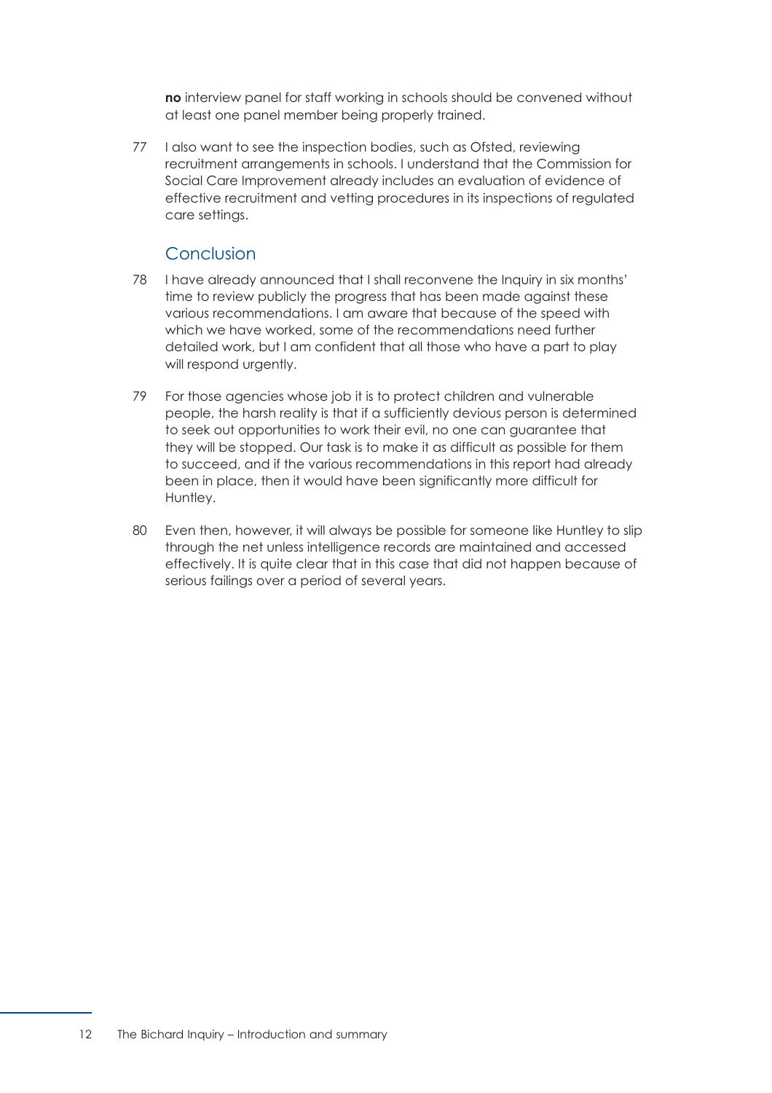**no** interview panel for staff working in schools should be convened without at least one panel member being properly trained.

77 I also want to see the inspection bodies, such as Ofsted, reviewing recruitment arrangements in schools. I understand that the Commission for Social Care Improvement already includes an evaluation of evidence of effective recruitment and vetting procedures in its inspections of regulated care settings.

### Conclusion

- 78 I have already announced that I shall reconvene the Inquiry in six months' time to review publicly the progress that has been made against these various recommendations. I am aware that because of the speed with which we have worked, some of the recommendations need further detailed work, but I am confident that all those who have a part to play will respond urgently.
- 79 For those agencies whose job it is to protect children and vulnerable people, the harsh reality is that if a sufficiently devious person is determined to seek out opportunities to work their evil, no one can guarantee that they will be stopped. Our task is to make it as difficult as possible for them to succeed, and if the various recommendations in this report had already been in place, then it would have been significantly more difficult for Huntley.
- 80 Even then, however, it will always be possible for someone like Huntley to slip through the net unless intelligence records are maintained and accessed effectively. It is quite clear that in this case that did not happen because of serious failings over a period of several years.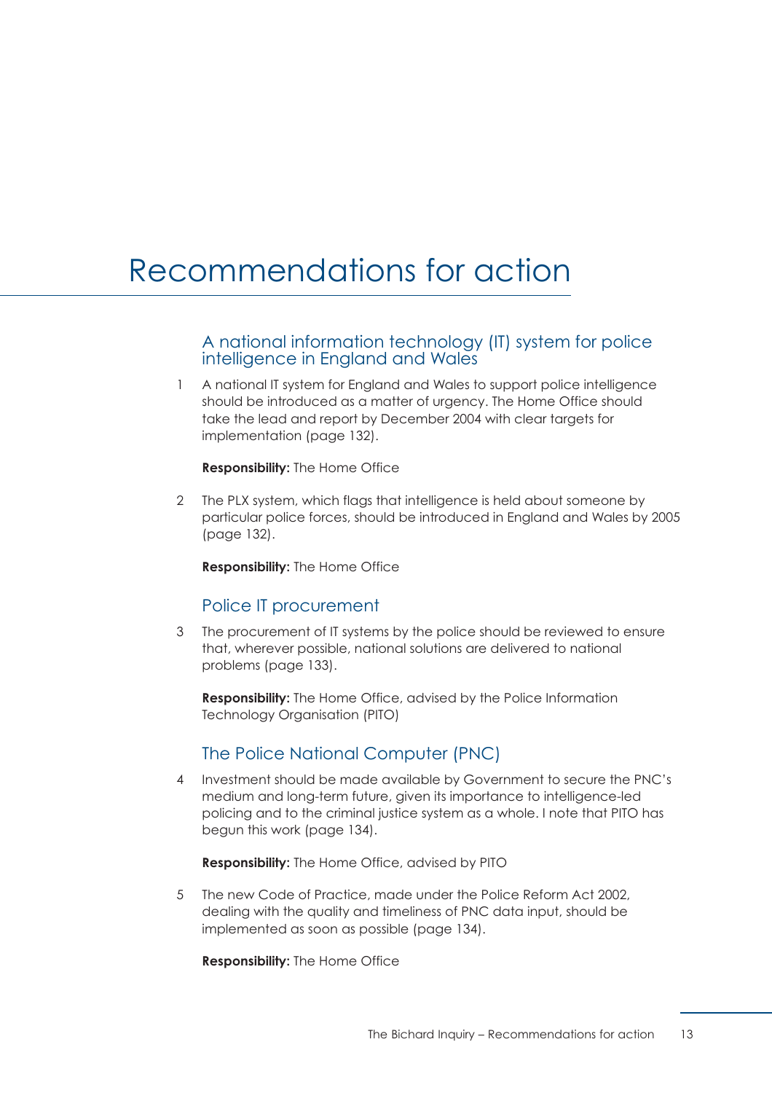# <span id="page-19-0"></span>Recommendations for action

#### A national information technology (IT) system for police intelligence in England and Wales

1 A national IT system for England and Wales to support police intelligence should be introduced as a matter of urgency. The Home Office should take the lead and report by December 2004 with clear targets for implementation [\(page 132\).](#page-138-2)

**Responsibility:** The Home Office

2 The PLX system, which flags that intelligence is held about someone by particular police forces, should be introduced in England and Wales by 2005 [\(page 132\).](#page-138-0)

**Responsibility:** The Home Office

# Police IT procurement

3 The procurement of IT systems by the police should be reviewed to ensure that, wherever possible, national solutions are delivered to national problems [\(page 133\).](#page-139-1)

**Responsibility:** The Home Office, advised by the Police Information Technology Organisation (PITO)

# The Police National Computer (PNC)

4 Investment should be made available by Government to secure the PNC's medium and long-term future, given its importance to intelligence-led policing and to the criminal justice system as a whole. I note that PITO has begun this work [\(page 134\).](#page-140-2)

**Responsibility:** The Home Office, advised by PITO

5 The new Code of Practice, made under the Police Reform Act 2002, dealing with the quality and timeliness of PNC data input, should be implemented as soon as possible [\(page 134\).](#page-140-2)

**Responsibility:** The Home Office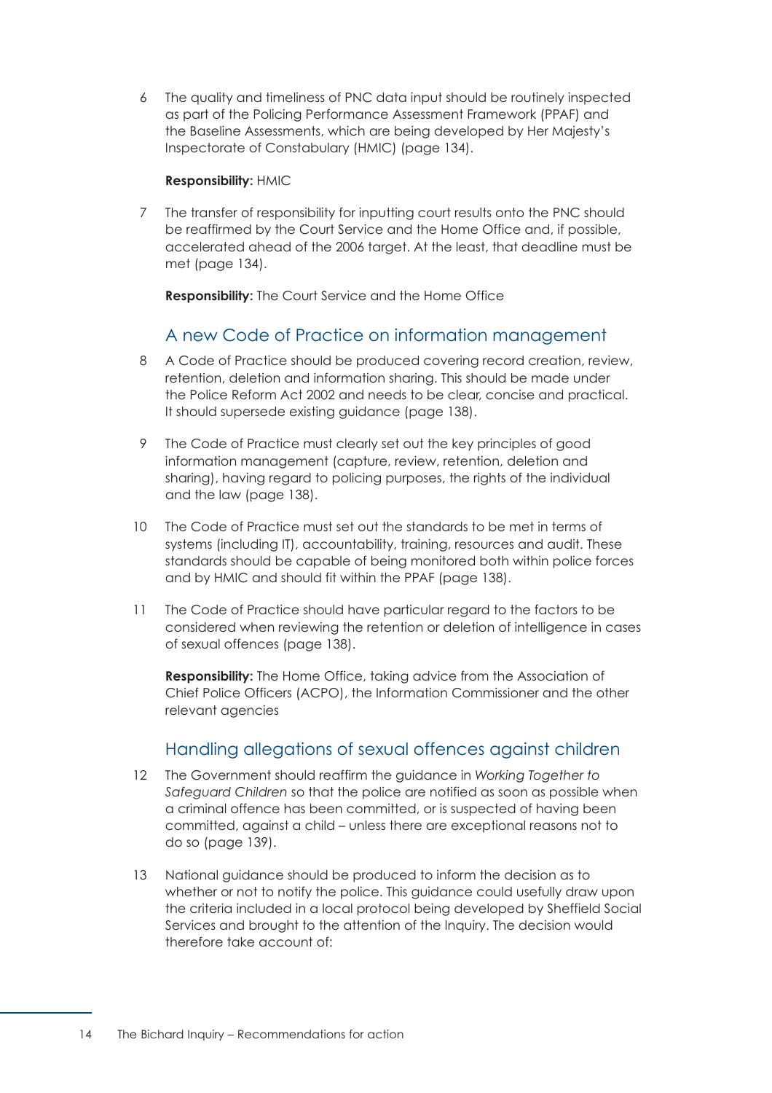6 The quality and timeliness of PNC data input should be routinely inspected as part of the Policing Performance Assessment Framework (PPAF) and the Baseline Assessments, which are being developed by Her Majesty's Inspectorate of Constabulary (HMIC) [\(page 134\).](#page-140-2)

#### **Responsibility:** HMIC

7 The transfer of responsibility for inputting court results onto the PNC should be reaffirmed by the Court Service and the Home Office and, if possible, accelerated ahead of the 2006 target. At the least, that deadline must be met [\(page 134\).](#page-140-2)

**Responsibility:** The Court Service and the Home Office

# A new Code of Practice on information management

- 8 A Code of Practice should be produced covering record creation, review, retention, deletion and information sharing. This should be made under the Police Reform Act 2002 and needs to be clear, concise and practical. It should supersede existing guidance [\(page 138\).](#page-144-1)
- 9 The Code of Practice must clearly set out the key principles of good information management (capture, review, retention, deletion and sharing), having regard to policing purposes, the rights of the individual and the law [\(page 138\).](#page-144-1)
- 10 The Code of Practice must set out the standards to be met in terms of systems (including IT), accountability, training, resources and audit. These standards should be capable of being monitored both within police forces and by HMIC and should fit within the PPAF [\(page 138\).](#page-144-1)
- 11 The Code of Practice should have particular regard to the factors to be considered when reviewing the retention or deletion of intelligence in cases of sexual offences [\(page 138\).](#page-144-1)

**Responsibility:** The Home Office, taking advice from the Association of Chief Police Officers (ACPO), the Information Commissioner and the other relevant agencies

# Handling allegations of sexual offences against children

- 12 The Government should reaffirm the guidance in *Working Together to Safeguard Children* so that the police are notified as soon as possible when a criminal offence has been committed, or is suspected of having been committed, against a child – unless there are exceptional reasons not to do so [\(page 139\).](#page-145-0)
- 13 National guidance should be produced to inform the decision as to whether or not to notify the police. This guidance could usefully draw upon the criteria included in a local protocol being developed by Sheffield Social Services and brought to the attention of the Inquiry. The decision would therefore take account of: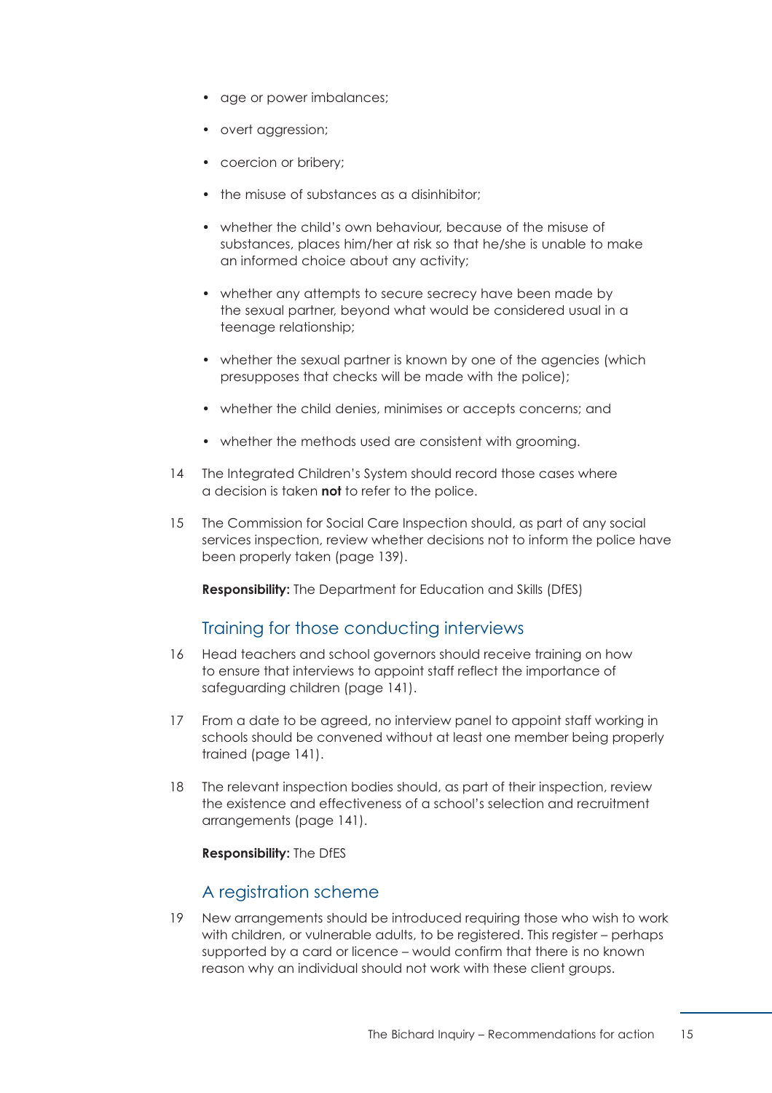- age or power imbalances;
- overt aggression;
- coercion or bribery;
- the misuse of substances as a disinhibitor;
- whether the child's own behaviour, because of the misuse of substances, places him/her at risk so that he/she is unable to make an informed choice about any activity;
- whether any attempts to secure secrecy have been made by the sexual partner, beyond what would be considered usual in a teenage relationship;
- whether the sexual partner is known by one of the agencies (which presupposes that checks will be made with the police);
- whether the child denies, minimises or accepts concerns; and
- whether the methods used are consistent with arooming.
- 14 The Integrated Children's System should record those cases where a decision is taken **not** to refer to the police.
- 15 The Commission for Social Care Inspection should, as part of any social services inspection, review whether decisions not to inform the police have been properly taken [\(page 139\).](#page-145-0)

**Responsibility:** The Department for Education and Skills (DfES)

# Training for those conducting interviews

- 16 Head teachers and school governors should receive training on how to ensure that interviews to appoint staff reflect the importance of safeguarding children [\(page 141\).](#page-147-1)
- 17 From a date to be agreed, no interview panel to appoint staff working in schools should be convened without at least one member being properly trained [\(page 141\).](#page-147-2)
- 18 The relevant inspection bodies should, as part of their inspection, review the existence and effectiveness of a school's selection and recruitment arrangements [\(page 141\).](#page-147-2)

**Responsibility:** The DfES

#### A registration scheme

19 New arrangements should be introduced requiring those who wish to work with children, or vulnerable adults, to be registered. This register – perhaps supported by a card or licence – would confirm that there is no known reason why an individual should not work with these client groups.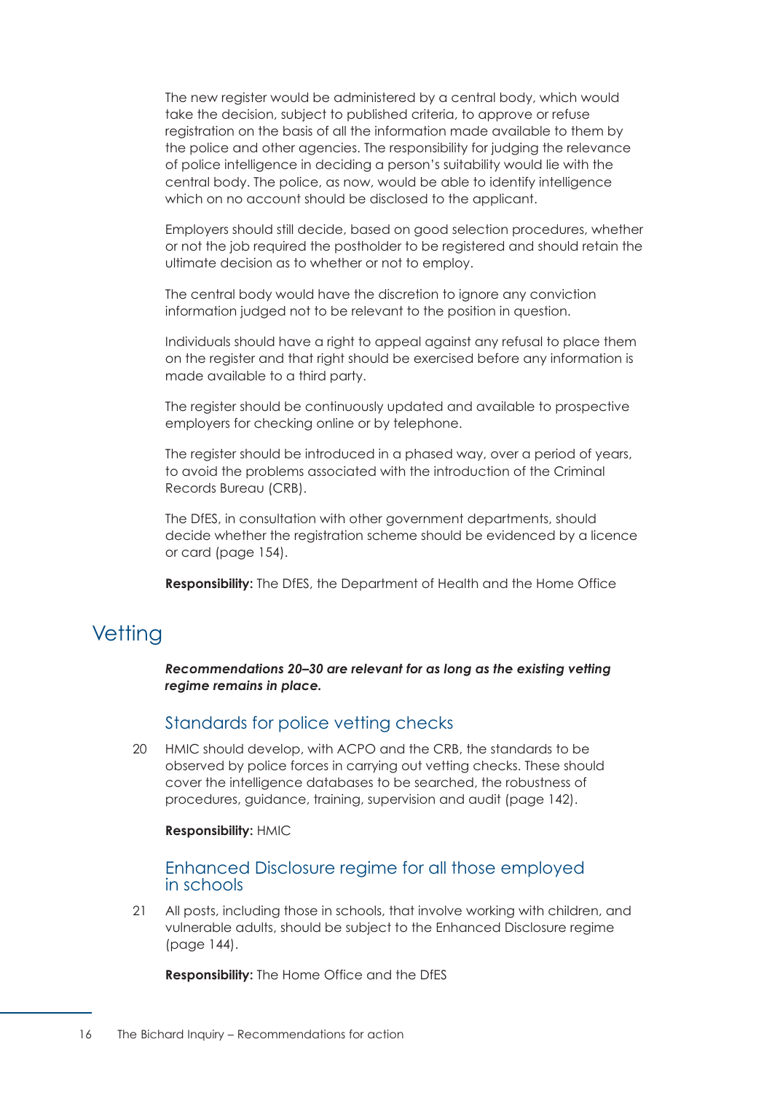The new register would be administered by a central body, which would take the decision, subject to published criteria, to approve or refuse registration on the basis of all the information made available to them by the police and other agencies. The responsibility for judging the relevance of police intelligence in deciding a person's suitability would lie with the central body. The police, as now, would be able to identify intelligence which on no account should be disclosed to the applicant.

Employers should still decide, based on good selection procedures, whether or not the job required the postholder to be registered and should retain the ultimate decision as to whether or not to employ.

The central body would have the discretion to ignore any conviction information judged not to be relevant to the position in question.

Individuals should have a right to appeal against any refusal to place them on the register and that right should be exercised before any information is made available to a third party.

The register should be continuously updated and available to prospective employers for checking online or by telephone.

The register should be introduced in a phased way, over a period of years, to avoid the problems associated with the introduction of the Criminal Records Bureau (CRB).

The DfES, in consultation with other government departments, should decide whether the registration scheme should be evidenced by a licence or card [\(page 154\).](#page-160-0)

**Responsibility:** The DfES, the Department of Health and the Home Office

# **Vetting**

*Recommendations 20–30 are relevant for as long as the existing vetting regime remains in place.* 

#### Standards for police vetting checks

20 HMIC should develop, with ACPO and the CRB, the standards to be observed by police forces in carrying out vetting checks. These should cover the intelligence databases to be searched, the robustness of procedures, guidance, training, supervision and audit [\(page 142\).](#page-148-1) 

#### **Responsibility:** HMIC

Enhanced Disclosure regime for all those employed in schools

21 All posts, including those in schools, that involve working with children, and vulnerable adults, should be subject to the Enhanced Disclosure regime [\(page 144\).](#page-150-0)

**Responsibility:** The Home Office and the DfES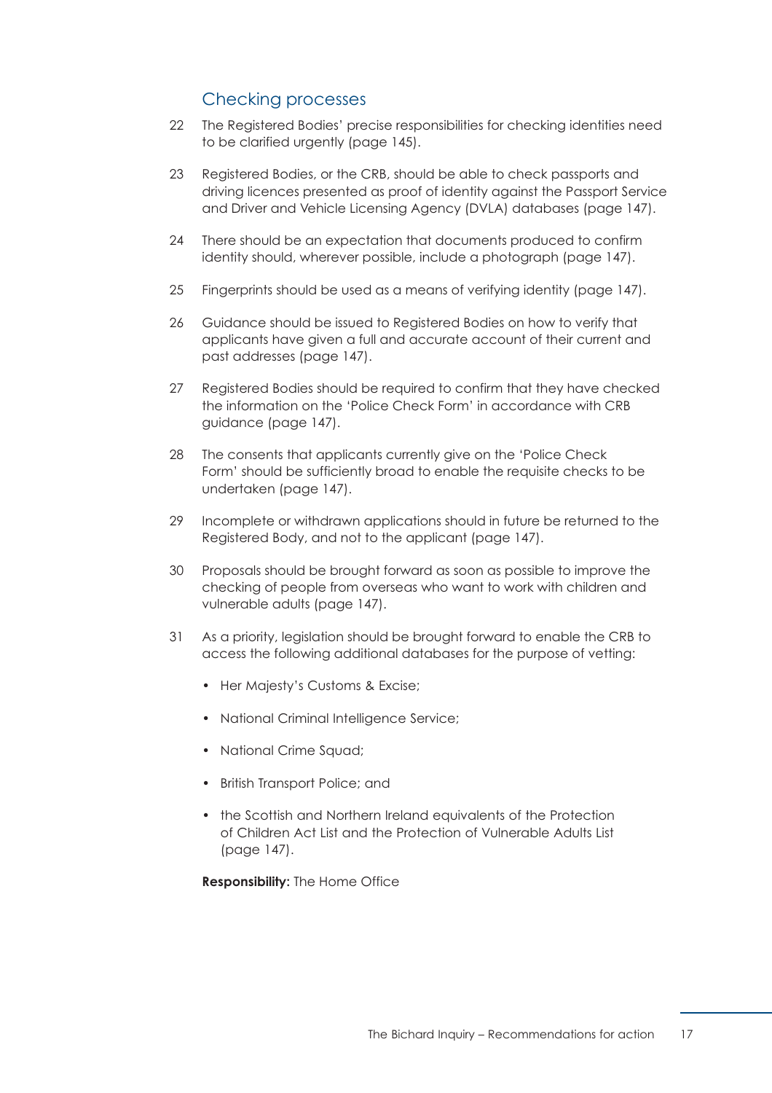# Checking processes

- 22 The Registered Bodies' precise responsibilities for checking identities need to be clarified urgently [\(page 145\).](#page-151-0)
- 23 Registered Bodies, or the CRB, should be able to check passports and driving licences presented as proof of identity against the Passport Service and Driver and Vehicle Licensing Agency (DVLA) databases [\(page 147\).](#page-153-0)
- 24 There should be an expectation that documents produced to confirm identity should, wherever possible, include a photograph [\(page 147\).](#page-153-0)
- 25 Fingerprints should be used as a means of verifying identity [\(page 147\).](#page-153-0)
- 26 Guidance should be issued to Registered Bodies on how to verify that applicants have given a full and accurate account of their current and past addresses [\(page 147\).](#page-153-0)
- 27 Registered Bodies should be required to confirm that they have checked the information on the 'Police Check Form' in accordance with CRB guidance [\(page 147\).](#page-153-0)
- 28 The consents that applicants currently give on the 'Police Check Form' should be sufficiently broad to enable the requisite checks to be undertaken [\(page 147\).](#page-153-0)
- 29 Incomplete or withdrawn applications should in future be returned to the Registered Body, and not to the applicant [\(page 147\).](#page-153-0)
- 30 Proposals should be brought forward as soon as possible to improve the checking of people from overseas who want to work with children and vulnerable adults [\(page 147\).](#page-153-0)
- 31 As a priority, legislation should be brought forward to enable the CRB to access the following additional databases for the purpose of vetting:
	- Her Majesty's Customs & Excise;
	- National Criminal Intelligence Service;
	- National Crime Sauad:
	- British Transport Police; and
	- the Scottish and Northern Ireland equivalents of the Protection of Children Act List and the Protection of Vulnerable Adults List [\(page 147\).](#page-153-0)

**Responsibility:** The Home Office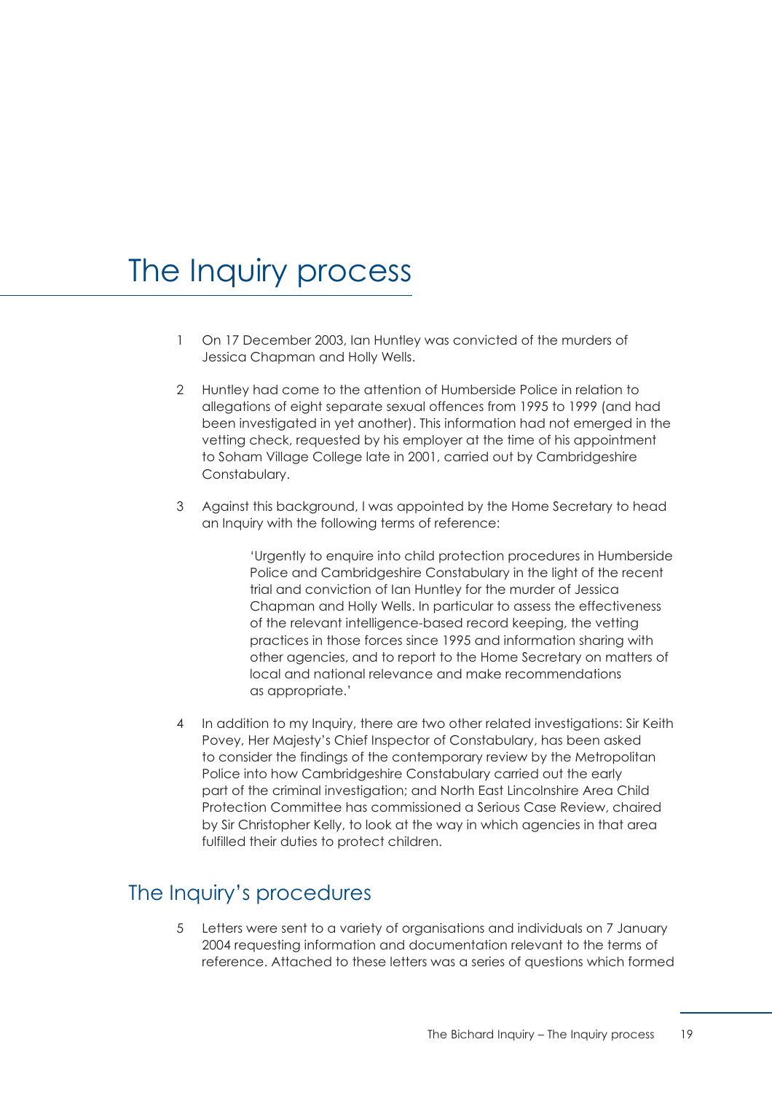# <span id="page-25-0"></span>The Inquiry process

- 1 On 17 December 2003, Ian Huntley was convicted of the murders of Jessica Chapman and Holly Wells.
- 2 Huntley had come to the attention of Humberside Police in relation to allegations of eight separate sexual offences from 1995 to 1999 (and had been investigated in yet another). This information had not emerged in the vetting check, requested by his employer at the time of his appointment to Soham Village College late in 2001, carried out by Cambridgeshire Constabulary.
- 3 Against this background, I was appointed by the Home Secretary to head an Inquiry with the following terms of reference:

'Urgently to enquire into child protection procedures in Humberside Police and Cambridgeshire Constabulary in the light of the recent trial and conviction of Ian Huntley for the murder of Jessica Chapman and Holly Wells. In particular to assess the effectiveness of the relevant intelligence-based record keeping, the vetting practices in those forces since 1995 and information sharing with other agencies, and to report to the Home Secretary on matters of local and national relevance and make recommendations as appropriate.'

4 In addition to my Inquiry, there are two other related investigations: Sir Keith Povey, Her Majesty's Chief Inspector of Constabulary, has been asked to consider the findings of the contemporary review by the Metropolitan Police into how Cambridgeshire Constabulary carried out the early part of the criminal investigation; and North East Lincolnshire Area Child Protection Committee has commissioned a Serious Case Review, chaired by Sir Christopher Kelly, to look at the way in which agencies in that area fulfilled their duties to protect children.

# The Inquiry's procedures

5 Letters were sent to a variety of organisations and individuals on 7 January 2004 requesting information and documentation relevant to the terms of reference. Attached to these letters was a series of questions which formed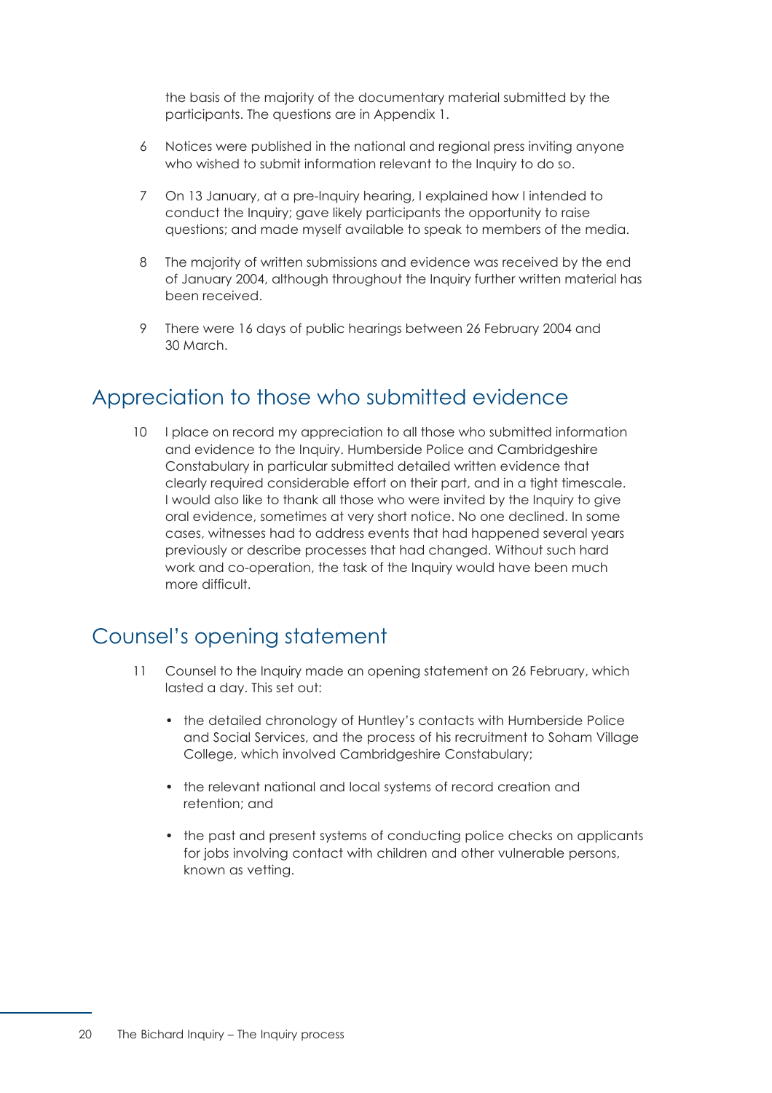the basis of the majority of the documentary material submitted by the participants. The questions are in [Appendix 1.](#page-169-0)

- 6 Notices were published in the national and regional press inviting anyone who wished to submit information relevant to the Inquiry to do so.
- 7 On 13 January, at a pre-Inquiry hearing, I explained how I intended to conduct the Inquiry; gave likely participants the opportunity to raise questions; and made myself available to speak to members of the media.
- 8 The majority of written submissions and evidence was received by the end of January 2004, although throughout the Inquiry further written material has been received.
- 9 There were 16 days of public hearings between 26 February 2004 and 30 March.

# Appreciation to those who submitted evidence

10 I place on record my appreciation to all those who submitted information and evidence to the Inquiry. Humberside Police and Cambridgeshire Constabulary in particular submitted detailed written evidence that clearly required considerable effort on their part, and in a tight timescale. I would also like to thank all those who were invited by the Inquiry to give oral evidence, sometimes at very short notice. No one declined. In some cases, witnesses had to address events that had happened several years previously or describe processes that had changed. Without such hard work and co-operation, the task of the Inquiry would have been much more difficult.

# Counsel's opening statement

- 11 Counsel to the Inquiry made an opening statement on 26 February, which lasted a day. This set out:
	- the detailed chronology of Huntley's contacts with Humberside Police and Social Services, and the process of his recruitment to Soham Village College, which involved Cambridgeshire Constabulary;
	- the relevant national and local systems of record creation and retention; and
	- the past and present systems of conducting police checks on applicants for jobs involving contact with children and other vulnerable persons, known as vetting.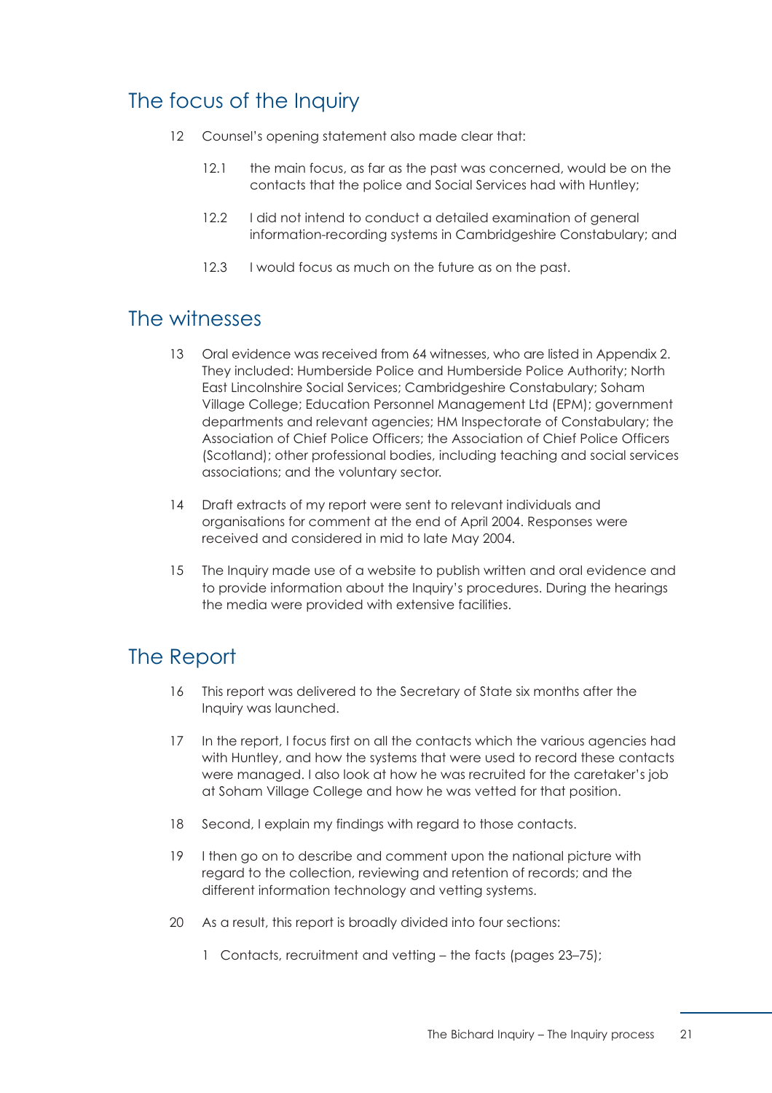# The focus of the Inquiry

- 12 Counsel's opening statement also made clear that:
	- 12.1 the main focus, as far as the past was concerned, would be on the contacts that the police and Social Services had with Huntley;
	- 12.2 I did not intend to conduct a detailed examination of general information-recording systems in Cambridgeshire Constabulary; and
	- 12.3 I would focus as much on the future as on the past.

# The witnesses

- 13 Oral evidence was received from 64 witnesses, who are listed in Appendix 2. They included: Humberside Police and Humberside Police Authority; North East Lincolnshire Social Services; Cambridgeshire Constabulary; Soham Village College; Education Personnel Management Ltd (EPM); government departments and relevant agencies; HM Inspectorate of Constabulary; the Association of Chief Police Officers; the Association of Chief Police Officers (Scotland); other professional bodies, including teaching and social services associations; and the voluntary sector.
- 14 Draft extracts of my report were sent to relevant individuals and organisations for comment at the end of April 2004. Responses were received and considered in mid to late May 2004.
- 15 The Inquiry made use of a website to publish written and oral evidence and to provide information about the Inquiry's procedures. During the hearings the media were provided with extensive facilities.

# The Report

- 16 This report was delivered to the Secretary of State six months after the Inquiry was launched.
- 17 In the report, I focus first on all the contacts which the various agencies had with Huntley, and how the systems that were used to record these contacts were managed. I also look at how he was recruited for the caretaker's job at Soham Village College and how he was vetted for that position.
- 18 Second, I explain my findings with regard to those contacts.
- 19 I then go on to describe and comment upon the national picture with regard to the collection, reviewing and retention of records; and the different information technology and vetting systems.
- 20 As a result, this report is broadly divided into four sections:
	- [1 Contacts, recruitment and vetting the facts \(pages 23–75\);](#page-29-0)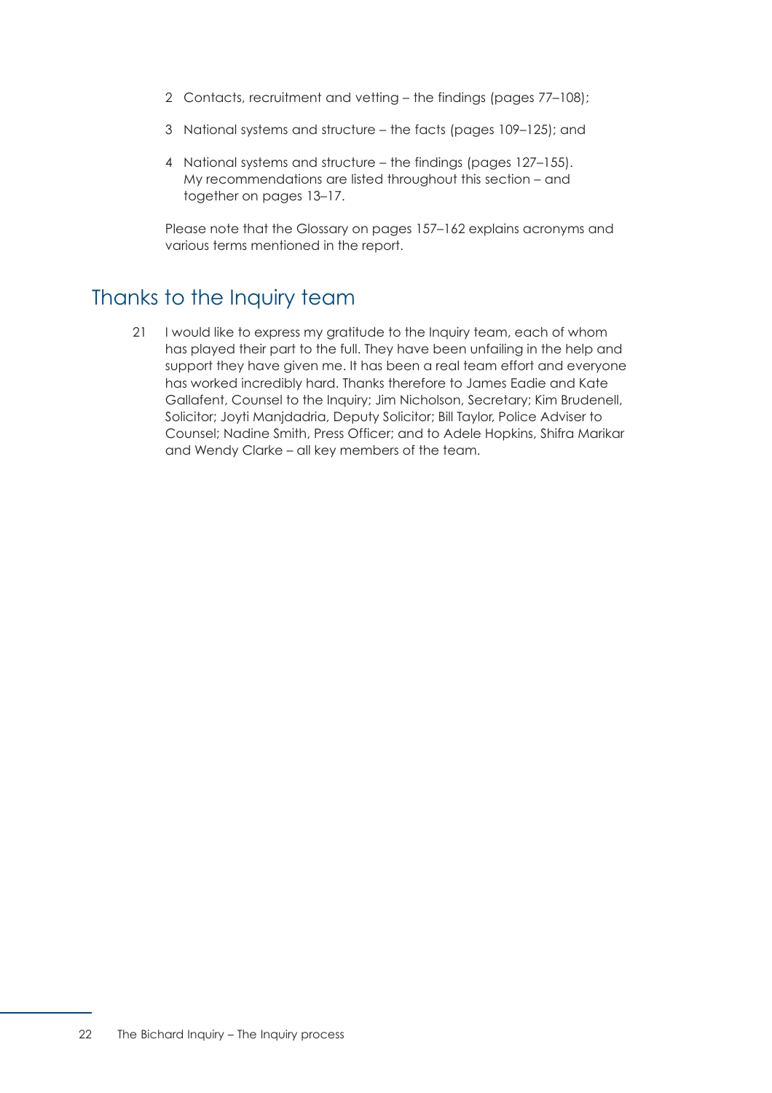- [2 Contacts, recruitment and vetting the findings \(pages 77–108\);](#page-83-0)
- [3 National systems and structure the facts \(pages 109–125\);](#page-115-0) and
- 4 National systems and structure the findings (pages 127-155). My recommendations are listed throughout this section – and together on [pages 13–17.](#page-19-0)

Please note that the [Glossary on pages 157–162](#page-163-0) explains acronyms and various terms mentioned in the report.

# Thanks to the Inquiry team

21 I would like to express my gratitude to the Inquiry team, each of whom has played their part to the full. They have been unfailing in the help and support they have given me. It has been a real team effort and everyone has worked incredibly hard. Thanks therefore to James Eadie and Kate Gallafent, Counsel to the Inquiry; Jim Nicholson, Secretary; Kim Brudenell, Solicitor; Joyti Manjdadria, Deputy Solicitor; Bill Taylor, Police Adviser to Counsel; Nadine Smith, Press Officer; and to Adele Hopkins, Shifra Marikar and Wendy Clarke – all key members of the team.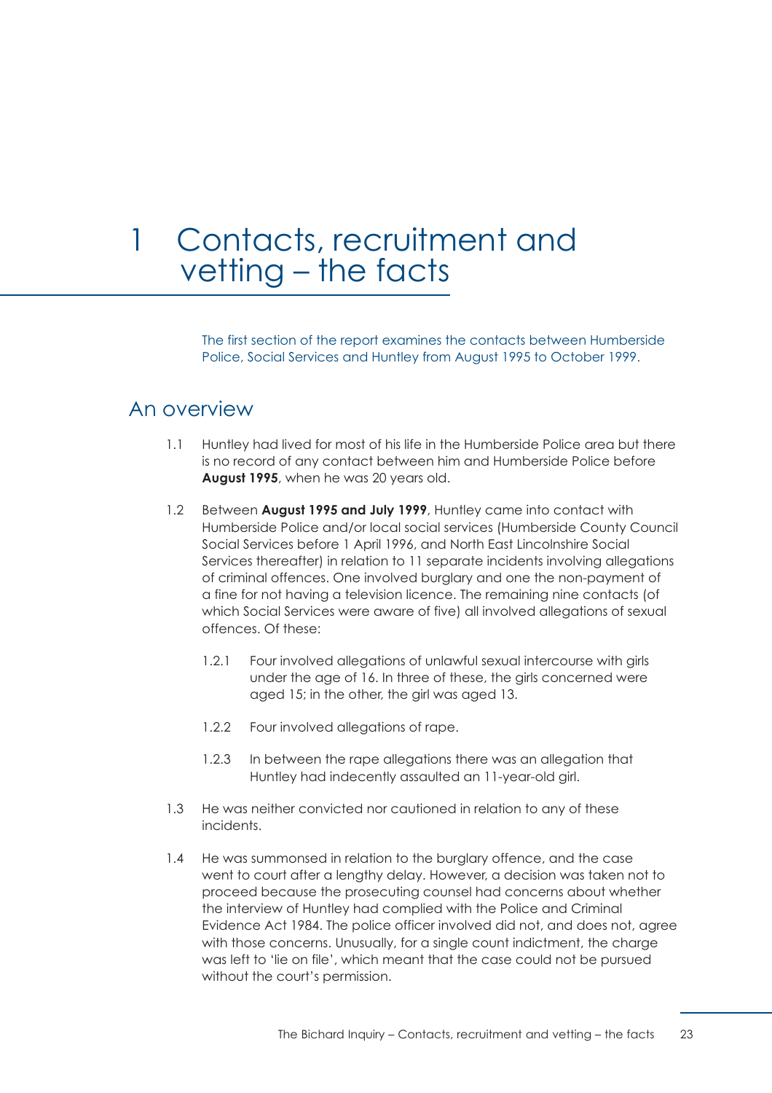# <span id="page-29-0"></span>1 Contacts, recruitment and vetting – the facts

The first section of the report examines the contacts between Humberside Police, Social Services and Huntley from August 1995 to October 1999.

# An overview

- 1.1 Huntley had lived for most of his life in the Humberside Police area but there is no record of any contact between him and Humberside Police before **August 1995**, when he was 20 years old.
- 1.2 Between **August 1995 and July 1999**, Huntley came into contact with Humberside Police and/or local social services (Humberside County Council Social Services before 1 April 1996, and North East Lincolnshire Social Services thereafter) in relation to 11 separate incidents involving allegations of criminal offences. One involved burglary and one the non-payment of a fine for not having a television licence. The remaining nine contacts (of which Social Services were aware of five) all involved allegations of sexual offences. Of these:
	- 1.2.1 Four involved allegations of unlawful sexual intercourse with girls under the age of 16. In three of these, the girls concerned were aged 15; in the other, the girl was aged 13.
	- 1.2.2 Four involved allegations of rape.
	- 1.2.3 In between the rape allegations there was an allegation that Huntley had indecently assaulted an 11-year-old girl.
- 1.3 He was neither convicted nor cautioned in relation to any of these incidents.
- 1.4 He was summonsed in relation to the burglary offence, and the case went to court after a lengthy delay. However, a decision was taken not to proceed because the prosecuting counsel had concerns about whether the interview of Huntley had complied with the Police and Criminal Evidence Act 1984. The police officer involved did not, and does not, agree with those concerns. Unusually, for a single count indictment, the charge was left to 'lie on file', which meant that the case could not be pursued without the court's permission.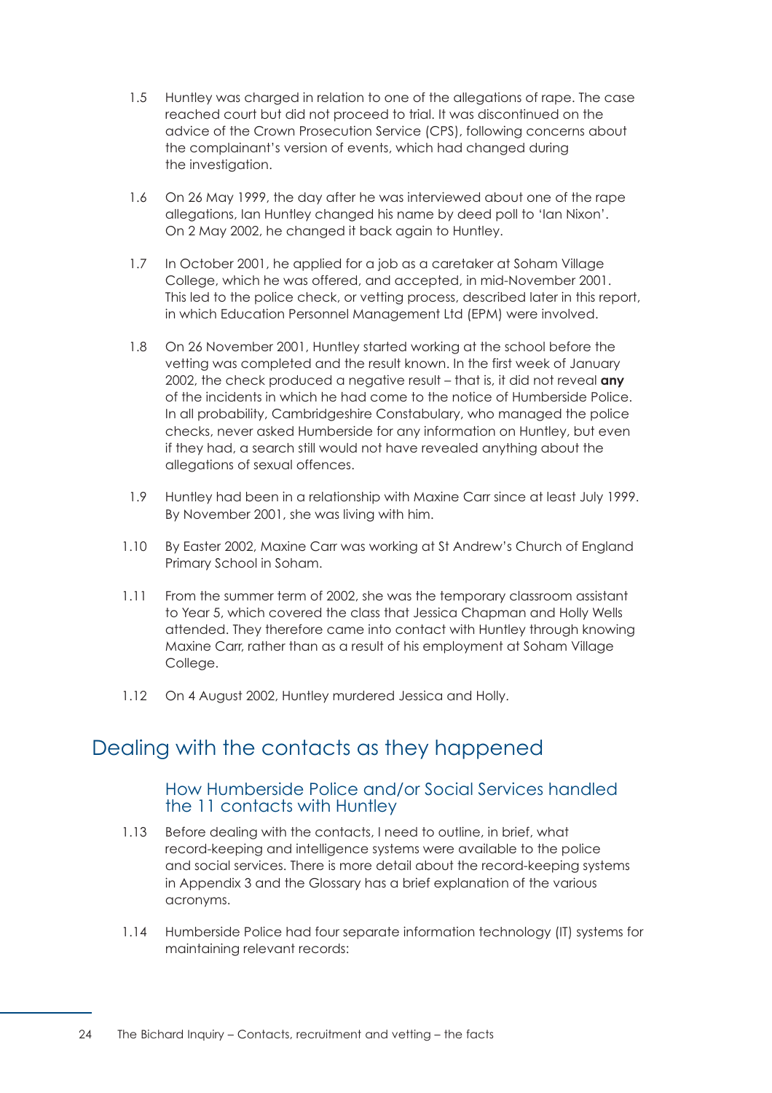- 1.5 Huntley was charged in relation to one of the allegations of rape. The case reached court but did not proceed to trial. It was discontinued on the advice of the Crown Prosecution Service (CPS), following concerns about the complainant's version of events, which had changed during the investigation.
- 1.6 On 26 May 1999, the day after he was interviewed about one of the rape allegations, Ian Huntley changed his name by deed poll to 'Ian Nixon'. On 2 May 2002, he changed it back again to Huntley.
- 1.7 In October 2001, he applied for a job as a caretaker at Soham Village College, which he was offered, and accepted, in mid-November 2001. This led to the police check, or vetting process, described later in this report, in which Education Personnel Management Ltd (EPM) were involved.
- 1.8 On 26 November 2001, Huntley started working at the school before the vetting was completed and the result known. In the first week of January 2002, the check produced a negative result – that is, it did not reveal **any**  of the incidents in which he had come to the notice of Humberside Police. In all probability, Cambridgeshire Constabulary, who managed the police checks, never asked Humberside for any information on Huntley, but even if they had, a search still would not have revealed anything about the allegations of sexual offences.
- 1.9 Huntley had been in a relationship with Maxine Carr since at least July 1999. By November 2001, she was living with him.
- 1.10 By Easter 2002, Maxine Carr was working at St Andrew's Church of England Primary School in Soham.
- 1.11 From the summer term of 2002, she was the temporary classroom assistant to Year 5, which covered the class that Jessica Chapman and Holly Wells attended. They therefore came into contact with Huntley through knowing Maxine Carr, rather than as a result of his employment at Soham Village College.
- 1.12 On 4 August 2002, Huntley murdered Jessica and Holly.

# <span id="page-30-0"></span>Dealing with the contacts as they happened

#### How Humberside Police and/or Social Services handled the 11 contacts with Huntley

- 1.13 Before dealing with the contacts, I need to outline, in brief, what record-keeping and intelligence systems were available to the police and social services. There is more detail about the record-keeping systems in [Appendix 3](#page-177-0) and the [Glossary](#page-163-0) has a brief explanation of the various acronyms.
- 1.14 Humberside Police had four separate information technology (IT) systems for maintaining relevant records: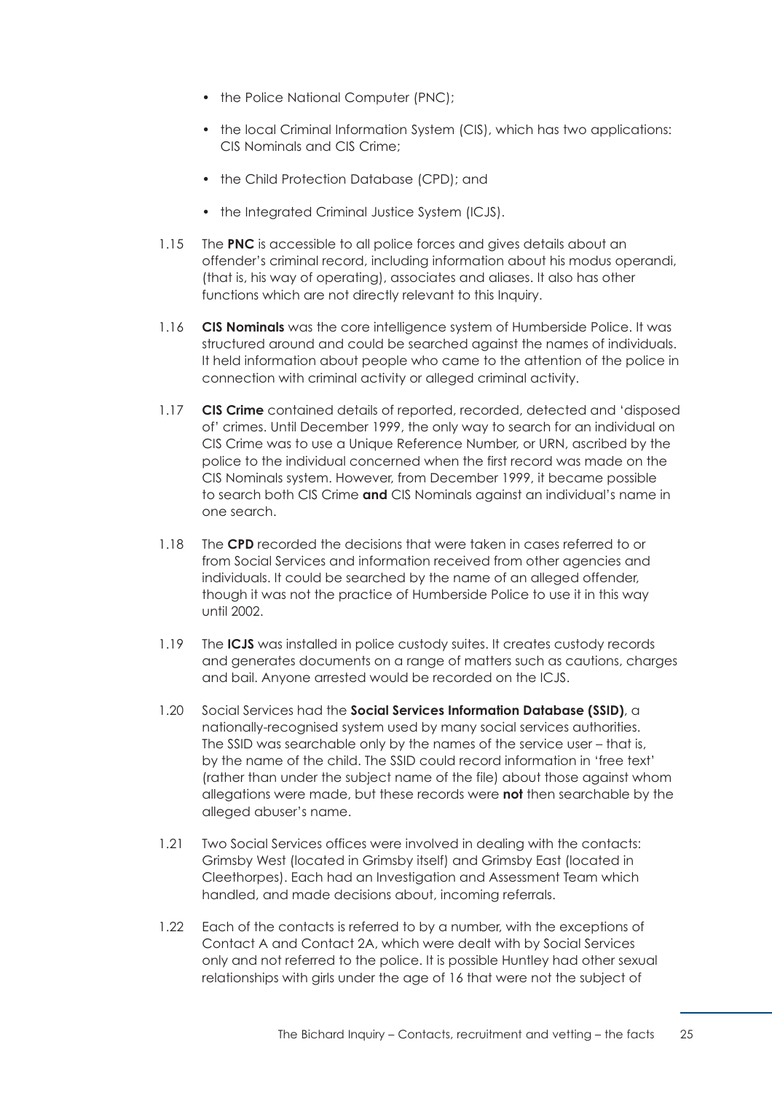- the Police National Computer (PNC);
- the local Criminal Information System (CIS), which has two applications: CIS Nominals and CIS Crime;
- the Child Protection Database (CPD); and
- the Integrated Criminal Justice System (ICJS).
- 1.15 The **PNC** is accessible to all police forces and gives details about an offender's criminal record, including information about his modus operandi, (that is, his way of operating), associates and aliases. It also has other functions which are not directly relevant to this Inquiry.
- 1.16 **CIS Nominals** was the core intelligence system of Humberside Police. It was structured around and could be searched against the names of individuals. It held information about people who came to the attention of the police in connection with criminal activity or alleged criminal activity.
- 1.17 **CIS Crime** contained details of reported, recorded, detected and 'disposed of' crimes. Until December 1999, the only way to search for an individual on CIS Crime was to use a Unique Reference Number, or URN, ascribed by the police to the individual concerned when the first record was made on the CIS Nominals system. However, from December 1999, it became possible to search both CIS Crime **and** CIS Nominals against an individual's name in one search.
- 1.18 The **CPD** recorded the decisions that were taken in cases referred to or from Social Services and information received from other agencies and individuals. It could be searched by the name of an alleged offender, though it was not the practice of Humberside Police to use it in this way until 2002.
- 1.19 The **ICJS** was installed in police custody suites. It creates custody records and generates documents on a range of matters such as cautions, charges and bail. Anyone arrested would be recorded on the ICJS.
- 1.20 Social Services had the **Social Services Information Database (SSID)**, a nationally-recognised system used by many social services authorities. The SSID was searchable only by the names of the service user – that is, by the name of the child. The SSID could record information in 'free text' (rather than under the subject name of the file) about those against whom allegations were made, but these records were **not** then searchable by the alleged abuser's name.
- 1.21 Two Social Services offices were involved in dealing with the contacts: Grimsby West (located in Grimsby itself) and Grimsby East (located in Cleethorpes). Each had an Investigation and Assessment Team which handled, and made decisions about, incoming referrals.
- 1.22 Each of the contacts is referred to by a number, with the exceptions of Contact A and Contact 2A, which were dealt with by Social Services only and not referred to the police. It is possible Huntley had other sexual relationships with girls under the age of 16 that were not the subject of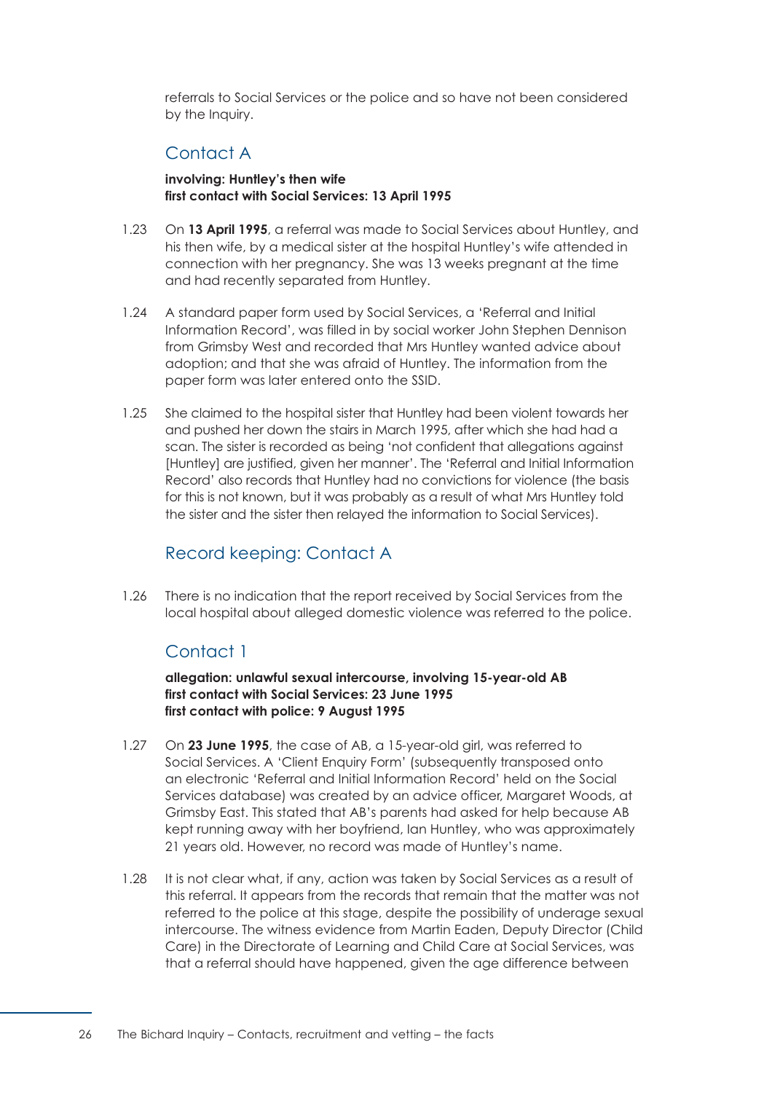referrals to Social Services or the police and so have not been considered by the Inquiry.

# Contact A

**involving: Huntley's then wife first contact with Social Services: 13 April 1995** 

- <span id="page-32-0"></span>1.23 On **13 April 1995**, a referral was made to Social Services about Huntley, and his then wife, by a medical sister at the hospital Huntley's wife attended in connection with her pregnancy. She was 13 weeks pregnant at the time and had recently separated from Huntley.
- 1.24 A standard paper form used by Social Services, a 'Referral and Initial Information Record', was filled in by social worker John Stephen Dennison from Grimsby West and recorded that Mrs Huntley wanted advice about adoption; and that she was afraid of Huntley. The information from the paper form was later entered onto the SSID.
- 1.25 She claimed to the hospital sister that Huntley had been violent towards her and pushed her down the stairs in March 1995, after which she had had a scan. The sister is recorded as being 'not confident that allegations against [Huntley] are justified, given her manner'. The 'Referral and Initial Information Record' also records that Huntley had no convictions for violence (the basis for this is not known, but it was probably as a result of what Mrs Huntley told the sister and the sister then relayed the information to Social Services).

# Record keeping: Contact A

<span id="page-32-2"></span><span id="page-32-1"></span>1.26 There is no indication that the report received by Social Services from the local hospital about alleged domestic violence was referred to the police.

# Contact 1

**allegation: unlawful sexual intercourse, involving 15-year-old AB first contact with Social Services: 23 June 1995 first contact with police: 9 August 1995** 

- 1.27 On **23 June 1995**, the case of AB, a 15-year-old girl, was referred to Social Services. A 'Client Enquiry Form' (subsequently transposed onto an electronic 'Referral and Initial Information Record' held on the Social Services database) was created by an advice officer, Margaret Woods, at Grimsby East. This stated that AB's parents had asked for help because AB kept running away with her boyfriend, Ian Huntley, who was approximately 21 years old. However, no record was made of Huntley's name.
- 1.28 It is not clear what, if any, action was taken by Social Services as a result of this referral. It appears from the records that remain that the matter was not referred to the police at this stage, despite the possibility of underage sexual intercourse. The witness evidence from Martin Eaden, Deputy Director (Child Care) in the Directorate of Learning and Child Care at Social Services, was that a referral should have happened, given the age difference between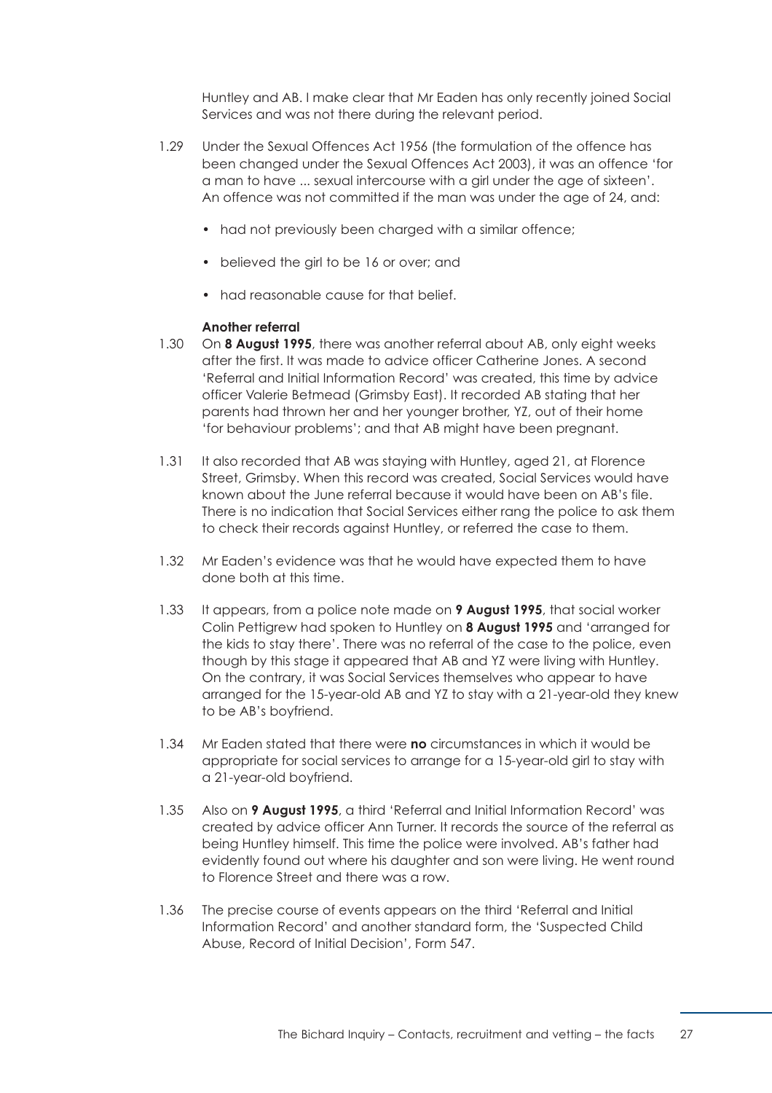Huntley and AB. I make clear that Mr Eaden has only recently joined Social Services and was not there during the relevant period.

- 1.29 Under the Sexual Offences Act 1956 (the formulation of the offence has been changed under the Sexual Offences Act 2003), it was an offence 'for a man to have ... sexual intercourse with a girl under the age of sixteen'. An offence was not committed if the man was under the age of 24, and:
	- had not previously been charged with a similar offence;
	- believed the girl to be 16 or over; and
	- had reasonable cause for that belief.

#### **Another referral**

- 1.30 On **8 August 1995**, there was another referral about AB, only eight weeks after the first. It was made to advice officer Catherine Jones. A second 'Referral and Initial Information Record' was created, this time by advice officer Valerie Betmead (Grimsby East). It recorded AB stating that her parents had thrown her and her younger brother, YZ, out of their home 'for behaviour problems'; and that AB might have been pregnant.
- 1.31 It also recorded that AB was staying with Huntley, aged 21, at Florence Street, Grimsby. When this record was created, Social Services would have known about the June referral because it would have been on AB's file. There is no indication that Social Services either rang the police to ask them to check their records against Huntley, or referred the case to them.
- 1.32 Mr Eaden's evidence was that he would have expected them to have done both at this time.
- 1.33 It appears, from a police note made on **9 August 1995**, that social worker Colin Pettigrew had spoken to Huntley on **8 August 1995** and 'arranged for the kids to stay there'. There was no referral of the case to the police, even though by this stage it appeared that AB and YZ were living with Huntley. On the contrary, it was Social Services themselves who appear to have arranged for the 15-year-old AB and YZ to stay with a 21-year-old they knew to be AB's boyfriend.
- 1.34 Mr Eaden stated that there were **no** circumstances in which it would be appropriate for social services to arrange for a 15-year-old girl to stay with a 21-year-old boyfriend.
- 1.35 Also on **9 August 1995**, a third 'Referral and Initial Information Record' was created by advice officer Ann Turner. It records the source of the referral as being Huntley himself. This time the police were involved. AB's father had evidently found out where his daughter and son were living. He went round to Florence Street and there was a row.
- 1.36 The precise course of events appears on the third 'Referral and Initial Information Record' and another standard form, the 'Suspected Child Abuse, Record of Initial Decision', Form 547.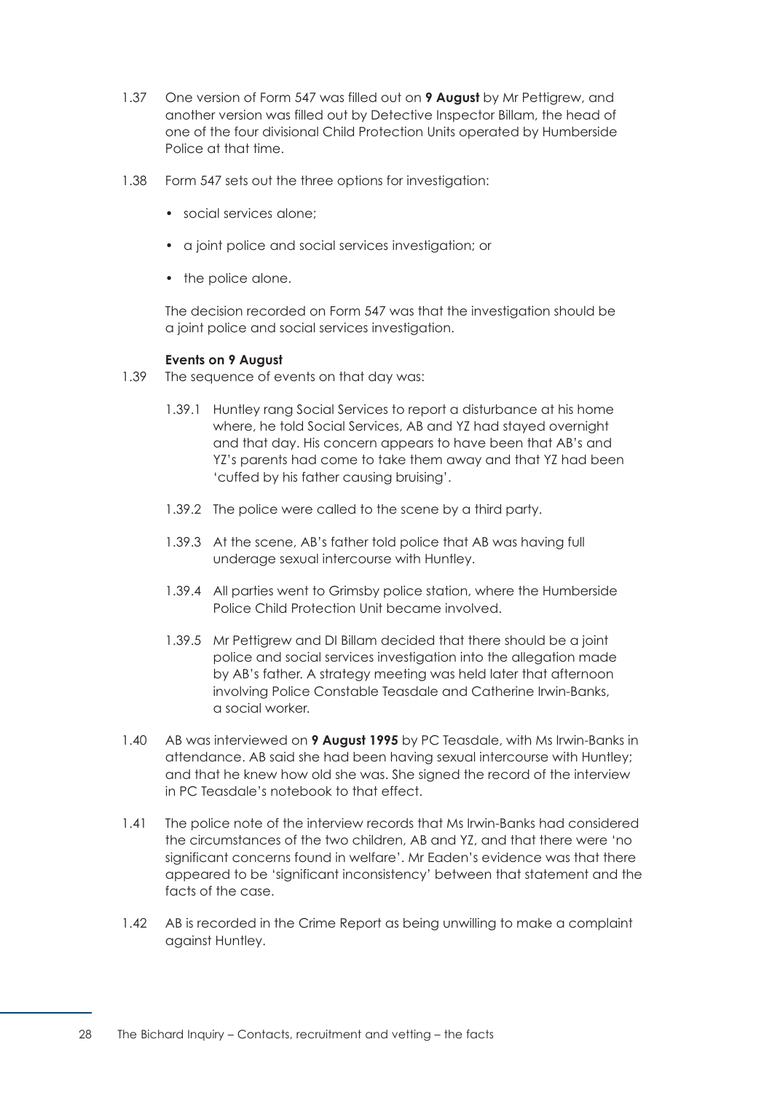- 1.37 One version of Form 547 was filled out on **9 August** by Mr Pettigrew, and another version was filled out by Detective Inspector Billam, the head of one of the four divisional Child Protection Units operated by Humberside Police at that time.
- 1.38 Form 547 sets out the three options for investigation:
	- social services alone;
	- a joint police and social services investigation; or
	- the police alone.

The decision recorded on Form 547 was that the investigation should be a joint police and social services investigation.

#### **Events on 9 August**

- 1.39 The sequence of events on that day was:
	- 1.39.1 Huntley rang Social Services to report a disturbance at his home where, he told Social Services, AB and YZ had stayed overnight and that day. His concern appears to have been that AB's and YZ's parents had come to take them away and that YZ had been 'cuffed by his father causing bruising'.
	- 1.39.2 The police were called to the scene by a third party.
	- 1.39.3 At the scene, AB's father told police that AB was having full underage sexual intercourse with Huntley.
	- 1.39.4 All parties went to Grimsby police station, where the Humberside Police Child Protection Unit became involved.
	- 1.39.5 Mr Pettigrew and DI Billam decided that there should be a joint police and social services investigation into the allegation made by AB's father. A strategy meeting was held later that afternoon involving Police Constable Teasdale and Catherine Irwin-Banks, a social worker.
- 1.40 AB was interviewed on **9 August 1995** by PC Teasdale, with Ms Irwin-Banks in attendance. AB said she had been having sexual intercourse with Huntley; and that he knew how old she was. She signed the record of the interview in PC Teasdale's notebook to that effect.
- 1.41 The police note of the interview records that Ms Irwin-Banks had considered the circumstances of the two children, AB and YZ, and that there were 'no significant concerns found in welfare'. Mr Eaden's evidence was that there appeared to be 'significant inconsistency' between that statement and the facts of the case.
- 1.42 AB is recorded in the Crime Report as being unwilling to make a complaint against Huntley.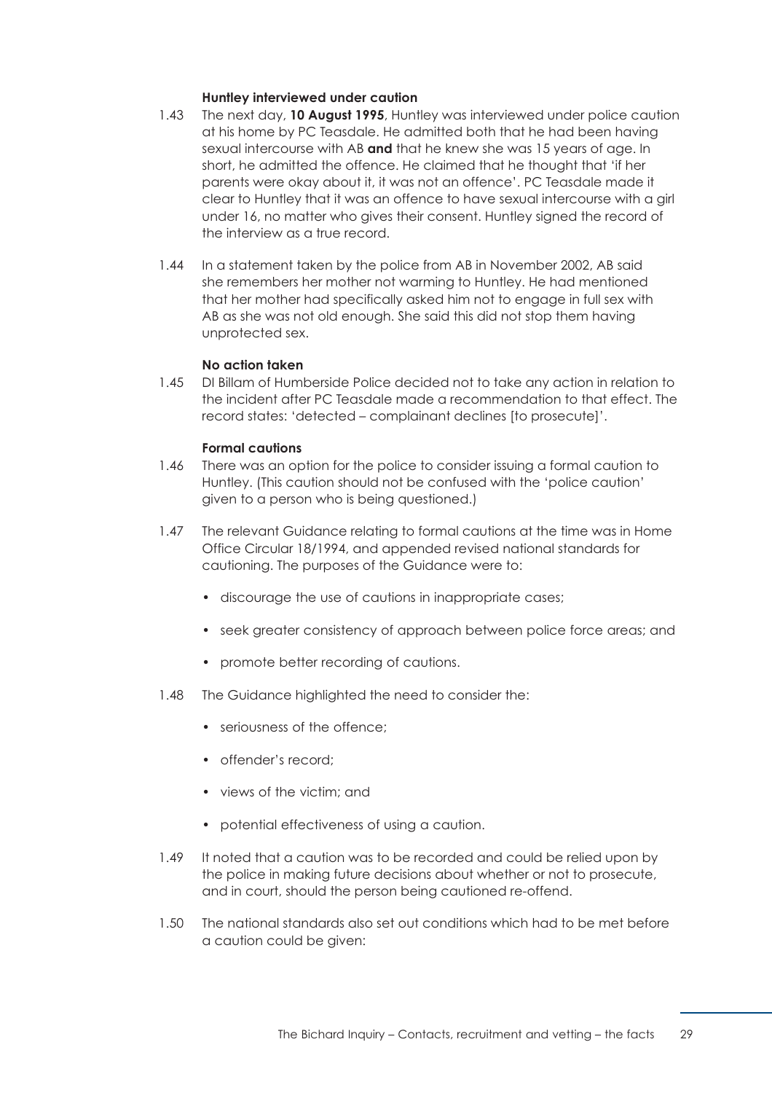#### **Huntley interviewed under caution**

- 1.43 The next day, **10 August 1995**, Huntley was interviewed under police caution at his home by PC Teasdale. He admitted both that he had been having sexual intercourse with AB **and** that he knew she was 15 years of age. In short, he admitted the offence. He claimed that he thought that 'if her parents were okay about it, it was not an offence'. PC Teasdale made it clear to Huntley that it was an offence to have sexual intercourse with a girl under 16, no matter who gives their consent. Huntley signed the record of the interview as a true record.
- 1.44 In a statement taken by the police from AB in November 2002, AB said she remembers her mother not warming to Huntley. He had mentioned that her mother had specifically asked him not to engage in full sex with AB as she was not old enough. She said this did not stop them having unprotected sex.

#### **No action taken**

1.45 DI Billam of Humberside Police decided not to take any action in relation to the incident after PC Teasdale made a recommendation to that effect. The record states: 'detected – complainant declines [to prosecute]'.

#### **Formal cautions**

- 1.46 There was an option for the police to consider issuing a formal caution to Huntley. (This caution should not be confused with the 'police caution' given to a person who is being questioned.)
- 1.47 The relevant Guidance relating to formal cautions at the time was in Home Office Circular 18/1994, and appended revised national standards for cautioning. The purposes of the Guidance were to:
	- discourage the use of cautions in inappropriate cases;
	- seek greater consistency of approach between police force areas; and
	- promote better recording of cautions.
- 1.48 The Guidance highlighted the need to consider the:
	- seriousness of the offence:
	- offender's record;
	- views of the victim; and
	- potential effectiveness of using a caution.
- 1.49 It noted that a caution was to be recorded and could be relied upon by the police in making future decisions about whether or not to prosecute, and in court, should the person being cautioned re-offend.
- 1.50 The national standards also set out conditions which had to be met before a caution could be given: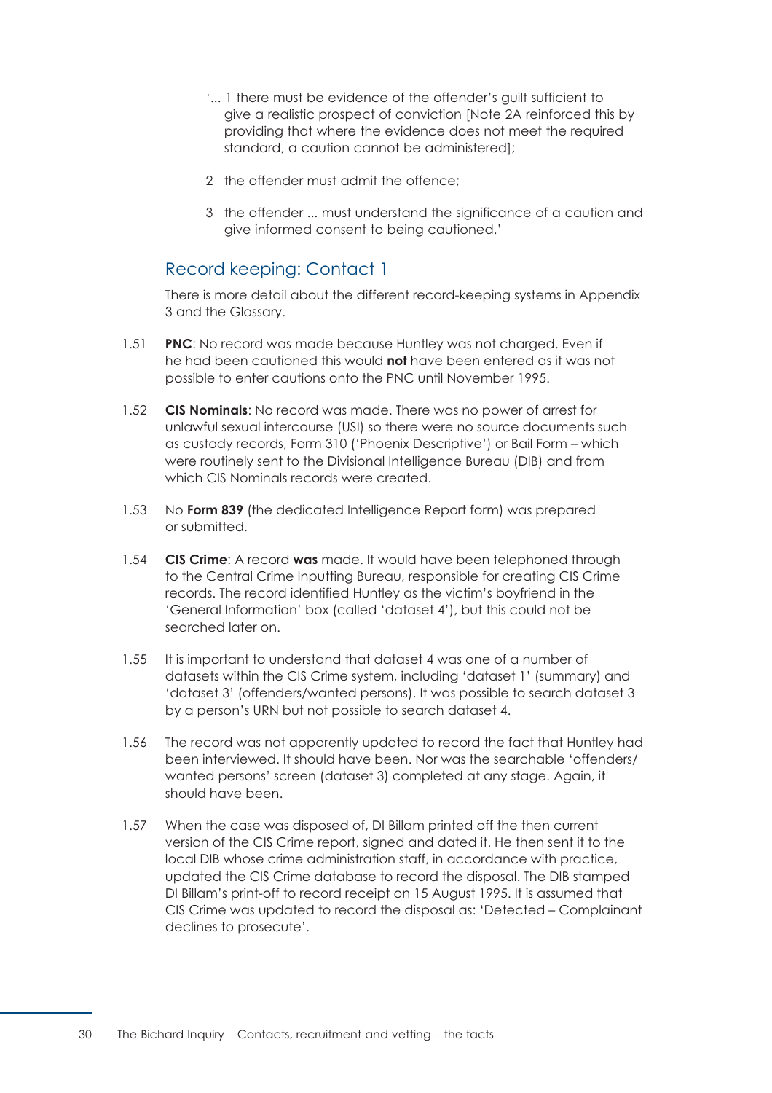- '... 1 there must be evidence of the offender's guilt sufficient to give a realistic prospect of conviction [Note 2A reinforced this by providing that where the evidence does not meet the required standard, a caution cannot be administered];
- 2 the offender must admit the offence;
- 3 the offender ... must understand the significance of a caution and give informed consent to being cautioned.'

## Record keeping: Contact 1

There is more detail about the different record-keeping systems in [Appendix](#page-177-0)  [3](#page-177-0) and the [Glossary.](#page-163-0) 

- 1.51 **PNC**: No record was made because Huntley was not charged. Even if he had been cautioned this would **not** have been entered as it was not possible to enter cautions onto the PNC until November 1995.
- 1.52 **CIS Nominals**: No record was made. There was no power of arrest for unlawful sexual intercourse (USI) so there were no source documents such as custody records, Form 310 ('Phoenix Descriptive') or Bail Form – which were routinely sent to the Divisional Intelligence Bureau (DIB) and from which CIS Nominals records were created.
- 1.53 No **Form 839** (the dedicated Intelligence Report form) was prepared or submitted.
- 1.54 **CIS Crime**: A record **was** made. It would have been telephoned through to the Central Crime Inputting Bureau, responsible for creating CIS Crime records. The record identified Huntley as the victim's boyfriend in the 'General Information' box (called 'dataset 4'), but this could not be searched later on.
- 1.55 It is important to understand that dataset 4 was one of a number of datasets within the CIS Crime system, including 'dataset 1' (summary) and 'dataset 3' (offenders/wanted persons). It was possible to search dataset 3 by a person's URN but not possible to search dataset 4.
- 1.56 The record was not apparently updated to record the fact that Huntley had been interviewed. It should have been. Nor was the searchable 'offenders/ wanted persons' screen (dataset 3) completed at any stage. Again, it should have been.
- 1.57 When the case was disposed of, DI Billam printed off the then current version of the CIS Crime report, signed and dated it. He then sent it to the local DIB whose crime administration staff, in accordance with practice, updated the CIS Crime database to record the disposal. The DIB stamped DI Billam's print-off to record receipt on 15 August 1995. It is assumed that CIS Crime was updated to record the disposal as: 'Detected – Complainant declines to prosecute'.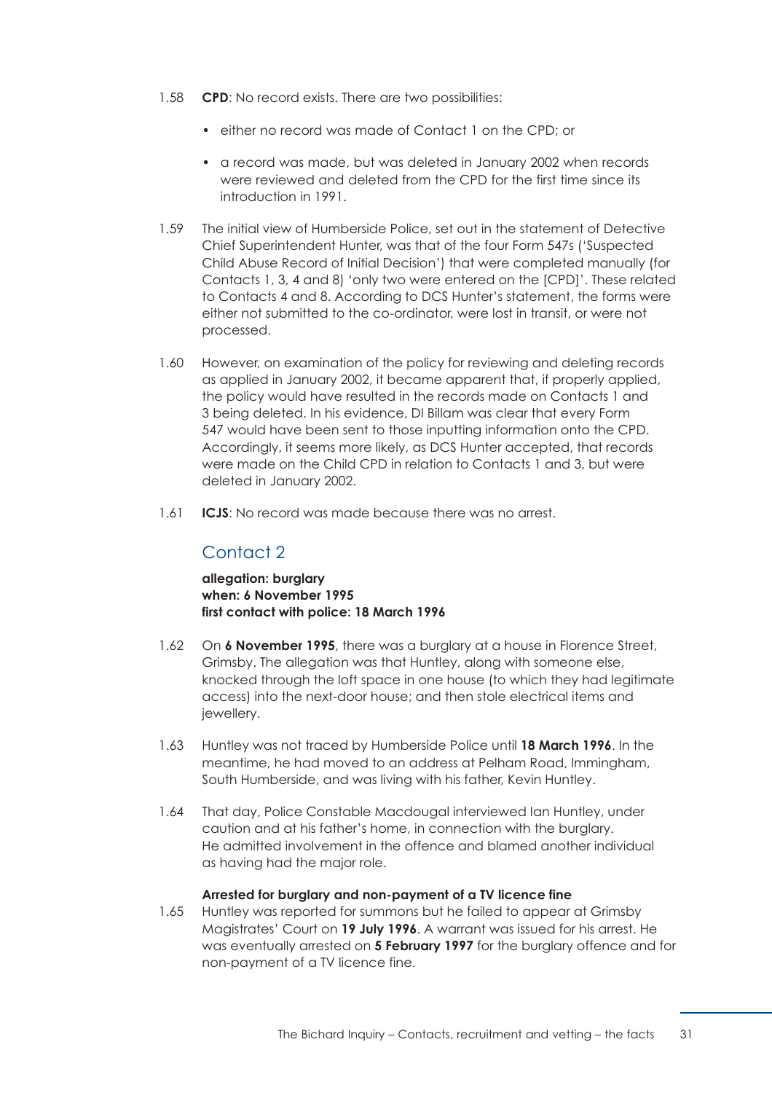- 1.58 **CPD**: No record exists. There are two possibilities:
	- either no record was made of Contact 1 on the CPD; or
	- a record was made, but was deleted in January 2002 when records were reviewed and deleted from the CPD for the first time since its introduction in 1991.
- 1.59 The initial view of Humberside Police, set out in the statement of Detective Chief Superintendent Hunter, was that of the four Form 547s ('Suspected Child Abuse Record of Initial Decision') that were completed manually (for Contacts 1, 3, 4 and 8) 'only two were entered on the [CPD]'. These related to Contacts 4 and 8. According to DCS Hunter's statement, the forms were either not submitted to the co-ordinator, were lost in transit, or were not processed.
- 1.60 However, on examination of the policy for reviewing and deleting records as applied in January 2002, it became apparent that, if properly applied, the policy would have resulted in the records made on Contacts 1 and 3 being deleted. In his evidence, DI Billam was clear that every Form 547 would have been sent to those inputting information onto the CPD. Accordingly, it seems more likely, as DCS Hunter accepted, that records were made on the Child CPD in relation to Contacts 1 and 3, but were deleted in January 2002.
- 1.61 **ICJS**: No record was made because there was no arrest.

# Contact 2

**allegation: burglary when: 6 November 1995 first contact with police: 18 March 1996** 

- 1.62 On **6 November 1995**, there was a burglary at a house in Florence Street, Grimsby. The allegation was that Huntley, along with someone else, knocked through the loft space in one house (to which they had legitimate access) into the next-door house; and then stole electrical items and jewellery.
- 1.63 Huntley was not traced by Humberside Police until **18 March 1996**. In the meantime, he had moved to an address at Pelham Road, Immingham, South Humberside, and was living with his father, Kevin Huntley.
- 1.64 That day, Police Constable Macdougal interviewed Ian Huntley, under caution and at his father's home, in connection with the burglary. He admitted involvement in the offence and blamed another individual as having had the major role.

#### **Arrested for burglary and non-payment of a TV licence fine**

1.65 Huntley was reported for summons but he failed to appear at Grimsby Magistrates' Court on **19 July 1996**. A warrant was issued for his arrest. He was eventually arrested on **5 February 1997** for the burglary offence and for non-payment of a TV licence fine.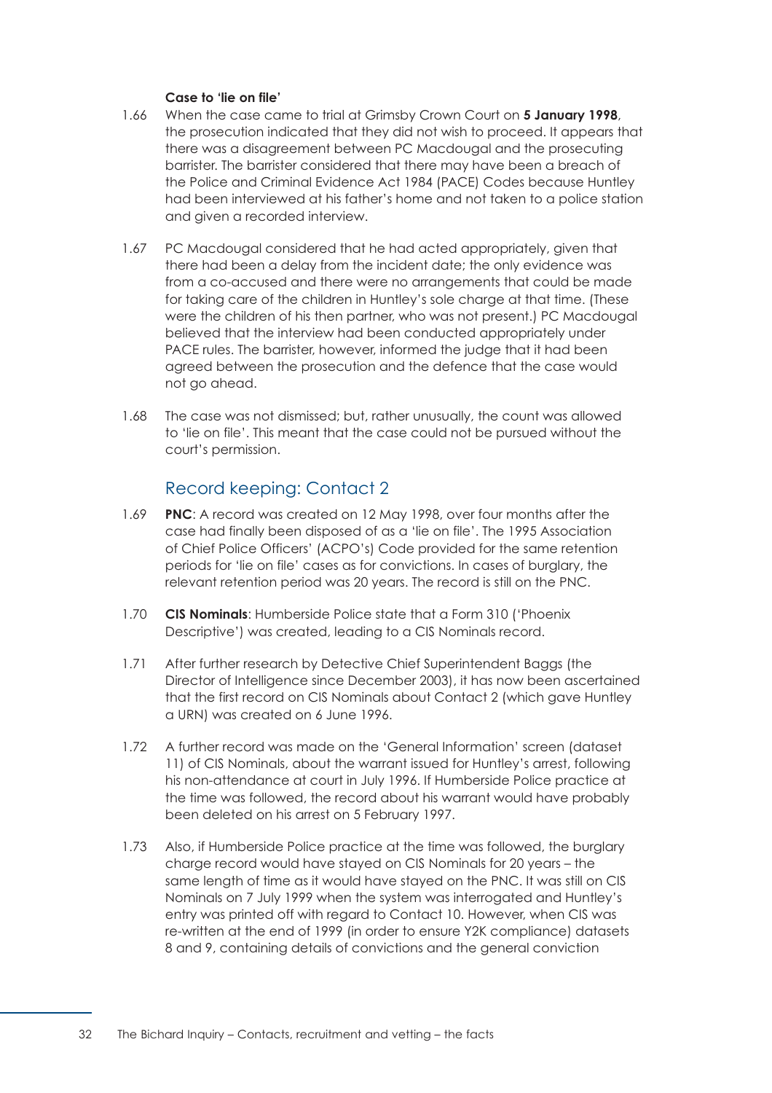## **Case to 'lie on file'**

- 1.66 When the case came to trial at Grimsby Crown Court on **5 January 1998**, the prosecution indicated that they did not wish to proceed. It appears that there was a disagreement between PC Macdougal and the prosecuting barrister. The barrister considered that there may have been a breach of the Police and Criminal Evidence Act 1984 (PACE) Codes because Huntley had been interviewed at his father's home and not taken to a police station and given a recorded interview.
- 1.67 PC Macdougal considered that he had acted appropriately, given that there had been a delay from the incident date; the only evidence was from a co-accused and there were no arrangements that could be made for taking care of the children in Huntley's sole charge at that time. (These were the children of his then partner, who was not present.) PC Macdougal believed that the interview had been conducted appropriately under PACE rules. The barrister, however, informed the judge that it had been agreed between the prosecution and the defence that the case would not go ahead.
- 1.68 The case was not dismissed; but, rather unusually, the count was allowed to 'lie on file'. This meant that the case could not be pursued without the court's permission.

# Record keeping: Contact 2

- 1.69 **PNC**: A record was created on 12 May 1998, over four months after the case had finally been disposed of as a 'lie on file'. The 1995 Association of Chief Police Officers' (ACPO's) Code provided for the same retention periods for 'lie on file' cases as for convictions. In cases of burglary, the relevant retention period was 20 years. The record is still on the PNC.
- 1.70 **CIS Nominals**: Humberside Police state that a Form 310 ('Phoenix Descriptive') was created, leading to a CIS Nominals record.
- 1.71 After further research by Detective Chief Superintendent Baggs (the Director of Intelligence since December 2003), it has now been ascertained that the first record on CIS Nominals about Contact 2 (which gave Huntley a URN) was created on 6 June 1996.
- 1.72 A further record was made on the 'General Information' screen (dataset 11) of CIS Nominals, about the warrant issued for Huntley's arrest, following his non-attendance at court in July 1996. If Humberside Police practice at the time was followed, the record about his warrant would have probably been deleted on his arrest on 5 February 1997.
- 1.73 Also, if Humberside Police practice at the time was followed, the burglary charge record would have stayed on CIS Nominals for 20 years – the same length of time as it would have stayed on the PNC. It was still on CIS Nominals on 7 July 1999 when the system was interrogated and Huntley's entry was printed off with regard to Contact 10. However, when CIS was re-written at the end of 1999 (in order to ensure Y2K compliance) datasets 8 and 9, containing details of convictions and the general conviction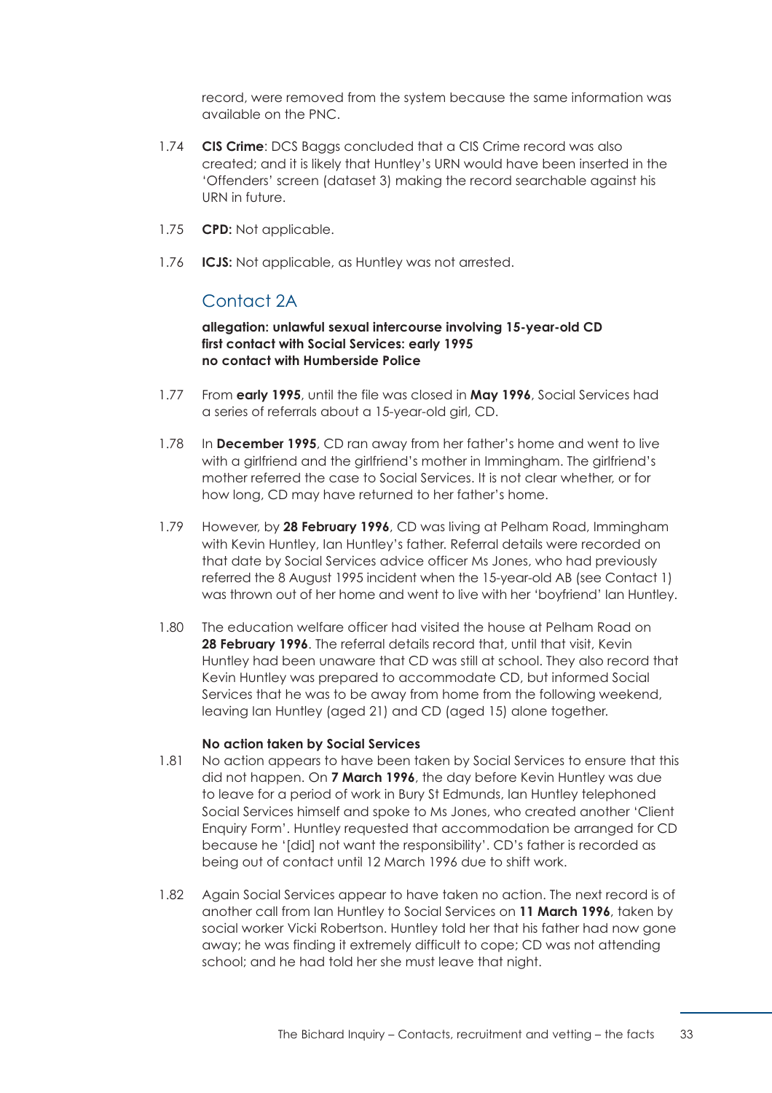record, were removed from the system because the same information was available on the PNC.

- 1.74 **CIS Crime**: DCS Baggs concluded that a CIS Crime record was also created; and it is likely that Huntley's URN would have been inserted in the 'Offenders' screen (dataset 3) making the record searchable against his URN in future.
- 1.75 **CPD:** Not applicable.
- 1.76 **ICJS:** Not applicable, as Huntley was not arrested.

## Contact 2A

## **allegation: unlawful sexual intercourse involving 15-year-old CD first contact with Social Services: early 1995 no contact with Humberside Police**

- 1.77 From **early 1995**, until the file was closed in **May 1996**, Social Services had a series of referrals about a 15-year-old girl, CD.
- 1.78 In **December 1995**, CD ran away from her father's home and went to live with a girlfriend and the girlfriend's mother in Immingham. The girlfriend's mother referred the case to Social Services. It is not clear whether, or for how long, CD may have returned to her father's home.
- 1.79 However, by **28 February 1996**, CD was living at Pelham Road, Immingham with Kevin Huntley, Ian Huntley's father. Referral details were recorded on that date by Social Services advice officer Ms Jones, who had previously referred the 8 August 1995 incident when the 15-year-old AB (see Contact 1) was thrown out of her home and went to live with her 'boyfriend' Ian Huntley.
- 1.80 The education welfare officer had visited the house at Pelham Road on 28 February 1996. The referral details record that, until that visit, Kevin Huntley had been unaware that CD was still at school. They also record that Kevin Huntley was prepared to accommodate CD, but informed Social Services that he was to be away from home from the following weekend, leaving Ian Huntley (aged 21) and CD (aged 15) alone together.

## **No action taken by Social Services**

- 1.81 No action appears to have been taken by Social Services to ensure that this did not happen. On **7 March 1996**, the day before Kevin Huntley was due to leave for a period of work in Bury St Edmunds, Ian Huntley telephoned Social Services himself and spoke to Ms Jones, who created another 'Client Enquiry Form'. Huntley requested that accommodation be arranged for CD because he '[did] not want the responsibility'. CD's father is recorded as being out of contact until 12 March 1996 due to shift work.
- 1.82 Again Social Services appear to have taken no action. The next record is of another call from Ian Huntley to Social Services on **11 March 1996**, taken by social worker Vicki Robertson. Huntley told her that his father had now gone away; he was finding it extremely difficult to cope; CD was not attending school; and he had told her she must leave that night.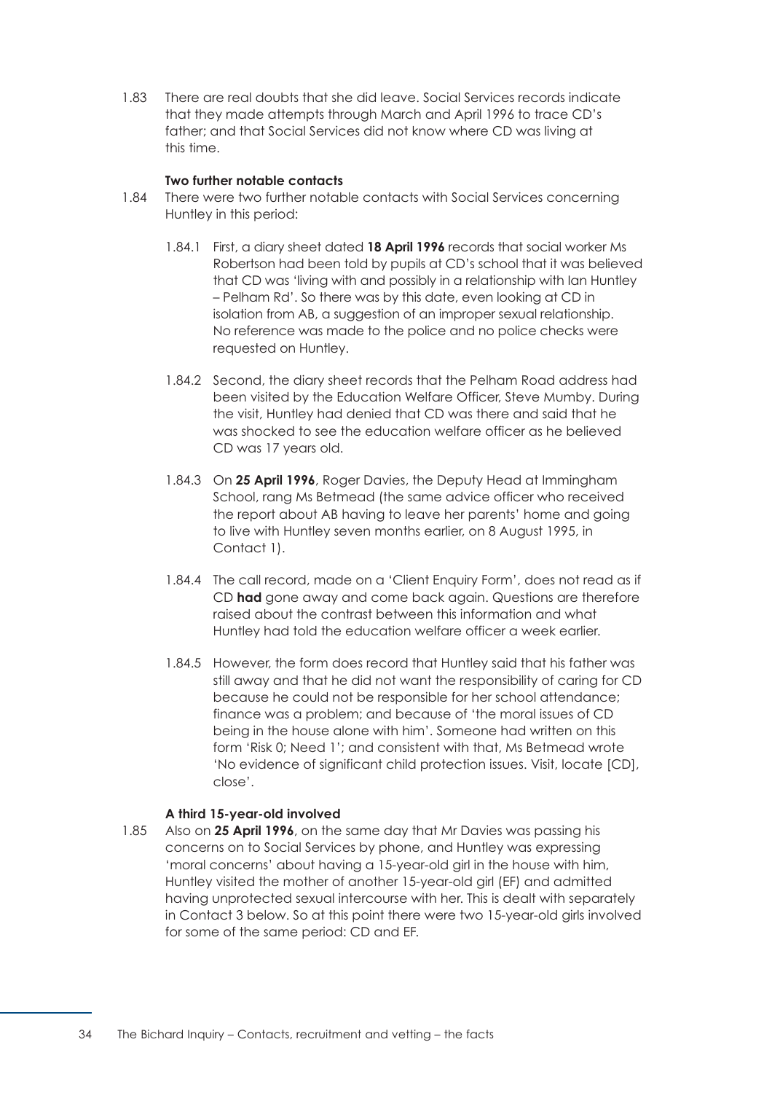1.83 There are real doubts that she did leave. Social Services records indicate that they made attempts through March and April 1996 to trace CD's father; and that Social Services did not know where CD was living at this time.

## **Two further notable contacts**

- 1.84 There were two further notable contacts with Social Services concerning Huntley in this period:
	- 1.84.1 First, a diary sheet dated 18 April 1996 records that social worker Ms Robertson had been told by pupils at CD's school that it was believed that CD was 'living with and possibly in a relationship with Ian Huntley – Pelham Rd'. So there was by this date, even looking at CD in isolation from AB, a suggestion of an improper sexual relationship. No reference was made to the police and no police checks were requested on Huntley.
	- 1.84.2 Second, the diary sheet records that the Pelham Road address had been visited by the Education Welfare Officer, Steve Mumby. During the visit, Huntley had denied that CD was there and said that he was shocked to see the education welfare officer as he believed CD was 17 years old.
	- 1.84.3 On **25 April 1996**, Roger Davies, the Deputy Head at Immingham School, rang Ms Betmead (the same advice officer who received the report about AB having to leave her parents' home and going to live with Huntley seven months earlier, on 8 August 1995, in Contact 1).
	- 1.84.4 The call record, made on a 'Client Enquiry Form', does not read as if CD **had** gone away and come back again. Questions are therefore raised about the contrast between this information and what Huntley had told the education welfare officer a week earlier.
	- 1.84.5 However, the form does record that Huntley said that his father was still away and that he did not want the responsibility of caring for CD because he could not be responsible for her school attendance; finance was a problem; and because of 'the moral issues of CD being in the house alone with him'. Someone had written on this form 'Risk 0; Need 1'; and consistent with that, Ms Betmead wrote 'No evidence of significant child protection issues. Visit, locate [CD], close'.

## **A third 15-year-old involved**

1.85 Also on **25 April 1996**, on the same day that Mr Davies was passing his concerns on to Social Services by phone, and Huntley was expressing 'moral concerns' about having a 15-year-old girl in the house with him, Huntley visited the mother of another 15-year-old girl (EF) and admitted having unprotected sexual intercourse with her. This is dealt with separately in Contact 3 below. So at this point there were two 15-year-old girls involved for some of the same period: CD and EF.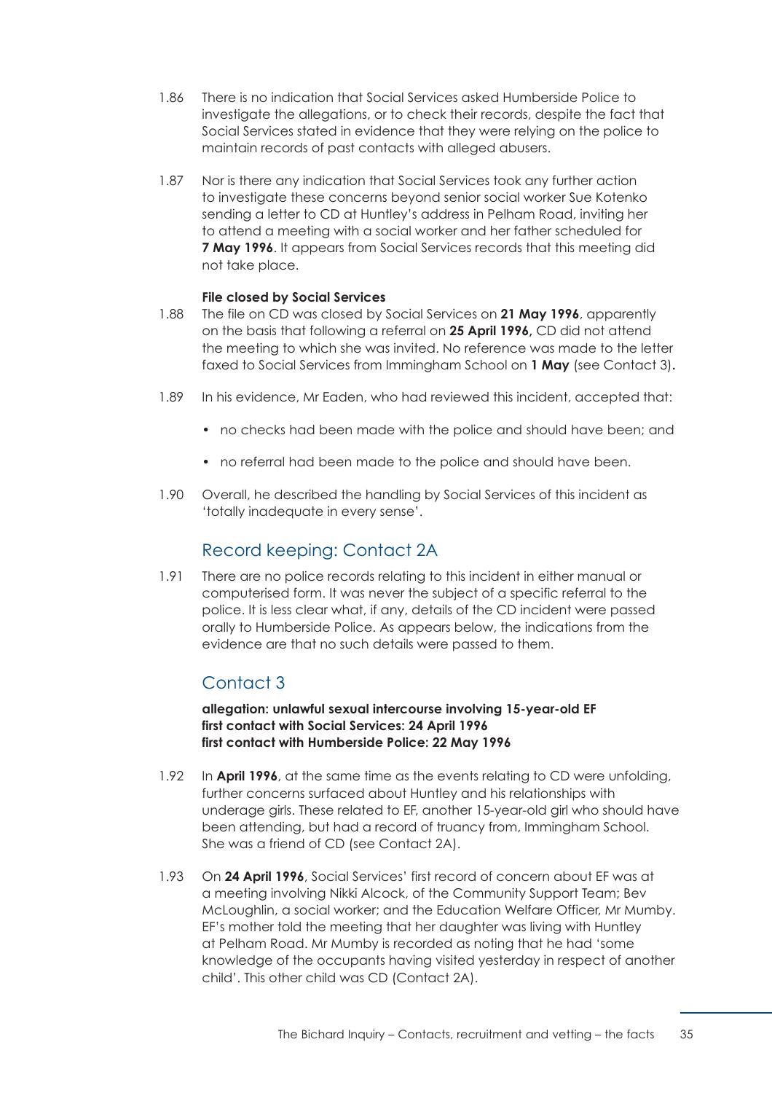- 1.86 There is no indication that Social Services asked Humberside Police to investigate the allegations, or to check their records, despite the fact that Social Services stated in evidence that they were relying on the police to maintain records of past contacts with alleged abusers.
- 1.87 Nor is there any indication that Social Services took any further action to investigate these concerns beyond senior social worker Sue Kotenko sending a letter to CD at Huntley's address in Pelham Road, inviting her to attend a meeting with a social worker and her father scheduled for **7 May 1996**. It appears from Social Services records that this meeting did not take place.

## **File closed by Social Services**

- 1.88 The file on CD was closed by Social Services on **21 May 1996**, apparently on the basis that following a referral on **25 April 1996,** CD did not attend the meeting to which she was invited. No reference was made to the letter faxed to Social Services from Immingham School on **1 May** (see Contact 3)**.**
- 1.89 In his evidence, Mr Eaden, who had reviewed this incident, accepted that:
	- no checks had been made with the police and should have been; and
	- no referral had been made to the police and should have been.
- 1.90 Overall, he described the handling by Social Services of this incident as 'totally inadequate in every sense'.

## Record keeping: Contact 2A

1.91 There are no police records relating to this incident in either manual or computerised form. It was never the subject of a specific referral to the police. It is less clear what, if any, details of the CD incident were passed orally to Humberside Police. As appears below, the indications from the evidence are that no such details were passed to them.

# Contact 3

**allegation: unlawful sexual intercourse involving 15-year-old EF first contact with Social Services: 24 April 1996 first contact with Humberside Police: 22 May 1996** 

- 1.92 In **April 1996**, at the same time as the events relating to CD were unfolding, further concerns surfaced about Huntley and his relationships with underage girls. These related to EF, another 15-year-old girl who should have been attending, but had a record of truancy from, Immingham School. She was a friend of CD (see Contact 2A).
- 1.93 On **24 April 1996**, Social Services' first record of concern about EF was at a meeting involving Nikki Alcock, of the Community Support Team; Bev McLoughlin, a social worker; and the Education Welfare Officer, Mr Mumby. EF's mother told the meeting that her daughter was living with Huntley at Pelham Road. Mr Mumby is recorded as noting that he had 'some knowledge of the occupants having visited yesterday in respect of another child'. This other child was CD (Contact 2A).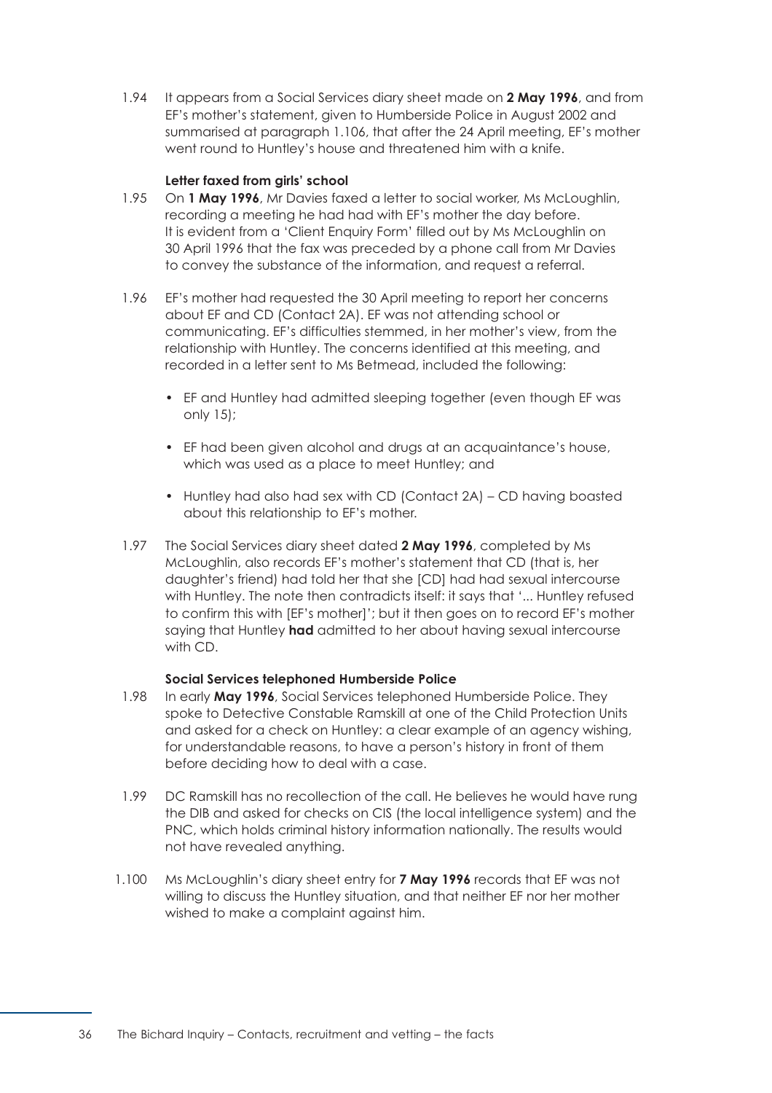1.94 It appears from a Social Services diary sheet made on **2 May 1996**, and from EF's mother's statement, given to Humberside Police in August 2002 and summarised at [paragraph 1.106,](#page-43-0) that after the 24 April meeting, EF's mother went round to Huntley's house and threatened him with a knife.

## **Letter faxed from girls' school**

- 1.95 On **1 May 1996**, Mr Davies faxed a letter to social worker, Ms McLoughlin, recording a meeting he had had with EF's mother the day before. It is evident from a 'Client Enquiry Form' filled out by Ms McLoughlin on 30 April 1996 that the fax was preceded by a phone call from Mr Davies to convey the substance of the information, and request a referral.
- 1.96 EF's mother had requested the 30 April meeting to report her concerns about EF and CD (Contact 2A). EF was not attending school or communicating. EF's difficulties stemmed, in her mother's view, from the relationship with Huntley. The concerns identified at this meeting, and recorded in a letter sent to Ms Betmead, included the following:
	- EF and Huntley had admitted sleeping together (even though EF was only 15);
	- EF had been given alcohol and drugs at an acquaintance's house, which was used as a place to meet Huntley; and
	- Huntley had also had sex with CD (Contact 2A) CD having boasted about this relationship to EF's mother.
- 1.97 The Social Services diary sheet dated **2 May 1996**, completed by Ms McLoughlin, also records EF's mother's statement that CD (that is, her daughter's friend) had told her that she [CD] had had sexual intercourse with Huntley. The note then contradicts itself: it says that '... Huntley refused to confirm this with [EF's mother]'; but it then goes on to record EF's mother saying that Huntley **had** admitted to her about having sexual intercourse with CD.

## **Social Services telephoned Humberside Police**

- 1.98 In early **May 1996**, Social Services telephoned Humberside Police. They spoke to Detective Constable Ramskill at one of the Child Protection Units and asked for a check on Huntley: a clear example of an agency wishing, for understandable reasons, to have a person's history in front of them before deciding how to deal with a case.
- 1.99 DC Ramskill has no recollection of the call. He believes he would have rung the DIB and asked for checks on CIS (the local intelligence system) and the PNC, which holds criminal history information nationally. The results would not have revealed anything.
- 1.100 Ms McLoughlin's diary sheet entry for **7 May 1996** records that EF was not willing to discuss the Huntley situation, and that neither EF nor her mother wished to make a complaint against him.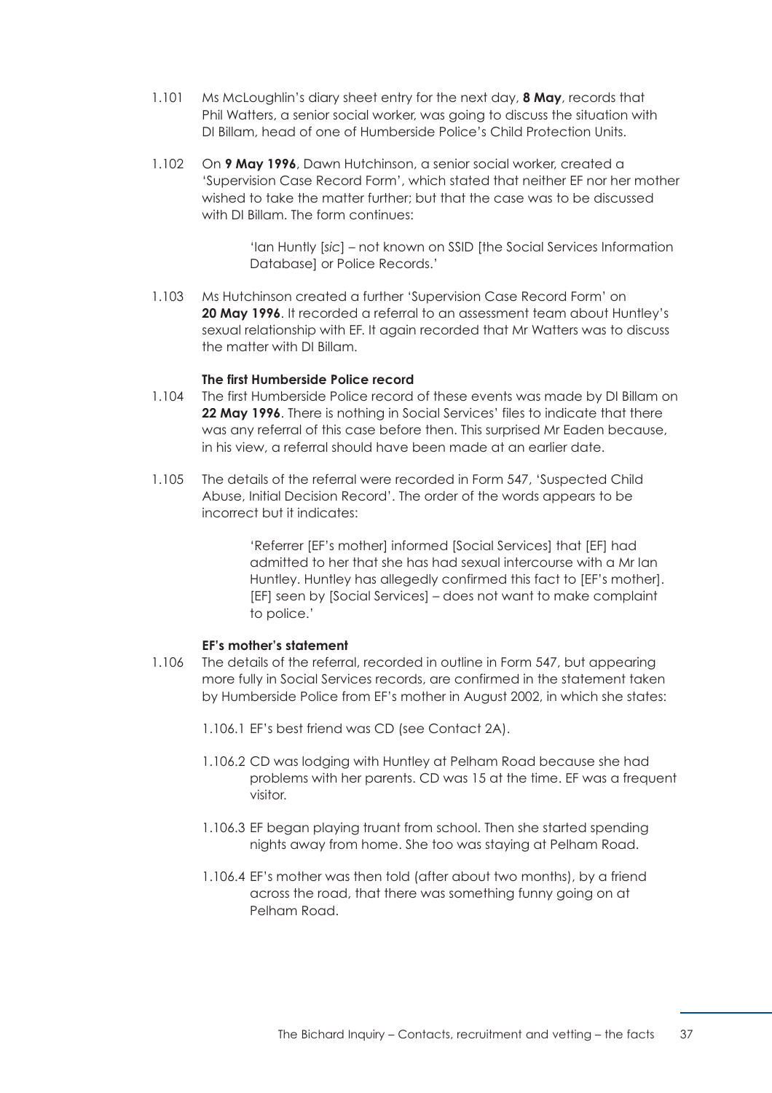- 1.101 Ms McLoughlin's diary sheet entry for the next day, **8 May**, records that Phil Watters, a senior social worker, was going to discuss the situation with DI Billam, head of one of Humberside Police's Child Protection Units.
- 1.102 On **9 May 1996**, Dawn Hutchinson, a senior social worker, created a 'Supervision Case Record Form', which stated that neither EF nor her mother wished to take the matter further; but that the case was to be discussed with DI Billam. The form continues:

'Ian Huntly [*sic*] – not known on SSID [the Social Services Information Database] or Police Records.'

1.103 Ms Hutchinson created a further 'Supervision Case Record Form' on **20 May 1996**. It recorded a referral to an assessment team about Huntley's sexual relationship with EF. It again recorded that Mr Watters was to discuss the matter with DI Billam.

### **The first Humberside Police record**

- 1.104 The first Humberside Police record of these events was made by DI Billam on **22 May 1996**. There is nothing in Social Services' files to indicate that there was any referral of this case before then. This surprised Mr Eaden because, in his view, a referral should have been made at an earlier date.
- 1.105 The details of the referral were recorded in Form 547, 'Suspected Child Abuse, Initial Decision Record'. The order of the words appears to be incorrect but it indicates:

'Referrer [EF's mother] informed [Social Services] that [EF] had admitted to her that she has had sexual intercourse with a Mr Ian Huntley. Huntley has allegedly confirmed this fact to [EF's mother]. [EF] seen by [Social Services] – does not want to make complaint to police.'

## **EF's mother's statement**

- <span id="page-43-0"></span>1.106 The details of the referral, recorded in outline in Form 547, but appearing more fully in Social Services records, are confirmed in the statement taken by Humberside Police from EF's mother in August 2002, in which she states:
	- 1.106.1 EF's best friend was CD (see Contact 2A).
	- 1.106.2 CD was lodging with Huntley at Pelham Road because she had problems with her parents. CD was 15 at the time. EF was a frequent visitor.
	- 1.106.3 EF began playing truant from school. Then she started spending nights away from home. She too was staying at Pelham Road.
	- 1.106.4 EF's mother was then told (after about two months), by a friend across the road, that there was something funny going on at Pelham Road.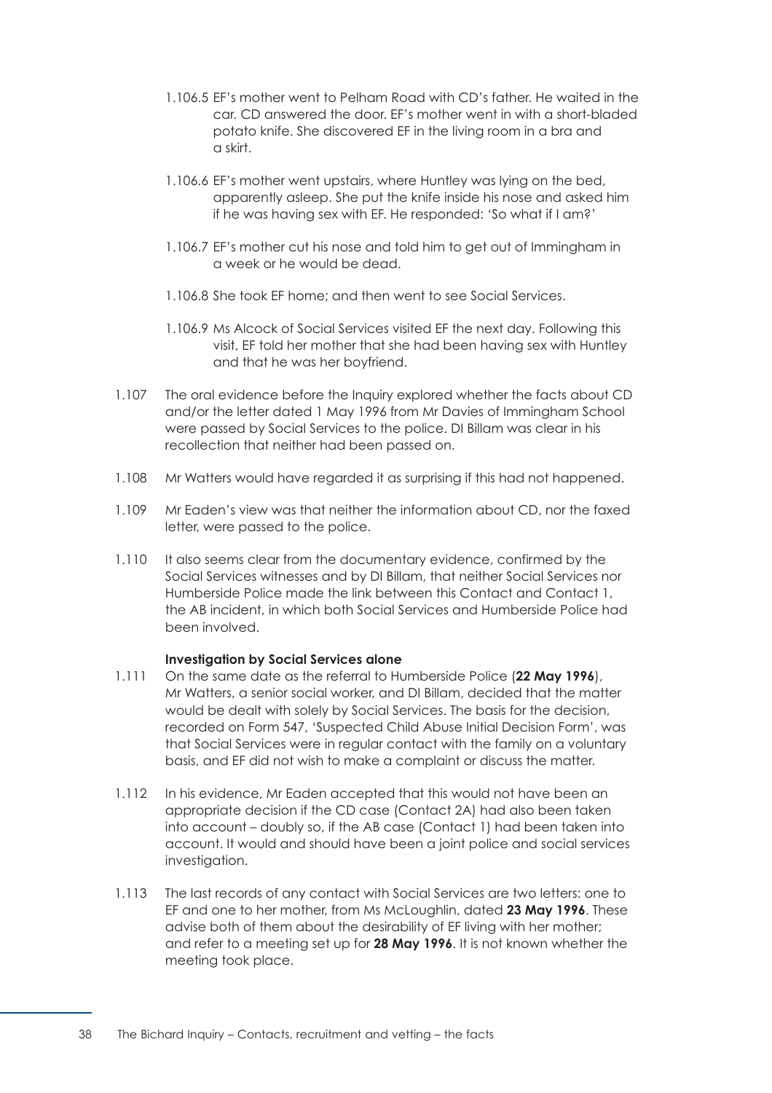- 1.106.5 EF's mother went to Pelham Road with CD's father. He waited in the car. CD answered the door. EF's mother went in with a short-bladed potato knife. She discovered EF in the living room in a bra and a skirt.
- 1.106.6 EF's mother went upstairs, where Huntley was lying on the bed, apparently asleep. She put the knife inside his nose and asked him if he was having sex with EF. He responded: 'So what if I am?'
- 1.106.7 EF's mother cut his nose and told him to get out of Immingham in a week or he would be dead.
- 1.106.8 She took EF home; and then went to see Social Services.
- 1.106.9 Ms Alcock of Social Services visited EF the next day. Following this visit, EF told her mother that she had been having sex with Huntley and that he was her boyfriend.
- 1.107 The oral evidence before the Inquiry explored whether the facts about CD and/or the letter dated 1 May 1996 from Mr Davies of Immingham School were passed by Social Services to the police. DI Billam was clear in his recollection that neither had been passed on.
- 1.108 Mr Watters would have regarded it as surprising if this had not happened.
- 1.109 Mr Eaden's view was that neither the information about CD, nor the faxed letter, were passed to the police.
- 1.110 It also seems clear from the documentary evidence, confirmed by the Social Services witnesses and by DI Billam, that neither Social Services nor Humberside Police made the link between this Contact and Contact 1, the AB incident, in which both Social Services and Humberside Police had been involved.

## **Investigation by Social Services alone**

- 1.111 On the same date as the referral to Humberside Police (**22 May 1996**), Mr Watters, a senior social worker, and DI Billam, decided that the matter would be dealt with solely by Social Services. The basis for the decision, recorded on Form 547, 'Suspected Child Abuse Initial Decision Form', was that Social Services were in regular contact with the family on a voluntary basis, and EF did not wish to make a complaint or discuss the matter.
- 1.112 In his evidence, Mr Eaden accepted that this would not have been an appropriate decision if the CD case (Contact 2A) had also been taken into account – doubly so, if the AB case (Contact 1) had been taken into account. It would and should have been a joint police and social services investigation.
- 1.113 The last records of any contact with Social Services are two letters: one to EF and one to her mother, from Ms McLoughlin, dated **23 May 1996**. These advise both of them about the desirability of EF living with her mother; and refer to a meeting set up for **28 May 1996**. It is not known whether the meeting took place.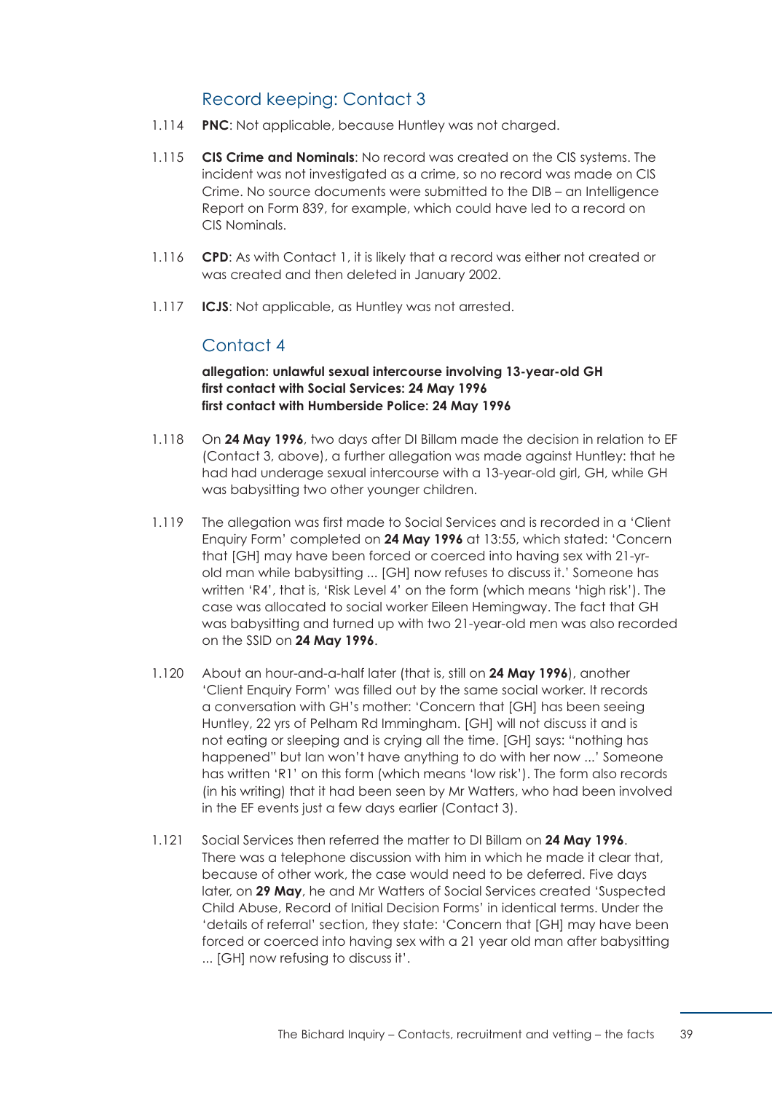# Record keeping: Contact 3

- 1.114 **PNC**: Not applicable, because Huntley was not charged.
- 1.115 **CIS Crime and Nominals**: No record was created on the CIS systems. The incident was not investigated as a crime, so no record was made on CIS Crime. No source documents were submitted to the DIB – an Intelligence Report on Form 839, for example, which could have led to a record on CIS Nominals.
- 1.116 **CPD:** As with Contact 1, it is likely that a record was either not created or was created and then deleted in January 2002.
- 1.117 **ICJS**: Not applicable, as Huntley was not arrested.

## Contact 4

**allegation: unlawful sexual intercourse involving 13-year-old GH first contact with Social Services: 24 May 1996 first contact with Humberside Police: 24 May 1996** 

- 1.118 On **24 May 1996**, two days after DI Billam made the decision in relation to EF (Contact 3, above), a further allegation was made against Huntley: that he had had underage sexual intercourse with a 13-year-old girl, GH, while GH was babysitting two other younger children.
- 1.119 The allegation was first made to Social Services and is recorded in a 'Client' Enquiry Form' completed on **24 May 1996** at 13:55, which stated: 'Concern that [GH] may have been forced or coerced into having sex with 21-yrold man while babysitting ... [GH] now refuses to discuss it.' Someone has written 'R4', that is, 'Risk Level 4' on the form (which means 'high risk'). The case was allocated to social worker Eileen Hemingway. The fact that GH was babysitting and turned up with two 21-year-old men was also recorded on the SSID on **24 May 1996**.
- 1.120 About an hour-and-a-half later (that is, still on **24 May 1996**), another 'Client Enquiry Form' was filled out by the same social worker. It records a conversation with GH's mother: 'Concern that [GH] has been seeing Huntley, 22 yrs of Pelham Rd Immingham. [GH] will not discuss it and is not eating or sleeping and is crying all the time. [GH] says: "nothing has happened" but Ian won't have anything to do with her now ...' Someone has written 'R1' on this form (which means 'low risk'). The form also records (in his writing) that it had been seen by Mr Watters, who had been involved in the EF events just a few days earlier (Contact 3).
- 1.121 Social Services then referred the matter to DI Billam on **24 May 1996**. There was a telephone discussion with him in which he made it clear that, because of other work, the case would need to be deferred. Five days later, on **29 May**, he and Mr Watters of Social Services created 'Suspected Child Abuse, Record of Initial Decision Forms' in identical terms. Under the 'details of referral' section, they state: 'Concern that [GH] may have been forced or coerced into having sex with a 21 year old man after babysitting ... [GH] now refusing to discuss it'.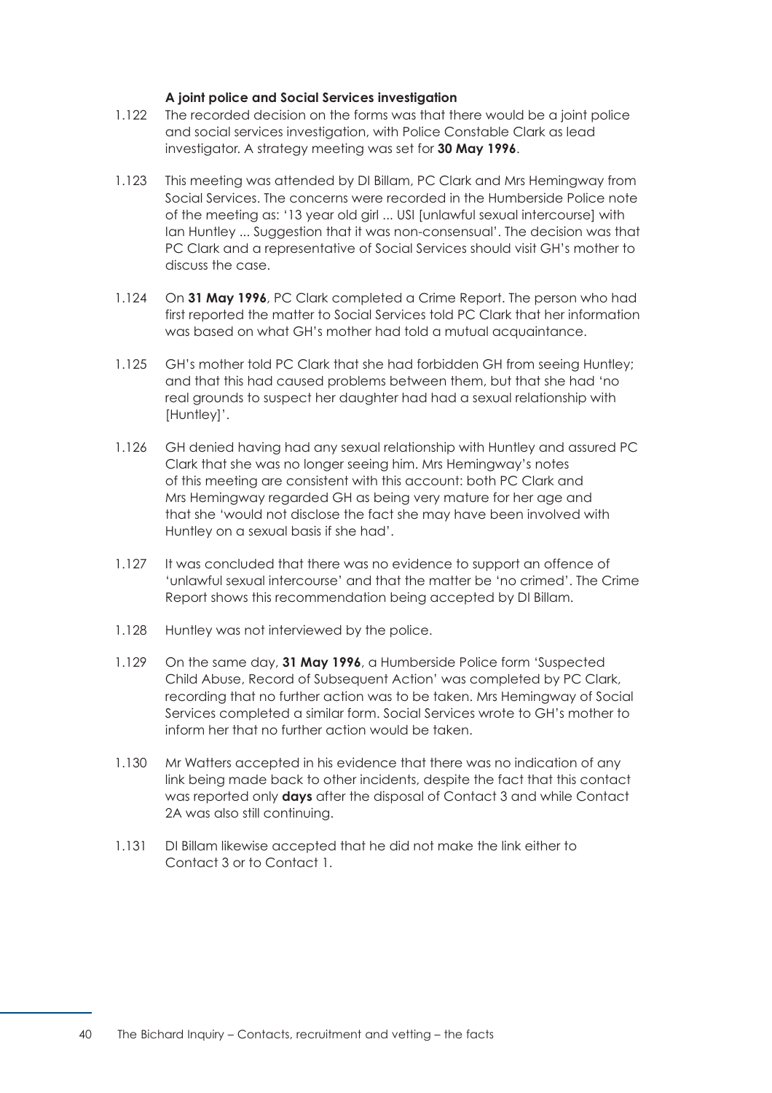## **A joint police and Social Services investigation**

- 1.122 The recorded decision on the forms was that there would be a joint police and social services investigation, with Police Constable Clark as lead investigator. A strategy meeting was set for **30 May 1996**.
- 1.123 This meeting was attended by DI Billam, PC Clark and Mrs Hemingway from Social Services. The concerns were recorded in the Humberside Police note of the meeting as: '13 year old girl ... USI [unlawful sexual intercourse] with Ian Huntley ... Suggestion that it was non-consensual'. The decision was that PC Clark and a representative of Social Services should visit GH's mother to discuss the case.
- 1.124 On **31 May 1996**, PC Clark completed a Crime Report. The person who had first reported the matter to Social Services told PC Clark that her information was based on what GH's mother had told a mutual acquaintance.
- 1.125 GH's mother told PC Clark that she had forbidden GH from seeing Huntley; and that this had caused problems between them, but that she had 'no real grounds to suspect her daughter had had a sexual relationship with [Huntley]'.
- 1.126 GH denied having had any sexual relationship with Huntley and assured PC Clark that she was no longer seeing him. Mrs Hemingway's notes of this meeting are consistent with this account: both PC Clark and Mrs Hemingway regarded GH as being very mature for her age and that she 'would not disclose the fact she may have been involved with Huntley on a sexual basis if she had'.
- 1.127 It was concluded that there was no evidence to support an offence of 'unlawful sexual intercourse' and that the matter be 'no crimed'. The Crime Report shows this recommendation being accepted by DI Billam.
- 1.128 Huntley was not interviewed by the police.
- 1.129 On the same day, **31 May 1996**, a Humberside Police form 'Suspected Child Abuse, Record of Subsequent Action' was completed by PC Clark, recording that no further action was to be taken. Mrs Hemingway of Social Services completed a similar form. Social Services wrote to GH's mother to inform her that no further action would be taken.
- 1.130 Mr Watters accepted in his evidence that there was no indication of any link being made back to other incidents, despite the fact that this contact was reported only **days** after the disposal of Contact 3 and while Contact 2A was also still continuing.
- 1.131 DI Billam likewise accepted that he did not make the link either to Contact 3 or to Contact 1.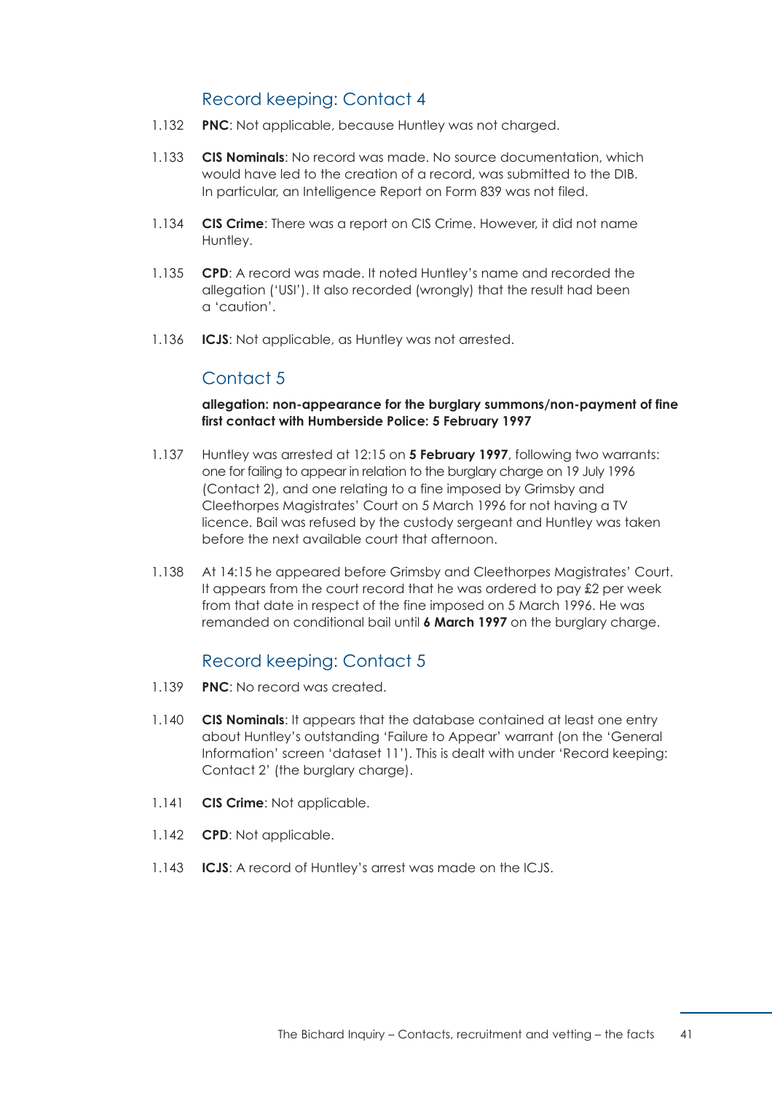# Record keeping: Contact 4

- 1.132 **PNC**: Not applicable, because Huntley was not charged.
- 1.133 **CIS Nominals**: No record was made. No source documentation, which would have led to the creation of a record, was submitted to the DIB. In particular, an Intelligence Report on Form 839 was not filed.
- 1.134 **CIS Crime**: There was a report on CIS Crime. However, it did not name Huntley.
- 1.135 **CPD**: A record was made. It noted Huntley's name and recorded the allegation ('USI'). It also recorded (wrongly) that the result had been a 'caution'.
- 1.136 **ICJS**: Not applicable, as Huntley was not arrested.

## Contact 5

## **allegation: non-appearance for the burglary summons/non-payment of fine first contact with Humberside Police: 5 February 1997**

- 1.137 Huntley was arrested at 12:15 on **5 February 1997**, following two warrants: one for failing to appear in relation to the burglary charge on 19 July 1996 (Contact 2), and one relating to a fine imposed by Grimsby and Cleethorpes Magistrates' Court on 5 March 1996 for not having a TV licence. Bail was refused by the custody sergeant and Huntley was taken before the next available court that afternoon.
- 1.138 At 14:15 he appeared before Grimsby and Cleethorpes Magistrates' Court. It appears from the court record that he was ordered to pay £2 per week from that date in respect of the fine imposed on 5 March 1996. He was remanded on conditional bail until **6 March 1997** on the burglary charge.

## Record keeping: Contact 5

- 1.139 **PNC**: No record was created.
- 1.140 **CIS Nominals**: It appears that the database contained at least one entry about Huntley's outstanding 'Failure to Appear' warrant (on the 'General Information' screen 'dataset 11'). This is dealt with under 'Record keeping: Contact 2' (the burglary charge).
- 1.141 **CIS Crime**: Not applicable.
- 1.142 **CPD**: Not applicable.
- 1.143 **ICJS**: A record of Huntley's arrest was made on the ICJS.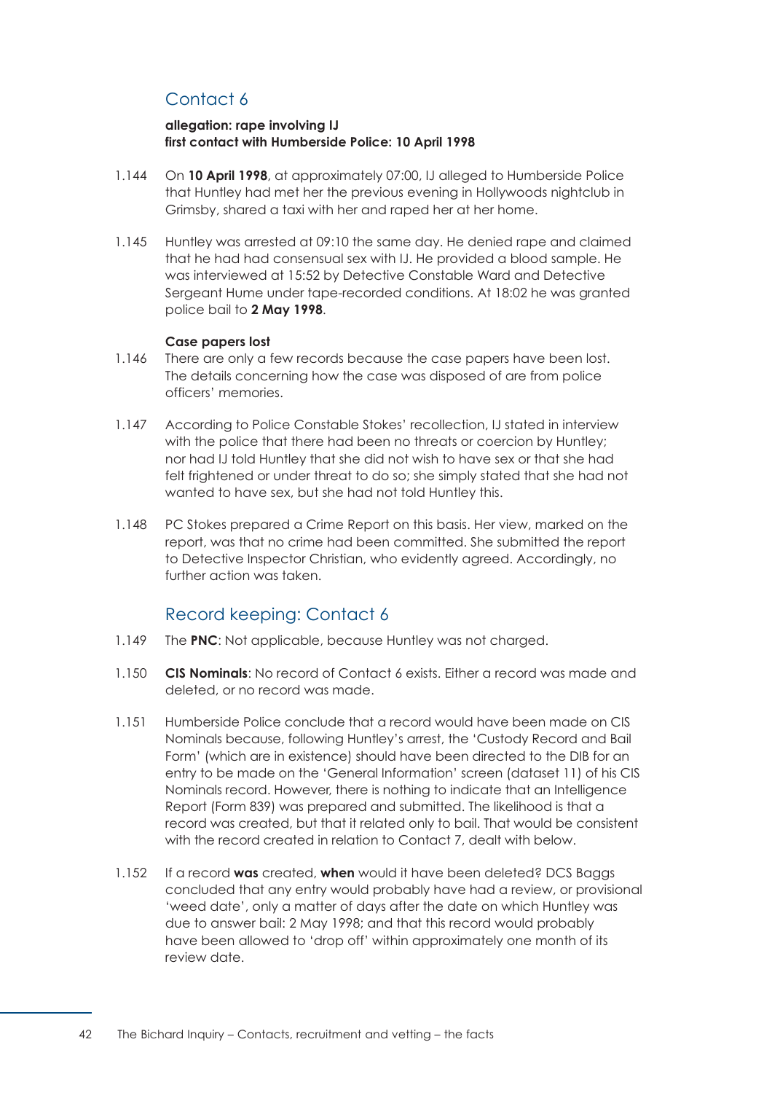# Contact 6

## **allegation: rape involving IJ first contact with Humberside Police: 10 April 1998**

- 1.144 On **10 April 1998**, at approximately 07:00, IJ alleged to Humberside Police that Huntley had met her the previous evening in Hollywoods nightclub in Grimsby, shared a taxi with her and raped her at her home.
- 1.145 Huntley was arrested at 09:10 the same day. He denied rape and claimed that he had had consensual sex with IJ. He provided a blood sample. He was interviewed at 15:52 by Detective Constable Ward and Detective Sergeant Hume under tape-recorded conditions. At 18:02 he was granted police bail to **2 May 1998**.

## **Case papers lost**

- 1.146 There are only a few records because the case papers have been lost. The details concerning how the case was disposed of are from police officers' memories.
- 1.147 According to Police Constable Stokes' recollection, IJ stated in interview with the police that there had been no threats or coercion by Huntley; nor had IJ told Huntley that she did not wish to have sex or that she had felt frightened or under threat to do so; she simply stated that she had not wanted to have sex, but she had not told Huntley this.
- 1.148 PC Stokes prepared a Crime Report on this basis. Her view, marked on the report, was that no crime had been committed. She submitted the report to Detective Inspector Christian, who evidently agreed. Accordingly, no further action was taken.

## Record keeping: Contact 6

- 1.149 The **PNC**: Not applicable, because Huntley was not charged.
- 1.150 **CIS Nominals**: No record of Contact 6 exists. Either a record was made and deleted, or no record was made.
- 1.151 Humberside Police conclude that a record would have been made on CIS Nominals because, following Huntley's arrest, the 'Custody Record and Bail Form' (which are in existence) should have been directed to the DIB for an entry to be made on the 'General Information' screen (dataset 11) of his CIS Nominals record. However, there is nothing to indicate that an Intelligence Report (Form 839) was prepared and submitted. The likelihood is that a record was created, but that it related only to bail. That would be consistent with the record created in relation to Contact 7, dealt with below.
- 1.152 If a record **was** created, **when** would it have been deleted? DCS Baggs concluded that any entry would probably have had a review, or provisional 'weed date', only a matter of days after the date on which Huntley was due to answer bail: 2 May 1998; and that this record would probably have been allowed to 'drop off' within approximately one month of its review date.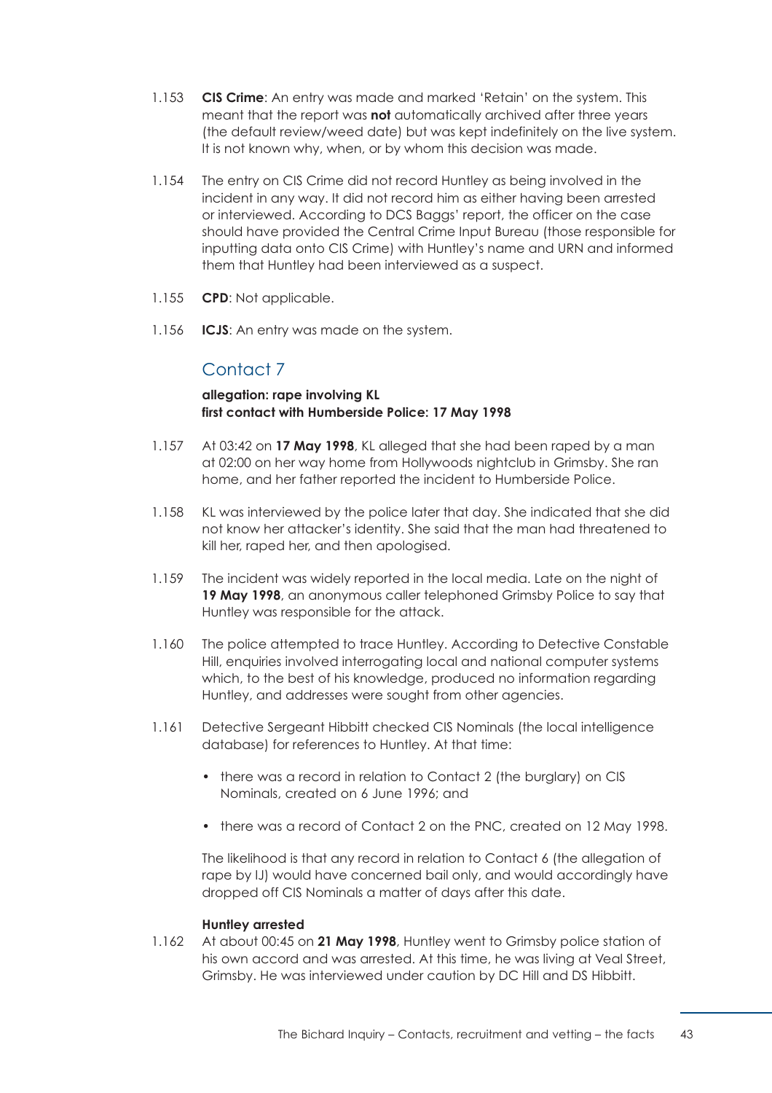- 1.153 **CIS Crime**: An entry was made and marked 'Retain' on the system. This meant that the report was **not** automatically archived after three years (the default review/weed date) but was kept indefinitely on the live system. It is not known why, when, or by whom this decision was made.
- 1.154 The entry on CIS Crime did not record Huntley as being involved in the incident in any way. It did not record him as either having been arrested or interviewed. According to DCS Baggs' report, the officer on the case should have provided the Central Crime Input Bureau (those responsible for inputting data onto CIS Crime) with Huntley's name and URN and informed them that Huntley had been interviewed as a suspect.
- 1.155 **CPD**: Not applicable.
- 1.156 **ICJS**: An entry was made on the system.

# Contact 7

## **allegation: rape involving KL first contact with Humberside Police: 17 May 1998**

- 1.157 At 03:42 on **17 May 1998**, KL alleged that she had been raped by a man at 02:00 on her way home from Hollywoods nightclub in Grimsby. She ran home, and her father reported the incident to Humberside Police.
- 1.158 KL was interviewed by the police later that day. She indicated that she did not know her attacker's identity. She said that the man had threatened to kill her, raped her, and then apologised.
- 1.159 The incident was widely reported in the local media. Late on the night of **19 May 1998**, an anonymous caller telephoned Grimsby Police to say that Huntley was responsible for the attack.
- 1.160 The police attempted to trace Huntley. According to Detective Constable Hill, enquiries involved interrogating local and national computer systems which, to the best of his knowledge, produced no information regarding Huntley, and addresses were sought from other agencies.
- 1.161 Detective Sergeant Hibbitt checked CIS Nominals (the local intelligence database) for references to Huntley. At that time:
	- there was a record in relation to Contact 2 (the burglary) on CIS Nominals, created on 6 June 1996; and
	- there was a record of Contact 2 on the PNC, created on 12 May 1998.

The likelihood is that any record in relation to Contact 6 (the allegation of rape by IJ) would have concerned bail only, and would accordingly have dropped off CIS Nominals a matter of days after this date.

## **Huntley arrested**

1.162 At about 00:45 on **21 May 1998**, Huntley went to Grimsby police station of his own accord and was arrested. At this time, he was living at Veal Street, Grimsby. He was interviewed under caution by DC Hill and DS Hibbitt.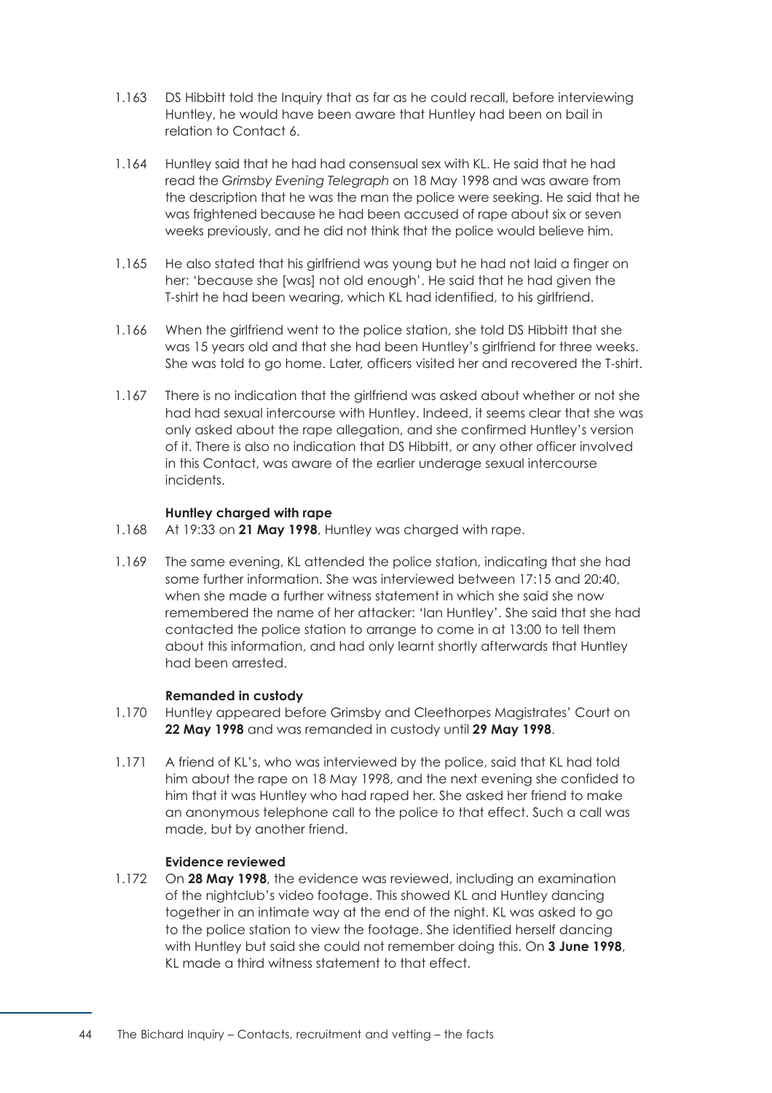- 1.163 DS Hibbitt told the Inquiry that as far as he could recall, before interviewing Huntley, he would have been aware that Huntley had been on bail in relation to Contact 6.
- 1.164 Huntley said that he had had consensual sex with KL. He said that he had read the *Grimsby Evening Telegraph* on 18 May 1998 and was aware from the description that he was the man the police were seeking. He said that he was frightened because he had been accused of rape about six or seven weeks previously, and he did not think that the police would believe him.
- 1.165 He also stated that his girlfriend was young but he had not laid a finger on her: 'because she [was] not old enough'. He said that he had given the T-shirt he had been wearing, which KL had identified, to his girlfriend.
- 1.166 When the girlfriend went to the police station, she told DS Hibbitt that she was 15 years old and that she had been Huntley's girlfriend for three weeks. She was told to go home. Later, officers visited her and recovered the T-shirt.
- 1.167 There is no indication that the girlfriend was asked about whether or not she had had sexual intercourse with Huntley. Indeed, it seems clear that she was only asked about the rape allegation, and she confirmed Huntley's version of it. There is also no indication that DS Hibbitt, or any other officer involved in this Contact, was aware of the earlier underage sexual intercourse incidents.

## **Huntley charged with rape**

- 1.168 At 19:33 on **21 May 1998**, Huntley was charged with rape.
- 1.169 The same evening, KL attended the police station, indicating that she had some further information. She was interviewed between 17:15 and 20:40, when she made a further witness statement in which she said she now remembered the name of her attacker: 'Ian Huntley'. She said that she had contacted the police station to arrange to come in at 13:00 to tell them about this information, and had only learnt shortly afterwards that Huntley had been arrested.

## **Remanded in custody**

- 1.170 Huntley appeared before Grimsby and Cleethorpes Magistrates' Court on **22 May 1998** and was remanded in custody until **29 May 1998**.
- 1.171 A friend of KL's, who was interviewed by the police, said that KL had told him about the rape on 18 May 1998, and the next evening she confided to him that it was Huntley who had raped her. She asked her friend to make an anonymous telephone call to the police to that effect. Such a call was made, but by another friend.

## **Evidence reviewed**

1.172 On **28 May 1998**, the evidence was reviewed, including an examination of the nightclub's video footage. This showed KL and Huntley dancing together in an intimate way at the end of the night. KL was asked to go to the police station to view the footage. She identified herself dancing with Huntley but said she could not remember doing this. On **3 June 1998**, KL made a third witness statement to that effect.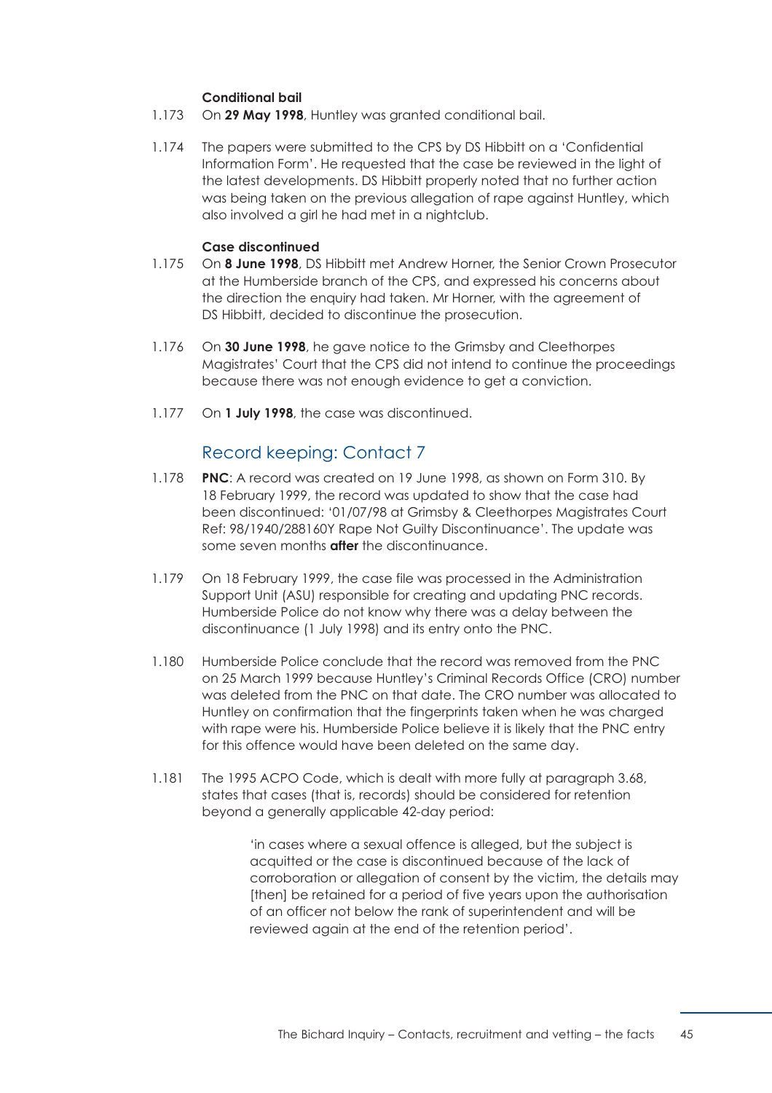## **Conditional bail**

- 1.173 On **29 May 1998**, Huntley was granted conditional bail.
- 1.174 The papers were submitted to the CPS by DS Hibbitt on a 'Confidential Information Form'. He requested that the case be reviewed in the light of the latest developments. DS Hibbitt properly noted that no further action was being taken on the previous allegation of rape against Huntley, which also involved a girl he had met in a nightclub.

## **Case discontinued**

- 1.175 On **8 June 1998**, DS Hibbitt met Andrew Horner, the Senior Crown Prosecutor at the Humberside branch of the CPS, and expressed his concerns about the direction the enquiry had taken. Mr Horner, with the agreement of DS Hibbitt, decided to discontinue the prosecution.
- 1.176 On **30 June 1998**, he gave notice to the Grimsby and Cleethorpes Magistrates' Court that the CPS did not intend to continue the proceedings because there was not enough evidence to get a conviction.
- 1.177 On **1 July 1998**, the case was discontinued.

## Record keeping: Contact 7

- 1.178 **PNC**: A record was created on 19 June 1998, as shown on Form 310. By 18 February 1999, the record was updated to show that the case had been discontinued: '01/07/98 at Grimsby & Cleethorpes Magistrates Court Ref: 98/1940/288160Y Rape Not Guilty Discontinuance'. The update was some seven months **after** the discontinuance.
- 1.179 On 18 February 1999, the case file was processed in the Administration Support Unit (ASU) responsible for creating and updating PNC records. Humberside Police do not know why there was a delay between the discontinuance (1 July 1998) and its entry onto the PNC.
- 1.180 Humberside Police conclude that the record was removed from the PNC on 25 March 1999 because Huntley's Criminal Records Office (CRO) number was deleted from the PNC on that date. The CRO number was allocated to Huntley on confirmation that the fingerprints taken when he was charged with rape were his. Humberside Police believe it is likely that the PNC entry for this offence would have been deleted on the same day.
- 1.181 The 1995 ACPO Code, which is dealt with more fully at [paragraph 3.68,](#page-125-0) states that cases (that is, records) should be considered for retention beyond a generally applicable 42-day period:

'in cases where a sexual offence is alleged, but the subject is acquitted or the case is discontinued because of the lack of corroboration or allegation of consent by the victim, the details may [then] be retained for a period of five years upon the authorisation of an officer not below the rank of superintendent and will be reviewed again at the end of the retention period'.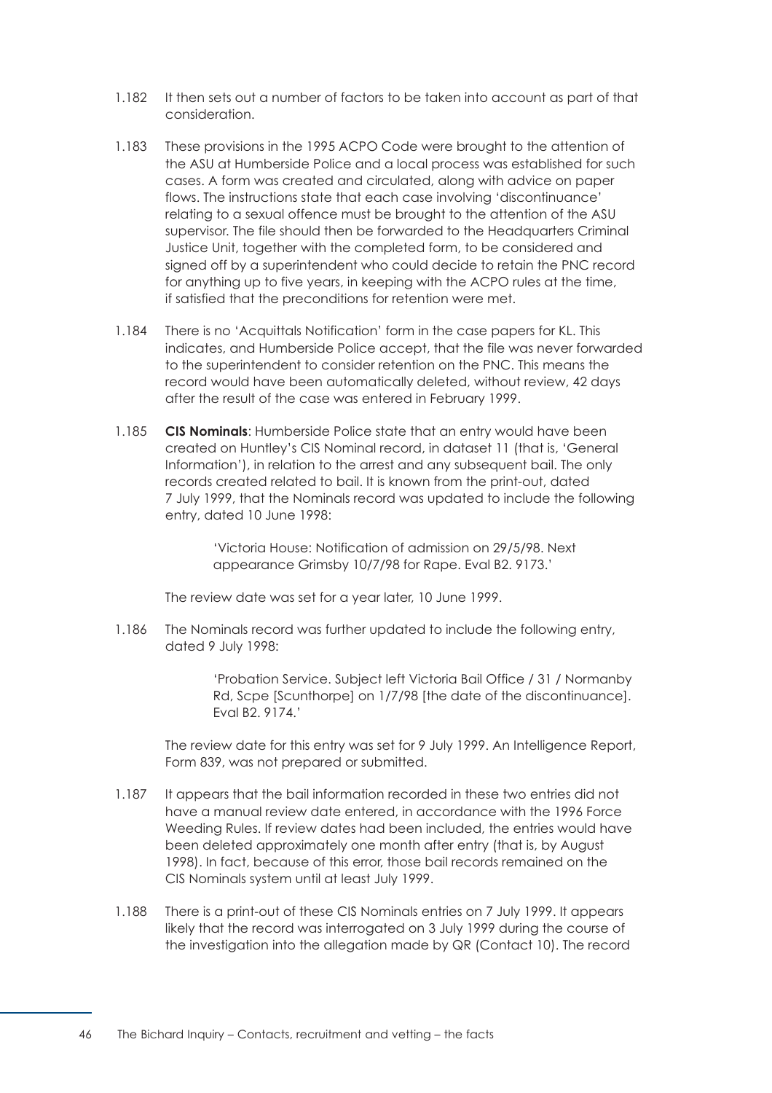- 1.182 It then sets out a number of factors to be taken into account as part of that consideration.
- 1.183 These provisions in the 1995 ACPO Code were brought to the attention of the ASU at Humberside Police and a local process was established for such cases. A form was created and circulated, along with advice on paper flows. The instructions state that each case involving 'discontinuance' relating to a sexual offence must be brought to the attention of the ASU supervisor. The file should then be forwarded to the Headquarters Criminal Justice Unit, together with the completed form, to be considered and signed off by a superintendent who could decide to retain the PNC record for anything up to five years, in keeping with the ACPO rules at the time, if satisfied that the preconditions for retention were met.
- 1.184 There is no 'Acquittals Notification' form in the case papers for KL. This indicates, and Humberside Police accept, that the file was never forwarded to the superintendent to consider retention on the PNC. This means the record would have been automatically deleted, without review, 42 days after the result of the case was entered in February 1999.
- 1.185 **CIS Nominals**: Humberside Police state that an entry would have been created on Huntley's CIS Nominal record, in dataset 11 (that is, 'General Information'), in relation to the arrest and any subsequent bail. The only records created related to bail. It is known from the print-out, dated 7 July 1999, that the Nominals record was updated to include the following entry, dated 10 June 1998:

'Victoria House: Notification of admission on 29/5/98. Next appearance Grimsby 10/7/98 for Rape. Eval B2. 9173.'

The review date was set for a year later, 10 June 1999.

1.186 The Nominals record was further updated to include the following entry, dated 9 July 1998:

> 'Probation Service. Subject left Victoria Bail Office / 31 / Normanby Rd, Scpe [Scunthorpe] on 1/7/98 [the date of the discontinuance]. Eval B2. 9174.'

The review date for this entry was set for 9 July 1999. An Intelligence Report, Form 839, was not prepared or submitted.

- 1.187 It appears that the bail information recorded in these two entries did not have a manual review date entered, in accordance with the 1996 Force Weeding Rules. If review dates had been included, the entries would have been deleted approximately one month after entry (that is, by August 1998). In fact, because of this error, those bail records remained on the CIS Nominals system until at least July 1999.
- 1.188 There is a print-out of these CIS Nominals entries on 7 July 1999. It appears likely that the record was interrogated on 3 July 1999 during the course of the investigation into the allegation made by QR (Contact 10). The record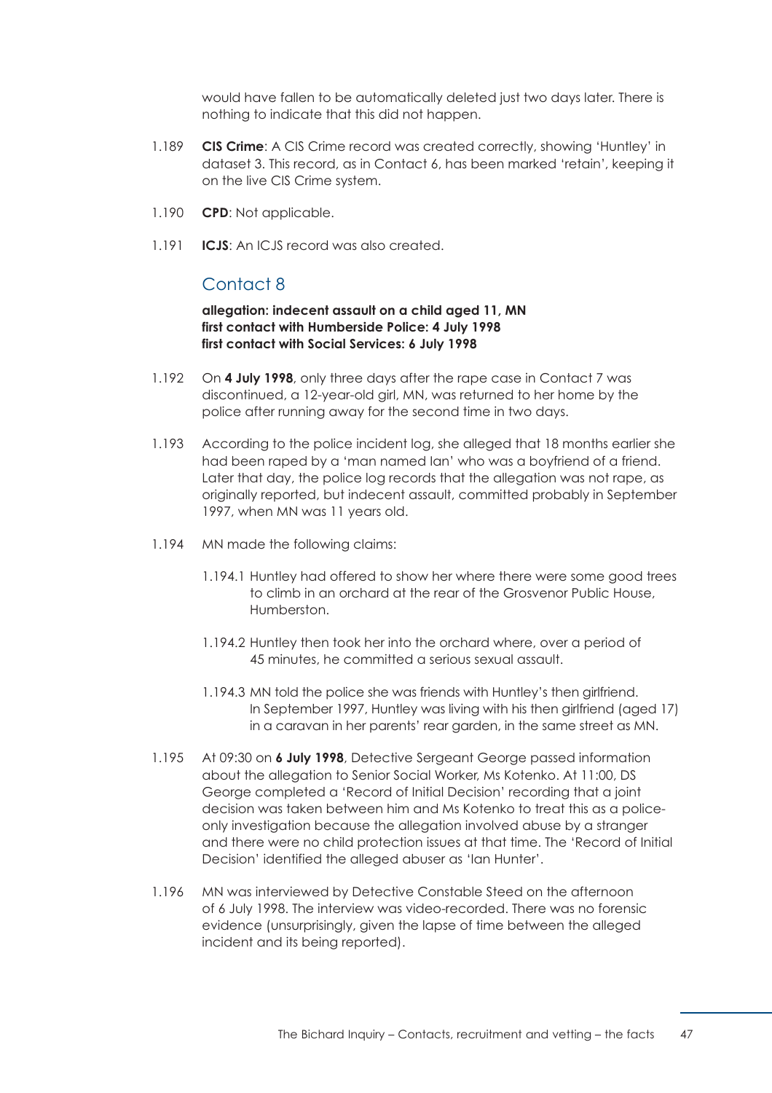would have fallen to be automatically deleted just two days later. There is nothing to indicate that this did not happen.

- 1.189 **CIS Crime**: A CIS Crime record was created correctly, showing 'Huntley' in dataset 3. This record, as in Contact 6, has been marked 'retain', keeping it on the live CIS Crime system.
- 1.190 **CPD**: Not applicable.
- 1.191 **ICJS**: An ICJS record was also created.

# Contact 8

**allegation: indecent assault on a child aged 11, MN first contact with Humberside Police: 4 July 1998 first contact with Social Services: 6 July 1998** 

- 1.192 On **4 July 1998**, only three days after the rape case in Contact 7 was discontinued, a 12-year-old girl, MN, was returned to her home by the police after running away for the second time in two days.
- 1.193 According to the police incident log, she alleged that 18 months earlier she had been raped by a 'man named Ian' who was a boyfriend of a friend. Later that day, the police log records that the allegation was not rape, as originally reported, but indecent assault, committed probably in September 1997, when MN was 11 years old.
- 1.194 MN made the following claims:
	- 1.194.1 Huntley had offered to show her where there were some good trees to climb in an orchard at the rear of the Grosvenor Public House, Humberston.
	- 1.194.2 Huntley then took her into the orchard where, over a period of 45 minutes, he committed a serious sexual assault.
	- 1.194.3 MN told the police she was friends with Huntley's then girlfriend. In September 1997, Huntley was living with his then girlfriend (aged 17) in a caravan in her parents' rear garden, in the same street as MN.
- 1.195 At 09:30 on **6 July 1998**, Detective Sergeant George passed information about the allegation to Senior Social Worker, Ms Kotenko. At 11:00, DS George completed a 'Record of Initial Decision' recording that a joint decision was taken between him and Ms Kotenko to treat this as a policeonly investigation because the allegation involved abuse by a stranger and there were no child protection issues at that time. The 'Record of Initial Decision' identified the alleged abuser as 'Ian Hunter'.
- 1.196 MN was interviewed by Detective Constable Steed on the afternoon of 6 July 1998. The interview was video-recorded. There was no forensic evidence (unsurprisingly, given the lapse of time between the alleged incident and its being reported).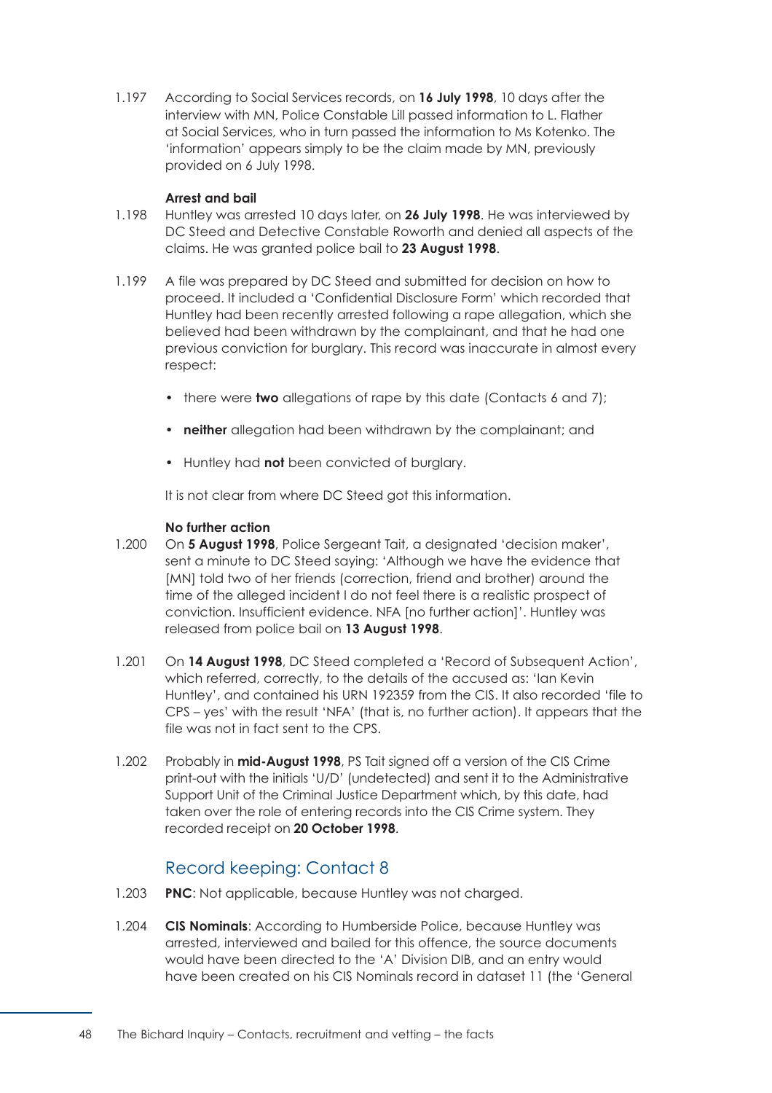1.197 According to Social Services records, on **16 July 1998**, 10 days after the interview with MN, Police Constable Lill passed information to L. Flather at Social Services, who in turn passed the information to Ms Kotenko. The 'information' appears simply to be the claim made by MN, previously provided on 6 July 1998.

## **Arrest and bail**

- 1.198 Huntley was arrested 10 days later, on **26 July 1998**. He was interviewed by DC Steed and Detective Constable Roworth and denied all aspects of the claims. He was granted police bail to **23 August 1998**.
- 1.199 A file was prepared by DC Steed and submitted for decision on how to proceed. It included a 'Confidential Disclosure Form' which recorded that Huntley had been recently arrested following a rape allegation, which she believed had been withdrawn by the complainant, and that he had one previous conviction for burglary. This record was inaccurate in almost every respect:
	- there were **two** allegations of rape by this date (Contacts 6 and 7);
	- **neither** allegation had been withdrawn by the complainant; and
	- Huntley had **not** been convicted of burglary.

It is not clear from where DC Steed got this information.

### **No further action**

- 1.200 On **5 August 1998**, Police Sergeant Tait, a designated 'decision maker', sent a minute to DC Steed saying: 'Although we have the evidence that [MN] told two of her friends (correction, friend and brother) around the time of the alleged incident I do not feel there is a realistic prospect of conviction. Insufficient evidence. NFA [no further action]'. Huntley was released from police bail on **13 August 1998**.
- 1.201 On **14 August 1998**, DC Steed completed a 'Record of Subsequent Action', which referred, correctly, to the details of the accused as: 'Ian Kevin Huntley', and contained his URN 192359 from the CIS. It also recorded 'file to CPS – yes' with the result 'NFA' (that is, no further action). It appears that the file was not in fact sent to the CPS.
- 1.202 Probably in **mid-August 1998**, PS Tait signed off a version of the CIS Crime print-out with the initials 'U/D' (undetected) and sent it to the Administrative Support Unit of the Criminal Justice Department which, by this date, had taken over the role of entering records into the CIS Crime system. They recorded receipt on **20 October 1998**.

## Record keeping: Contact 8

- 1.203 **PNC**: Not applicable, because Huntley was not charged.
- 1.204 **CIS Nominals**: According to Humberside Police, because Huntley was arrested, interviewed and bailed for this offence, the source documents would have been directed to the 'A' Division DIB, and an entry would have been created on his CIS Nominals record in dataset 11 (the 'General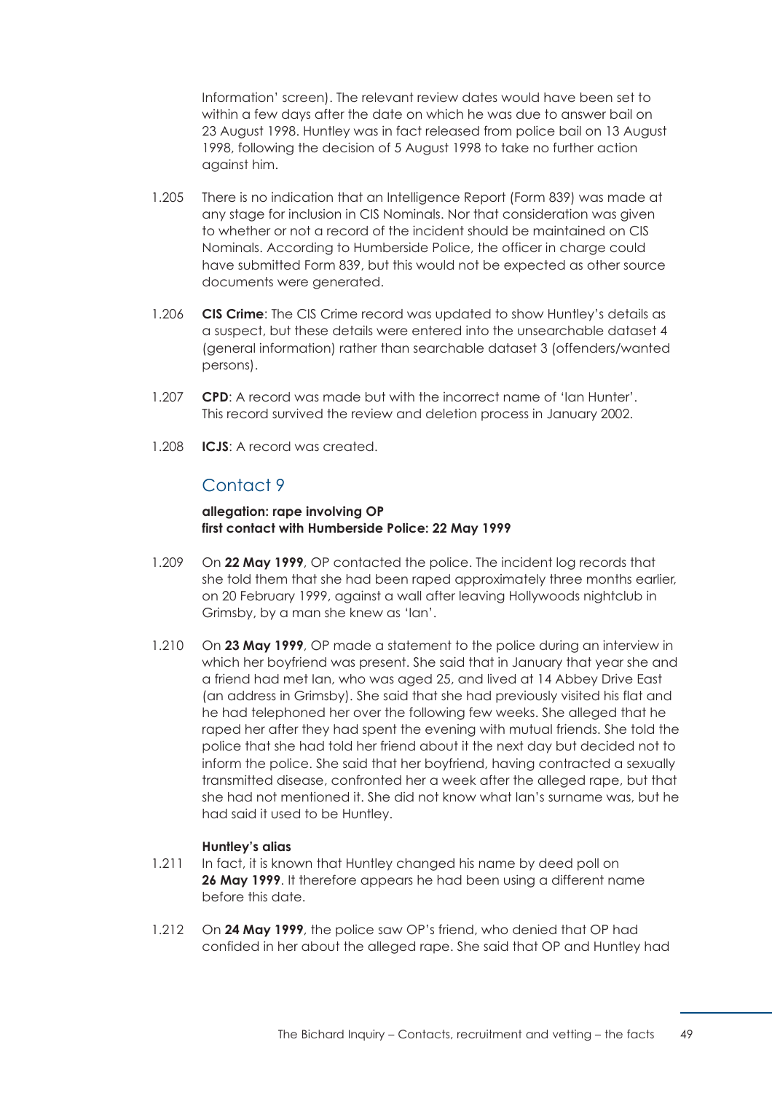Information' screen). The relevant review dates would have been set to within a few days after the date on which he was due to answer bail on 23 August 1998. Huntley was in fact released from police bail on 13 August 1998, following the decision of 5 August 1998 to take no further action against him.

- 1.205 There is no indication that an Intelligence Report (Form 839) was made at any stage for inclusion in CIS Nominals. Nor that consideration was given to whether or not a record of the incident should be maintained on CIS Nominals. According to Humberside Police, the officer in charge could have submitted Form 839, but this would not be expected as other source documents were generated.
- 1.206 **CIS Crime**: The CIS Crime record was updated to show Huntley's details as a suspect, but these details were entered into the unsearchable dataset 4 (general information) rather than searchable dataset 3 (offenders/wanted persons).
- 1.207 **CPD**: A record was made but with the incorrect name of 'Ian Hunter'. This record survived the review and deletion process in January 2002.
- 1.208 **ICJS**: A record was created.

## Contact 9

## **allegation: rape involving OP first contact with Humberside Police: 22 May 1999**

- 1.209 On **22 May 1999**, OP contacted the police. The incident log records that she told them that she had been raped approximately three months earlier, on 20 February 1999, against a wall after leaving Hollywoods nightclub in Grimsby, by a man she knew as 'Ian'.
- 1.210 On **23 May 1999**, OP made a statement to the police during an interview in which her boyfriend was present. She said that in January that year she and a friend had met Ian, who was aged 25, and lived at 14 Abbey Drive East (an address in Grimsby). She said that she had previously visited his flat and he had telephoned her over the following few weeks. She alleged that he raped her after they had spent the evening with mutual friends. She told the police that she had told her friend about it the next day but decided not to inform the police. She said that her boyfriend, having contracted a sexually transmitted disease, confronted her a week after the alleged rape, but that she had not mentioned it. She did not know what Ian's surname was, but he had said it used to be Huntley.

## **Huntley's alias**

- 1.211 In fact, it is known that Huntley changed his name by deed poll on **26 May 1999**. It therefore appears he had been using a different name before this date.
- 1.212 On **24 May 1999**, the police saw OP's friend, who denied that OP had confided in her about the alleged rape. She said that OP and Huntley had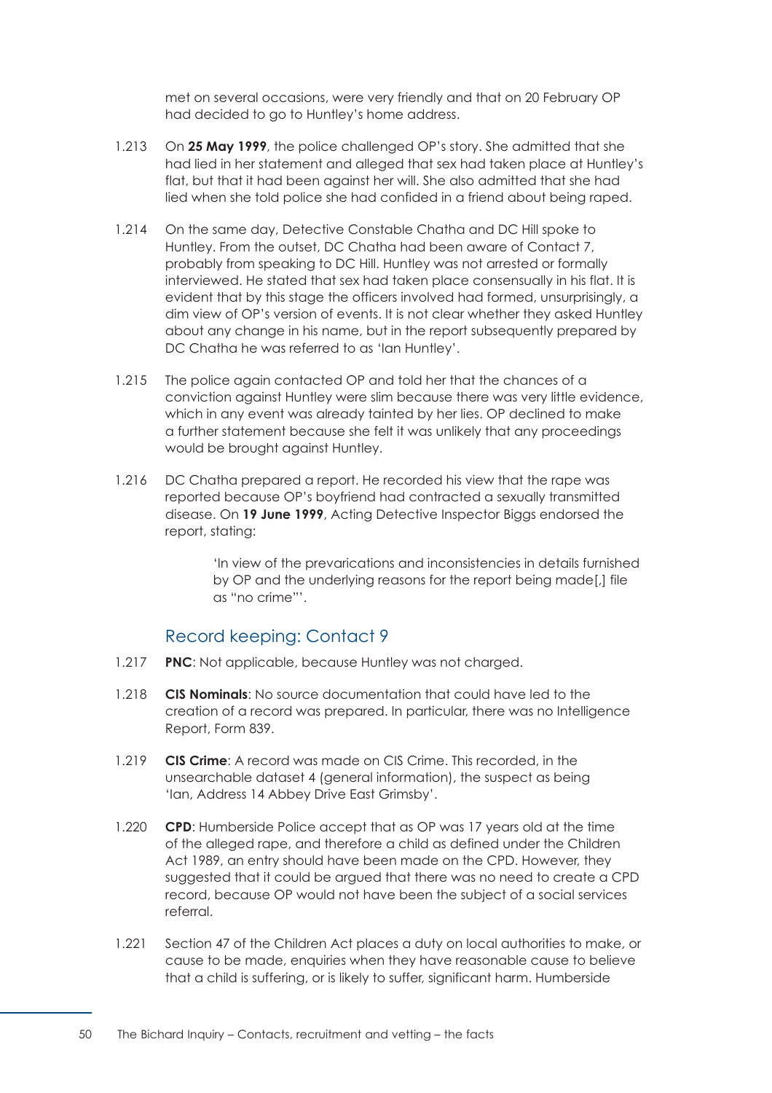met on several occasions, were very friendly and that on 20 February OP had decided to go to Huntley's home address.

- 1.213 On **25 May 1999**, the police challenged OP's story. She admitted that she had lied in her statement and alleged that sex had taken place at Huntley's flat, but that it had been against her will. She also admitted that she had lied when she told police she had confided in a friend about being raped.
- 1.214 On the same day, Detective Constable Chatha and DC Hill spoke to Huntley. From the outset, DC Chatha had been aware of Contact 7, probably from speaking to DC Hill. Huntley was not arrested or formally interviewed. He stated that sex had taken place consensually in his flat. It is evident that by this stage the officers involved had formed, unsurprisingly, a dim view of OP's version of events. It is not clear whether they asked Huntley about any change in his name, but in the report subsequently prepared by DC Chatha he was referred to as 'Ian Huntley'.
- 1.215 The police again contacted OP and told her that the chances of a conviction against Huntley were slim because there was very little evidence, which in any event was already tainted by her lies. OP declined to make a further statement because she felt it was unlikely that any proceedings would be brought against Huntley.
- 1.216 DC Chatha prepared a report. He recorded his view that the rape was reported because OP's boyfriend had contracted a sexually transmitted disease. On **19 June 1999**, Acting Detective Inspector Biggs endorsed the report, stating:

'In view of the prevarications and inconsistencies in details furnished by OP and the underlying reasons for the report being made[,] file as "no crime"'.

## Record keeping: Contact 9

- 1.217 **PNC**: Not applicable, because Huntley was not charged.
- 1.218 **CIS Nominals**: No source documentation that could have led to the creation of a record was prepared. In particular, there was no Intelligence Report, Form 839.
- 1.219 **CIS Crime**: A record was made on CIS Crime. This recorded, in the unsearchable dataset 4 (general information), the suspect as being 'Ian, Address 14 Abbey Drive East Grimsby'.
- 1.220 **CPD**: Humberside Police accept that as OP was 17 years old at the time of the alleged rape, and therefore a child as defined under the Children Act 1989, an entry should have been made on the CPD. However, they suggested that it could be argued that there was no need to create a CPD record, because OP would not have been the subject of a social services referral.
- 1.221 Section 47 of the Children Act places a duty on local authorities to make, or cause to be made, enquiries when they have reasonable cause to believe that a child is suffering, or is likely to suffer, significant harm. Humberside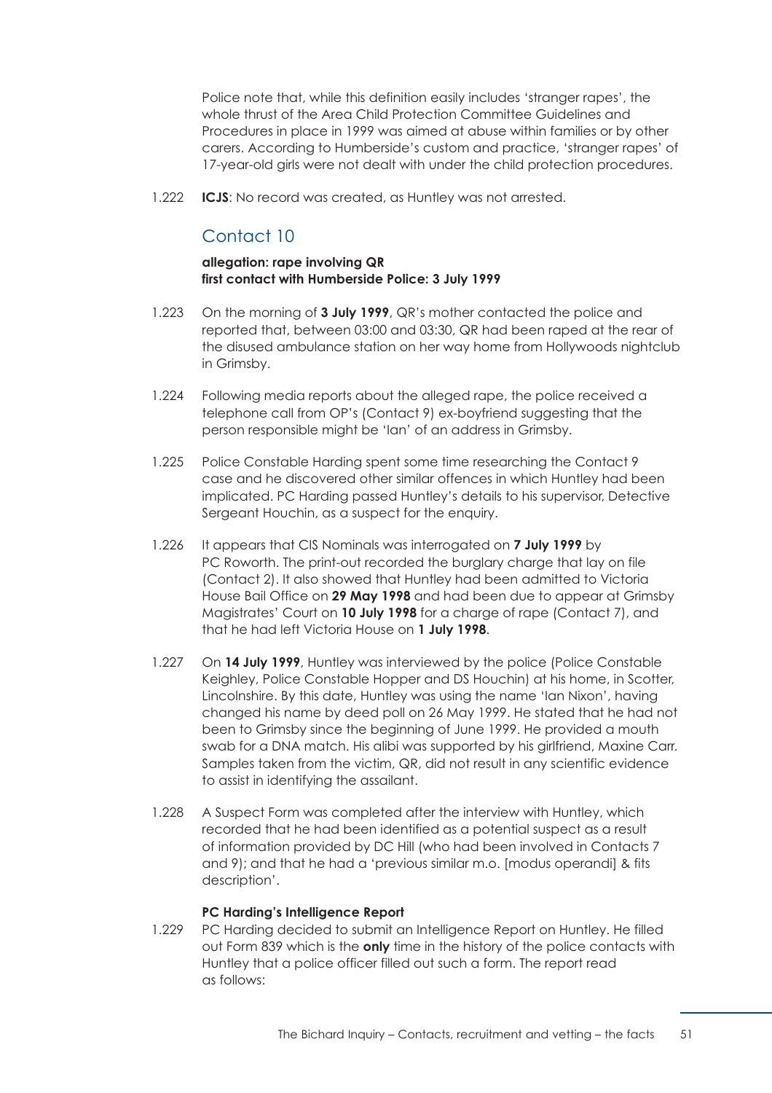Police note that, while this definition easily includes 'stranger rapes', the whole thrust of the Area Child Protection Committee Guidelines and Procedures in place in 1999 was aimed at abuse within families or by other carers. According to Humberside's custom and practice, 'stranger rapes' of 17-year-old girls were not dealt with under the child protection procedures.

1.222 **ICJS**: No record was created, as Huntley was not arrested.

# Contact 10

## **allegation: rape involving QR first contact with Humberside Police: 3 July 1999**

- 1.223 On the morning of **3 July 1999**, QR's mother contacted the police and reported that, between 03:00 and 03:30, QR had been raped at the rear of the disused ambulance station on her way home from Hollywoods nightclub in Grimsby.
- 1.224 Following media reports about the alleged rape, the police received a telephone call from OP's (Contact 9) ex-boyfriend suggesting that the person responsible might be 'Ian' of an address in Grimsby.
- 1.225 Police Constable Harding spent some time researching the Contact 9 case and he discovered other similar offences in which Huntley had been implicated. PC Harding passed Huntley's details to his supervisor, Detective Sergeant Houchin, as a suspect for the enquiry.
- 1.226 It appears that CIS Nominals was interrogated on **7 July 1999** by PC Roworth. The print-out recorded the burglary charge that lay on file (Contact 2). It also showed that Huntley had been admitted to Victoria House Bail Office on **29 May 1998** and had been due to appear at Grimsby Magistrates' Court on **10 July 1998** for a charge of rape (Contact 7), and that he had left Victoria House on **1 July 1998**.
- 1.227 On **14 July 1999**, Huntley was interviewed by the police (Police Constable Keighley, Police Constable Hopper and DS Houchin) at his home, in Scotter, Lincolnshire. By this date, Huntley was using the name 'Ian Nixon', having changed his name by deed poll on 26 May 1999. He stated that he had not been to Grimsby since the beginning of June 1999. He provided a mouth swab for a DNA match. His alibi was supported by his girlfriend, Maxine Carr. Samples taken from the victim, QR, did not result in any scientific evidence to assist in identifying the assailant.
- 1.228 A Suspect Form was completed after the interview with Huntley, which recorded that he had been identified as a potential suspect as a result of information provided by DC Hill (who had been involved in Contacts 7 and 9); and that he had a 'previous similar m.o. [modus operandi] & fits description'.

## **PC Harding's Intelligence Report**

1.229 PC Harding decided to submit an Intelligence Report on Huntley. He filled out Form 839 which is the **only** time in the history of the police contacts with Huntley that a police officer filled out such a form. The report read as follows: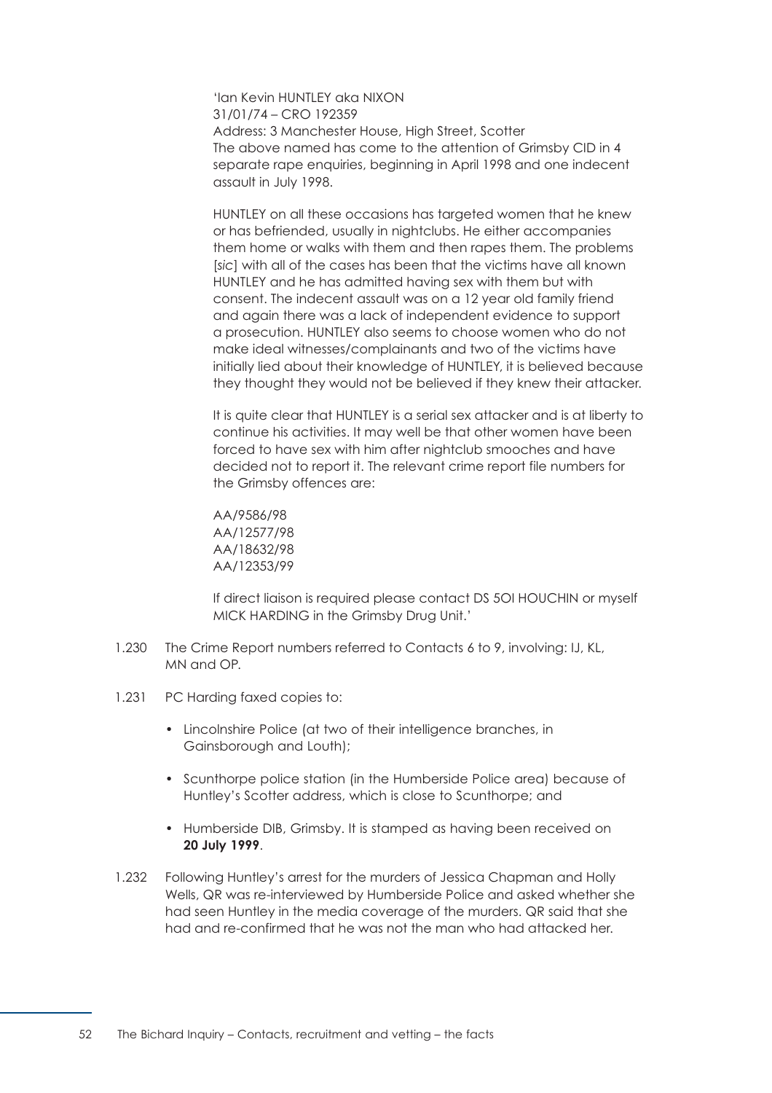'Ian Kevin HUNTLEY aka NIXON 31/01/74 – CRO 192359 Address: 3 Manchester House, High Street, Scotter The above named has come to the attention of Grimsby CID in 4 separate rape enquiries, beginning in April 1998 and one indecent assault in July 1998.

HUNTLEY on all these occasions has targeted women that he knew or has befriended, usually in nightclubs. He either accompanies them home or walks with them and then rapes them. The problems [*sic*] with all of the cases has been that the victims have all known HUNTLEY and he has admitted having sex with them but with consent. The indecent assault was on a 12 year old family friend and again there was a lack of independent evidence to support a prosecution. HUNTLEY also seems to choose women who do not make ideal witnesses/complainants and two of the victims have initially lied about their knowledge of HUNTLEY, it is believed because they thought they would not be believed if they knew their attacker.

It is quite clear that HUNTLEY is a serial sex attacker and is at liberty to continue his activities. It may well be that other women have been forced to have sex with him after nightclub smooches and have decided not to report it. The relevant crime report file numbers for the Grimsby offences are:

AA/9586/98 AA/12577/98 AA/18632/98 AA/12353/99

If direct liaison is required please contact DS 5OI HOUCHIN or myself MICK HARDING in the Grimsby Drug Unit.'

- 1.230 The Crime Report numbers referred to Contacts 6 to 9, involving: IJ, KL, MN and OP.
- 1.231 PC Harding faxed copies to:
	- Lincolnshire Police (at two of their intelligence branches, in Gainsborough and Louth);
	- Scunthorpe police station (in the Humberside Police area) because of Huntley's Scotter address, which is close to Scunthorpe; and
	- Humberside DIB, Grimsby. It is stamped as having been received on **20 July 1999**.
- 1.232 Following Huntley's arrest for the murders of Jessica Chapman and Holly Wells, QR was re-interviewed by Humberside Police and asked whether she had seen Huntley in the media coverage of the murders. QR said that she had and re-confirmed that he was not the man who had attacked her.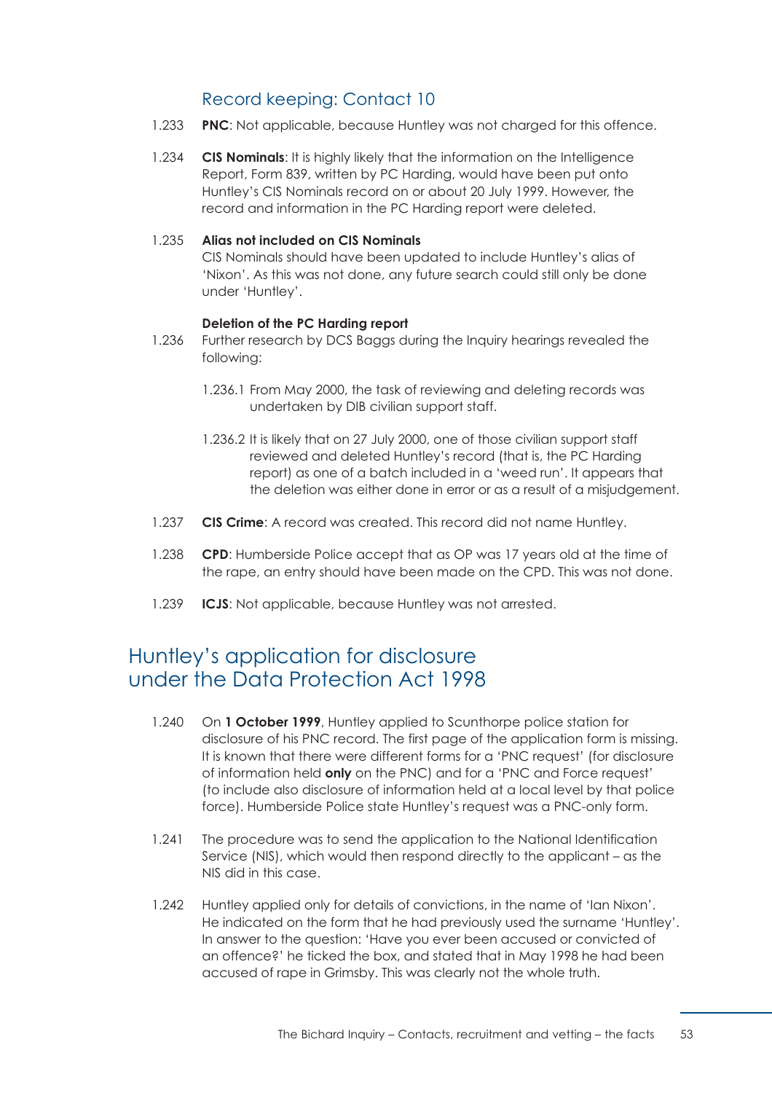# Record keeping: Contact 10

- 1.233 **PNC**: Not applicable, because Huntley was not charged for this offence.
- 1.234 **CIS Nominals**: It is highly likely that the information on the Intelligence Report, Form 839, written by PC Harding, would have been put onto Huntley's CIS Nominals record on or about 20 July 1999. However, the record and information in the PC Harding report were deleted.

## 1.235 **Alias not included on CIS Nominals**

CIS Nominals should have been updated to include Huntley's alias of 'Nixon'. As this was not done, any future search could still only be done under 'Huntley'.

## **Deletion of the PC Harding report**

- 1.236 Further research by DCS Baggs during the Inquiry hearings revealed the following:
	- 1.236.1 From May 2000, the task of reviewing and deleting records was undertaken by DIB civilian support staff.
	- 1.236.2 It is likely that on 27 July 2000, one of those civilian support staff reviewed and deleted Huntley's record (that is, the PC Harding report) as one of a batch included in a 'weed run'. It appears that the deletion was either done in error or as a result of a misjudgement.
- 1.237 **CIS Crime**: A record was created. This record did not name Huntley.
- 1.238 **CPD**: Humberside Police accept that as OP was 17 years old at the time of the rape, an entry should have been made on the CPD. This was not done.
- 1.239 **ICJS**: Not applicable, because Huntley was not arrested.

# Huntley's application for disclosure under the Data Protection Act 1998

- 1.240 On **1 October 1999**, Huntley applied to Scunthorpe police station for disclosure of his PNC record. The first page of the application form is missing. It is known that there were different forms for a 'PNC request' (for disclosure of information held **only** on the PNC) and for a 'PNC and Force request' (to include also disclosure of information held at a local level by that police force). Humberside Police state Huntley's request was a PNC-only form.
- 1.241 The procedure was to send the application to the National Identification Service (NIS), which would then respond directly to the applicant – as the NIS did in this case.
- 1.242 Huntley applied only for details of convictions, in the name of 'Ian Nixon'. He indicated on the form that he had previously used the surname 'Huntley'. In answer to the question: 'Have you ever been accused or convicted of an offence?' he ticked the box, and stated that in May 1998 he had been accused of rape in Grimsby. This was clearly not the whole truth.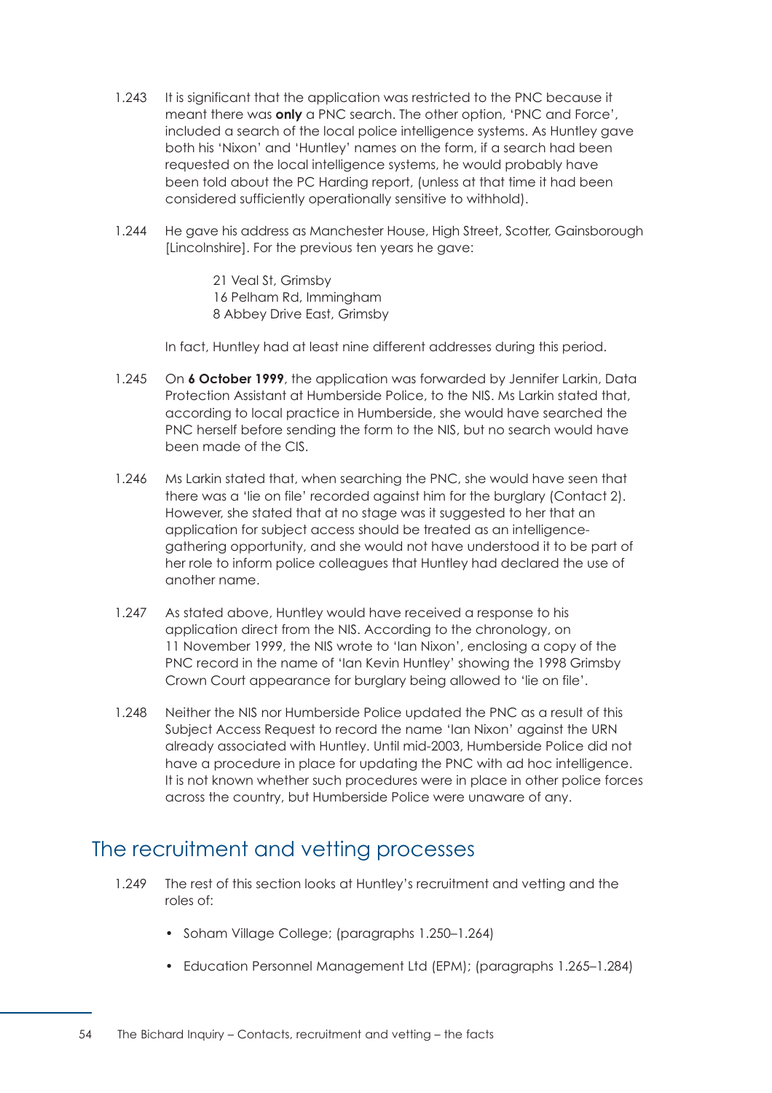- 1.243 It is significant that the application was restricted to the PNC because it meant there was **only** a PNC search. The other option, 'PNC and Force', included a search of the local police intelligence systems. As Huntley gave both his 'Nixon' and 'Huntley' names on the form, if a search had been requested on the local intelligence systems, he would probably have been told about the PC Harding report, (unless at that time it had been considered sufficiently operationally sensitive to withhold).
- 1.244 He gave his address as Manchester House, High Street, Scotter, Gainsborough [Lincolnshire]. For the previous ten years he gave:

21 Veal St, Grimsby 16 Pelham Rd, Immingham 8 Abbey Drive East, Grimsby

In fact, Huntley had at least nine different addresses during this period.

- 1.245 On **6 October 1999**, the application was forwarded by Jennifer Larkin, Data Protection Assistant at Humberside Police, to the NIS. Ms Larkin stated that, according to local practice in Humberside, she would have searched the PNC herself before sending the form to the NIS, but no search would have been made of the CIS.
- 1.246 Ms Larkin stated that, when searching the PNC, she would have seen that there was a 'lie on file' recorded against him for the burglary (Contact 2). However, she stated that at no stage was it suggested to her that an application for subject access should be treated as an intelligencegathering opportunity, and she would not have understood it to be part of her role to inform police colleagues that Huntley had declared the use of another name.
- 1.247 As stated above, Huntley would have received a response to his application direct from the NIS. According to the chronology, on 11 November 1999, the NIS wrote to 'Ian Nixon', enclosing a copy of the PNC record in the name of 'Ian Kevin Huntley' showing the 1998 Grimsby Crown Court appearance for burglary being allowed to 'lie on file'.
- 1.248 Neither the NIS nor Humberside Police updated the PNC as a result of this Subject Access Request to record the name 'Ian Nixon' against the URN already associated with Huntley. Until mid-2003, Humberside Police did not have a procedure in place for updating the PNC with ad hoc intelligence. It is not known whether such procedures were in place in other police forces across the country, but Humberside Police were unaware of any.

# The recruitment and vetting processes

- 1.249 The rest of this section looks at Huntley's recruitment and vetting and the roles of:
	- [Soham Village College; \(paragraphs 1.250–1.264\)](#page-61-0)
	- [Education Personnel Management Ltd \(EPM\); \(paragraphs 1.265–1.284\)](#page-63-0)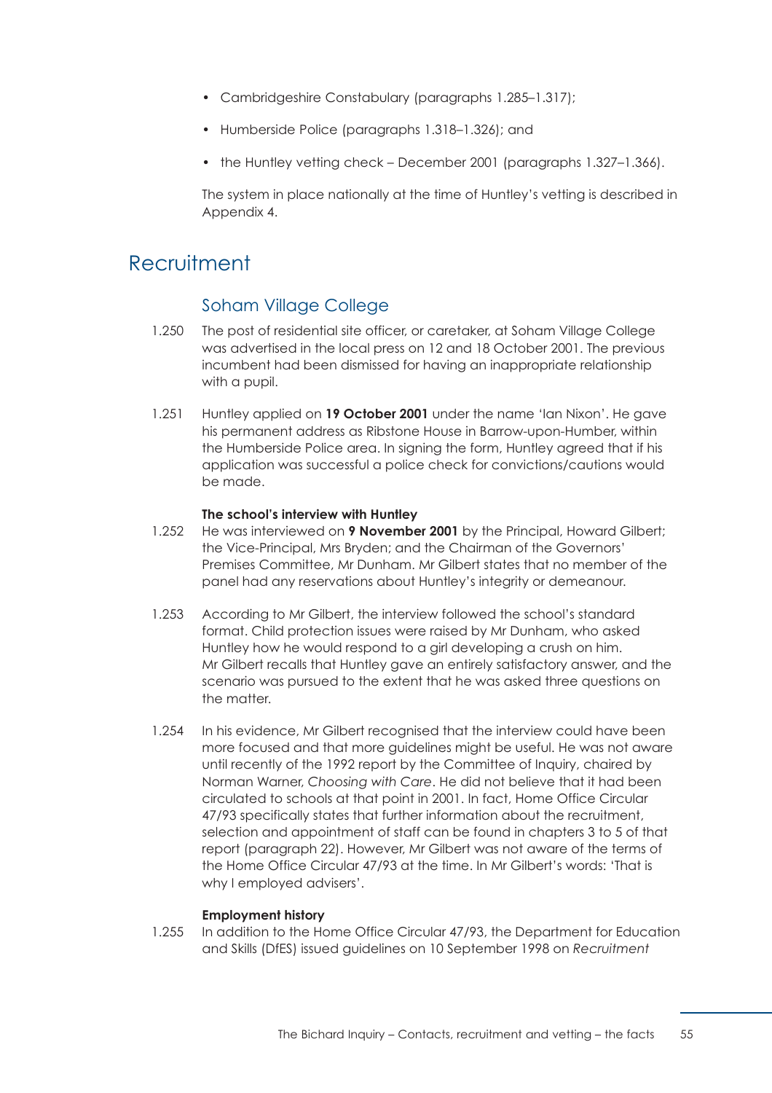- [Cambridgeshire Constabulary \(paragraphs 1.285–1.317\);](#page-66-0)
- [Humberside Police \(paragraphs 1.318–1.326\);](#page-73-0) and
- [the Huntley vetting check December 2001 \(paragraphs 1.327–1.366\).](#page-74-0)

The system in place nationally at the time of Huntley's vetting is described in [Appendix 4.](#page-185-0)

# <span id="page-61-0"></span>**Recruitment**

## Soham Village College

- 1.250 The post of residential site officer, or caretaker, at Soham Village College was advertised in the local press on 12 and 18 October 2001. The previous incumbent had been dismissed for having an inappropriate relationship with a pupil.
- 1.251 Huntley applied on **19 October 2001** under the name 'Ian Nixon'. He gave his permanent address as Ribstone House in Barrow-upon-Humber, within the Humberside Police area. In signing the form, Huntley agreed that if his application was successful a police check for convictions/cautions would be made.

## **The school's interview with Huntley**

- 1.252 He was interviewed on **9 November 2001** by the Principal, Howard Gilbert; the Vice-Principal, Mrs Bryden; and the Chairman of the Governors' Premises Committee, Mr Dunham. Mr Gilbert states that no member of the panel had any reservations about Huntley's integrity or demeanour.
- 1.253 According to Mr Gilbert, the interview followed the school's standard format. Child protection issues were raised by Mr Dunham, who asked Huntley how he would respond to a girl developing a crush on him. Mr Gilbert recalls that Huntley gave an entirely satisfactory answer, and the scenario was pursued to the extent that he was asked three questions on the matter.
- 1.254 In his evidence, Mr Gilbert recognised that the interview could have been more focused and that more guidelines might be useful. He was not aware until recently of the 1992 report by the Committee of Inquiry, chaired by Norman Warner, *Choosing with Care*. He did not believe that it had been circulated to schools at that point in 2001. In fact, Home Office Circular 47/93 specifically states that further information about the recruitment, selection and appointment of staff can be found in chapters 3 to 5 of that report (paragraph 22). However, Mr Gilbert was not aware of the terms of the Home Office Circular 47/93 at the time. In Mr Gilbert's words: 'That is why I employed advisers'.

#### **Employment history**

1.255 In addition to the Home Office Circular 47/93, the Department for Education and Skills (DfES) issued guidelines on 10 September 1998 on *Recruitment*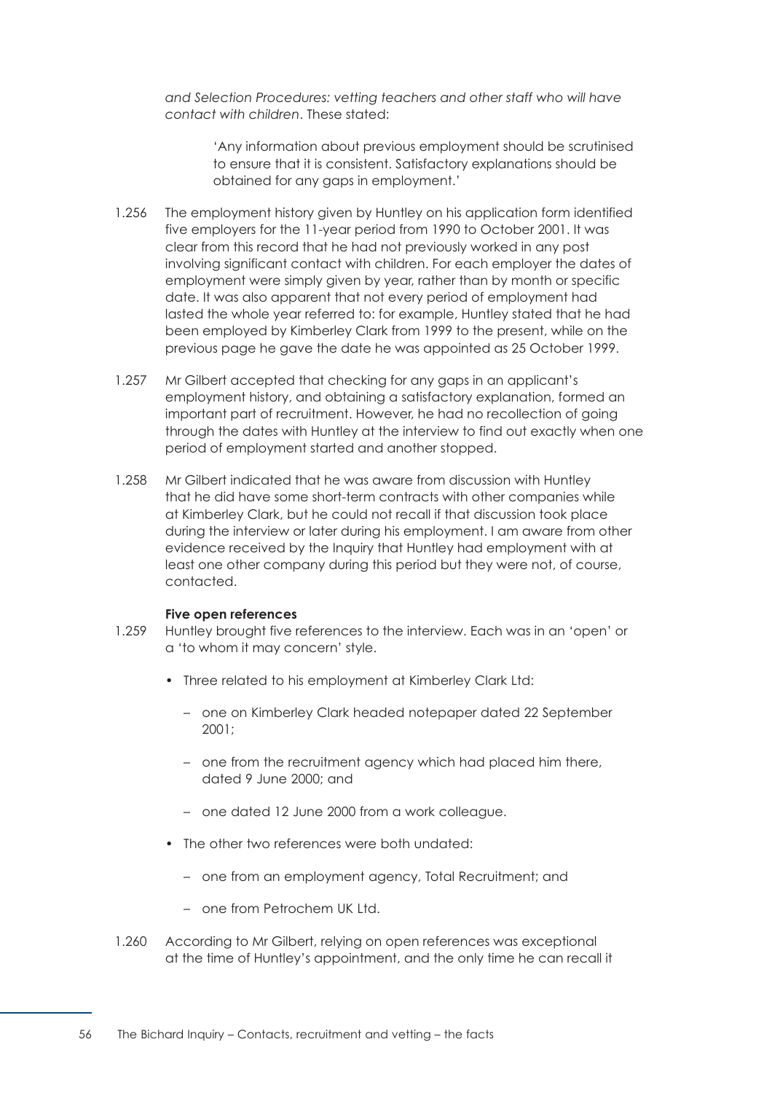*and Selection Procedures: vetting teachers and other staff who will have contact with children*. These stated:

> 'Any information about previous employment should be scrutinised to ensure that it is consistent. Satisfactory explanations should be obtained for any gaps in employment.'

- 1.256 The employment history given by Huntley on his application form identified five employers for the 11-year period from 1990 to October 2001. It was clear from this record that he had not previously worked in any post involving significant contact with children. For each employer the dates of employment were simply given by year, rather than by month or specific date. It was also apparent that not every period of employment had lasted the whole year referred to: for example, Huntley stated that he had been employed by Kimberley Clark from 1999 to the present, while on the previous page he gave the date he was appointed as 25 October 1999.
- 1.257 Mr Gilbert accepted that checking for any gaps in an applicant's employment history, and obtaining a satisfactory explanation, formed an important part of recruitment. However, he had no recollection of going through the dates with Huntley at the interview to find out exactly when one period of employment started and another stopped.
- 1.258 Mr Gilbert indicated that he was aware from discussion with Huntley that he did have some short-term contracts with other companies while at Kimberley Clark, but he could not recall if that discussion took place during the interview or later during his employment. I am aware from other evidence received by the Inquiry that Huntley had employment with at least one other company during this period but they were not, of course, contacted.

#### **Five open references**

- 1.259 Huntley brought five references to the interview. Each was in an 'open' or a 'to whom it may concern' style.
	- Three related to his employment at Kimberley Clark Ltd:
		- one on Kimberley Clark headed notepaper dated 22 September 2001;
		- one from the recruitment agency which had placed him there, dated 9 June 2000; and
		- one dated 12 June 2000 from a work colleague.
	- The other two references were both undated:
		- one from an employment agency, Total Recruitment; and
		- one from Petrochem UK Ltd.
- 1.260 According to Mr Gilbert, relying on open references was exceptional at the time of Huntley's appointment, and the only time he can recall it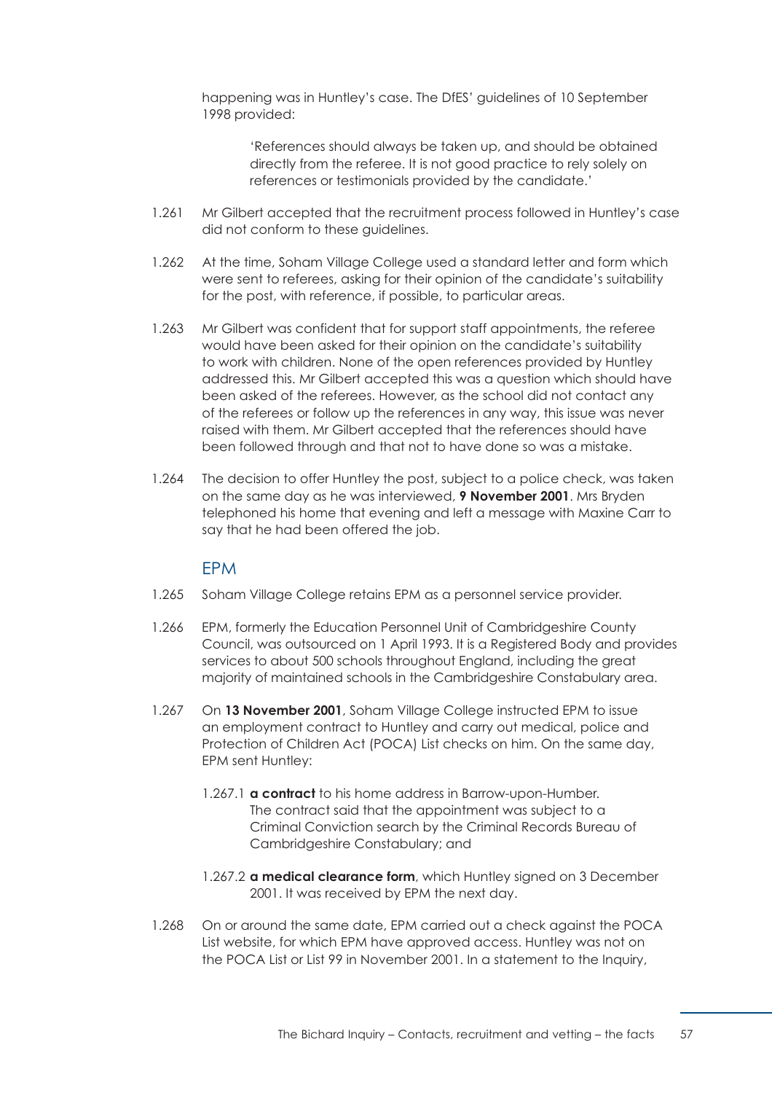happening was in Huntley's case. The DfES' guidelines of 10 September 1998 provided:

> 'References should always be taken up, and should be obtained directly from the referee. It is not good practice to rely solely on references or testimonials provided by the candidate.'

- 1.261 Mr Gilbert accepted that the recruitment process followed in Huntley's case did not conform to these guidelines.
- 1.262 At the time, Soham Village College used a standard letter and form which were sent to referees, asking for their opinion of the candidate's suitability for the post, with reference, if possible, to particular areas.
- 1.263 Mr Gilbert was confident that for support staff appointments, the referee would have been asked for their opinion on the candidate's suitability to work with children. None of the open references provided by Huntley addressed this. Mr Gilbert accepted this was a question which should have been asked of the referees. However, as the school did not contact any of the referees or follow up the references in any way, this issue was never raised with them. Mr Gilbert accepted that the references should have been followed through and that not to have done so was a mistake.
- 1.264 The decision to offer Huntley the post, subject to a police check, was taken on the same day as he was interviewed, **9 November 2001**. Mrs Bryden telephoned his home that evening and left a message with Maxine Carr to say that he had been offered the job.

## EPM

- <span id="page-63-0"></span>1.265 Soham Village College retains EPM as a personnel service provider.
- 1.266 EPM, formerly the Education Personnel Unit of Cambridgeshire County Council, was outsourced on 1 April 1993. It is a Registered Body and provides services to about 500 schools throughout England, including the great majority of maintained schools in the Cambridgeshire Constabulary area.
- 1.267 On **13 November 2001**, Soham Village College instructed EPM to issue an employment contract to Huntley and carry out medical, police and Protection of Children Act (POCA) List checks on him. On the same day, EPM sent Huntley:
	- 1.267.1 **a contract** to his home address in Barrow-upon-Humber. The contract said that the appointment was subject to a Criminal Conviction search by the Criminal Records Bureau of Cambridgeshire Constabulary; and
	- 1.267.2 **a medical clearance form**, which Huntley signed on 3 December 2001. It was received by EPM the next day.
- 1.268 On or around the same date, EPM carried out a check against the POCA List website, for which EPM have approved access. Huntley was not on the POCA List or List 99 in November 2001. In a statement to the Inquiry,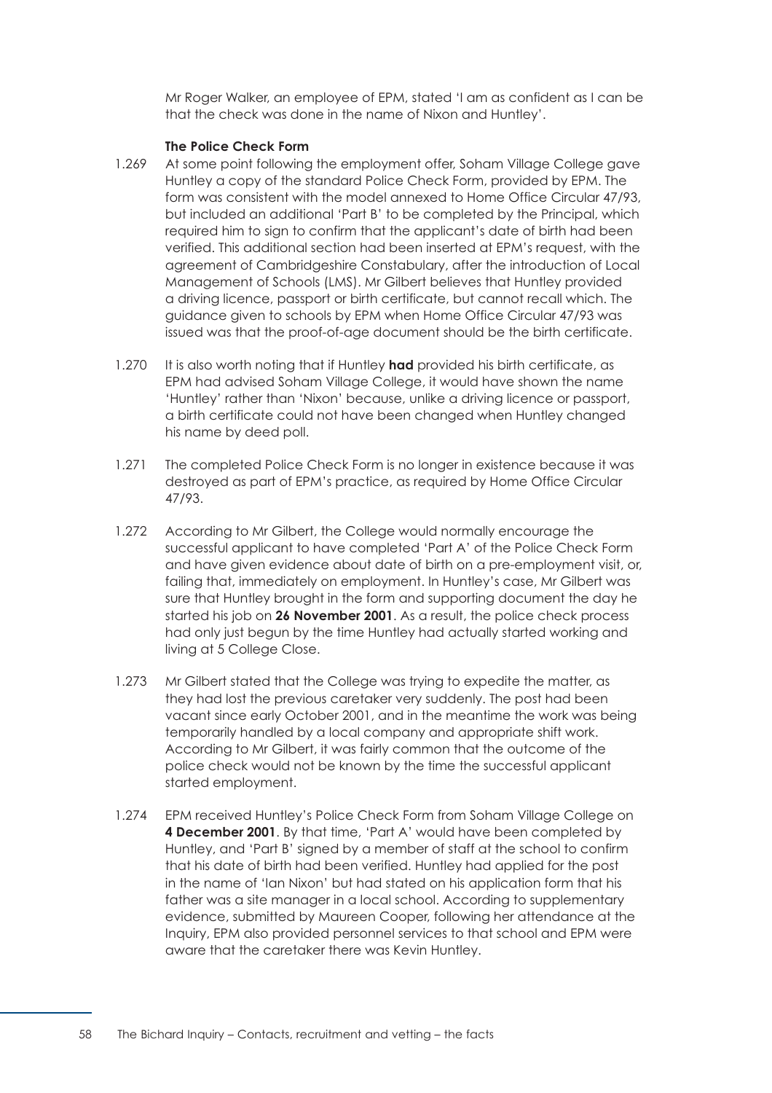Mr Roger Walker, an employee of EPM, stated 'I am as confident as I can be that the check was done in the name of Nixon and Huntley'.

#### **The Police Check Form**

- 1.269 At some point following the employment offer, Soham Village College gave Huntley a copy of the standard Police Check Form, provided by EPM. The form was consistent with the model annexed to Home Office Circular 47/93, but included an additional 'Part B' to be completed by the Principal, which required him to sign to confirm that the applicant's date of birth had been verified. This additional section had been inserted at EPM's request, with the agreement of Cambridgeshire Constabulary, after the introduction of Local Management of Schools (LMS). Mr Gilbert believes that Huntley provided a driving licence, passport or birth certificate, but cannot recall which. The guidance given to schools by EPM when Home Office Circular 47/93 was issued was that the proof-of-age document should be the birth certificate.
- 1.270 It is also worth noting that if Huntley **had** provided his birth certificate, as EPM had advised Soham Village College, it would have shown the name 'Huntley' rather than 'Nixon' because, unlike a driving licence or passport, a birth certificate could not have been changed when Huntley changed his name by deed poll.
- 1.271 The completed Police Check Form is no longer in existence because it was destroyed as part of EPM's practice, as required by Home Office Circular 47/93.
- 1.272 According to Mr Gilbert, the College would normally encourage the successful applicant to have completed 'Part A' of the Police Check Form and have given evidence about date of birth on a pre-employment visit, or, failing that, immediately on employment. In Huntley's case, Mr Gilbert was sure that Huntley brought in the form and supporting document the day he started his job on **26 November 2001**. As a result, the police check process had only just begun by the time Huntley had actually started working and living at 5 College Close.
- 1.273 Mr Gilbert stated that the College was trying to expedite the matter, as they had lost the previous caretaker very suddenly. The post had been vacant since early October 2001, and in the meantime the work was being temporarily handled by a local company and appropriate shift work. According to Mr Gilbert, it was fairly common that the outcome of the police check would not be known by the time the successful applicant started employment.
- 1.274 EPM received Huntley's Police Check Form from Soham Village College on **4 December 2001**. By that time, 'Part A' would have been completed by Huntley, and 'Part B' signed by a member of staff at the school to confirm that his date of birth had been verified. Huntley had applied for the post in the name of 'Ian Nixon' but had stated on his application form that his father was a site manager in a local school. According to supplementary evidence, submitted by Maureen Cooper, following her attendance at the Inquiry, EPM also provided personnel services to that school and EPM were aware that the caretaker there was Kevin Huntley.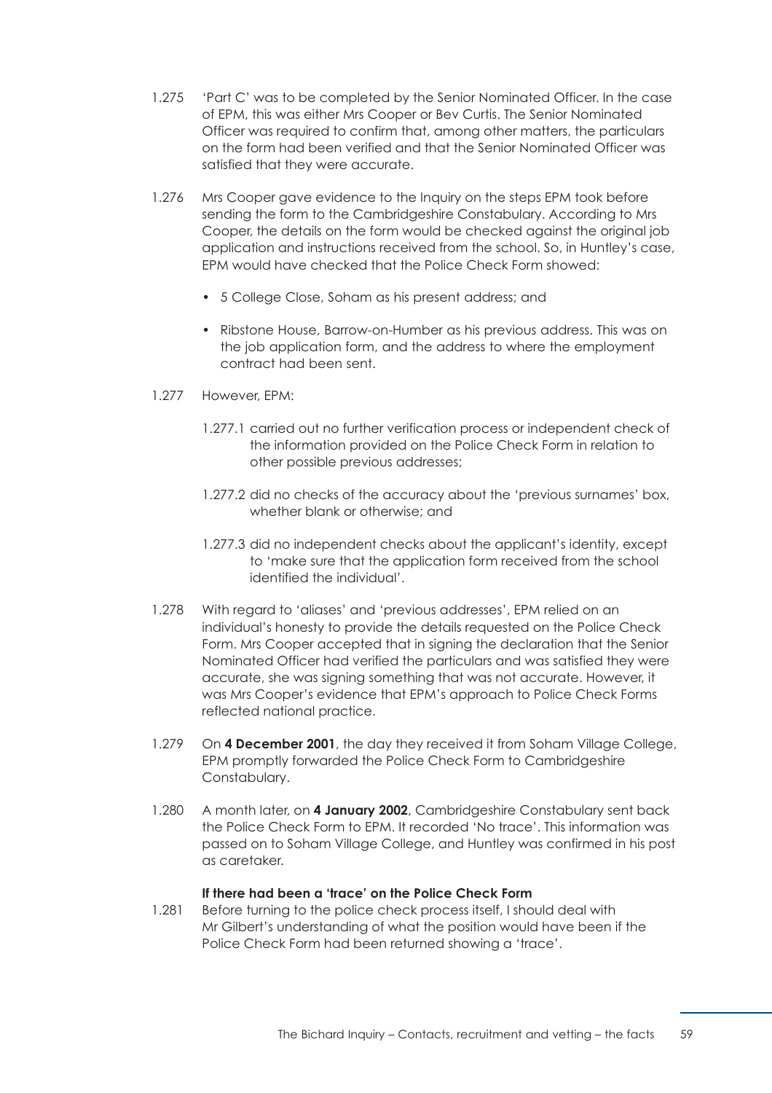- 1.275 'Part C' was to be completed by the Senior Nominated Officer. In the case of EPM, this was either Mrs Cooper or Bev Curtis. The Senior Nominated Officer was required to confirm that, among other matters, the particulars on the form had been verified and that the Senior Nominated Officer was satisfied that they were accurate.
- 1.276 Mrs Cooper gave evidence to the Inquiry on the steps EPM took before sending the form to the Cambridgeshire Constabulary. According to Mrs Cooper, the details on the form would be checked against the original job application and instructions received from the school. So, in Huntley's case, EPM would have checked that the Police Check Form showed:
	- 5 College Close, Soham as his present address; and
	- Ribstone House, Barrow-on-Humber as his previous address. This was on the job application form, and the address to where the employment contract had been sent.
- 1.277 However, EPM:
	- 1.277.1 carried out no further verification process or independent check of the information provided on the Police Check Form in relation to other possible previous addresses;
	- 1.277.2 did no checks of the accuracy about the 'previous surnames' box, whether blank or otherwise; and
	- 1.277.3 did no independent checks about the applicant's identity, except to 'make sure that the application form received from the school identified the individual'.
- 1.278 With regard to 'aliases' and 'previous addresses', EPM relied on an individual's honesty to provide the details requested on the Police Check Form. Mrs Cooper accepted that in signing the declaration that the Senior Nominated Officer had verified the particulars and was satisfied they were accurate, she was signing something that was not accurate. However, it was Mrs Cooper's evidence that EPM's approach to Police Check Forms reflected national practice.
- 1.279 On **4 December 2001**, the day they received it from Soham Village College, EPM promptly forwarded the Police Check Form to Cambridgeshire Constabulary.
- 1.280 A month later, on **4 January 2002**, Cambridgeshire Constabulary sent back the Police Check Form to EPM. It recorded 'No trace'. This information was passed on to Soham Village College, and Huntley was confirmed in his post as caretaker.

## **If there had been a 'trace' on the Police Check Form**

1.281 Before turning to the police check process itself, I should deal with Mr Gilbert's understanding of what the position would have been if the Police Check Form had been returned showing a 'trace'.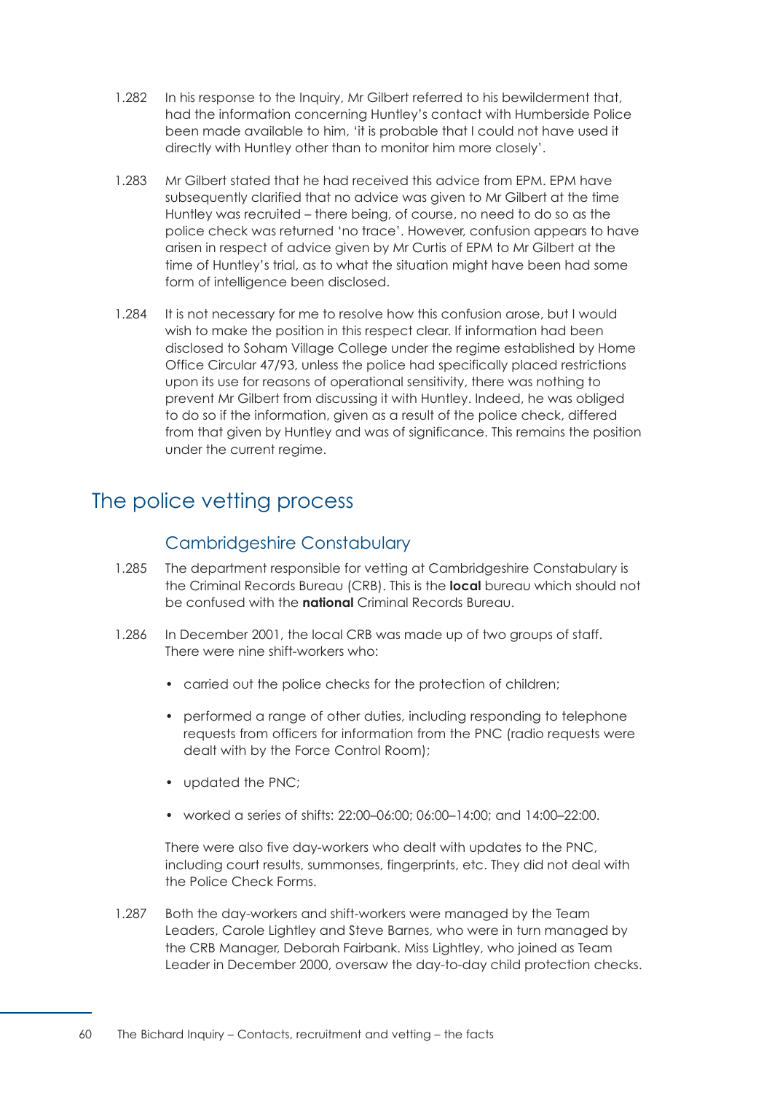- 1.282 In his response to the Inquiry, Mr Gilbert referred to his bewilderment that, had the information concerning Huntley's contact with Humberside Police been made available to him, 'it is probable that I could not have used it directly with Huntley other than to monitor him more closely'.
- 1.283 Mr Gilbert stated that he had received this advice from EPM. EPM have subsequently clarified that no advice was given to Mr Gilbert at the time Huntley was recruited – there being, of course, no need to do so as the police check was returned 'no trace'. However, confusion appears to have arisen in respect of advice given by Mr Curtis of EPM to Mr Gilbert at the time of Huntley's trial, as to what the situation might have been had some form of intelligence been disclosed.
- 1.284 It is not necessary for me to resolve how this confusion arose, but I would wish to make the position in this respect clear. If information had been disclosed to Soham Village College under the regime established by Home Office Circular 47/93, unless the police had specifically placed restrictions upon its use for reasons of operational sensitivity, there was nothing to prevent Mr Gilbert from discussing it with Huntley. Indeed, he was obliged to do so if the information, given as a result of the police check, differed from that given by Huntley and was of significance. This remains the position under the current regime.

# <span id="page-66-0"></span>The police vetting process

# Cambridgeshire Constabulary

- 1.285 The department responsible for vetting at Cambridgeshire Constabulary is the Criminal Records Bureau (CRB). This is the **local** bureau which should not be confused with the **national** Criminal Records Bureau.
- 1.286 In December 2001, the local CRB was made up of two groups of staff. There were nine shift-workers who:
	- carried out the police checks for the protection of children;
	- performed a range of other duties, including responding to telephone requests from officers for information from the PNC (radio requests were dealt with by the Force Control Room);
	- updated the PNC;
	- worked a series of shifts: 22:00–06:00; 06:00–14:00; and 14:00–22:00.

There were also five day-workers who dealt with updates to the PNC, including court results, summonses, fingerprints, etc. They did not deal with the Police Check Forms.

1.287 Both the day-workers and shift-workers were managed by the Team Leaders, Carole Lightley and Steve Barnes, who were in turn managed by the CRB Manager, Deborah Fairbank. Miss Lightley, who joined as Team Leader in December 2000, oversaw the day-to-day child protection checks.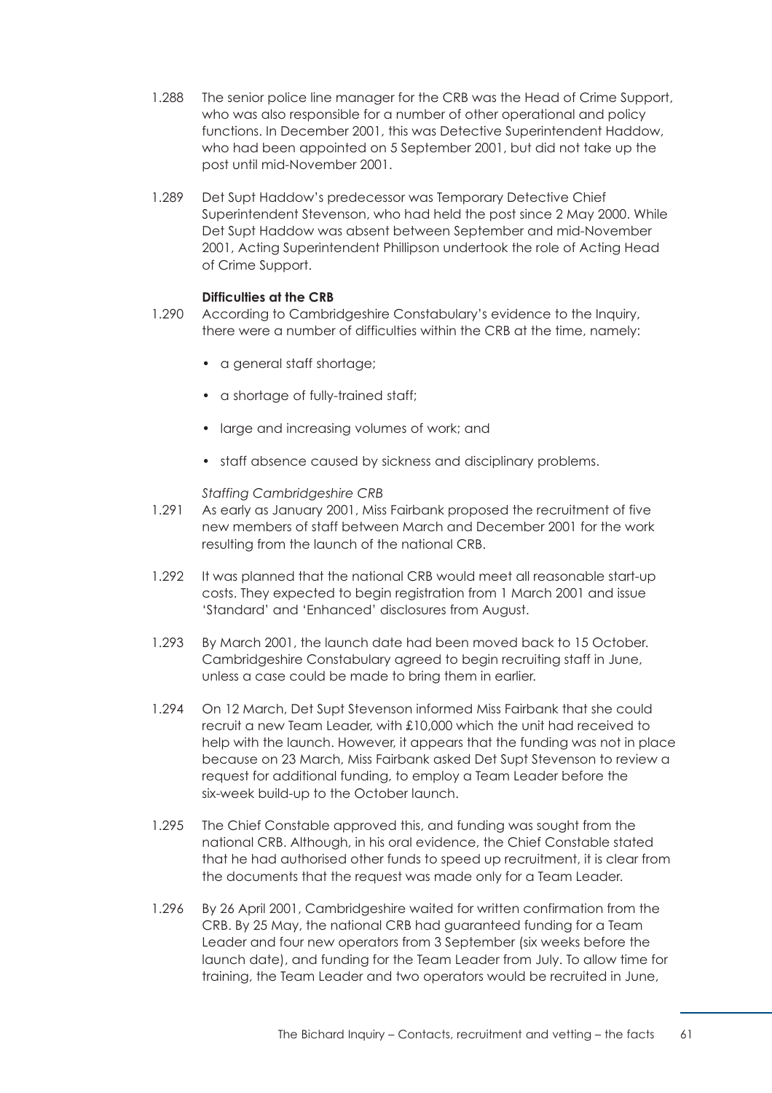- 1.288 The senior police line manager for the CRB was the Head of Crime Support, who was also responsible for a number of other operational and policy functions. In December 2001, this was Detective Superintendent Haddow, who had been appointed on 5 September 2001, but did not take up the post until mid-November 2001.
- 1.289 Det Supt Haddow's predecessor was Temporary Detective Chief Superintendent Stevenson, who had held the post since 2 May 2000. While Det Supt Haddow was absent between September and mid-November 2001, Acting Superintendent Phillipson undertook the role of Acting Head of Crime Support.

## **Difficulties at the CRB**

- 1.290 According to Cambridgeshire Constabulary's evidence to the Inquiry, there were a number of difficulties within the CRB at the time, namely:
	- a general staff shortage;
	- a shortage of fully-trained staff;
	- large and increasing volumes of work; and
	- staff absence caused by sickness and disciplinary problems.

## *Staffing Cambridgeshire CRB*

- 1.291 As early as January 2001, Miss Fairbank proposed the recruitment of five new members of staff between March and December 2001 for the work resulting from the launch of the national CRB.
- 1.292 It was planned that the national CRB would meet all reasonable start-up costs. They expected to begin registration from 1 March 2001 and issue 'Standard' and 'Enhanced' disclosures from August.
- 1.293 By March 2001, the launch date had been moved back to 15 October. Cambridgeshire Constabulary agreed to begin recruiting staff in June, unless a case could be made to bring them in earlier.
- 1.294 On 12 March, Det Supt Stevenson informed Miss Fairbank that she could recruit a new Team Leader, with £10,000 which the unit had received to help with the launch. However, it appears that the funding was not in place because on 23 March, Miss Fairbank asked Det Supt Stevenson to review a request for additional funding, to employ a Team Leader before the six-week build-up to the October launch.
- 1.295 The Chief Constable approved this, and funding was sought from the national CRB. Although, in his oral evidence, the Chief Constable stated that he had authorised other funds to speed up recruitment, it is clear from the documents that the request was made only for a Team Leader.
- 1.296 By 26 April 2001, Cambridgeshire waited for written confirmation from the CRB. By 25 May, the national CRB had guaranteed funding for a Team Leader and four new operators from 3 September (six weeks before the launch date), and funding for the Team Leader from July. To allow time for training, the Team Leader and two operators would be recruited in June,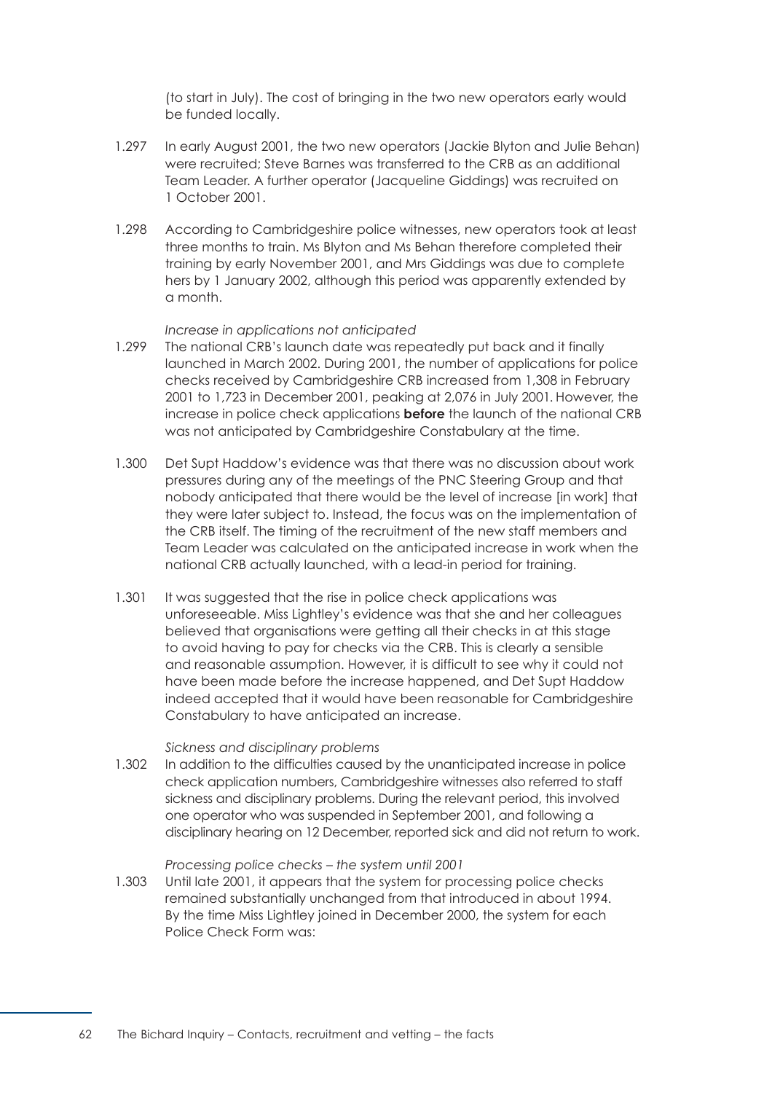(to start in July). The cost of bringing in the two new operators early would be funded locally.

- 1.297 In early August 2001, the two new operators (Jackie Blyton and Julie Behan) were recruited; Steve Barnes was transferred to the CRB as an additional Team Leader. A further operator (Jacqueline Giddings) was recruited on 1 October 2001.
- 1.298 According to Cambridgeshire police witnesses, new operators took at least three months to train. Ms Blyton and Ms Behan therefore completed their training by early November 2001, and Mrs Giddings was due to complete hers by 1 January 2002, although this period was apparently extended by a month.

#### *Increase in applications not anticipated*

- 1.299 The national CRB's launch date was repeatedly put back and it finally launched in March 2002. During 2001, the number of applications for police checks received by Cambridgeshire CRB increased from 1,308 in February 2001 to 1,723 in December 2001, peaking at 2,076 in July 2001. However, the increase in police check applications **before** the launch of the national CRB was not anticipated by Cambridgeshire Constabulary at the time.
- 1.300 Det Supt Haddow's evidence was that there was no discussion about work pressures during any of the meetings of the PNC Steering Group and that nobody anticipated that there would be the level of increase [in work] that they were later subject to. Instead, the focus was on the implementation of the CRB itself. The timing of the recruitment of the new staff members and Team Leader was calculated on the anticipated increase in work when the national CRB actually launched, with a lead-in period for training.
- 1.301 It was suggested that the rise in police check applications was unforeseeable. Miss Lightley's evidence was that she and her colleagues believed that organisations were getting all their checks in at this stage to avoid having to pay for checks via the CRB. This is clearly a sensible and reasonable assumption. However, it is difficult to see why it could not have been made before the increase happened, and Det Supt Haddow indeed accepted that it would have been reasonable for Cambridgeshire Constabulary to have anticipated an increase.

### *Sickness and disciplinary problems*

1.302 In addition to the difficulties caused by the unanticipated increase in police check application numbers, Cambridgeshire witnesses also referred to staff sickness and disciplinary problems. During the relevant period, this involved one operator who was suspended in September 2001, and following a disciplinary hearing on 12 December, reported sick and did not return to work.

#### *Processing police checks – the system until 2001*

1.303 Until late 2001, it appears that the system for processing police checks remained substantially unchanged from that introduced in about 1994. By the time Miss Lightley joined in December 2000, the system for each Police Check Form was: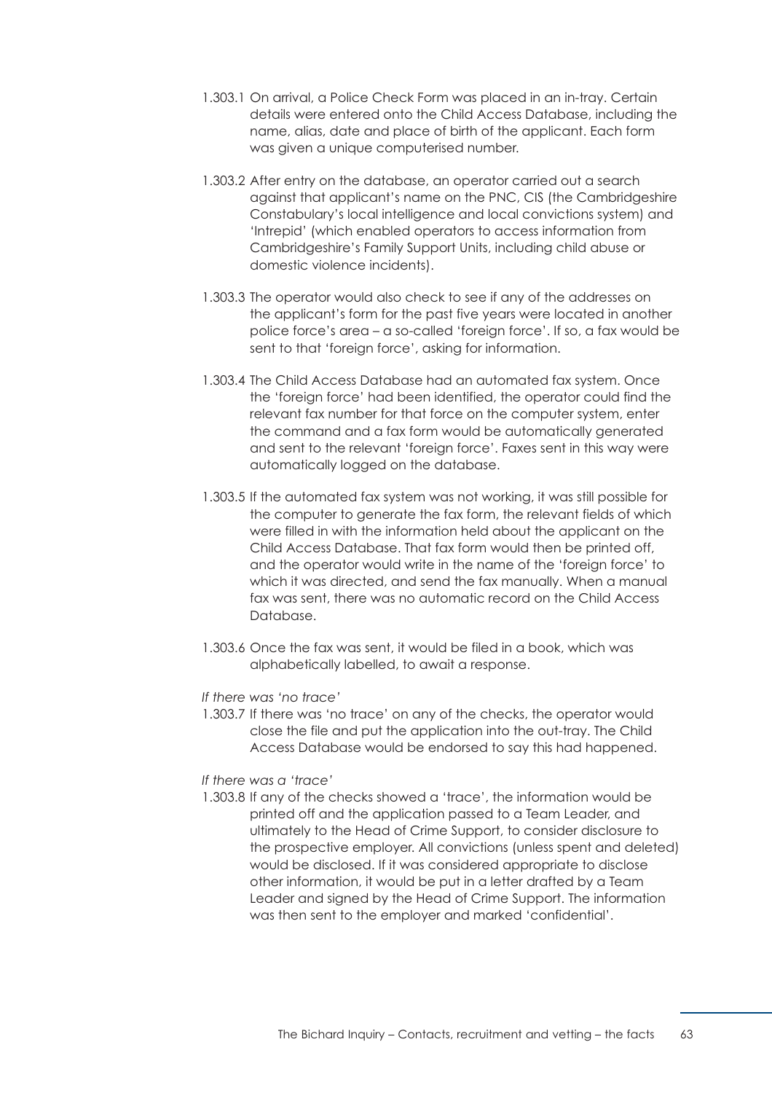- 1.303.1 On arrival, a Police Check Form was placed in an in-tray. Certain details were entered onto the Child Access Database, including the name, alias, date and place of birth of the applicant. Each form was given a unique computerised number.
- 1.303.2 After entry on the database, an operator carried out a search against that applicant's name on the PNC, CIS (the Cambridgeshire Constabulary's local intelligence and local convictions system) and 'Intrepid' (which enabled operators to access information from Cambridgeshire's Family Support Units, including child abuse or domestic violence incidents).
- 1.303.3 The operator would also check to see if any of the addresses on the applicant's form for the past five years were located in another police force's area – a so-called 'foreign force'. If so, a fax would be sent to that 'foreign force', asking for information.
- 1.303.4 The Child Access Database had an automated fax system. Once the 'foreign force' had been identified, the operator could find the relevant fax number for that force on the computer system, enter the command and a fax form would be automatically generated and sent to the relevant 'foreign force'. Faxes sent in this way were automatically logged on the database.
- 1.303.5 If the automated fax system was not working, it was still possible for the computer to generate the fax form, the relevant fields of which were filled in with the information held about the applicant on the Child Access Database. That fax form would then be printed off, and the operator would write in the name of the 'foreign force' to which it was directed, and send the fax manually. When a manual fax was sent, there was no automatic record on the Child Access Database.
- 1.303.6 Once the fax was sent, it would be filed in a book, which was alphabetically labelled, to await a response.

#### *If there was 'no trace'*

1.303.7 If there was 'no trace' on any of the checks, the operator would close the file and put the application into the out-tray. The Child Access Database would be endorsed to say this had happened.

## *If there was a 'trace'*

1.303.8 If any of the checks showed a 'trace', the information would be printed off and the application passed to a Team Leader, and ultimately to the Head of Crime Support, to consider disclosure to the prospective employer. All convictions (unless spent and deleted) would be disclosed. If it was considered appropriate to disclose other information, it would be put in a letter drafted by a Team Leader and signed by the Head of Crime Support. The information was then sent to the employer and marked 'confidential'.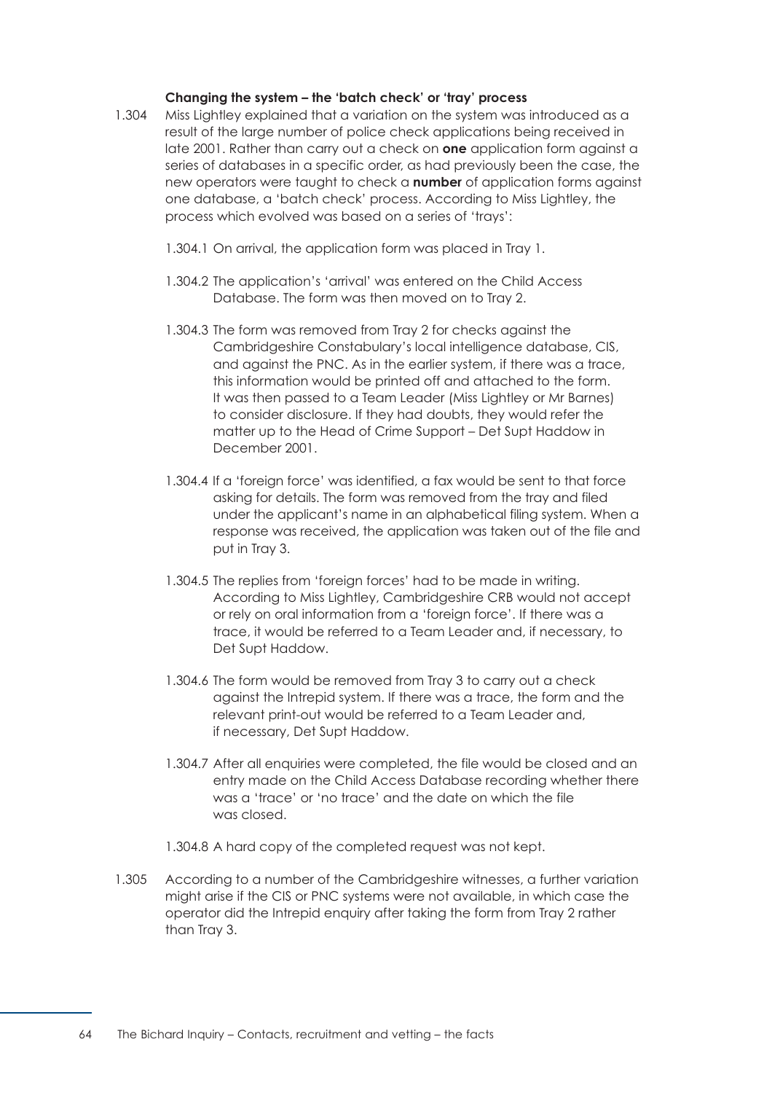## **Changing the system – the 'batch check' or 'tray' process**

- 1.304 Miss Lightley explained that a variation on the system was introduced as a result of the large number of police check applications being received in late 2001. Rather than carry out a check on **one** application form against a series of databases in a specific order, as had previously been the case, the new operators were taught to check a **number** of application forms against one database, a 'batch check' process. According to Miss Lightley, the process which evolved was based on a series of 'trays':
	- 1.304.1 On arrival, the application form was placed in Tray 1.
	- 1.304.2 The application's 'arrival' was entered on the Child Access Database. The form was then moved on to Tray 2.
	- 1.304.3 The form was removed from Tray 2 for checks against the Cambridgeshire Constabulary's local intelligence database, CIS, and against the PNC. As in the earlier system, if there was a trace, this information would be printed off and attached to the form. It was then passed to a Team Leader (Miss Lightley or Mr Barnes) to consider disclosure. If they had doubts, they would refer the matter up to the Head of Crime Support – Det Supt Haddow in December 2001.
	- 1.304.4 If a 'foreign force' was identified, a fax would be sent to that force asking for details. The form was removed from the tray and filed under the applicant's name in an alphabetical filing system. When a response was received, the application was taken out of the file and put in Tray 3.
	- 1.304.5 The replies from 'foreign forces' had to be made in writing. According to Miss Lightley, Cambridgeshire CRB would not accept or rely on oral information from a 'foreign force'. If there was a trace, it would be referred to a Team Leader and, if necessary, to Det Supt Haddow.
	- 1.304.6 The form would be removed from Tray 3 to carry out a check against the Intrepid system. If there was a trace, the form and the relevant print-out would be referred to a Team Leader and, if necessary, Det Supt Haddow.
	- 1.304.7 After all enquiries were completed, the file would be closed and an entry made on the Child Access Database recording whether there was a 'trace' or 'no trace' and the date on which the file was closed.
	- 1.304.8 A hard copy of the completed request was not kept.
- 1.305 According to a number of the Cambridgeshire witnesses, a further variation might arise if the CIS or PNC systems were not available, in which case the operator did the Intrepid enquiry after taking the form from Tray 2 rather than Tray 3.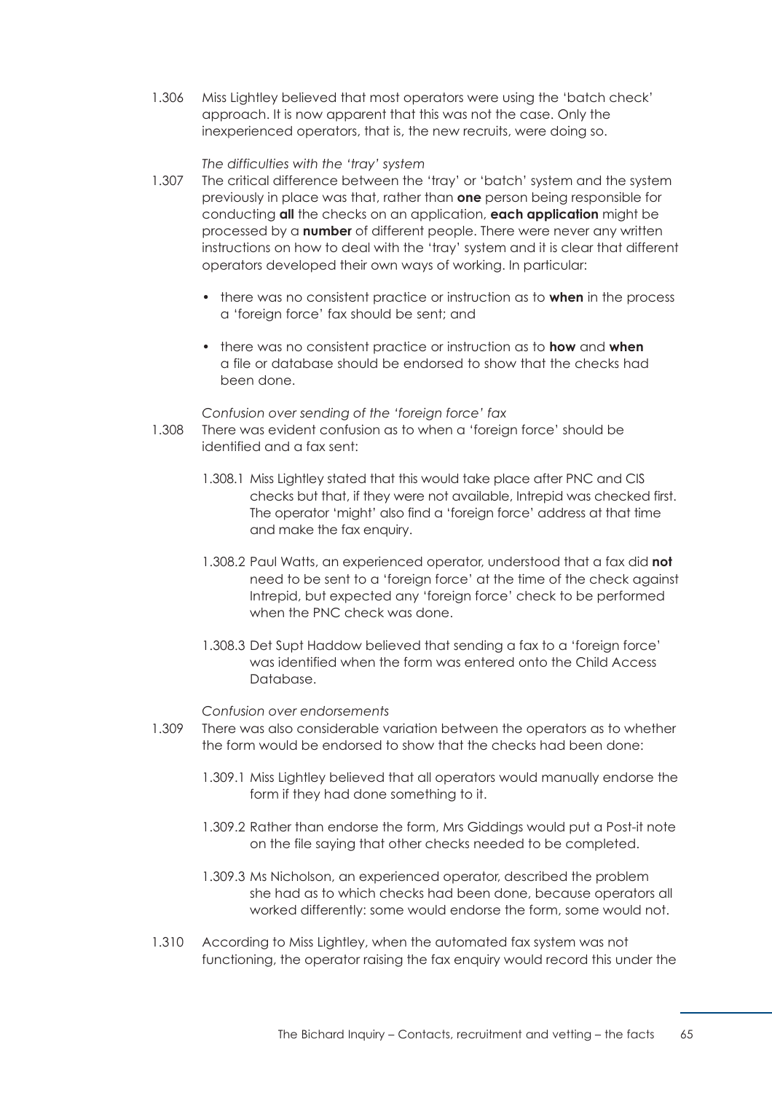1.306 Miss Lightley believed that most operators were using the 'batch check' approach. It is now apparent that this was not the case. Only the inexperienced operators, that is, the new recruits, were doing so.

## *The difficulties with the 'tray' system*

- 1.307 The critical difference between the 'tray' or 'batch' system and the system previously in place was that, rather than **one** person being responsible for conducting **all** the checks on an application, **each application** might be processed by a **number** of different people. There were never any written instructions on how to deal with the 'tray' system and it is clear that different operators developed their own ways of working. In particular:
	- there was no consistent practice or instruction as to **when** in the process a 'foreign force' fax should be sent; and
	- there was no consistent practice or instruction as to **how** and when a file or database should be endorsed to show that the checks had been done.

#### *Confusion over sending of the 'foreign force' fax*

- 1.308 There was evident confusion as to when a 'foreign force' should be identified and a fax sent:
	- 1.308.1 Miss Lightley stated that this would take place after PNC and CIS checks but that, if they were not available, Intrepid was checked first. The operator 'might' also find a 'foreign force' address at that time and make the fax enquiry.
	- 1.308.2 Paul Watts, an experienced operator, understood that a fax did **not**  need to be sent to a 'foreign force' at the time of the check against Intrepid, but expected any 'foreign force' check to be performed when the PNC check was done.
	- 1.308.3 Det Supt Haddow believed that sending a fax to a 'foreign force' was identified when the form was entered onto the Child Access Database.

## *Confusion over endorsements*

- 1.309 There was also considerable variation between the operators as to whether the form would be endorsed to show that the checks had been done:
	- 1.309.1 Miss Lightley believed that all operators would manually endorse the form if they had done something to it.
	- 1.309.2 Rather than endorse the form, Mrs Giddings would put a Post-it note on the file saying that other checks needed to be completed.
	- 1.309.3 Ms Nicholson, an experienced operator, described the problem she had as to which checks had been done, because operators all worked differently: some would endorse the form, some would not.
- 1.310 According to Miss Lightley, when the automated fax system was not functioning, the operator raising the fax enquiry would record this under the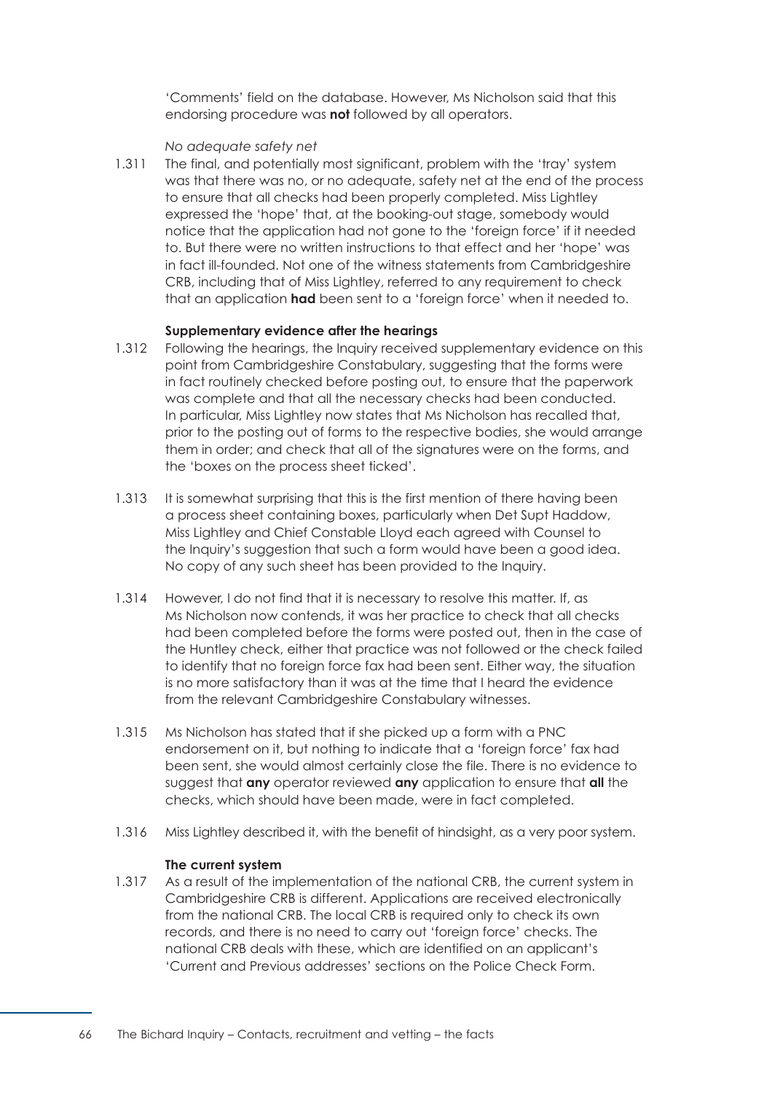'Comments' field on the database. However, Ms Nicholson said that this endorsing procedure was **not** followed by all operators.

#### *No adequate safety net*

1.311 The final, and potentially most significant, problem with the 'tray' system was that there was no, or no adequate, safety net at the end of the process to ensure that all checks had been properly completed. Miss Lightley expressed the 'hope' that, at the booking-out stage, somebody would notice that the application had not gone to the 'foreign force' if it needed to. But there were no written instructions to that effect and her 'hope' was in fact ill-founded. Not one of the witness statements from Cambridgeshire CRB, including that of Miss Lightley, referred to any requirement to check that an application **had** been sent to a 'foreign force' when it needed to.

#### **Supplementary evidence after the hearings**

- 1.312 Following the hearings, the Inquiry received supplementary evidence on this point from Cambridgeshire Constabulary, suggesting that the forms were in fact routinely checked before posting out, to ensure that the paperwork was complete and that all the necessary checks had been conducted. In particular, Miss Lightley now states that Ms Nicholson has recalled that, prior to the posting out of forms to the respective bodies, she would arrange them in order; and check that all of the signatures were on the forms, and the 'boxes on the process sheet ticked'.
- 1.313 It is somewhat surprising that this is the first mention of there having been a process sheet containing boxes, particularly when Det Supt Haddow, Miss Lightley and Chief Constable Lloyd each agreed with Counsel to the Inquiry's suggestion that such a form would have been a good idea. No copy of any such sheet has been provided to the Inquiry.
- 1.314 However, I do not find that it is necessary to resolve this matter. If, as Ms Nicholson now contends, it was her practice to check that all checks had been completed before the forms were posted out, then in the case of the Huntley check, either that practice was not followed or the check failed to identify that no foreign force fax had been sent. Either way, the situation is no more satisfactory than it was at the time that I heard the evidence from the relevant Cambridgeshire Constabulary witnesses.
- 1.315 Ms Nicholson has stated that if she picked up a form with a PNC endorsement on it, but nothing to indicate that a 'foreign force' fax had been sent, she would almost certainly close the file. There is no evidence to suggest that **any** operator reviewed **any** application to ensure that **all** the checks, which should have been made, were in fact completed.
- 1.316 Miss Lightley described it, with the benefit of hindsight, as a very poor system.

#### **The current system**

1.317 As a result of the implementation of the national CRB, the current system in Cambridgeshire CRB is different. Applications are received electronically from the national CRB. The local CRB is required only to check its own records, and there is no need to carry out 'foreign force' checks. The national CRB deals with these, which are identified on an applicant's 'Current and Previous addresses' sections on the Police Check Form.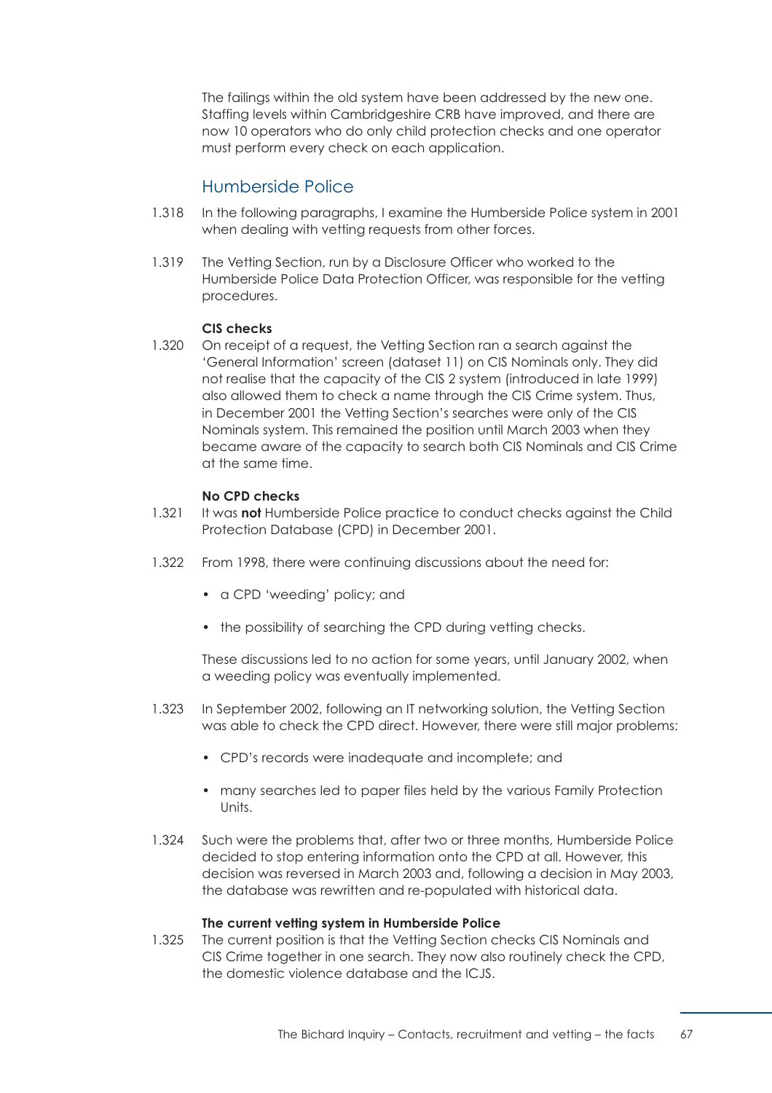The failings within the old system have been addressed by the new one. Staffing levels within Cambridgeshire CRB have improved, and there are now 10 operators who do only child protection checks and one operator must perform every check on each application.

# Humberside Police

- 1.318 In the following paragraphs, I examine the Humberside Police system in 2001 when dealing with vetting requests from other forces.
- 1.319 The Vetting Section, run by a Disclosure Officer who worked to the Humberside Police Data Protection Officer, was responsible for the vetting procedures.

#### **CIS checks**

1.320 On receipt of a request, the Vetting Section ran a search against the 'General Information' screen (dataset 11) on CIS Nominals only. They did not realise that the capacity of the CIS 2 system (introduced in late 1999) also allowed them to check a name through the CIS Crime system. Thus, in December 2001 the Vetting Section's searches were only of the CIS Nominals system. This remained the position until March 2003 when they became aware of the capacity to search both CIS Nominals and CIS Crime at the same time.

#### **No CPD checks**

- 1.321 It was **not** Humberside Police practice to conduct checks against the Child Protection Database (CPD) in December 2001.
- 1.322 From 1998, there were continuing discussions about the need for:
	- a CPD 'weeding' policy; and
	- the possibility of searching the CPD during vetting checks.

These discussions led to no action for some years, until January 2002, when a weeding policy was eventually implemented.

- 1.323 In September 2002, following an IT networking solution, the Vetting Section was able to check the CPD direct. However, there were still major problems:
	- CPD's records were inadequate and incomplete; and
	- many searches led to paper files held by the various Family Protection Units.
- 1.324 Such were the problems that, after two or three months, Humberside Police decided to stop entering information onto the CPD at all. However, this decision was reversed in March 2003 and, following a decision in May 2003, the database was rewritten and re-populated with historical data.

#### **The current vetting system in Humberside Police**

1.325 The current position is that the Vetting Section checks CIS Nominals and CIS Crime together in one search. They now also routinely check the CPD, the domestic violence database and the ICJS.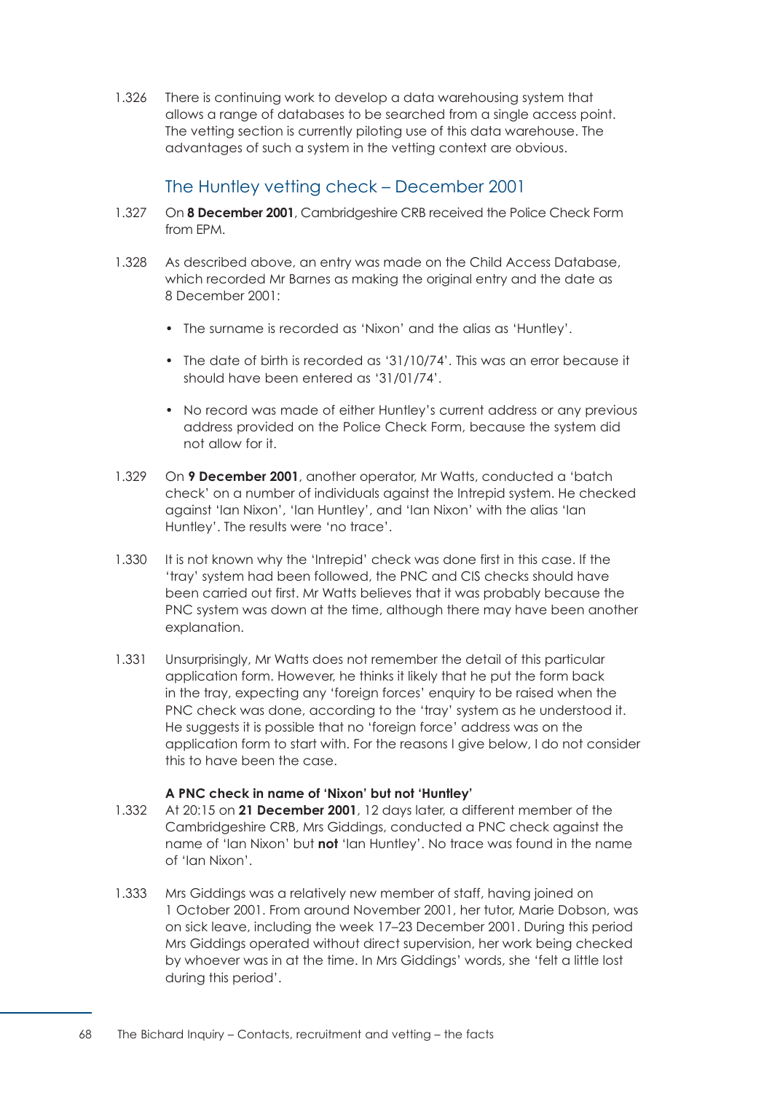1.326 There is continuing work to develop a data warehousing system that allows a range of databases to be searched from a single access point. The vetting section is currently piloting use of this data warehouse. The advantages of such a system in the vetting context are obvious.

# The Huntley vetting check – December 2001

- 1.327 On **8 December 2001**, Cambridgeshire CRB received the Police Check Form from EPM.
- 1.328 As described above, an entry was made on the Child Access Database, which recorded Mr Barnes as making the original entry and the date as 8 December 2001:
	- The surname is recorded as 'Nixon' and the alias as 'Huntley'.
	- The date of birth is recorded as '31/10/74'. This was an error because it should have been entered as '31/01/74'.
	- No record was made of either Huntley's current address or any previous address provided on the Police Check Form, because the system did not allow for it.
- 1.329 On **9 December 2001**, another operator, Mr Watts, conducted a 'batch check' on a number of individuals against the Intrepid system. He checked against 'Ian Nixon', 'Ian Huntley', and 'Ian Nixon' with the alias 'Ian Huntley'. The results were 'no trace'.
- 1.330 It is not known why the 'Intrepid' check was done first in this case. If the 'tray' system had been followed, the PNC and CIS checks should have been carried out first. Mr Watts believes that it was probably because the PNC system was down at the time, although there may have been another explanation.
- 1.331 Unsurprisingly, Mr Watts does not remember the detail of this particular application form. However, he thinks it likely that he put the form back in the tray, expecting any 'foreign forces' enquiry to be raised when the PNC check was done, according to the 'tray' system as he understood it. He suggests it is possible that no 'foreign force' address was on the application form to start with. For the reasons I give below, I do not consider this to have been the case.

## **A PNC check in name of 'Nixon' but not 'Huntley'**

- 1.332 At 20:15 on **21 December 2001**, 12 days later, a different member of the Cambridgeshire CRB, Mrs Giddings, conducted a PNC check against the name of 'Ian Nixon' but **not** 'Ian Huntley'. No trace was found in the name of 'Ian Nixon'.
- 1.333 Mrs Giddings was a relatively new member of staff, having joined on 1 October 2001. From around November 2001, her tutor, Marie Dobson, was on sick leave, including the week 17–23 December 2001. During this period Mrs Giddings operated without direct supervision, her work being checked by whoever was in at the time. In Mrs Giddings' words, she 'felt a little lost during this period'.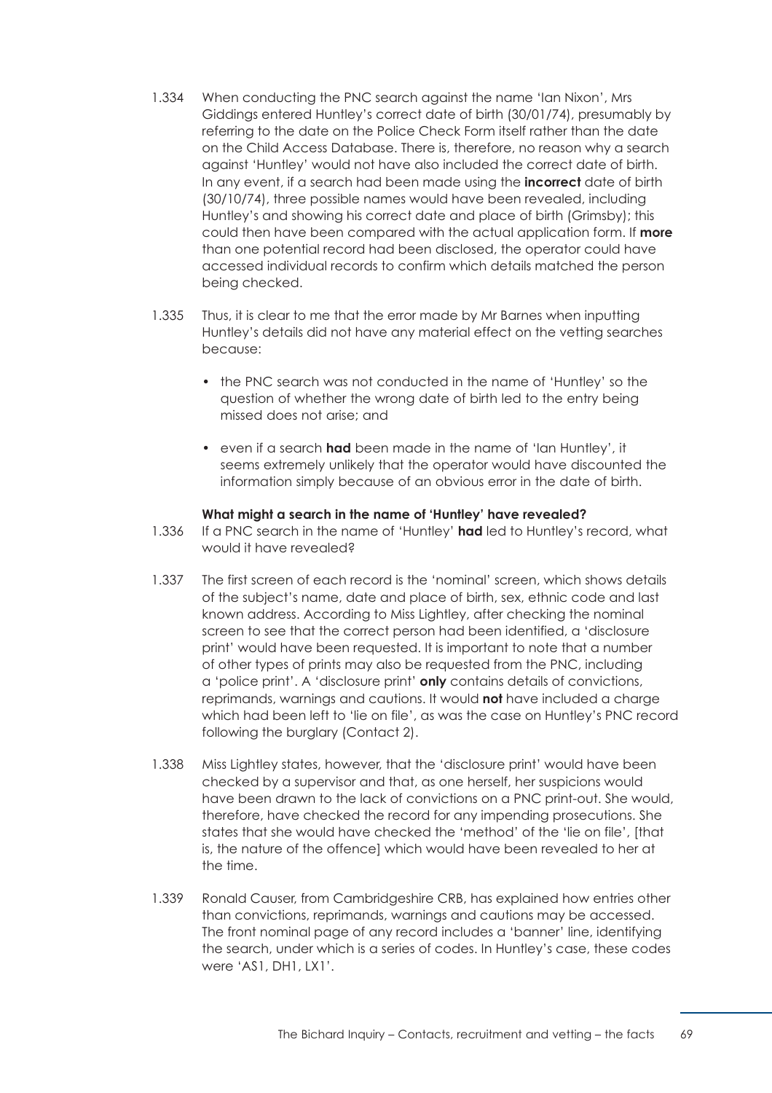- 1.334 When conducting the PNC search against the name 'Ian Nixon', Mrs Giddings entered Huntley's correct date of birth (30/01/74), presumably by referring to the date on the Police Check Form itself rather than the date on the Child Access Database. There is, therefore, no reason why a search against 'Huntley' would not have also included the correct date of birth. In any event, if a search had been made using the **incorrect** date of birth (30/10/74), three possible names would have been revealed, including Huntley's and showing his correct date and place of birth (Grimsby); this could then have been compared with the actual application form. If **more**  than one potential record had been disclosed, the operator could have accessed individual records to confirm which details matched the person being checked.
- 1.335 Thus, it is clear to me that the error made by Mr Barnes when inputting Huntley's details did not have any material effect on the vetting searches because:
	- the PNC search was not conducted in the name of 'Huntley' so the question of whether the wrong date of birth led to the entry being missed does not arise; and
	- even if a search **had** been made in the name of 'Ian Huntley', it seems extremely unlikely that the operator would have discounted the information simply because of an obvious error in the date of birth.

## **What might a search in the name of 'Huntley' have revealed?**

- 1.336 If a PNC search in the name of 'Huntley' **had** led to Huntley's record, what would it have revealed?
- 1.337 The first screen of each record is the 'nominal' screen, which shows details of the subject's name, date and place of birth, sex, ethnic code and last known address. According to Miss Lightley, after checking the nominal screen to see that the correct person had been identified, a 'disclosure print' would have been requested. It is important to note that a number of other types of prints may also be requested from the PNC, including a 'police print'. A 'disclosure print' **only** contains details of convictions, reprimands, warnings and cautions. It would **not** have included a charge which had been left to 'lie on file', as was the case on Huntley's PNC record following the burglary (Contact 2).
- 1.338 Miss Lightley states, however, that the 'disclosure print' would have been checked by a supervisor and that, as one herself, her suspicions would have been drawn to the lack of convictions on a PNC print-out. She would, therefore, have checked the record for any impending prosecutions. She states that she would have checked the 'method' of the 'lie on file', [that is, the nature of the offence] which would have been revealed to her at the time.
- 1.339 Ronald Causer, from Cambridgeshire CRB, has explained how entries other than convictions, reprimands, warnings and cautions may be accessed. The front nominal page of any record includes a 'banner' line, identifying the search, under which is a series of codes. In Huntley's case, these codes were 'AS1, DH1, LX1'.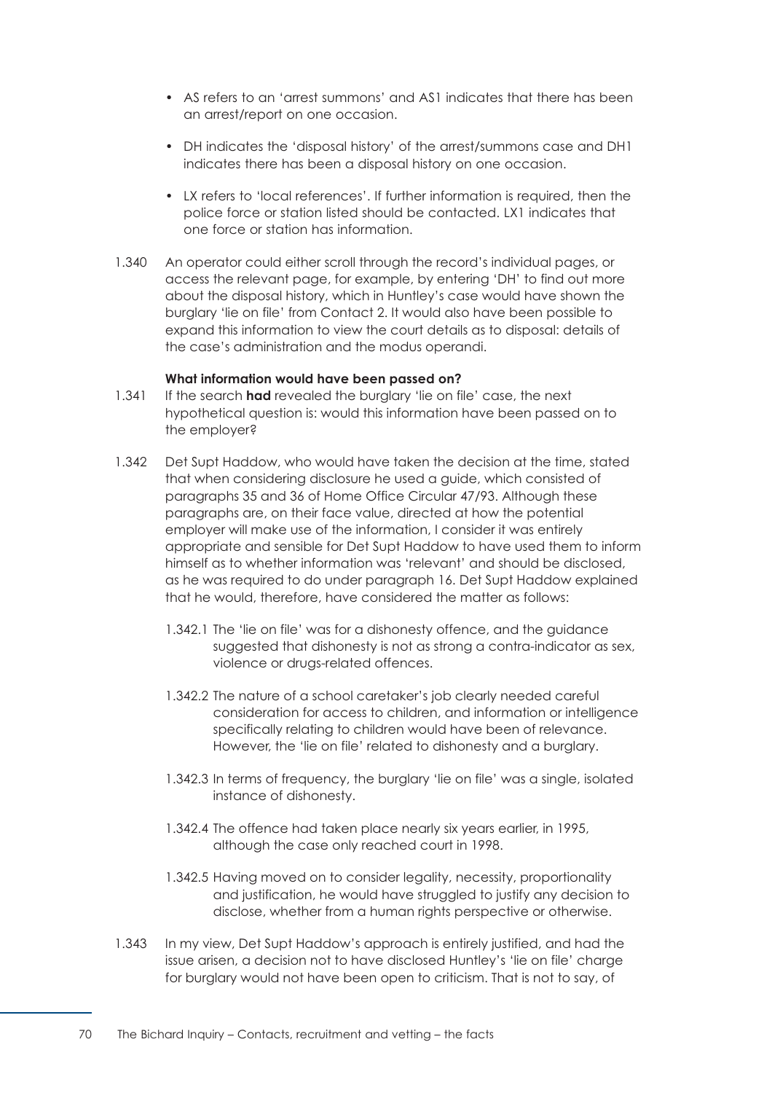- AS refers to an 'arrest summons' and AS1 indicates that there has been an arrest/report on one occasion.
- DH indicates the 'disposal history' of the arrest/summons case and DH1 indicates there has been a disposal history on one occasion.
- LX refers to 'local references'. If further information is required, then the police force or station listed should be contacted. LX1 indicates that one force or station has information.
- 1.340 An operator could either scroll through the record's individual pages, or access the relevant page, for example, by entering 'DH' to find out more about the disposal history, which in Huntley's case would have shown the burglary 'lie on file' from Contact 2. It would also have been possible to expand this information to view the court details as to disposal: details of the case's administration and the modus operandi.

#### **What information would have been passed on?**

- 1.341 If the search **had** revealed the burglary 'lie on file' case, the next hypothetical question is: would this information have been passed on to the employer?
- 1.342 Det Supt Haddow, who would have taken the decision at the time, stated that when considering disclosure he used a guide, which consisted of paragraphs 35 and 36 of Home Office Circular 47/93. Although these paragraphs are, on their face value, directed at how the potential employer will make use of the information, I consider it was entirely appropriate and sensible for Det Supt Haddow to have used them to inform himself as to whether information was 'relevant' and should be disclosed, as he was required to do under paragraph 16. Det Supt Haddow explained that he would, therefore, have considered the matter as follows:
	- 1.342.1 The 'lie on file' was for a dishonesty offence, and the quidance suggested that dishonesty is not as strong a contra-indicator as sex, violence or drugs-related offences.
	- 1.342.2 The nature of a school caretaker's job clearly needed careful consideration for access to children, and information or intelligence specifically relating to children would have been of relevance. However, the 'lie on file' related to dishonesty and a burglary.
	- 1.342.3 In terms of frequency, the burglary 'lie on file' was a single, isolated instance of dishonesty.
	- 1.342.4 The offence had taken place nearly six years earlier, in 1995, although the case only reached court in 1998.
	- 1.342.5 Having moved on to consider legality, necessity, proportionality and justification, he would have struggled to justify any decision to disclose, whether from a human rights perspective or otherwise.
- 1.343 In my view, Det Supt Haddow's approach is entirely justified, and had the issue arisen, a decision not to have disclosed Huntley's 'lie on file' charge for burglary would not have been open to criticism. That is not to say, of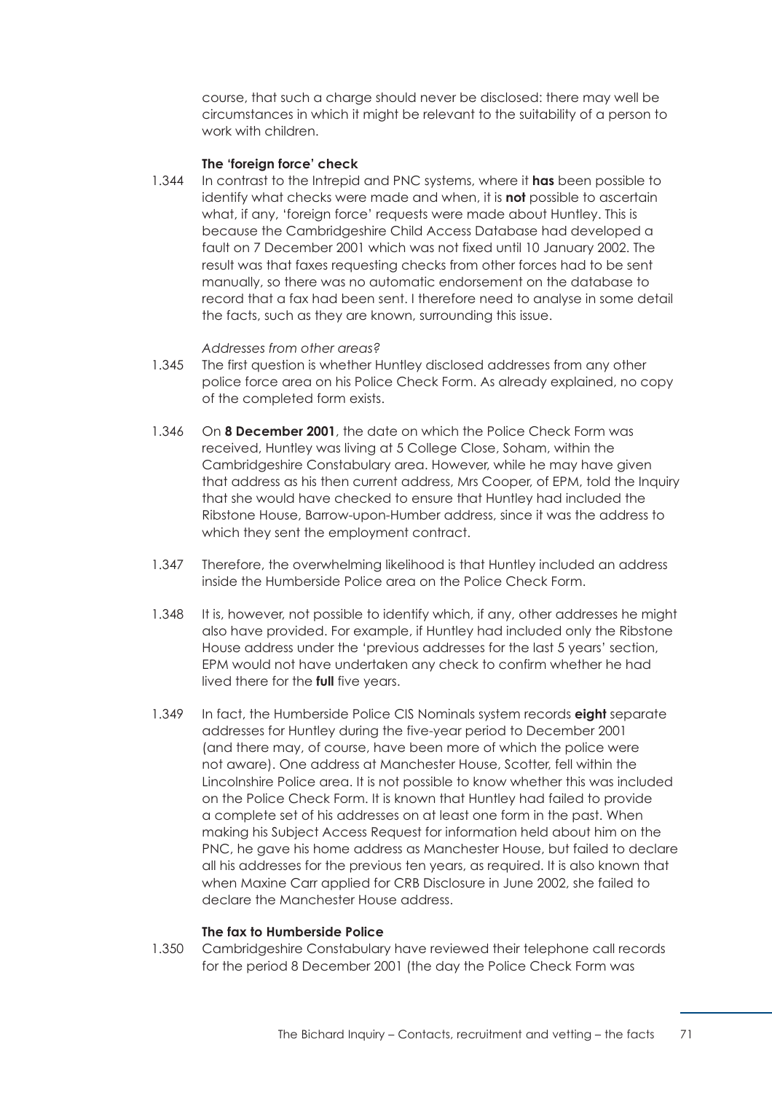course, that such a charge should never be disclosed: there may well be circumstances in which it might be relevant to the suitability of a person to work with children.

#### **The 'foreign force' check**

1.344 In contrast to the Intrepid and PNC systems, where it **has** been possible to identify what checks were made and when, it is **not** possible to ascertain what, if any, 'foreign force' requests were made about Huntley. This is because the Cambridgeshire Child Access Database had developed a fault on 7 December 2001 which was not fixed until 10 January 2002. The result was that faxes requesting checks from other forces had to be sent manually, so there was no automatic endorsement on the database to record that a fax had been sent. I therefore need to analyse in some detail the facts, such as they are known, surrounding this issue.

## *Addresses from other areas?*

- 1.345 The first question is whether Huntley disclosed addresses from any other police force area on his Police Check Form. As already explained, no copy of the completed form exists.
- 1.346 On **8 December 2001**, the date on which the Police Check Form was received, Huntley was living at 5 College Close, Soham, within the Cambridgeshire Constabulary area. However, while he may have given that address as his then current address, Mrs Cooper, of EPM, told the Inquiry that she would have checked to ensure that Huntley had included the Ribstone House, Barrow-upon-Humber address, since it was the address to which they sent the employment contract.
- 1.347 Therefore, the overwhelming likelihood is that Huntley included an address inside the Humberside Police area on the Police Check Form.
- 1.348 It is, however, not possible to identify which, if any, other addresses he might also have provided. For example, if Huntley had included only the Ribstone House address under the 'previous addresses for the last 5 years' section, EPM would not have undertaken any check to confirm whether he had lived there for the **full** five years.
- 1.349 In fact, the Humberside Police CIS Nominals system records **eight** separate addresses for Huntley during the five-year period to December 2001 (and there may, of course, have been more of which the police were not aware). One address at Manchester House, Scotter, fell within the Lincolnshire Police area. It is not possible to know whether this was included on the Police Check Form. It is known that Huntley had failed to provide a complete set of his addresses on at least one form in the past. When making his Subject Access Request for information held about him on the PNC, he gave his home address as Manchester House, but failed to declare all his addresses for the previous ten years, as required. It is also known that when Maxine Carr applied for CRB Disclosure in June 2002, she failed to declare the Manchester House address.

#### **The fax to Humberside Police**

1.350 Cambridgeshire Constabulary have reviewed their telephone call records for the period 8 December 2001 (the day the Police Check Form was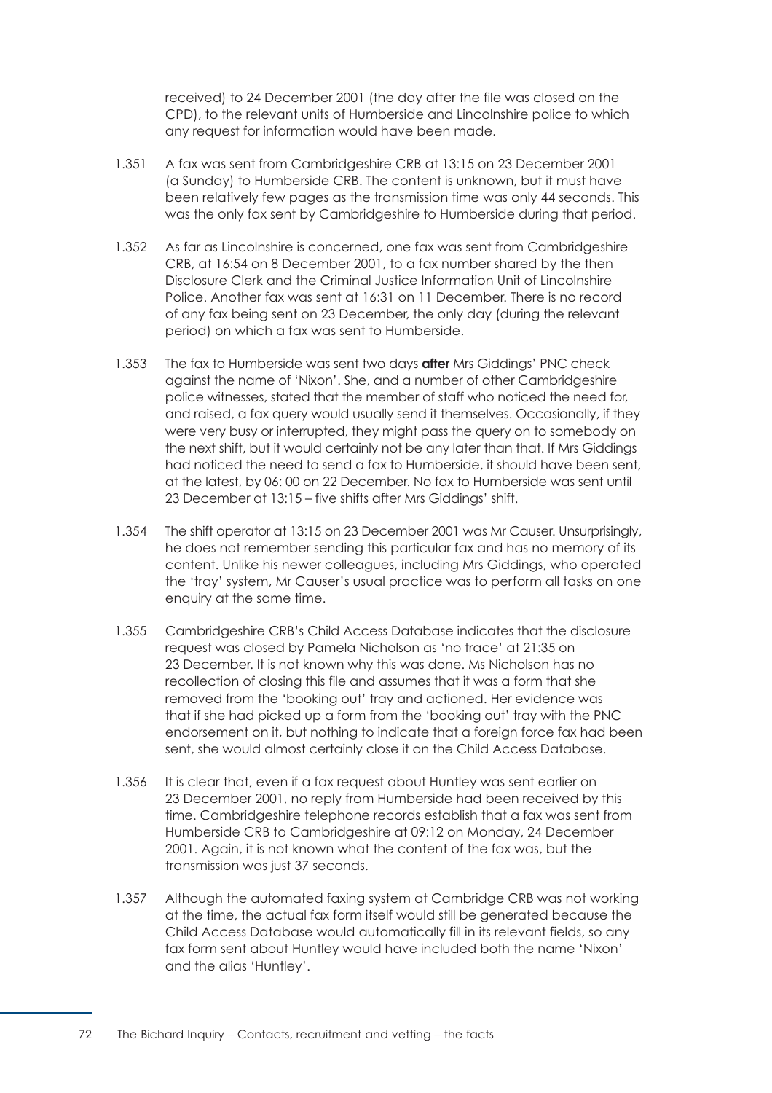received) to 24 December 2001 (the day after the file was closed on the CPD), to the relevant units of Humberside and Lincolnshire police to which any request for information would have been made.

- 1.351 A fax was sent from Cambridgeshire CRB at 13:15 on 23 December 2001 (a Sunday) to Humberside CRB. The content is unknown, but it must have been relatively few pages as the transmission time was only 44 seconds. This was the only fax sent by Cambridgeshire to Humberside during that period.
- 1.352 As far as Lincolnshire is concerned, one fax was sent from Cambridgeshire CRB, at 16:54 on 8 December 2001, to a fax number shared by the then Disclosure Clerk and the Criminal Justice Information Unit of Lincolnshire Police. Another fax was sent at 16:31 on 11 December. There is no record of any fax being sent on 23 December, the only day (during the relevant period) on which a fax was sent to Humberside.
- 1.353 The fax to Humberside was sent two days **after** Mrs Giddings' PNC check against the name of 'Nixon'. She, and a number of other Cambridgeshire police witnesses, stated that the member of staff who noticed the need for, and raised, a fax query would usually send it themselves. Occasionally, if they were very busy or interrupted, they might pass the query on to somebody on the next shift, but it would certainly not be any later than that. If Mrs Giddings had noticed the need to send a fax to Humberside, it should have been sent, at the latest, by 06: 00 on 22 December. No fax to Humberside was sent until 23 December at 13:15 – five shifts after Mrs Giddings' shift.
- 1.354 The shift operator at 13:15 on 23 December 2001 was Mr Causer. Unsurprisingly, he does not remember sending this particular fax and has no memory of its content. Unlike his newer colleagues, including Mrs Giddings, who operated the 'tray' system, Mr Causer's usual practice was to perform all tasks on one enquiry at the same time.
- 1.355 Cambridgeshire CRB's Child Access Database indicates that the disclosure request was closed by Pamela Nicholson as 'no trace' at 21:35 on 23 December. It is not known why this was done. Ms Nicholson has no recollection of closing this file and assumes that it was a form that she removed from the 'booking out' tray and actioned. Her evidence was that if she had picked up a form from the 'booking out' tray with the PNC endorsement on it, but nothing to indicate that a foreign force fax had been sent, she would almost certainly close it on the Child Access Database.
- 1.356 It is clear that, even if a fax request about Huntley was sent earlier on 23 December 2001, no reply from Humberside had been received by this time. Cambridgeshire telephone records establish that a fax was sent from Humberside CRB to Cambridgeshire at 09:12 on Monday, 24 December 2001. Again, it is not known what the content of the fax was, but the transmission was just 37 seconds.
- 1.357 Although the automated faxing system at Cambridge CRB was not working at the time, the actual fax form itself would still be generated because the Child Access Database would automatically fill in its relevant fields, so any fax form sent about Huntley would have included both the name 'Nixon' and the alias 'Huntley'.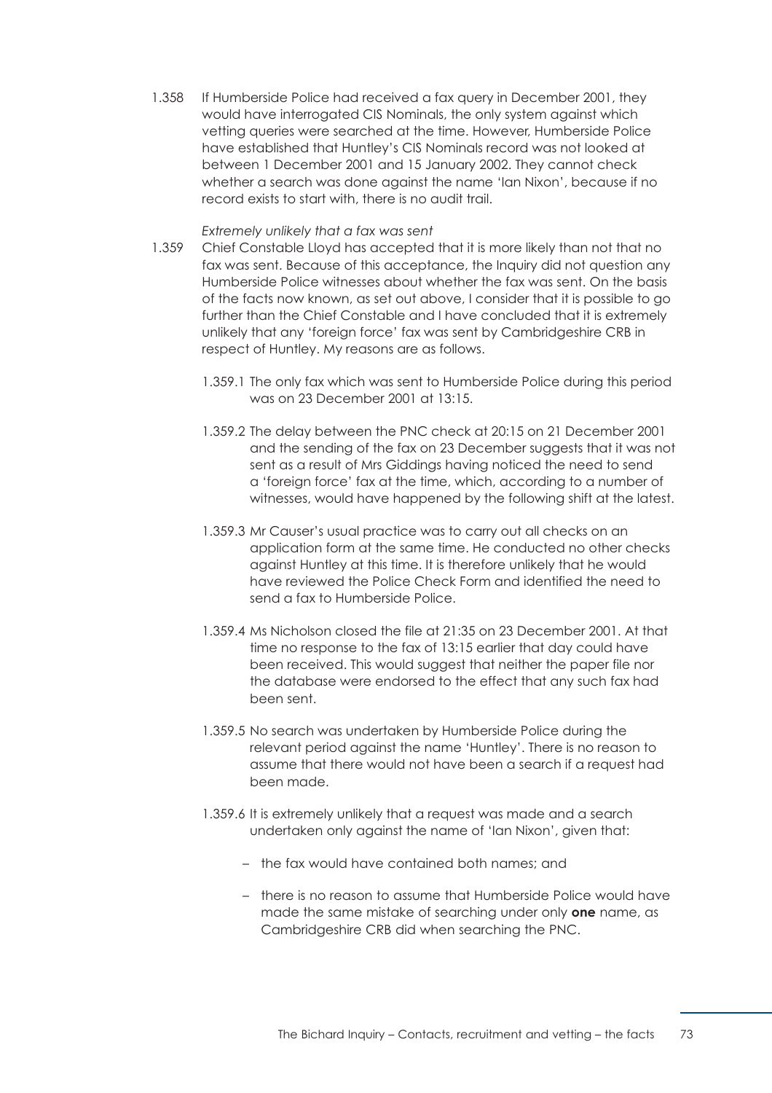1.358 If Humberside Police had received a fax query in December 2001, they would have interrogated CIS Nominals, the only system against which vetting queries were searched at the time. However, Humberside Police have established that Huntley's CIS Nominals record was not looked at between 1 December 2001 and 15 January 2002. They cannot check whether a search was done against the name 'Ian Nixon', because if no record exists to start with, there is no audit trail.

#### *Extremely unlikely that a fax was sent*

- 1.359 Chief Constable Lloyd has accepted that it is more likely than not that no fax was sent. Because of this acceptance, the Inquiry did not question any Humberside Police witnesses about whether the fax was sent. On the basis of the facts now known, as set out above, I consider that it is possible to go further than the Chief Constable and I have concluded that it is extremely unlikely that any 'foreign force' fax was sent by Cambridgeshire CRB in respect of Huntley. My reasons are as follows.
	- 1.359.1 The only fax which was sent to Humberside Police during this period was on 23 December 2001 at 13:15.
	- 1.359.2 The delay between the PNC check at 20:15 on 21 December 2001 and the sending of the fax on 23 December suggests that it was not sent as a result of Mrs Giddings having noticed the need to send a 'foreign force' fax at the time, which, according to a number of witnesses, would have happened by the following shift at the latest.
	- 1.359.3 Mr Causer's usual practice was to carry out all checks on an application form at the same time. He conducted no other checks against Huntley at this time. It is therefore unlikely that he would have reviewed the Police Check Form and identified the need to send a fax to Humberside Police.
	- 1.359.4 Ms Nicholson closed the file at 21:35 on 23 December 2001. At that time no response to the fax of 13:15 earlier that day could have been received. This would suggest that neither the paper file nor the database were endorsed to the effect that any such fax had been sent.
	- 1.359.5 No search was undertaken by Humberside Police during the relevant period against the name 'Huntley'. There is no reason to assume that there would not have been a search if a request had been made.
	- 1.359.6 It is extremely unlikely that a request was made and a search undertaken only against the name of 'Ian Nixon', given that:
		- the fax would have contained both names; and
		- there is no reason to assume that Humberside Police would have made the same mistake of searching under only **one** name, as Cambridgeshire CRB did when searching the PNC.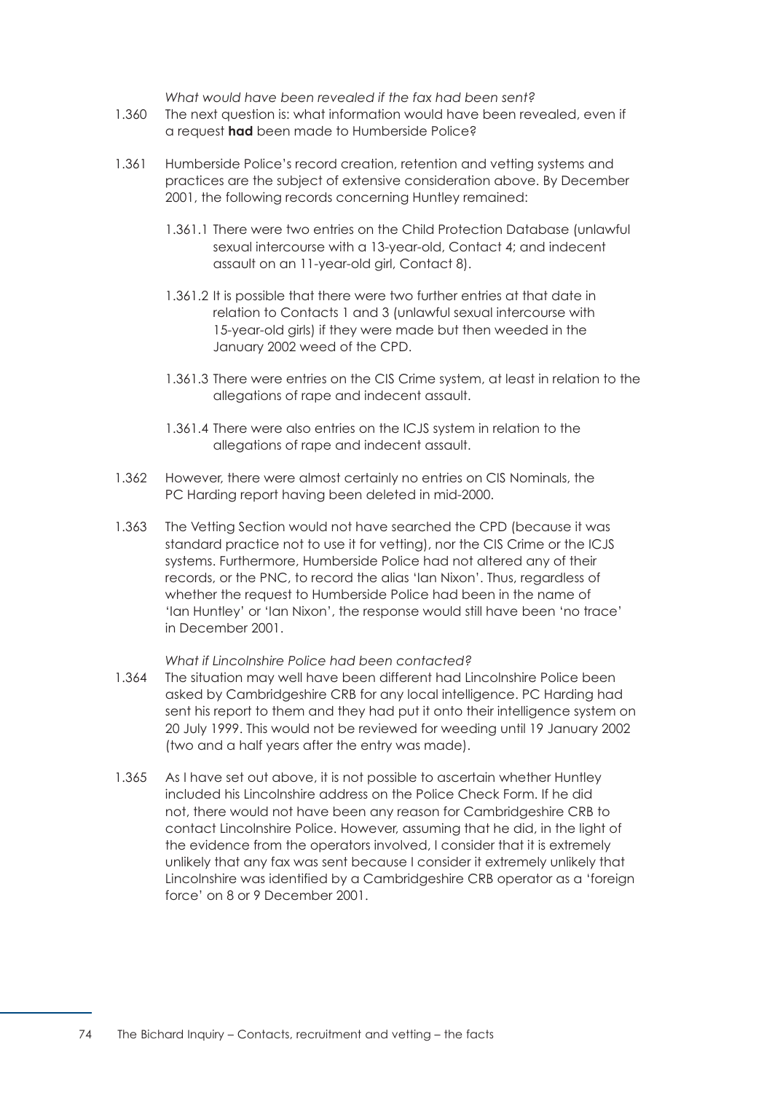*What would have been revealed if the fax had been sent?* 

- 1.360 The next question is: what information would have been revealed, even if a request **had** been made to Humberside Police?
- 1.361 Humberside Police's record creation, retention and vetting systems and practices are the subject of extensive consideration above. By December 2001, the following records concerning Huntley remained:
	- 1.361.1 There were two entries on the Child Protection Database (unlawful sexual intercourse with a 13-year-old, Contact 4; and indecent assault on an 11-year-old girl, Contact 8).
	- 1.361.2 It is possible that there were two further entries at that date in relation to Contacts 1 and 3 (unlawful sexual intercourse with 15-year-old girls) if they were made but then weeded in the January 2002 weed of the CPD.
	- 1.361.3 There were entries on the CIS Crime system, at least in relation to the allegations of rape and indecent assault.
	- 1.361.4 There were also entries on the ICJS system in relation to the allegations of rape and indecent assault.
- 1.362 However, there were almost certainly no entries on CIS Nominals, the PC Harding report having been deleted in mid-2000.
- 1.363 The Vetting Section would not have searched the CPD (because it was standard practice not to use it for vetting), nor the CIS Crime or the ICJS systems. Furthermore, Humberside Police had not altered any of their records, or the PNC, to record the alias 'Ian Nixon'. Thus, regardless of whether the request to Humberside Police had been in the name of 'Ian Huntley' or 'Ian Nixon', the response would still have been 'no trace' in December 2001.

## *What if Lincolnshire Police had been contacted?*

- 1.364 The situation may well have been different had Lincolnshire Police been asked by Cambridgeshire CRB for any local intelligence. PC Harding had sent his report to them and they had put it onto their intelligence system on 20 July 1999. This would not be reviewed for weeding until 19 January 2002 (two and a half years after the entry was made).
- 1.365 As I have set out above, it is not possible to ascertain whether Huntley included his Lincolnshire address on the Police Check Form. If he did not, there would not have been any reason for Cambridgeshire CRB to contact Lincolnshire Police. However, assuming that he did, in the light of the evidence from the operators involved, I consider that it is extremely unlikely that any fax was sent because I consider it extremely unlikely that Lincolnshire was identified by a Cambridgeshire CRB operator as a 'foreign force' on 8 or 9 December 2001.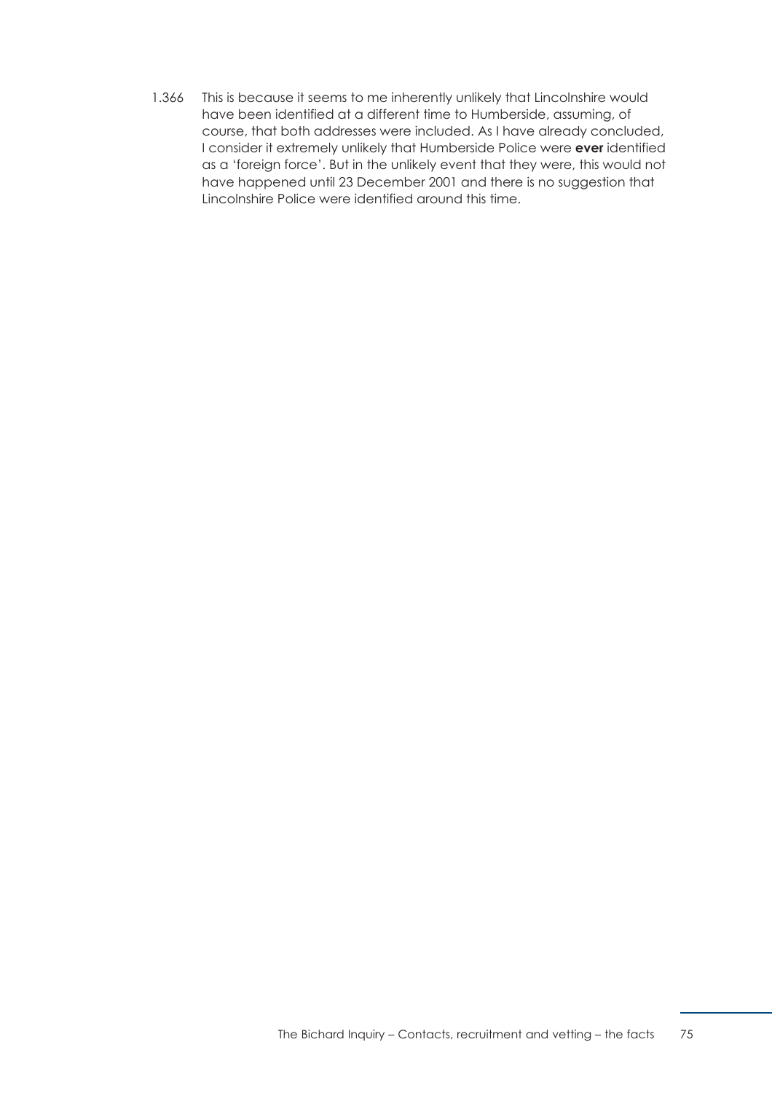1.366 This is because it seems to me inherently unlikely that Lincolnshire would have been identified at a different time to Humberside, assuming, of course, that both addresses were included. As I have already concluded, I consider it extremely unlikely that Humberside Police were **ever** identified as a 'foreign force'. But in the unlikely event that they were, this would not have happened until 23 December 2001 and there is no suggestion that Lincolnshire Police were identified around this time.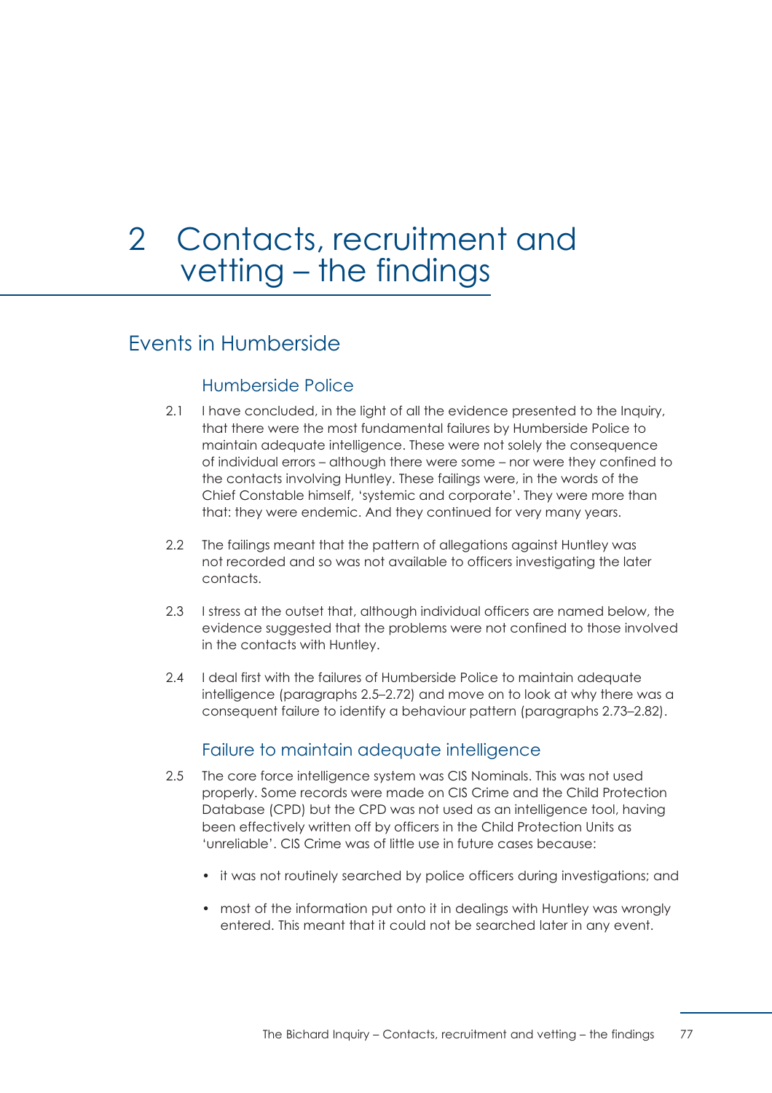# <span id="page-83-1"></span>2 Contacts, recruitment and vetting – the findings

# Events in Humberside

# Humberside Police

- 2.1 I have concluded, in the light of all the evidence presented to the Inquiry, that there were the most fundamental failures by Humberside Police to maintain adequate intelligence. These were not solely the consequence of individual errors – although there were some – nor were they confined to the contacts involving Huntley. These failings were, in the words of the Chief Constable himself, 'systemic and corporate'. They were more than that: they were endemic. And they continued for very many years.
- 2.2 The failings meant that the pattern of allegations against Huntley was not recorded and so was not available to officers investigating the later contacts.
- 2.3 I stress at the outset that, although individual officers are named below, the evidence suggested that the problems were not confined to those involved in the contacts with Huntley.
- 2.4 I deal first with the failures of Humberside Police to maintain adequate intelligence [\(paragraphs 2.5–2.72\)](#page-83-0) and move on to look at why there was a consequent [failure to identify a behaviour pattern \(paragraphs 2.73–2.82\).](#page-94-0)

# Failure to maintain adequate intelligence

- <span id="page-83-0"></span>2.5 The core force intelligence system was CIS Nominals. This was not used properly. Some records were made on CIS Crime and the Child Protection Database (CPD) but the CPD was not used as an intelligence tool, having been effectively written off by officers in the Child Protection Units as 'unreliable'. CIS Crime was of little use in future cases because:
	- it was not routinely searched by police officers during investigations; and
	- most of the information put onto it in dealings with Huntley was wrongly entered. This meant that it could not be searched later in any event.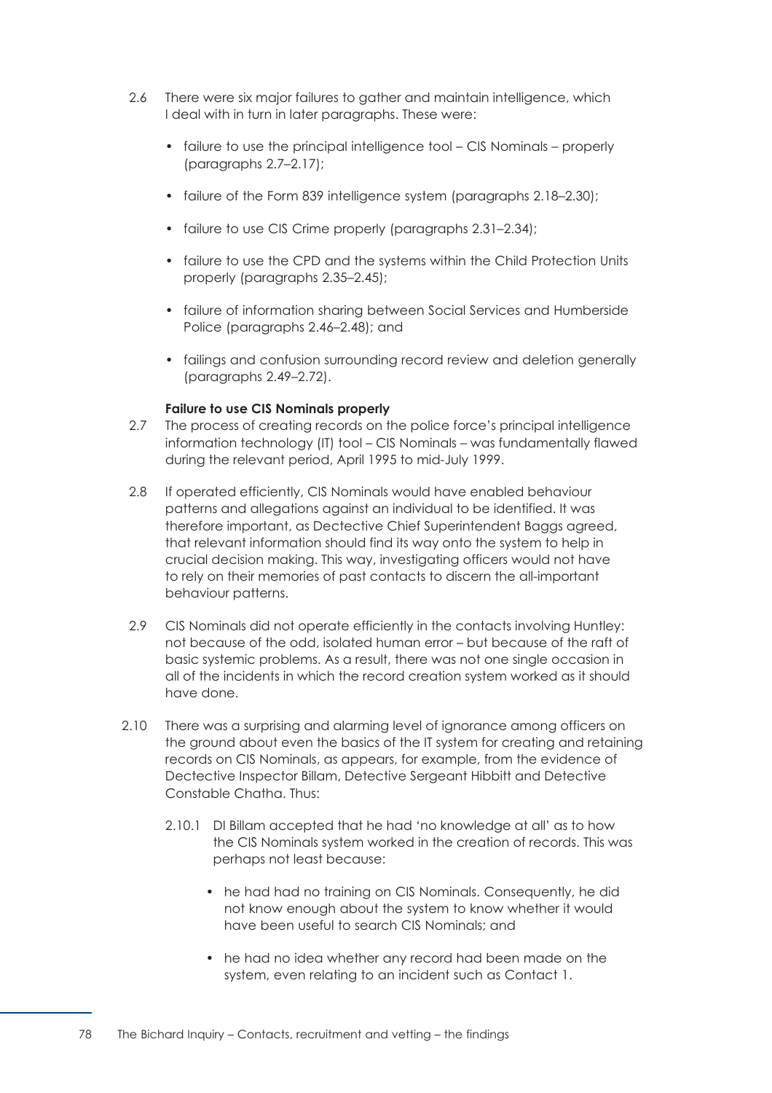- 2.6 There were six major failures to gather and maintain intelligence, which I deal with in turn in later paragraphs. These were:
	- failure to use the principal intelligence tool CIS Nominals properly (paragraphs 2.7–2.17);
	- [failure of the Form 839 intelligence system \(paragraphs 2.18–2.30\);](#page-86-0)
	- failure to use CIS Crime properly (paragraphs 2.31-2.34);
	- [failure to use the CPD and the systems within the Child Protection Units](#page-88-0)  properly (paragraphs 2.35–2.45);
	- [failure of information sharing between Social Services and Humberside](#page-90-0)  Police (paragraphs 2.46–2.48); and
	- [failings and confusion surrounding record review and deletion generally](#page-91-0)  (paragraphs 2.49–2.72).

# **Failure to use CIS Nominals properly**

- <span id="page-84-0"></span>2.7 The process of creating records on the police force's principal intelligence information technology (IT) tool – CIS Nominals – was fundamentally flawed during the relevant period, April 1995 to mid-July 1999.
- 2.8 If operated efficiently, CIS Nominals would have enabled behaviour patterns and allegations against an individual to be identified. It was therefore important, as Dectective Chief Superintendent Baggs agreed, that relevant information should find its way onto the system to help in crucial decision making. This way, investigating officers would not have to rely on their memories of past contacts to discern the all-important behaviour patterns.
- 2.9 CIS Nominals did not operate efficiently in the contacts involving Huntley: not because of the odd, isolated human error – but because of the raft of basic systemic problems. As a result, there was not one single occasion in all of the incidents in which the record creation system worked as it should have done.
- 2.10 There was a surprising and alarming level of ignorance among officers on the ground about even the basics of the IT system for creating and retaining records on CIS Nominals, as appears, for example, from the evidence of Dectective Inspector Billam, Detective Sergeant Hibbitt and Detective Constable Chatha. Thus:
	- 2.10.1 DI Billam accepted that he had 'no knowledge at all' as to how the CIS Nominals system worked in the creation of records. This was perhaps not least because:
		- he had had no training on CIS Nominals. Consequently, he did not know enough about the system to know whether it would have been useful to search CIS Nominals; and
		- he had no idea whether any record had been made on the system, even relating to an incident such as Contact 1.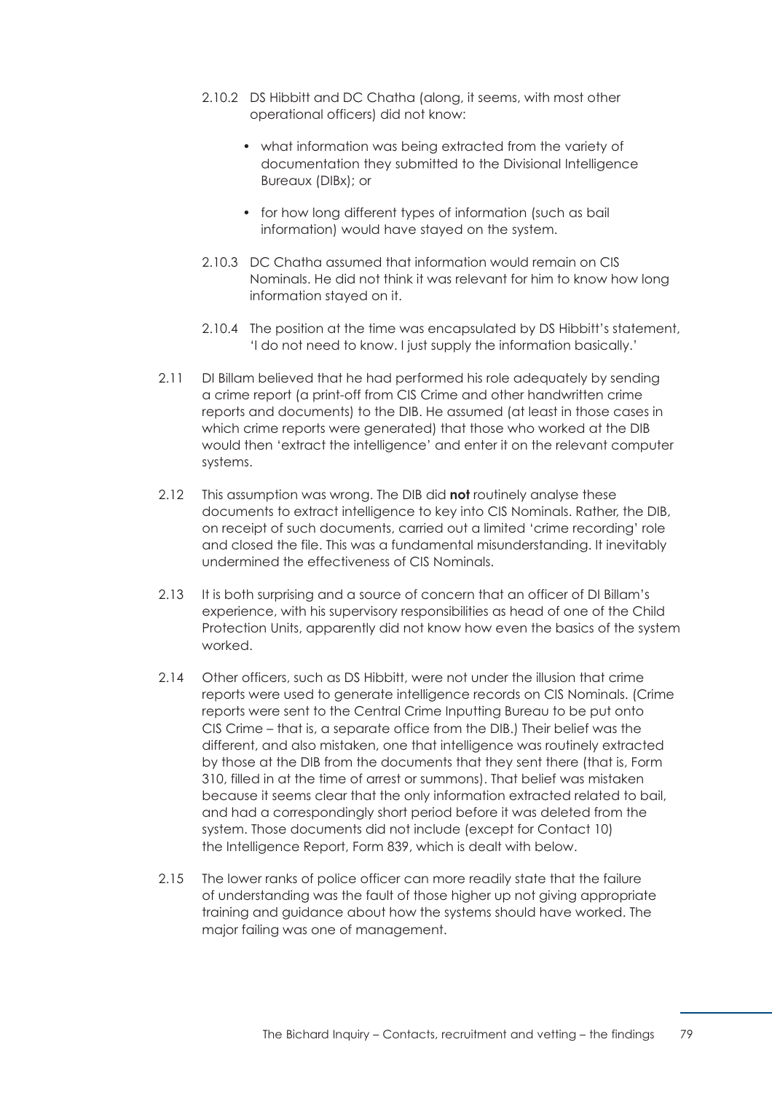- 2.10.2 DS Hibbitt and DC Chatha (along, it seems, with most other operational officers) did not know:
	- what information was being extracted from the variety of documentation they submitted to the Divisional Intelligence Bureaux (DIBx); or
	- for how long different types of information (such as bail information) would have stayed on the system.
- 2.10.3 DC Chatha assumed that information would remain on CIS Nominals. He did not think it was relevant for him to know how long information stayed on it.
- 2.10.4 The position at the time was encapsulated by DS Hibbitt's statement, 'I do not need to know. I just supply the information basically.'
- 2.11 DI Billam believed that he had performed his role adequately by sending a crime report (a print-off from CIS Crime and other handwritten crime reports and documents) to the DIB. He assumed (at least in those cases in which crime reports were generated) that those who worked at the DIB would then 'extract the intelligence' and enter it on the relevant computer systems.
- 2.12 This assumption was wrong. The DIB did **not** routinely analyse these documents to extract intelligence to key into CIS Nominals. Rather, the DIB, on receipt of such documents, carried out a limited 'crime recording' role and closed the file. This was a fundamental misunderstanding. It inevitably undermined the effectiveness of CIS Nominals.
- 2.13 It is both surprising and a source of concern that an officer of DI Billam's experience, with his supervisory responsibilities as head of one of the Child Protection Units, apparently did not know how even the basics of the system worked.
- 2.14 Other officers, such as DS Hibbitt, were not under the illusion that crime reports were used to generate intelligence records on CIS Nominals. (Crime reports were sent to the Central Crime Inputting Bureau to be put onto CIS Crime – that is, a separate office from the DIB.) Their belief was the different, and also mistaken, one that intelligence was routinely extracted by those at the DIB from the documents that they sent there (that is, Form 310, filled in at the time of arrest or summons). That belief was mistaken because it seems clear that the only information extracted related to bail, and had a correspondingly short period before it was deleted from the system. Those documents did not include (except for Contact 10) the Intelligence Report, Form 839, which is dealt with below.
- 2.15 The lower ranks of police officer can more readily state that the failure of understanding was the fault of those higher up not giving appropriate training and guidance about how the systems should have worked. The major failing was one of management.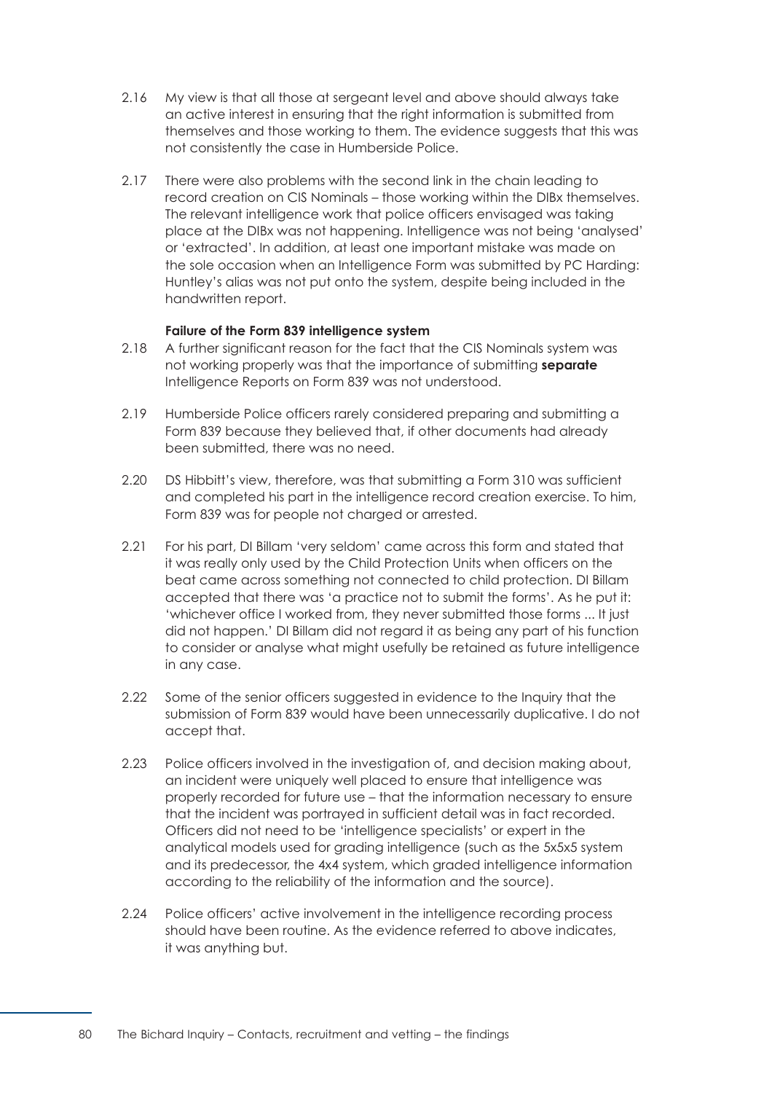- 2.16 My view is that all those at sergeant level and above should always take an active interest in ensuring that the right information is submitted from themselves and those working to them. The evidence suggests that this was not consistently the case in Humberside Police.
- 2.17 There were also problems with the second link in the chain leading to record creation on CIS Nominals – those working within the DIBx themselves. The relevant intelligence work that police officers envisaged was taking place at the DIBx was not happening. Intelligence was not being 'analysed' or 'extracted'. In addition, at least one important mistake was made on the sole occasion when an Intelligence Form was submitted by PC Harding: Huntley's alias was not put onto the system, despite being included in the handwritten report.

## **Failure of the Form 839 intelligence system**

- <span id="page-86-0"></span>2.18 A further significant reason for the fact that the CIS Nominals system was not working properly was that the importance of submitting **separate**  Intelligence Reports on Form 839 was not understood.
- 2.19 Humberside Police officers rarely considered preparing and submitting a Form 839 because they believed that, if other documents had already been submitted, there was no need.
- 2.20 DS Hibbitt's view, therefore, was that submitting a Form 310 was sufficient and completed his part in the intelligence record creation exercise. To him, Form 839 was for people not charged or arrested.
- 2.21 For his part, DI Billam 'very seldom' came across this form and stated that it was really only used by the Child Protection Units when officers on the beat came across something not connected to child protection. DI Billam accepted that there was 'a practice not to submit the forms'. As he put it: 'whichever office I worked from, they never submitted those forms ... It just did not happen.' DI Billam did not regard it as being any part of his function to consider or analyse what might usefully be retained as future intelligence in any case.
- 2.22 Some of the senior officers suggested in evidence to the Inquiry that the submission of Form 839 would have been unnecessarily duplicative. I do not accept that.
- 2.23 Police officers involved in the investigation of, and decision making about, an incident were uniquely well placed to ensure that intelligence was properly recorded for future use – that the information necessary to ensure that the incident was portrayed in sufficient detail was in fact recorded. Officers did not need to be 'intelligence specialists' or expert in the analytical models used for grading intelligence (such as the 5x5x5 system and its predecessor, the 4x4 system, which graded intelligence information according to the reliability of the information and the source).
- 2.24 Police officers' active involvement in the intelligence recording process should have been routine. As the evidence referred to above indicates, it was anything but.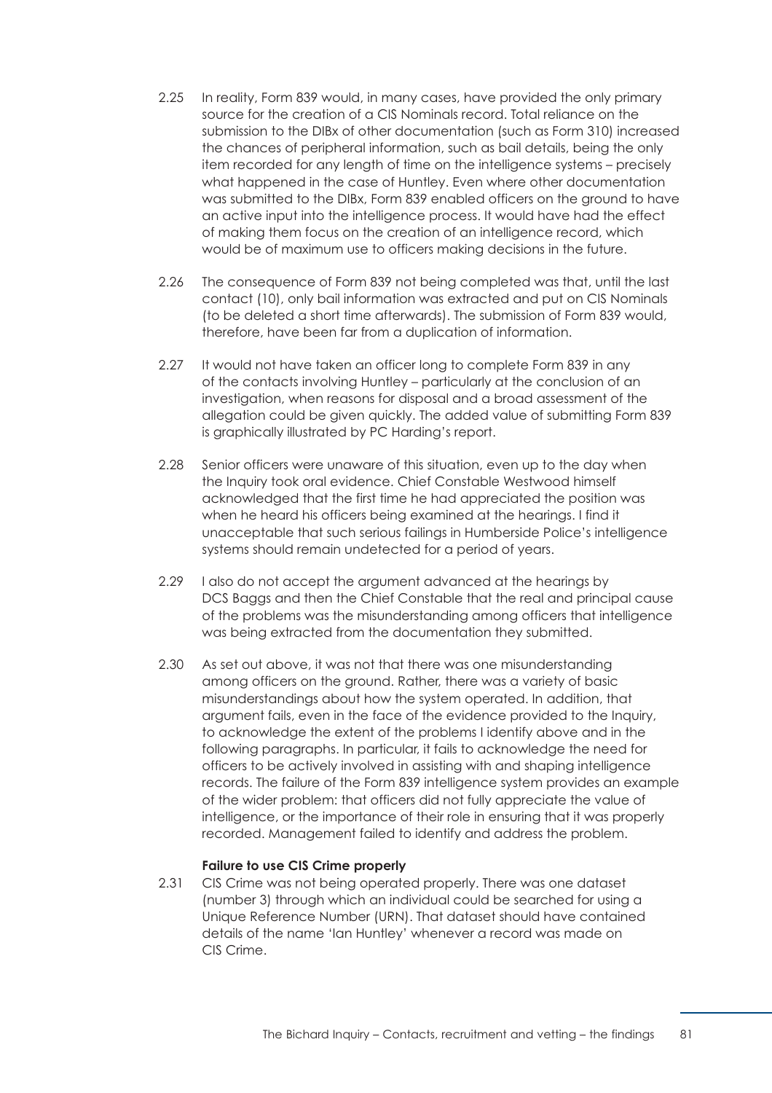- 2.25 In reality, Form 839 would, in many cases, have provided the only primary source for the creation of a CIS Nominals record. Total reliance on the submission to the DIBx of other documentation (such as Form 310) increased the chances of peripheral information, such as bail details, being the only item recorded for any length of time on the intelligence systems – precisely what happened in the case of Huntley. Even where other documentation was submitted to the DIBx, Form 839 enabled officers on the ground to have an active input into the intelligence process. It would have had the effect of making them focus on the creation of an intelligence record, which would be of maximum use to officers making decisions in the future.
- 2.26 The consequence of Form 839 not being completed was that, until the last contact (10), only bail information was extracted and put on CIS Nominals (to be deleted a short time afterwards). The submission of Form 839 would, therefore, have been far from a duplication of information.
- 2.27 It would not have taken an officer long to complete Form 839 in any of the contacts involving Huntley – particularly at the conclusion of an investigation, when reasons for disposal and a broad assessment of the allegation could be given quickly. The added value of submitting Form 839 is graphically illustrated by PC Harding's report.
- 2.28 Senior officers were unaware of this situation, even up to the day when the Inquiry took oral evidence. Chief Constable Westwood himself acknowledged that the first time he had appreciated the position was when he heard his officers being examined at the hearings. I find it unacceptable that such serious failings in Humberside Police's intelligence systems should remain undetected for a period of years.
- 2.29 I also do not accept the argument advanced at the hearings by DCS Baggs and then the Chief Constable that the real and principal cause of the problems was the misunderstanding among officers that intelligence was being extracted from the documentation they submitted.
- <span id="page-87-0"></span>2.30 As set out above, it was not that there was one misunderstanding among officers on the ground. Rather, there was a variety of basic misunderstandings about how the system operated. In addition, that argument fails, even in the face of the evidence provided to the Inquiry, to acknowledge the extent of the problems I identify above and in the following paragraphs. In particular, it fails to acknowledge the need for officers to be actively involved in assisting with and shaping intelligence records. The failure of the Form 839 intelligence system provides an example of the wider problem: that officers did not fully appreciate the value of intelligence, or the importance of their role in ensuring that it was properly recorded. Management failed to identify and address the problem.

## **Failure to use CIS Crime properly**

2.31 CIS Crime was not being operated properly. There was one dataset (number 3) through which an individual could be searched for using a Unique Reference Number (URN). That dataset should have contained details of the name 'Ian Huntley' whenever a record was made on CIS Crime.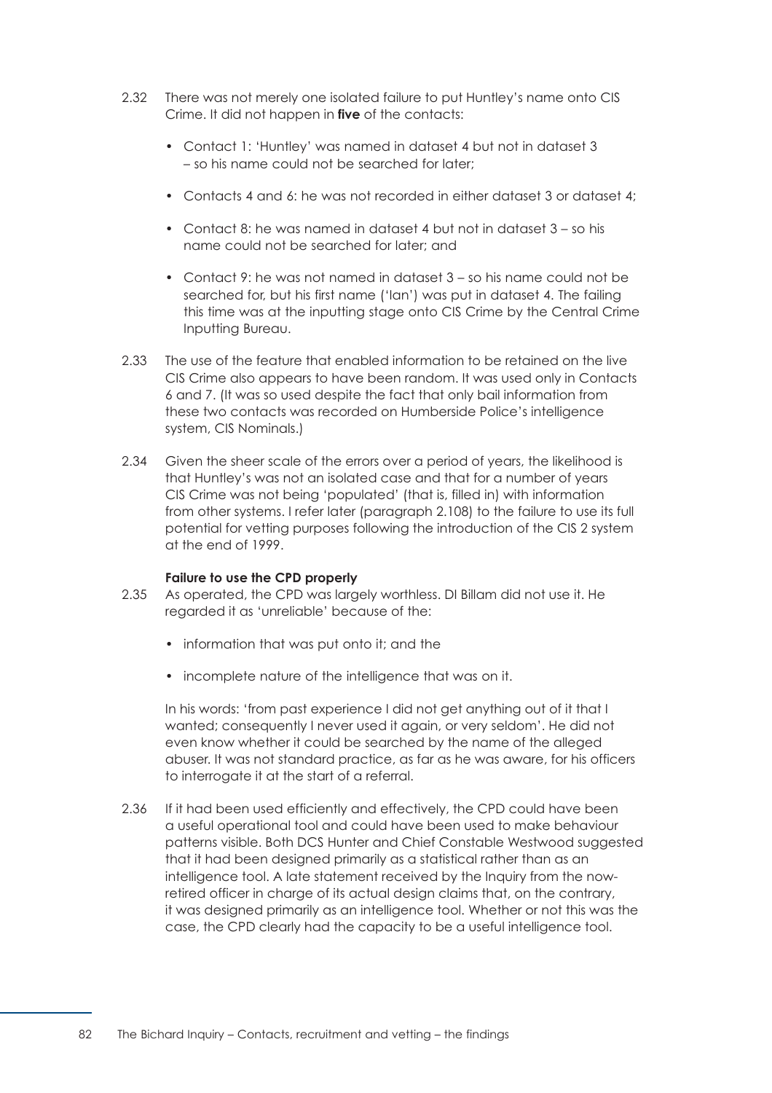- 2.32 There was not merely one isolated failure to put Huntley's name onto CIS Crime. It did not happen in **five** of the contacts:
	- Contact 1: 'Huntley' was named in dataset 4 but not in dataset 3 – so his name could not be searched for later;
	- Contacts 4 and 6: he was not recorded in either dataset 3 or dataset 4;
	- Contact 8: he was named in dataset 4 but not in dataset 3 so his name could not be searched for later; and
	- Contact 9: he was not named in dataset 3 so his name could not be searched for, but his first name ('Ian') was put in dataset 4. The failing this time was at the inputting stage onto CIS Crime by the Central Crime Inputting Bureau.
- 2.33 The use of the feature that enabled information to be retained on the live CIS Crime also appears to have been random. It was used only in Contacts 6 and 7. (It was so used despite the fact that only bail information from these two contacts was recorded on Humberside Police's intelligence system, CIS Nominals.)
- 2.34 Given the sheer scale of the errors over a period of years, the likelihood is that Huntley's was not an isolated case and that for a number of years CIS Crime was not being 'populated' (that is, filled in) with information from other systems. I refer later [\(paragraph 2.108\)](#page-103-0) to the failure to use its full potential for vetting purposes following the introduction of the CIS 2 system at the end of 1999.

#### **Failure to use the CPD properly**

- <span id="page-88-0"></span>2.35 As operated, the CPD was largely worthless. DI Billam did not use it. He regarded it as 'unreliable' because of the:
	- information that was put onto it; and the
	- incomplete nature of the intelligence that was on it.

In his words: 'from past experience I did not get anything out of it that I wanted; consequently I never used it again, or very seldom'. He did not even know whether it could be searched by the name of the alleged abuser. It was not standard practice, as far as he was aware, for his officers to interrogate it at the start of a referral.

2.36 If it had been used efficiently and effectively, the CPD could have been a useful operational tool and could have been used to make behaviour patterns visible. Both DCS Hunter and Chief Constable Westwood suggested that it had been designed primarily as a statistical rather than as an intelligence tool. A late statement received by the Inquiry from the nowretired officer in charge of its actual design claims that, on the contrary, it was designed primarily as an intelligence tool. Whether or not this was the case, the CPD clearly had the capacity to be a useful intelligence tool.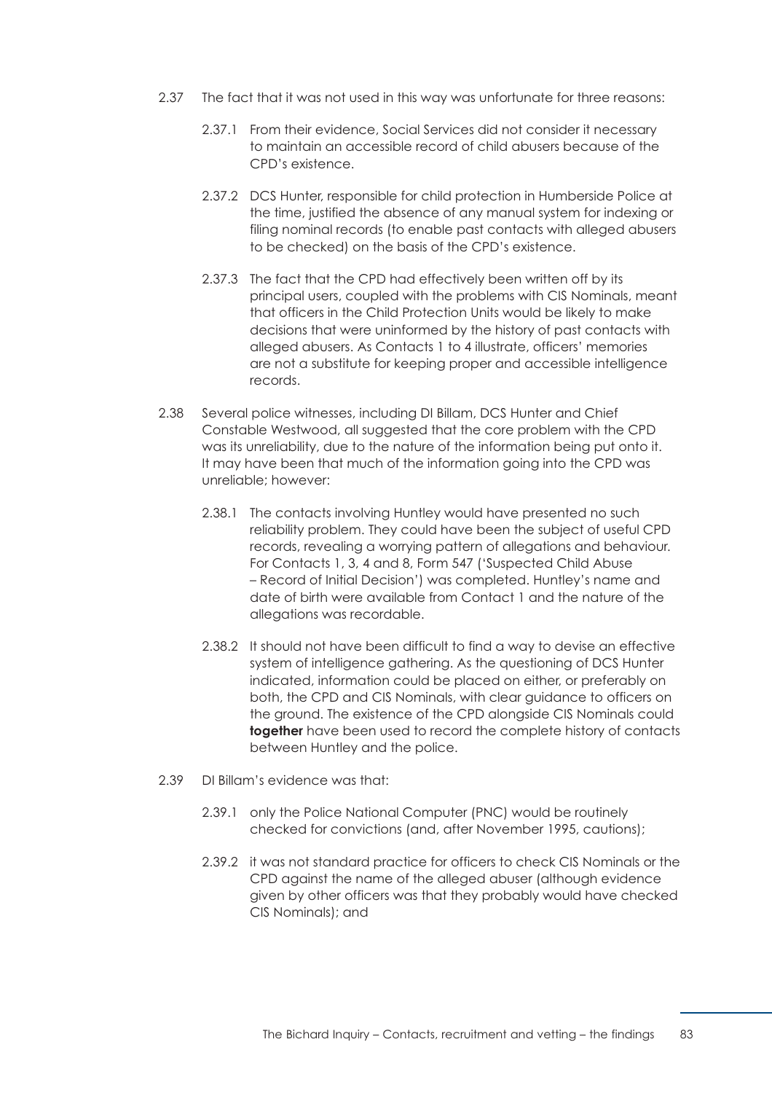- 2.37 The fact that it was not used in this way was unfortunate for three reasons:
	- 2.37.1 From their evidence, Social Services did not consider it necessary to maintain an accessible record of child abusers because of the CPD's existence.
	- 2.37.2 DCS Hunter, responsible for child protection in Humberside Police at the time, justified the absence of any manual system for indexing or filing nominal records (to enable past contacts with alleged abusers to be checked) on the basis of the CPD's existence.
	- 2.37.3 The fact that the CPD had effectively been written off by its principal users, coupled with the problems with CIS Nominals, meant that officers in the Child Protection Units would be likely to make decisions that were uninformed by the history of past contacts with alleged abusers. As Contacts 1 to 4 illustrate, officers' memories are not a substitute for keeping proper and accessible intelligence records.
- 2.38 Several police witnesses, including DI Billam, DCS Hunter and Chief Constable Westwood, all suggested that the core problem with the CPD was its unreliability, due to the nature of the information being put onto it. It may have been that much of the information going into the CPD was unreliable; however:
	- 2.38.1 The contacts involving Huntley would have presented no such reliability problem. They could have been the subject of useful CPD records, revealing a worrying pattern of allegations and behaviour. For Contacts 1, 3, 4 and 8, Form 547 ('Suspected Child Abuse – Record of Initial Decision') was completed. Huntley's name and date of birth were available from Contact 1 and the nature of the allegations was recordable.
	- 2.38.2 It should not have been difficult to find a way to devise an effective system of intelligence gathering. As the questioning of DCS Hunter indicated, information could be placed on either, or preferably on both, the CPD and CIS Nominals, with clear guidance to officers on the ground. The existence of the CPD alongside CIS Nominals could **together** have been used to record the complete history of contacts between Huntley and the police.
- 2.39 DI Billam's evidence was that:
	- 2.39.1 only the Police National Computer (PNC) would be routinely checked for convictions (and, after November 1995, cautions);
	- 2.39.2 it was not standard practice for officers to check CIS Nominals or the CPD against the name of the alleged abuser (although evidence given by other officers was that they probably would have checked CIS Nominals); and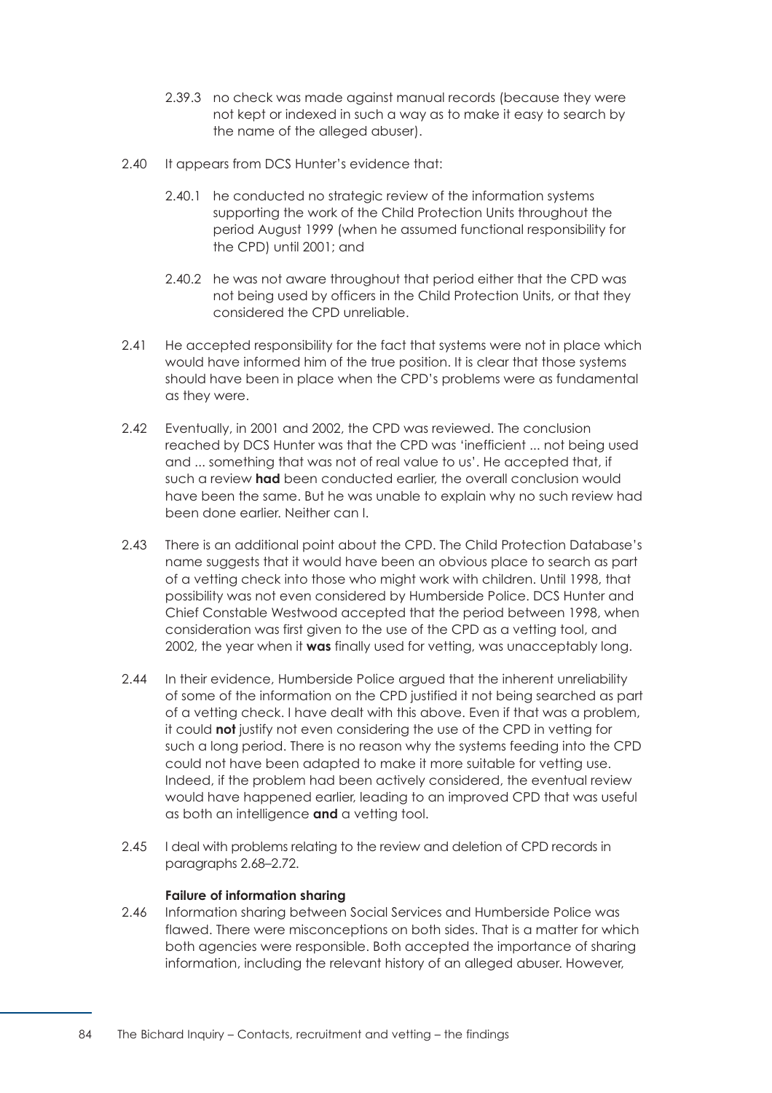- 2.39.3 no check was made against manual records (because they were not kept or indexed in such a way as to make it easy to search by the name of the alleged abuser).
- 2.40 It appears from DCS Hunter's evidence that:
	- 2.40.1 he conducted no strategic review of the information systems supporting the work of the Child Protection Units throughout the period August 1999 (when he assumed functional responsibility for the CPD) until 2001; and
	- 2.40.2 he was not aware throughout that period either that the CPD was not being used by officers in the Child Protection Units, or that they considered the CPD unreliable.
- 2.41 He accepted responsibility for the fact that systems were not in place which would have informed him of the true position. It is clear that those systems should have been in place when the CPD's problems were as fundamental as they were.
- 2.42 Eventually, in 2001 and 2002, the CPD was reviewed. The conclusion reached by DCS Hunter was that the CPD was 'inefficient ... not being used and ... something that was not of real value to us'. He accepted that, if such a review **had** been conducted earlier, the overall conclusion would have been the same. But he was unable to explain why no such review had been done earlier. Neither can I.
- 2.43 There is an additional point about the CPD. The Child Protection Database's name suggests that it would have been an obvious place to search as part of a vetting check into those who might work with children. Until 1998, that possibility was not even considered by Humberside Police. DCS Hunter and Chief Constable Westwood accepted that the period between 1998, when consideration was first given to the use of the CPD as a vetting tool, and 2002, the year when it **was** finally used for vetting, was unacceptably long.
- 2.44 In their evidence, Humberside Police argued that the inherent unreliability of some of the information on the CPD justified it not being searched as part of a vetting check. I have dealt with this above. Even if that was a problem, it could **not** justify not even considering the use of the CPD in vetting for such a long period. There is no reason why the systems feeding into the CPD could not have been adapted to make it more suitable for vetting use. Indeed, if the problem had been actively considered, the eventual review would have happened earlier, leading to an improved CPD that was useful as both an intelligence **and** a vetting tool.
- <span id="page-90-0"></span>2.45 I deal with problems relating to the review and deletion of CPD records in [paragraphs 2.68–2.72.](#page-94-1)

# **Failure of information sharing**

2.46 Information sharing between Social Services and Humberside Police was flawed. There were misconceptions on both sides. That is a matter for which both agencies were responsible. Both accepted the importance of sharing information, including the relevant history of an alleged abuser. However,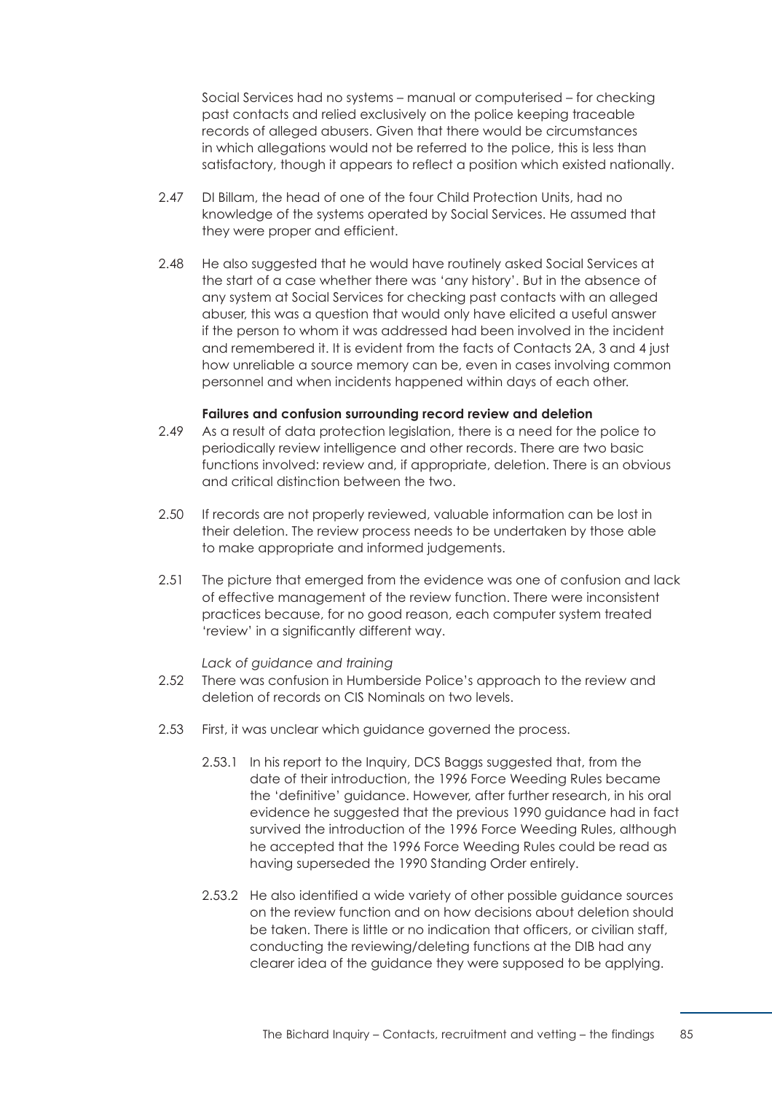Social Services had no systems – manual or computerised – for checking past contacts and relied exclusively on the police keeping traceable records of alleged abusers. Given that there would be circumstances in which allegations would not be referred to the police, this is less than satisfactory, though it appears to reflect a position which existed nationally.

- 2.47 DI Billam, the head of one of the four Child Protection Units, had no knowledge of the systems operated by Social Services. He assumed that they were proper and efficient.
- 2.48 He also suggested that he would have routinely asked Social Services at the start of a case whether there was 'any history'. But in the absence of any system at Social Services for checking past contacts with an alleged abuser, this was a question that would only have elicited a useful answer if the person to whom it was addressed had been involved in the incident and remembered it. It is evident from the facts of Contacts 2A, 3 and 4 just how unreliable a source memory can be, even in cases involving common personnel and when incidents happened within days of each other.

#### **Failures and confusion surrounding record review and deletion**

- <span id="page-91-0"></span>2.49 As a result of data protection legislation, there is a need for the police to periodically review intelligence and other records. There are two basic functions involved: review and, if appropriate, deletion. There is an obvious and critical distinction between the two.
- 2.50 If records are not properly reviewed, valuable information can be lost in their deletion. The review process needs to be undertaken by those able to make appropriate and informed judgements.
- 2.51 The picture that emerged from the evidence was one of confusion and lack of effective management of the review function. There were inconsistent practices because, for no good reason, each computer system treated 'review' in a significantly different way.

#### *Lack of guidance and training*

- 2.52 There was confusion in Humberside Police's approach to the review and deletion of records on CIS Nominals on two levels.
- 2.53 First, it was unclear which guidance governed the process.
	- 2.53.1 In his report to the Inquiry, DCS Baggs suggested that, from the date of their introduction, the 1996 Force Weeding Rules became the 'definitive' guidance. However, after further research, in his oral evidence he suggested that the previous 1990 guidance had in fact survived the introduction of the 1996 Force Weeding Rules, although he accepted that the 1996 Force Weeding Rules could be read as having superseded the 1990 Standing Order entirely.
	- 2.53.2 He also identified a wide variety of other possible guidance sources on the review function and on how decisions about deletion should be taken. There is little or no indication that officers, or civilian staff, conducting the reviewing/deleting functions at the DIB had any clearer idea of the guidance they were supposed to be applying.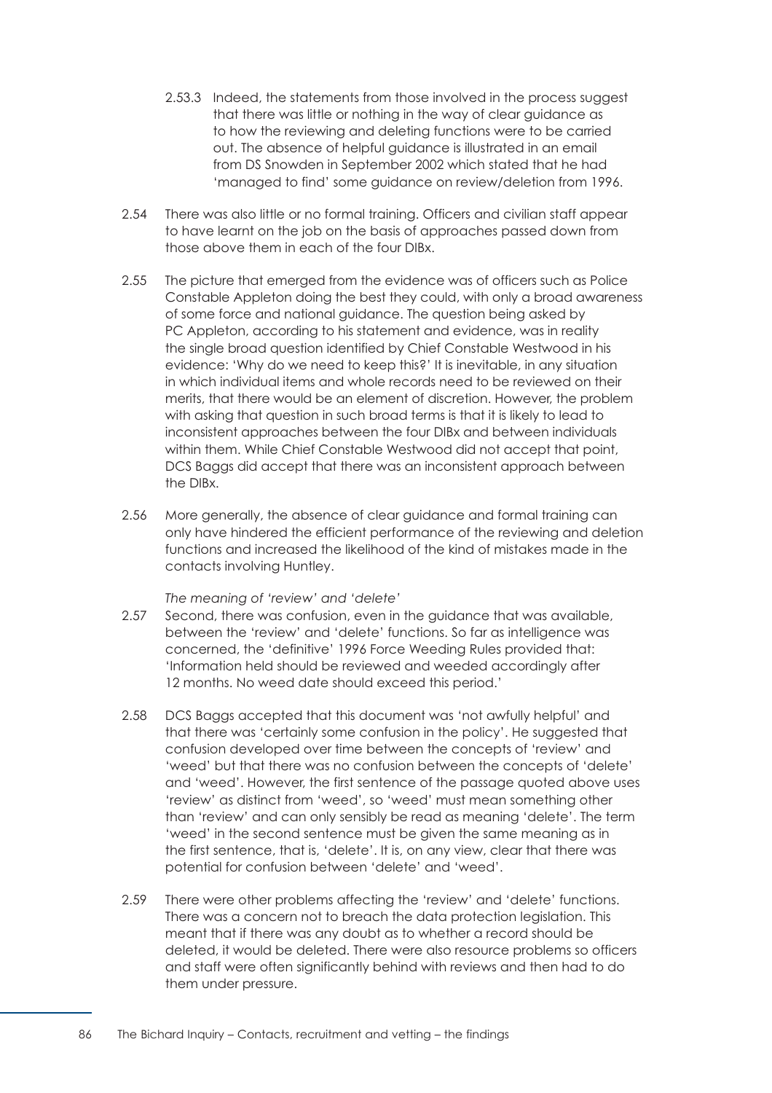- 2.53.3 Indeed, the statements from those involved in the process suggest that there was little or nothing in the way of clear guidance as to how the reviewing and deleting functions were to be carried out. The absence of helpful guidance is illustrated in an email from DS Snowden in September 2002 which stated that he had 'managed to find' some guidance on review/deletion from 1996.
- 2.54 There was also little or no formal training. Officers and civilian staff appear to have learnt on the job on the basis of approaches passed down from those above them in each of the four DIBx.
- 2.55 The picture that emerged from the evidence was of officers such as Police Constable Appleton doing the best they could, with only a broad awareness of some force and national guidance. The question being asked by PC Appleton, according to his statement and evidence, was in reality the single broad question identified by Chief Constable Westwood in his evidence: 'Why do we need to keep this?' It is inevitable, in any situation in which individual items and whole records need to be reviewed on their merits, that there would be an element of discretion. However, the problem with asking that question in such broad terms is that it is likely to lead to inconsistent approaches between the four DIBx and between individuals within them. While Chief Constable Westwood did not accept that point, DCS Baggs did accept that there was an inconsistent approach between the DIBx.
- 2.56 More generally, the absence of clear guidance and formal training can only have hindered the efficient performance of the reviewing and deletion functions and increased the likelihood of the kind of mistakes made in the contacts involving Huntley.

## *The meaning of 'review' and 'delete'*

- 2.57 Second, there was confusion, even in the guidance that was available, between the 'review' and 'delete' functions. So far as intelligence was concerned, the 'definitive' 1996 Force Weeding Rules provided that: 'Information held should be reviewed and weeded accordingly after 12 months. No weed date should exceed this period.'
- 2.58 DCS Baggs accepted that this document was 'not awfully helpful' and that there was 'certainly some confusion in the policy'. He suggested that confusion developed over time between the concepts of 'review' and 'weed' but that there was no confusion between the concepts of 'delete' and 'weed'. However, the first sentence of the passage quoted above uses 'review' as distinct from 'weed', so 'weed' must mean something other than 'review' and can only sensibly be read as meaning 'delete'. The term 'weed' in the second sentence must be given the same meaning as in the first sentence, that is, 'delete'. It is, on any view, clear that there was potential for confusion between 'delete' and 'weed'.
- 2.59 There were other problems affecting the 'review' and 'delete' functions. There was a concern not to breach the data protection legislation. This meant that if there was any doubt as to whether a record should be deleted, it would be deleted. There were also resource problems so officers and staff were often significantly behind with reviews and then had to do them under pressure.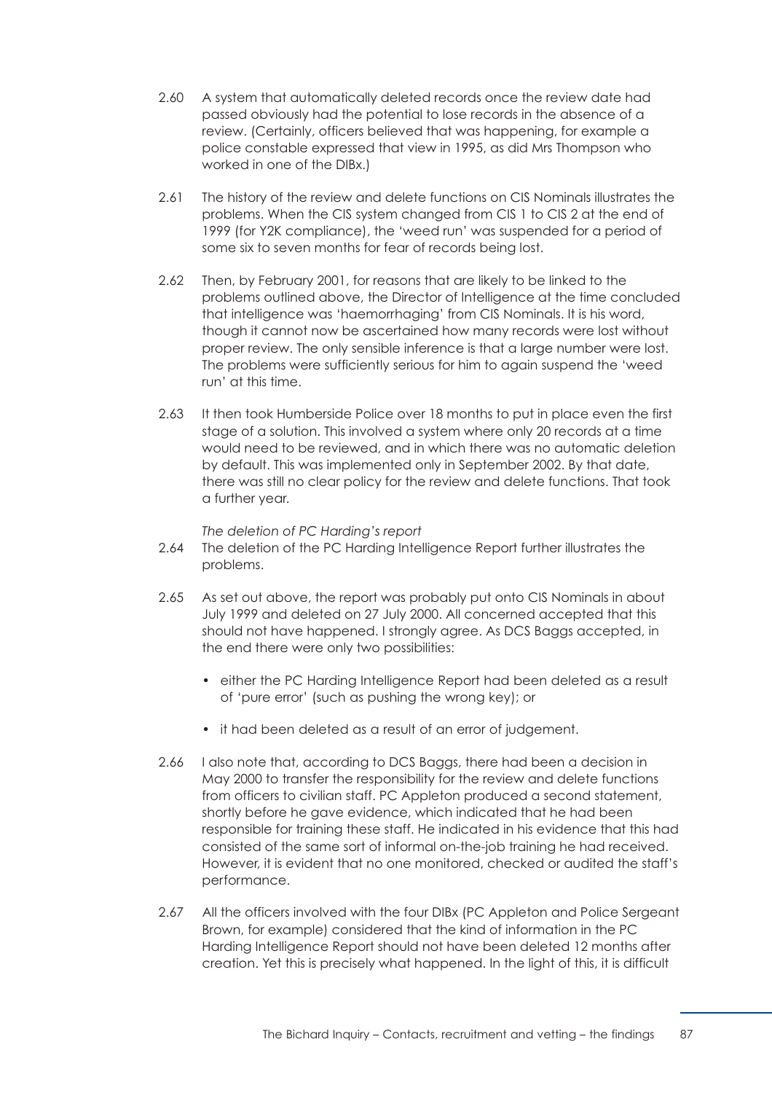- 2.60 A system that automatically deleted records once the review date had passed obviously had the potential to lose records in the absence of a review. (Certainly, officers believed that was happening, for example a police constable expressed that view in 1995, as did Mrs Thompson who worked in one of the DIBx.)
- 2.61 The history of the review and delete functions on CIS Nominals illustrates the problems. When the CIS system changed from CIS 1 to CIS 2 at the end of 1999 (for Y2K compliance), the 'weed run' was suspended for a period of some six to seven months for fear of records being lost.
- 2.62 Then, by February 2001, for reasons that are likely to be linked to the problems outlined above, the Director of Intelligence at the time concluded that intelligence was 'haemorrhaging' from CIS Nominals. It is his word, though it cannot now be ascertained how many records were lost without proper review. The only sensible inference is that a large number were lost. The problems were sufficiently serious for him to again suspend the 'weed run' at this time.
- 2.63 It then took Humberside Police over 18 months to put in place even the first stage of a solution. This involved a system where only 20 records at a time would need to be reviewed, and in which there was no automatic deletion by default. This was implemented only in September 2002. By that date, there was still no clear policy for the review and delete functions. That took a further year.

*The deletion of PC Harding's report* 

- 2.64 The deletion of the PC Harding Intelligence Report further illustrates the problems.
- 2.65 As set out above, the report was probably put onto CIS Nominals in about July 1999 and deleted on 27 July 2000. All concerned accepted that this should not have happened. I strongly agree. As DCS Baggs accepted, in the end there were only two possibilities:
	- either the PC Harding Intelligence Report had been deleted as a result of 'pure error' (such as pushing the wrong key); or
	- it had been deleted as a result of an error of judgement.
- 2.66 I also note that, according to DCS Baggs, there had been a decision in May 2000 to transfer the responsibility for the review and delete functions from officers to civilian staff. PC Appleton produced a second statement, shortly before he gave evidence, which indicated that he had been responsible for training these staff. He indicated in his evidence that this had consisted of the same sort of informal on-the-job training he had received. However, it is evident that no one monitored, checked or audited the staff's performance.
- 2.67 All the officers involved with the four DIBx (PC Appleton and Police Sergeant Brown, for example) considered that the kind of information in the PC Harding Intelligence Report should not have been deleted 12 months after creation. Yet this is precisely what happened. In the light of this, it is difficult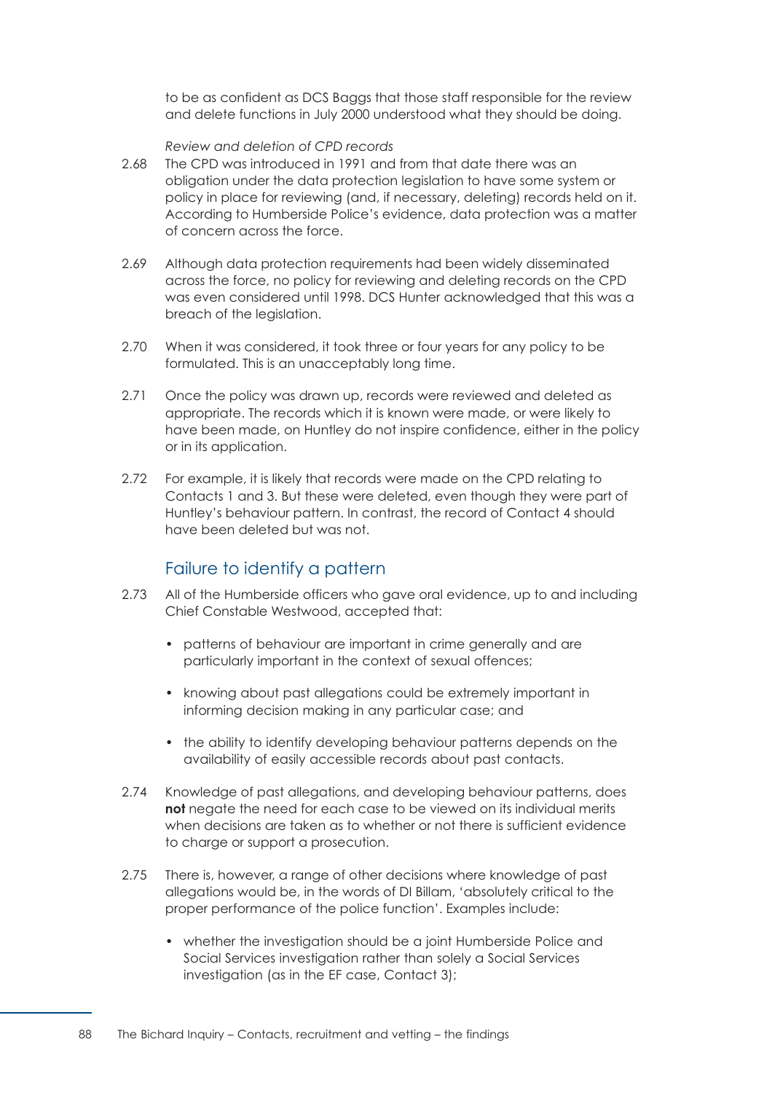to be as confident as DCS Baggs that those staff responsible for the review and delete functions in July 2000 understood what they should be doing.

*Review and deletion of CPD records* 

- <span id="page-94-1"></span>2.68 The CPD was introduced in 1991 and from that date there was an obligation under the data protection legislation to have some system or policy in place for reviewing (and, if necessary, deleting) records held on it. According to Humberside Police's evidence, data protection was a matter of concern across the force.
- 2.69 Although data protection requirements had been widely disseminated across the force, no policy for reviewing and deleting records on the CPD was even considered until 1998. DCS Hunter acknowledged that this was a breach of the legislation.
- 2.70 When it was considered, it took three or four years for any policy to be formulated. This is an unacceptably long time.
- 2.71 Once the policy was drawn up, records were reviewed and deleted as appropriate. The records which it is known were made, or were likely to have been made, on Huntley do not inspire confidence, either in the policy or in its application.
- 2.72 For example, it is likely that records were made on the CPD relating to Contacts 1 and 3. But these were deleted, even though they were part of Huntley's behaviour pattern. In contrast, the record of Contact 4 should have been deleted but was not.

# Failure to identify a pattern

- <span id="page-94-0"></span>2.73 All of the Humberside officers who gave oral evidence, up to and including Chief Constable Westwood, accepted that:
	- patterns of behaviour are important in crime generally and are particularly important in the context of sexual offences;
	- knowing about past allegations could be extremely important in informing decision making in any particular case; and
	- the ability to identify developing behaviour patterns depends on the availability of easily accessible records about past contacts.
- 2.74 Knowledge of past allegations, and developing behaviour patterns, does **not** negate the need for each case to be viewed on its individual merits when decisions are taken as to whether or not there is sufficient evidence to charge or support a prosecution.
- 2.75 There is, however, a range of other decisions where knowledge of past allegations would be, in the words of DI Billam, 'absolutely critical to the proper performance of the police function'. Examples include:
	- whether the investigation should be a joint Humberside Police and Social Services investigation rather than solely a Social Services investigation (as in the EF case, Contact 3);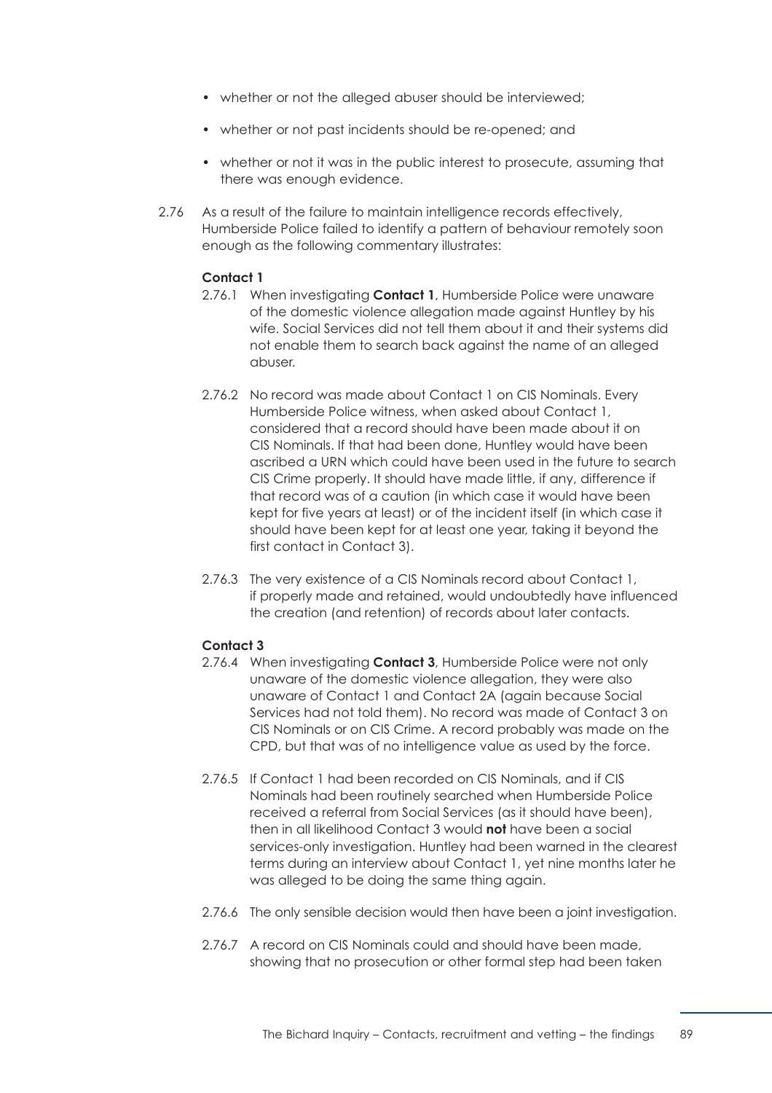- whether or not the alleged abuser should be interviewed;
- whether or not past incidents should be re-opened; and
- whether or not it was in the public interest to prosecute, assuming that there was enough evidence.
- 2.76 As a result of the failure to maintain intelligence records effectively, Humberside Police failed to identify a pattern of behaviour remotely soon enough as the following commentary illustrates:

# **Contact 1**

- 2.76.1 When investigating **Contact 1**, Humberside Police were unaware of the domestic violence allegation made against Huntley by his wife. Social Services did not tell them about it and their systems did not enable them to search back against the name of an alleged abuser.
- 2.76.2 No record was made about Contact 1 on CIS Nominals. Every Humberside Police witness, when asked about Contact 1, considered that a record should have been made about it on CIS Nominals. If that had been done, Huntley would have been ascribed a URN which could have been used in the future to search CIS Crime properly. It should have made little, if any, difference if that record was of a caution (in which case it would have been kept for five years at least) or of the incident itself (in which case it should have been kept for at least one year, taking it beyond the first contact in Contact 3).
- 2.76.3 The very existence of a CIS Nominals record about Contact 1, if properly made and retained, would undoubtedly have influenced the creation (and retention) of records about later contacts.

#### **Contact 3**

- 2.76.4 When investigating **Contact 3**, Humberside Police were not only unaware of the domestic violence allegation, they were also unaware of Contact 1 and Contact 2A (again because Social Services had not told them). No record was made of Contact 3 on CIS Nominals or on CIS Crime. A record probably was made on the CPD, but that was of no intelligence value as used by the force.
- 2.76.5 If Contact 1 had been recorded on CIS Nominals, and if CIS Nominals had been routinely searched when Humberside Police received a referral from Social Services (as it should have been), then in all likelihood Contact 3 would **not** have been a social services-only investigation. Huntley had been warned in the clearest terms during an interview about Contact 1, yet nine months later he was alleged to be doing the same thing again.
- 2.76.6 The only sensible decision would then have been a joint investigation.
- 2.76.7 A record on CIS Nominals could and should have been made, showing that no prosecution or other formal step had been taken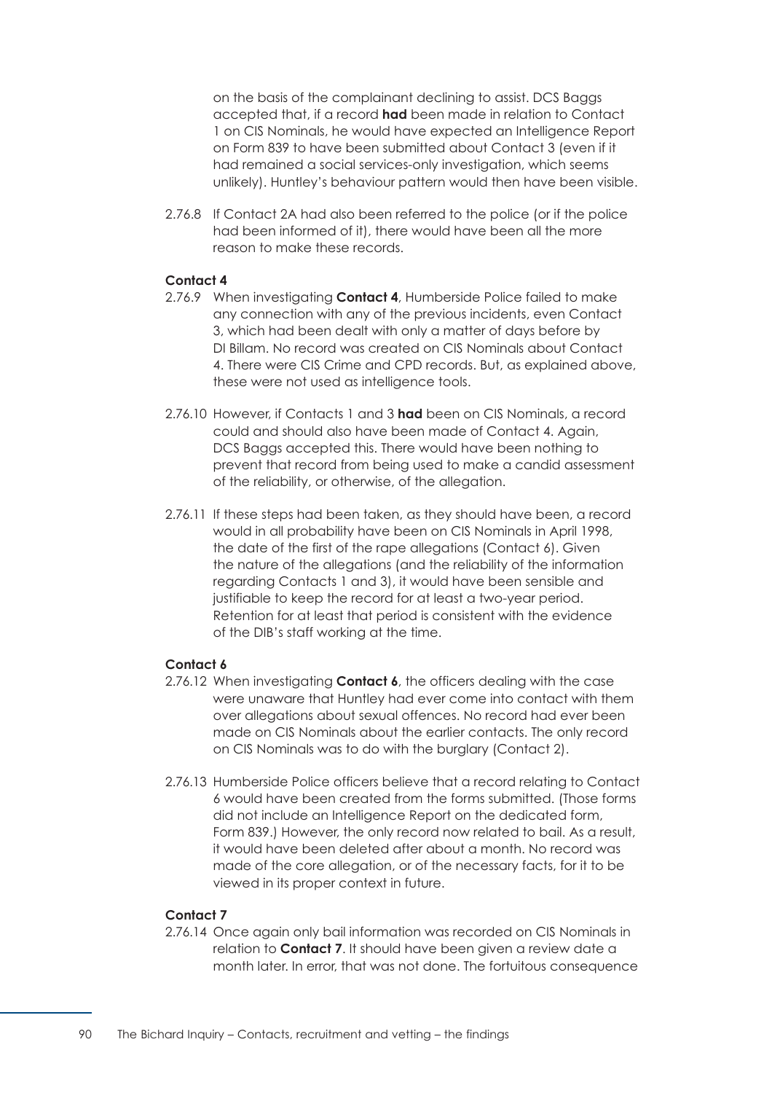on the basis of the complainant declining to assist. DCS Baggs accepted that, if a record **had** been made in relation to Contact 1 on CIS Nominals, he would have expected an Intelligence Report on Form 839 to have been submitted about Contact 3 (even if it had remained a social services-only investigation, which seems unlikely). Huntley's behaviour pattern would then have been visible.

2.76.8 If Contact 2A had also been referred to the police (or if the police had been informed of it), there would have been all the more reason to make these records.

# **Contact 4**

- 2.76.9 When investigating **Contact 4**, Humberside Police failed to make any connection with any of the previous incidents, even Contact 3, which had been dealt with only a matter of days before by DI Billam. No record was created on CIS Nominals about Contact 4. There were CIS Crime and CPD records. But, as explained above, these were not used as intelligence tools.
- 2.76.10 However, if Contacts 1 and 3 **had** been on CIS Nominals, a record could and should also have been made of Contact 4. Again, DCS Baggs accepted this. There would have been nothing to prevent that record from being used to make a candid assessment of the reliability, or otherwise, of the allegation.
- 2.76.11 If these steps had been taken, as they should have been, a record would in all probability have been on CIS Nominals in April 1998, the date of the first of the rape allegations (Contact 6). Given the nature of the allegations (and the reliability of the information regarding Contacts 1 and 3), it would have been sensible and justifiable to keep the record for at least a two-year period. Retention for at least that period is consistent with the evidence of the DIB's staff working at the time.

## **Contact 6**

- 2.76.12 When investigating **Contact 6**, the officers dealing with the case were unaware that Huntley had ever come into contact with them over allegations about sexual offences. No record had ever been made on CIS Nominals about the earlier contacts. The only record on CIS Nominals was to do with the burglary (Contact 2).
- 2.76.13 Humberside Police officers believe that a record relating to Contact 6 would have been created from the forms submitted. (Those forms did not include an Intelligence Report on the dedicated form, Form 839.) However, the only record now related to bail. As a result, it would have been deleted after about a month. No record was made of the core allegation, or of the necessary facts, for it to be viewed in its proper context in future.

## **Contact 7**

2.76.14 Once again only bail information was recorded on CIS Nominals in relation to **Contact 7**. It should have been given a review date a month later. In error, that was not done. The fortuitous consequence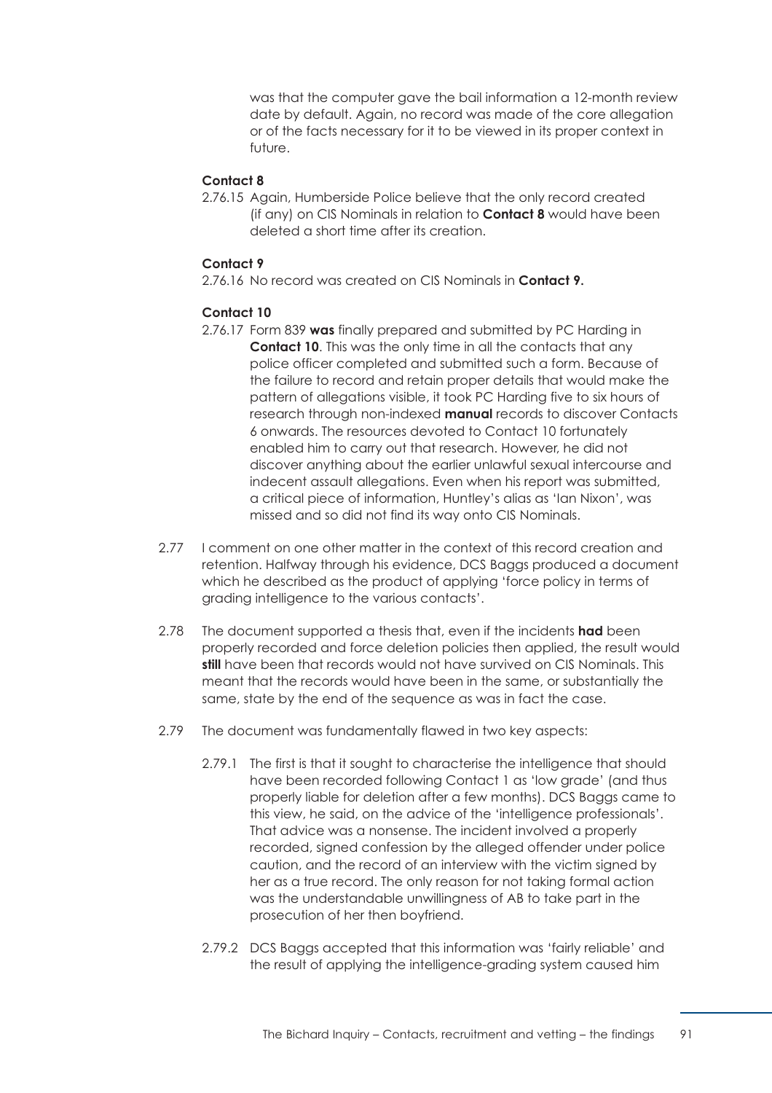was that the computer gave the bail information a 12-month review date by default. Again, no record was made of the core allegation or of the facts necessary for it to be viewed in its proper context in future.

# **Contact 8**

2.76.15 Again, Humberside Police believe that the only record created (if any) on CIS Nominals in relation to **Contact 8** would have been deleted a short time after its creation.

# **Contact 9**

2.76.16 No record was created on CIS Nominals in **Contact 9.** 

#### **Contact 10**

- 2.76.17 Form 839 **was** finally prepared and submitted by PC Harding in **Contact 10.** This was the only time in all the contacts that any police officer completed and submitted such a form. Because of the failure to record and retain proper details that would make the pattern of allegations visible, it took PC Harding five to six hours of research through non-indexed **manual** records to discover Contacts 6 onwards. The resources devoted to Contact 10 fortunately enabled him to carry out that research. However, he did not discover anything about the earlier unlawful sexual intercourse and indecent assault allegations. Even when his report was submitted, a critical piece of information, Huntley's alias as 'Ian Nixon', was missed and so did not find its way onto CIS Nominals.
- 2.77 I comment on one other matter in the context of this record creation and retention. Halfway through his evidence, DCS Baggs produced a document which he described as the product of applying 'force policy in terms of grading intelligence to the various contacts'.
- 2.78 The document supported a thesis that, even if the incidents **had** been properly recorded and force deletion policies then applied, the result would **still** have been that records would not have survived on CIS Nominals. This meant that the records would have been in the same, or substantially the same, state by the end of the sequence as was in fact the case.
- 2.79 The document was fundamentally flawed in two key aspects:
	- 2.79.1 The first is that it sought to characterise the intelligence that should have been recorded following Contact 1 as 'low grade' (and thus properly liable for deletion after a few months). DCS Baggs came to this view, he said, on the advice of the 'intelligence professionals'. That advice was a nonsense. The incident involved a properly recorded, signed confession by the alleged offender under police caution, and the record of an interview with the victim signed by her as a true record. The only reason for not taking formal action was the understandable unwillingness of AB to take part in the prosecution of her then boyfriend.
	- 2.79.2 DCS Baggs accepted that this information was 'fairly reliable' and the result of applying the intelligence-grading system caused him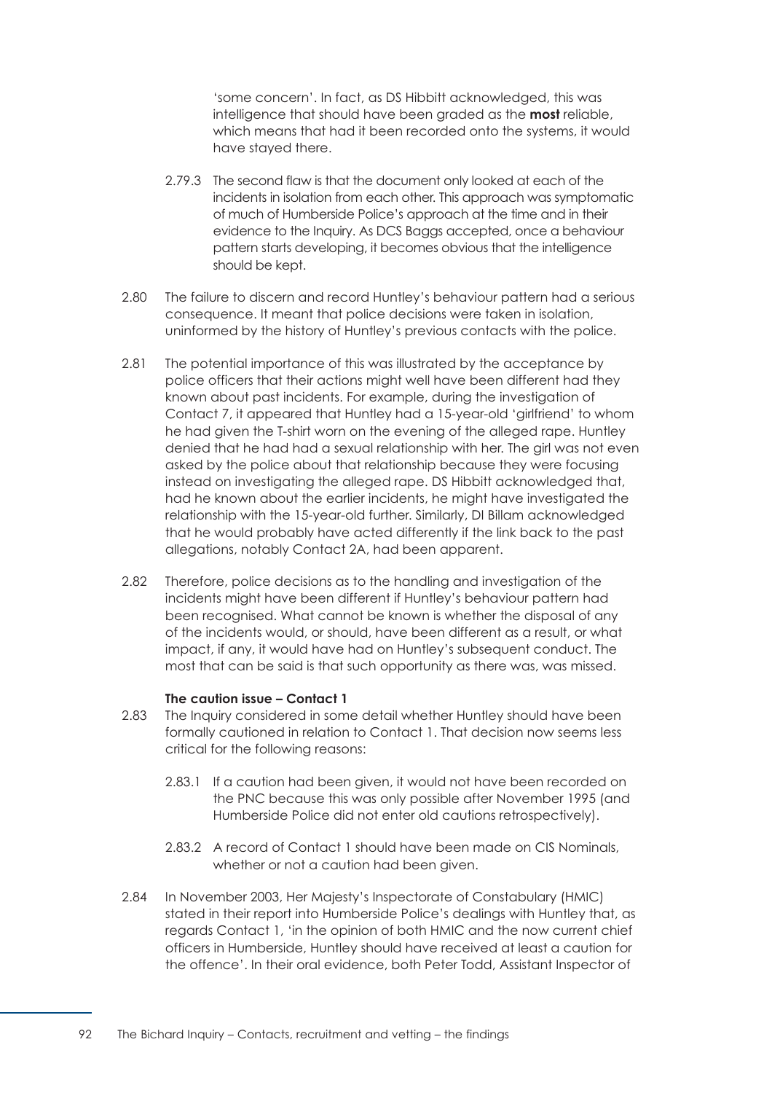'some concern'. In fact, as DS Hibbitt acknowledged, this was intelligence that should have been graded as the **most** reliable, which means that had it been recorded onto the systems, it would have stayed there.

- 2.79.3 The second flaw is that the document only looked at each of the incidents in isolation from each other. This approach was symptomatic of much of Humberside Police's approach at the time and in their evidence to the Inquiry. As DCS Baggs accepted, once a behaviour pattern starts developing, it becomes obvious that the intelligence should be kept.
- 2.80 The failure to discern and record Huntley's behaviour pattern had a serious consequence. It meant that police decisions were taken in isolation, uninformed by the history of Huntley's previous contacts with the police.
- 2.81 The potential importance of this was illustrated by the acceptance by police officers that their actions might well have been different had they known about past incidents. For example, during the investigation of Contact 7, it appeared that Huntley had a 15-year-old 'girlfriend' to whom he had given the T-shirt worn on the evening of the alleged rape. Huntley denied that he had had a sexual relationship with her. The girl was not even asked by the police about that relationship because they were focusing instead on investigating the alleged rape. DS Hibbitt acknowledged that, had he known about the earlier incidents, he might have investigated the relationship with the 15-year-old further. Similarly, DI Billam acknowledged that he would probably have acted differently if the link back to the past allegations, notably Contact 2A, had been apparent.
- 2.82 Therefore, police decisions as to the handling and investigation of the incidents might have been different if Huntley's behaviour pattern had been recognised. What cannot be known is whether the disposal of any of the incidents would, or should, have been different as a result, or what impact, if any, it would have had on Huntley's subsequent conduct. The most that can be said is that such opportunity as there was, was missed.

#### **The caution issue – Contact 1**

- 2.83 The Inquiry considered in some detail whether Huntley should have been formally cautioned in relation to Contact 1. That decision now seems less critical for the following reasons:
	- 2.83.1 If a caution had been given, it would not have been recorded on the PNC because this was only possible after November 1995 (and Humberside Police did not enter old cautions retrospectively).
	- 2.83.2 A record of Contact 1 should have been made on CIS Nominals, whether or not a caution had been given.
- 2.84 In November 2003, Her Majesty's Inspectorate of Constabulary (HMIC) stated in their report into Humberside Police's dealings with Huntley that, as regards Contact 1, 'in the opinion of both HMIC and the now current chief officers in Humberside, Huntley should have received at least a caution for the offence'. In their oral evidence, both Peter Todd, Assistant Inspector of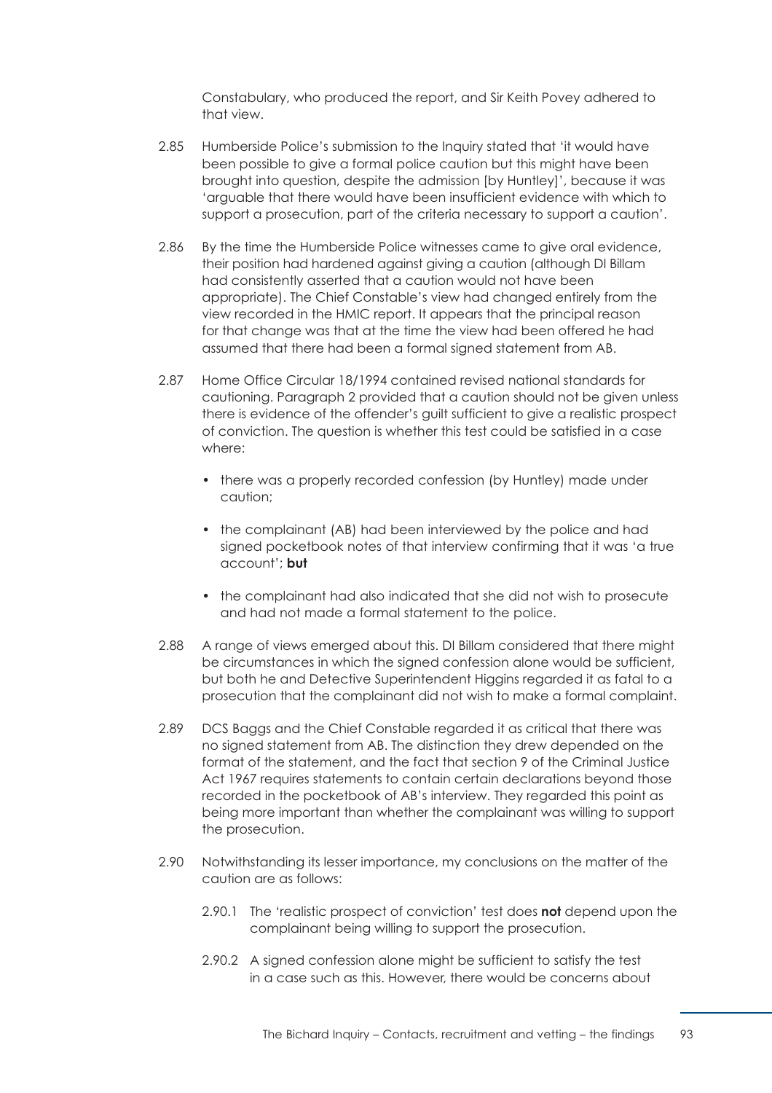Constabulary, who produced the report, and Sir Keith Povey adhered to that view.

- 2.85 Humberside Police's submission to the Inquiry stated that 'it would have been possible to give a formal police caution but this might have been brought into question, despite the admission [by Huntley]', because it was 'arguable that there would have been insufficient evidence with which to support a prosecution, part of the criteria necessary to support a caution'.
- 2.86 By the time the Humberside Police witnesses came to give oral evidence, their position had hardened against giving a caution (although DI Billam had consistently asserted that a caution would not have been appropriate). The Chief Constable's view had changed entirely from the view recorded in the HMIC report. It appears that the principal reason for that change was that at the time the view had been offered he had assumed that there had been a formal signed statement from AB.
- 2.87 Home Office Circular 18/1994 contained revised national standards for cautioning. Paragraph 2 provided that a caution should not be given unless there is evidence of the offender's guilt sufficient to give a realistic prospect of conviction. The question is whether this test could be satisfied in a case where:
	- there was a properly recorded confession (by Huntley) made under caution;
	- the complainant (AB) had been interviewed by the police and had signed pocketbook notes of that interview confirming that it was 'a true account'; **but**
	- the complainant had also indicated that she did not wish to prosecute and had not made a formal statement to the police.
- 2.88 A range of views emerged about this. DI Billam considered that there might be circumstances in which the signed confession alone would be sufficient, but both he and Detective Superintendent Higgins regarded it as fatal to a prosecution that the complainant did not wish to make a formal complaint.
- 2.89 DCS Baggs and the Chief Constable regarded it as critical that there was no signed statement from AB. The distinction they drew depended on the format of the statement, and the fact that section 9 of the Criminal Justice Act 1967 requires statements to contain certain declarations beyond those recorded in the pocketbook of AB's interview. They regarded this point as being more important than whether the complainant was willing to support the prosecution.
- 2.90 Notwithstanding its lesser importance, my conclusions on the matter of the caution are as follows:
	- 2.90.1 The 'realistic prospect of conviction' test does **not** depend upon the complainant being willing to support the prosecution.
	- 2.90.2 A signed confession alone might be sufficient to satisfy the test in a case such as this. However, there would be concerns about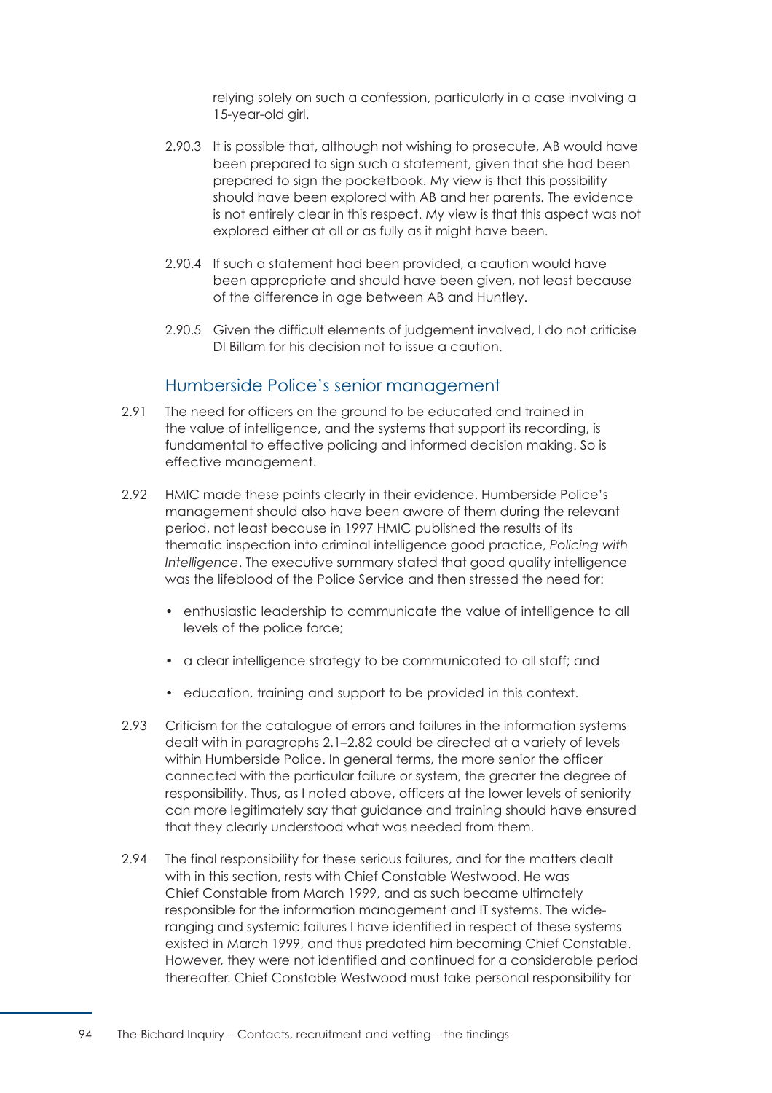relying solely on such a confession, particularly in a case involving a 15-year-old girl.

- 2.90.3 It is possible that, although not wishing to prosecute, AB would have been prepared to sign such a statement, given that she had been prepared to sign the pocketbook. My view is that this possibility should have been explored with AB and her parents. The evidence is not entirely clear in this respect. My view is that this aspect was not explored either at all or as fully as it might have been.
- 2.90.4 If such a statement had been provided, a caution would have been appropriate and should have been given, not least because of the difference in age between AB and Huntley.
- 2.90.5 Given the difficult elements of judgement involved, I do not criticise DI Billam for his decision not to issue a caution.

# Humberside Police's senior management

- 2.91 The need for officers on the ground to be educated and trained in the value of intelligence, and the systems that support its recording, is fundamental to effective policing and informed decision making. So is effective management.
- 2.92 HMIC made these points clearly in their evidence. Humberside Police's management should also have been aware of them during the relevant period, not least because in 1997 HMIC published the results of its thematic inspection into criminal intelligence good practice, *Policing with*  Intelligence. The executive summary stated that good quality intelligence was the lifeblood of the Police Service and then stressed the need for:
	- enthusiastic leadership to communicate the value of intelligence to all levels of the police force;
	- a clear intelligence strategy to be communicated to all staff; and
	- education, training and support to be provided in this context.
- 2.93 Criticism for the catalogue of errors and failures in the information systems dealt with in [paragraphs 2.1–2.82](#page-83-1) could be directed at a variety of levels within Humberside Police. In general terms, the more senior the officer connected with the particular failure or system, the greater the degree of responsibility. Thus, as I noted above, officers at the lower levels of seniority can more legitimately say that guidance and training should have ensured that they clearly understood what was needed from them.
- 2.94 The final responsibility for these serious failures, and for the matters dealt with in this section, rests with Chief Constable Westwood. He was Chief Constable from March 1999, and as such became ultimately responsible for the information management and IT systems. The wideranging and systemic failures I have identified in respect of these systems existed in March 1999, and thus predated him becoming Chief Constable. However, they were not identified and continued for a considerable period thereafter. Chief Constable Westwood must take personal responsibility for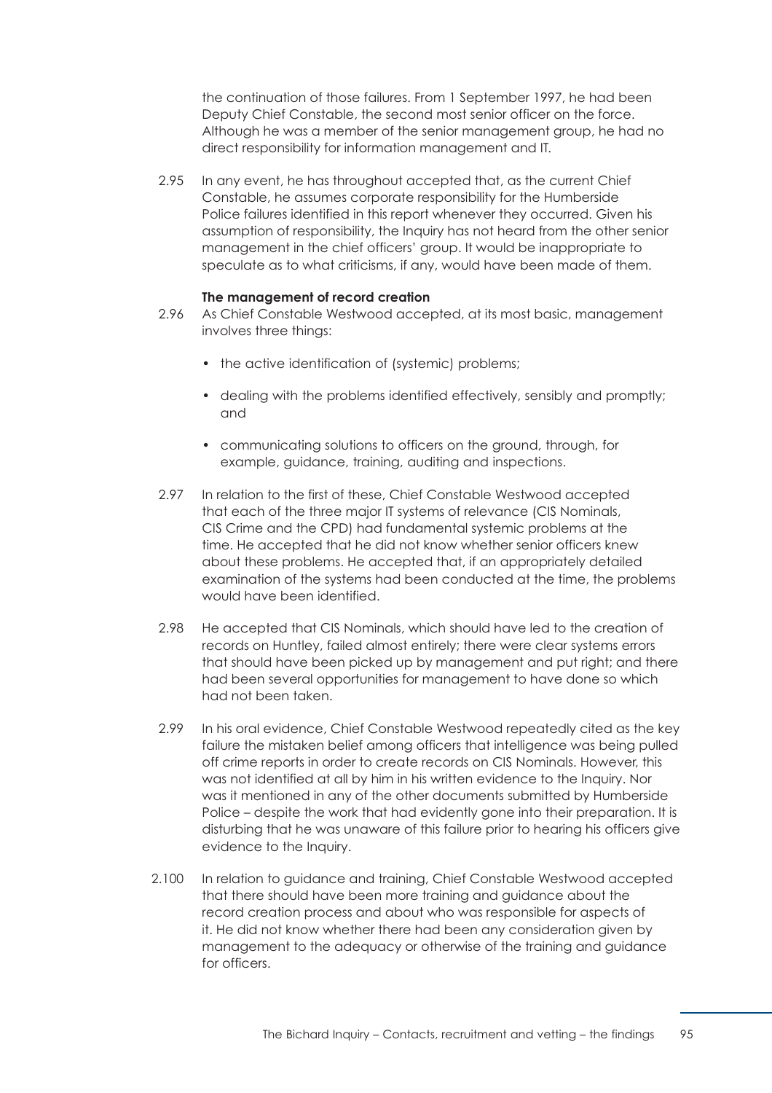the continuation of those failures. From 1 September 1997, he had been Deputy Chief Constable, the second most senior officer on the force. Although he was a member of the senior management group, he had no direct responsibility for information management and IT.

2.95 In any event, he has throughout accepted that, as the current Chief Constable, he assumes corporate responsibility for the Humberside Police failures identified in this report whenever they occurred. Given his assumption of responsibility, the Inquiry has not heard from the other senior management in the chief officers' group. It would be inappropriate to speculate as to what criticisms, if any, would have been made of them.

#### **The management of record creation**

- 2.96 As Chief Constable Westwood accepted, at its most basic, management involves three things:
	- the active identification of (systemic) problems;
	- dealing with the problems identified effectively, sensibly and promptly; and
	- communicating solutions to officers on the ground, through, for example, guidance, training, auditing and inspections.
- 2.97 In relation to the first of these, Chief Constable Westwood accepted that each of the three major IT systems of relevance (CIS Nominals, CIS Crime and the CPD) had fundamental systemic problems at the time. He accepted that he did not know whether senior officers knew about these problems. He accepted that, if an appropriately detailed examination of the systems had been conducted at the time, the problems would have been identified.
- 2.98 He accepted that CIS Nominals, which should have led to the creation of records on Huntley, failed almost entirely; there were clear systems errors that should have been picked up by management and put right; and there had been several opportunities for management to have done so which had not been taken.
- 2.99 In his oral evidence, Chief Constable Westwood repeatedly cited as the key failure the mistaken belief among officers that intelligence was being pulled off crime reports in order to create records on CIS Nominals. However, this was not identified at all by him in his written evidence to the Inquiry. Nor was it mentioned in any of the other documents submitted by Humberside Police – despite the work that had evidently gone into their preparation. It is disturbing that he was unaware of this failure prior to hearing his officers give evidence to the Inquiry.
- 2.100 In relation to guidance and training, Chief Constable Westwood accepted that there should have been more training and guidance about the record creation process and about who was responsible for aspects of it. He did not know whether there had been any consideration given by management to the adequacy or otherwise of the training and guidance for officers.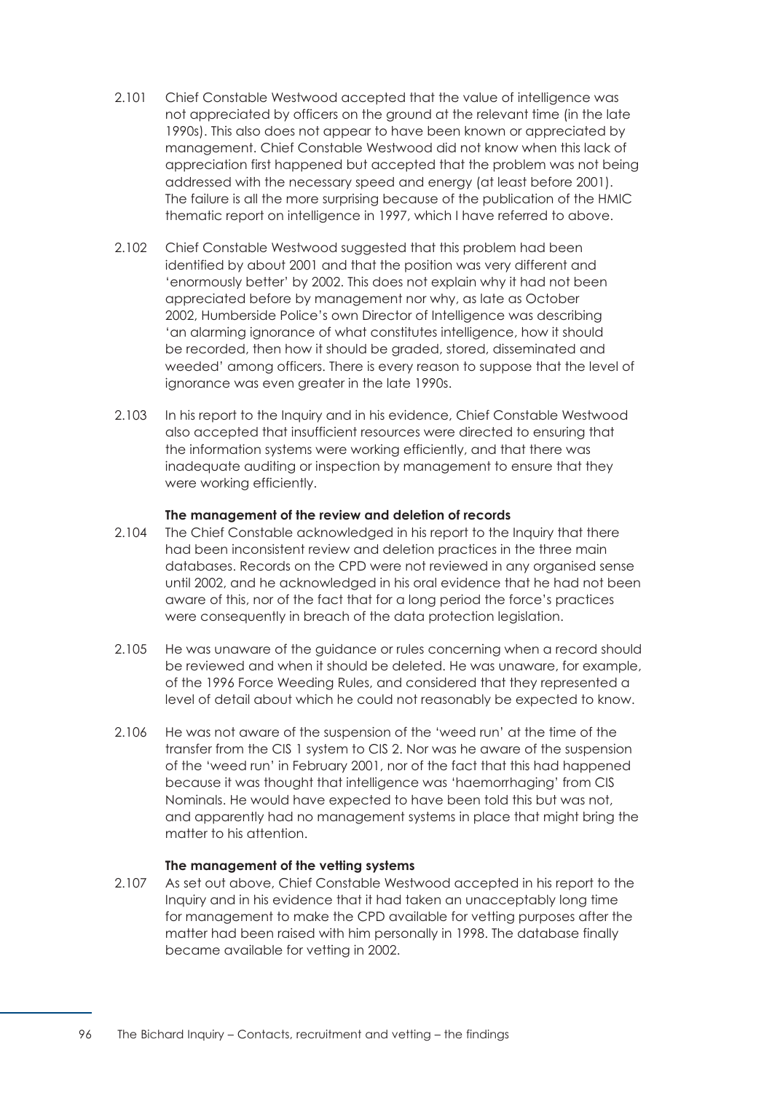- 2.101 Chief Constable Westwood accepted that the value of intelligence was not appreciated by officers on the ground at the relevant time (in the late 1990s). This also does not appear to have been known or appreciated by management. Chief Constable Westwood did not know when this lack of appreciation first happened but accepted that the problem was not being addressed with the necessary speed and energy (at least before 2001). The failure is all the more surprising because of the publication of the HMIC thematic report on intelligence in 1997, which I have referred to above.
- 2.102 Chief Constable Westwood suggested that this problem had been identified by about 2001 and that the position was very different and 'enormously better' by 2002. This does not explain why it had not been appreciated before by management nor why, as late as October 2002, Humberside Police's own Director of Intelligence was describing 'an alarming ignorance of what constitutes intelligence, how it should be recorded, then how it should be graded, stored, disseminated and weeded' among officers. There is every reason to suppose that the level of ignorance was even greater in the late 1990s.
- 2.103 In his report to the Inquiry and in his evidence, Chief Constable Westwood also accepted that insufficient resources were directed to ensuring that the information systems were working efficiently, and that there was inadequate auditing or inspection by management to ensure that they were working efficiently.

#### **The management of the review and deletion of records**

- 2.104 The Chief Constable acknowledged in his report to the Inquiry that there had been inconsistent review and deletion practices in the three main databases. Records on the CPD were not reviewed in any organised sense until 2002, and he acknowledged in his oral evidence that he had not been aware of this, nor of the fact that for a long period the force's practices were consequently in breach of the data protection legislation.
- 2.105 He was unaware of the guidance or rules concerning when a record should be reviewed and when it should be deleted. He was unaware, for example, of the 1996 Force Weeding Rules, and considered that they represented a level of detail about which he could not reasonably be expected to know.
- 2.106 He was not aware of the suspension of the 'weed run' at the time of the transfer from the CIS 1 system to CIS 2. Nor was he aware of the suspension of the 'weed run' in February 2001, nor of the fact that this had happened because it was thought that intelligence was 'haemorrhaging' from CIS Nominals. He would have expected to have been told this but was not, and apparently had no management systems in place that might bring the matter to his attention.

#### **The management of the vetting systems**

2.107 As set out above, Chief Constable Westwood accepted in his report to the Inquiry and in his evidence that it had taken an unacceptably long time for management to make the CPD available for vetting purposes after the matter had been raised with him personally in 1998. The database finally became available for vetting in 2002.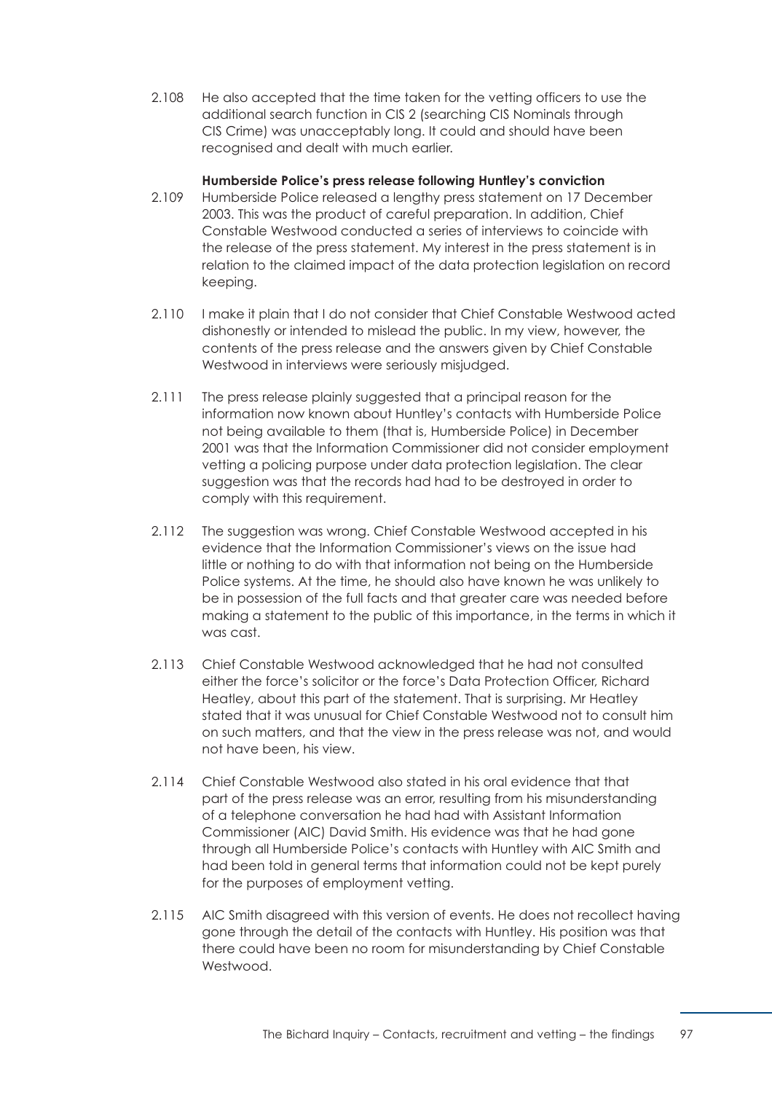<span id="page-103-0"></span>2.108 He also accepted that the time taken for the vetting officers to use the additional search function in CIS 2 (searching CIS Nominals through CIS Crime) was unacceptably long. It could and should have been recognised and dealt with much earlier.

## **Humberside Police's press release following Huntley's conviction**

- 2.109 Humberside Police released a lengthy press statement on 17 December 2003. This was the product of careful preparation. In addition, Chief Constable Westwood conducted a series of interviews to coincide with the release of the press statement. My interest in the press statement is in relation to the claimed impact of the data protection legislation on record keeping.
- 2.110 I make it plain that I do not consider that Chief Constable Westwood acted dishonestly or intended to mislead the public. In my view, however, the contents of the press release and the answers given by Chief Constable Westwood in interviews were seriously misjudged.
- 2.111 The press release plainly suggested that a principal reason for the information now known about Huntley's contacts with Humberside Police not being available to them (that is, Humberside Police) in December 2001 was that the Information Commissioner did not consider employment vetting a policing purpose under data protection legislation. The clear suggestion was that the records had had to be destroyed in order to comply with this requirement.
- 2.112 The suggestion was wrong. Chief Constable Westwood accepted in his evidence that the Information Commissioner's views on the issue had little or nothing to do with that information not being on the Humberside Police systems. At the time, he should also have known he was unlikely to be in possession of the full facts and that greater care was needed before making a statement to the public of this importance, in the terms in which it was cast.
- 2.113 Chief Constable Westwood acknowledged that he had not consulted either the force's solicitor or the force's Data Protection Officer, Richard Heatley, about this part of the statement. That is surprising. Mr Heatley stated that it was unusual for Chief Constable Westwood not to consult him on such matters, and that the view in the press release was not, and would not have been, his view.
- 2.114 Chief Constable Westwood also stated in his oral evidence that that part of the press release was an error, resulting from his misunderstanding of a telephone conversation he had had with Assistant Information Commissioner (AIC) David Smith. His evidence was that he had gone through all Humberside Police's contacts with Huntley with AIC Smith and had been told in general terms that information could not be kept purely for the purposes of employment vetting.
- 2.115 AIC Smith disagreed with this version of events. He does not recollect having gone through the detail of the contacts with Huntley. His position was that there could have been no room for misunderstanding by Chief Constable Westwood.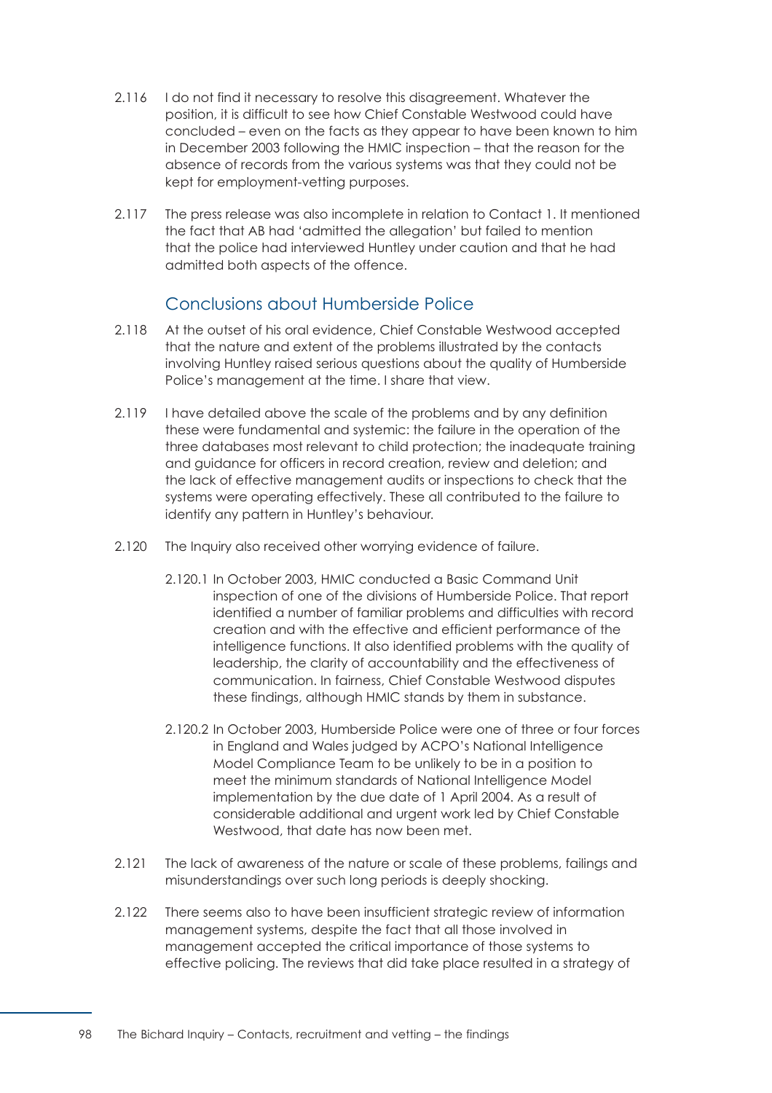- 2.116 I do not find it necessary to resolve this disagreement. Whatever the position, it is difficult to see how Chief Constable Westwood could have concluded – even on the facts as they appear to have been known to him in December 2003 following the HMIC inspection – that the reason for the absence of records from the various systems was that they could not be kept for employment-vetting purposes.
- 2.117 The press release was also incomplete in relation to Contact 1. It mentioned the fact that AB had 'admitted the allegation' but failed to mention that the police had interviewed Huntley under caution and that he had admitted both aspects of the offence.

# Conclusions about Humberside Police

- 2.118 At the outset of his oral evidence, Chief Constable Westwood accepted that the nature and extent of the problems illustrated by the contacts involving Huntley raised serious questions about the quality of Humberside Police's management at the time. I share that view.
- 2.119 I have detailed above the scale of the problems and by any definition these were fundamental and systemic: the failure in the operation of the three databases most relevant to child protection; the inadequate training and guidance for officers in record creation, review and deletion; and the lack of effective management audits or inspections to check that the systems were operating effectively. These all contributed to the failure to identify any pattern in Huntley's behaviour.
- 2.120 The Inquiry also received other worrying evidence of failure.
	- 2.120.1 In October 2003, HMIC conducted a Basic Command Unit inspection of one of the divisions of Humberside Police. That report identified a number of familiar problems and difficulties with record creation and with the effective and efficient performance of the intelligence functions. It also identified problems with the quality of leadership, the clarity of accountability and the effectiveness of communication. In fairness, Chief Constable Westwood disputes these findings, although HMIC stands by them in substance.
	- 2.120.2 In October 2003, Humberside Police were one of three or four forces in England and Wales judged by ACPO's National Intelligence Model Compliance Team to be unlikely to be in a position to meet the minimum standards of National Intelligence Model implementation by the due date of 1 April 2004. As a result of considerable additional and urgent work led by Chief Constable Westwood, that date has now been met.
- 2.121 The lack of awareness of the nature or scale of these problems, failings and misunderstandings over such long periods is deeply shocking.
- 2.122 There seems also to have been insufficient strategic review of information management systems, despite the fact that all those involved in management accepted the critical importance of those systems to effective policing. The reviews that did take place resulted in a strategy of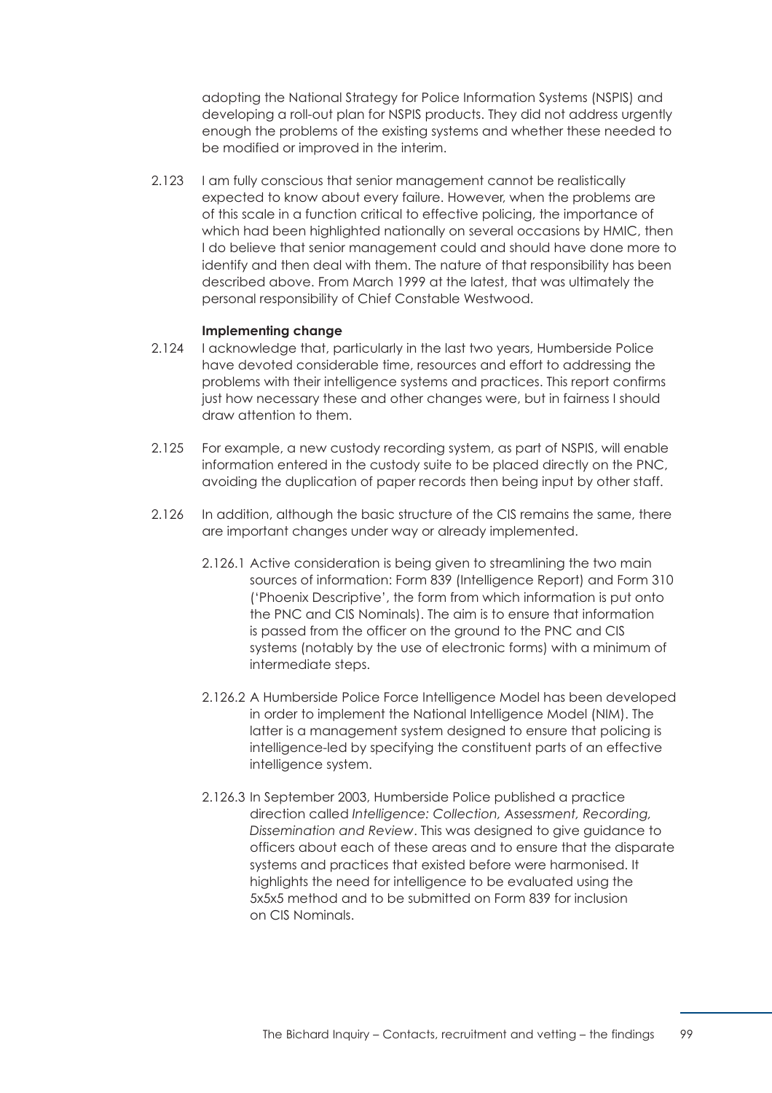adopting the National Strategy for Police Information Systems (NSPIS) and developing a roll-out plan for NSPIS products. They did not address urgently enough the problems of the existing systems and whether these needed to be modified or improved in the interim.

2.123 I am fully conscious that senior management cannot be realistically expected to know about every failure. However, when the problems are of this scale in a function critical to effective policing, the importance of which had been highlighted nationally on several occasions by HMIC, then I do believe that senior management could and should have done more to identify and then deal with them. The nature of that responsibility has been described above. From March 1999 at the latest, that was ultimately the personal responsibility of Chief Constable Westwood.

#### **Implementing change**

- 2.124 I acknowledge that, particularly in the last two years, Humberside Police have devoted considerable time, resources and effort to addressing the problems with their intelligence systems and practices. This report confirms just how necessary these and other changes were, but in fairness I should draw attention to them.
- 2.125 For example, a new custody recording system, as part of NSPIS, will enable information entered in the custody suite to be placed directly on the PNC, avoiding the duplication of paper records then being input by other staff.
- 2.126 In addition, although the basic structure of the CIS remains the same, there are important changes under way or already implemented.
	- 2.126.1 Active consideration is being given to streamlining the two main sources of information: Form 839 (Intelligence Report) and Form 310 ('Phoenix Descriptive', the form from which information is put onto the PNC and CIS Nominals). The aim is to ensure that information is passed from the officer on the ground to the PNC and CIS systems (notably by the use of electronic forms) with a minimum of intermediate steps.
	- 2.126.2 A Humberside Police Force Intelligence Model has been developed in order to implement the National Intelligence Model (NIM). The latter is a management system designed to ensure that policing is intelligence-led by specifying the constituent parts of an effective intelligence system.
	- 2.126.3 In September 2003, Humberside Police published a practice direction called *Intelligence: Collection, Assessment, Recording, Dissemination and Review*. This was designed to give guidance to officers about each of these areas and to ensure that the disparate systems and practices that existed before were harmonised. It highlights the need for intelligence to be evaluated using the 5x5x5 method and to be submitted on Form 839 for inclusion on CIS Nominals.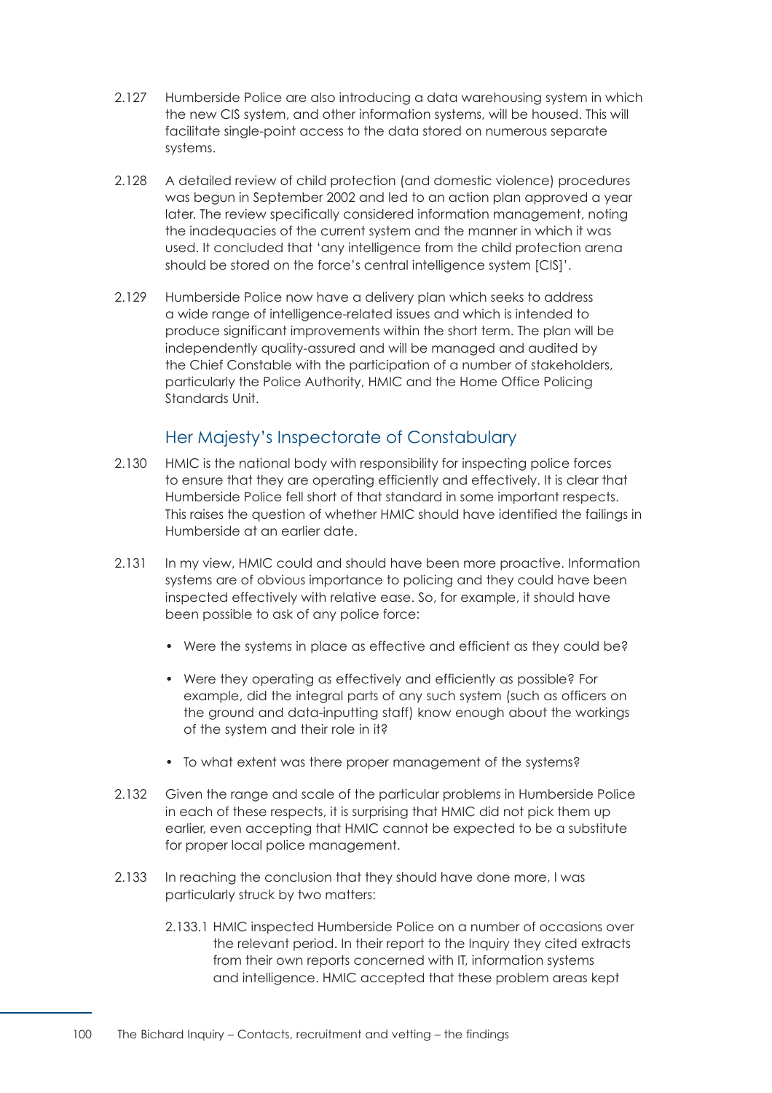- 2.127 Humberside Police are also introducing a data warehousing system in which the new CIS system, and other information systems, will be housed. This will facilitate single-point access to the data stored on numerous separate systems.
- 2.128 A detailed review of child protection (and domestic violence) procedures was begun in September 2002 and led to an action plan approved a year later. The review specifically considered information management, noting the inadequacies of the current system and the manner in which it was used. It concluded that 'any intelligence from the child protection arena should be stored on the force's central intelligence system [CIS]'.
- 2.129 Humberside Police now have a delivery plan which seeks to address a wide range of intelligence-related issues and which is intended to produce significant improvements within the short term. The plan will be independently quality-assured and will be managed and audited by the Chief Constable with the participation of a number of stakeholders, particularly the Police Authority, HMIC and the Home Office Policing Standards Unit.

# Her Majesty's Inspectorate of Constabulary

- 2.130 HMIC is the national body with responsibility for inspecting police forces to ensure that they are operating efficiently and effectively. It is clear that Humberside Police fell short of that standard in some important respects. This raises the question of whether HMIC should have identified the failings in Humberside at an earlier date.
- 2.131 In my view, HMIC could and should have been more proactive. Information systems are of obvious importance to policing and they could have been inspected effectively with relative ease. So, for example, it should have been possible to ask of any police force:
	- Were the systems in place as effective and efficient as they could be?
	- Were they operating as effectively and efficiently as possible? For example, did the integral parts of any such system (such as officers on the ground and data-inputting staff) know enough about the workings of the system and their role in it?
	- To what extent was there proper management of the systems?
- 2.132 Given the range and scale of the particular problems in Humberside Police in each of these respects, it is surprising that HMIC did not pick them up earlier, even accepting that HMIC cannot be expected to be a substitute for proper local police management.
- 2.133 In reaching the conclusion that they should have done more, I was particularly struck by two matters:
	- 2.133.1 HMIC inspected Humberside Police on a number of occasions over the relevant period. In their report to the Inquiry they cited extracts from their own reports concerned with IT, information systems and intelligence. HMIC accepted that these problem areas kept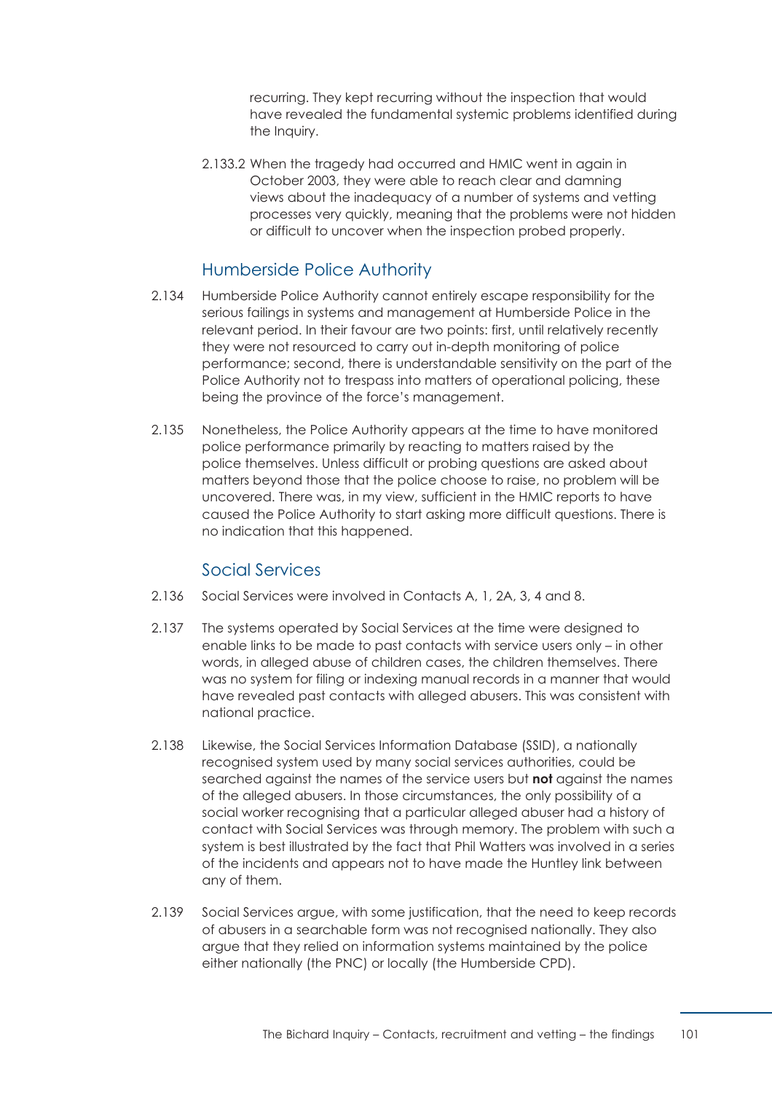recurring. They kept recurring without the inspection that would have revealed the fundamental systemic problems identified during the Inquiry.

2.133.2 When the tragedy had occurred and HMIC went in again in October 2003, they were able to reach clear and damning views about the inadequacy of a number of systems and vetting processes very quickly, meaning that the problems were not hidden or difficult to uncover when the inspection probed properly.

# Humberside Police Authority

- 2.134 Humberside Police Authority cannot entirely escape responsibility for the serious failings in systems and management at Humberside Police in the relevant period. In their favour are two points: first, until relatively recently they were not resourced to carry out in-depth monitoring of police performance; second, there is understandable sensitivity on the part of the Police Authority not to trespass into matters of operational policing, these being the province of the force's management.
- 2.135 Nonetheless, the Police Authority appears at the time to have monitored police performance primarily by reacting to matters raised by the police themselves. Unless difficult or probing questions are asked about matters beyond those that the police choose to raise, no problem will be uncovered. There was, in my view, sufficient in the HMIC reports to have caused the Police Authority to start asking more difficult questions. There is no indication that this happened.

# Social Services

- 2.136 Social Services were involved in Contacts A, 1, 2A, 3, 4 and 8.
- 2.137 The systems operated by Social Services at the time were designed to enable links to be made to past contacts with service users only – in other words, in alleged abuse of children cases, the children themselves. There was no system for filing or indexing manual records in a manner that would have revealed past contacts with alleged abusers. This was consistent with national practice.
- 2.138 Likewise, the Social Services Information Database (SSID), a nationally recognised system used by many social services authorities, could be searched against the names of the service users but **not** against the names of the alleged abusers. In those circumstances, the only possibility of a social worker recognising that a particular alleged abuser had a history of contact with Social Services was through memory. The problem with such a system is best illustrated by the fact that Phil Watters was involved in a series of the incidents and appears not to have made the Huntley link between any of them.
- 2.139 Social Services argue, with some justification, that the need to keep records of abusers in a searchable form was not recognised nationally. They also argue that they relied on information systems maintained by the police either nationally (the PNC) or locally (the Humberside CPD).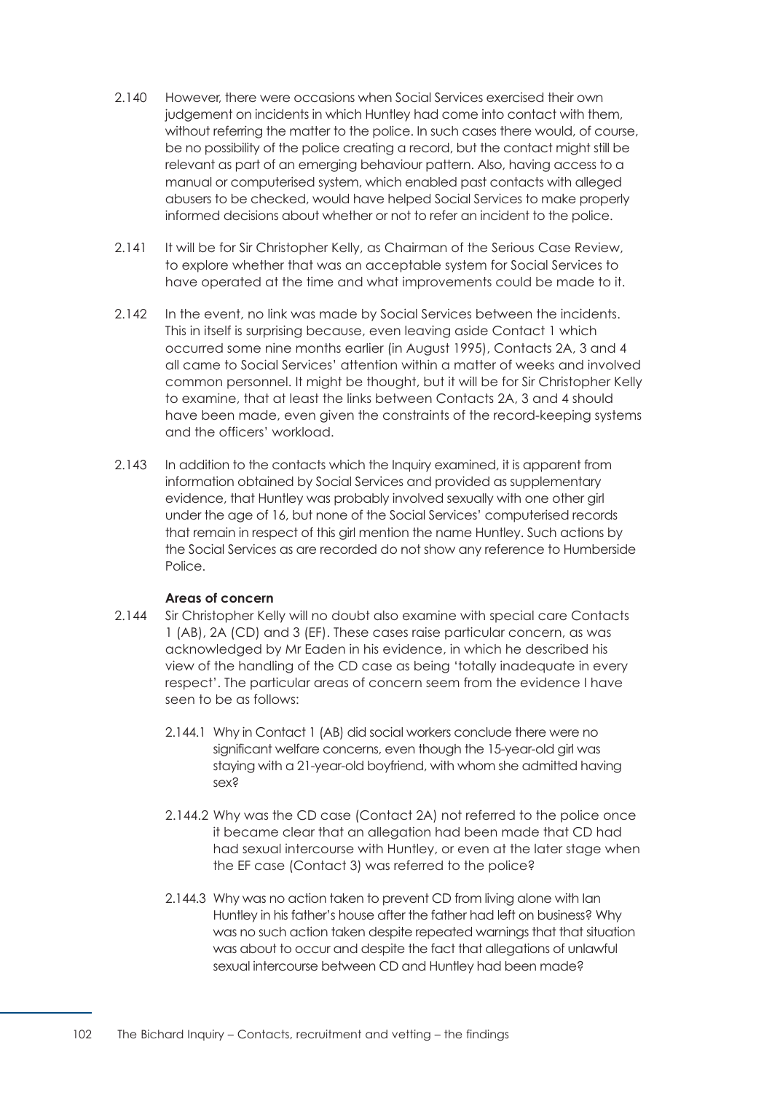- 2.140 However, there were occasions when Social Services exercised their own judgement on incidents in which Huntley had come into contact with them, without referring the matter to the police. In such cases there would, of course, be no possibility of the police creating a record, but the contact might still be relevant as part of an emerging behaviour pattern. Also, having access to a manual or computerised system, which enabled past contacts with alleged abusers to be checked, would have helped Social Services to make properly informed decisions about whether or not to refer an incident to the police.
- 2.141 It will be for Sir Christopher Kelly, as Chairman of the Serious Case Review, to explore whether that was an acceptable system for Social Services to have operated at the time and what improvements could be made to it.
- 2.142 In the event, no link was made by Social Services between the incidents. This in itself is surprising because, even leaving aside Contact 1 which occurred some nine months earlier (in August 1995), Contacts 2A, 3 and 4 all came to Social Services' attention within a matter of weeks and involved common personnel. It might be thought, but it will be for Sir Christopher Kelly to examine, that at least the links between Contacts 2A, 3 and 4 should have been made, even given the constraints of the record-keeping systems and the officers' workload.
- 2.143 In addition to the contacts which the Inquiry examined, it is apparent from information obtained by Social Services and provided as supplementary evidence, that Huntley was probably involved sexually with one other girl under the age of 16, but none of the Social Services' computerised records that remain in respect of this girl mention the name Huntley. Such actions by the Social Services as are recorded do not show any reference to Humberside Police.

#### **Areas of concern**

- 2.144 Sir Christopher Kelly will no doubt also examine with special care Contacts 1 (AB), 2A (CD) and 3 (EF). These cases raise particular concern, as was acknowledged by Mr Eaden in his evidence, in which he described his view of the handling of the CD case as being 'totally inadequate in every respect'. The particular areas of concern seem from the evidence I have seen to be as follows:
	- 2.144.1 Why in Contact 1 (AB) did social workers conclude there were no significant welfare concerns, even though the 15-year-old girl was staying with a 21-year-old boyfriend, with whom she admitted having sex?
	- 2.144.2 Why was the CD case (Contact 2A) not referred to the police once it became clear that an allegation had been made that CD had had sexual intercourse with Huntley, or even at the later stage when the EF case (Contact 3) was referred to the police?
	- 2.144.3 Why was no action taken to prevent CD from living alone with Ian Huntley in his father's house after the father had left on business? Why was no such action taken despite repeated warnings that that situation was about to occur and despite the fact that allegations of unlawful sexual intercourse between CD and Huntley had been made?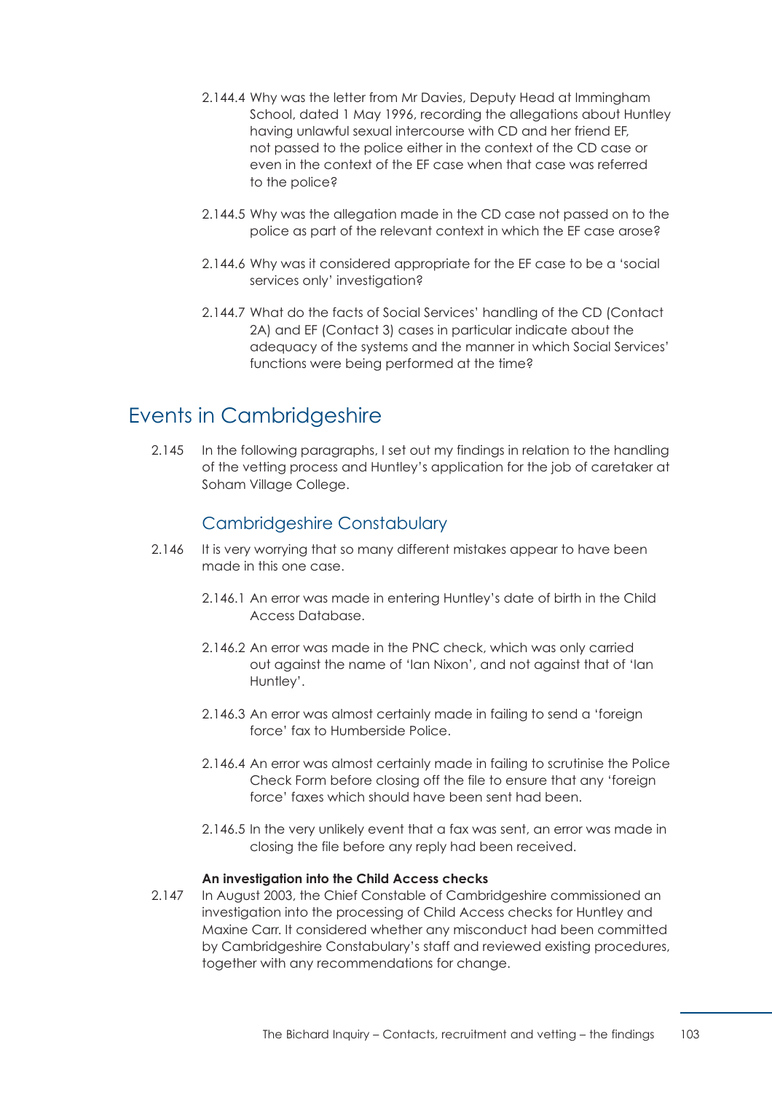- 2.144.4 Why was the letter from Mr Davies, Deputy Head at Immingham School, dated 1 May 1996, recording the allegations about Huntley having unlawful sexual intercourse with CD and her friend EF, not passed to the police either in the context of the CD case or even in the context of the EF case when that case was referred to the police?
- 2.144.5 Why was the allegation made in the CD case not passed on to the police as part of the relevant context in which the EF case arose?
- 2.144.6 Why was it considered appropriate for the EF case to be a 'social services only' investigation?
- 2.144.7 What do the facts of Social Services' handling of the CD (Contact 2A) and EF (Contact 3) cases in particular indicate about the adequacy of the systems and the manner in which Social Services' functions were being performed at the time?

# Events in Cambridgeshire

2.145 In the following paragraphs, I set out my findings in relation to the handling of the vetting process and Huntley's application for the job of caretaker at Soham Village College.

# Cambridgeshire Constabulary

- 2.146 It is very worrying that so many different mistakes appear to have been made in this one case.
	- 2.146.1 An error was made in entering Huntley's date of birth in the Child Access Database.
	- 2.146.2 An error was made in the PNC check, which was only carried out against the name of 'Ian Nixon', and not against that of 'Ian Huntley'.
	- 2.146.3 An error was almost certainly made in failing to send a 'foreign force' fax to Humberside Police.
	- 2.146.4 An error was almost certainly made in failing to scrutinise the Police Check Form before closing off the file to ensure that any 'foreign force' faxes which should have been sent had been.
	- 2.146.5 In the very unlikely event that a fax was sent, an error was made in closing the file before any reply had been received.

#### **An investigation into the Child Access checks**

2.147 In August 2003, the Chief Constable of Cambridgeshire commissioned an investigation into the processing of Child Access checks for Huntley and Maxine Carr. It considered whether any misconduct had been committed by Cambridgeshire Constabulary's staff and reviewed existing procedures, together with any recommendations for change.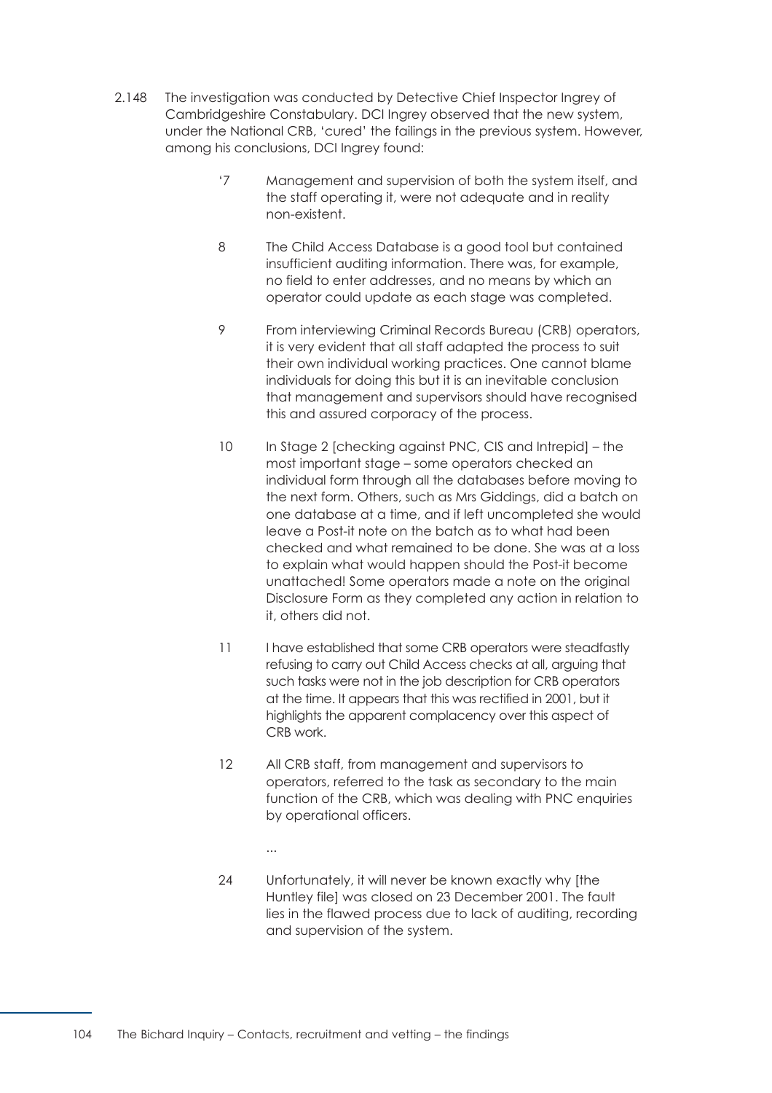- <span id="page-110-1"></span><span id="page-110-0"></span>2.148 The investigation was conducted by Detective Chief Inspector Ingrey of Cambridgeshire Constabulary. DCI Ingrey observed that the new system, under the National CRB, 'cured' the failings in the previous system. However, among his conclusions, DCI Ingrey found:
	- '7 Management and supervision of both the system itself, and the staff operating it, were not adequate and in reality non-existent.
	- 8 The Child Access Database is a good tool but contained insufficient auditing information. There was, for example, no field to enter addresses, and no means by which an operator could update as each stage was completed.
	- 9 From interviewing Criminal Records Bureau (CRB) operators, it is very evident that all staff adapted the process to suit their own individual working practices. One cannot blame individuals for doing this but it is an inevitable conclusion that management and supervisors should have recognised this and assured corporacy of the process.
	- 10 In Stage 2 [checking against PNC, CIS and Intrepid] the most important stage – some operators checked an individual form through all the databases before moving to the next form. Others, such as Mrs Giddings, did a batch on one database at a time, and if left uncompleted she would leave a Post-it note on the batch as to what had been checked and what remained to be done. She was at a loss to explain what would happen should the Post-it become unattached! Some operators made a note on the original Disclosure Form as they completed any action in relation to it, others did not.
	- 11 I have established that some CRB operators were steadfastly refusing to carry out Child Access checks at all, arguing that such tasks were not in the job description for CRB operators at the time. It appears that this was rectified in 2001, but it highlights the apparent complacency over this aspect of CRB work.
	- 12 All CRB staff, from management and supervisors to operators, referred to the task as secondary to the main function of the CRB, which was dealing with PNC enquiries by operational officers.
		- ...
	- 24 Unfortunately, it will never be known exactly why [the Huntley file] was closed on 23 December 2001. The fault lies in the flawed process due to lack of auditing, recording and supervision of the system.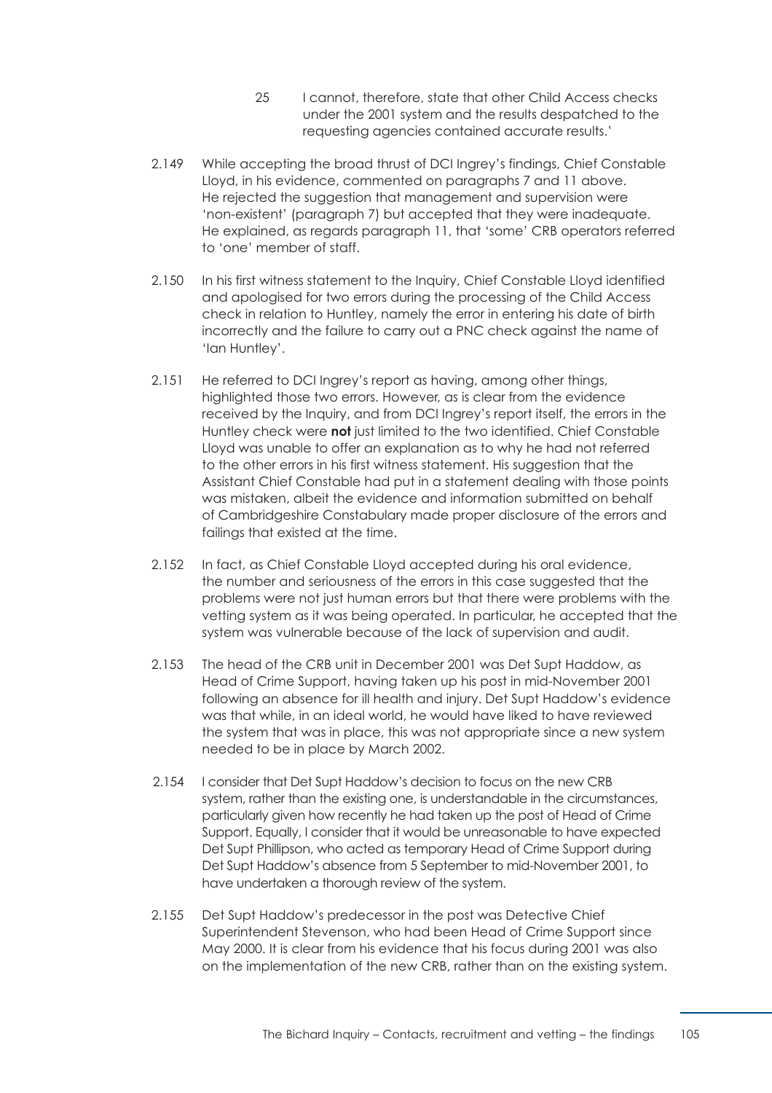- 25 I cannot, therefore, state that other Child Access checks under the 2001 system and the results despatched to the requesting agencies contained accurate results.'
- 2.149 While accepting the broad thrust of DCI Ingrey's findings, Chief Constable Lloyd, in his evidence, commented on paragraph[s 7](#page-110-0) and [11](#page-110-1) above. He rejected the suggestion that management and supervision were 'non-existent' [\(paragraph 7\)](#page-110-0) but accepted that they were inadequate. He explained, as regard[s paragraph 11](#page-110-1), that 'some' CRB operators referred to 'one' member of staff.
- 2.150 In his first witness statement to the Inquiry, Chief Constable Lloyd identified and apologised for two errors during the processing of the Child Access check in relation to Huntley, namely the error in entering his date of birth incorrectly and the failure to carry out a PNC check against the name of 'Ian Huntley'.
- 2.151 He referred to DCI Ingrey's report as having, among other things, highlighted those two errors. However, as is clear from the evidence received by the Inquiry, and from DCI Ingrey's report itself, the errors in the Huntley check were **not** just limited to the two identified. Chief Constable Lloyd was unable to offer an explanation as to why he had not referred to the other errors in his first witness statement. His suggestion that the Assistant Chief Constable had put in a statement dealing with those points was mistaken, albeit the evidence and information submitted on behalf of Cambridgeshire Constabulary made proper disclosure of the errors and failings that existed at the time.
- 2.152 In fact, as Chief Constable Lloyd accepted during his oral evidence, the number and seriousness of the errors in this case suggested that the problems were not just human errors but that there were problems with the vetting system as it was being operated. In particular, he accepted that the system was vulnerable because of the lack of supervision and audit.
- 2.153 The head of the CRB unit in December 2001 was Det Supt Haddow, as Head of Crime Support, having taken up his post in mid-November 2001 following an absence for ill health and injury. Det Supt Haddow's evidence was that while, in an ideal world, he would have liked to have reviewed the system that was in place, this was not appropriate since a new system needed to be in place by March 2002.
- 2.154 I consider that Det Supt Haddow's decision to focus on the new CRB system, rather than the existing one, is understandable in the circumstances, particularly given how recently he had taken up the post of Head of Crime Support. Equally, I consider that it would be unreasonable to have expected Det Supt Phillipson, who acted as temporary Head of Crime Support during Det Supt Haddow's absence from 5 September to mid-November 2001, to have undertaken a thorough review of the system.
- 2.155 Det Supt Haddow's predecessor in the post was Detective Chief Superintendent Stevenson, who had been Head of Crime Support since May 2000. It is clear from his evidence that his focus during 2001 was also on the implementation of the new CRB, rather than on the existing system.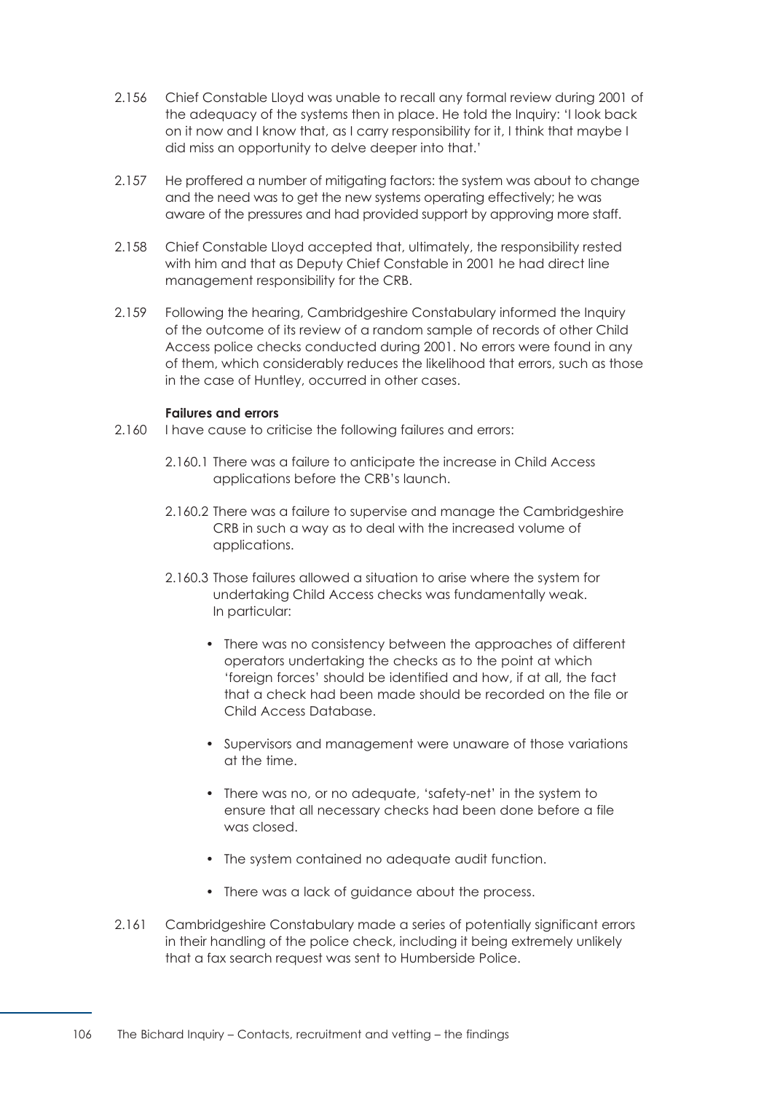- 2.156 Chief Constable Lloyd was unable to recall any formal review during 2001 of the adequacy of the systems then in place. He told the Inquiry: 'I look back on it now and I know that, as I carry responsibility for it, I think that maybe I did miss an opportunity to delve deeper into that.'
- 2.157 He proffered a number of mitigating factors: the system was about to change and the need was to get the new systems operating effectively; he was aware of the pressures and had provided support by approving more staff.
- 2.158 Chief Constable Lloyd accepted that, ultimately, the responsibility rested with him and that as Deputy Chief Constable in 2001 he had direct line management responsibility for the CRB.
- 2.159 Following the hearing, Cambridgeshire Constabulary informed the Inquiry of the outcome of its review of a random sample of records of other Child Access police checks conducted during 2001. No errors were found in any of them, which considerably reduces the likelihood that errors, such as those in the case of Huntley, occurred in other cases.

#### **Failures and errors**

- 2.160 I have cause to criticise the following failures and errors:
	- 2.160.1 There was a failure to anticipate the increase in Child Access applications before the CRB's launch.
	- 2.160.2 There was a failure to supervise and manage the Cambridgeshire CRB in such a way as to deal with the increased volume of applications.
	- 2.160.3 Those failures allowed a situation to arise where the system for undertaking Child Access checks was fundamentally weak. In particular:
		- There was no consistency between the approaches of different operators undertaking the checks as to the point at which 'foreign forces' should be identified and how, if at all, the fact that a check had been made should be recorded on the file or Child Access Database.
		- Supervisors and management were unaware of those variations at the time.
		- There was no, or no adequate, 'safety-net' in the system to ensure that all necessary checks had been done before a file was closed.
		- The system contained no adequate audit function.
		- There was a lack of guidance about the process.
- 2.161 Cambridgeshire Constabulary made a series of potentially significant errors in their handling of the police check, including it being extremely unlikely that a fax search request was sent to Humberside Police.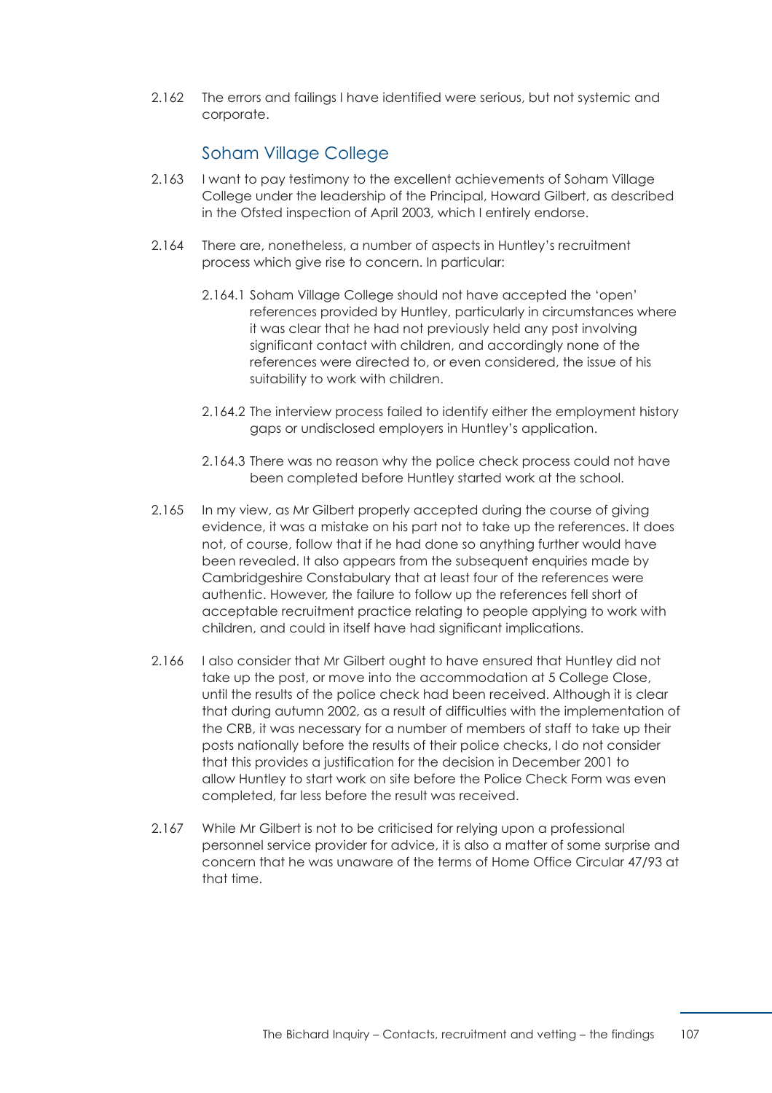2.162 The errors and failings I have identified were serious, but not systemic and corporate.

# Soham Village College

- 2.163 I want to pay testimony to the excellent achievements of Soham Village College under the leadership of the Principal, Howard Gilbert, as described in the Ofsted inspection of April 2003, which I entirely endorse.
- 2.164 There are, nonetheless, a number of aspects in Huntley's recruitment process which give rise to concern. In particular:
	- 2.164.1 Soham Village College should not have accepted the 'open' references provided by Huntley, particularly in circumstances where it was clear that he had not previously held any post involving significant contact with children, and accordingly none of the references were directed to, or even considered, the issue of his suitability to work with children.
	- 2.164.2 The interview process failed to identify either the employment history gaps or undisclosed employers in Huntley's application.
	- 2.164.3 There was no reason why the police check process could not have been completed before Huntley started work at the school.
- 2.165 In my view, as Mr Gilbert properly accepted during the course of giving evidence, it was a mistake on his part not to take up the references. It does not, of course, follow that if he had done so anything further would have been revealed. It also appears from the subsequent enquiries made by Cambridgeshire Constabulary that at least four of the references were authentic. However, the failure to follow up the references fell short of acceptable recruitment practice relating to people applying to work with children, and could in itself have had significant implications.
- 2.166 I also consider that Mr Gilbert ought to have ensured that Huntley did not take up the post, or move into the accommodation at 5 College Close, until the results of the police check had been received. Although it is clear that during autumn 2002, as a result of difficulties with the implementation of the CRB, it was necessary for a number of members of staff to take up their posts nationally before the results of their police checks, I do not consider that this provides a justification for the decision in December 2001 to allow Huntley to start work on site before the Police Check Form was even completed, far less before the result was received.
- 2.167 While Mr Gilbert is not to be criticised for relying upon a professional personnel service provider for advice, it is also a matter of some surprise and concern that he was unaware of the terms of Home Office Circular 47/93 at that time.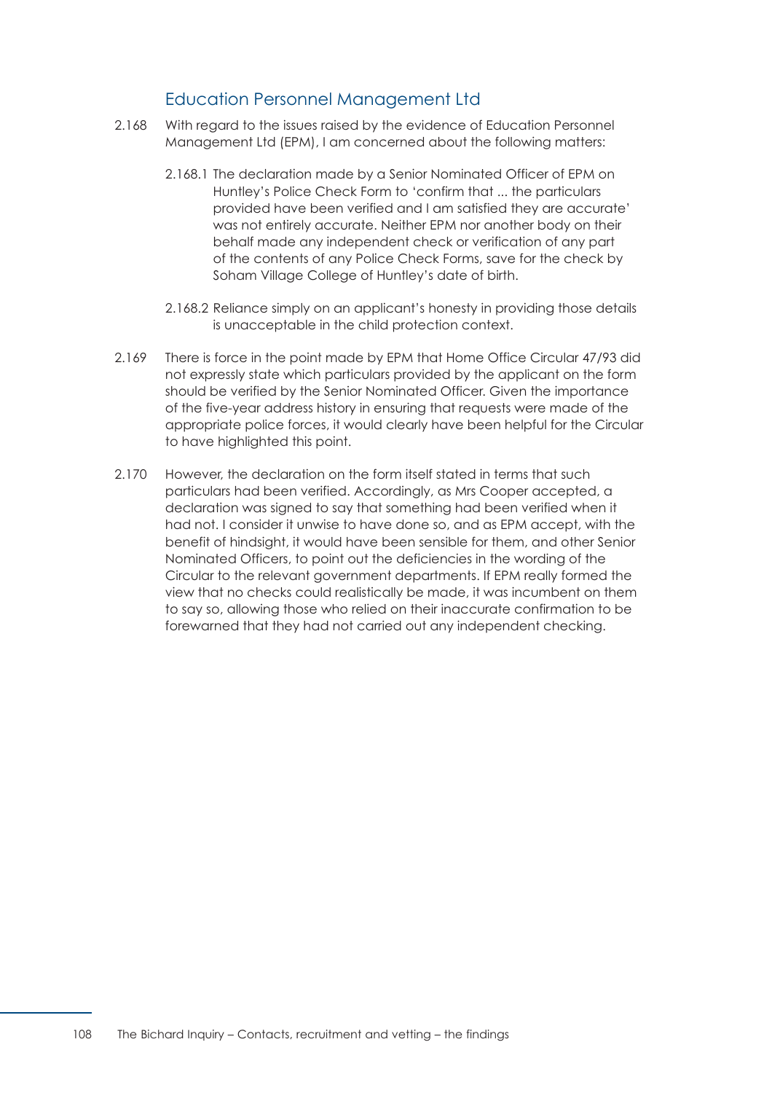# Education Personnel Management Ltd

- 2.168 With regard to the issues raised by the evidence of Education Personnel Management Ltd (EPM), I am concerned about the following matters:
	- 2.168.1 The declaration made by a Senior Nominated Officer of EPM on Huntley's Police Check Form to 'confirm that ... the particulars provided have been verified and I am satisfied they are accurate' was not entirely accurate. Neither EPM nor another body on their behalf made any independent check or verification of any part of the contents of any Police Check Forms, save for the check by Soham Village College of Huntley's date of birth.
	- 2.168.2 Reliance simply on an applicant's honesty in providing those details is unacceptable in the child protection context.
- 2.169 There is force in the point made by EPM that Home Office Circular 47/93 did not expressly state which particulars provided by the applicant on the form should be verified by the Senior Nominated Officer. Given the importance of the five-year address history in ensuring that requests were made of the appropriate police forces, it would clearly have been helpful for the Circular to have highlighted this point.
- 2.170 However, the declaration on the form itself stated in terms that such particulars had been verified. Accordingly, as Mrs Cooper accepted, a declaration was signed to say that something had been verified when it had not. I consider it unwise to have done so, and as EPM accept, with the benefit of hindsight, it would have been sensible for them, and other Senior Nominated Officers, to point out the deficiencies in the wording of the Circular to the relevant government departments. If EPM really formed the view that no checks could realistically be made, it was incumbent on them to say so, allowing those who relied on their inaccurate confirmation to be forewarned that they had not carried out any independent checking.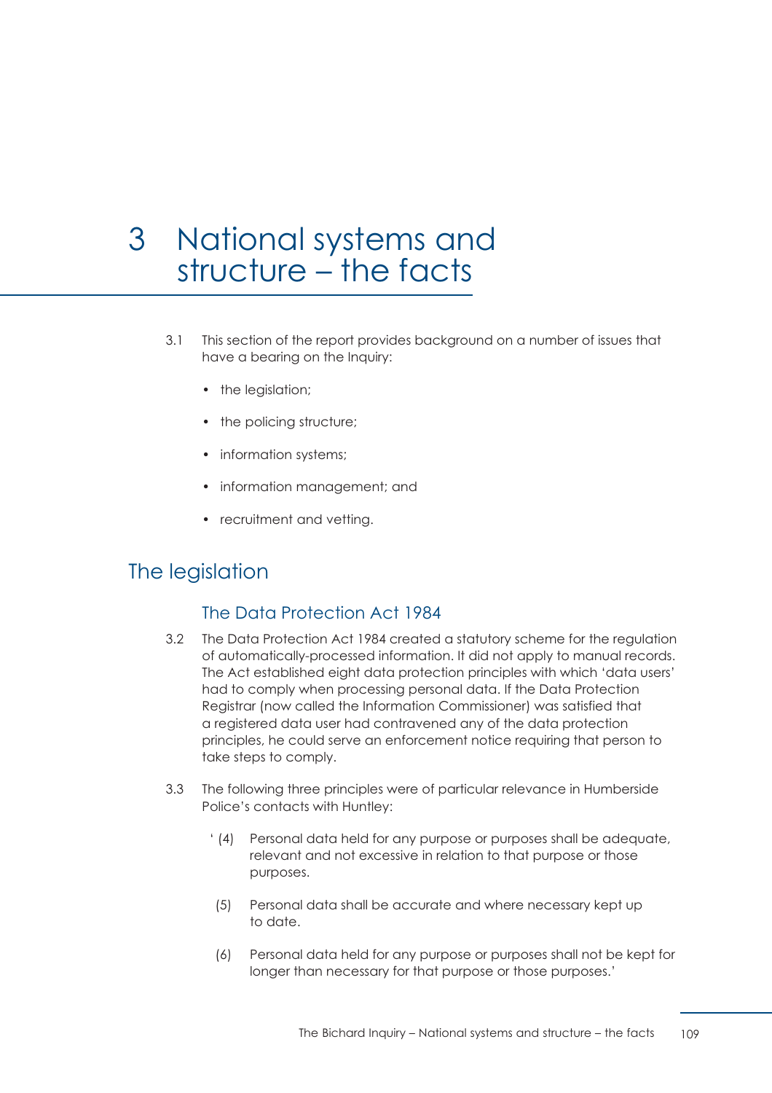# 3 National systems and structure – the facts

- 3.1 This section of the report provides background on a number of issues that have a bearing on the Inquiry:
	- the legislation;
	- the policing structure;
	- information systems;
	- information management; and
	- recruitment and vetting.

# The legislation

# The Data Protection Act 1984

- 3.2 The Data Protection Act 1984 created a statutory scheme for the regulation of automatically-processed information. It did not apply to manual records. The Act established eight data protection principles with which 'data users' had to comply when processing personal data. If the Data Protection Registrar (now called the Information Commissioner) was satisfied that a registered data user had contravened any of the data protection principles, he could serve an enforcement notice requiring that person to take steps to comply.
- 3.3 The following three principles were of particular relevance in Humberside Police's contacts with Huntley:
	- ' (4) Personal data held for any purpose or purposes shall be adequate, relevant and not excessive in relation to that purpose or those purposes.
	- (5) Personal data shall be accurate and where necessary kept up to date.
	- (6) Personal data held for any purpose or purposes shall not be kept for longer than necessary for that purpose or those purposes.'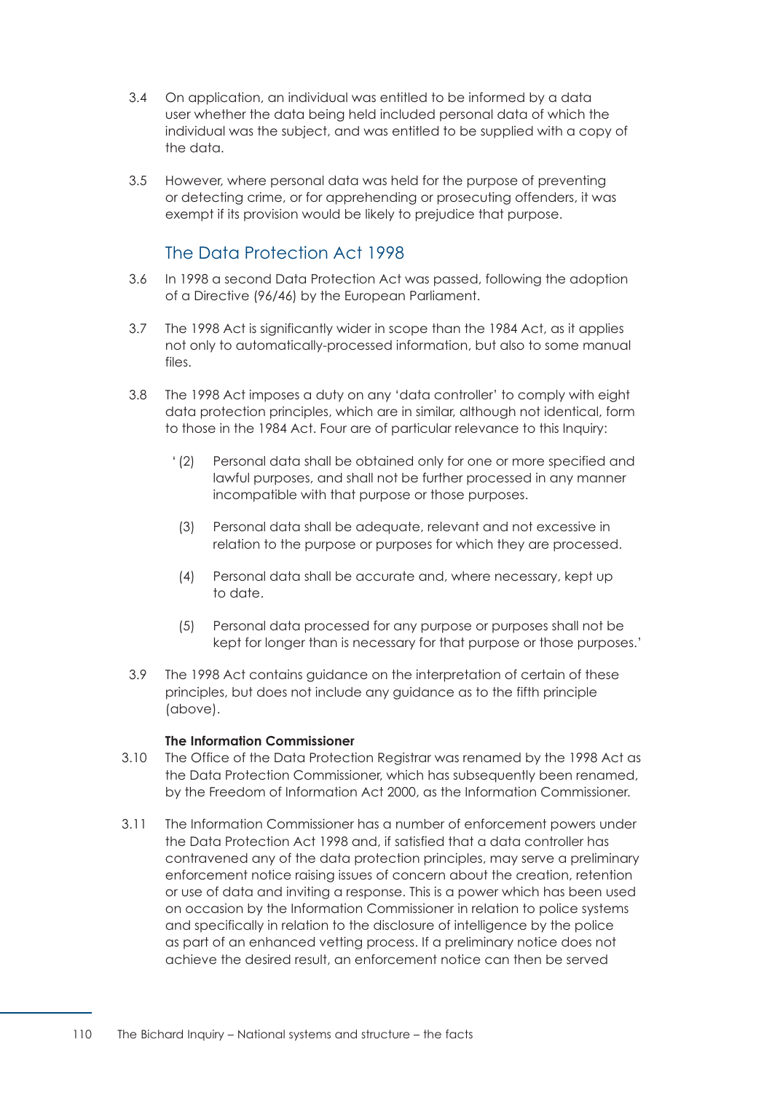- 3.4 On application, an individual was entitled to be informed by a data user whether the data being held included personal data of which the individual was the subject, and was entitled to be supplied with a copy of the data.
- 3.5 However, where personal data was held for the purpose of preventing or detecting crime, or for apprehending or prosecuting offenders, it was exempt if its provision would be likely to prejudice that purpose.

# The Data Protection Act 1998

- 3.6 In 1998 a second Data Protection Act was passed, following the adoption of a Directive (96/46) by the European Parliament.
- 3.7 The 1998 Act is significantly wider in scope than the 1984 Act, as it applies not only to automatically-processed information, but also to some manual files.
- 3.8 The 1998 Act imposes a duty on any 'data controller' to comply with eight data protection principles, which are in similar, although not identical, form to those in the 1984 Act. Four are of particular relevance to this Inquiry:
	- ' (2) Personal data shall be obtained only for one or more specified and lawful purposes, and shall not be further processed in any manner incompatible with that purpose or those purposes.
	- (3) Personal data shall be adequate, relevant and not excessive in relation to the purpose or purposes for which they are processed.
	- (4) Personal data shall be accurate and, where necessary, kept up to date.
	- (5) Personal data processed for any purpose or purposes shall not be kept for longer than is necessary for that purpose or those purposes.'
- 3.9 The 1998 Act contains guidance on the interpretation of certain of these principles, but does not include any guidance as to the fifth principle (above).

#### **The Information Commissioner**

- 3.10 The Office of the Data Protection Registrar was renamed by the 1998 Act as the Data Protection Commissioner, which has subsequently been renamed, by the Freedom of Information Act 2000, as the Information Commissioner.
- 3.11 The Information Commissioner has a number of enforcement powers under the Data Protection Act 1998 and, if satisfied that a data controller has contravened any of the data protection principles, may serve a preliminary enforcement notice raising issues of concern about the creation, retention or use of data and inviting a response. This is a power which has been used on occasion by the Information Commissioner in relation to police systems and specifically in relation to the disclosure of intelligence by the police as part of an enhanced vetting process. If a preliminary notice does not achieve the desired result, an enforcement notice can then be served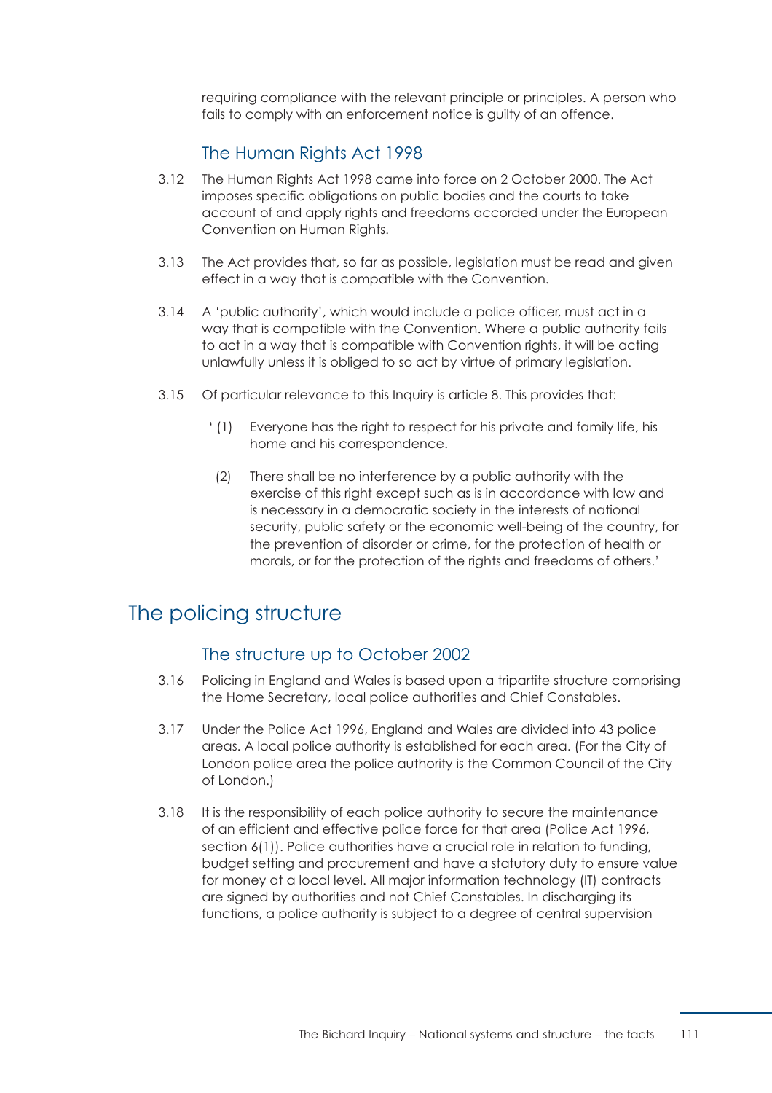requiring compliance with the relevant principle or principles. A person who fails to comply with an enforcement notice is guilty of an offence.

# The Human Rights Act 1998

- 3.12 The Human Rights Act 1998 came into force on 2 October 2000. The Act imposes specific obligations on public bodies and the courts to take account of and apply rights and freedoms accorded under the European Convention on Human Rights.
- 3.13 The Act provides that, so far as possible, legislation must be read and given effect in a way that is compatible with the Convention.
- 3.14 A 'public authority', which would include a police officer, must act in a way that is compatible with the Convention. Where a public authority fails to act in a way that is compatible with Convention rights, it will be acting unlawfully unless it is obliged to so act by virtue of primary legislation.
- 3.15 Of particular relevance to this Inquiry is article 8. This provides that:
	- ' (1) Everyone has the right to respect for his private and family life, his home and his correspondence.
	- (2) There shall be no interference by a public authority with the exercise of this right except such as is in accordance with law and is necessary in a democratic society in the interests of national security, public safety or the economic well-being of the country, for the prevention of disorder or crime, for the protection of health or morals, or for the protection of the rights and freedoms of others.'

# The policing structure

# The structure up to October 2002

- 3.16 Policing in England and Wales is based upon a tripartite structure comprising the Home Secretary, local police authorities and Chief Constables.
- 3.17 Under the Police Act 1996, England and Wales are divided into 43 police areas. A local police authority is established for each area. (For the City of London police area the police authority is the Common Council of the City of London.)
- 3.18 It is the responsibility of each police authority to secure the maintenance of an efficient and effective police force for that area (Police Act 1996, section 6(1)). Police authorities have a crucial role in relation to funding, budget setting and procurement and have a statutory duty to ensure value for money at a local level. All major information technology (IT) contracts are signed by authorities and not Chief Constables. In discharging its functions, a police authority is subject to a degree of central supervision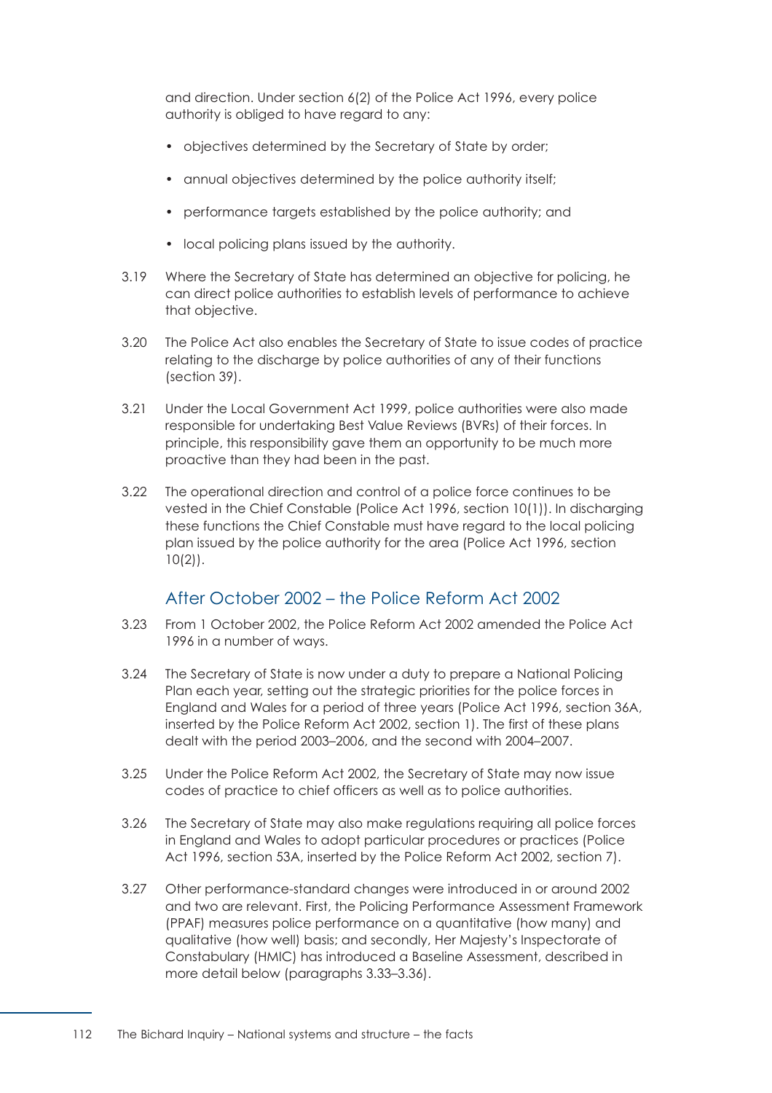and direction. Under section 6(2) of the Police Act 1996, every police authority is obliged to have regard to any:

- objectives determined by the Secretary of State by order;
- annual objectives determined by the police authority itself;
- performance targets established by the police authority; and
- local policing plans issued by the authority.
- 3.19 Where the Secretary of State has determined an objective for policing, he can direct police authorities to establish levels of performance to achieve that objective.
- 3.20 The Police Act also enables the Secretary of State to issue codes of practice relating to the discharge by police authorities of any of their functions (section 39).
- 3.21 Under the Local Government Act 1999, police authorities were also made responsible for undertaking Best Value Reviews (BVRs) of their forces. In principle, this responsibility gave them an opportunity to be much more proactive than they had been in the past.
- 3.22 The operational direction and control of a police force continues to be vested in the Chief Constable (Police Act 1996, section 10(1)). In discharging these functions the Chief Constable must have regard to the local policing plan issued by the police authority for the area (Police Act 1996, section  $10(2)$ .

# After October 2002 – the Police Reform Act 2002

- 3.23 From 1 October 2002, the Police Reform Act 2002 amended the Police Act 1996 in a number of ways.
- 3.24 The Secretary of State is now under a duty to prepare a National Policing Plan each year, setting out the strategic priorities for the police forces in England and Wales for a period of three years (Police Act 1996, section 36A, inserted by the Police Reform Act 2002, section 1). The first of these plans dealt with the period 2003–2006, and the second with 2004–2007.
- 3.25 Under the Police Reform Act 2002, the Secretary of State may now issue codes of practice to chief officers as well as to police authorities.
- 3.26 The Secretary of State may also make regulations requiring all police forces in England and Wales to adopt particular procedures or practices (Police Act 1996, section 53A, inserted by the Police Reform Act 2002, section 7).
- 3.27 Other performance-standard changes were introduced in or around 2002 and two are relevant. First, the Policing Performance Assessment Framework (PPAF) measures police performance on a quantitative (how many) and qualitative (how well) basis; and secondly, Her Majesty's Inspectorate of Constabulary (HMIC) has introduced a Baseline Assessment, described in more detail below [\(paragraphs 3.33–3.36\).](#page-120-0)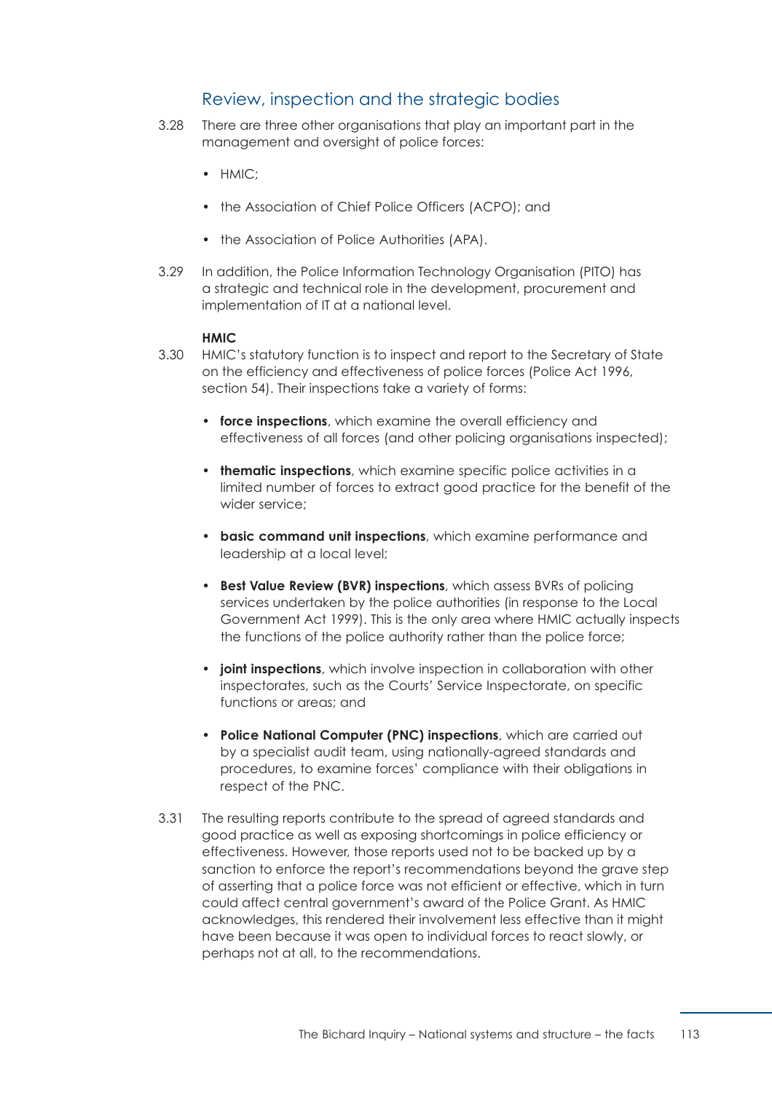# Review, inspection and the strategic bodies

- 3.28 There are three other organisations that play an important part in the management and oversight of police forces:
	- HMIC;
	- the Association of Chief Police Officers (ACPO); and
	- the Association of Police Authorities (APA).
- 3.29 In addition, the Police Information Technology Organisation (PITO) has a strategic and technical role in the development, procurement and implementation of IT at a national level.

#### **HMIC**

- 3.30 HMIC's statutory function is to inspect and report to the Secretary of State on the efficiency and effectiveness of police forces (Police Act 1996, section 54). Their inspections take a variety of forms:
	- **force inspections**, which examine the overall efficiency and effectiveness of all forces (and other policing organisations inspected);
	- **thematic inspections**, which examine specific police activities in a limited number of forces to extract good practice for the benefit of the wider service;
	- **basic command unit inspections**, which examine performance and leadership at a local level;
	- **Best Value Review (BVR) inspections**, which assess BVRs of policing services undertaken by the police authorities (in response to the Local Government Act 1999). This is the only area where HMIC actually inspects the functions of the police authority rather than the police force;
	- **joint inspections**, which involve inspection in collaboration with other inspectorates, such as the Courts' Service Inspectorate, on specific functions or areas; and
	- **Police National Computer (PNC) inspections**, which are carried out by a specialist audit team, using nationally-agreed standards and procedures, to examine forces' compliance with their obligations in respect of the PNC.
- 3.31 The resulting reports contribute to the spread of agreed standards and good practice as well as exposing shortcomings in police efficiency or effectiveness. However, those reports used not to be backed up by a sanction to enforce the report's recommendations beyond the grave step of asserting that a police force was not efficient or effective, which in turn could affect central government's award of the Police Grant. As HMIC acknowledges, this rendered their involvement less effective than it might have been because it was open to individual forces to react slowly, or perhaps not at all, to the recommendations.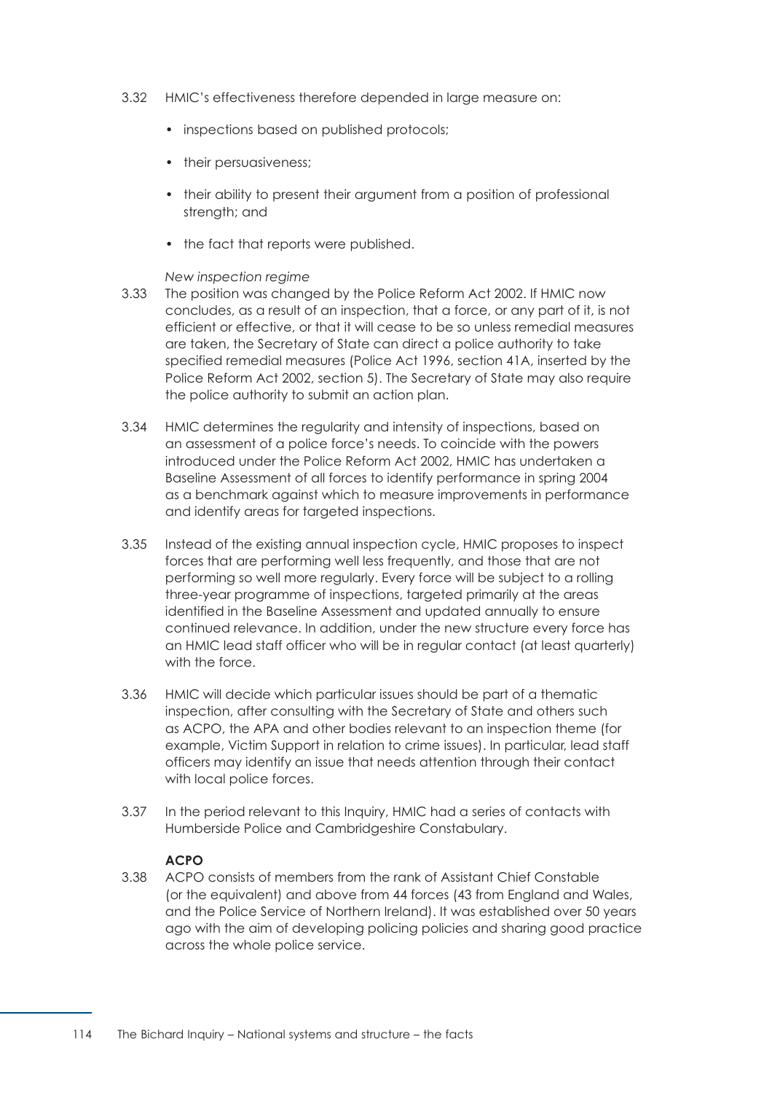- 3.32 HMIC's effectiveness therefore depended in large measure on:
	- inspections based on published protocols;
	- their persuasiveness;
	- their ability to present their argument from a position of professional strength; and
	- the fact that reports were published.

#### *New inspection regime*

- <span id="page-120-0"></span>3.33 The position was changed by the Police Reform Act 2002. If HMIC now concludes, as a result of an inspection, that a force, or any part of it, is not efficient or effective, or that it will cease to be so unless remedial measures are taken, the Secretary of State can direct a police authority to take specified remedial measures (Police Act 1996, section 41A, inserted by the Police Reform Act 2002, section 5). The Secretary of State may also require the police authority to submit an action plan.
- 3.34 HMIC determines the regularity and intensity of inspections, based on an assessment of a police force's needs. To coincide with the powers introduced under the Police Reform Act 2002, HMIC has undertaken a Baseline Assessment of all forces to identify performance in spring 2004 as a benchmark against which to measure improvements in performance and identify areas for targeted inspections.
- 3.35 Instead of the existing annual inspection cycle, HMIC proposes to inspect forces that are performing well less frequently, and those that are not performing so well more regularly. Every force will be subject to a rolling three-year programme of inspections, targeted primarily at the areas identified in the Baseline Assessment and updated annually to ensure continued relevance. In addition, under the new structure every force has an HMIC lead staff officer who will be in regular contact (at least quarterly) with the force.
- 3.36 HMIC will decide which particular issues should be part of a thematic inspection, after consulting with the Secretary of State and others such as ACPO, the APA and other bodies relevant to an inspection theme (for example, Victim Support in relation to crime issues). In particular, lead staff officers may identify an issue that needs attention through their contact with local police forces.
- 3.37 In the period relevant to this Inquiry, HMIC had a series of contacts with Humberside Police and Cambridgeshire Constabulary.

## **ACPO**

3.38 ACPO consists of members from the rank of Assistant Chief Constable (or the equivalent) and above from 44 forces (43 from England and Wales, and the Police Service of Northern Ireland). It was established over 50 years ago with the aim of developing policing policies and sharing good practice across the whole police service.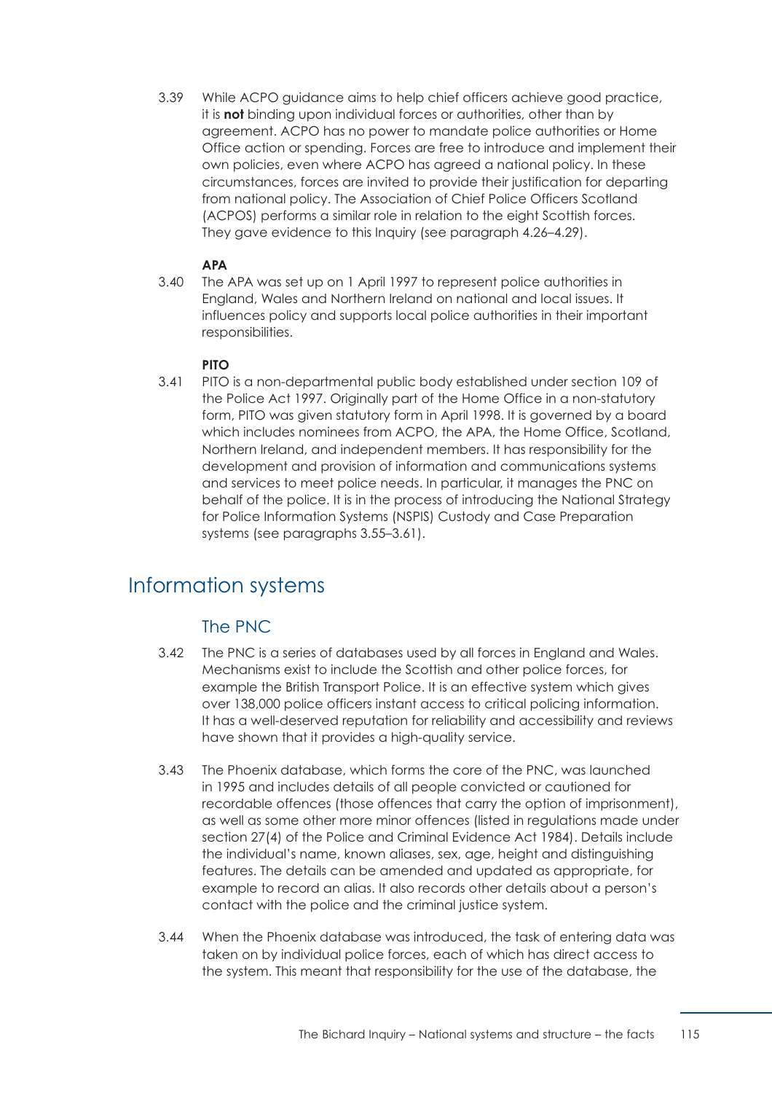3.39 While ACPO guidance aims to help chief officers achieve good practice, it is **not** binding upon individual forces or authorities, other than by agreement. ACPO has no power to mandate police authorities or Home Office action or spending. Forces are free to introduce and implement their own policies, even where ACPO has agreed a national policy. In these circumstances, forces are invited to provide their justification for departing from national policy. The Association of Chief Police Officers Scotland (ACPOS) performs a similar role in relation to the eight Scottish forces. They gave evidence to this Inquiry [\(see paragraph 4.26–4.29\)](#page-137-0).

## **APA**

3.40 The APA was set up on 1 April 1997 to represent police authorities in England, Wales and Northern Ireland on national and local issues. It influences policy and supports local police authorities in their important responsibilities.

## **PITO**

3.41 PITO is a non-departmental public body established under section 109 of the Police Act 1997. Originally part of the Home Office in a non-statutory form, PITO was given statutory form in April 1998. It is governed by a board which includes nominees from ACPO, the APA, the Home Office, Scotland, Northern Ireland, and independent members. It has responsibility for the development and provision of information and communications systems and services to meet police needs. In particular, it manages the PNC on behalf of the police. It is in the process of introducing the National Strategy for Police Information Systems (NSPIS) Custody and Case Preparation systems [\(see paragraphs 3.55–3.61\).](#page-123-0)

# Information systems

# The PNC

- 3.42 The PNC is a series of databases used by all forces in England and Wales. Mechanisms exist to include the Scottish and other police forces, for example the British Transport Police. It is an effective system which gives over 138,000 police officers instant access to critical policing information. It has a well-deserved reputation for reliability and accessibility and reviews have shown that it provides a high-quality service.
- 3.43 The Phoenix database, which forms the core of the PNC, was launched in 1995 and includes details of all people convicted or cautioned for recordable offences (those offences that carry the option of imprisonment), as well as some other more minor offences (listed in regulations made under section 27(4) of the Police and Criminal Evidence Act 1984). Details include the individual's name, known aliases, sex, age, height and distinguishing features. The details can be amended and updated as appropriate, for example to record an alias. It also records other details about a person's contact with the police and the criminal justice system.
- 3.44 When the Phoenix database was introduced, the task of entering data was taken on by individual police forces, each of which has direct access to the system. This meant that responsibility for the use of the database, the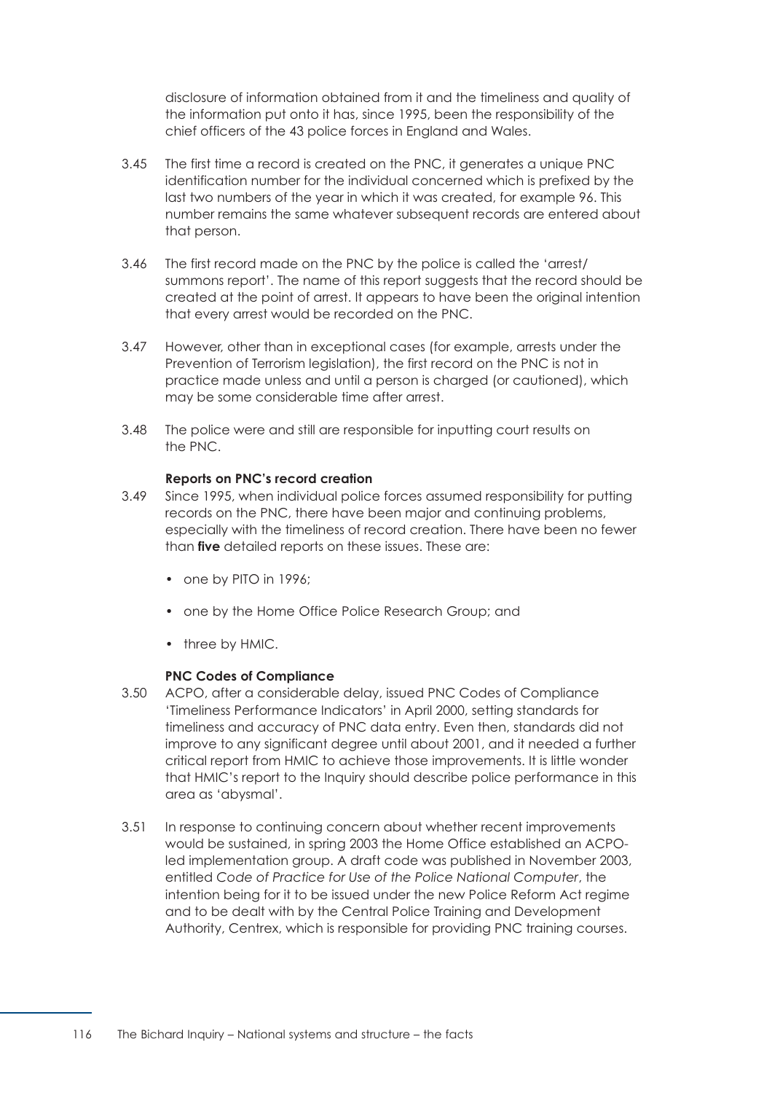disclosure of information obtained from it and the timeliness and quality of the information put onto it has, since 1995, been the responsibility of the chief officers of the 43 police forces in England and Wales.

- 3.45 The first time a record is created on the PNC, it generates a unique PNC identification number for the individual concerned which is prefixed by the last two numbers of the year in which it was created, for example 96. This number remains the same whatever subsequent records are entered about that person.
- 3.46 The first record made on the PNC by the police is called the 'arrest/ summons report'. The name of this report suggests that the record should be created at the point of arrest. It appears to have been the original intention that every arrest would be recorded on the PNC.
- 3.47 However, other than in exceptional cases (for example, arrests under the Prevention of Terrorism legislation), the first record on the PNC is not in practice made unless and until a person is charged (or cautioned), which may be some considerable time after arrest.
- 3.48 The police were and still are responsible for inputting court results on the PNC.

#### **Reports on PNC's record creation**

- 3.49 Since 1995, when individual police forces assumed responsibility for putting records on the PNC, there have been major and continuing problems, especially with the timeliness of record creation. There have been no fewer than **five** detailed reports on these issues. These are:
	- one by PITO in 1996;
	- one by the Home Office Police Research Group; and
	- three by HMIC.

#### **PNC Codes of Compliance**

- 3.50 ACPO, after a considerable delay, issued PNC Codes of Compliance 'Timeliness Performance Indicators' in April 2000, setting standards for timeliness and accuracy of PNC data entry. Even then, standards did not improve to any significant degree until about 2001, and it needed a further critical report from HMIC to achieve those improvements. It is little wonder that HMIC's report to the Inquiry should describe police performance in this area as 'abysmal'.
- 3.51 In response to continuing concern about whether recent improvements would be sustained, in spring 2003 the Home Office established an ACPOled implementation group. A draft code was published in November 2003, entitled *Code of Practice for Use of the Police National Computer*, the intention being for it to be issued under the new Police Reform Act regime and to be dealt with by the Central Police Training and Development Authority, Centrex, which is responsible for providing PNC training courses.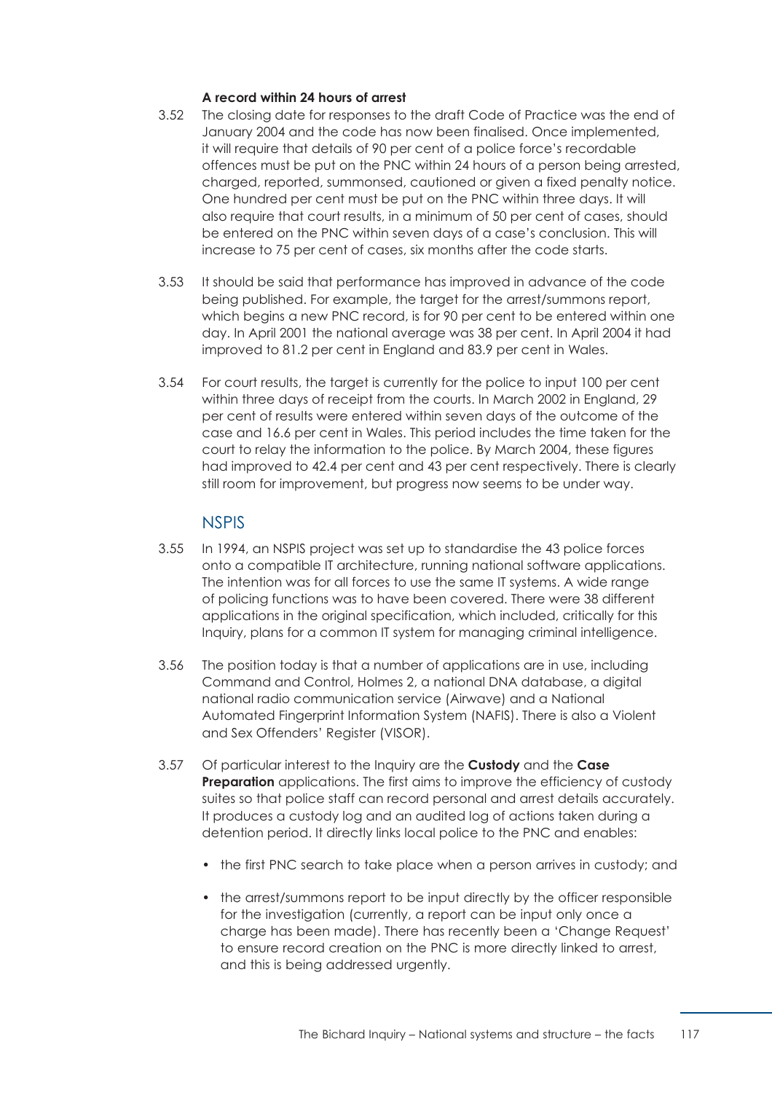## **A record within 24 hours of arrest**

- 3.52 The closing date for responses to the draft Code of Practice was the end of January 2004 and the code has now been finalised. Once implemented, it will require that details of 90 per cent of a police force's recordable offences must be put on the PNC within 24 hours of a person being arrested, charged, reported, summonsed, cautioned or given a fixed penalty notice. One hundred per cent must be put on the PNC within three days. It will also require that court results, in a minimum of 50 per cent of cases, should be entered on the PNC within seven days of a case's conclusion. This will increase to 75 per cent of cases, six months after the code starts.
- 3.53 It should be said that performance has improved in advance of the code being published. For example, the target for the arrest/summons report, which begins a new PNC record, is for 90 per cent to be entered within one day. In April 2001 the national average was 38 per cent. In April 2004 it had improved to 81.2 per cent in England and 83.9 per cent in Wales.
- 3.54 For court results, the target is currently for the police to input 100 per cent within three days of receipt from the courts. In March 2002 in England, 29 per cent of results were entered within seven days of the outcome of the case and 16.6 per cent in Wales. This period includes the time taken for the court to relay the information to the police. By March 2004, these figures had improved to 42.4 per cent and 43 per cent respectively. There is clearly still room for improvement, but progress now seems to be under way.

# **NSPIS**

- <span id="page-123-0"></span>3.55 In 1994, an NSPIS project was set up to standardise the 43 police forces onto a compatible IT architecture, running national software applications. The intention was for all forces to use the same IT systems. A wide range of policing functions was to have been covered. There were 38 different applications in the original specification, which included, critically for this Inquiry, plans for a common IT system for managing criminal intelligence.
- 3.56 The position today is that a number of applications are in use, including Command and Control, Holmes 2, a national DNA database, a digital national radio communication service (Airwave) and a National Automated Fingerprint Information System (NAFIS). There is also a Violent and Sex Offenders' Register (VISOR).
- 3.57 Of particular interest to the Inquiry are the **Custody** and the **Case Preparation** applications. The first aims to improve the efficiency of custody suites so that police staff can record personal and arrest details accurately. It produces a custody log and an audited log of actions taken during a detention period. It directly links local police to the PNC and enables:
	- the first PNC search to take place when a person arrives in custody; and
	- the arrest/summons report to be input directly by the officer responsible for the investigation (currently, a report can be input only once a charge has been made). There has recently been a 'Change Request' to ensure record creation on the PNC is more directly linked to arrest, and this is being addressed urgently.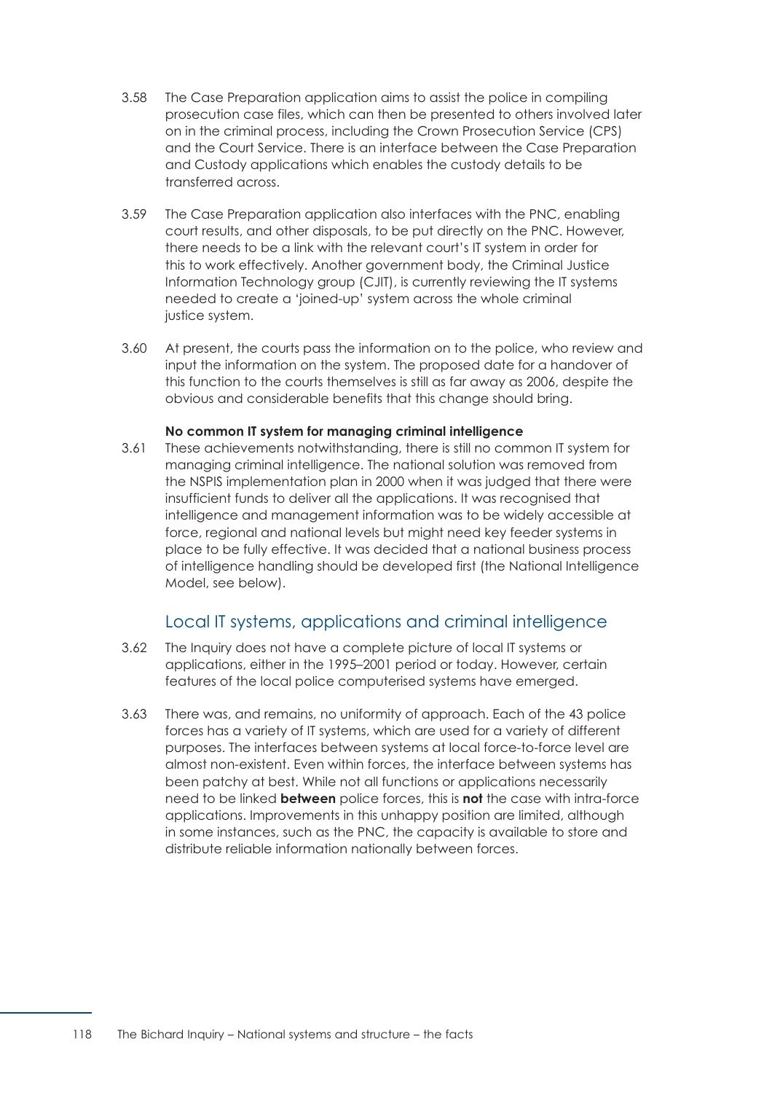- 3.58 The Case Preparation application aims to assist the police in compiling prosecution case files, which can then be presented to others involved later on in the criminal process, including the Crown Prosecution Service (CPS) and the Court Service. There is an interface between the Case Preparation and Custody applications which enables the custody details to be transferred across.
- 3.59 The Case Preparation application also interfaces with the PNC, enabling court results, and other disposals, to be put directly on the PNC. However, there needs to be a link with the relevant court's IT system in order for this to work effectively. Another government body, the Criminal Justice Information Technology group (CJIT), is currently reviewing the IT systems needed to create a 'joined-up' system across the whole criminal justice system.
- 3.60 At present, the courts pass the information on to the police, who review and input the information on the system. The proposed date for a handover of this function to the courts themselves is still as far away as 2006, despite the obvious and considerable benefits that this change should bring.

#### **No common IT system for managing criminal intelligence**

3.61 These achievements notwithstanding, there is still no common IT system for managing criminal intelligence. The national solution was removed from the NSPIS implementation plan in 2000 when it was judged that there were insufficient funds to deliver all the applications. It was recognised that intelligence and management information was to be widely accessible at force, regional and national levels but might need key feeder systems in place to be fully effective. It was decided that a national business process of intelligence handling should be developed first (the National Intelligence Model, see below).

# Local IT systems, applications and criminal intelligence

- 3.62 The Inquiry does not have a complete picture of local IT systems or applications, either in the 1995–2001 period or today. However, certain features of the local police computerised systems have emerged.
- 3.63 There was, and remains, no uniformity of approach. Each of the 43 police forces has a variety of IT systems, which are used for a variety of different purposes. The interfaces between systems at local force-to-force level are almost non-existent. Even within forces, the interface between systems has been patchy at best. While not all functions or applications necessarily need to be linked **between** police forces, this is **not** the case with intra-force applications. Improvements in this unhappy position are limited, although in some instances, such as the PNC, the capacity is available to store and distribute reliable information nationally between forces.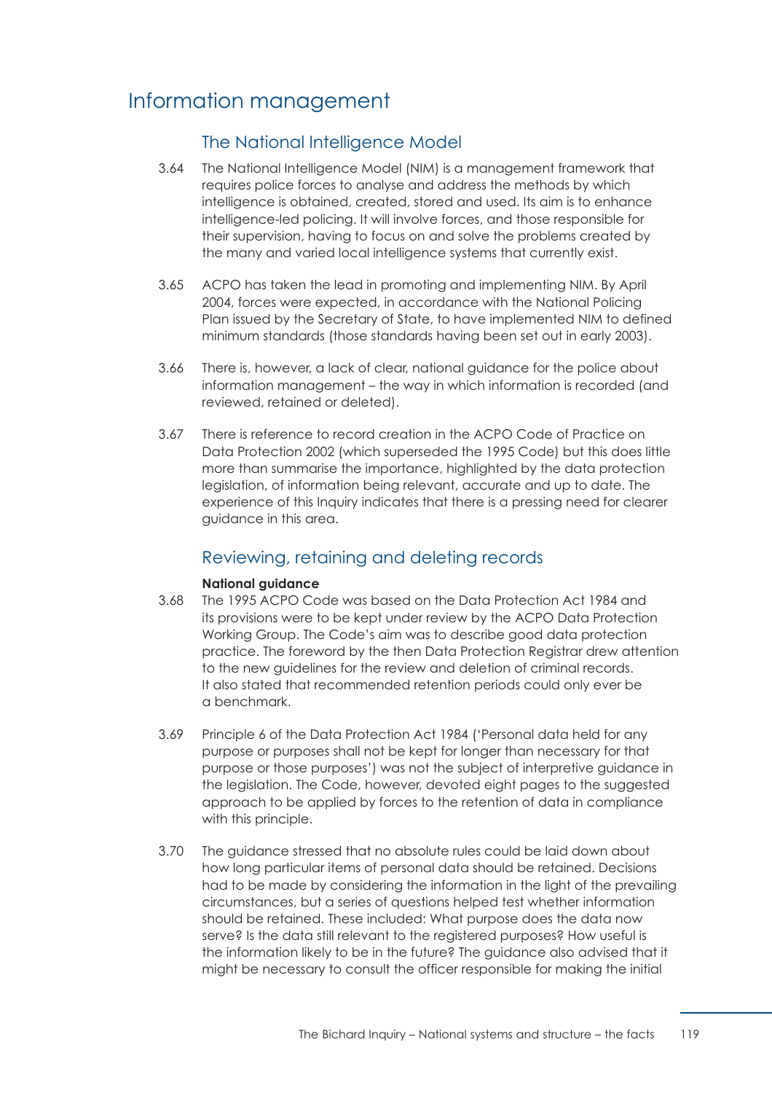# Information management

# The National Intelligence Model

- 3.64 The National Intelligence Model (NIM) is a management framework that requires police forces to analyse and address the methods by which intelligence is obtained, created, stored and used. Its aim is to enhance intelligence-led policing. It will involve forces, and those responsible for their supervision, having to focus on and solve the problems created by the many and varied local intelligence systems that currently exist.
- 3.65 ACPO has taken the lead in promoting and implementing NIM. By April 2004, forces were expected, in accordance with the National Policing Plan issued by the Secretary of State, to have implemented NIM to defined minimum standards (those standards having been set out in early 2003).
- 3.66 There is, however, a lack of clear, national guidance for the police about information management – the way in which information is recorded (and reviewed, retained or deleted).
- 3.67 There is reference to record creation in the ACPO Code of Practice on Data Protection 2002 (which superseded the 1995 Code) but this does little more than summarise the importance, highlighted by the data protection legislation, of information being relevant, accurate and up to date. The experience of this Inquiry indicates that there is a pressing need for clearer guidance in this area.

# Reviewing, retaining and deleting records

## **National guidance**

- 3.68 The 1995 ACPO Code was based on the Data Protection Act 1984 and its provisions were to be kept under review by the ACPO Data Protection Working Group. The Code's aim was to describe good data protection practice. The foreword by the then Data Protection Registrar drew attention to the new guidelines for the review and deletion of criminal records. It also stated that recommended retention periods could only ever be a benchmark.
- 3.69 Principle 6 of the Data Protection Act 1984 ('Personal data held for any purpose or purposes shall not be kept for longer than necessary for that purpose or those purposes') was not the subject of interpretive guidance in the legislation. The Code, however, devoted eight pages to the suggested approach to be applied by forces to the retention of data in compliance with this principle.
- 3.70 The quidance stressed that no absolute rules could be laid down about how long particular items of personal data should be retained. Decisions had to be made by considering the information in the light of the prevailing circumstances, but a series of questions helped test whether information should be retained. These included: What purpose does the data now serve? Is the data still relevant to the registered purposes? How useful is the information likely to be in the future? The guidance also advised that it might be necessary to consult the officer responsible for making the initial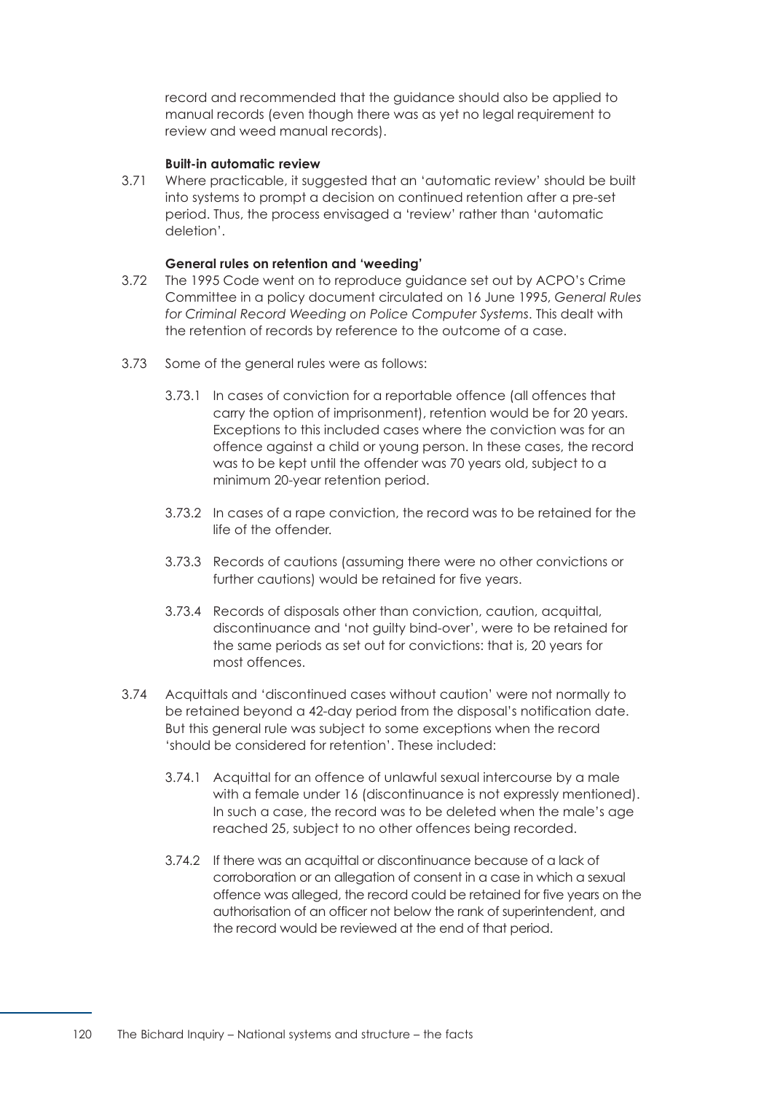record and recommended that the guidance should also be applied to manual records (even though there was as yet no legal requirement to review and weed manual records).

#### **Built-in automatic review**

3.71 Where practicable, it suggested that an 'automatic review' should be built into systems to prompt a decision on continued retention after a pre-set period. Thus, the process envisaged a 'review' rather than 'automatic deletion'.

#### **General rules on retention and 'weeding'**

- 3.72 The 1995 Code went on to reproduce guidance set out by ACPO's Crime Committee in a policy document circulated on 16 June 1995, *General Rules for Criminal Record Weeding on Police Computer Systems*. This dealt with the retention of records by reference to the outcome of a case.
- 3.73 Some of the general rules were as follows:
	- 3.73.1 In cases of conviction for a reportable offence (all offences that carry the option of imprisonment), retention would be for 20 years. Exceptions to this included cases where the conviction was for an offence against a child or young person. In these cases, the record was to be kept until the offender was 70 years old, subject to a minimum 20-year retention period.
	- 3.73.2 In cases of a rape conviction, the record was to be retained for the life of the offender.
	- 3.73.3 Records of cautions (assuming there were no other convictions or further cautions) would be retained for five years.
	- 3.73.4 Records of disposals other than conviction, caution, acquittal, discontinuance and 'not guilty bind-over', were to be retained for the same periods as set out for convictions: that is, 20 years for most offences.
- 3.74 Acquittals and 'discontinued cases without caution' were not normally to be retained beyond a 42-day period from the disposal's notification date. But this general rule was subject to some exceptions when the record 'should be considered for retention'. These included:
	- 3.74.1 Acquittal for an offence of unlawful sexual intercourse by a male with a female under 16 (discontinuance is not expressly mentioned). In such a case, the record was to be deleted when the male's age reached 25, subject to no other offences being recorded.
	- 3.74.2 If there was an acquittal or discontinuance because of a lack of corroboration or an allegation of consent in a case in which a sexual offence was alleged, the record could be retained for five years on the authorisation of an officer not below the rank of superintendent, and the record would be reviewed at the end of that period.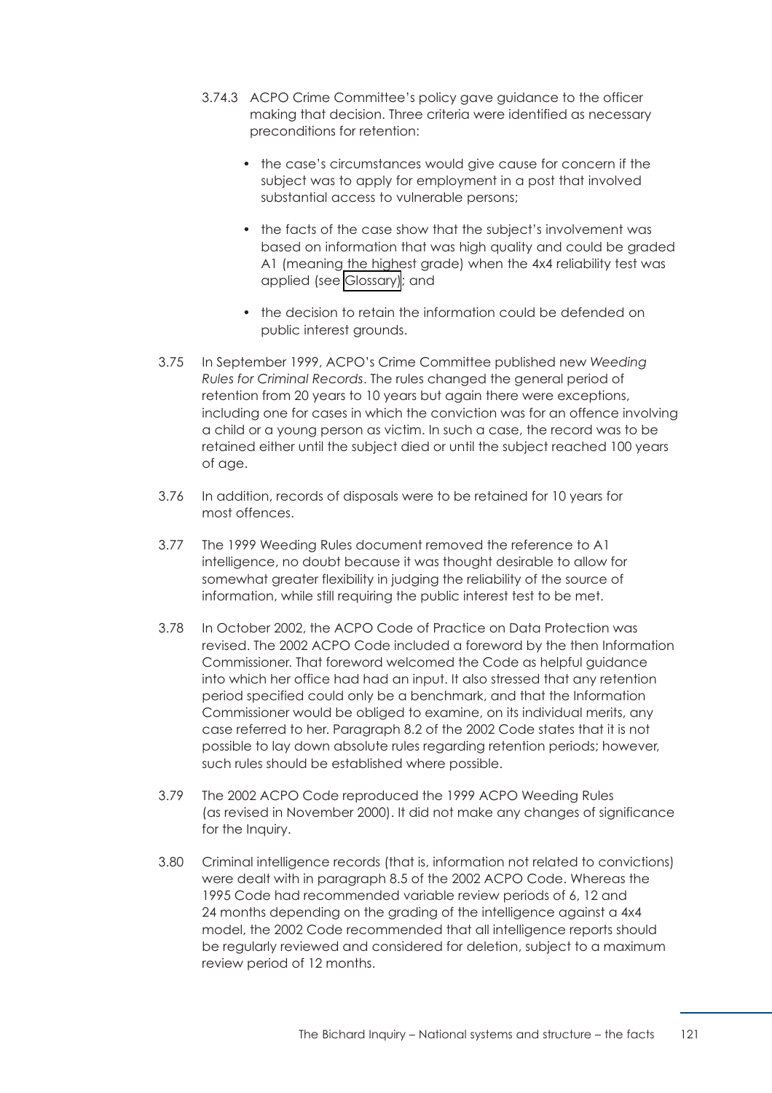- 3.74.3 ACPO Crime Committee's policy gave guidance to the officer making that decision. Three criteria were identified as necessary preconditions for retention:
	- the case's circumstances would give cause for concern if the subject was to apply for employment in a post that involved substantial access to vulnerable persons;
	- the facts of the case show that the subject's involvement was based on information that was high quality and could be graded A1 (meaning the highest grade) when the 4x4 reliability test was applied (see [Glossary\)](#page-163-0); and
	- the decision to retain the information could be defended on public interest grounds.
- 3.75 In September 1999, ACPO's Crime Committee published new *Weeding Rules for Criminal Records*. The rules changed the general period of retention from 20 years to 10 years but again there were exceptions, including one for cases in which the conviction was for an offence involving a child or a young person as victim. In such a case, the record was to be retained either until the subject died or until the subject reached 100 years of age.
- 3.76 In addition, records of disposals were to be retained for 10 years for most offences.
- 3.77 The 1999 Weeding Rules document removed the reference to A1 intelligence, no doubt because it was thought desirable to allow for somewhat greater flexibility in judging the reliability of the source of information, while still requiring the public interest test to be met.
- 3.78 In October 2002, the ACPO Code of Practice on Data Protection was revised. The 2002 ACPO Code included a foreword by the then Information Commissioner. That foreword welcomed the Code as helpful guidance into which her office had had an input. It also stressed that any retention period specified could only be a benchmark, and that the Information Commissioner would be obliged to examine, on its individual merits, any case referred to her. Paragraph 8.2 of the 2002 Code states that it is not possible to lay down absolute rules regarding retention periods; however, such rules should be established where possible.
- 3.79 The 2002 ACPO Code reproduced the 1999 ACPO Weeding Rules (as revised in November 2000). It did not make any changes of significance for the Inquiry.
- 3.80 Criminal intelligence records (that is, information not related to convictions) were dealt with in paragraph 8.5 of the 2002 ACPO Code. Whereas the 1995 Code had recommended variable review periods of 6, 12 and 24 months depending on the grading of the intelligence against a 4x4 model, the 2002 Code recommended that all intelligence reports should be regularly reviewed and considered for deletion, subject to a maximum review period of 12 months.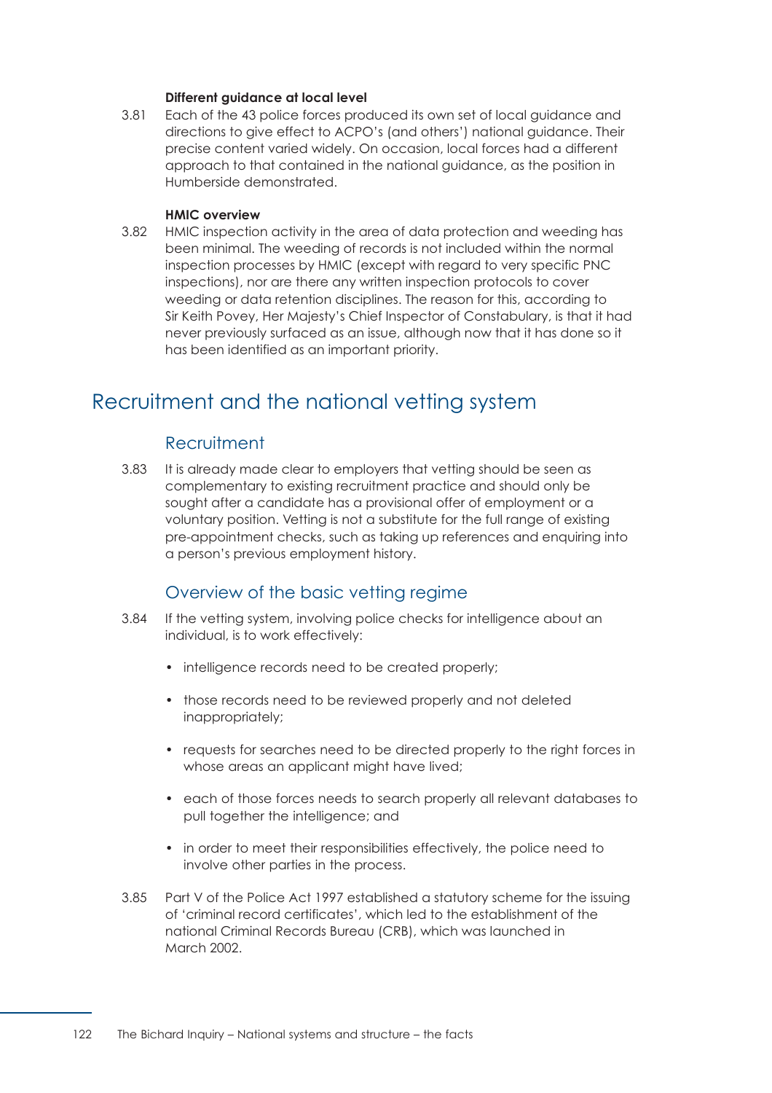#### **Different guidance at local level**

3.81 Each of the 43 police forces produced its own set of local guidance and directions to give effect to ACPO's (and others') national guidance. Their precise content varied widely. On occasion, local forces had a different approach to that contained in the national guidance, as the position in Humberside demonstrated.

#### **HMIC overview**

3.82 HMIC inspection activity in the area of data protection and weeding has been minimal. The weeding of records is not included within the normal inspection processes by HMIC (except with regard to very specific PNC inspections), nor are there any written inspection protocols to cover weeding or data retention disciplines. The reason for this, according to Sir Keith Povey, Her Majesty's Chief Inspector of Constabulary, is that it had never previously surfaced as an issue, although now that it has done so it has been identified as an important priority.

# Recruitment and the national vetting system

# **Recruitment**

3.83 It is already made clear to employers that vetting should be seen as complementary to existing recruitment practice and should only be sought after a candidate has a provisional offer of employment or a voluntary position. Vetting is not a substitute for the full range of existing pre-appointment checks, such as taking up references and enquiring into a person's previous employment history.

# Overview of the basic vetting regime

- 3.84 If the vetting system, involving police checks for intelligence about an individual, is to work effectively:
	- intelligence records need to be created properly;
	- those records need to be reviewed properly and not deleted inappropriately;
	- requests for searches need to be directed properly to the right forces in whose areas an applicant might have lived;
	- each of those forces needs to search properly all relevant databases to pull together the intelligence; and
	- in order to meet their responsibilities effectively, the police need to involve other parties in the process.
- 3.85 Part V of the Police Act 1997 established a statutory scheme for the issuing of 'criminal record certificates', which led to the establishment of the national Criminal Records Bureau (CRB), which was launched in March 2002.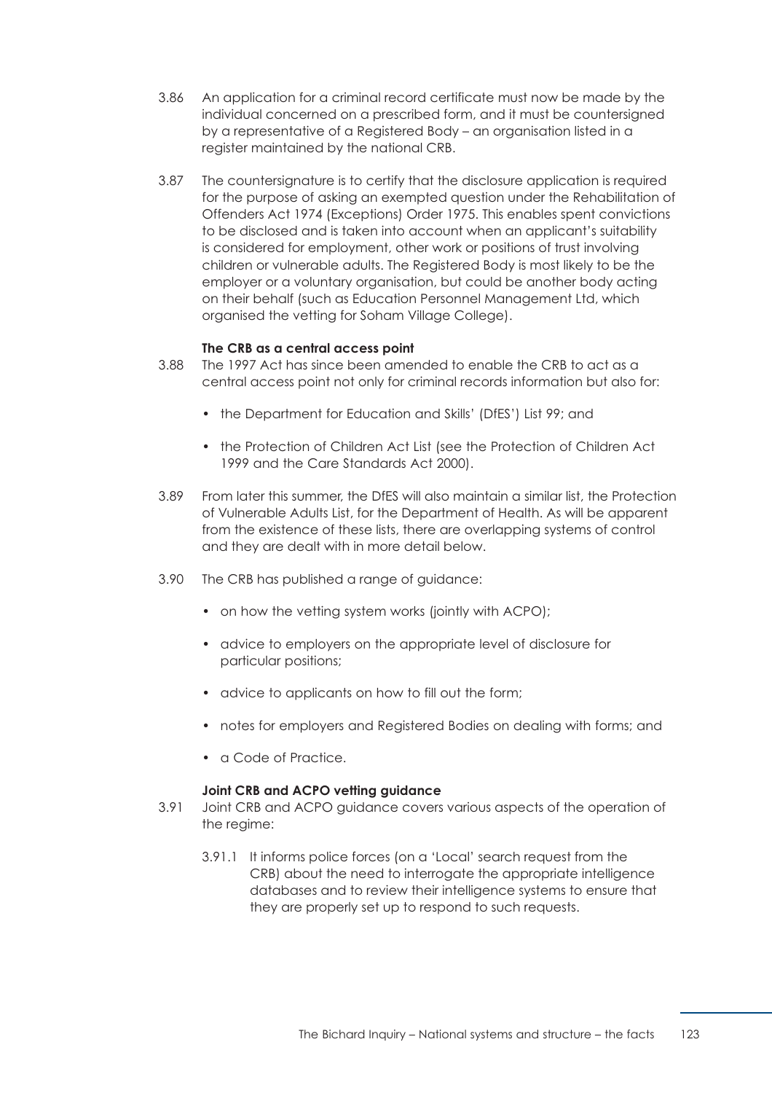- 3.86 An application for a criminal record certificate must now be made by the individual concerned on a prescribed form, and it must be countersigned by a representative of a Registered Body – an organisation listed in a register maintained by the national CRB.
- 3.87 The countersignature is to certify that the disclosure application is required for the purpose of asking an exempted question under the Rehabilitation of Offenders Act 1974 (Exceptions) Order 1975. This enables spent convictions to be disclosed and is taken into account when an applicant's suitability is considered for employment, other work or positions of trust involving children or vulnerable adults. The Registered Body is most likely to be the employer or a voluntary organisation, but could be another body acting on their behalf (such as Education Personnel Management Ltd, which organised the vetting for Soham Village College).

#### **The CRB as a central access point**

- 3.88 The 1997 Act has since been amended to enable the CRB to act as a central access point not only for criminal records information but also for:
	- the Department for Education and Skills' (DfES') List 99; and
	- the Protection of Children Act List (see the Protection of Children Act 1999 and the Care Standards Act 2000).
- 3.89 From later this summer, the DfES will also maintain a similar list, the Protection of Vulnerable Adults List, for the Department of Health. As will be apparent from the existence of these lists, there are overlapping systems of control and they are dealt with in more detail below.
- 3.90 The CRB has published a range of guidance:
	- on how the vetting system works (jointly with ACPO);
	- advice to employers on the appropriate level of disclosure for particular positions;
	- advice to applicants on how to fill out the form;
	- notes for employers and Registered Bodies on dealing with forms; and
	- a Code of Practice.

#### **Joint CRB and ACPO vetting guidance**

- 3.91 Joint CRB and ACPO guidance covers various aspects of the operation of the regime:
	- 3.91.1 It informs police forces (on a 'Local' search request from the CRB) about the need to interrogate the appropriate intelligence databases and to review their intelligence systems to ensure that they are properly set up to respond to such requests.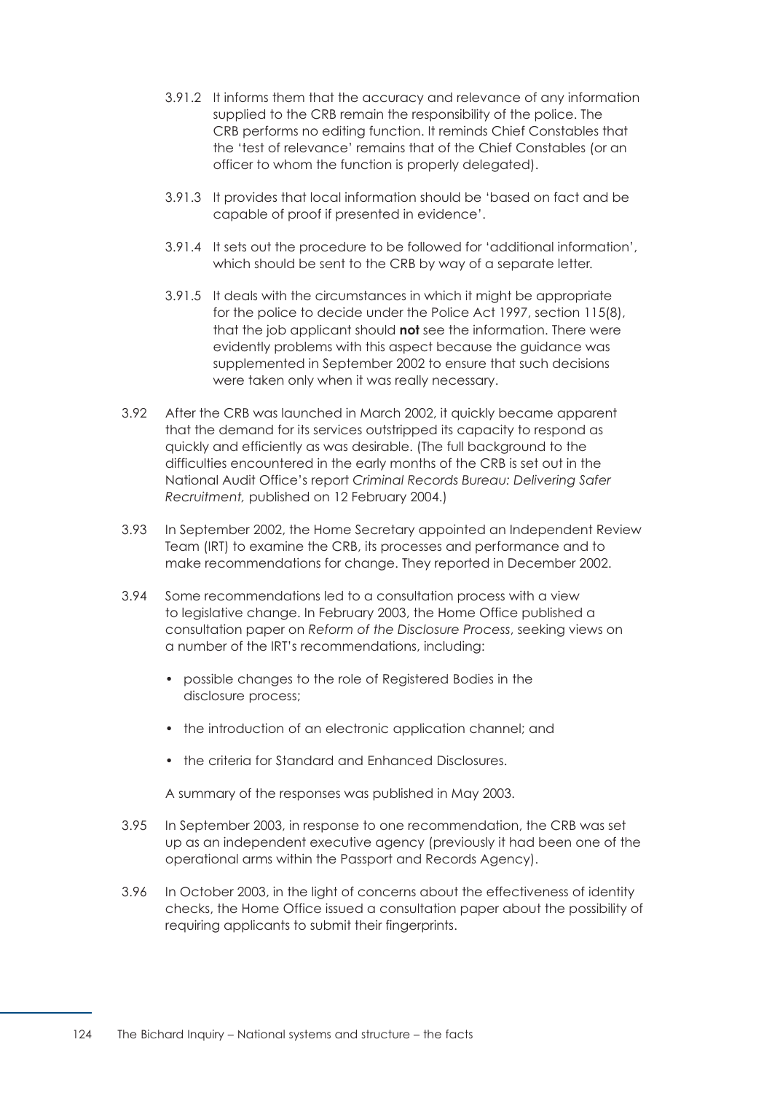- 3.91.2 It informs them that the accuracy and relevance of any information supplied to the CRB remain the responsibility of the police. The CRB performs no editing function. It reminds Chief Constables that the 'test of relevance' remains that of the Chief Constables (or an officer to whom the function is properly delegated).
- 3.91.3 It provides that local information should be 'based on fact and be capable of proof if presented in evidence'.
- 3.91.4 It sets out the procedure to be followed for 'additional information', which should be sent to the CRB by way of a separate letter.
- 3.91.5 It deals with the circumstances in which it might be appropriate for the police to decide under the Police Act 1997, section 115(8), that the job applicant should **not** see the information. There were evidently problems with this aspect because the guidance was supplemented in September 2002 to ensure that such decisions were taken only when it was really necessary.
- 3.92 After the CRB was launched in March 2002, it quickly became apparent that the demand for its services outstripped its capacity to respond as quickly and efficiently as was desirable. (The full background to the difficulties encountered in the early months of the CRB is set out in the National Audit Office's report *Criminal Records Bureau: Delivering Safer Recruitment,* published on 12 February 2004.)
- 3.93 In September 2002, the Home Secretary appointed an Independent Review Team (IRT) to examine the CRB, its processes and performance and to make recommendations for change. They reported in December 2002.
- 3.94 Some recommendations led to a consultation process with a view to legislative change. In February 2003, the Home Office published a consultation paper on *Reform of the Disclosure Process*, seeking views on a number of the IRT's recommendations, including:
	- possible changes to the role of Registered Bodies in the disclosure process;
	- the introduction of an electronic application channel; and
	- the criteria for Standard and Enhanced Disclosures.

A summary of the responses was published in May 2003.

- 3.95 In September 2003, in response to one recommendation, the CRB was set up as an independent executive agency (previously it had been one of the operational arms within the Passport and Records Agency).
- 3.96 In October 2003, in the light of concerns about the effectiveness of identity checks, the Home Office issued a consultation paper about the possibility of requiring applicants to submit their fingerprints.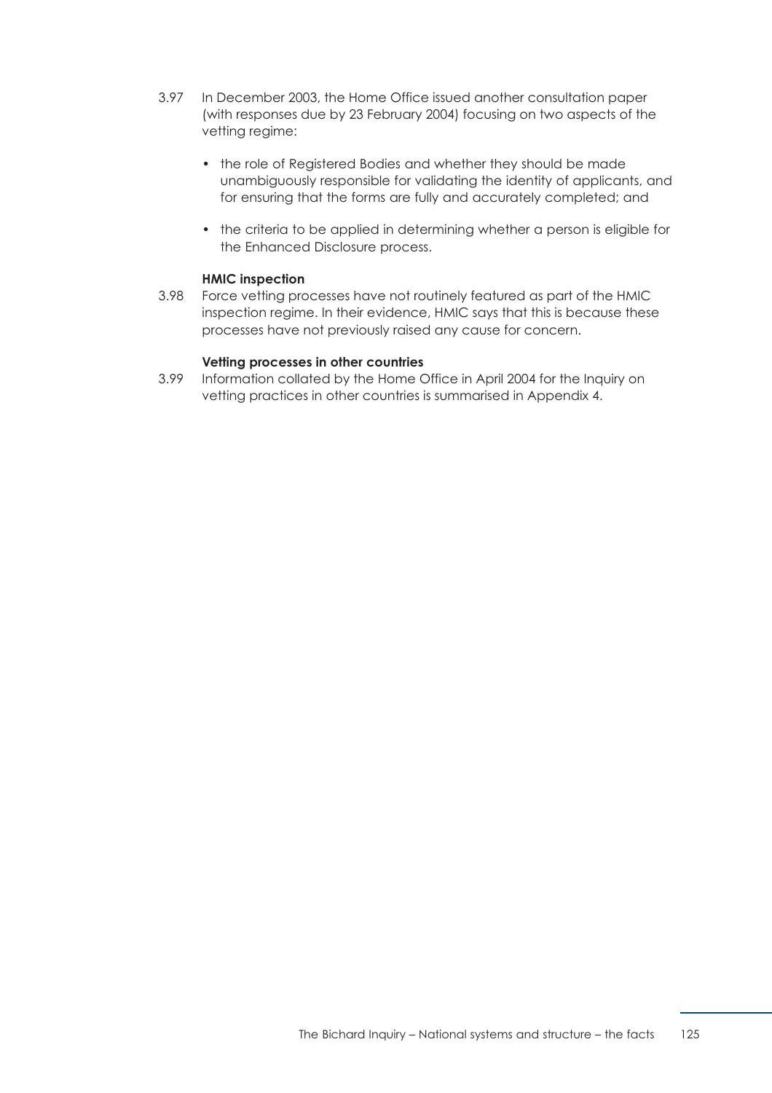- 3.97 In December 2003, the Home Office issued another consultation paper (with responses due by 23 February 2004) focusing on two aspects of the vetting regime:
	- the role of Registered Bodies and whether they should be made unambiguously responsible for validating the identity of applicants, and for ensuring that the forms are fully and accurately completed; and
	- the criteria to be applied in determining whether a person is eligible for the Enhanced Disclosure process.

## **HMIC inspection**

3.98 Force vetting processes have not routinely featured as part of the HMIC inspection regime. In their evidence, HMIC says that this is because these processes have not previously raised any cause for concern.

#### **Vetting processes in other countries**

3.99 Information collated by the Home Office in April 2004 for the Inquiry on vetting practices in other countries is summarised in [Appendix 4.](#page-185-0)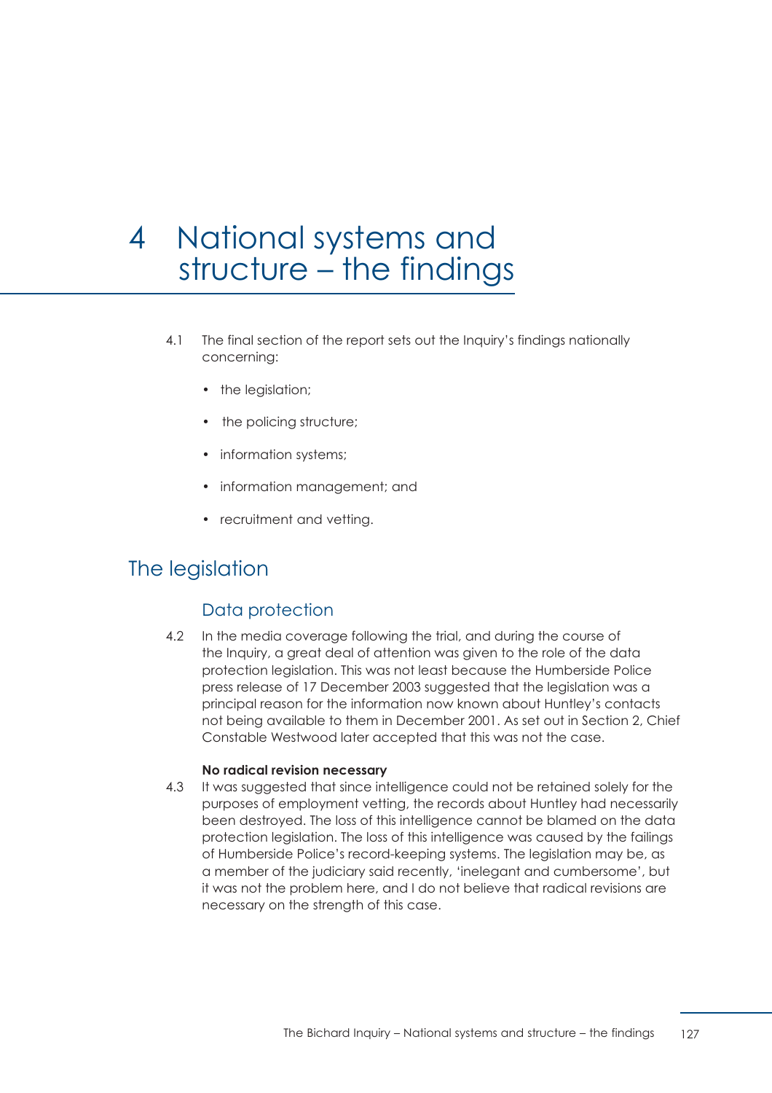# 4 National systems and structure – the findings

- 4.1 The final section of the report sets out the Inquiry's findings nationally concerning:
	- the legislation;
	- the policing structure;
	- information systems;
	- information management; and
	- recruitment and vetting.

# The legislation

# Data protection

4.2 In the media coverage following the trial, and during the course of the Inquiry, a great deal of attention was given to the role of the data protection legislation. This was not least because the Humberside Police press release of 17 December 2003 suggested that the legislation was a principal reason for the information now known about Huntley's contacts not being available to them in December 2001. As set out in Section 2, Chief Constable Westwood later accepted that this was not the case.

#### **No radical revision necessary**

4.3 It was suggested that since intelligence could not be retained solely for the purposes of employment vetting, the records about Huntley had necessarily been destroyed. The loss of this intelligence cannot be blamed on the data protection legislation. The loss of this intelligence was caused by the failings of Humberside Police's record-keeping systems. The legislation may be, as a member of the judiciary said recently, 'inelegant and cumbersome', but it was not the problem here, and I do not believe that radical revisions are necessary on the strength of this case.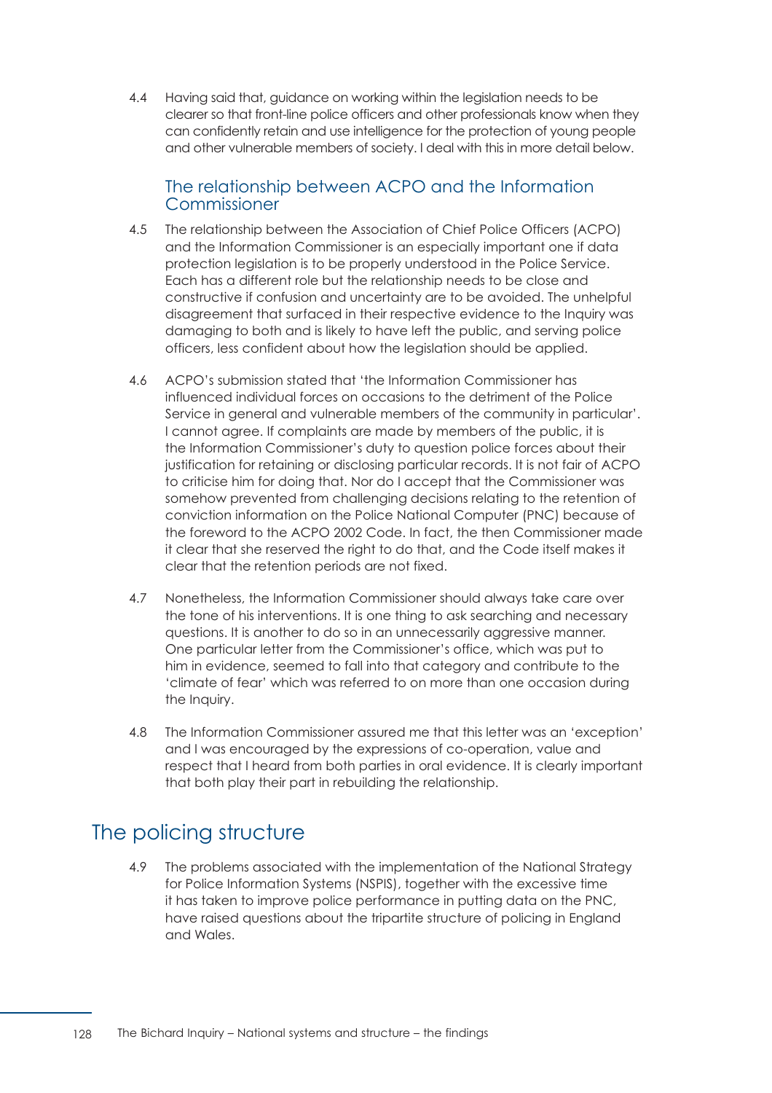4.4 Having said that, guidance on working within the legislation needs to be clearer so that front-line police officers and other professionals know when they can confidently retain and use intelligence for the protection of young people and other vulnerable members of society. I deal with this in more detail below.

# The relationship between ACPO and the Information Commissioner

- 4.5 The relationship between the Association of Chief Police Officers (ACPO) and the Information Commissioner is an especially important one if data protection legislation is to be properly understood in the Police Service. Each has a different role but the relationship needs to be close and constructive if confusion and uncertainty are to be avoided. The unhelpful disagreement that surfaced in their respective evidence to the Inquiry was damaging to both and is likely to have left the public, and serving police officers, less confident about how the legislation should be applied.
- 4.6 ACPO's submission stated that 'the Information Commissioner has influenced individual forces on occasions to the detriment of the Police Service in general and vulnerable members of the community in particular'. I cannot agree. If complaints are made by members of the public, it is the Information Commissioner's duty to question police forces about their justification for retaining or disclosing particular records. It is not fair of ACPO to criticise him for doing that. Nor do I accept that the Commissioner was somehow prevented from challenging decisions relating to the retention of conviction information on the Police National Computer (PNC) because of the foreword to the ACPO 2002 Code. In fact, the then Commissioner made it clear that she reserved the right to do that, and the Code itself makes it clear that the retention periods are not fixed.
- 4.7 Nonetheless, the Information Commissioner should always take care over the tone of his interventions. It is one thing to ask searching and necessary questions. It is another to do so in an unnecessarily aggressive manner. One particular letter from the Commissioner's office, which was put to him in evidence, seemed to fall into that category and contribute to the 'climate of fear' which was referred to on more than one occasion during the Inquiry.
- 4.8 The Information Commissioner assured me that this letter was an 'exception' and I was encouraged by the expressions of co-operation, value and respect that I heard from both parties in oral evidence. It is clearly important that both play their part in rebuilding the relationship.

# The policing structure

4.9 The problems associated with the implementation of the National Strategy for Police Information Systems (NSPIS), together with the excessive time it has taken to improve police performance in putting data on the PNC, have raised questions about the tripartite structure of policing in England and Wales.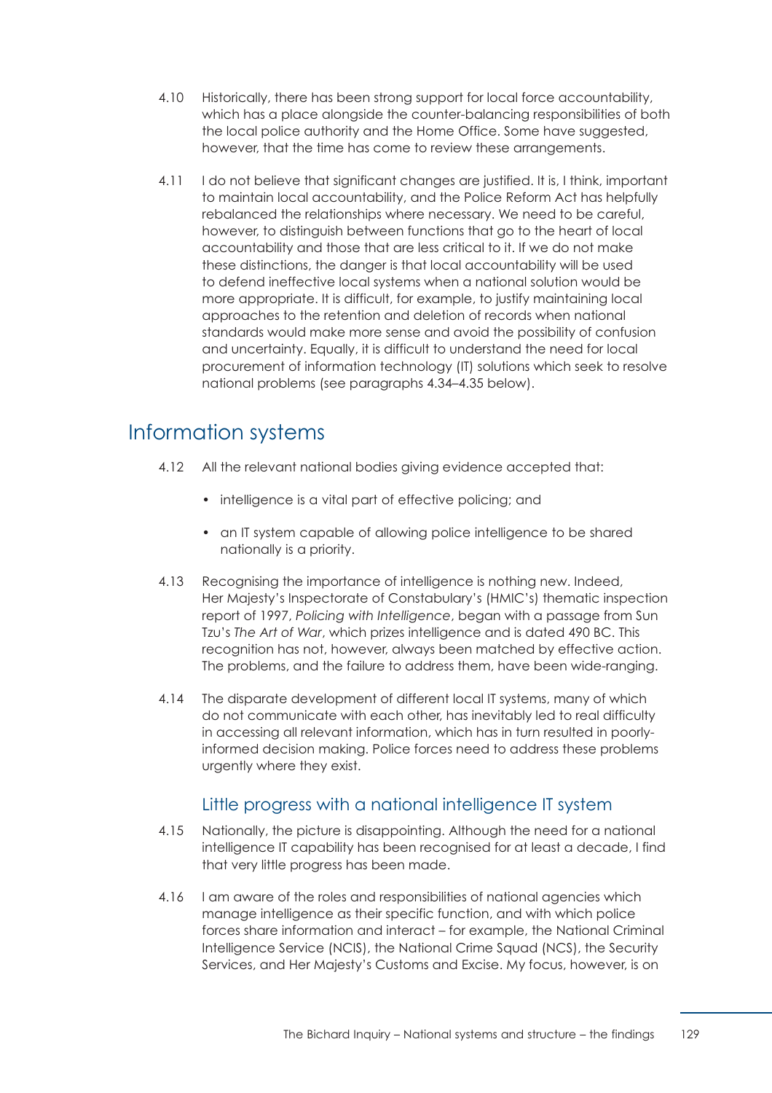- 4.10 Historically, there has been strong support for local force accountability, which has a place alongside the counter-balancing responsibilities of both the local police authority and the Home Office. Some have suggested, however, that the time has come to review these arrangements.
- 4.11 **I** do not believe that significant changes are justified. It is, I think, important to maintain local accountability, and the Police Reform Act has helpfully rebalanced the relationships where necessary. We need to be careful, however, to distinguish between functions that go to the heart of local accountability and those that are less critical to it. If we do not make these distinctions, the danger is that local accountability will be used to defend ineffective local systems when a national solution would be more appropriate. It is difficult, for example, to justify maintaining local approaches to the retention and deletion of records when national standards would make more sense and avoid the possibility of confusion and uncertainty. Equally, it is difficult to understand the need for local procurement of information technology (IT) solutions which seek to resolve national problems [\(see paragraphs 4.34–4.35 b](#page-138-0)elow).

# Information systems

- 4.12 All the relevant national bodies giving evidence accepted that:
	- intelligence is a vital part of effective policing; and
	- an IT system capable of allowing police intelligence to be shared nationally is a priority.
- 4.13 Recognising the importance of intelligence is nothing new. Indeed, Her Majesty's Inspectorate of Constabulary's (HMIC's) thematic inspection report of 1997, *Policing with Intelligence*, began with a passage from Sun Tzu's *The Art of War*, which prizes intelligence and is dated 490 BC. This recognition has not, however, always been matched by effective action. The problems, and the failure to address them, have been wide-ranging.
- 4.14 The disparate development of different local IT systems, many of which do not communicate with each other, has inevitably led to real difficulty in accessing all relevant information, which has in turn resulted in poorlyinformed decision making. Police forces need to address these problems urgently where they exist.

# Little progress with a national intelligence IT system

- 4.15 Nationally, the picture is disappointing. Although the need for a national intelligence IT capability has been recognised for at least a decade, I find that very little progress has been made.
- 4.16 I am aware of the roles and responsibilities of national agencies which manage intelligence as their specific function, and with which police forces share information and interact – for example, the National Criminal Intelligence Service (NCIS), the National Crime Squad (NCS), the Security Services, and Her Majesty's Customs and Excise. My focus, however, is on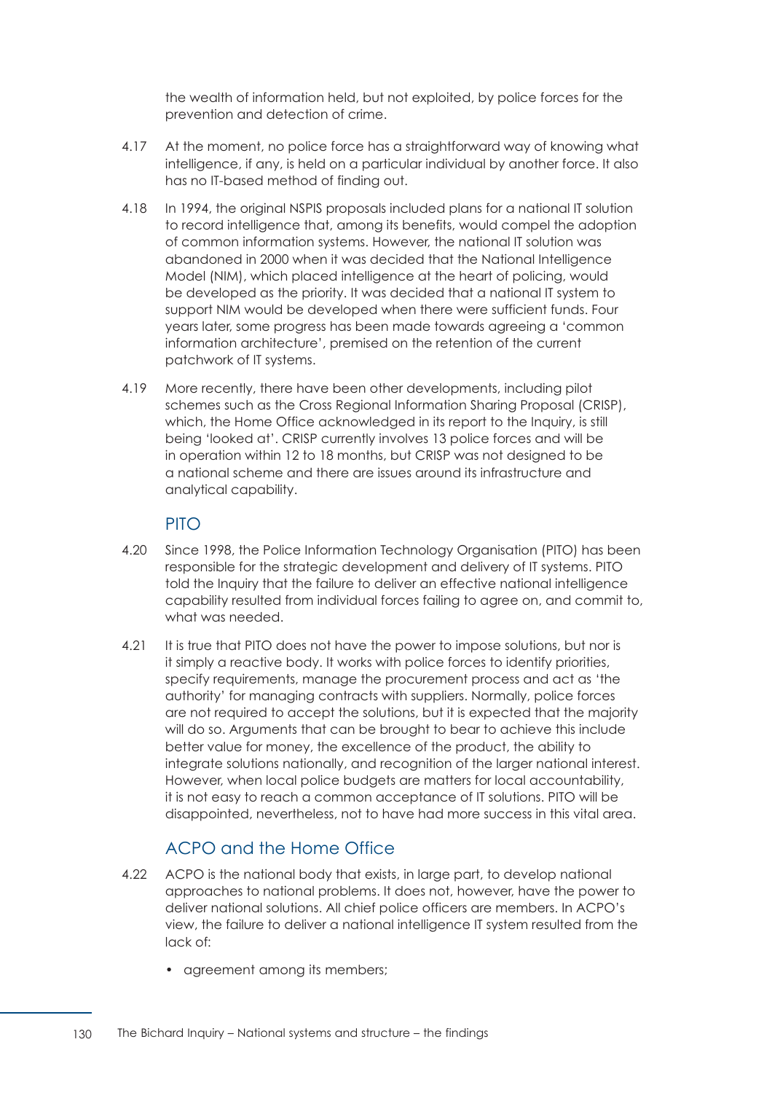the wealth of information held, but not exploited, by police forces for the prevention and detection of crime.

- 4.17 At the moment, no police force has a straightforward way of knowing what intelligence, if any, is held on a particular individual by another force. It also has no IT-based method of finding out.
- 4.18 In 1994, the original NSPIS proposals included plans for a national IT solution to record intelligence that, among its benefits, would compel the adoption of common information systems. However, the national IT solution was abandoned in 2000 when it was decided that the National Intelligence Model (NIM), which placed intelligence at the heart of policing, would be developed as the priority. It was decided that a national IT system to support NIM would be developed when there were sufficient funds. Four years later, some progress has been made towards agreeing a 'common information architecture', premised on the retention of the current patchwork of IT systems.
- <span id="page-136-0"></span>4.19 More recently, there have been other developments, including pilot schemes such as the Cross Regional Information Sharing Proposal (CRISP), which, the Home Office acknowledged in its report to the Inquiry, is still being 'looked at'. CRISP currently involves 13 police forces and will be in operation within 12 to 18 months, but CRISP was not designed to be a national scheme and there are issues around its infrastructure and analytical capability.

# PITO

- 4.20 € Since 1998, the Police Information Technology Organisation (PITO) has been responsible for the strategic development and delivery of IT systems. PITO told the Inquiry that the failure to deliver an effective national intelligence capability resulted from individual forces failing to agree on, and commit to, what was needed.
- 4.21 It is true that PITO does not have the power to impose solutions, but nor is it simply a reactive body. It works with police forces to identify priorities, specify requirements, manage the procurement process and act as 'the authority' for managing contracts with suppliers. Normally, police forces are not required to accept the solutions, but it is expected that the majority will do so. Arguments that can be brought to bear to achieve this include better value for money, the excellence of the product, the ability to integrate solutions nationally, and recognition of the larger national interest. However, when local police budgets are matters for local accountability, it is not easy to reach a common acceptance of IT solutions. PITO will be disappointed, nevertheless, not to have had more success in this vital area.

# ACPO and the Home Office

- 4.22 ACPO is the national body that exists, in large part, to develop national approaches to national problems. It does not, however, have the power to deliver national solutions. All chief police officers are members. In ACPO's view, the failure to deliver a national intelligence IT system resulted from the lack of:
	- agreement among its members;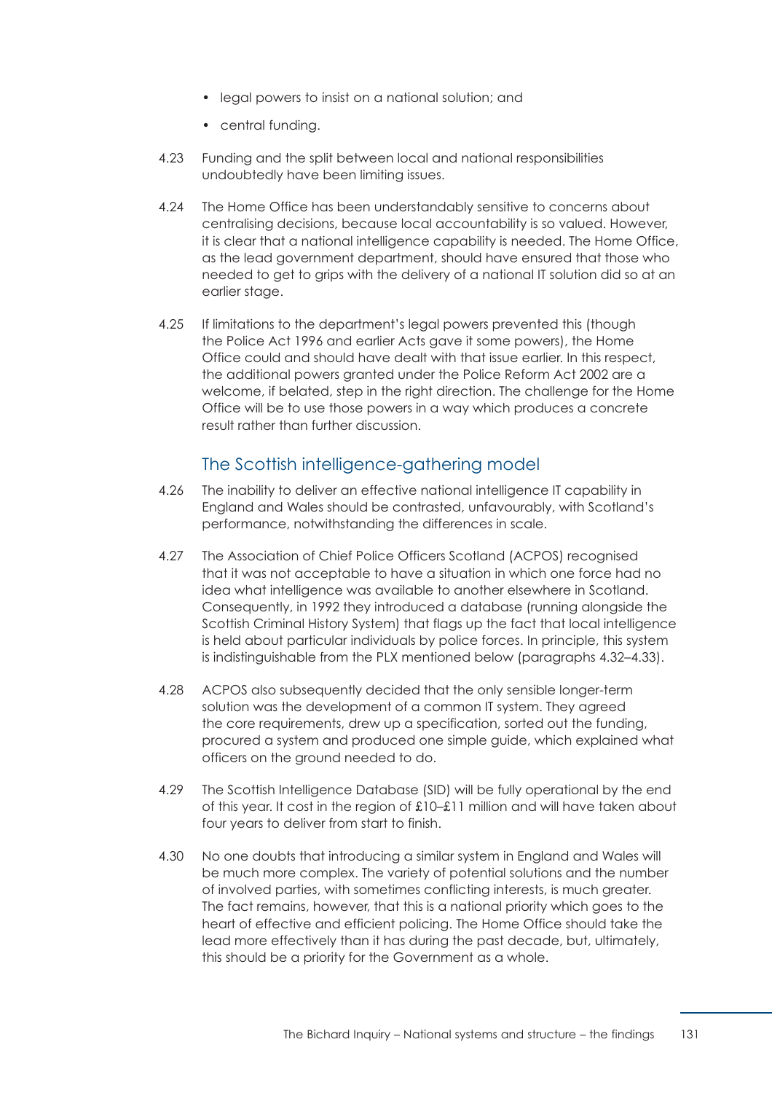- legal powers to insist on a national solution; and
- central funding.
- 4.23 Funding and the split between local and national responsibilities undoubtedly have been limiting issues.
- 4.24 The Home Office has been understandably sensitive to concerns about centralising decisions, because local accountability is so valued. However, it is clear that a national intelligence capability is needed. The Home Office, as the lead government department, should have ensured that those who needed to get to grips with the delivery of a national IT solution did so at an earlier stage.
- 4.25 If limitations to the department's legal powers prevented this (though the Police Act 1996 and earlier Acts gave it some powers), the Home Office could and should have dealt with that issue earlier. In this respect, the additional powers granted under the Police Reform Act 2002 are a welcome, if belated, step in the right direction. The challenge for the Home Office will be to use those powers in a way which produces a concrete result rather than further discussion.

# The Scottish intelligence-gathering model

- <span id="page-137-0"></span>4.26 The inability to deliver an effective national intelligence IT capability in England and Wales should be contrasted, unfavourably, with Scotland's performance, notwithstanding the differences in scale.
- 4.27 The Association of Chief Police Officers Scotland (ACPOS) recognised that it was not acceptable to have a situation in which one force had no idea what intelligence was available to another elsewhere in Scotland. Consequently, in 1992 they introduced a database (running alongside the Scottish Criminal History System) that flags up the fact that local intelligence is held about particular individuals by police forces. In principle, this system is indistinguishable from the PLX mentioned below [\(paragraphs 4.32–4.33\).](#page-138-1)
- 4.28 ACPOS also subsequently decided that the only sensible longer-term solution was the development of a common IT system. They agreed the core requirements, drew up a specification, sorted out the funding, procured a system and produced one simple guide, which explained what officers on the ground needed to do.
- 4.29 The Scottish Intelligence Database (SID) will be fully operational by the end of this year. It cost in the region of £10–£11 million and will have taken about four years to deliver from start to finish.
- 4.30 No one doubts that introducing a similar system in England and Wales will be much more complex. The variety of potential solutions and the number of involved parties, with sometimes conflicting interests, is much greater. The fact remains, however, that this is a national priority which goes to the heart of effective and efficient policing. The Home Office should take the lead more effectively than it has during the past decade, but, ultimately, this should be a priority for the Government as a whole.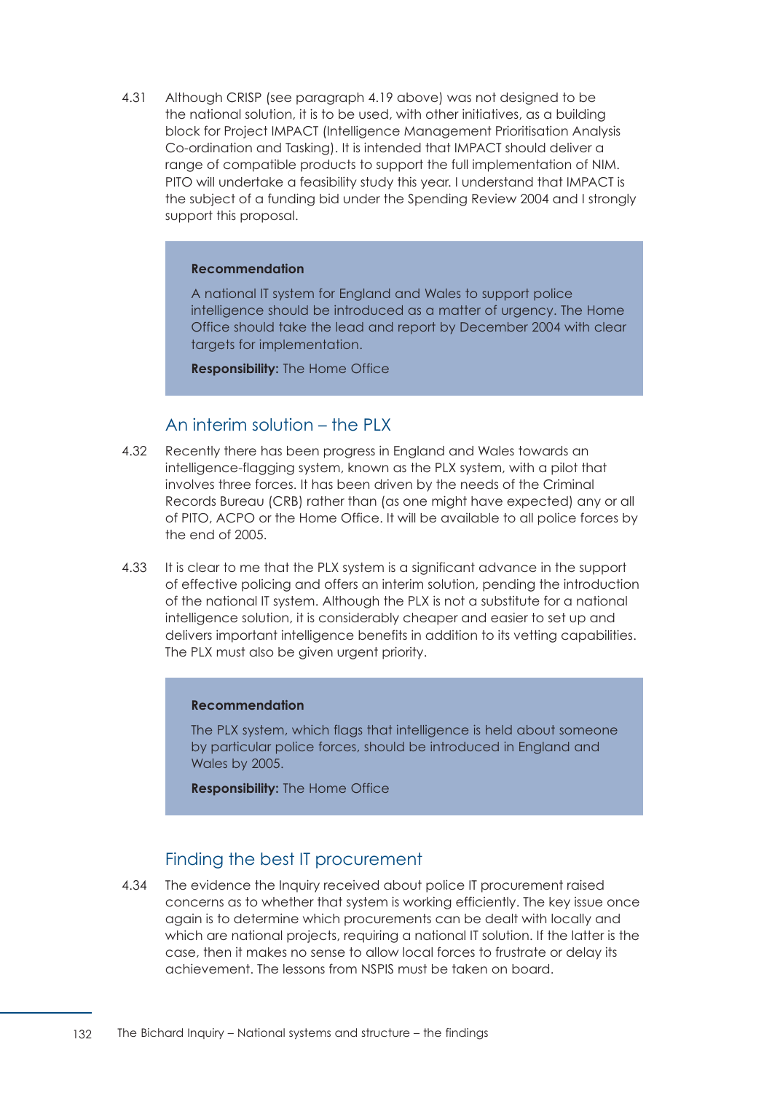4.31 Although CRISP [\(see paragraph 4.19 a](#page-136-0)bove) was not designed to be the national solution, it is to be used, with other initiatives, as a building block for Project IMPACT (Intelligence Management Prioritisation Analysis Co-ordination and Tasking). It is intended that IMPACT should deliver a range of compatible products to support the full implementation of NIM. PITO will undertake a feasibility study this year. I understand that IMPACT is the subject of a funding bid under the Spending Review 2004 and I strongly support this proposal.

#### **Recommendation**

A national IT system for England and Wales to support police intelligence should be introduced as a matter of urgency. The Home Office should take the lead and report by December 2004 with clear targets for implementation.

**Responsibility:** The Home Office

# An interim solution – the PLX

- <span id="page-138-1"></span>4.32 Recently there has been progress in England and Wales towards an intelligence-flagging system, known as the PLX system, with a pilot that involves three forces. It has been driven by the needs of the Criminal Records Bureau (CRB) rather than (as one might have expected) any or all of PITO, ACPO or the Home Office. It will be available to all police forces by the end of 2005.
- 4.33 It is clear to me that the PLX system is a significant advance in the support of effective policing and offers an interim solution, pending the introduction of the national IT system. Although the PLX is not a substitute for a national intelligence solution, it is considerably cheaper and easier to set up and delivers important intelligence benefits in addition to its vetting capabilities. The PLX must also be given urgent priority.

#### **Recommendation**

The PLX system, which flags that intelligence is held about someone by particular police forces, should be introduced in England and Wales by 2005.

**Responsibility:** The Home Office

# Finding the best IT procurement

<span id="page-138-0"></span>4.34 The evidence the Inquiry received about police IT procurement raised concerns as to whether that system is working efficiently. The key issue once again is to determine which procurements can be dealt with locally and which are national projects, requiring a national IT solution. If the latter is the case, then it makes no sense to allow local forces to frustrate or delay its achievement. The lessons from NSPIS must be taken on board.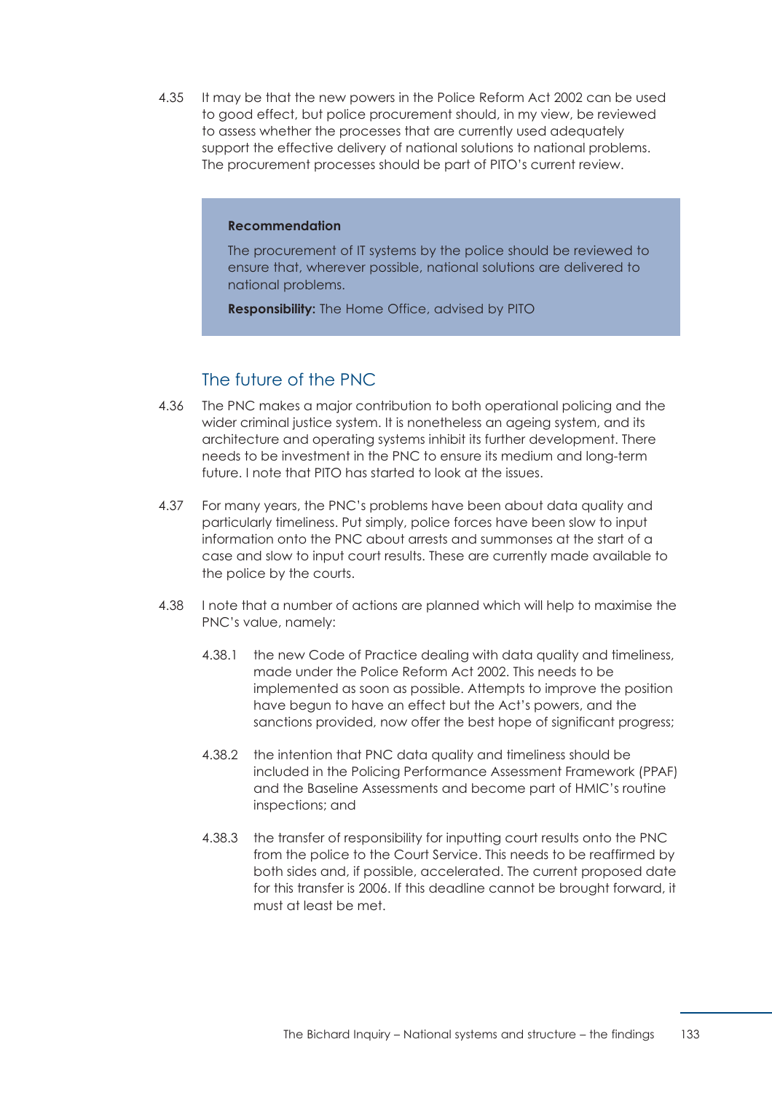4.35 It may be that the new powers in the Police Reform Act 2002 can be used to good effect, but police procurement should, in my view, be reviewed to assess whether the processes that are currently used adequately support the effective delivery of national solutions to national problems. The procurement processes should be part of PITO's current review.

#### **Recommendation**

The procurement of IT systems by the police should be reviewed to ensure that, wherever possible, national solutions are delivered to national problems.

**Responsibility:** The Home Office, advised by PITO

# The future of the PNC

- 4.36 The PNC makes a major contribution to both operational policing and the wider criminal justice system. It is nonetheless an ageing system, and its architecture and operating systems inhibit its further development. There needs to be investment in the PNC to ensure its medium and long-term future. I note that PITO has started to look at the issues.
- 4.37 € For many years, the PNC's problems have been about data quality and particularly timeliness. Put simply, police forces have been slow to input information onto the PNC about arrests and summonses at the start of a case and slow to input court results. These are currently made available to the police by the courts.
- 4.38 I note that a number of actions are planned which will help to maximise the PNC's value, namely:
	- 4.38.1 the new Code of Practice dealing with data quality and timeliness, made under the Police Reform Act 2002. This needs to be implemented as soon as possible. Attempts to improve the position have begun to have an effect but the Act's powers, and the sanctions provided, now offer the best hope of significant progress;
	- 4.38.2 the intention that PNC data quality and timeliness should be included in the Policing Performance Assessment Framework (PPAF) and the Baseline Assessments and become part of HMIC's routine inspections; and
	- 4.38.3 the transfer of responsibility for inputting court results onto the PNC from the police to the Court Service. This needs to be reaffirmed by both sides and, if possible, accelerated. The current proposed date for this transfer is 2006. If this deadline cannot be brought forward, it must at least be met.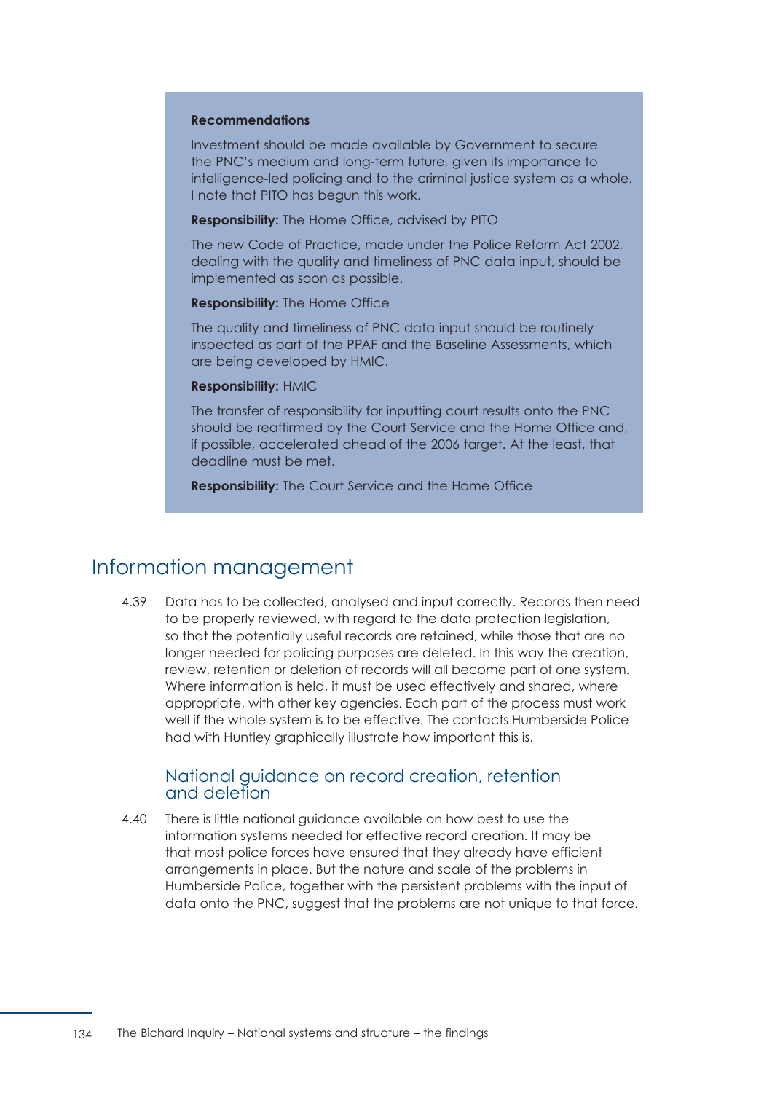#### **Recommendations**

Investment should be made available by Government to secure the PNC's medium and long-term future, given its importance to intelligence-led policing and to the criminal justice system as a whole. I note that PITO has begun this work.

**Responsibility:** The Home Office, advised by PITO

The new Code of Practice, made under the Police Reform Act 2002, dealing with the quality and timeliness of PNC data input, should be implemented as soon as possible.

**Responsibility:** The Home Office

The quality and timeliness of PNC data input should be routinely inspected as part of the PPAF and the Baseline Assessments, which are being developed by HMIC.

#### **Responsibility:** HMIC

The transfer of responsibility for inputting court results onto the PNC should be reaffirmed by the Court Service and the Home Office and, if possible, accelerated ahead of the 2006 target. At the least, that deadline must be met.

**Responsibility:** The Court Service and the Home Office

# Information management

4.39 Data has to be collected, analysed and input correctly. Records then need to be properly reviewed, with regard to the data protection legislation, so that the potentially useful records are retained, while those that are no longer needed for policing purposes are deleted. In this way the creation, review, retention or deletion of records will all become part of one system. Where information is held, it must be used effectively and shared, where appropriate, with other key agencies. Each part of the process must work well if the whole system is to be effective. The contacts Humberside Police had with Huntley graphically illustrate how important this is.

## National guidance on record creation, retention and deletion

4.40 There is little national guidance available on how best to use the information systems needed for effective record creation. It may be that most police forces have ensured that they already have efficient arrangements in place. But the nature and scale of the problems in Humberside Police, together with the persistent problems with the input of data onto the PNC, suggest that the problems are not unique to that force.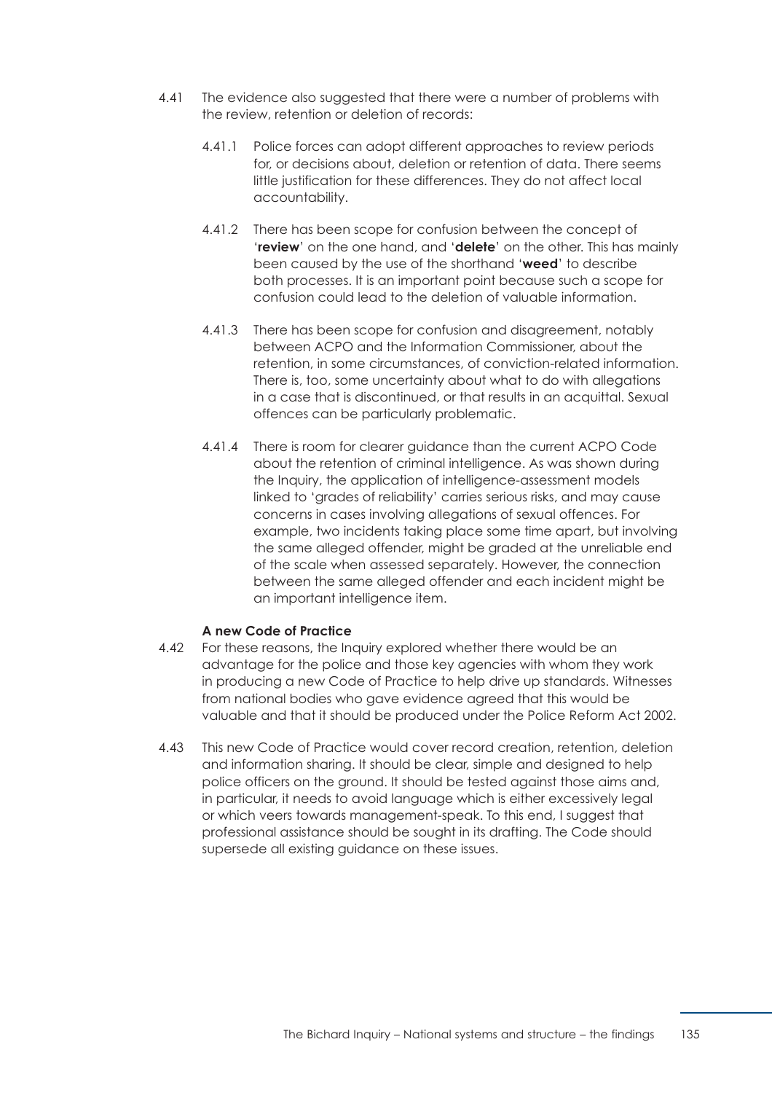- 4.41 The evidence also suggested that there were a number of problems with the review, retention or deletion of records:
	- 4.41.1 Police forces can adopt different approaches to review periods for, or decisions about, deletion or retention of data. There seems little justification for these differences. They do not affect local accountability.
	- 4.41.2 There has been scope for confusion between the concept of '**review**' on the one hand, and '**delete**' on the other. This has mainly been caused by the use of the shorthand '**weed**' to describe both processes. It is an important point because such a scope for confusion could lead to the deletion of valuable information.
	- 4.41.3 There has been scope for confusion and disagreement, notably between ACPO and the Information Commissioner, about the retention, in some circumstances, of conviction-related information. There is, too, some uncertainty about what to do with allegations in a case that is discontinued, or that results in an acquittal. Sexual offences can be particularly problematic.
	- 4.41.4 There is room for clearer guidance than the current ACPO Code about the retention of criminal intelligence. As was shown during the Inquiry, the application of intelligence-assessment models linked to 'grades of reliability' carries serious risks, and may cause concerns in cases involving allegations of sexual offences. For example, two incidents taking place some time apart, but involving the same alleged offender, might be graded at the unreliable end of the scale when assessed separately. However, the connection between the same alleged offender and each incident might be an important intelligence item.

## **A new Code of Practice**

- 4.42 For these reasons, the Inquiry explored whether there would be an advantage for the police and those key agencies with whom they work in producing a new Code of Practice to help drive up standards. Witnesses from national bodies who gave evidence agreed that this would be valuable and that it should be produced under the Police Reform Act 2002.
- 4.43 This new Code of Practice would cover record creation, retention, deletion and information sharing. It should be clear, simple and designed to help police officers on the ground. It should be tested against those aims and, in particular, it needs to avoid language which is either excessively legal or which veers towards management-speak. To this end, I suggest that professional assistance should be sought in its drafting. The Code should supersede all existing guidance on these issues.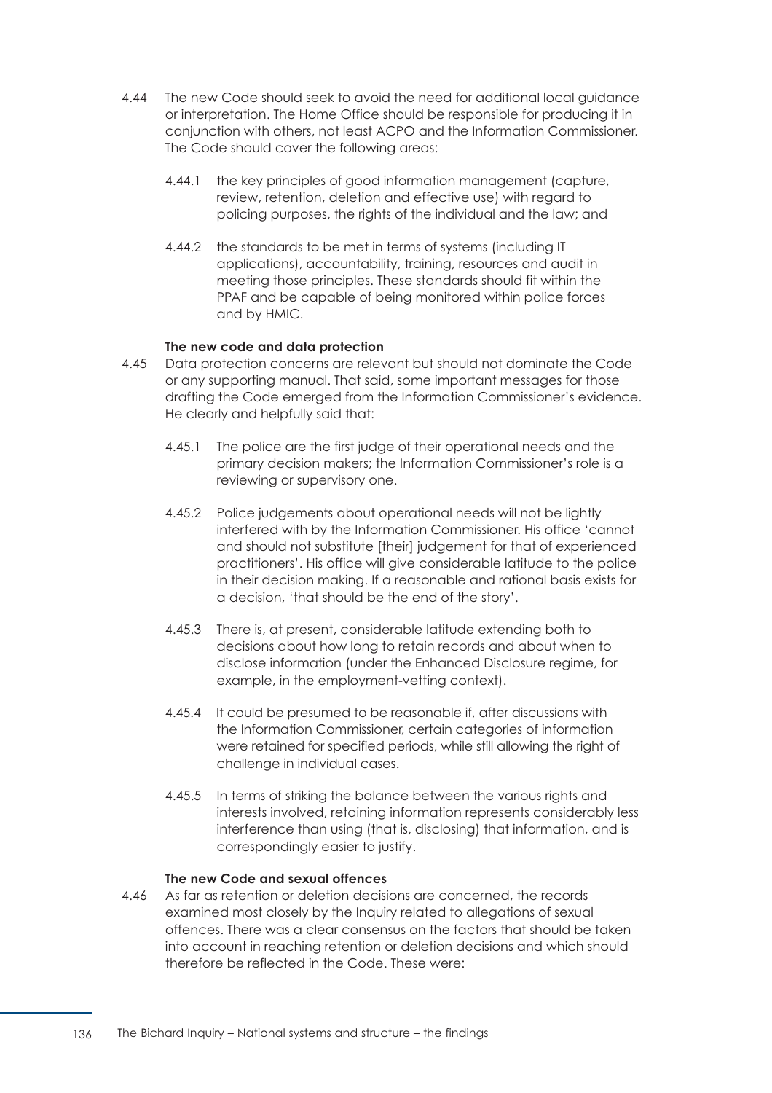- 4.44 The new Code should seek to avoid the need for additional local guidance or interpretation. The Home Office should be responsible for producing it in conjunction with others, not least ACPO and the Information Commissioner. The Code should cover the following areas:
	- 4.44.1 the key principles of good information management (capture, review, retention, deletion and effective use) with regard to policing purposes, the rights of the individual and the law; and
	- 4.44.2 the standards to be met in terms of systems (including IT applications), accountability, training, resources and audit in meeting those principles. These standards should fit within the PPAF and be capable of being monitored within police forces and by HMIC.

#### **The new code and data protection**

- 4.45 € Data protection concerns are relevant but should not dominate the Code or any supporting manual. That said, some important messages for those drafting the Code emerged from the Information Commissioner's evidence. He clearly and helpfully said that:
	- 4.45.1 The police are the first judge of their operational needs and the primary decision makers; the Information Commissioner's role is a reviewing or supervisory one.
	- 4.45.2 Police judgements about operational needs will not be lightly interfered with by the Information Commissioner. His office 'cannot and should not substitute [their] judgement for that of experienced practitioners'. His office will give considerable latitude to the police in their decision making. If a reasonable and rational basis exists for a decision, 'that should be the end of the story'.
	- 4.45.3 There is, at present, considerable latitude extending both to decisions about how long to retain records and about when to disclose information (under the Enhanced Disclosure regime, for example, in the employment-vetting context).
	- 4.45.4 It could be presumed to be reasonable if, after discussions with the Information Commissioner, certain categories of information were retained for specified periods, while still allowing the right of challenge in individual cases.
	- 4.45.5 In terms of striking the balance between the various rights and interests involved, retaining information represents considerably less interference than using (that is, disclosing) that information, and is correspondingly easier to justify.

## **The new Code and sexual offences**

4.46 As far as retention or deletion decisions are concerned, the records examined most closely by the Inquiry related to allegations of sexual offences. There was a clear consensus on the factors that should be taken into account in reaching retention or deletion decisions and which should therefore be reflected in the Code. These were: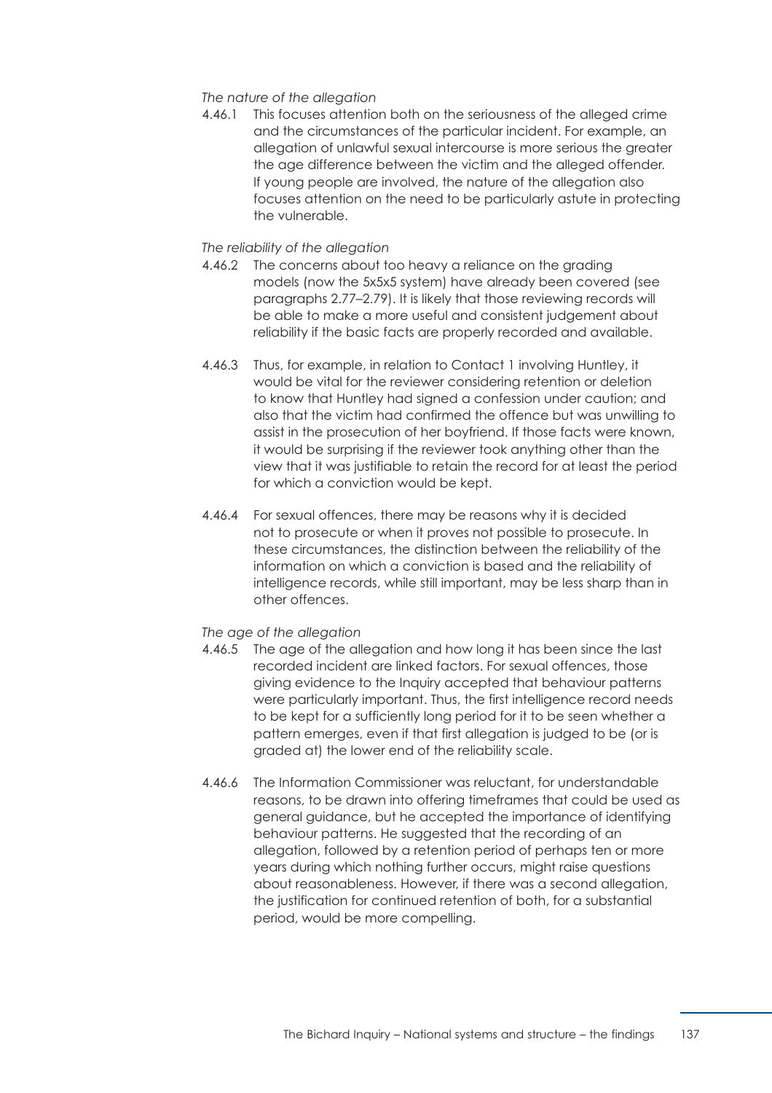### *The nature of the allegation*

4.46.1 This focuses attention both on the seriousness of the alleged crime and the circumstances of the particular incident. For example, an allegation of unlawful sexual intercourse is more serious the greater the age difference between the victim and the alleged offender. If young people are involved, the nature of the allegation also focuses attention on the need to be particularly astute in protecting the vulnerable.

## *The reliability of the allegation*

- 4.46.2 The concerns about too heavy a reliance on the grading models (now the 5x5x5 system) have already been covered (see [paragraphs 2.77–2.79\)](#page-97-0). It is likely that those reviewing records will be able to make a more useful and consistent judgement about reliability if the basic facts are properly recorded and available.
- 4.46.3 Thus, for example, in relation to Contact 1 involving Huntley, it would be vital for the reviewer considering retention or deletion to know that Huntley had signed a confession under caution; and also that the victim had confirmed the offence but was unwilling to assist in the prosecution of her boyfriend. If those facts were known, it would be surprising if the reviewer took anything other than the view that it was justifiable to retain the record for at least the period for which a conviction would be kept.
- 4.46.4 For sexual offences, there may be reasons why it is decided not to prosecute or when it proves not possible to prosecute. In these circumstances, the distinction between the reliability of the information on which a conviction is based and the reliability of intelligence records, while still important, may be less sharp than in other offences.

#### *The age of the allegation*

- 4.46.5 The age of the allegation and how long it has been since the last recorded incident are linked factors. For sexual offences, those giving evidence to the Inquiry accepted that behaviour patterns were particularly important. Thus, the first intelligence record needs to be kept for a sufficiently long period for it to be seen whether a pattern emerges, even if that first allegation is judged to be (or is graded at) the lower end of the reliability scale.
- 4.46.6 The Information Commissioner was reluctant, for understandable reasons, to be drawn into offering timeframes that could be used as general guidance, but he accepted the importance of identifying behaviour patterns. He suggested that the recording of an allegation, followed by a retention period of perhaps ten or more years during which nothing further occurs, might raise questions about reasonableness. However, if there was a second allegation, the justification for continued retention of both, for a substantial period, would be more compelling.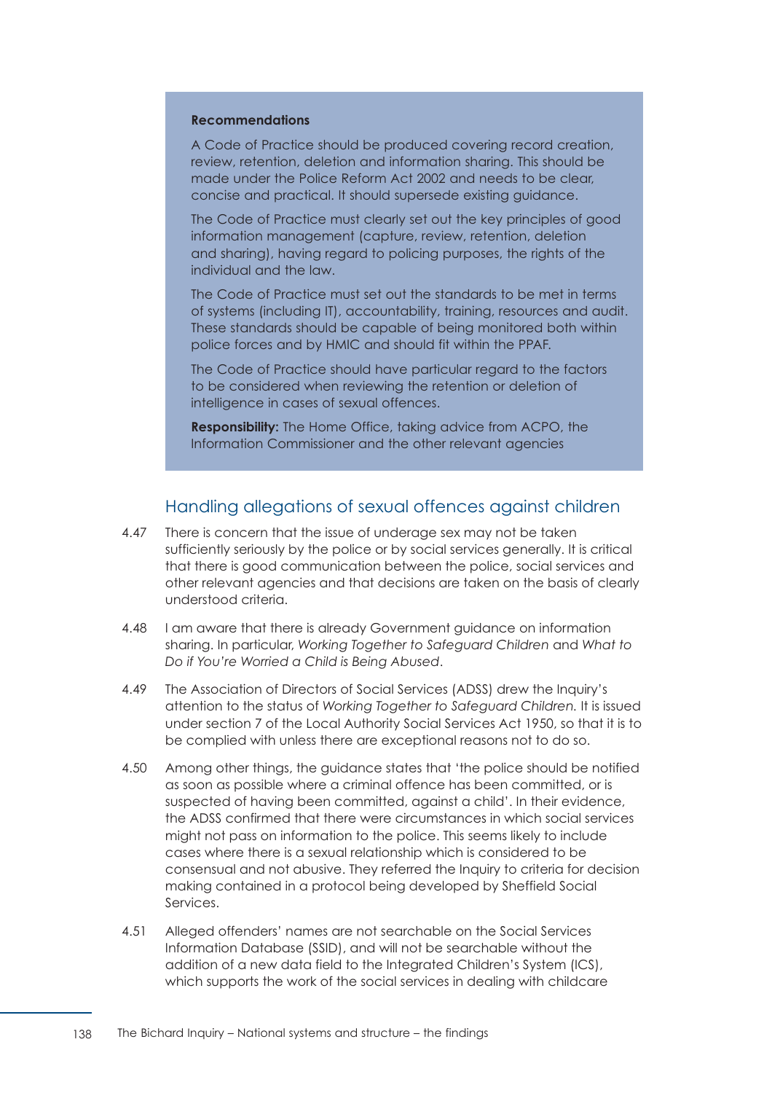#### **Recommendations**

A Code of Practice should be produced covering record creation, review, retention, deletion and information sharing. This should be made under the Police Reform Act 2002 and needs to be clear, concise and practical. It should supersede existing guidance.

The Code of Practice must clearly set out the key principles of good information management (capture, review, retention, deletion and sharing), having regard to policing purposes, the rights of the individual and the law.

The Code of Practice must set out the standards to be met in terms of systems (including IT), accountability, training, resources and audit. These standards should be capable of being monitored both within police forces and by HMIC and should fit within the PPAF.

The Code of Practice should have particular regard to the factors to be considered when reviewing the retention or deletion of intelligence in cases of sexual offences.

**Responsibility:** The Home Office, taking advice from ACPO, the Information Commissioner and the other relevant agencies

## Handling allegations of sexual offences against children

- 4.47 There is concern that the issue of underage sex may not be taken sufficiently seriously by the police or by social services generally. It is critical that there is good communication between the police, social services and other relevant agencies and that decisions are taken on the basis of clearly understood criteria.
- 4.48 **I am aware that there is already Government guidance on information** sharing. In particular, *Working Together to Safeguard Children* and *What to Do if You're Worried a Child is Being Abused*.
- 4.49 The Association of Directors of Social Services (ADSS) drew the Inquiry's attention to the status of *Working Together to Safeguard Children.* It is issued under section 7 of the Local Authority Social Services Act 1950, so that it is to be complied with unless there are exceptional reasons not to do so.
- 4.50 Among other things, the quidance states that 'the police should be notified as soon as possible where a criminal offence has been committed, or is suspected of having been committed, against a child'. In their evidence, the ADSS confirmed that there were circumstances in which social services might not pass on information to the police. This seems likely to include cases where there is a sexual relationship which is considered to be consensual and not abusive. They referred the Inquiry to criteria for decision making contained in a protocol being developed by Sheffield Social Services.
- 4.51 Alleged offenders' names are not searchable on the Social Services Information Database (SSID), and will not be searchable without the addition of a new data field to the Integrated Children's System (ICS), which supports the work of the social services in dealing with childcare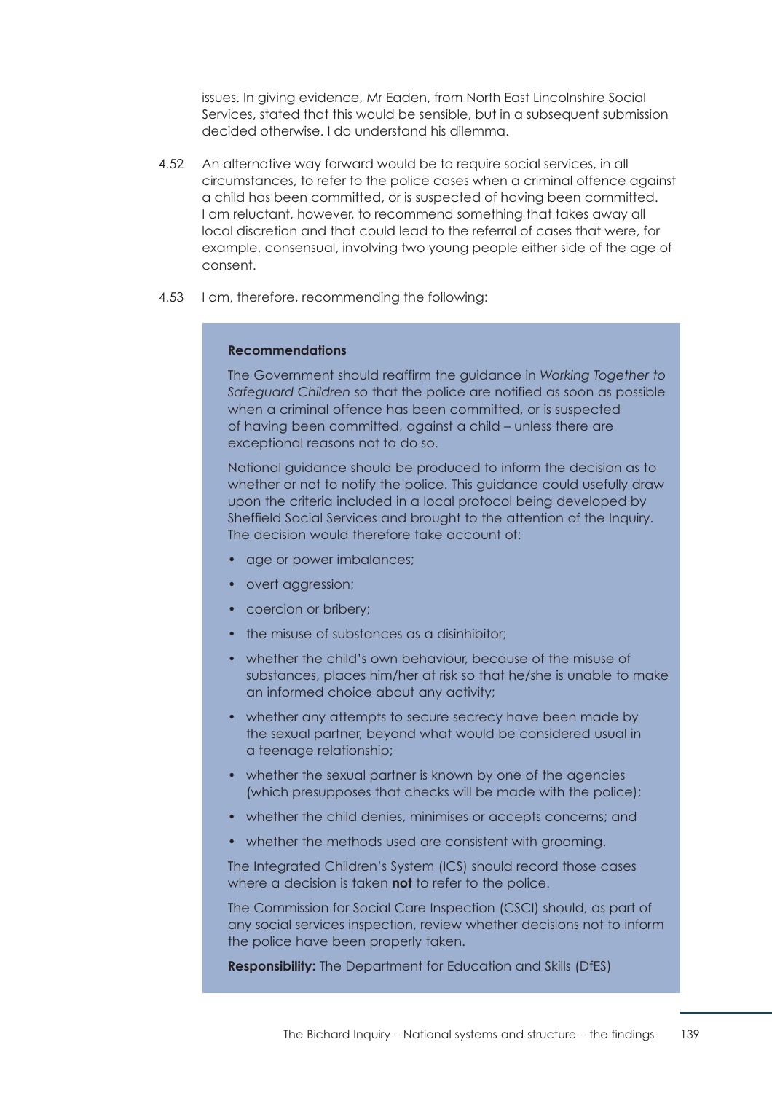issues. In giving evidence, Mr Eaden, from North East Lincolnshire Social Services, stated that this would be sensible, but in a subsequent submission decided otherwise. I do understand his dilemma.

- 4.52 An alternative way forward would be to require social services, in all circumstances, to refer to the police cases when a criminal offence against a child has been committed, or is suspected of having been committed. I am reluctant, however, to recommend something that takes away all local discretion and that could lead to the referral of cases that were, for example, consensual, involving two young people either side of the age of consent.
- 4.53 I am, therefore, recommending the following:

#### **Recommendations**

The Government should reaffirm the guidance in *Working Together to Safeguard Children* so that the police are notified as soon as possible when a criminal offence has been committed, or is suspected of having been committed, against a child – unless there are exceptional reasons not to do so.

National guidance should be produced to inform the decision as to whether or not to notify the police. This guidance could usefully draw upon the criteria included in a local protocol being developed by Sheffield Social Services and brought to the attention of the Inquiry. The decision would therefore take account of:

- age or power imbalances;
- overt aggression;
- coercion or bribery;
- the misuse of substances as a disinhibitor:
- whether the child's own behaviour, because of the misuse of substances, places him/her at risk so that he/she is unable to make an informed choice about any activity;
- whether any attempts to secure secrecy have been made by the sexual partner, beyond what would be considered usual in a teenage relationship;
- whether the sexual partner is known by one of the agencies (which presupposes that checks will be made with the police);
- whether the child denies, minimises or accepts concerns; and
- whether the methods used are consistent with grooming.

The Integrated Children's System (ICS) should record those cases where a decision is taken **not** to refer to the police.

The Commission for Social Care Inspection (CSCI) should, as part of any social services inspection, review whether decisions not to inform the police have been properly taken.

**Responsibility:** The Department for Education and Skills (DfES)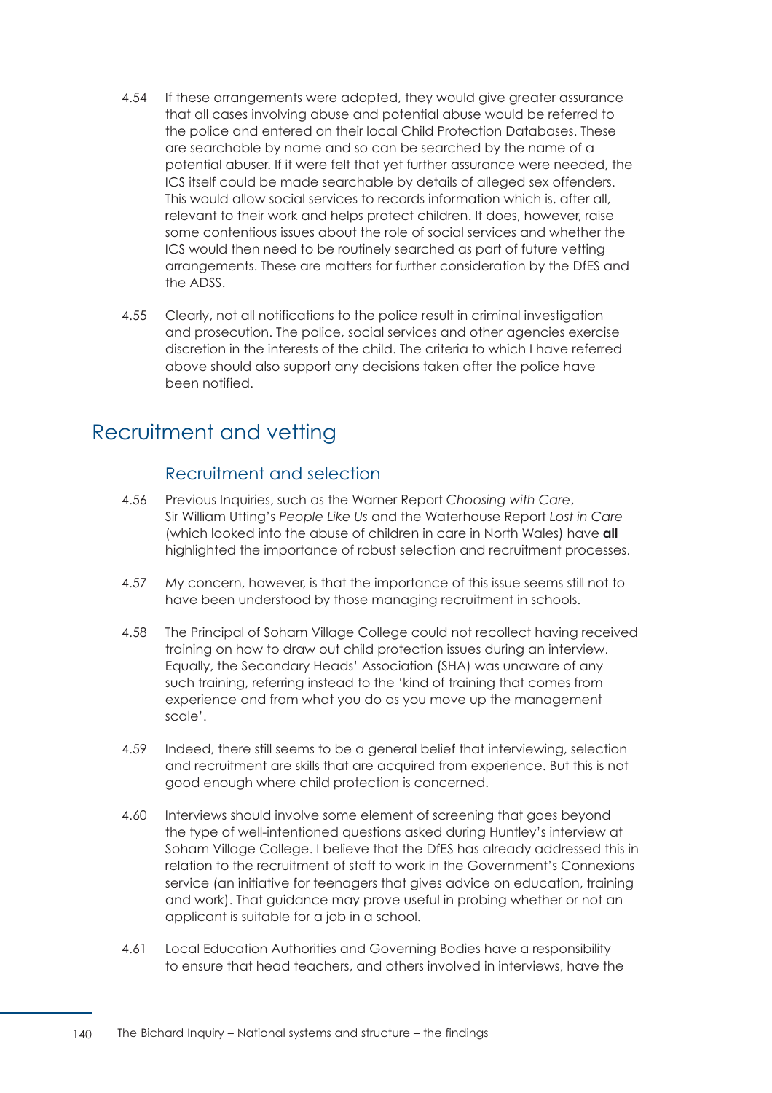- 4.54 If these arrangements were adopted, they would give greater assurance that all cases involving abuse and potential abuse would be referred to the police and entered on their local Child Protection Databases. These are searchable by name and so can be searched by the name of a potential abuser. If it were felt that yet further assurance were needed, the ICS itself could be made searchable by details of alleged sex offenders. This would allow social services to records information which is, after all, relevant to their work and helps protect children. It does, however, raise some contentious issues about the role of social services and whether the ICS would then need to be routinely searched as part of future vetting arrangements. These are matters for further consideration by the DfES and the ADSS.
- 4.55 Clearly, not all notifications to the police result in criminal investigation and prosecution. The police, social services and other agencies exercise discretion in the interests of the child. The criteria to which I have referred above should also support any decisions taken after the police have been notified.

## Recruitment and vetting

## Recruitment and selection

- 4.56 € Previous Inquiries, such as the Warner Report *Choosing with Care*, Sir William Utting's *People Like Us* and the Waterhouse Report *Lost in Care*  (which looked into the abuse of children in care in North Wales) have **all**  highlighted the importance of robust selection and recruitment processes.
- 4.57 My concern, however, is that the importance of this issue seems still not to have been understood by those managing recruitment in schools.
- 4.58 The Principal of Soham Village College could not recollect having received training on how to draw out child protection issues during an interview. Equally, the Secondary Heads' Association (SHA) was unaware of any such training, referring instead to the 'kind of training that comes from experience and from what you do as you move up the management scale'.
- 4.59 Indeed, there still seems to be a general belief that interviewing, selection and recruitment are skills that are acquired from experience. But this is not good enough where child protection is concerned.
- 4.60 Interviews should involve some element of screening that goes beyond the type of well-intentioned questions asked during Huntley's interview at Soham Village College. I believe that the DfES has already addressed this in relation to the recruitment of staff to work in the Government's Connexions service (an initiative for teenagers that gives advice on education, training and work). That guidance may prove useful in probing whether or not an applicant is suitable for a job in a school.
- 4.61 Local Education Authorities and Governing Bodies have a responsibility to ensure that head teachers, and others involved in interviews, have the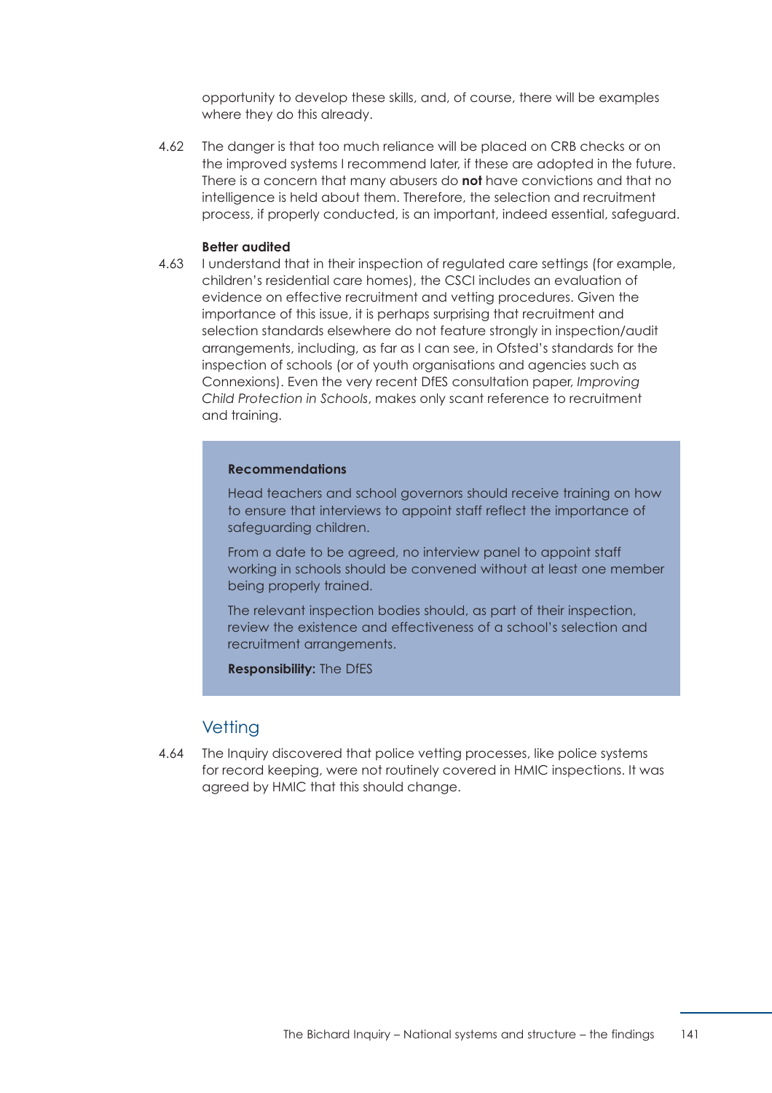opportunity to develop these skills, and, of course, there will be examples where they do this already.

4.62 The danger is that too much reliance will be placed on CRB checks or on the improved systems I recommend later, if these are adopted in the future. There is a concern that many abusers do **not** have convictions and that no intelligence is held about them. Therefore, the selection and recruitment process, if properly conducted, is an important, indeed essential, safeguard.

#### **Better audited**

4.63 **I understand that in their inspection of regulated care settings (for example,** children's residential care homes), the CSCI includes an evaluation of evidence on effective recruitment and vetting procedures. Given the importance of this issue, it is perhaps surprising that recruitment and selection standards elsewhere do not feature strongly in inspection/audit arrangements, including, as far as I can see, in Ofsted's standards for the inspection of schools (or of youth organisations and agencies such as Connexions). Even the very recent DfES consultation paper, *Improving Child Protection in Schools*, makes only scant reference to recruitment and training.

#### **Recommendations**

Head teachers and school governors should receive training on how to ensure that interviews to appoint staff reflect the importance of safeguarding children.

From a date to be agreed, no interview panel to appoint staff working in schools should be convened without at least one member being properly trained.

The relevant inspection bodies should, as part of their inspection, review the existence and effectiveness of a school's selection and recruitment arrangements.

**Responsibility:** The DfES

### **Vetting**

4.64 The Inquiry discovered that police vetting processes, like police systems for record keeping, were not routinely covered in HMIC inspections. It was agreed by HMIC that this should change.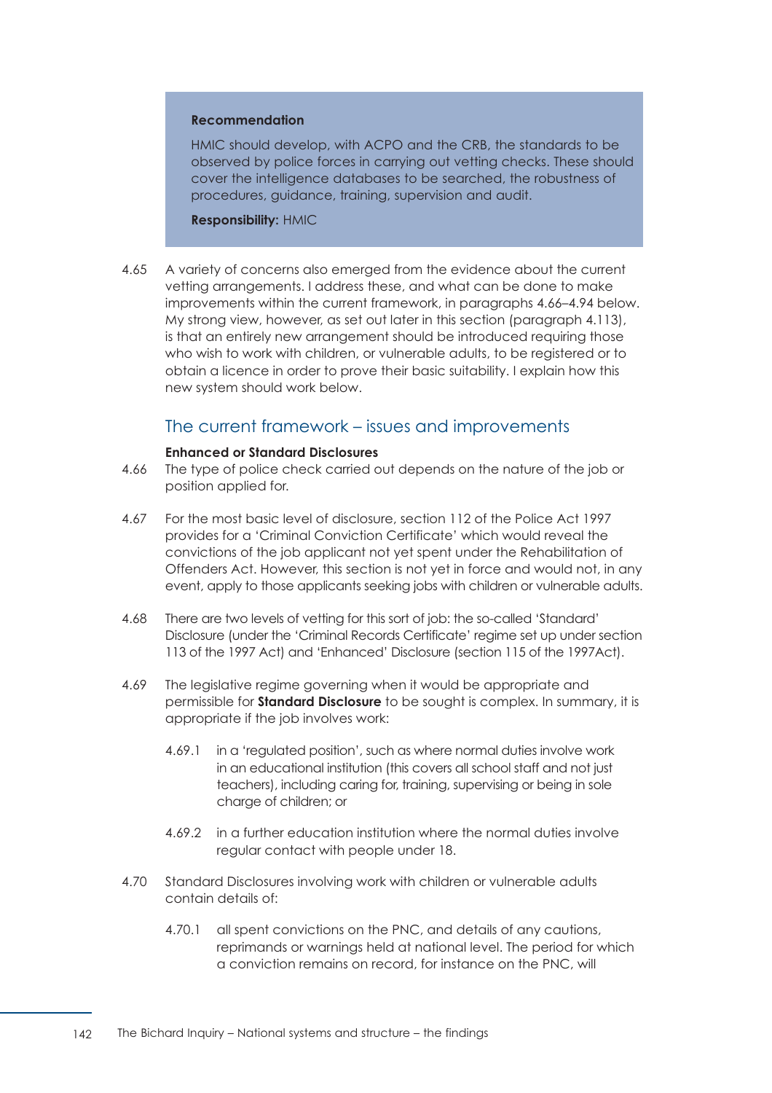#### **Recommendation**

HMIC should develop, with ACPO and the CRB, the standards to be observed by police forces in carrying out vetting checks. These should cover the intelligence databases to be searched, the robustness of procedures, guidance, training, supervision and audit.

#### **Responsibility:** HMIC

4.65 A variety of concerns also emerged from the evidence about the current vetting arrangements. I address these, and what can be done to make improvements within the current framework, in [paragraphs 4.66–4.94](#page-148-0) below. My strong view, however, as set out later in this section [\(paragraph 4.113\)](#page-156-0), is that an entirely new arrangement should be introduced requiring those who wish to work with children, or vulnerable adults, to be registered or to obtain a licence in order to prove their basic suitability. I explain how this new system should work below.

## The current framework – issues and improvements

#### **Enhanced or Standard Disclosures**

- <span id="page-148-0"></span>4.66 The type of police check carried out depends on the nature of the job or position applied for.
- 4.67 € For the most basic level of disclosure, section 112 of the Police Act 1997 provides for a 'Criminal Conviction Certificate' which would reveal the convictions of the job applicant not yet spent under the Rehabilitation of Offenders Act. However, this section is not yet in force and would not, in any event, apply to those applicants seeking jobs with children or vulnerable adults.
- 4.68 There are two levels of vetting for this sort of job: the so-called 'Standard' Disclosure (under the 'Criminal Records Certificate' regime set up under section 113 of the 1997 Act) and 'Enhanced' Disclosure (section 115 of the 1997Act).
- 4.69 The legislative regime governing when it would be appropriate and permissible for **Standard Disclosure** to be sought is complex. In summary, it is appropriate if the job involves work:
	- 4.69.1 in a 'regulated position', such as where normal duties involve work in an educational institution (this covers all school staff and not just teachers), including caring for, training, supervising or being in sole charge of children; or
	- 4.69.2 in a further education institution where the normal duties involve regular contact with people under 18.
- 4.70 € Standard Disclosures involving work with children or vulnerable adults contain details of:
	- 4.70.1 all spent convictions on the PNC, and details of any cautions, reprimands or warnings held at national level. The period for which a conviction remains on record, for instance on the PNC, will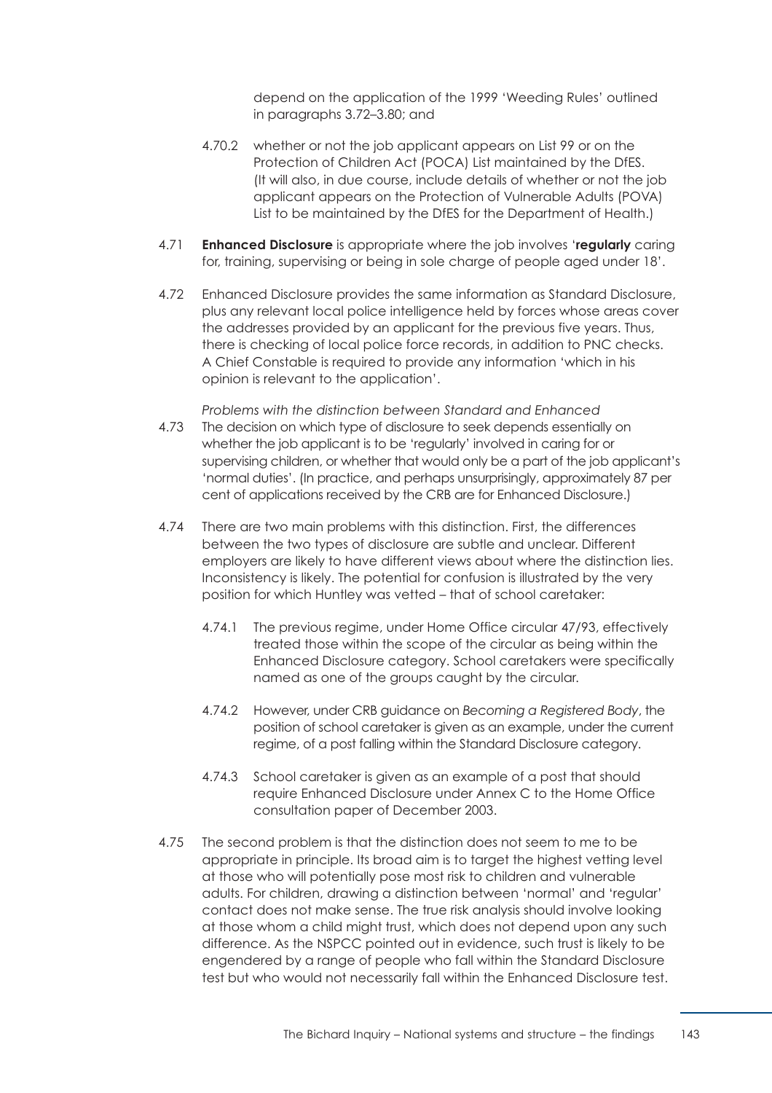depend on the application of the 1999 'Weeding Rules' outlined in [paragraphs 3.72–3.80;](#page-126-0) and

- 4.70.2 whether or not the job applicant appears on List 99 or on the Protection of Children Act (POCA) List maintained by the DfES. (It will also, in due course, include details of whether or not the job applicant appears on the Protection of Vulnerable Adults (POVA) List to be maintained by the DfES for the Department of Health.)
- 4.71 € **Enhanced Disclosure** is appropriate where the job involves '**regularly** caring for, training, supervising or being in sole charge of people aged under 18'.
- 4.72 € Enhanced Disclosure provides the same information as Standard Disclosure, plus any relevant local police intelligence held by forces whose areas cover the addresses provided by an applicant for the previous five years. Thus, there is checking of local police force records, in addition to PNC checks. A Chief Constable is required to provide any information 'which in his opinion is relevant to the application'.

*Problems with the distinction between Standard and Enhanced* 

- 4.73 The decision on which type of disclosure to seek depends essentially on whether the job applicant is to be 'regularly' involved in caring for or supervising children, or whether that would only be a part of the job applicant's 'normal duties'. (In practice, and perhaps unsurprisingly, approximately 87 per cent of applications received by the CRB are for Enhanced Disclosure.)
- 4.74 There are two main problems with this distinction. First, the differences between the two types of disclosure are subtle and unclear. Different employers are likely to have different views about where the distinction lies. Inconsistency is likely. The potential for confusion is illustrated by the very position for which Huntley was vetted – that of school caretaker:
	- 4.74.1 The previous regime, under Home Office circular 47/93, effectively treated those within the scope of the circular as being within the Enhanced Disclosure category. School caretakers were specifically named as one of the groups caught by the circular.
	- 4.74.2 However, under CRB guidance on *Becoming a Registered Body*, the position of school caretaker is given as an example, under the current regime, of a post falling within the Standard Disclosure category.
	- 4.74.3 School caretaker is given as an example of a post that should require Enhanced Disclosure under Annex C to the Home Office consultation paper of December 2003.
- 4.75 The second problem is that the distinction does not seem to me to be appropriate in principle. Its broad aim is to target the highest vetting level at those who will potentially pose most risk to children and vulnerable adults. For children, drawing a distinction between 'normal' and 'regular' contact does not make sense. The true risk analysis should involve looking at those whom a child might trust, which does not depend upon any such difference. As the NSPCC pointed out in evidence, such trust is likely to be engendered by a range of people who fall within the Standard Disclosure test but who would not necessarily fall within the Enhanced Disclosure test.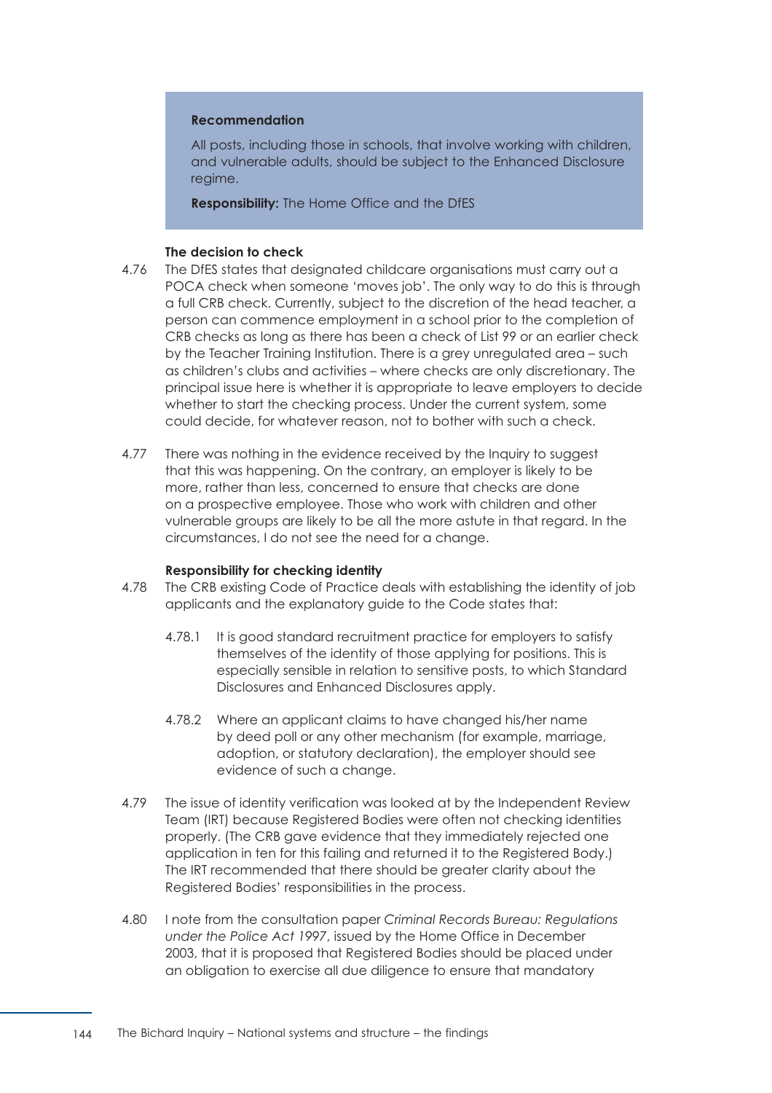#### **Recommendation**

All posts, including those in schools, that involve working with children, and vulnerable adults, should be subject to the Enhanced Disclosure regime.

**Responsibility:** The Home Office and the DfES

#### **The decision to check**

- 4.76 The DfES states that designated childcare organisations must carry out a POCA check when someone 'moves job'. The only way to do this is through a full CRB check. Currently, subject to the discretion of the head teacher, a person can commence employment in a school prior to the completion of CRB checks as long as there has been a check of List 99 or an earlier check by the Teacher Training Institution. There is a grey unregulated area – such as children's clubs and activities – where checks are only discretionary. The principal issue here is whether it is appropriate to leave employers to decide whether to start the checking process. Under the current system, some could decide, for whatever reason, not to bother with such a check.
- 4.77 There was nothing in the evidence received by the Inquiry to suggest that this was happening. On the contrary, an employer is likely to be more, rather than less, concerned to ensure that checks are done on a prospective employee. Those who work with children and other vulnerable groups are likely to be all the more astute in that regard. In the circumstances, I do not see the need for a change.

#### **Responsibility for checking identity**

- 4.78 The CRB existing Code of Practice deals with establishing the identity of job applicants and the explanatory guide to the Code states that:
	- 4.78.1 It is good standard recruitment practice for employers to satisfy themselves of the identity of those applying for positions. This is especially sensible in relation to sensitive posts, to which Standard Disclosures and Enhanced Disclosures apply.
	- 4.78.2 Where an applicant claims to have changed his/her name by deed poll or any other mechanism (for example, marriage, adoption, or statutory declaration), the employer should see evidence of such a change.
- 4.79 The issue of identity verification was looked at by the Independent Review Team (IRT) because Registered Bodies were often not checking identities properly. (The CRB gave evidence that they immediately rejected one application in ten for this failing and returned it to the Registered Body.) The IRT recommended that there should be greater clarity about the Registered Bodies' responsibilities in the process.
- 4.80 € I note from the consultation paper *Criminal Records Bureau: Regulations under the Police Act 1997*, issued by the Home Office in December 2003, that it is proposed that Registered Bodies should be placed under an obligation to exercise all due diligence to ensure that mandatory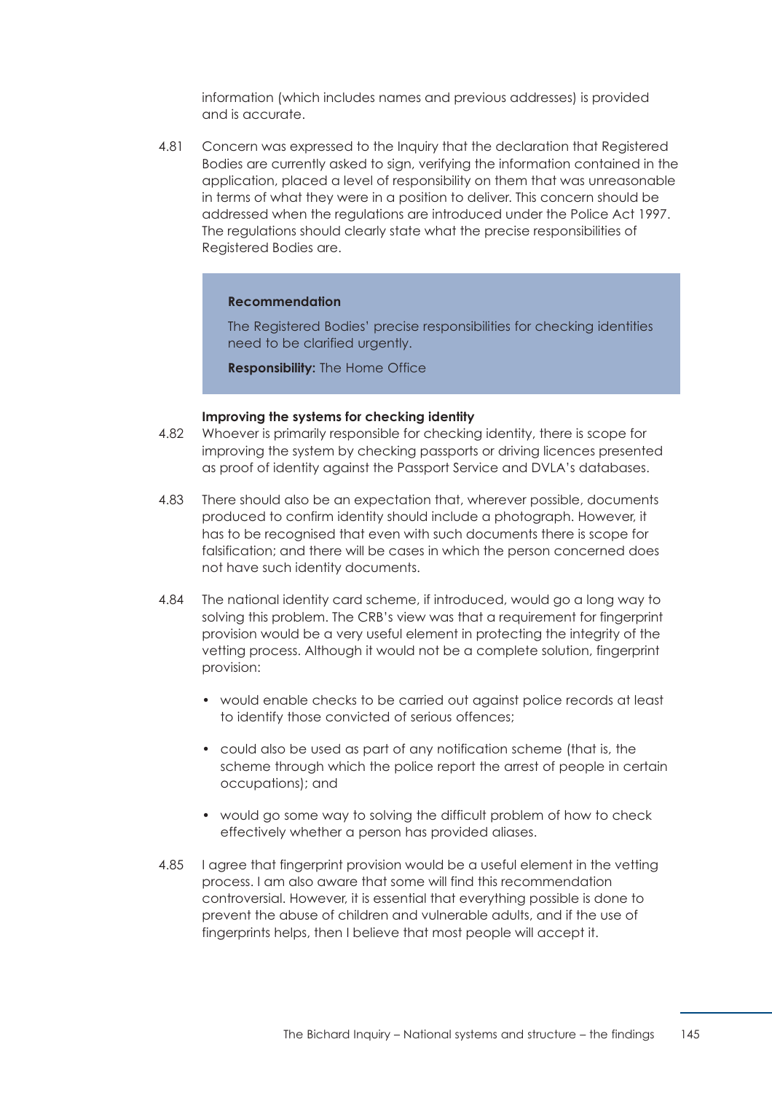information (which includes names and previous addresses) is provided and is accurate.

4.81 Concern was expressed to the Inquiry that the declaration that Registered Bodies are currently asked to sign, verifying the information contained in the application, placed a level of responsibility on them that was unreasonable in terms of what they were in a position to deliver. This concern should be addressed when the regulations are introduced under the Police Act 1997. The regulations should clearly state what the precise responsibilities of Registered Bodies are.

#### **Recommendation**

The Registered Bodies' precise responsibilities for checking identities need to be clarified urgently.

**Responsibility:** The Home Office

#### **Improving the systems for checking identity**

- 4.82 Whoever is primarily responsible for checking identity, there is scope for improving the system by checking passports or driving licences presented as proof of identity against the Passport Service and DVLA's databases.
- 4.83 There should also be an expectation that, wherever possible, documents produced to confirm identity should include a photograph. However, it has to be recognised that even with such documents there is scope for falsification; and there will be cases in which the person concerned does not have such identity documents.
- 4.84 The national identity card scheme, if introduced, would go a long way to solving this problem. The CRB's view was that a requirement for fingerprint provision would be a very useful element in protecting the integrity of the vetting process. Although it would not be a complete solution, fingerprint provision:
	- would enable checks to be carried out against police records at least to identify those convicted of serious offences;
	- could also be used as part of any notification scheme (that is, the scheme through which the police report the arrest of people in certain occupations); and
	- would go some way to solving the difficult problem of how to check effectively whether a person has provided aliases.
- 4.85 I agree that fingerprint provision would be a useful element in the vetting process. I am also aware that some will find this recommendation controversial. However, it is essential that everything possible is done to prevent the abuse of children and vulnerable adults, and if the use of fingerprints helps, then I believe that most people will accept it.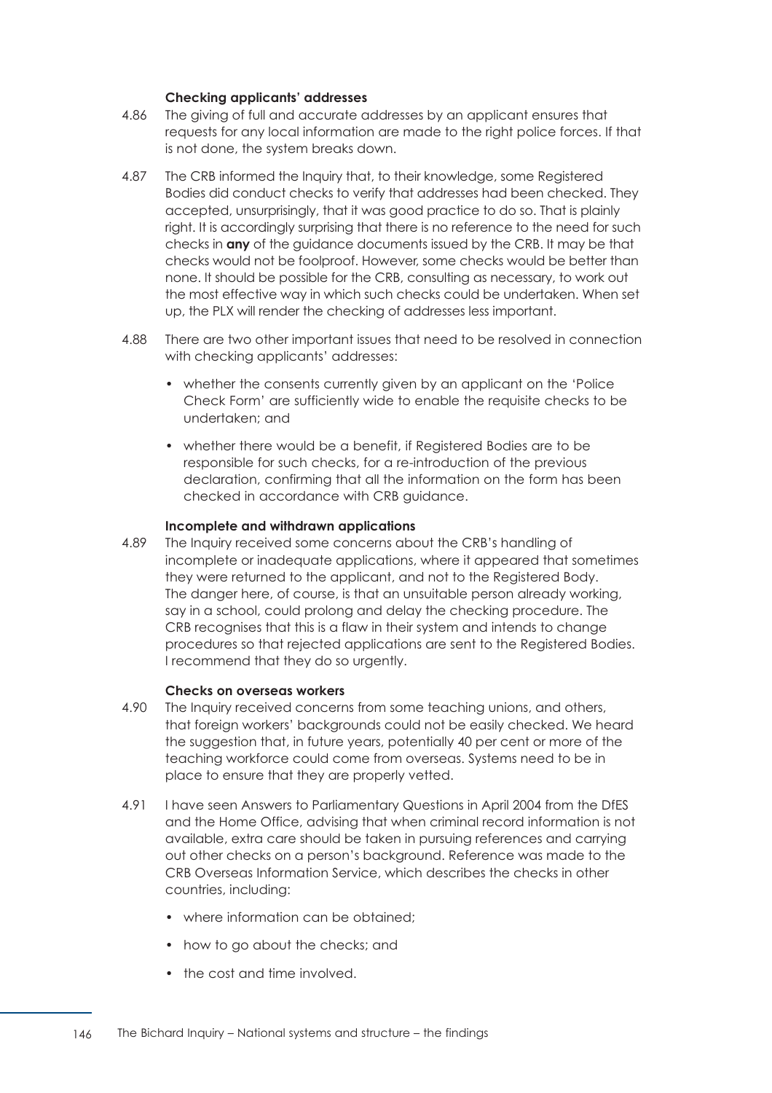#### **Checking applicants' addresses**

- 4.86 The giving of full and accurate addresses by an applicant ensures that requests for any local information are made to the right police forces. If that is not done, the system breaks down.
- 4.87 The CRB informed the Inquiry that, to their knowledge, some Registered Bodies did conduct checks to verify that addresses had been checked. They accepted, unsurprisingly, that it was good practice to do so. That is plainly right. It is accordingly surprising that there is no reference to the need for such checks in **any** of the guidance documents issued by the CRB. It may be that checks would not be foolproof. However, some checks would be better than none. It should be possible for the CRB, consulting as necessary, to work out the most effective way in which such checks could be undertaken. When set up, the PLX will render the checking of addresses less important.
- 4.88 There are two other important issues that need to be resolved in connection with checking applicants' addresses:
	- whether the consents currently given by an applicant on the 'Police' Check Form' are sufficiently wide to enable the requisite checks to be undertaken; and
	- whether there would be a benefit, if Registered Bodies are to be responsible for such checks, for a re-introduction of the previous declaration, confirming that all the information on the form has been checked in accordance with CRB guidance.

#### **Incomplete and withdrawn applications**

4.89 The Inquiry received some concerns about the CRB's handling of incomplete or inadequate applications, where it appeared that sometimes they were returned to the applicant, and not to the Registered Body. The danger here, of course, is that an unsuitable person already working, say in a school, could prolong and delay the checking procedure. The CRB recognises that this is a flaw in their system and intends to change procedures so that rejected applications are sent to the Registered Bodies. I recommend that they do so urgently.

#### **Checks on overseas workers**

- 4.90 The Inquiry received concerns from some teaching unions, and others, that foreign workers' backgrounds could not be easily checked. We heard the suggestion that, in future years, potentially 40 per cent or more of the teaching workforce could come from overseas. Systems need to be in place to ensure that they are properly vetted.
- 4.91 I have seen Answers to Parliamentary Questions in April 2004 from the DfES and the Home Office, advising that when criminal record information is not available, extra care should be taken in pursuing references and carrying out other checks on a person's background. Reference was made to the CRB Overseas Information Service, which describes the checks in other countries, including:
	- where information can be obtained:
	- how to go about the checks; and
	- the cost and time involved.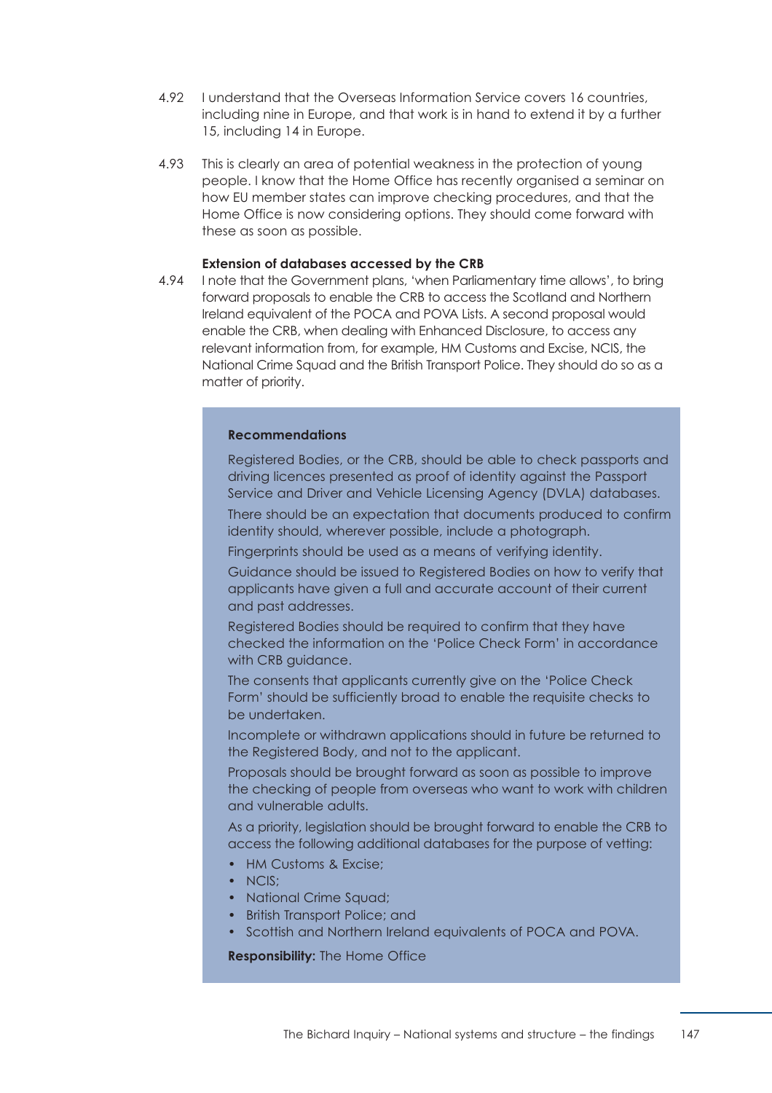- 4.92 **I understand that the Overseas Information Service covers 16 countries.** including nine in Europe, and that work is in hand to extend it by a further 15, including 14 in Europe.
- 4.93 This is clearly an area of potential weakness in the protection of young people. I know that the Home Office has recently organised a seminar on how EU member states can improve checking procedures, and that the Home Office is now considering options. They should come forward with these as soon as possible.

#### **Extension of databases accessed by the CRB**

4.94 I note that the Government plans, 'when Parliamentary time allows', to bring forward proposals to enable the CRB to access the Scotland and Northern Ireland equivalent of the POCA and POVA Lists. A second proposal would enable the CRB, when dealing with Enhanced Disclosure, to access any relevant information from, for example, HM Customs and Excise, NCIS, the National Crime Squad and the British Transport Police. They should do so as a matter of priority.

#### **Recommendations**

Registered Bodies, or the CRB, should be able to check passports and driving licences presented as proof of identity against the Passport Service and Driver and Vehicle Licensing Agency (DVLA) databases.

There should be an expectation that documents produced to confirm identity should, wherever possible, include a photograph.

Fingerprints should be used as a means of verifying identity.

Guidance should be issued to Registered Bodies on how to verify that applicants have given a full and accurate account of their current and past addresses.

Registered Bodies should be required to confirm that they have checked the information on the 'Police Check Form' in accordance with CRB guidance.

The consents that applicants currently give on the 'Police Check Form' should be sufficiently broad to enable the requisite checks to be undertaken.

Incomplete or withdrawn applications should in future be returned to the Registered Body, and not to the applicant.

Proposals should be brought forward as soon as possible to improve the checking of people from overseas who want to work with children and vulnerable adults.

As a priority, legislation should be brought forward to enable the CRB to access the following additional databases for the purpose of vetting:

- HM Customs & Excise:
- NCIS:
- National Crime Sauad:
- British Transport Police; and
- Scottish and Northern Ireland equivalents of POCA and POVA.

**Responsibility:** The Home Office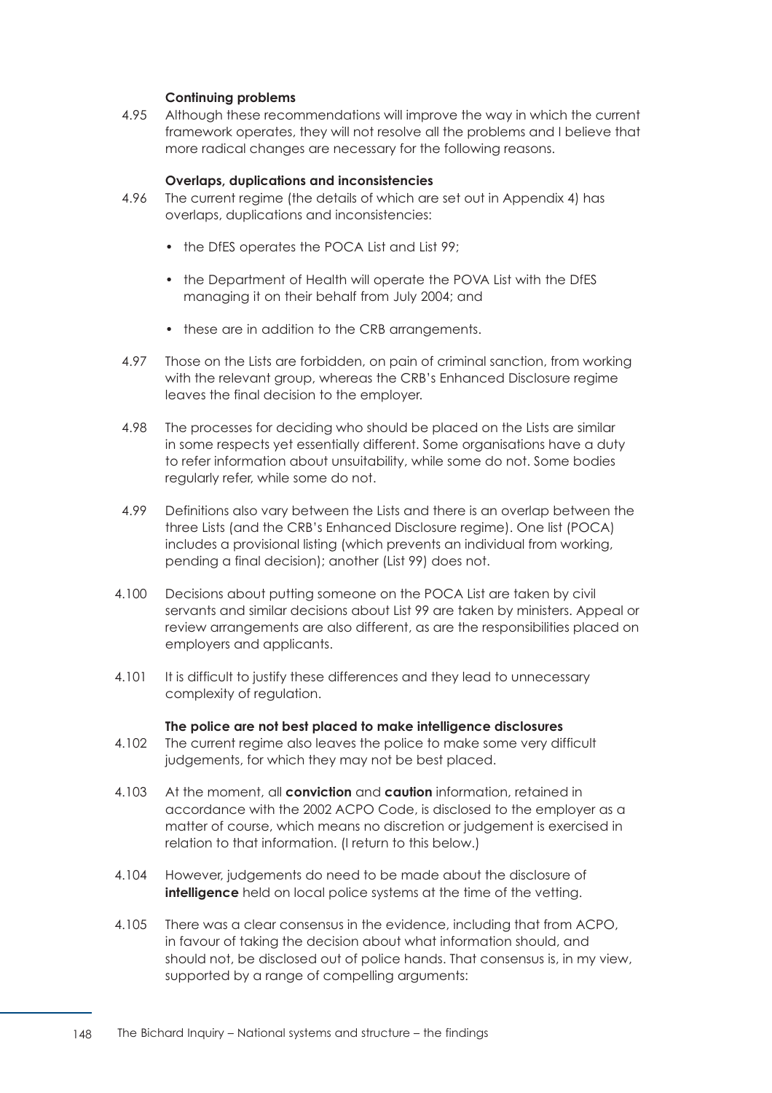#### **Continuing problems**

4.95 Although these recommendations will improve the way in which the current framework operates, they will not resolve all the problems and I believe that more radical changes are necessary for the following reasons.

#### **Overlaps, duplications and inconsistencies**

- 4.96 The current regime (the details of which are set out in [Appendix 4\)](#page-185-0) has overlaps, duplications and inconsistencies:
	- the DfES operates the POCA List and List 99;
	- the Department of Health will operate the POVA List with the DfES managing it on their behalf from July 2004; and
	- these are in addition to the CRB arrangements.
- 4.97 Those on the Lists are forbidden, on pain of criminal sanction, from working with the relevant group, whereas the CRB's Enhanced Disclosure regime leaves the final decision to the employer.
- 4.98 The processes for deciding who should be placed on the Lists are similar in some respects yet essentially different. Some organisations have a duty to refer information about unsuitability, while some do not. Some bodies regularly refer, while some do not.
- 4.99 Definitions also vary between the Lists and there is an overlap between the three Lists (and the CRB's Enhanced Disclosure regime). One list (POCA) includes a provisional listing (which prevents an individual from working, pending a final decision); another (List 99) does not.
- 4.100 Becisions about putting someone on the POCA List are taken by civil servants and similar decisions about List 99 are taken by ministers. Appeal or review arrangements are also different, as are the responsibilities placed on employers and applicants.
- 4.101 It is difficult to justify these differences and they lead to unnecessary complexity of regulation.

#### **The police are not best placed to make intelligence disclosures**

- 4.102 The current regime also leaves the police to make some very difficult judgements, for which they may not be best placed.
- 4.103 € At the moment, all **conviction** and **caution** information, retained in accordance with the 2002 ACPO Code, is disclosed to the employer as a matter of course, which means no discretion or judgement is exercised in relation to that information. (I return to this below.)
- 4.104 However, judgements do need to be made about the disclosure of **intelligence** held on local police systems at the time of the vetting.
- 4.105 There was a clear consensus in the evidence, including that from ACPO, in favour of taking the decision about what information should, and should not, be disclosed out of police hands. That consensus is, in my view, supported by a range of compelling arguments: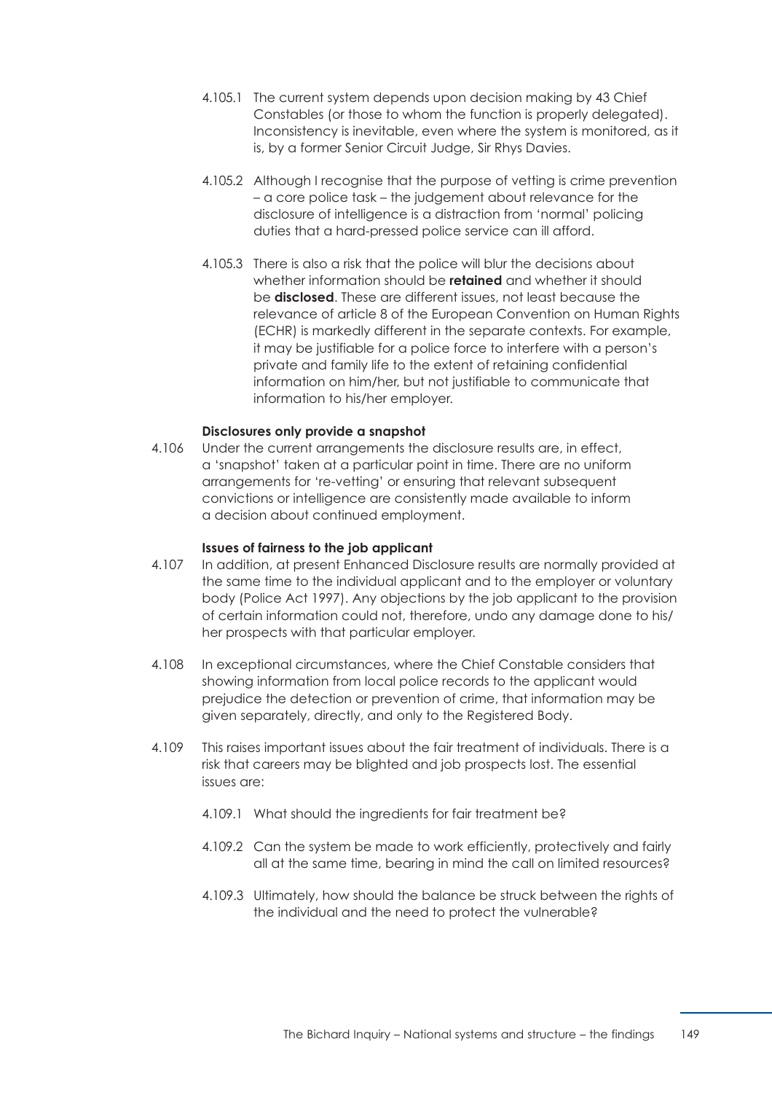- 4.105.1 The current system depends upon decision making by 43 Chief Constables (or those to whom the function is properly delegated). Inconsistency is inevitable, even where the system is monitored, as it is, by a former Senior Circuit Judge, Sir Rhys Davies.
- 4.105.2 Although I recognise that the purpose of vetting is crime prevention – a core police task – the judgement about relevance for the disclosure of intelligence is a distraction from 'normal' policing duties that a hard-pressed police service can ill afford.
- 4.105.3 There is also a risk that the police will blur the decisions about whether information should be **retained** and whether it should be **disclosed**. These are different issues, not least because the relevance of article 8 of the European Convention on Human Rights (ECHR) is markedly different in the separate contexts. For example, it may be justifiable for a police force to interfere with a person's private and family life to the extent of retaining confidential information on him/her, but not justifiable to communicate that information to his/her employer.

#### **Disclosures only provide a snapshot**

4.106 Under the current arrangements the disclosure results are, in effect, a 'snapshot' taken at a particular point in time. There are no uniform arrangements for 're-vetting' or ensuring that relevant subsequent convictions or intelligence are consistently made available to inform a decision about continued employment.

#### **Issues of fairness to the job applicant**

- 4.107 In addition, at present Enhanced Disclosure results are normally provided at the same time to the individual applicant and to the employer or voluntary body (Police Act 1997). Any objections by the job applicant to the provision of certain information could not, therefore, undo any damage done to his/ her prospects with that particular employer.
- 4.108 In exceptional circumstances, where the Chief Constable considers that showing information from local police records to the applicant would prejudice the detection or prevention of crime, that information may be given separately, directly, and only to the Registered Body.
- 4.109 This raises important issues about the fair treatment of individuals. There is a risk that careers may be blighted and job prospects lost. The essential issues are:
	- 4.109.1 What should the ingredients for fair treatment be?
	- 4.109.2 Can the system be made to work efficiently, protectively and fairly all at the same time, bearing in mind the call on limited resources?
	- 4.109.3 Ultimately, how should the balance be struck between the rights of the individual and the need to protect the vulnerable?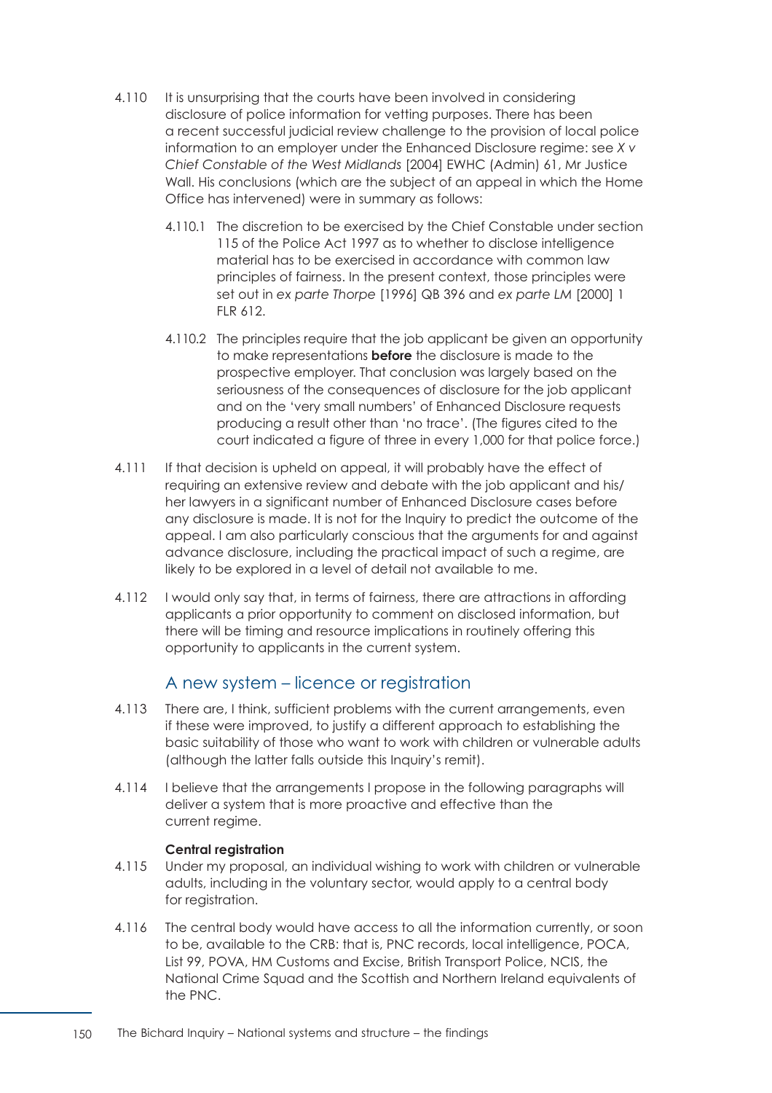- 4.110 It is unsurprising that the courts have been involved in considering disclosure of police information for vetting purposes. There has been a recent successful judicial review challenge to the provision of local police information to an employer under the Enhanced Disclosure regime: see *X v Chief Constable of the West Midlands* [2004] EWHC (Admin) 61, Mr Justice Wall. His conclusions (which are the subject of an appeal in which the Home Office has intervened) were in summary as follows:
	- 4.110.1 The discretion to be exercised by the Chief Constable under section 115 of the Police Act 1997 as to whether to disclose intelligence material has to be exercised in accordance with common law principles of fairness. In the present context, those principles were set out in *ex parte Thorpe* [1996] QB 396 and *ex parte LM* [2000] 1 FLR 612.
	- 4.110.2 The principles require that the job applicant be given an opportunity to make representations **before** the disclosure is made to the prospective employer. That conclusion was largely based on the seriousness of the consequences of disclosure for the job applicant and on the 'very small numbers' of Enhanced Disclosure requests producing a result other than 'no trace'. (The figures cited to the court indicated a figure of three in every 1,000 for that police force.)
- 4.111 If that decision is upheld on appeal, it will probably have the effect of requiring an extensive review and debate with the job applicant and his/ her lawyers in a significant number of Enhanced Disclosure cases before any disclosure is made. It is not for the Inquiry to predict the outcome of the appeal. I am also particularly conscious that the arguments for and against advance disclosure, including the practical impact of such a regime, are likely to be explored in a level of detail not available to me.
- 4.112 I would only say that, in terms of fairness, there are attractions in affording applicants a prior opportunity to comment on disclosed information, but there will be timing and resource implications in routinely offering this opportunity to applicants in the current system.

## A new system – licence or registration

- <span id="page-156-0"></span>4.113 There are, I think, sufficient problems with the current arrangements, even if these were improved, to justify a different approach to establishing the basic suitability of those who want to work with children or vulnerable adults (although the latter falls outside this Inquiry's remit).
- 4.114 **I believe that the arrangements I propose in the following paragraphs will** deliver a system that is more proactive and effective than the current regime.

### **Central registration**

- 4.115 € Under my proposal, an individual wishing to work with children or vulnerable adults, including in the voluntary sector, would apply to a central body for registration.
- 4.116 The central body would have access to all the information currently, or soon to be, available to the CRB: that is, PNC records, local intelligence, POCA, List 99, POVA, HM Customs and Excise, British Transport Police, NCIS, the National Crime Squad and the Scottish and Northern Ireland equivalents of the PNC.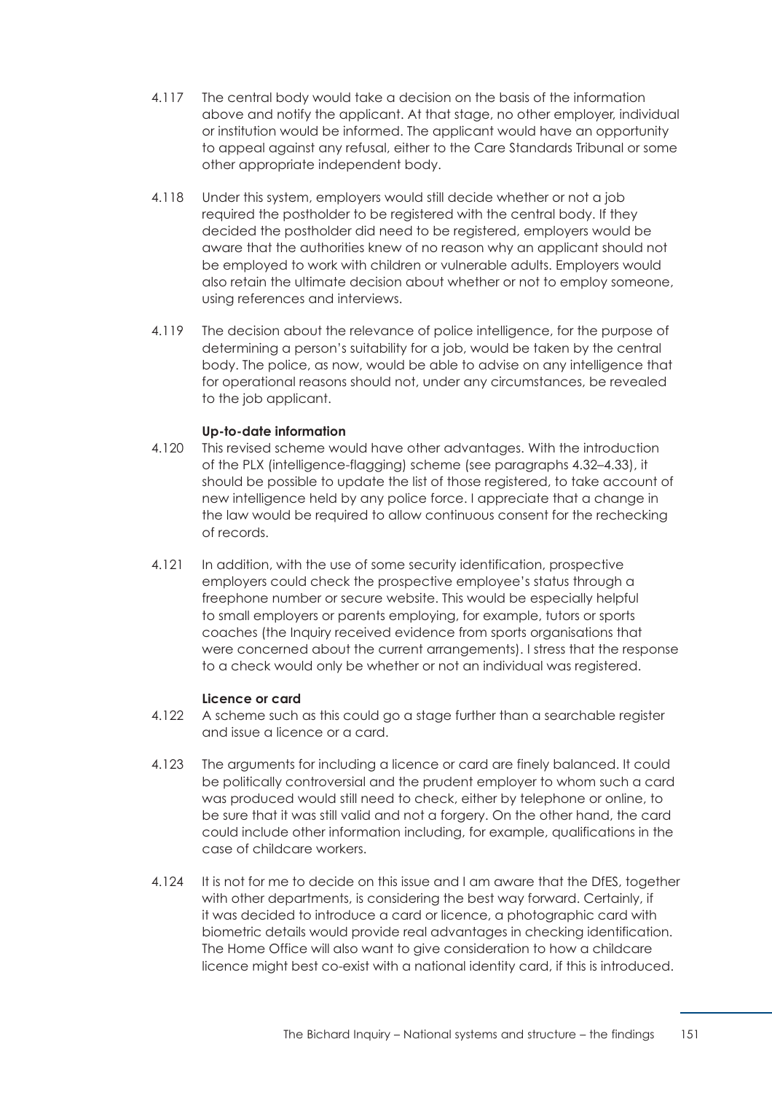- 4.117 The central body would take a decision on the basis of the information above and notify the applicant. At that stage, no other employer, individual or institution would be informed. The applicant would have an opportunity to appeal against any refusal, either to the Care Standards Tribunal or some other appropriate independent body.
- 4.118 Under this system, employers would still decide whether or not a job required the postholder to be registered with the central body. If they decided the postholder did need to be registered, employers would be aware that the authorities knew of no reason why an applicant should not be employed to work with children or vulnerable adults. Employers would also retain the ultimate decision about whether or not to employ someone, using references and interviews.
- 4.119 The decision about the relevance of police intelligence, for the purpose of determining a person's suitability for a job, would be taken by the central body. The police, as now, would be able to advise on any intelligence that for operational reasons should not, under any circumstances, be revealed to the job applicant.

### **Up-to-date information**

- 4.120 This revised scheme would have other advantages. With the introduction of the PLX (intelligence-flagging) scheme [\(see paragraphs 4.32–4.33\)](#page-138-0), it should be possible to update the list of those registered, to take account of new intelligence held by any police force. I appreciate that a change in the law would be required to allow continuous consent for the rechecking of records.
- 4.121 In addition, with the use of some security identification, prospective employers could check the prospective employee's status through a freephone number or secure website. This would be especially helpful to small employers or parents employing, for example, tutors or sports coaches (the Inquiry received evidence from sports organisations that were concerned about the current arrangements). I stress that the response to a check would only be whether or not an individual was registered.

#### **Licence or card**

- 4.122 A scheme such as this could go a stage further than a searchable register and issue a licence or a card.
- 4.123 The arguments for including a licence or card are finely balanced. It could be politically controversial and the prudent employer to whom such a card was produced would still need to check, either by telephone or online, to be sure that it was still valid and not a forgery. On the other hand, the card could include other information including, for example, qualifications in the case of childcare workers.
- 4.124 It is not for me to decide on this issue and I am aware that the DfES, together with other departments, is considering the best way forward. Certainly, if it was decided to introduce a card or licence, a photographic card with biometric details would provide real advantages in checking identification. The Home Office will also want to give consideration to how a childcare licence might best co-exist with a national identity card, if this is introduced.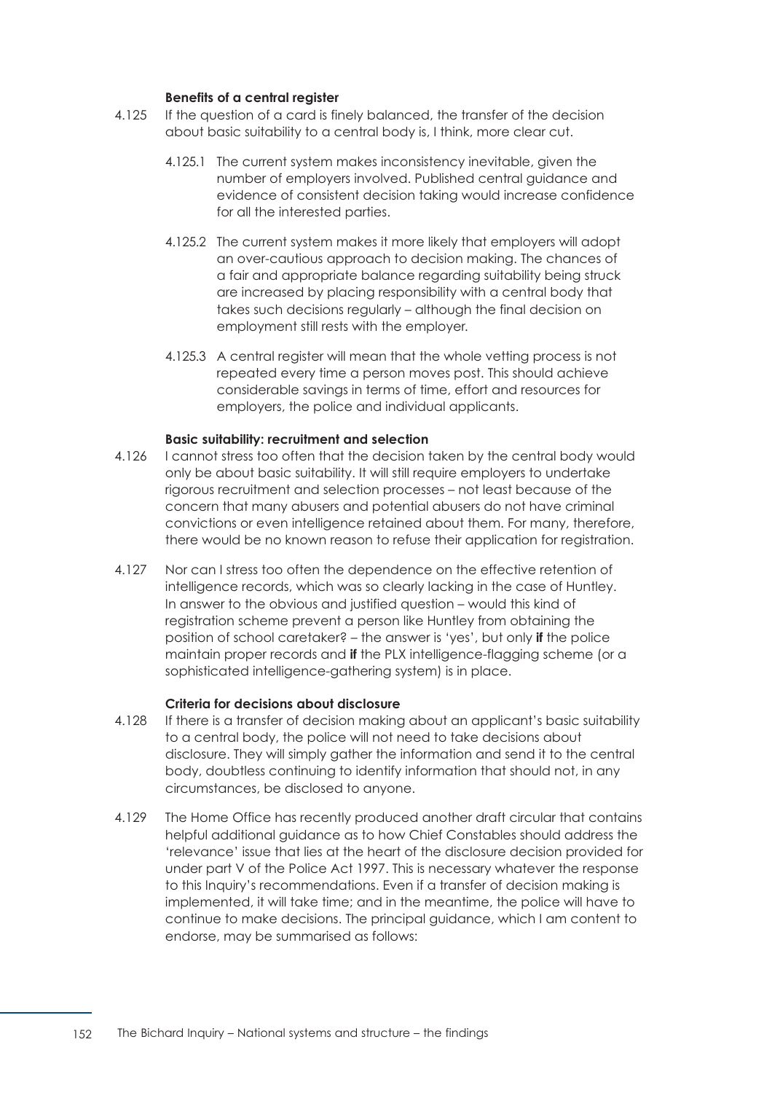#### **Benefits of a central register**

- 4.125 If the question of a card is finely balanced, the transfer of the decision about basic suitability to a central body is, I think, more clear cut.
	- 4.125.1 The current system makes inconsistency inevitable, given the number of employers involved. Published central guidance and evidence of consistent decision taking would increase confidence for all the interested parties.
	- 4.125.2 The current system makes it more likely that employers will adopt an over-cautious approach to decision making. The chances of a fair and appropriate balance regarding suitability being struck are increased by placing responsibility with a central body that takes such decisions regularly – although the final decision on employment still rests with the employer.
	- 4.125.3 A central register will mean that the whole vetting process is not repeated every time a person moves post. This should achieve considerable savings in terms of time, effort and resources for employers, the police and individual applicants.

#### **Basic suitability: recruitment and selection**

- 4.126 **I** cannot stress too often that the decision taken by the central body would only be about basic suitability. It will still require employers to undertake rigorous recruitment and selection processes – not least because of the concern that many abusers and potential abusers do not have criminal convictions or even intelligence retained about them. For many, therefore, there would be no known reason to refuse their application for registration.
- 4.127 Nor can I stress too often the dependence on the effective retention of intelligence records, which was so clearly lacking in the case of Huntley. In answer to the obvious and justified question – would this kind of registration scheme prevent a person like Huntley from obtaining the position of school caretaker? – the answer is 'yes', but only **if** the police maintain proper records and **if** the PLX intelligence-flagging scheme (or a sophisticated intelligence-gathering system) is in place.

#### **Criteria for decisions about disclosure**

- 4.128 If there is a transfer of decision making about an applicant's basic suitability to a central body, the police will not need to take decisions about disclosure. They will simply gather the information and send it to the central body, doubtless continuing to identify information that should not, in any circumstances, be disclosed to anyone.
- 4.129 The Home Office has recently produced another draft circular that contains helpful additional guidance as to how Chief Constables should address the 'relevance' issue that lies at the heart of the disclosure decision provided for under part V of the Police Act 1997. This is necessary whatever the response to this Inquiry's recommendations. Even if a transfer of decision making is implemented, it will take time; and in the meantime, the police will have to continue to make decisions. The principal guidance, which I am content to endorse, may be summarised as follows: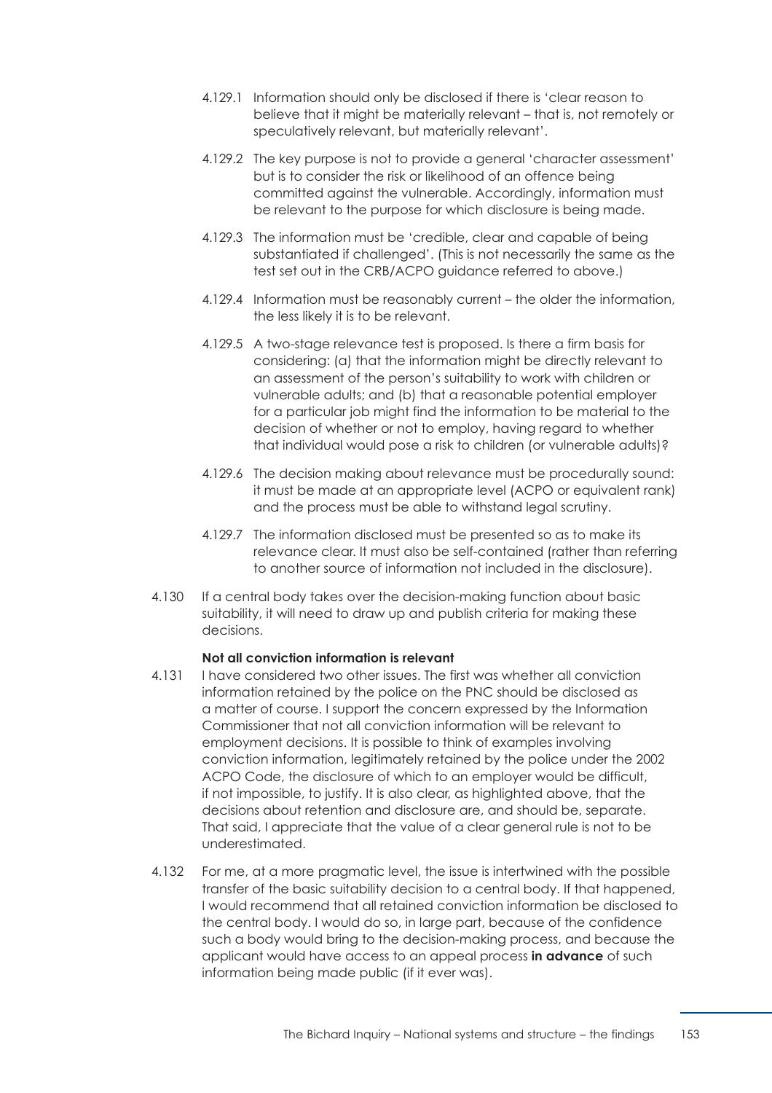- 4.129.1 Information should only be disclosed if there is 'clear reason to believe that it might be materially relevant – that is, not remotely or speculatively relevant, but materially relevant'.
- 4.129.2 The key purpose is not to provide a general 'character assessment' but is to consider the risk or likelihood of an offence being committed against the vulnerable. Accordingly, information must be relevant to the purpose for which disclosure is being made.
- 4.129.3 The information must be 'credible, clear and capable of being substantiated if challenged'. (This is not necessarily the same as the test set out in the CRB/ACPO guidance referred to above.)
- 4.129.4 Information must be reasonably current the older the information, the less likely it is to be relevant.
- 4.129.5 A two-stage relevance test is proposed. Is there a firm basis for considering: (a) that the information might be directly relevant to an assessment of the person's suitability to work with children or vulnerable adults; and (b) that a reasonable potential employer for a particular job might find the information to be material to the decision of whether or not to employ, having regard to whether that individual would pose a risk to children (or vulnerable adults)?
- 4.129.6 The decision making about relevance must be procedurally sound: it must be made at an appropriate level (ACPO or equivalent rank) and the process must be able to withstand legal scrutiny.
- 4.129.7 The information disclosed must be presented so as to make its relevance clear. It must also be self-contained (rather than referring to another source of information not included in the disclosure).
- 4.130 If a central body takes over the decision-making function about basic suitability, it will need to draw up and publish criteria for making these decisions.

## **Not all conviction information is relevant**

- 4.131 **I** have considered two other issues. The first was whether all conviction information retained by the police on the PNC should be disclosed as a matter of course. I support the concern expressed by the Information Commissioner that not all conviction information will be relevant to employment decisions. It is possible to think of examples involving conviction information, legitimately retained by the police under the 2002 ACPO Code, the disclosure of which to an employer would be difficult, if not impossible, to justify. It is also clear, as highlighted above, that the decisions about retention and disclosure are, and should be, separate. That said, I appreciate that the value of a clear general rule is not to be underestimated.
- 4.132 For me, at a more pragmatic level, the issue is intertwined with the possible transfer of the basic suitability decision to a central body. If that happened, I would recommend that all retained conviction information be disclosed to the central body. I would do so, in large part, because of the confidence such a body would bring to the decision-making process, and because the applicant would have access to an appeal process **in advance** of such information being made public (if it ever was).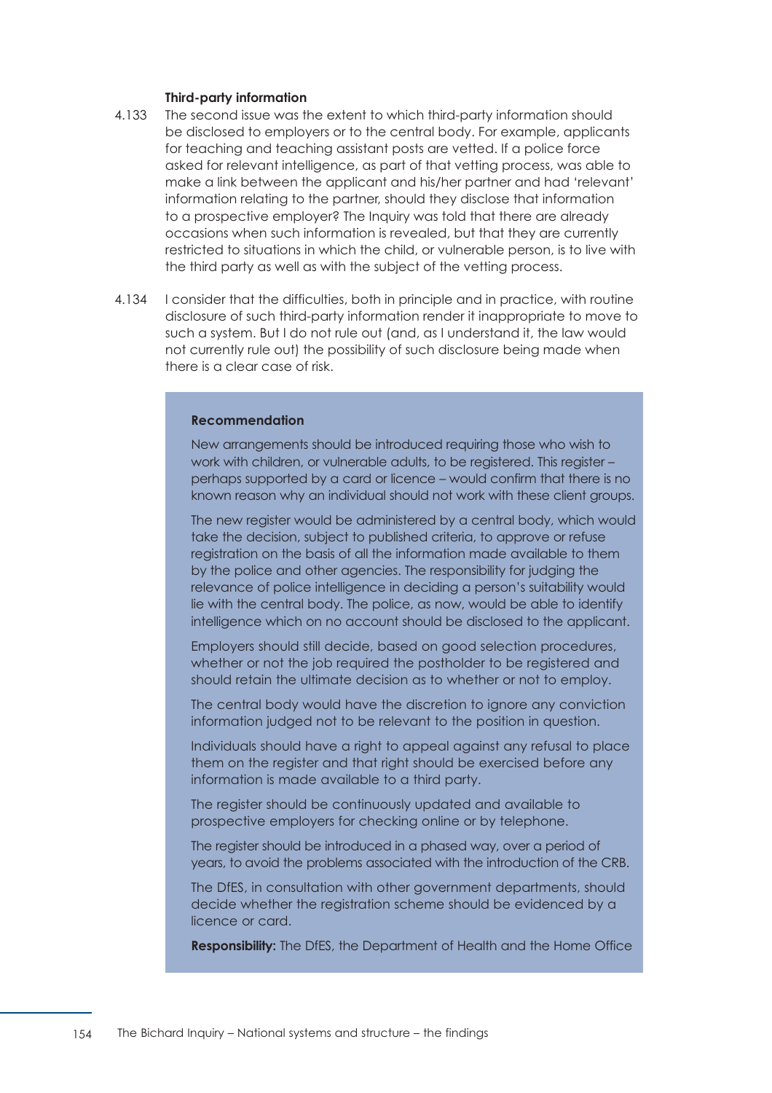#### **Third-party information**

- 4.133 The second issue was the extent to which third-party information should be disclosed to employers or to the central body. For example, applicants for teaching and teaching assistant posts are vetted. If a police force asked for relevant intelligence, as part of that vetting process, was able to make a link between the applicant and his/her partner and had 'relevant' information relating to the partner, should they disclose that information to a prospective employer? The Inquiry was told that there are already occasions when such information is revealed, but that they are currently restricted to situations in which the child, or vulnerable person, is to live with the third party as well as with the subject of the vetting process.
- 4.134 **I** consider that the difficulties, both in principle and in practice, with routine disclosure of such third-party information render it inappropriate to move to such a system. But I do not rule out (and, as I understand it, the law would not currently rule out) the possibility of such disclosure being made when there is a clear case of risk.

#### **Recommendation**

New arrangements should be introduced requiring those who wish to work with children, or vulnerable adults, to be registered. This register perhaps supported by a card or licence – would confirm that there is no known reason why an individual should not work with these client groups.

The new register would be administered by a central body, which would take the decision, subject to published criteria, to approve or refuse registration on the basis of all the information made available to them by the police and other agencies. The responsibility for judging the relevance of police intelligence in deciding a person's suitability would lie with the central body. The police, as now, would be able to identify intelligence which on no account should be disclosed to the applicant.

Employers should still decide, based on good selection procedures, whether or not the job required the postholder to be registered and should retain the ultimate decision as to whether or not to employ.

The central body would have the discretion to ignore any conviction information judged not to be relevant to the position in question.

Individuals should have a right to appeal against any refusal to place them on the register and that right should be exercised before any information is made available to a third party.

The register should be continuously updated and available to prospective employers for checking online or by telephone.

The register should be introduced in a phased way, over a period of years, to avoid the problems associated with the introduction of the CRB.

The DfES, in consultation with other government departments, should decide whether the registration scheme should be evidenced by a licence or card.

**Responsibility:** The DfES, the Department of Health and the Home Office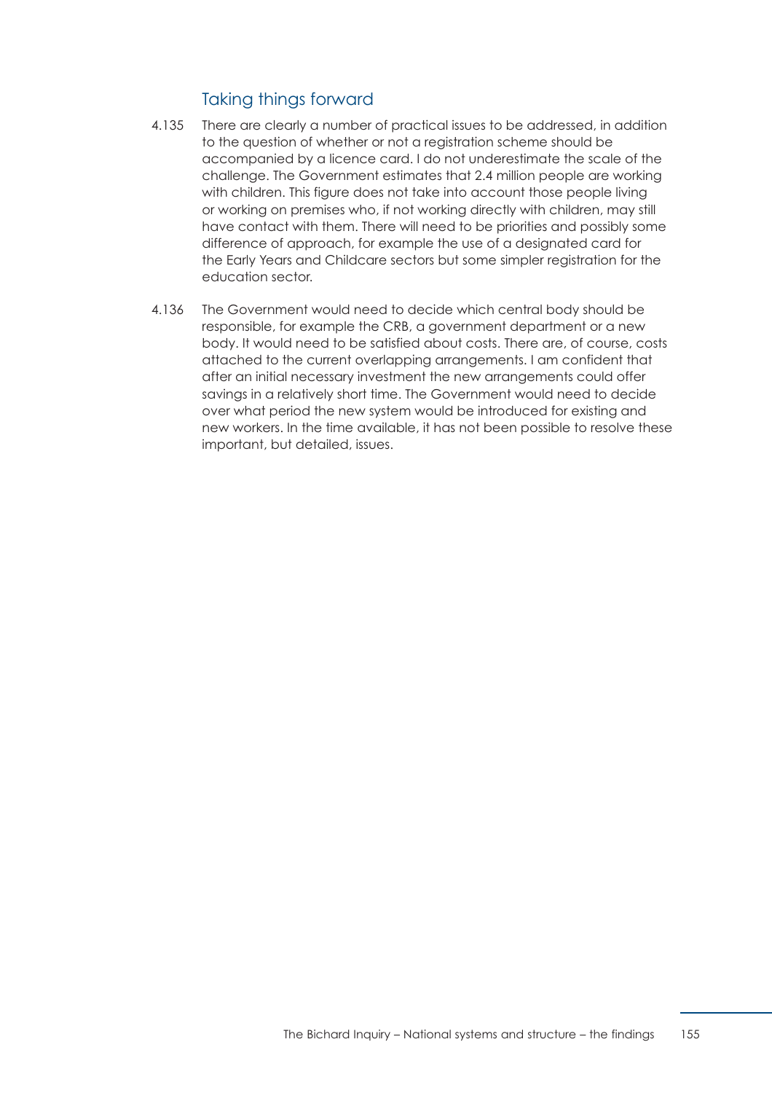## Taking things forward

- 4.135 There are clearly a number of practical issues to be addressed, in addition to the question of whether or not a registration scheme should be accompanied by a licence card. I do not underestimate the scale of the challenge. The Government estimates that 2.4 million people are working with children. This figure does not take into account those people living or working on premises who, if not working directly with children, may still have contact with them. There will need to be priorities and possibly some difference of approach, for example the use of a designated card for the Early Years and Childcare sectors but some simpler registration for the education sector.
- 4.136 The Government would need to decide which central body should be responsible, for example the CRB, a government department or a new body. It would need to be satisfied about costs. There are, of course, costs attached to the current overlapping arrangements. I am confident that after an initial necessary investment the new arrangements could offer savings in a relatively short time. The Government would need to decide over what period the new system would be introduced for existing and new workers. In the time available, it has not been possible to resolve these important, but detailed, issues.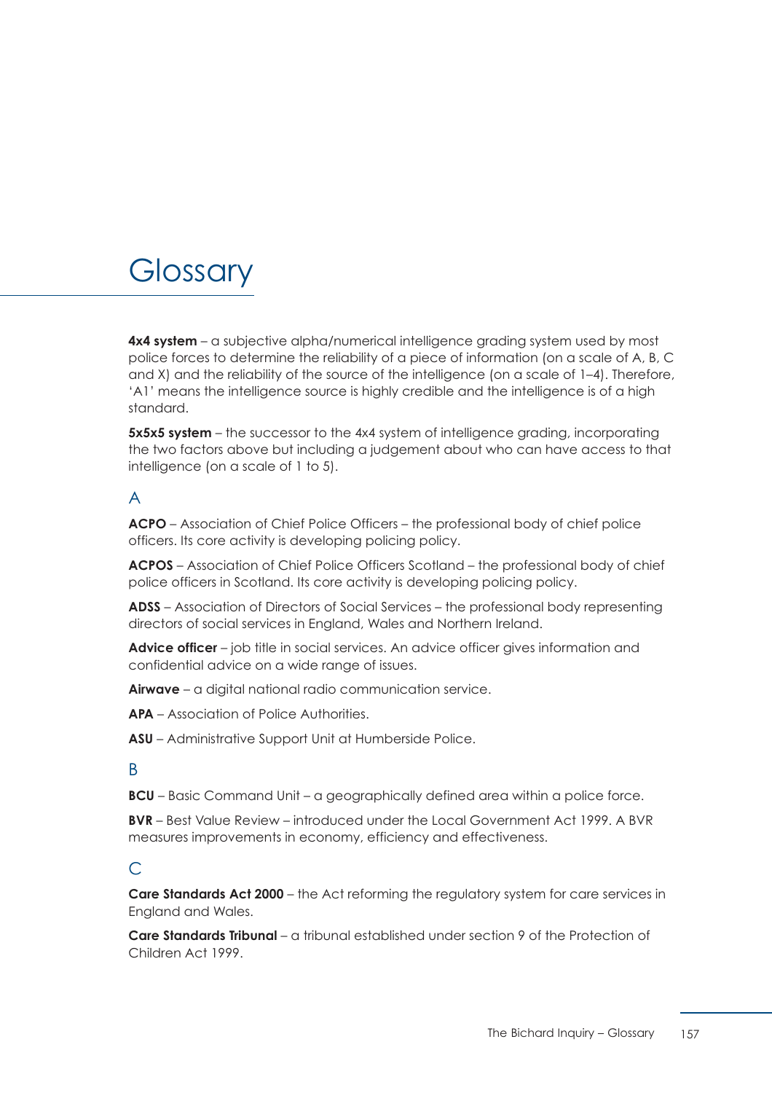# **Glossary**

**4x4 system** – a subjective alpha/numerical intelligence grading system used by most police forces to determine the reliability of a piece of information (on a scale of A, B, C and X) and the reliability of the source of the intelligence (on a scale of 1–4). Therefore, 'A1' means the intelligence source is highly credible and the intelligence is of a high standard.

**5x5x5 system** – the successor to the 4x4 system of intelligence grading, incorporating the two factors above but including a judgement about who can have access to that intelligence (on a scale of 1 to 5).

## A

**ACPO** – Association of Chief Police Officers – the professional body of chief police officers. Its core activity is developing policing policy.

**ACPOS** – Association of Chief Police Officers Scotland – the professional body of chief police officers in Scotland. Its core activity is developing policing policy.

**ADSS** – Association of Directors of Social Services – the professional body representing directors of social services in England, Wales and Northern Ireland.

**Advice officer** – job title in social services. An advice officer gives information and confidential advice on a wide range of issues.

**Airwave** – a digital national radio communication service.

**APA** – Association of Police Authorities.

**ASU** – Administrative Support Unit at Humberside Police.

## B

**BCU** – Basic Command Unit – a geographically defined area within a police force.

**BVR** – Best Value Review – introduced under the Local Government Act 1999. A BVR measures improvements in economy, efficiency and effectiveness.

## $\subset$

**Care Standards Act 2000** – the Act reforming the regulatory system for care services in England and Wales.

**Care Standards Tribunal** – a tribunal established under section 9 of the Protection of Children Act 1999.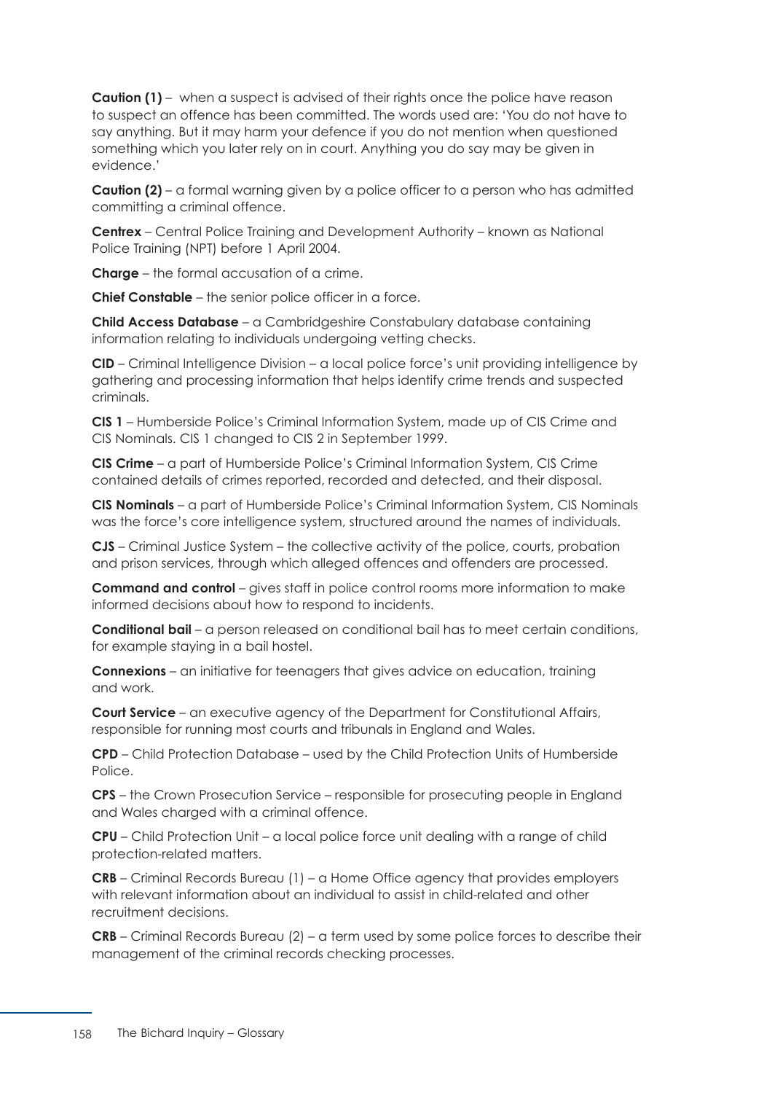**Caution (1)** – when a suspect is advised of their rights once the police have reason to suspect an offence has been committed. The words used are: 'You do not have to say anything. But it may harm your defence if you do not mention when questioned something which you later rely on in court. Anything you do say may be given in evidence.'

**Caution (2)** – a formal warning given by a police officer to a person who has admitted committing a criminal offence.

**Centrex** – Central Police Training and Development Authority – known as National Police Training (NPT) before 1 April 2004.

**Charge** – the formal accusation of a crime.

**Chief Constable** – the senior police officer in a force.

**Child Access Database** – a Cambridgeshire Constabulary database containing information relating to individuals undergoing vetting checks.

**CID** – Criminal Intelligence Division – a local police force's unit providing intelligence by gathering and processing information that helps identify crime trends and suspected criminals.

**CIS 1** – Humberside Police's Criminal Information System, made up of CIS Crime and CIS Nominals. CIS 1 changed to CIS 2 in September 1999.

**CIS Crime** – a part of Humberside Police's Criminal Information System, CIS Crime contained details of crimes reported, recorded and detected, and their disposal.

**CIS Nominals** – a part of Humberside Police's Criminal Information System, CIS Nominals was the force's core intelligence system, structured around the names of individuals.

**CJS** – Criminal Justice System – the collective activity of the police, courts, probation and prison services, through which alleged offences and offenders are processed.

**Command and control** – gives staff in police control rooms more information to make informed decisions about how to respond to incidents.

**Conditional bail** – a person released on conditional bail has to meet certain conditions, for example staying in a bail hostel.

**Connexions** – an initiative for teenagers that gives advice on education, training and work.

**Court Service** – an executive agency of the Department for Constitutional Affairs, responsible for running most courts and tribunals in England and Wales.

**CPD** – Child Protection Database – used by the Child Protection Units of Humberside Police.

**CPS** – the Crown Prosecution Service – responsible for prosecuting people in England and Wales charged with a criminal offence.

**CPU** – Child Protection Unit – a local police force unit dealing with a range of child protection-related matters.

**CRB** – Criminal Records Bureau (1) – a Home Office agency that provides employers with relevant information about an individual to assist in child-related and other recruitment decisions.

**CRB** – Criminal Records Bureau (2) – a term used by some police forces to describe their management of the criminal records checking processes.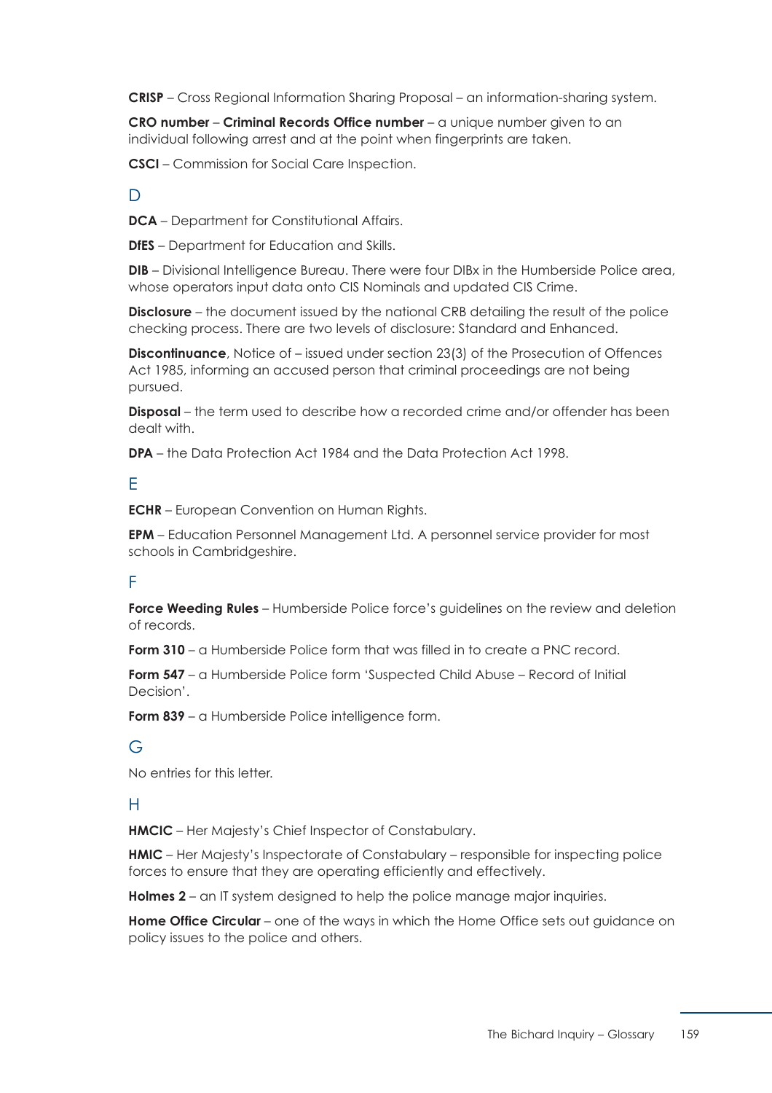**CRISP** – Cross Regional Information Sharing Proposal – an information-sharing system.

**CRO number** – **Criminal Records Office number** – a unique number given to an individual following arrest and at the point when fingerprints are taken.

**CSCI** – Commission for Social Care Inspection.

## $\mathsf{D}$

**DCA** – Department for Constitutional Affairs.

**DfES** – Department for Education and Skills.

**DIB** – Divisional Intelligence Bureau. There were four DIBx in the Humberside Police area, whose operators input data onto CIS Nominals and updated CIS Crime.

**Disclosure** – the document issued by the national CRB detailing the result of the police checking process. There are two levels of disclosure: Standard and Enhanced.

**Discontinuance**, Notice of – issued under section 23(3) of the Prosecution of Offences Act 1985, informing an accused person that criminal proceedings are not being pursued.

**Disposal** – the term used to describe how a recorded crime and/or offender has been dealt with.

**DPA** – the Data Protection Act 1984 and the Data Protection Act 1998.

## E

**ECHR** – European Convention on Human Rights.

**EPM** – Education Personnel Management Ltd. A personnel service provider for most schools in Cambridgeshire.

## F

**Force Weeding Rules** – Humberside Police force's guidelines on the review and deletion of records.

**Form 310** – a Humberside Police form that was filled in to create a PNC record.

**Form 547** – a Humberside Police form 'Suspected Child Abuse – Record of Initial Decision'.

**Form 839** – a Humberside Police intelligence form.

## G

No entries for this letter.

## H

**HMCIC** – Her Majesty's Chief Inspector of Constabulary.

**HMIC** – Her Majesty's Inspectorate of Constabulary – responsible for inspecting police forces to ensure that they are operating efficiently and effectively.

**Holmes 2** – an IT system designed to help the police manage major inquiries.

**Home Office Circular** – one of the ways in which the Home Office sets out quidance on policy issues to the police and others.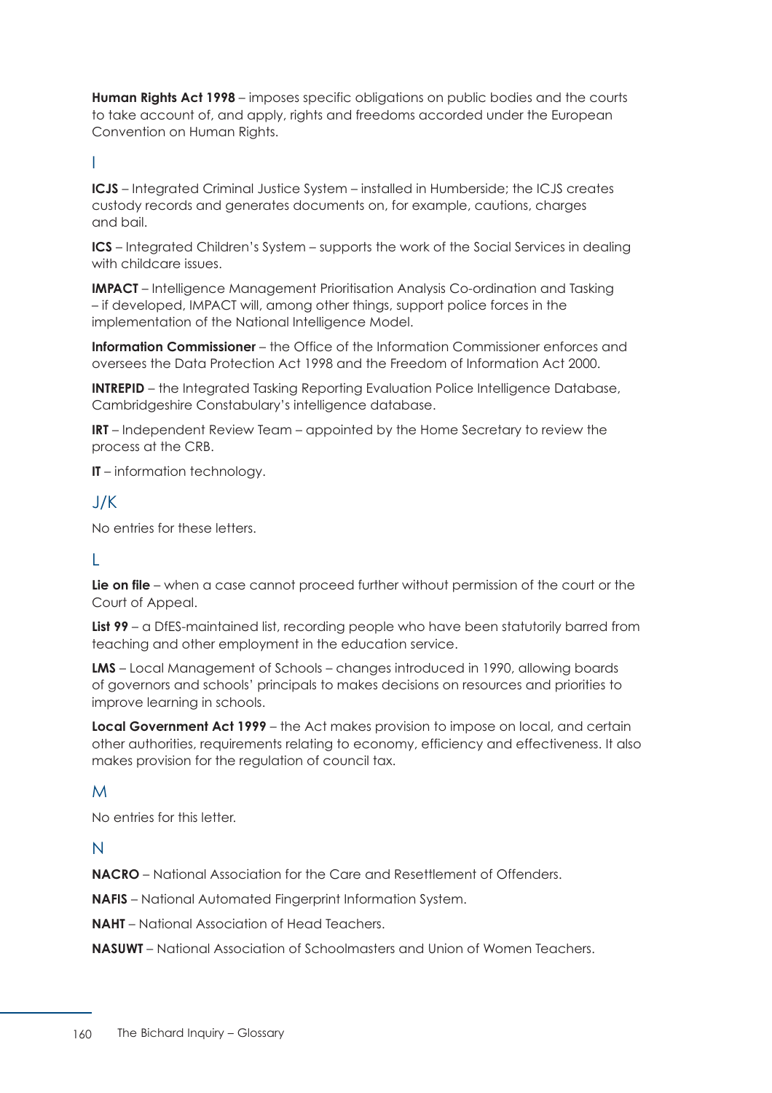**Human Rights Act 1998** – imposes specific obligations on public bodies and the courts to take account of, and apply, rights and freedoms accorded under the European Convention on Human Rights.

I

**ICJS** – Integrated Criminal Justice System – installed in Humberside; the ICJS creates custody records and generates documents on, for example, cautions, charges and bail.

**ICS** – Integrated Children's System – supports the work of the Social Services in dealing with childcare issues.

**IMPACT** – Intelligence Management Prioritisation Analysis Co-ordination and Tasking – if developed, IMPACT will, among other things, support police forces in the implementation of the National Intelligence Model.

**Information Commissioner** – the Office of the Information Commissioner enforces and oversees the Data Protection Act 1998 and the Freedom of Information Act 2000.

**INTREPID** – the Integrated Tasking Reporting Evaluation Police Intelligence Database, Cambridgeshire Constabulary's intelligence database.

**IRT** – Independent Review Team – appointed by the Home Secretary to review the process at the CRB.

**IT** – information technology.

## J/K

No entries for these letters.

## L

**Lie on file** – when a case cannot proceed further without permission of the court or the Court of Appeal.

**List 99** – a DfES-maintained list, recording people who have been statutorily barred from teaching and other employment in the education service.

**LMS** – Local Management of Schools – changes introduced in 1990, allowing boards of governors and schools' principals to makes decisions on resources and priorities to improve learning in schools.

**Local Government Act 1999** – the Act makes provision to impose on local, and certain other authorities, requirements relating to economy, efficiency and effectiveness. It also makes provision for the regulation of council tax.

## M

No entries for this letter.

## N

**NACRO** – National Association for the Care and Resettlement of Offenders.

**NAFIS** – National Automated Fingerprint Information System.

**NAHT** – National Association of Head Teachers.

**NASUWT** – National Association of Schoolmasters and Union of Women Teachers.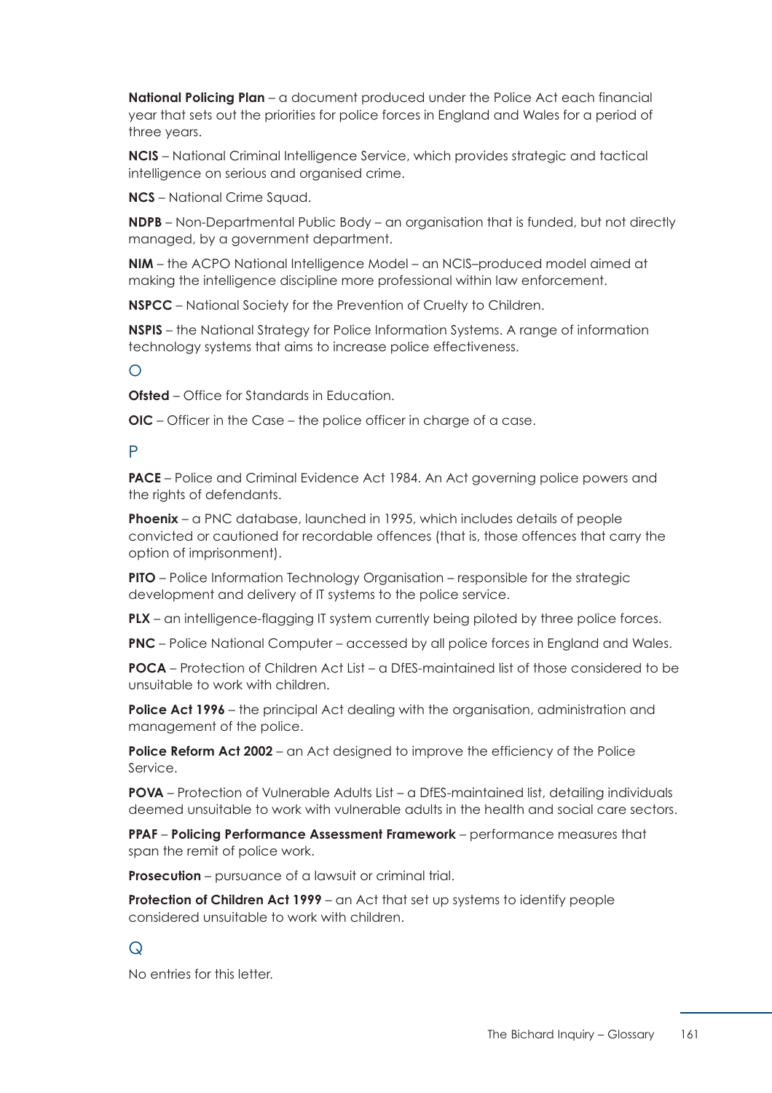**National Policing Plan** – a document produced under the Police Act each financial year that sets out the priorities for police forces in England and Wales for a period of three years.

**NCIS** – National Criminal Intelligence Service, which provides strategic and tactical intelligence on serious and organised crime.

**NCS** – National Crime Squad.

**NDPB** – Non-Departmental Public Body – an organisation that is funded, but not directly managed, by a government department.

**NIM** – the ACPO National Intelligence Model – an NCIS–produced model aimed at making the intelligence discipline more professional within law enforcement.

**NSPCC** – National Society for the Prevention of Cruelty to Children.

**NSPIS** – the National Strategy for Police Information Systems. A range of information technology systems that aims to increase police effectiveness.

 $\bigcap$ 

**Ofsted** – Office for Standards in Education.

**OIC** – Officer in the Case – the police officer in charge of a case.

### P

**PACE** – Police and Criminal Evidence Act 1984. An Act governing police powers and the rights of defendants.

**Phoenix** – a PNC database, launched in 1995, which includes details of people convicted or cautioned for recordable offences (that is, those offences that carry the option of imprisonment).

**PITO** – Police Information Technology Organisation – responsible for the strategic development and delivery of IT systems to the police service.

**PLX** – an intelligence-flagging IT system currently being piloted by three police forces.

**PNC** – Police National Computer – accessed by all police forces in England and Wales.

**POCA** – Protection of Children Act List – a DfFS-maintained list of those considered to be unsuitable to work with children.

**Police Act 1996** – the principal Act dealing with the organisation, administration and management of the police.

**Police Reform Act 2002** – an Act designed to improve the efficiency of the Police Service.

**POVA** – Protection of Vulnerable Adults List – a DfES-maintained list, detailing individuals deemed unsuitable to work with vulnerable adults in the health and social care sectors.

**PPAF** – **Policing Performance Assessment Framework** – performance measures that span the remit of police work.

**Prosecution** – pursuance of a lawsuit or criminal trial.

**Protection of Children Act 1999** – an Act that set up systems to identify people considered unsuitable to work with children.

## $\Omega$

No entries for this letter.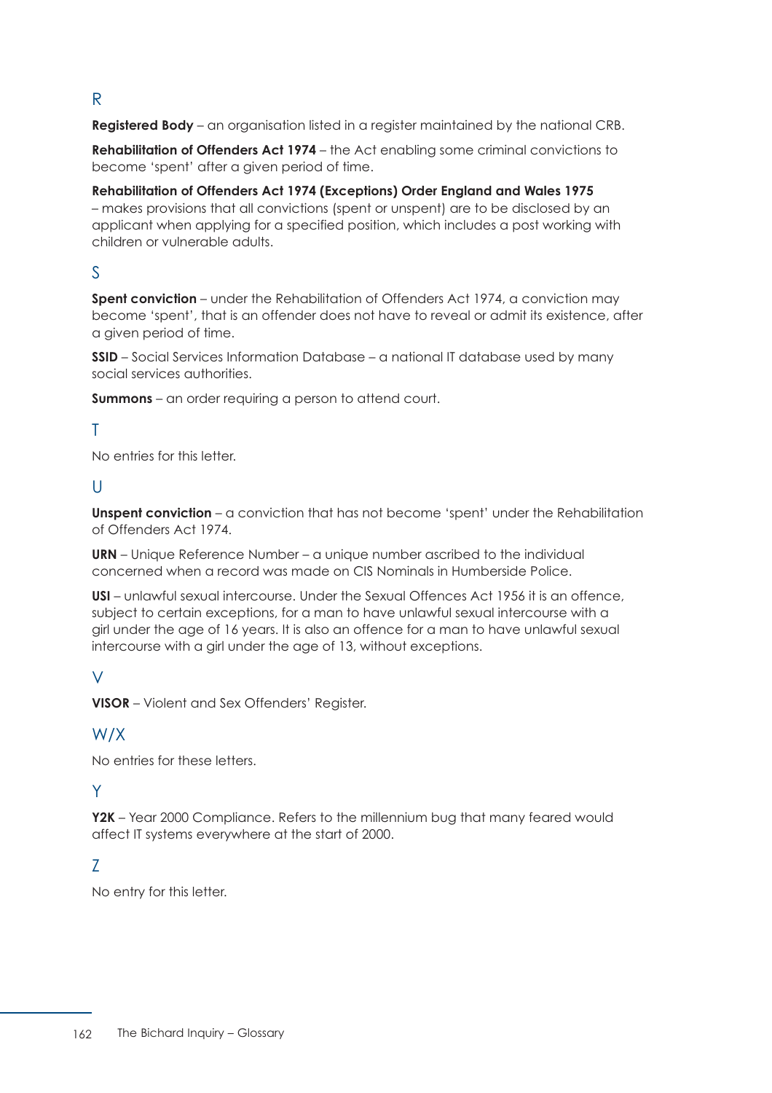## R

**Registered Body** – an organisation listed in a register maintained by the national CRB.

**Rehabilitation of Offenders Act 1974** – the Act enabling some criminal convictions to become 'spent' after a given period of time.

**Rehabilitation of Offenders Act 1974 (Exceptions) Order England and Wales 1975** – makes provisions that all convictions (spent or unspent) are to be disclosed by an applicant when applying for a specified position, which includes a post working with children or vulnerable adults.

## S

**Spent conviction** – under the Rehabilitation of Offenders Act 1974, a conviction may become 'spent', that is an offender does not have to reveal or admit its existence, after a given period of time.

**SSID** – Social Services Information Database – a national IT database used by many social services authorities.

**Summons** – an order requiring a person to attend court.

## T

No entries for this letter.

## $\mathbf{U}$

**Unspent conviction** – a conviction that has not become 'spent' under the Rehabilitation of Offenders Act 1974.

**URN** – Unique Reference Number – a unique number ascribed to the individual concerned when a record was made on CIS Nominals in Humberside Police.

**USI** – unlawful sexual intercourse. Under the Sexual Offences Act 1956 it is an offence, subject to certain exceptions, for a man to have unlawful sexual intercourse with a girl under the age of 16 years. It is also an offence for a man to have unlawful sexual intercourse with a girl under the age of 13, without exceptions.

## $\sqrt{}$

**VISOR** – Violent and Sex Offenders' Register.

## W/X

No entries for these letters.

## Y

**Y2K** – Year 2000 Compliance. Refers to the millennium bug that many feared would affect IT systems everywhere at the start of 2000.

## Z

No entry for this letter.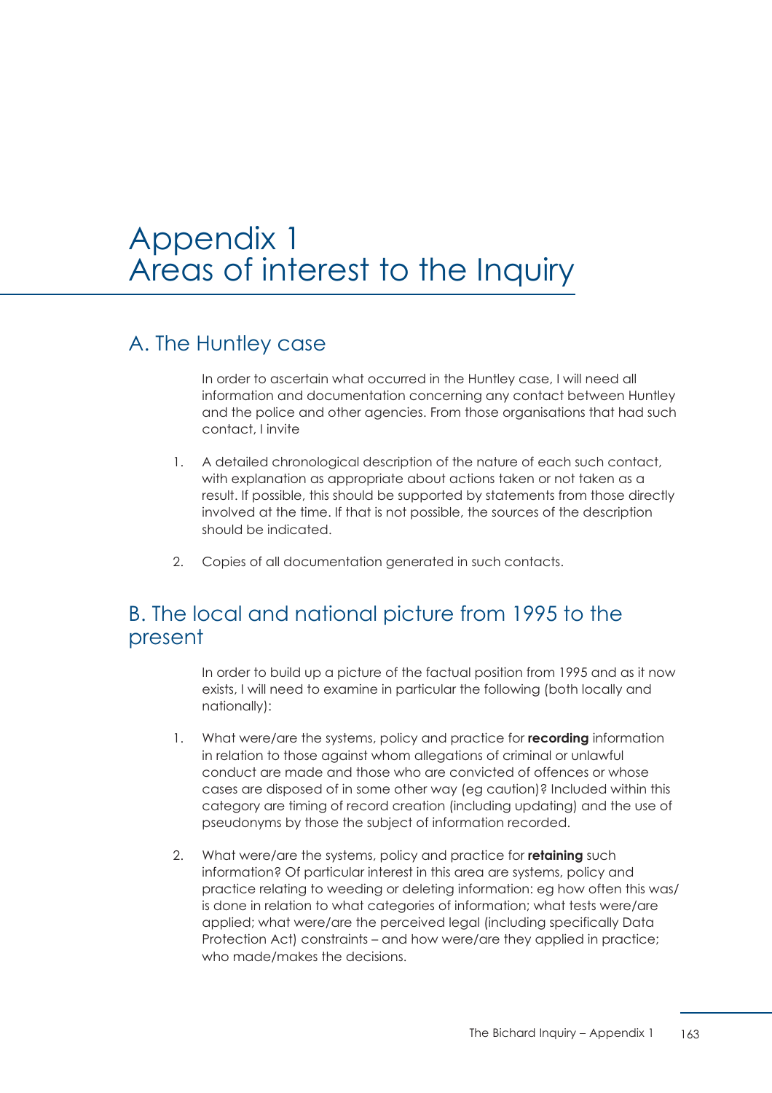# Appendix 1 Areas of interest to the Inquiry

## A. The Huntley case

In order to ascertain what occurred in the Huntley case, I will need all information and documentation concerning any contact between Huntley and the police and other agencies. From those organisations that had such contact, I invite

- 1. A detailed chronological description of the nature of each such contact, with explanation as appropriate about actions taken or not taken as a result. If possible, this should be supported by statements from those directly involved at the time. If that is not possible, the sources of the description should be indicated.
- 2. Copies of all documentation generated in such contacts.

## B. The local and national picture from 1995 to the present

In order to build up a picture of the factual position from 1995 and as it now exists, I will need to examine in particular the following (both locally and nationally):

- 1. What were/are the systems, policy and practice for **recording** information in relation to those against whom allegations of criminal or unlawful conduct are made and those who are convicted of offences or whose cases are disposed of in some other way (eg caution)? Included within this category are timing of record creation (including updating) and the use of pseudonyms by those the subject of information recorded.
- 2. What were/are the systems, policy and practice for **retaining** such information? Of particular interest in this area are systems, policy and practice relating to weeding or deleting information: eg how often this was/ is done in relation to what categories of information; what tests were/are applied; what were/are the perceived legal (including specifically Data Protection Act) constraints – and how were/are they applied in practice; who made/makes the decisions.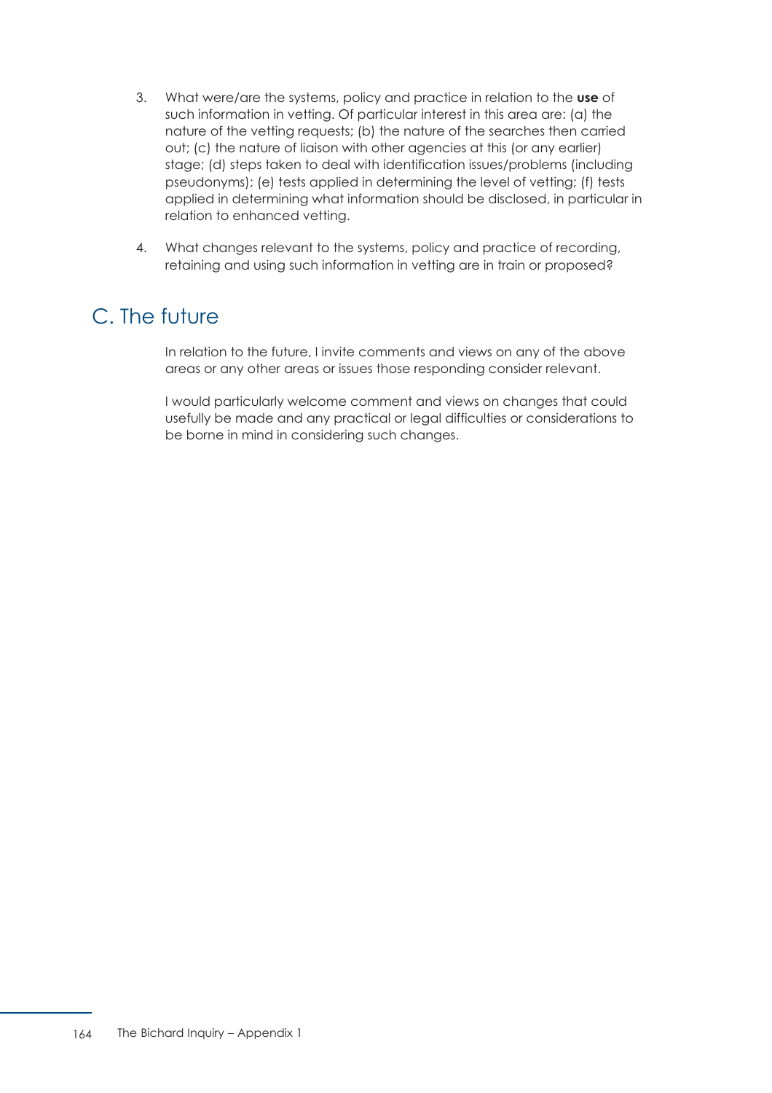- 3. What were/are the systems, policy and practice in relation to the **use** of such information in vetting. Of particular interest in this area are: (a) the nature of the vetting requests; (b) the nature of the searches then carried out; (c) the nature of liaison with other agencies at this (or any earlier) stage; (d) steps taken to deal with identification issues/problems (including pseudonyms); (e) tests applied in determining the level of vetting; (f) tests applied in determining what information should be disclosed, in particular in relation to enhanced vetting.
- 4. What changes relevant to the systems, policy and practice of recording, retaining and using such information in vetting are in train or proposed?

# C. The future

In relation to the future, I invite comments and views on any of the above areas or any other areas or issues those responding consider relevant.

I would particularly welcome comment and views on changes that could usefully be made and any practical or legal difficulties or considerations to be borne in mind in considering such changes.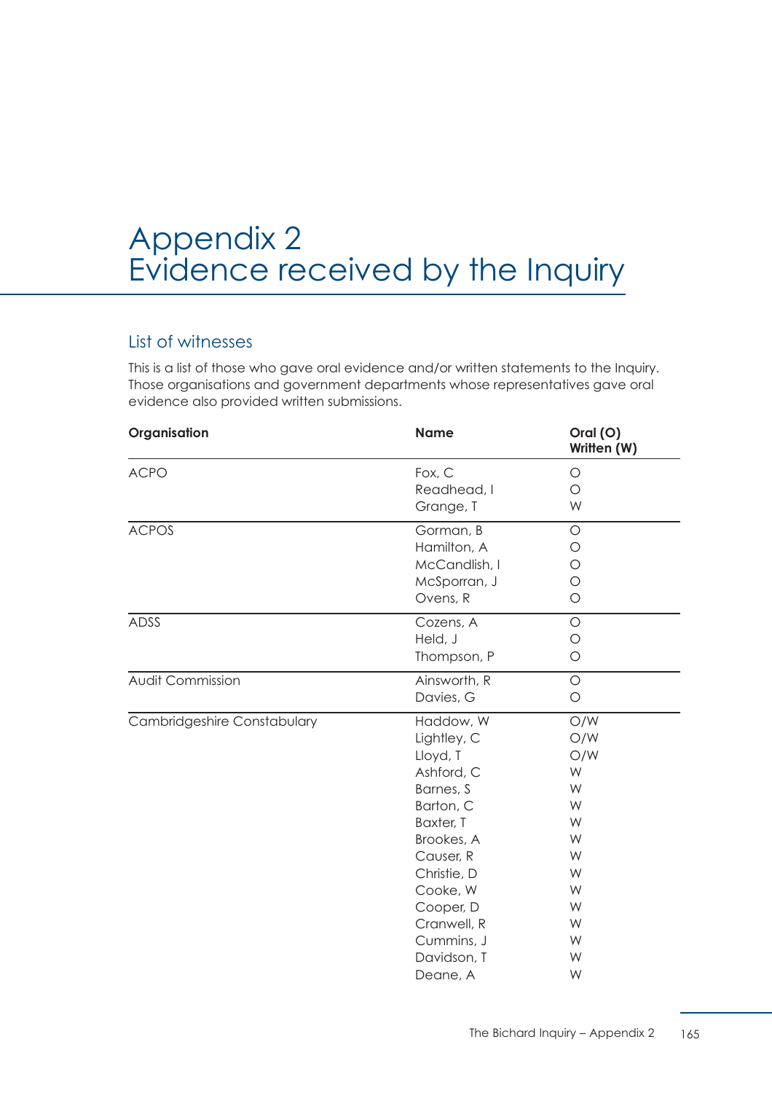# Appendix 2 Evidence received by the Inquiry

## List of witnesses

This is a list of those who gave oral evidence and/or written statements to the Inquiry. Those organisations and government departments whose representatives gave oral evidence also provided written submissions.

| Organisation                | <b>Name</b>   | Oral (O)<br>Written (W) |
|-----------------------------|---------------|-------------------------|
| <b>ACPO</b>                 | Fox, C        | $\circ$                 |
|                             | Readhead, I   | $\circ$                 |
|                             | Grange, T     | W                       |
| <b>ACPOS</b>                | Gorman, B     | $\circ$                 |
|                             | Hamilton, A   | O                       |
|                             | McCandlish, I | O                       |
|                             | McSporran, J  | O                       |
|                             | Ovens, R      | $\circ$                 |
| <b>ADSS</b>                 | Cozens, A     | $\circ$                 |
|                             | Held, J       | $\circ$                 |
|                             | Thompson, P   | $\circ$                 |
| <b>Audit Commission</b>     | Ainsworth, R  | $\bigcirc$              |
|                             | Davies, G     | $\bigcirc$              |
| Cambridgeshire Constabulary | Haddow, W     | O/W                     |
|                             | Lightley, C   | O/W                     |
|                             | Lloyd, T      | O/W                     |
|                             | Ashford, C    | W                       |
|                             | Barnes, S     | W                       |
|                             | Barton, C     | W                       |
|                             | Baxter, T     | W                       |
|                             | Brookes, A    | W                       |
|                             | Causer, R     | W                       |
|                             | Christie, D   | W                       |
|                             | Cooke, W      | W                       |
|                             | Cooper, D     | W                       |
|                             | Cranwell, R   | W                       |
|                             | Cummins, J    | W                       |
|                             | Davidson, T   | W                       |
|                             | Deane, A      | W                       |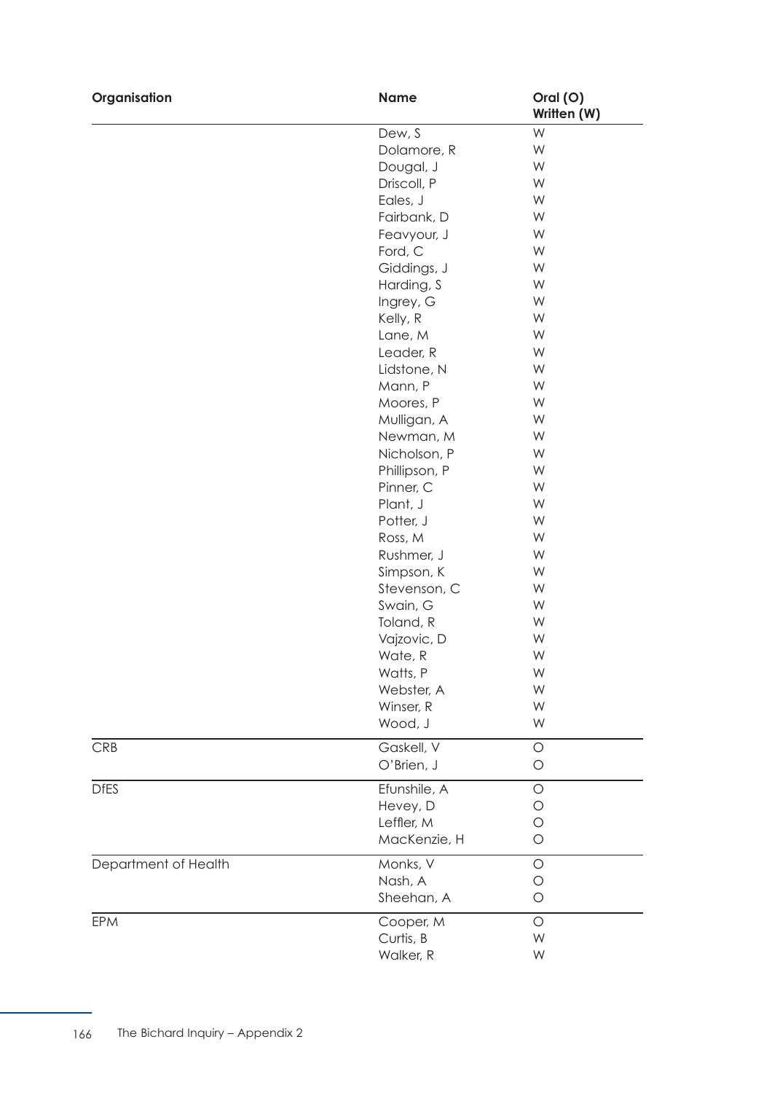| Organisation         | <b>Name</b>                | Oral (O)<br>Written (W) |
|----------------------|----------------------------|-------------------------|
|                      | Dew, S                     | W                       |
|                      | Dolamore, R                | W                       |
|                      | Dougal, J                  | W                       |
|                      | Driscoll, P                | W                       |
|                      | Eales, J                   | W                       |
|                      | Fairbank, D                | W                       |
|                      | Feavyour, J                | W                       |
|                      | Ford, C                    | W                       |
|                      | Giddings, J                | W                       |
|                      | Harding, S                 | W                       |
|                      | Ingrey, G                  | W                       |
|                      | Kelly, R                   | W                       |
|                      | Lane, M                    | W                       |
|                      | Leader, R                  | W                       |
|                      | Lidstone, N                | W                       |
|                      | Mann, P                    | W                       |
|                      | Moores, P                  | W                       |
|                      | Mulligan, A                | W                       |
|                      | Newman, M                  | W                       |
|                      | Nicholson, P               | W                       |
|                      | Phillipson, P              | W                       |
|                      | Pinner, C                  | W                       |
|                      | Plant, J                   | W                       |
|                      | Potter, J                  | W                       |
|                      | Ross, M                    | W                       |
|                      | Rushmer, J                 | W                       |
|                      | Simpson, K                 | W                       |
|                      | Stevenson, C               | W                       |
|                      | Swain, G                   | W                       |
|                      | Toland, R                  | W                       |
|                      | Vajzovic, D                | W                       |
|                      | Wate, R                    | W                       |
|                      | Watts, P                   | W                       |
|                      | Webster, A                 | W                       |
|                      | Winser, R                  | W                       |
|                      | Wood, J                    | W                       |
| <b>CRB</b>           | Gaskell, V                 | $\bigcirc$              |
|                      | O'Brien, J                 | $\circ$                 |
| <b>DfES</b>          | Efunshile, A               | $\circ$                 |
|                      | Hevey, D                   | O                       |
|                      | Leffler, M<br>MacKenzie, H | О<br>$\bigcirc$         |
| Department of Health | Monks, V                   | $\circ$                 |
|                      | Nash, A                    | $\circ$                 |
|                      | Sheehan, A                 | $\circ$                 |
| <b>EPM</b>           | Cooper, M                  | $\circ$                 |
|                      | Curtis, B                  | W                       |
|                      | Walker, R                  | W                       |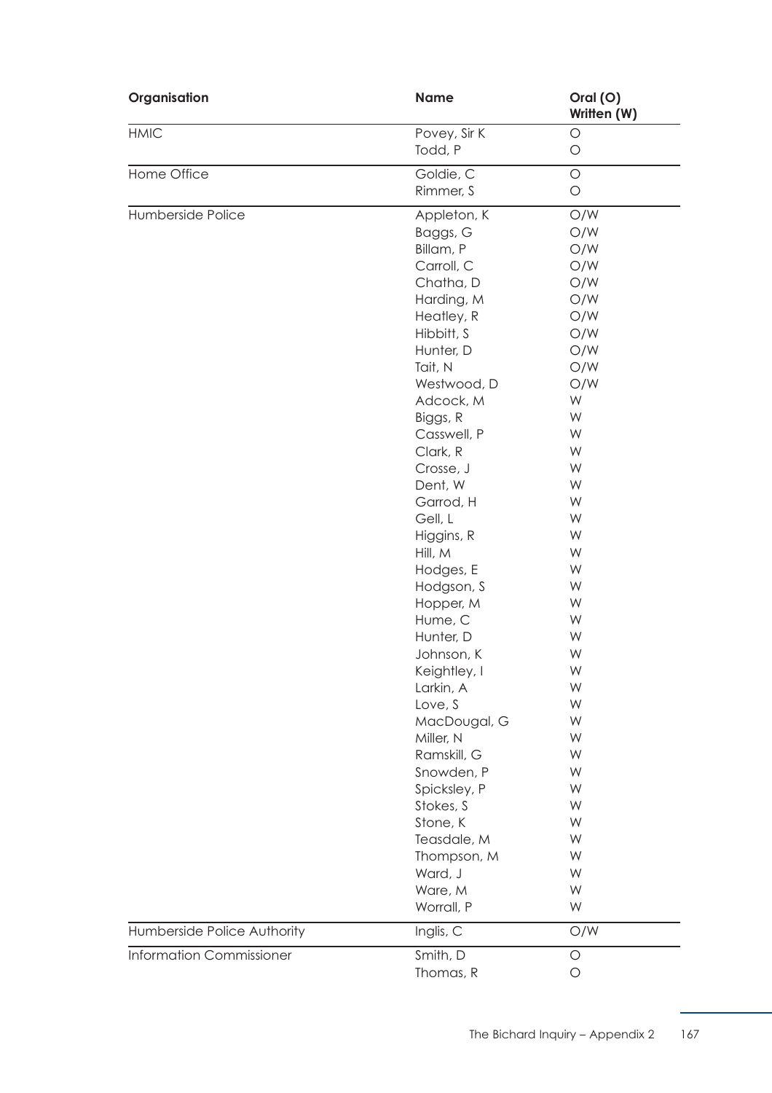| Organisation                    | <b>Name</b>  | Oral (O)<br>Written (W) |
|---------------------------------|--------------|-------------------------|
| <b>HMIC</b>                     | Povey, Sir K | $\bigcirc$              |
|                                 | Todd, P      | $\bigcirc$              |
| Home Office                     | Goldie, C    | $\bigcirc$              |
|                                 | Rimmer, S    | $\bigcirc$              |
| Humberside Police               | Appleton, K  | O/W                     |
|                                 | Baggs, G     | O/W                     |
|                                 | Billam, P    | O/W                     |
|                                 | Carroll, C   | O/W                     |
|                                 | Chatha, D    | O/W                     |
|                                 | Harding, M   | O/W                     |
|                                 | Heatley, R   | O/W                     |
|                                 | Hibbitt, S   | O/W                     |
|                                 | Hunter, D    | O/W                     |
|                                 | Tait, N      | O/W                     |
|                                 | Westwood, D  | O/W                     |
|                                 | Adcock, M    | W                       |
|                                 | Biggs, R     | W                       |
|                                 | Casswell, P  | W                       |
|                                 | Clark, R     | W                       |
|                                 | Crosse, J    | W                       |
|                                 | Dent, W      | W                       |
|                                 | Garrod, H    | W                       |
|                                 | Gell, L      | W                       |
|                                 | Higgins, R   | W                       |
|                                 | Hill, M      | W                       |
|                                 | Hodges, E    | W                       |
|                                 | Hodgson, S   | W                       |
|                                 | Hopper, M    | W                       |
|                                 | Hume, C      | W                       |
|                                 | Hunter, D    | W                       |
|                                 | Johnson, K   | W                       |
|                                 | Keightley, I | W                       |
|                                 | Larkin, A    | W                       |
|                                 | Love, S      | W                       |
|                                 | MacDougal, G | W                       |
|                                 | Miller, N    | W                       |
|                                 | Ramskill, G  | W                       |
|                                 | Snowden, P   | W                       |
|                                 | Spicksley, P | W                       |
|                                 | Stokes, S    | W                       |
|                                 | Stone, K     | W                       |
|                                 | Teasdale, M  | W                       |
|                                 | Thompson, M  | W                       |
|                                 | Ward, J      | W                       |
|                                 | Ware, M      | W                       |
|                                 | Worrall, P   | W                       |
| Humberside Police Authority     | Inglis, C    | O/W                     |
| <b>Information Commissioner</b> | Smith, D     | $\bigcirc$              |
|                                 | Thomas, R    | $\bigcirc$              |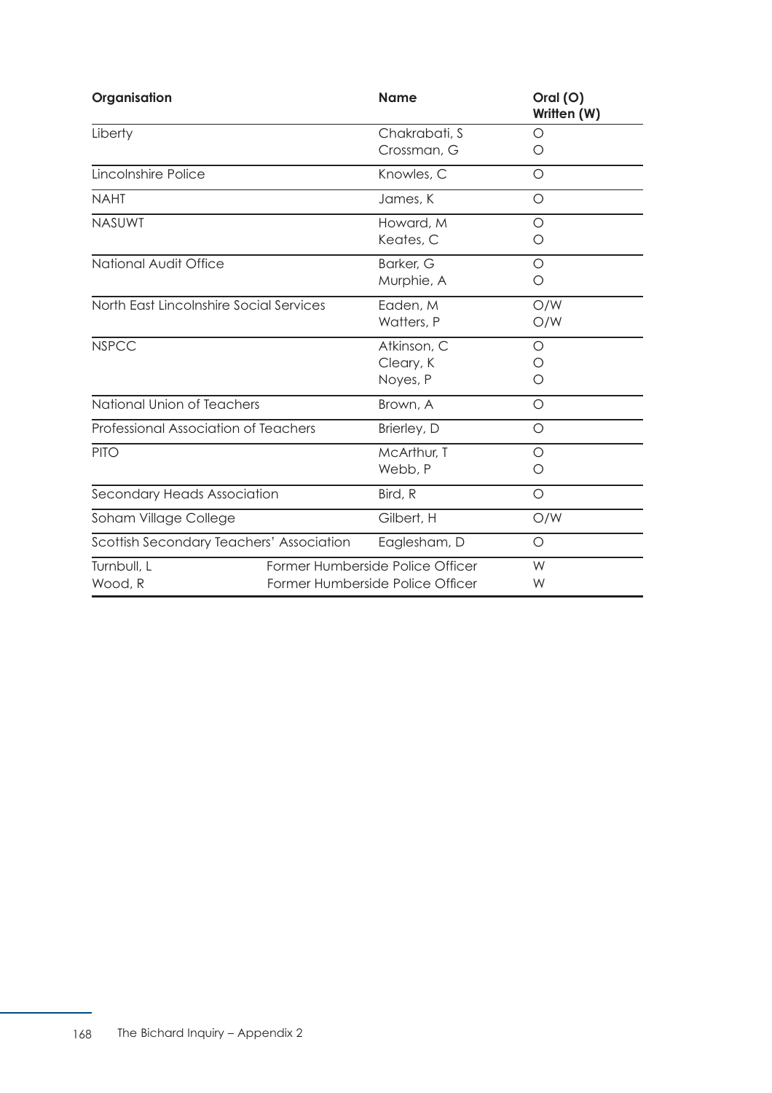| Organisation                             | <b>Name</b>                                                          | Oral (O)<br>Written (W) |
|------------------------------------------|----------------------------------------------------------------------|-------------------------|
| Liberty                                  | Chakrabati, S<br>Crossman, G                                         | O<br>Ο                  |
| Lincolnshire Police                      | Knowles, C                                                           | O                       |
| <b>NAHT</b>                              | James, K                                                             | O                       |
| <b>NASUWT</b>                            | Howard, M<br>Keates, C                                               | $\circ$<br>Ο            |
| National Audit Office                    | Barker, G<br>Murphie, A                                              | O<br>O                  |
| North East Lincolnshire Social Services  | Eaden, M<br>Watters, P                                               | O/W<br>O/W              |
| <b>NSPCC</b>                             | Atkinson, C<br>Cleary, K<br>Noyes, P                                 | O<br>Ο<br>Ο             |
| National Union of Teachers               | Brown, A                                                             | O                       |
| Professional Association of Teachers     | Brierley, D                                                          | O                       |
| <b>PITO</b>                              | McArthur, T<br>Webb, P                                               | O<br>O                  |
| Secondary Heads Association              | Bird, R                                                              | $\circ$                 |
| Soham Village College                    | Gilbert, H                                                           | O/W                     |
| Scottish Secondary Teachers' Association | Eaglesham, D                                                         | O                       |
| Turnbull, L<br>Wood, R                   | Former Humberside Police Officer<br>Former Humberside Police Officer |                         |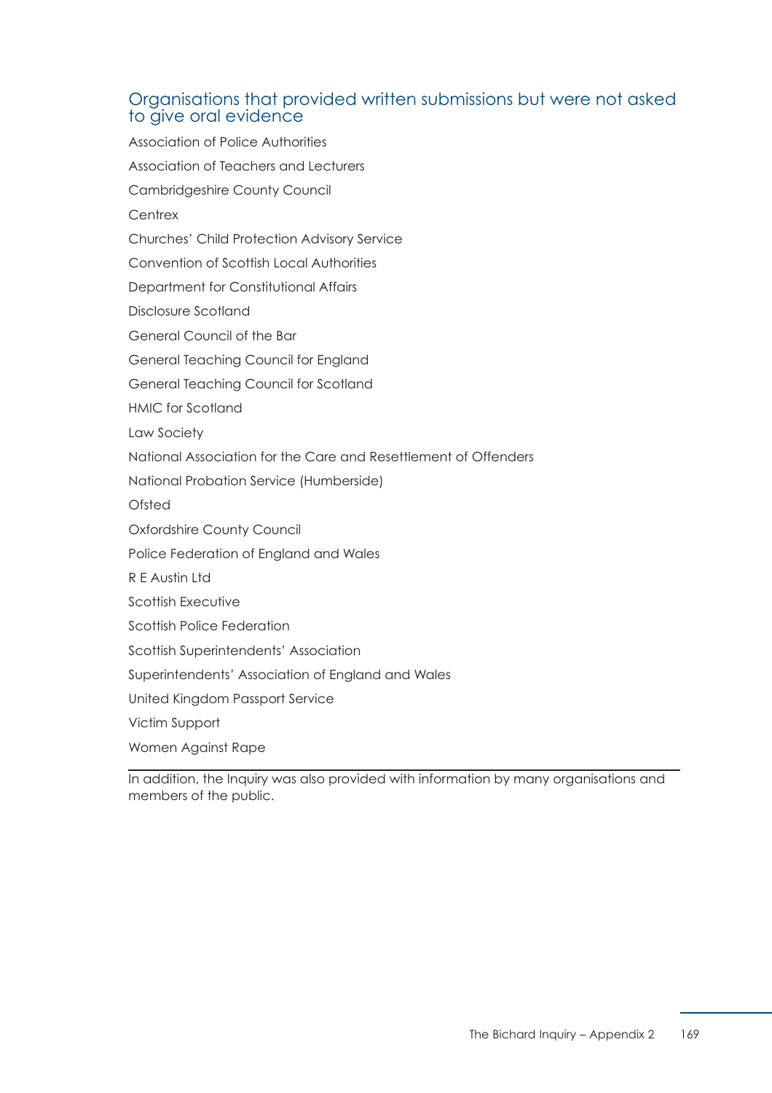## Organisations that provided written submissions but were not asked to give oral evidence

Association of Police Authorities Association of Teachers and Lecturers Cambridgeshire County Council **Centrex** Churches' Child Protection Advisory Service Convention of Scottish Local Authorities Department for Constitutional Affairs Disclosure Scotland General Council of the Bar General Teaching Council for England General Teaching Council for Scotland HMIC for Scotland Law Society National Association for the Care and Resettlement of Offenders National Probation Service (Humberside) Ofsted Oxfordshire County Council Police Federation of England and Wales R E Austin Ltd Scottish Executive Scottish Police Federation Scottish Superintendents' Association Superintendents' Association of England and Wales United Kingdom Passport Service Victim Support Women Against Rape

In addition, the Inquiry was also provided with information by many organisations and members of the public.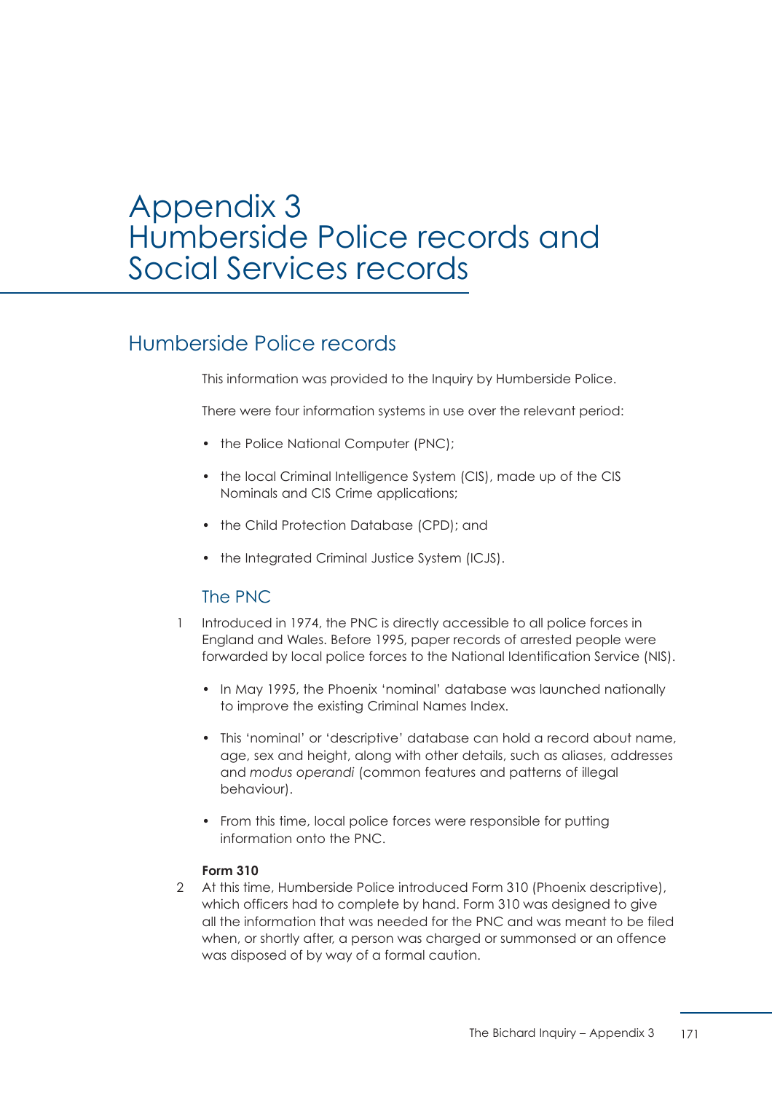# Appendix 3 Humberside Police records and Social Services records

## Humberside Police records

This information was provided to the Inquiry by Humberside Police.

There were four information systems in use over the relevant period:

- the Police National Computer (PNC);
- the local Criminal Intelligence System (CIS), made up of the CIS Nominals and CIS Crime applications;
- the Child Protection Database (CPD); and
- the Integrated Criminal Justice System (ICJS).

## The PNC

- 1 Introduced in 1974, the PNC is directly accessible to all police forces in England and Wales. Before 1995, paper records of arrested people were forwarded by local police forces to the National Identification Service (NIS).
	- In May 1995, the Phoenix 'nominal' database was launched nationally to improve the existing Criminal Names Index.
	- This 'nominal' or 'descriptive' database can hold a record about name, age, sex and height, along with other details, such as aliases, addresses and *modus operandi* (common features and patterns of illegal behaviour).
	- From this time, local police forces were responsible for putting information onto the PNC.

#### **Form 310**

 2 At this time, Humberside Police introduced Form 310 (Phoenix descriptive), which officers had to complete by hand. Form 310 was designed to give all the information that was needed for the PNC and was meant to be filed when, or shortly after, a person was charged or summonsed or an offence was disposed of by way of a formal caution.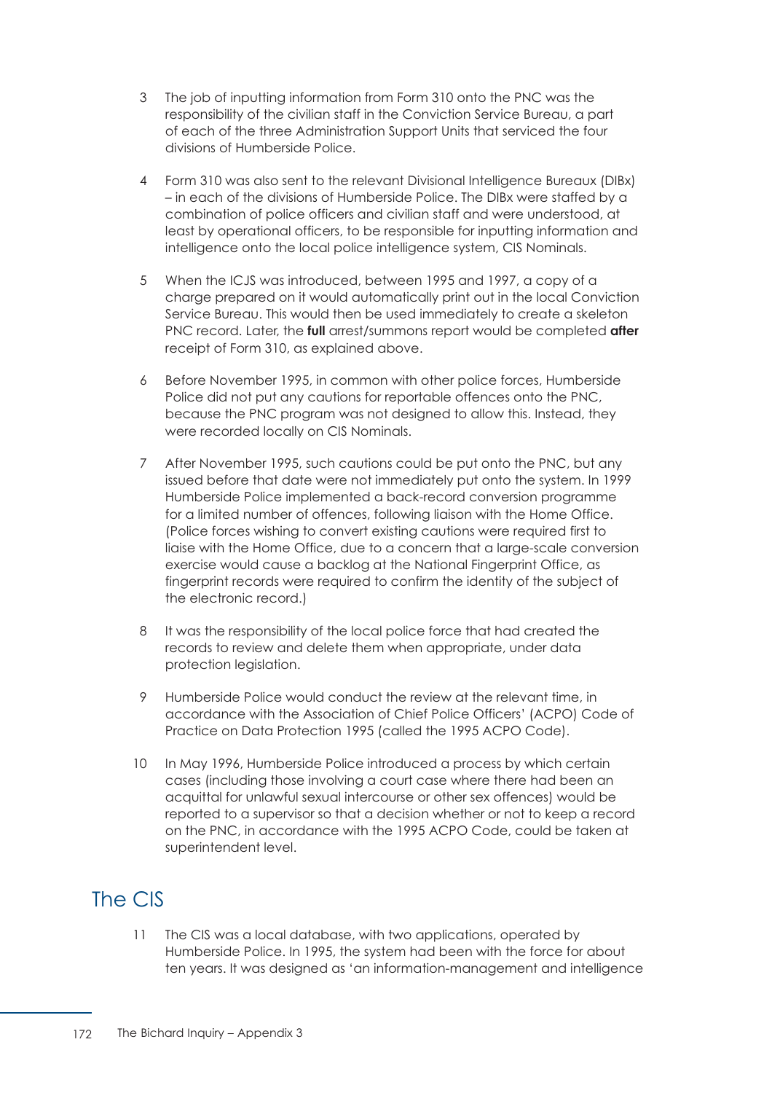- 3 The job of inputting information from Form 310 onto the PNC was the responsibility of the civilian staff in the Conviction Service Bureau, a part of each of the three Administration Support Units that serviced the four divisions of Humberside Police.
- 4 Form 310 was also sent to the relevant Divisional Intelligence Bureaux (DIBx) – in each of the divisions of Humberside Police. The DIBx were staffed by a combination of police officers and civilian staff and were understood, at least by operational officers, to be responsible for inputting information and intelligence onto the local police intelligence system, CIS Nominals.
- 5 When the ICJS was introduced, between 1995 and 1997, a copy of a charge prepared on it would automatically print out in the local Conviction Service Bureau. This would then be used immediately to create a skeleton PNC record. Later, the **full** arrest/summons report would be completed **after** receipt of Form 310, as explained above.
- 6 Before November 1995, in common with other police forces, Humberside Police did not put any cautions for reportable offences onto the PNC, because the PNC program was not designed to allow this. Instead, they were recorded locally on CIS Nominals.
- 7 After November 1995, such cautions could be put onto the PNC, but any issued before that date were not immediately put onto the system. In 1999 Humberside Police implemented a back-record conversion programme for a limited number of offences, following liaison with the Home Office. (Police forces wishing to convert existing cautions were required first to liaise with the Home Office, due to a concern that a large-scale conversion exercise would cause a backlog at the National Fingerprint Office, as fingerprint records were required to confirm the identity of the subject of the electronic record.)
- 8 It was the responsibility of the local police force that had created the records to review and delete them when appropriate, under data protection legislation.
- 9 Humberside Police would conduct the review at the relevant time, in accordance with the Association of Chief Police Officers' (ACPO) Code of Practice on Data Protection 1995 (called the 1995 ACPO Code).
- 10 In May 1996, Humberside Police introduced a process by which certain cases (including those involving a court case where there had been an acquittal for unlawful sexual intercourse or other sex offences) would be reported to a supervisor so that a decision whether or not to keep a record on the PNC, in accordance with the 1995 ACPO Code, could be taken at superintendent level.

# The CIS

 11 The CIS was a local database, with two applications, operated by Humberside Police. In 1995, the system had been with the force for about ten years. It was designed as 'an information-management and intelligence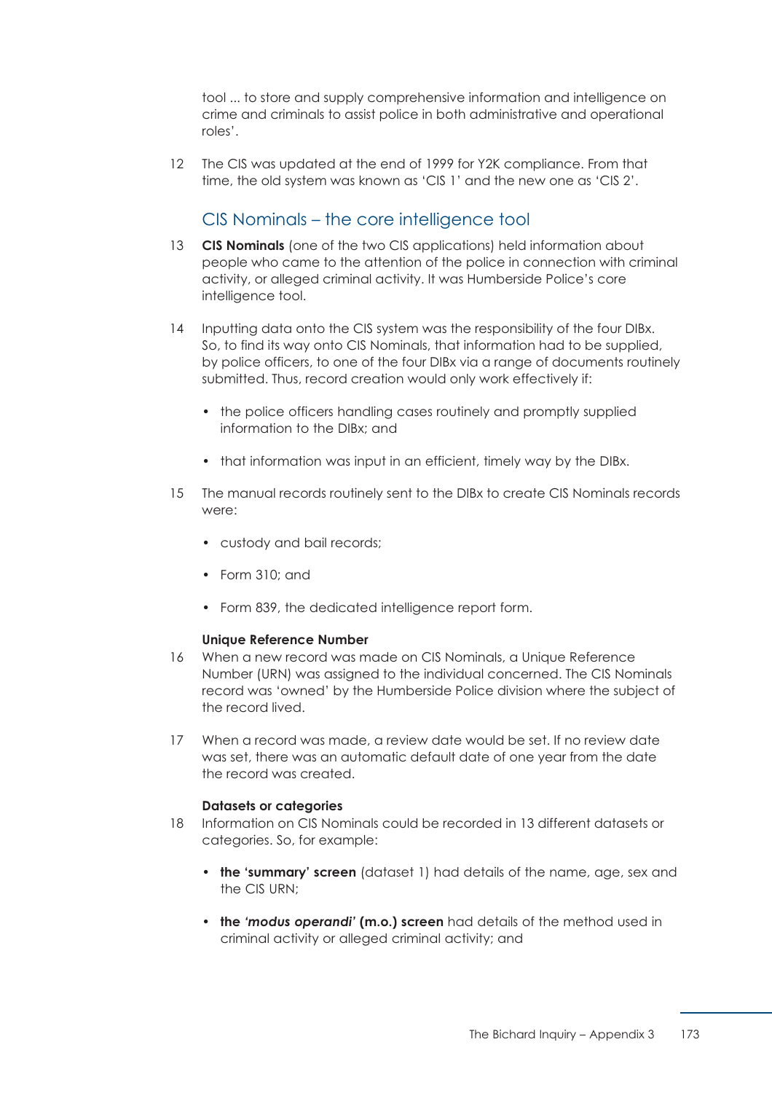tool ... to store and supply comprehensive information and intelligence on crime and criminals to assist police in both administrative and operational roles'.

 12 The CIS was updated at the end of 1999 for Y2K compliance. From that time, the old system was known as 'CIS 1' and the new one as 'CIS 2'.

## CIS Nominals – the core intelligence tool

- 13 **CIS Nominals** (one of the two CIS applications) held information about people who came to the attention of the police in connection with criminal activity, or alleged criminal activity. It was Humberside Police's core intelligence tool.
- 14 Inputting data onto the CIS system was the responsibility of the four DIBx. So, to find its way onto CIS Nominals, that information had to be supplied, by police officers, to one of the four DIBx via a range of documents routinely submitted. Thus, record creation would only work effectively if:
	- the police officers handling cases routinely and promptly supplied information to the DIBx; and
	- that information was input in an efficient, timely way by the DIBx.
- 15 The manual records routinely sent to the DIBx to create CIS Nominals records were:
	- custody and bail records;
	- Form 310; and
	- Form 839, the dedicated intelligence report form.

#### **Unique Reference Number**

- 16 When a new record was made on CIS Nominals, a Unique Reference Number (URN) was assigned to the individual concerned. The CIS Nominals record was 'owned' by the Humberside Police division where the subject of the record lived.
- 17 When a record was made, a review date would be set. If no review date was set, there was an automatic default date of one year from the date the record was created.

#### **Datasets or categories**

- 18 Information on CIS Nominals could be recorded in 13 different datasets or categories. So, for example:
	- **the 'summary' screen** (dataset 1) had details of the name, age, sex and the CIS URN;
	- **the** *'modus operandi'* **(m.o.) screen** had details of the method used in criminal activity or alleged criminal activity; and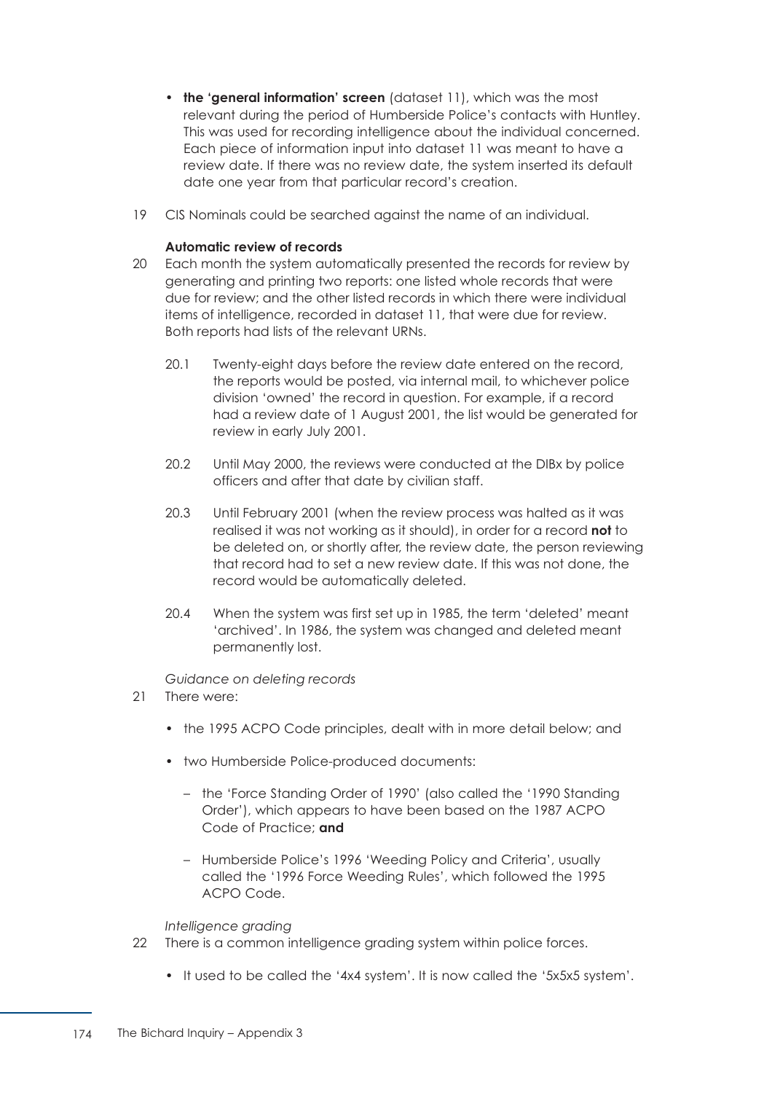- **the 'general information' screen** (dataset 11), which was the most relevant during the period of Humberside Police's contacts with Huntley. This was used for recording intelligence about the individual concerned. Each piece of information input into dataset 11 was meant to have a review date. If there was no review date, the system inserted its default date one year from that particular record's creation.
- 19 CIS Nominals could be searched against the name of an individual.

### **Automatic review of records**

- 20 Each month the system automatically presented the records for review by generating and printing two reports: one listed whole records that were due for review; and the other listed records in which there were individual items of intelligence, recorded in dataset 11, that were due for review. Both reports had lists of the relevant URNs.
	- 20.1 Twenty-eight days before the review date entered on the record, the reports would be posted, via internal mail, to whichever police division 'owned' the record in question. For example, if a record had a review date of 1 August 2001, the list would be generated for review in early July 2001.
	- 20.2 Until May 2000, the reviews were conducted at the DIBx by police officers and after that date by civilian staff.
	- 20.3 Until February 2001 (when the review process was halted as it was realised it was not working as it should), in order for a record **not** to be deleted on, or shortly after, the review date, the person reviewing that record had to set a new review date. If this was not done, the record would be automatically deleted.
	- 20.4 When the system was first set up in 1985, the term 'deleted' meant 'archived'. In 1986, the system was changed and deleted meant permanently lost.

*Guidance on deleting records*

- 21 There were:
	- the 1995 ACPO Code principles, dealt with in more detail below; and
	- two Humberside Police-produced documents:
		- the 'Force Standing Order of 1990' (also called the '1990 Standing Order'), which appears to have been based on the 1987 ACPO Code of Practice; **and**
		- Humberside Police's 1996 'Weeding Policy and Criteria', usually called the '1996 Force Weeding Rules', which followed the 1995 ACPO Code.

*Intelligence grading*

- 22 There is a common intelligence grading system within police forces.
	- It used to be called the '4x4 system'. It is now called the '5x5x5 system'.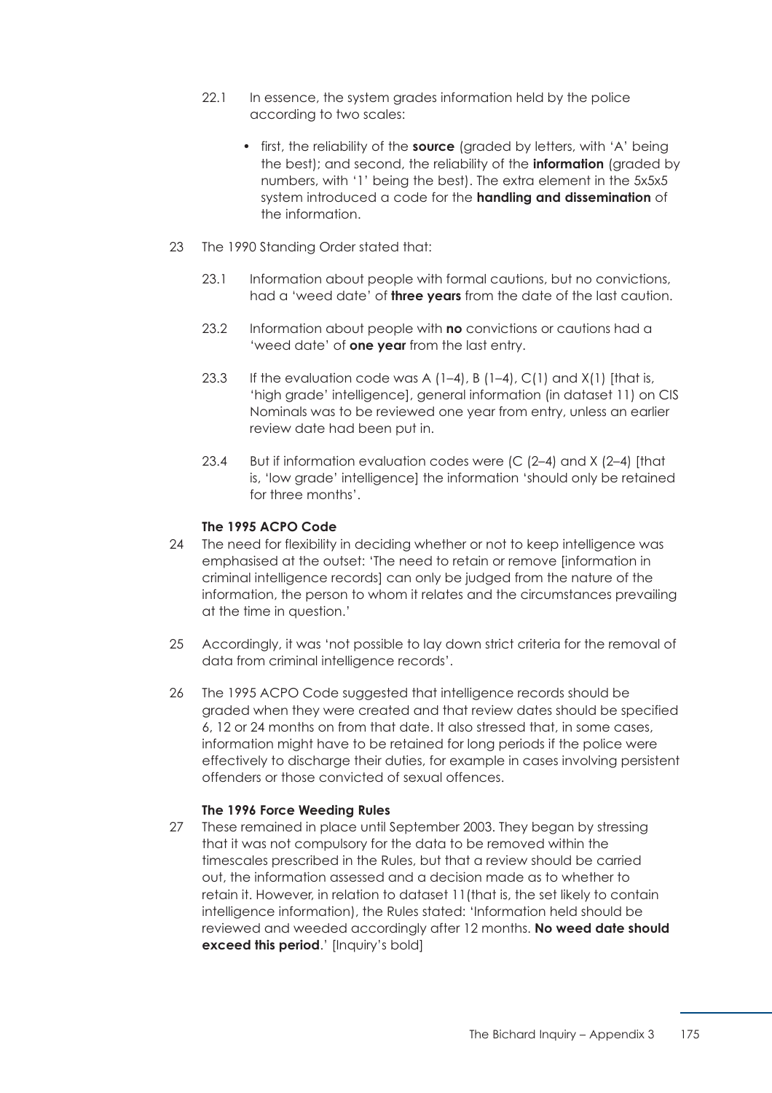- 22.1 In essence, the system grades information held by the police according to two scales:
	- first, the reliability of the **source** (graded by letters, with 'A' being the best); and second, the reliability of the **information** (graded by numbers, with '1' being the best). The extra element in the 5x5x5 system introduced a code for the **handling and dissemination** of the information.
- 23 The 1990 Standing Order stated that:
	- 23.1 Information about people with formal cautions, but no convictions, had a 'weed date' of **three years** from the date of the last caution.
	- 23.2 Information about people with **no** convictions or cautions had a 'weed date' of **one year** from the last entry.
	- 23.3 If the evaluation code was A  $(1-4)$ , B  $(1-4)$ , C $(1)$  and X $(1)$  [that is, 'high grade' intelligence], general information (in dataset 11) on CIS Nominals was to be reviewed one year from entry, unless an earlier review date had been put in.
	- 23.4 But if information evaluation codes were (C (2–4) and X (2–4) [that is, 'low grade' intelligence] the information 'should only be retained for three months'.

### **The 1995 ACPO Code**

- 24 The need for flexibility in deciding whether or not to keep intelligence was emphasised at the outset: 'The need to retain or remove [information in criminal intelligence records] can only be judged from the nature of the information, the person to whom it relates and the circumstances prevailing at the time in question.'
- 25 Accordingly, it was 'not possible to lay down strict criteria for the removal of data from criminal intelligence records'.
- 26 The 1995 ACPO Code suggested that intelligence records should be graded when they were created and that review dates should be specified 6, 12 or 24 months on from that date. It also stressed that, in some cases, information might have to be retained for long periods if the police were effectively to discharge their duties, for example in cases involving persistent offenders or those convicted of sexual offences.

### **The 1996 Force Weeding Rules**

 27 These remained in place until September 2003. They began by stressing that it was not compulsory for the data to be removed within the timescales prescribed in the Rules, but that a review should be carried out, the information assessed and a decision made as to whether to retain it. However, in relation to dataset 11(that is, the set likely to contain intelligence information), the Rules stated: 'Information held should be reviewed and weeded accordingly after 12 months. **No weed date should exceed this period.'** [Inquiry's bold]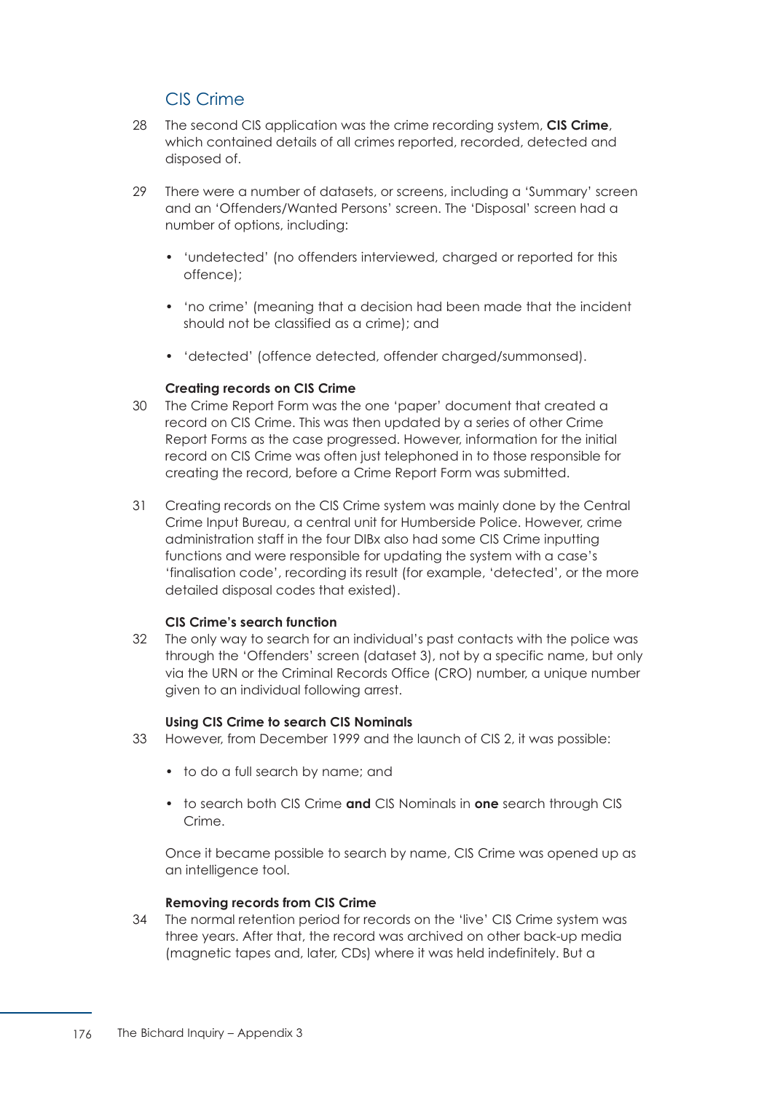# CIS Crime

- 28 The second CIS application was the crime recording system, **CIS Crime**, which contained details of all crimes reported, recorded, detected and disposed of.
- 29 There were a number of datasets, or screens, including a 'Summary' screen and an 'Offenders/Wanted Persons' screen. The 'Disposal' screen had a number of options, including:
	- 'undetected' (no offenders interviewed, charged or reported for this offence);
	- 'no crime' (meaning that a decision had been made that the incident should not be classified as a crime); and
	- 'detected' (offence detected, offender charged/summonsed).

### **Creating records on CIS Crime**

- 30 The Crime Report Form was the one 'paper' document that created a record on CIS Crime. This was then updated by a series of other Crime Report Forms as the case progressed. However, information for the initial record on CIS Crime was often just telephoned in to those responsible for creating the record, before a Crime Report Form was submitted.
- 31 Creating records on the CIS Crime system was mainly done by the Central Crime Input Bureau, a central unit for Humberside Police. However, crime administration staff in the four DIBx also had some CIS Crime inputting functions and were responsible for updating the system with a case's 'finalisation code', recording its result (for example, 'detected', or the more detailed disposal codes that existed).

### **CIS Crime's search function**

 32 The only way to search for an individual's past contacts with the police was through the 'Offenders' screen (dataset 3), not by a specific name, but only via the URN or the Criminal Records Office (CRO) number, a unique number given to an individual following arrest.

### **Using CIS Crime to search CIS Nominals**

- 33 However, from December 1999 and the launch of CIS 2, it was possible:
	- to do a full search by name; and
	- to search both CIS Crime **and** CIS Nominals in **one** search through CIS Crime.

Once it became possible to search by name, CIS Crime was opened up as an intelligence tool.

### **Removing records from CIS Crime**

 34 The normal retention period for records on the 'live' CIS Crime system was three years. After that, the record was archived on other back-up media (magnetic tapes and, later, CDs) where it was held indefinitely. But a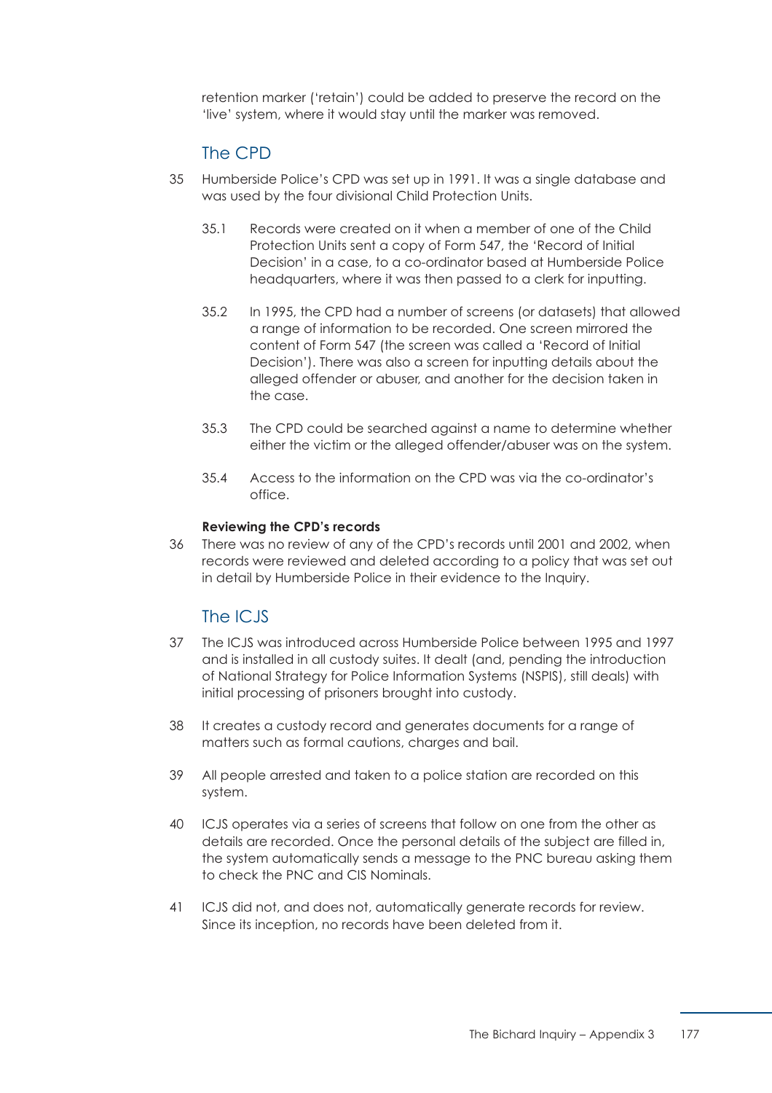retention marker ('retain') could be added to preserve the record on the 'live' system, where it would stay until the marker was removed.

# The CPD

- 35 Humberside Police's CPD was set up in 1991. It was a single database and was used by the four divisional Child Protection Units.
	- 35.1 Records were created on it when a member of one of the Child Protection Units sent a copy of Form 547, the 'Record of Initial Decision' in a case, to a co-ordinator based at Humberside Police headquarters, where it was then passed to a clerk for inputting.
	- 35.2 In 1995, the CPD had a number of screens (or datasets) that allowed a range of information to be recorded. One screen mirrored the content of Form 547 (the screen was called a 'Record of Initial Decision'). There was also a screen for inputting details about the alleged offender or abuser, and another for the decision taken in the case.
	- 35.3 The CPD could be searched against a name to determine whether either the victim or the alleged offender/abuser was on the system.
	- 35.4 Access to the information on the CPD was via the co-ordinator's office.

### **Reviewing the CPD's records**

 36 There was no review of any of the CPD's records until 2001 and 2002, when records were reviewed and deleted according to a policy that was set out in detail by Humberside Police in their evidence to the Inquiry.

### The ICJS

- 37 The ICJS was introduced across Humberside Police between 1995 and 1997 and is installed in all custody suites. It dealt (and, pending the introduction of National Strategy for Police Information Systems (NSPIS), still deals) with initial processing of prisoners brought into custody.
- 38 It creates a custody record and generates documents for a range of matters such as formal cautions, charges and bail.
- 39 All people arrested and taken to a police station are recorded on this system.
- 40 ICJS operates via a series of screens that follow on one from the other as details are recorded. Once the personal details of the subject are filled in, the system automatically sends a message to the PNC bureau asking them to check the PNC and CIS Nominals.
- 41 ICJS did not, and does not, automatically generate records for review. Since its inception, no records have been deleted from it.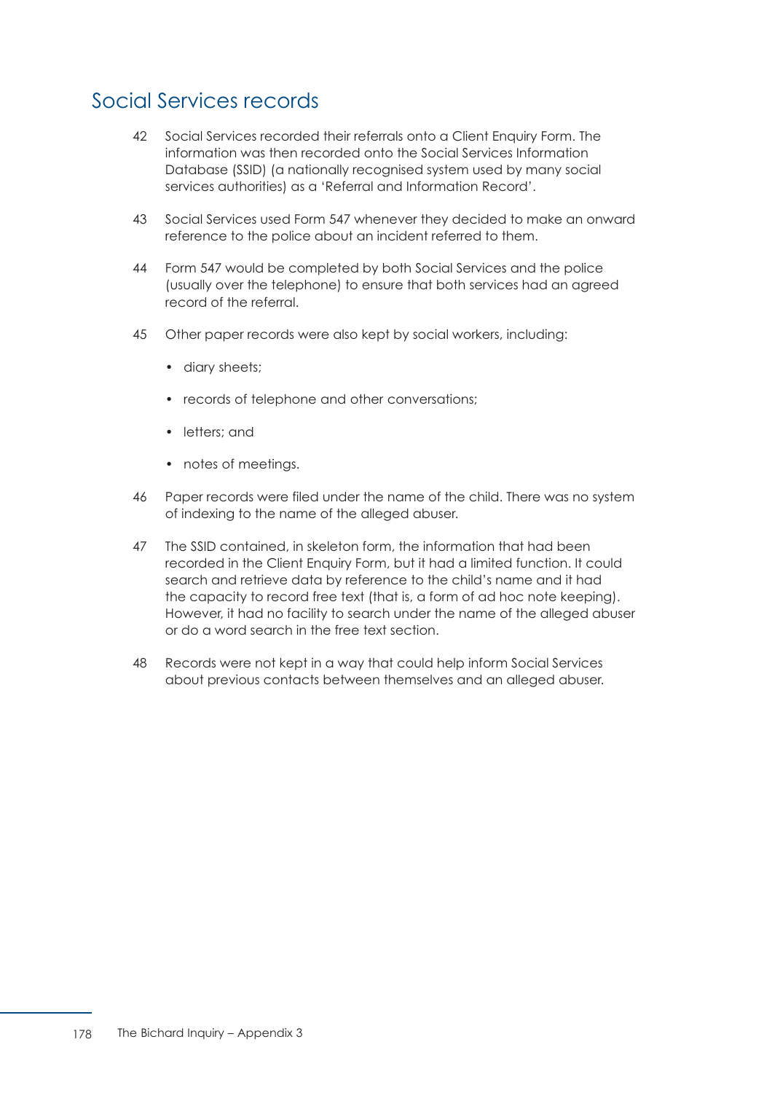# Social Services records

- 42 Social Services recorded their referrals onto a Client Enquiry Form. The information was then recorded onto the Social Services Information Database (SSID) (a nationally recognised system used by many social services authorities) as a 'Referral and Information Record'.
- 43 Social Services used Form 547 whenever they decided to make an onward reference to the police about an incident referred to them.
- 44 Form 547 would be completed by both Social Services and the police (usually over the telephone) to ensure that both services had an agreed record of the referral.
- 45 Other paper records were also kept by social workers, including:
	- diary sheets;
	- records of telephone and other conversations;
	- letters; and
	- notes of meetings.
- 46 Paper records were filed under the name of the child. There was no system of indexing to the name of the alleged abuser.
- 47 The SSID contained, in skeleton form, the information that had been recorded in the Client Enquiry Form, but it had a limited function. It could search and retrieve data by reference to the child's name and it had the capacity to record free text (that is, a form of ad hoc note keeping). However, it had no facility to search under the name of the alleged abuser or do a word search in the free text section.
- 48 Records were not kept in a way that could help inform Social Services about previous contacts between themselves and an alleged abuser.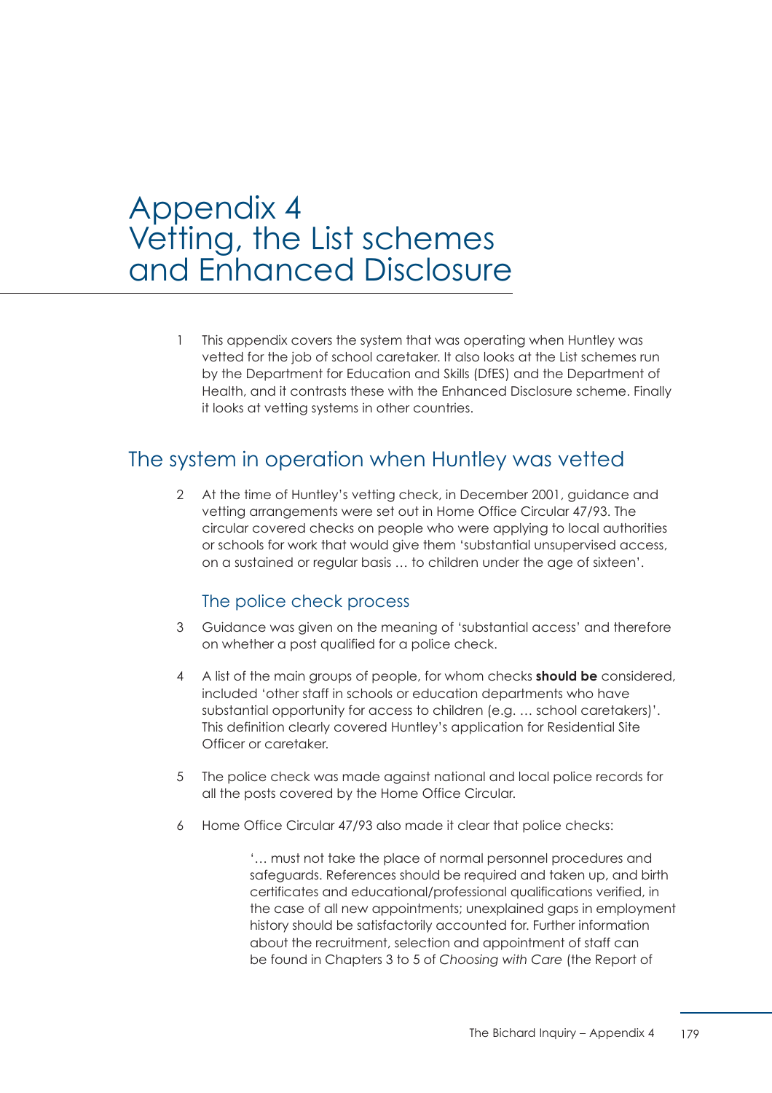# Appendix 4 Vetting, the List schemes and Enhanced Disclosure

 1 This appendix covers the system that was operating when Huntley was vetted for the job of school caretaker. It also looks at the List schemes run by the Department for Education and Skills (DfES) and the Department of Health, and it contrasts these with the Enhanced Disclosure scheme. Finally it looks at vetting systems in other countries.

# The system in operation when Huntley was vetted

 2 At the time of Huntley's vetting check, in December 2001, guidance and vetting arrangements were set out in Home Office Circular 47/93. The circular covered checks on people who were applying to local authorities or schools for work that would give them 'substantial unsupervised access, on a sustained or regular basis … to children under the age of sixteen'.

# The police check process

- 3 Guidance was given on the meaning of 'substantial access' and therefore on whether a post qualified for a police check.
- 4 A list of the main groups of people, for whom checks **should be** considered, included 'other staff in schools or education departments who have substantial opportunity for access to children (e.g. … school caretakers)'. This definition clearly covered Huntley's application for Residential Site Officer or caretaker.
- 5 The police check was made against national and local police records for all the posts covered by the Home Office Circular.
- 6 Home Office Circular 47/93 also made it clear that police checks:

'… must not take the place of normal personnel procedures and safeguards. References should be required and taken up, and birth certificates and educational/professional qualifications verified, in the case of all new appointments; unexplained gaps in employment history should be satisfactorily accounted for. Further information about the recruitment, selection and appointment of staff can be found in Chapters 3 to 5 of *Choosing with Care* (the Report of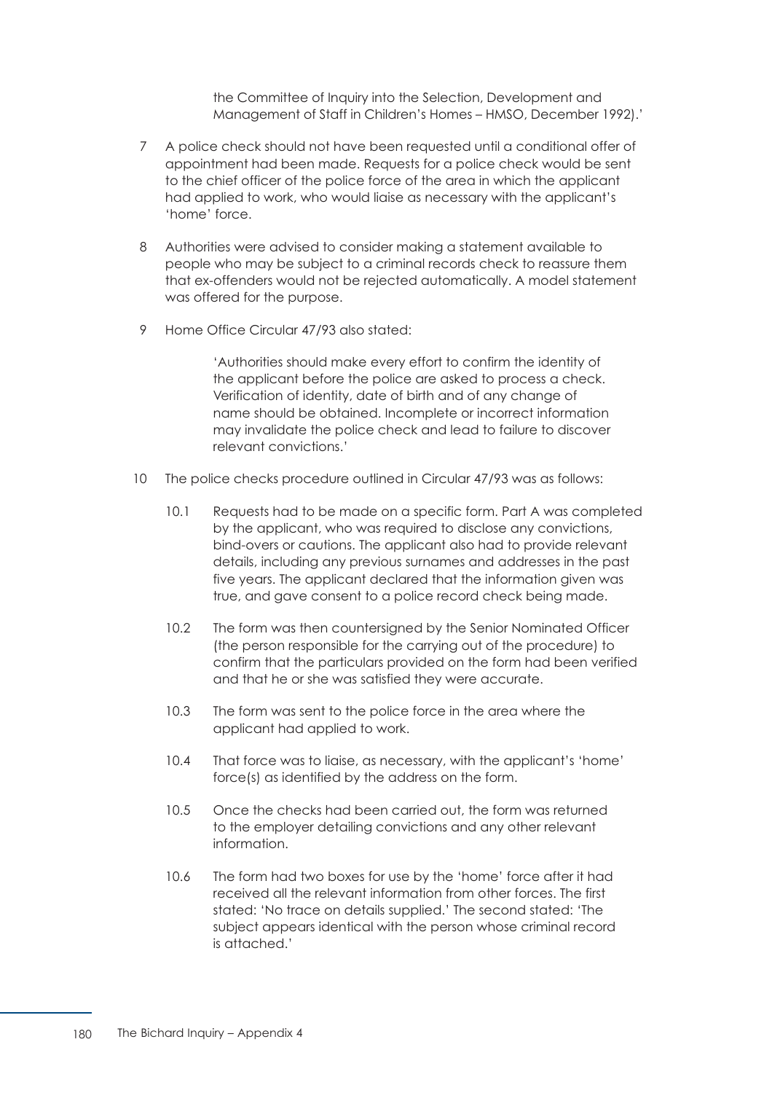the Committee of Inquiry into the Selection, Development and Management of Staff in Children's Homes – HMSO, December 1992).'

- 7 A police check should not have been requested until a conditional offer of appointment had been made. Requests for a police check would be sent to the chief officer of the police force of the area in which the applicant had applied to work, who would liaise as necessary with the applicant's 'home' force.
- 8 Authorities were advised to consider making a statement available to people who may be subject to a criminal records check to reassure them that ex-offenders would not be rejected automatically. A model statement was offered for the purpose.
- 9 Home Office Circular 47/93 also stated:

'Authorities should make every effort to confirm the identity of the applicant before the police are asked to process a check. Verification of identity, date of birth and of any change of name should be obtained. Incomplete or incorrect information may invalidate the police check and lead to failure to discover relevant convictions.'

- 10 The police checks procedure outlined in Circular 47/93 was as follows:
	- 10.1 Requests had to be made on a specific form. Part A was completed by the applicant, who was required to disclose any convictions, bind-overs or cautions. The applicant also had to provide relevant details, including any previous surnames and addresses in the past five years. The applicant declared that the information given was true, and gave consent to a police record check being made.
	- 10.2 The form was then countersigned by the Senior Nominated Officer (the person responsible for the carrying out of the procedure) to confirm that the particulars provided on the form had been verified and that he or she was satisfied they were accurate.
	- 10.3 The form was sent to the police force in the area where the applicant had applied to work.
	- 10.4 That force was to liaise, as necessary, with the applicant's 'home' force(s) as identified by the address on the form.
	- 10.5 Once the checks had been carried out, the form was returned to the employer detailing convictions and any other relevant information.
	- 10.6 The form had two boxes for use by the 'home' force after it had received all the relevant information from other forces. The first stated: 'No trace on details supplied.' The second stated: 'The subject appears identical with the person whose criminal record is attached.'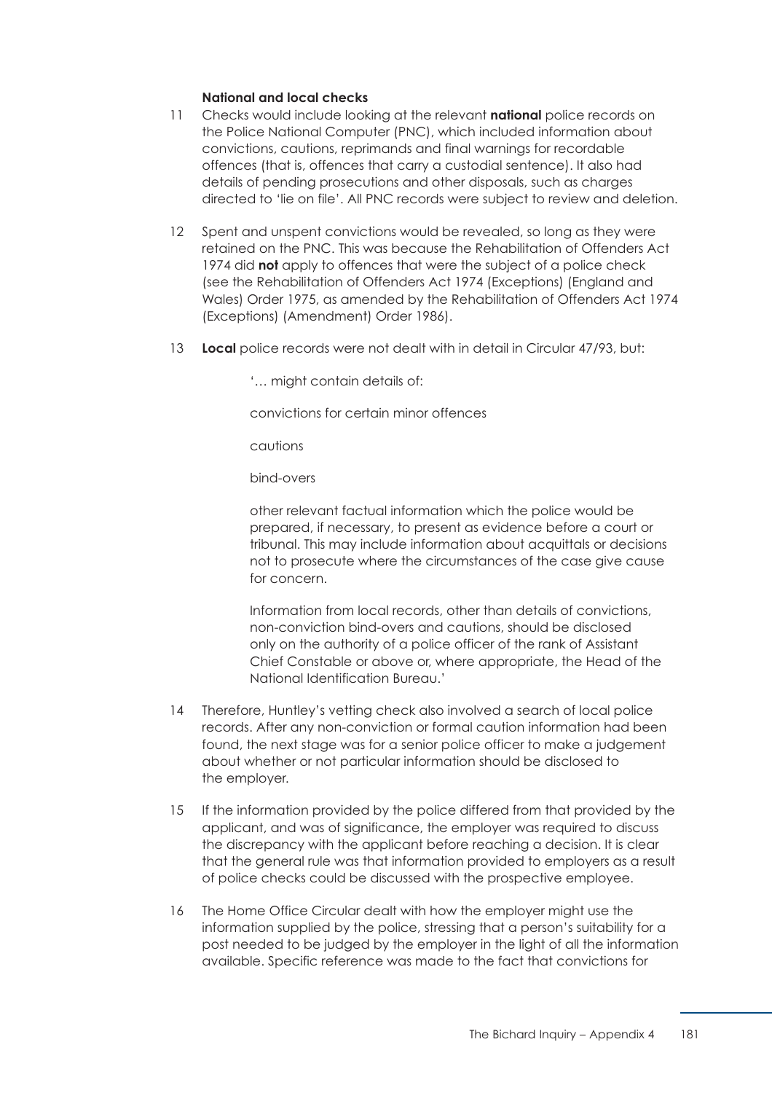### **National and local checks**

- 11 Checks would include looking at the relevant **national** police records on the Police National Computer (PNC), which included information about convictions, cautions, reprimands and final warnings for recordable offences (that is, offences that carry a custodial sentence). It also had details of pending prosecutions and other disposals, such as charges directed to 'lie on file'. All PNC records were subject to review and deletion.
- 12 Spent and unspent convictions would be revealed, so long as they were retained on the PNC. This was because the Rehabilitation of Offenders Act 1974 did **not** apply to offences that were the subject of a police check (see the Rehabilitation of Offenders Act 1974 (Exceptions) (England and Wales) Order 1975, as amended by the Rehabilitation of Offenders Act 1974 (Exceptions) (Amendment) Order 1986).
- 13 **Local** police records were not dealt with in detail in Circular 47/93, but:

'… might contain details of:

convictions for certain minor offences

cautions

bind-overs

other relevant factual information which the police would be prepared, if necessary, to present as evidence before a court or tribunal. This may include information about acquittals or decisions not to prosecute where the circumstances of the case give cause for concern.

Information from local records, other than details of convictions, non-conviction bind-overs and cautions, should be disclosed only on the authority of a police officer of the rank of Assistant Chief Constable or above or, where appropriate, the Head of the National Identification Bureau.'

- 14 Therefore, Huntley's vetting check also involved a search of local police records. After any non-conviction or formal caution information had been found, the next stage was for a senior police officer to make a judgement about whether or not particular information should be disclosed to the employer.
- 15 If the information provided by the police differed from that provided by the applicant, and was of significance, the employer was required to discuss the discrepancy with the applicant before reaching a decision. It is clear that the general rule was that information provided to employers as a result of police checks could be discussed with the prospective employee.
- 16 The Home Office Circular dealt with how the employer might use the information supplied by the police, stressing that a person's suitability for a post needed to be judged by the employer in the light of all the information available. Specific reference was made to the fact that convictions for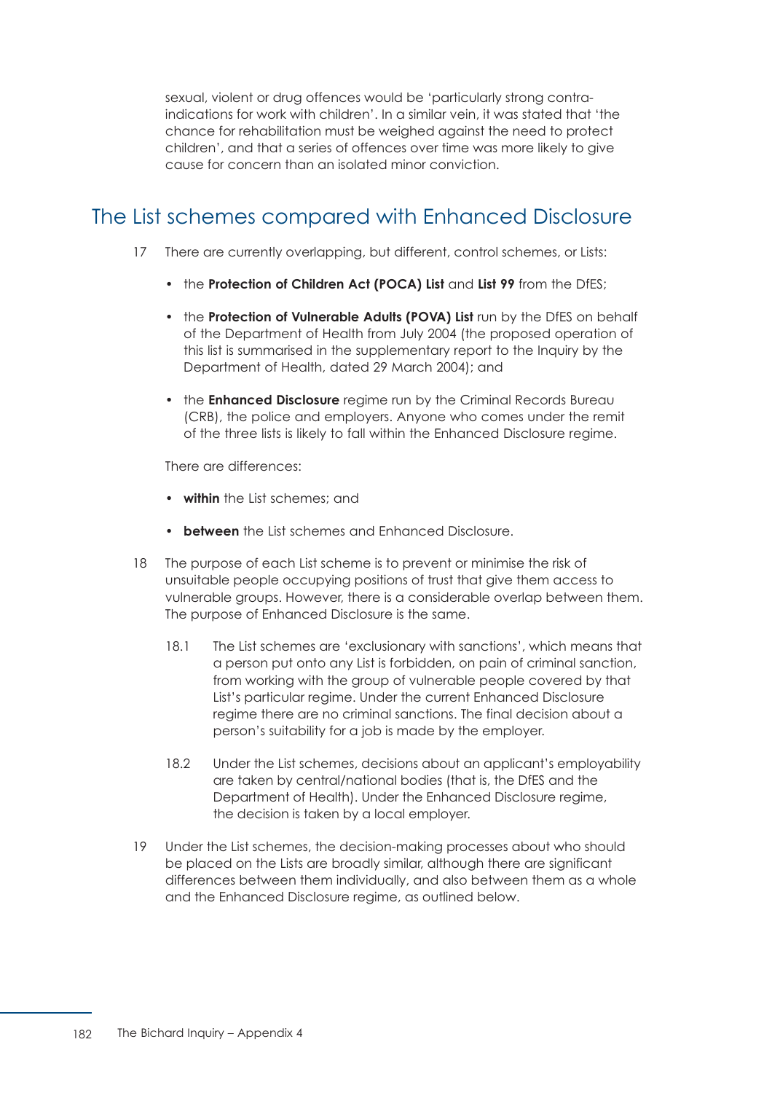sexual, violent or drug offences would be 'particularly strong contraindications for work with children'. In a similar vein, it was stated that 'the chance for rehabilitation must be weighed against the need to protect children', and that a series of offences over time was more likely to give cause for concern than an isolated minor conviction.

# The List schemes compared with Enhanced Disclosure

- 17 There are currently overlapping, but different, control schemes, or Lists:
	- the **Protection of Children Act (POCA) List** and **List 99** from the DfES;
	- the **Protection of Vulnerable Adults (POVA) List** run by the DfES on behalf of the Department of Health from July 2004 (the proposed operation of this list is summarised in the supplementary report to the Inquiry by the Department of Health, dated 29 March 2004); and
	- the **Enhanced Disclosure** regime run by the Criminal Records Bureau (CRB), the police and employers. Anyone who comes under the remit of the three lists is likely to fall within the Enhanced Disclosure regime.

There are differences:

- **within** the List schemes; and
- **between** the List schemes and Enhanced Disclosure.
- 18 The purpose of each List scheme is to prevent or minimise the risk of unsuitable people occupying positions of trust that give them access to vulnerable groups. However, there is a considerable overlap between them. The purpose of Enhanced Disclosure is the same.
	- 18.1 The List schemes are 'exclusionary with sanctions', which means that a person put onto any List is forbidden, on pain of criminal sanction, from working with the group of vulnerable people covered by that List's particular regime. Under the current Enhanced Disclosure regime there are no criminal sanctions. The final decision about a person's suitability for a job is made by the employer.
	- 18.2 Under the List schemes, decisions about an applicant's employability are taken by central/national bodies (that is, the DfES and the Department of Health). Under the Enhanced Disclosure regime, the decision is taken by a local employer.
- 19 Under the List schemes, the decision-making processes about who should be placed on the Lists are broadly similar, although there are significant differences between them individually, and also between them as a whole and the Enhanced Disclosure regime, as outlined below.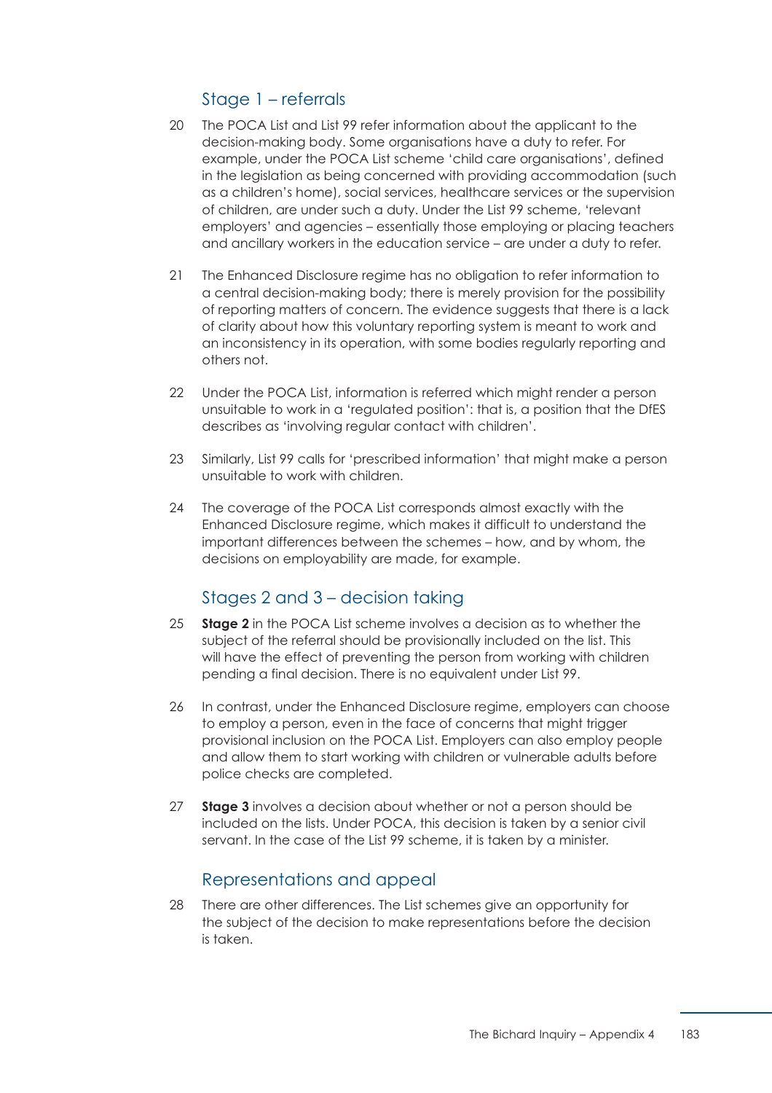## Stage 1 – referrals

- 20 The POCA List and List 99 refer information about the applicant to the decision-making body. Some organisations have a duty to refer. For example, under the POCA List scheme 'child care organisations', defined in the legislation as being concerned with providing accommodation (such as a children's home), social services, healthcare services or the supervision of children, are under such a duty. Under the List 99 scheme, 'relevant employers' and agencies – essentially those employing or placing teachers and ancillary workers in the education service – are under a duty to refer.
- 21 The Enhanced Disclosure regime has no obligation to refer information to a central decision-making body; there is merely provision for the possibility of reporting matters of concern. The evidence suggests that there is a lack of clarity about how this voluntary reporting system is meant to work and an inconsistency in its operation, with some bodies regularly reporting and others not.
- 22 Under the POCA List, information is referred which might render a person unsuitable to work in a 'regulated position': that is, a position that the DfES describes as 'involving regular contact with children'.
- 23 Similarly, List 99 calls for 'prescribed information' that might make a person unsuitable to work with children.
- 24 The coverage of the POCA List corresponds almost exactly with the Enhanced Disclosure regime, which makes it difficult to understand the important differences between the schemes – how, and by whom, the decisions on employability are made, for example.

### Stages 2 and 3 – decision taking

- 25 **Stage 2** in the POCA List scheme involves a decision as to whether the subject of the referral should be provisionally included on the list. This will have the effect of preventing the person from working with children pending a final decision. There is no equivalent under List 99.
- 26 In contrast, under the Enhanced Disclosure regime, employers can choose to employ a person, even in the face of concerns that might trigger provisional inclusion on the POCA List. Employers can also employ people and allow them to start working with children or vulnerable adults before police checks are completed.
- 27 **Stage 3** involves a decision about whether or not a person should be included on the lists. Under POCA, this decision is taken by a senior civil servant. In the case of the List 99 scheme, it is taken by a minister.

### Representations and appeal

 28 There are other differences. The List schemes give an opportunity for the subject of the decision to make representations before the decision is taken.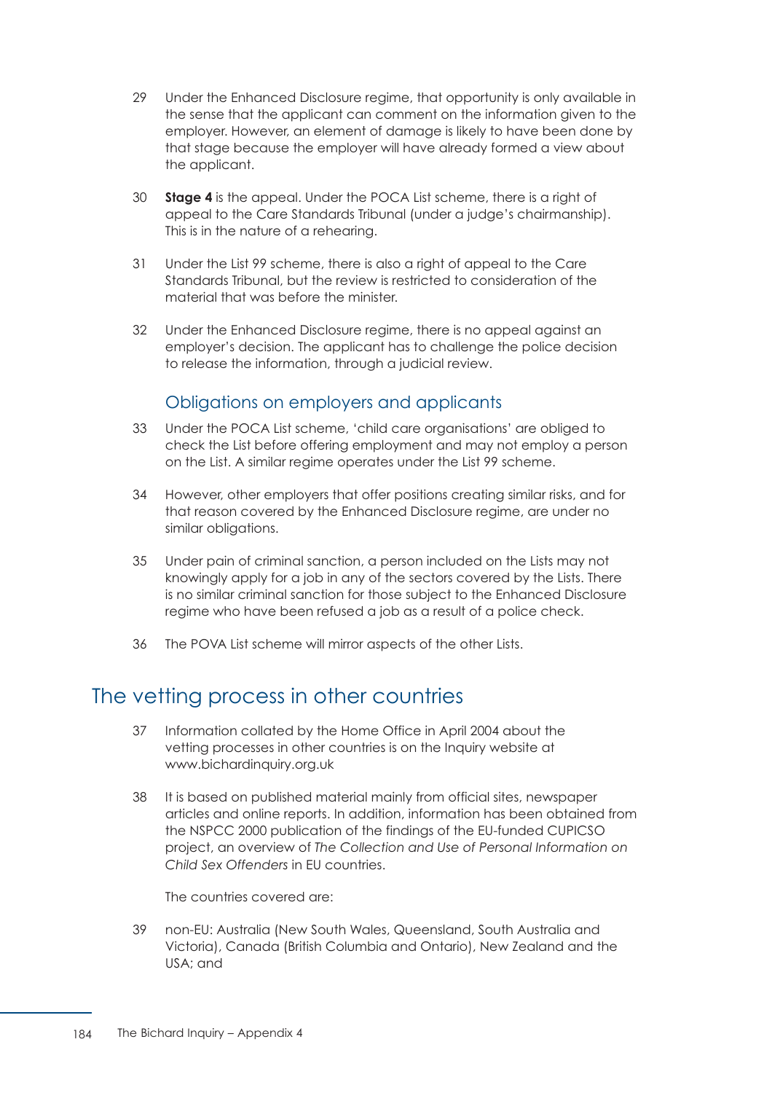- 29 Under the Enhanced Disclosure regime, that opportunity is only available in the sense that the applicant can comment on the information given to the employer. However, an element of damage is likely to have been done by that stage because the employer will have already formed a view about the applicant.
- 30 **Stage 4** is the appeal. Under the POCA List scheme, there is a right of appeal to the Care Standards Tribunal (under a judge's chairmanship). This is in the nature of a rehearing.
- 31 Under the List 99 scheme, there is also a right of appeal to the Care Standards Tribunal, but the review is restricted to consideration of the material that was before the minister.
- 32 Under the Enhanced Disclosure regime, there is no appeal against an employer's decision. The applicant has to challenge the police decision to release the information, through a judicial review.

# Obligations on employers and applicants

- 33 Under the POCA List scheme, 'child care organisations' are obliged to check the List before offering employment and may not employ a person on the List. A similar regime operates under the List 99 scheme.
- 34 However, other employers that offer positions creating similar risks, and for that reason covered by the Enhanced Disclosure regime, are under no similar obligations.
- 35 Under pain of criminal sanction, a person included on the Lists may not knowingly apply for a job in any of the sectors covered by the Lists. There is no similar criminal sanction for those subject to the Enhanced Disclosure regime who have been refused a job as a result of a police check.
- 36 The POVA List scheme will mirror aspects of the other Lists.

# The vetting process in other countries

- 37 Information collated by the Home Office in April 2004 about the vetting processes in other countries is on the Inquiry website at www.bichardinquiry.org.uk
- 38 It is based on published material mainly from official sites, newspaper articles and online reports. In addition, information has been obtained from the NSPCC 2000 publication of the findings of the EU-funded CUPICSO project, an overview of *The Collection and Use of Personal Information on Child Sex Offenders* in EU countries.

The countries covered are:

 39 non-EU: Australia (New South Wales, Queensland, South Australia and Victoria), Canada (British Columbia and Ontario), New Zealand and the USA; and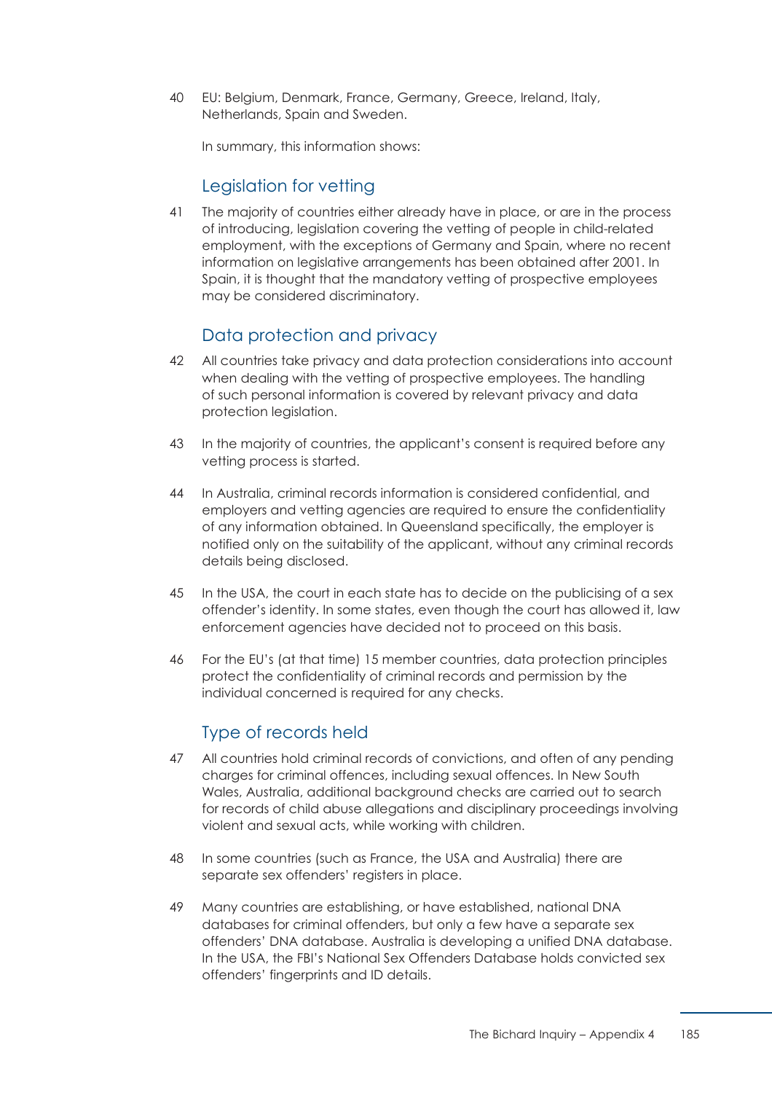40 EU: Belgium, Denmark, France, Germany, Greece, Ireland, Italy, Netherlands, Spain and Sweden.

In summary, this information shows:

### Legislation for vetting

 41 The majority of countries either already have in place, or are in the process of introducing, legislation covering the vetting of people in child-related employment, with the exceptions of Germany and Spain, where no recent information on legislative arrangements has been obtained after 2001. In Spain, it is thought that the mandatory vetting of prospective employees may be considered discriminatory.

# Data protection and privacy

- 42 All countries take privacy and data protection considerations into account when dealing with the vetting of prospective employees. The handling of such personal information is covered by relevant privacy and data protection legislation.
- 43 In the majority of countries, the applicant's consent is required before any vetting process is started.
- 44 In Australia, criminal records information is considered confidential, and employers and vetting agencies are required to ensure the confidentiality of any information obtained. In Queensland specifically, the employer is notified only on the suitability of the applicant, without any criminal records details being disclosed.
- 45 In the USA, the court in each state has to decide on the publicising of a sex offender's identity. In some states, even though the court has allowed it, law enforcement agencies have decided not to proceed on this basis.
- 46 For the EU's (at that time) 15 member countries, data protection principles protect the confidentiality of criminal records and permission by the individual concerned is required for any checks.

### Type of records held

- 47 All countries hold criminal records of convictions, and often of any pending charges for criminal offences, including sexual offences. In New South Wales, Australia, additional background checks are carried out to search for records of child abuse allegations and disciplinary proceedings involving violent and sexual acts, while working with children.
- 48 In some countries (such as France, the USA and Australia) there are separate sex offenders' registers in place.
- 49 Many countries are establishing, or have established, national DNA databases for criminal offenders, but only a few have a separate sex offenders' DNA database. Australia is developing a unified DNA database. In the USA, the FBI's National Sex Offenders Database holds convicted sex offenders' fingerprints and ID details.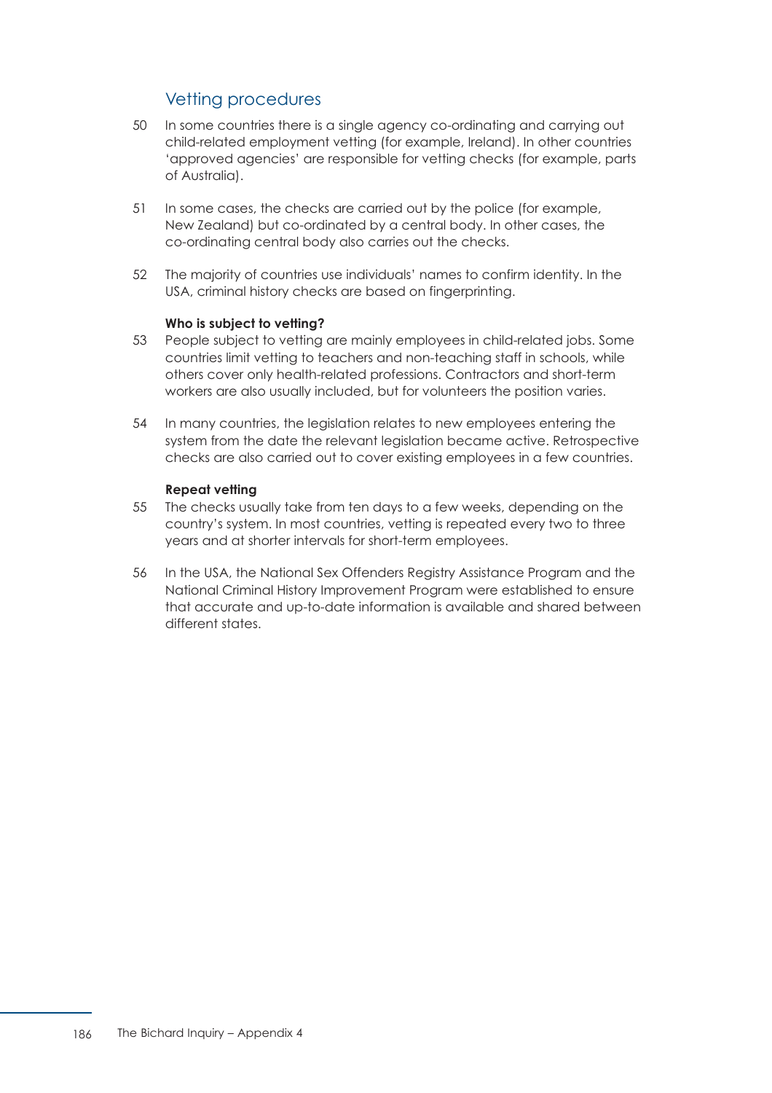## Vetting procedures

- 50 In some countries there is a single agency co-ordinating and carrying out child-related employment vetting (for example, Ireland). In other countries 'approved agencies' are responsible for vetting checks (for example, parts of Australia).
- 51 In some cases, the checks are carried out by the police (for example, New Zealand) but co-ordinated by a central body. In other cases, the co-ordinating central body also carries out the checks.
- 52 The majority of countries use individuals' names to confirm identity. In the USA, criminal history checks are based on fingerprinting.

### **Who is subject to vetting?**

- 53 People subject to vetting are mainly employees in child-related jobs. Some countries limit vetting to teachers and non-teaching staff in schools, while others cover only health-related professions. Contractors and short-term workers are also usually included, but for volunteers the position varies.
- 54 In many countries, the legislation relates to new employees entering the system from the date the relevant legislation became active. Retrospective checks are also carried out to cover existing employees in a few countries.

### **Repeat vetting**

- 55 The checks usually take from ten days to a few weeks, depending on the country's system. In most countries, vetting is repeated every two to three years and at shorter intervals for short-term employees.
- 56 In the USA, the National Sex Offenders Registry Assistance Program and the National Criminal History Improvement Program were established to ensure that accurate and up-to-date information is available and shared between different states.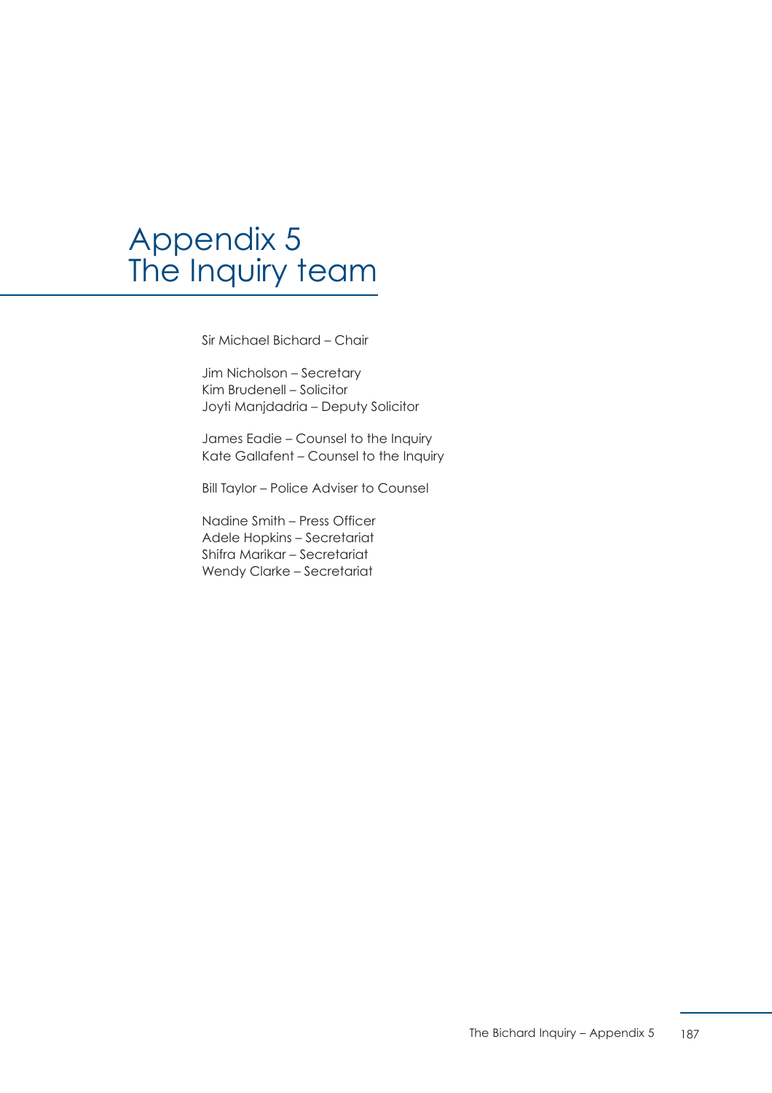# Appendix 5 The Inquiry team

Sir Michael Bichard – Chair

Jim Nicholson – Secretary Kim Brudenell – Solicitor Joyti Manjdadria – Deputy Solicitor

James Eadie – Counsel to the Inquiry Kate Gallafent – Counsel to the Inquiry

Bill Taylor – Police Adviser to Counsel

Nadine Smith – Press Officer Adele Hopkins – Secretariat Shifra Marikar – Secretariat Wendy Clarke – Secretariat